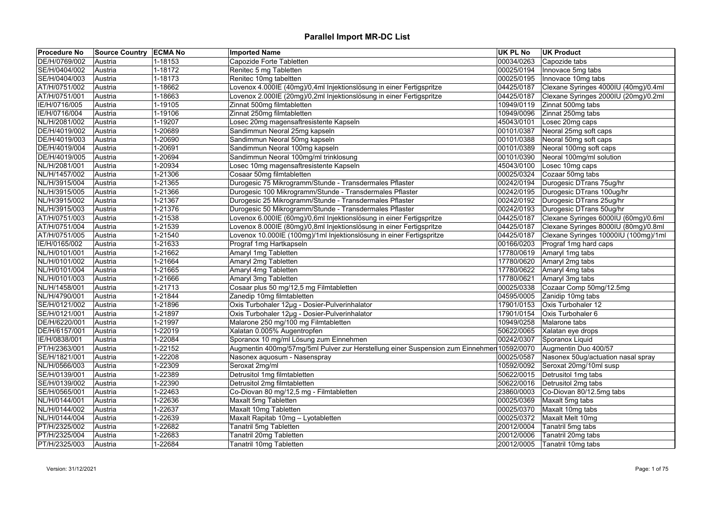| 1-18153<br>Capozide Forte Tabletten<br>00034/0263<br>Capozide tabs<br>Austria<br>1-18172<br>Renitec 5 mg Tabletten<br>00025/0194<br>Innovace 5mg tabs<br>Austria<br>1-18173<br>Renitec 10mg tabeltten<br>00025/0195<br>Innovace 10mg tabs<br>Austria<br>1-18662<br>Lovenox 4.000IE (40mg)/0,4ml Injektionslösung in einer Fertigspritze<br>04425/0187<br>Clexane Syringes 4000IU (40mg)/0.4ml<br>Austria<br>1-18663<br>Lovenox 2.000IE (20mg)/0,2ml Injektionslösung in einer Fertigspritze<br>04425/0187<br>Clexane Syringes 2000IU (20mg)/0.2ml<br>Austria<br>Zinnat 500mg tabs<br>1-19105<br>Zinnat 500mg filmtabletten<br>10949/0119<br>Austria<br>Zinnat 250mg filmtabletten<br>Zinnat 250mg tabs<br>1-19106<br>10949/0096<br>Austria<br>1-19207<br>Losec 20mg magensaftresistente Kapseln<br>45043/0101<br>Losec 20mg caps<br>Austria<br>Sandimmun Neoral 25mg kapseln<br>00101/0387<br>Neoral 25mg soft caps<br>1-20689<br>Austria<br>Sandimmun Neoral 50mg kapseln<br>1-20690<br>00101/0388<br>Neoral 50mg soft caps<br>Austria<br>1-20691<br>Sandimmun Neoral 100mg kapseln<br>00101/0389<br>Neoral 100mg soft caps<br>Austria<br>Sandimmun Neoral 100mg/ml trinklosung<br>Neoral 100mg/ml solution<br>1-20694<br>00101/0390<br>Austria<br>1-20934<br>Losec 10mg magensaftresistente Kapseln<br>45043/0100<br>Losec 10mg caps<br>Austria<br>Cozaar 50mg tabs<br>1-21306<br>Cosaar 50mg filmtabletten<br>00025/0324<br>Austria<br>Durogesic 75 Mikrogramm/Stunde - Transdermales Pflaster<br>Durogesic DTrans 75ug/hr<br>1-21365<br>00242/0194<br>Austria<br>NL/H/3915/005<br>1-21366<br>Durogesic 100 Mikrogramm/Stunde - Transdermales Pflaster<br>00242/0195<br>Durogesic DTrans 100ug/hr<br>Austria<br>NL/H/3915/002<br>Durogesic 25 Mikrogramm/Stunde - Transdermales Pflaster<br>00242/0192<br>Durogesic DTrans 25ug/hr<br>1-21367<br>Austria<br>Durogesic 50 Mikrogramm/Stunde - Transdermales Pflaster<br>00242/0193<br>Durogesic DTrans 50ug/hr<br>NL/H/3915/003<br>1-21376<br>Austria<br>AT/H/0751/003<br>1-21538<br>Lovenox 6.000IE (60mg)/0,6ml Injektionslösung in einer Fertigspritze<br>04425/0187<br>Clexane Syringes 6000IU (60mg)/0.6ml<br>Austria<br>AT/H/0751/004<br>1-21539<br>Lovenox 8.000IE (80mg)/0,8ml Injektionslösung in einer Fertigspritze<br>04425/0187<br>Clexane Syringes 8000IU (80mg)/0.8ml<br>Austria<br>04425/0187<br>Clexane Syringes 10000IU (100mg)/1ml<br>AT/H/0751/005<br>1-21540<br>Lovenox 10.000IE (100mg)/1ml Injektionslösung in einer Fertigspritze<br>Austria<br>IE/H/0165/002<br>1-21633<br>Prograf 1mg Hartkapseln<br>00166/0203<br>Prograf 1mg hard caps<br>Austria<br>17780/0619<br>1-21662<br>Amaryl 1mg Tabletten<br>Amaryl 1mg tabs<br>Austria<br>1-21664<br>17780/0620<br>Amaryl 2mg tabs<br>NL/H/0101/002<br>Austria<br>Amaryl 2mg Tabletten<br>1-21665<br>Amaryl 4mg Tabletten<br>17780/0622<br>Amaryl 4mg tabs<br>Austria<br>1-21666<br>Amaryl 3mg Tabletten<br>17780/0621<br>Amaryl 3mg tabs<br>Austria<br>1-21713<br>Cosaar plus 50 mg/12,5 mg Filmtabletten<br>00025/0338<br>Austria<br>Cozaar Comp 50mg/12.5mg<br>1-21844<br>Zanedip 10mg filmtabletten<br>04595/0005<br>Zanidip 10mg tabs<br>Austria<br>Oxis Turbohaler 12µg - Dosier-Pulverinhalator<br>Oxis Turbohaler 12<br>Austria<br>1-21896<br>17901/0153<br>Oxis Turbohaler 12µg - Dosier-Pulverinhalator<br>SE/H/0121/001<br>Austria<br>1-21897<br>17901/0154<br>Oxis Turbohaler 6<br>DE/H/6220/001<br>1-21997<br>Malarone 250 mg/100 mg Filmtabletten<br>10949/0258<br>Austria<br>Malarone tabs<br>1-22019<br>Xalatan 0.005% Augentropfen<br>50622/0065<br>DE/H/6157/001<br>Austria<br>Xalatan eye drops<br>1-22084<br>Sporanox 10 mg/ml Lösung zum Einnehmen<br>00242/0307<br>IE/H/0838/001<br>Sporanox Liquid<br>Austria<br>Augmentin 400mg/57mg/5ml Pulver zur Herstellung einer Suspension zum Einnehmer 10592/0070<br>Augmentin Duo 400/57<br>PT/H/2363/001<br>1-22152<br>Austria<br>1-22208<br>SE/H/1821/001<br>Nasonex aquosum - Nasenspray<br>00025/0587<br>Nasonex 50ug/actuation nasal spray<br>Austria<br>1-22309<br>Seroxat 20mg/10ml susp<br>NL/H/0566/003<br>Seroxat 2mg/ml<br>10592/0092<br>Austria<br>1-22389<br>Detrusitol 1mg filmtabletten<br>50622/0015<br>Detrusitol 1mg tabs<br>SE/H/0139/001<br>Austria<br>1-22390<br>50622/0016<br>Detrusitol 2mg tabs<br>SE/H/0139/002<br>Detrusitol 2mg filmtabletten<br>Austria<br>SE/H/0565/001<br>1-22463<br>Co-Diovan 80 mg/12,5 mg - Filmtabletten<br>23860/0003<br>Co-Diovan 80/12.5mg tabs<br>Austria<br>1-22636<br>NL/H/0144/001<br>Maxalt 5mg Tabletten<br>00025/0369<br>Maxalt 5mg tabs<br>Austria<br>NL/H/0144/002<br>1-22637<br>Maxalt 10mg Tabletten<br>00025/0370<br>Maxalt 10mg tabs<br>Austria<br>NL/H/0144/004<br>1-22639<br>Maxalt Rapitab 10mg - Lyotabletten<br>00025/0372<br>Maxalt Melt 10mg<br>Austria<br>PT/H/2325/002<br>1-22682<br>Tanatril 5mg Tabletten<br>20012/0004<br>Tanatril 5mg tabs<br>Austria<br>PT/H/2325/004<br>1-22683<br>Tanatril 20mg Tabletten<br>20012/0006<br>Tanatril 20mg tabs<br>Austria | <b>Procedure No</b> | <b>Source Country ECMA No</b> | <b>Imported Name</b> | UK PL No | <b>UK Product</b> |
|-------------------------------------------------------------------------------------------------------------------------------------------------------------------------------------------------------------------------------------------------------------------------------------------------------------------------------------------------------------------------------------------------------------------------------------------------------------------------------------------------------------------------------------------------------------------------------------------------------------------------------------------------------------------------------------------------------------------------------------------------------------------------------------------------------------------------------------------------------------------------------------------------------------------------------------------------------------------------------------------------------------------------------------------------------------------------------------------------------------------------------------------------------------------------------------------------------------------------------------------------------------------------------------------------------------------------------------------------------------------------------------------------------------------------------------------------------------------------------------------------------------------------------------------------------------------------------------------------------------------------------------------------------------------------------------------------------------------------------------------------------------------------------------------------------------------------------------------------------------------------------------------------------------------------------------------------------------------------------------------------------------------------------------------------------------------------------------------------------------------------------------------------------------------------------------------------------------------------------------------------------------------------------------------------------------------------------------------------------------------------------------------------------------------------------------------------------------------------------------------------------------------------------------------------------------------------------------------------------------------------------------------------------------------------------------------------------------------------------------------------------------------------------------------------------------------------------------------------------------------------------------------------------------------------------------------------------------------------------------------------------------------------------------------------------------------------------------------------------------------------------------------------------------------------------------------------------------------------------------------------------------------------------------------------------------------------------------------------------------------------------------------------------------------------------------------------------------------------------------------------------------------------------------------------------------------------------------------------------------------------------------------------------------------------------------------------------------------------------------------------------------------------------------------------------------------------------------------------------------------------------------------------------------------------------------------------------------------------------------------------------------------------------------------------------------------------------------------------------------------------------------------------------------------------------------------------------------------------------------------------------------------------------------------------------------------------------------------------------------------------------------------------------------------------------------------------------------------------------------------------------------------------------------------------------------------------------------------------------------------------------------------------------------------------------------------------------------------------------------------------------------------------------------------------------------------------------------------------------------------------------------------------------------------------------------------------------------------------------------------------------------------------------------|---------------------|-------------------------------|----------------------|----------|-------------------|
|                                                                                                                                                                                                                                                                                                                                                                                                                                                                                                                                                                                                                                                                                                                                                                                                                                                                                                                                                                                                                                                                                                                                                                                                                                                                                                                                                                                                                                                                                                                                                                                                                                                                                                                                                                                                                                                                                                                                                                                                                                                                                                                                                                                                                                                                                                                                                                                                                                                                                                                                                                                                                                                                                                                                                                                                                                                                                                                                                                                                                                                                                                                                                                                                                                                                                                                                                                                                                                                                                                                                                                                                                                                                                                                                                                                                                                                                                                                                                                                                                                                                                                                                                                                                                                                                                                                                                                                                                                                                                                                                                                                                                                                                                                                                                                                                                                                                                                                                                                                                                                     | DE/H/0769/002       |                               |                      |          |                   |
|                                                                                                                                                                                                                                                                                                                                                                                                                                                                                                                                                                                                                                                                                                                                                                                                                                                                                                                                                                                                                                                                                                                                                                                                                                                                                                                                                                                                                                                                                                                                                                                                                                                                                                                                                                                                                                                                                                                                                                                                                                                                                                                                                                                                                                                                                                                                                                                                                                                                                                                                                                                                                                                                                                                                                                                                                                                                                                                                                                                                                                                                                                                                                                                                                                                                                                                                                                                                                                                                                                                                                                                                                                                                                                                                                                                                                                                                                                                                                                                                                                                                                                                                                                                                                                                                                                                                                                                                                                                                                                                                                                                                                                                                                                                                                                                                                                                                                                                                                                                                                                     | SE/H/0404/002       |                               |                      |          |                   |
|                                                                                                                                                                                                                                                                                                                                                                                                                                                                                                                                                                                                                                                                                                                                                                                                                                                                                                                                                                                                                                                                                                                                                                                                                                                                                                                                                                                                                                                                                                                                                                                                                                                                                                                                                                                                                                                                                                                                                                                                                                                                                                                                                                                                                                                                                                                                                                                                                                                                                                                                                                                                                                                                                                                                                                                                                                                                                                                                                                                                                                                                                                                                                                                                                                                                                                                                                                                                                                                                                                                                                                                                                                                                                                                                                                                                                                                                                                                                                                                                                                                                                                                                                                                                                                                                                                                                                                                                                                                                                                                                                                                                                                                                                                                                                                                                                                                                                                                                                                                                                                     | SE/H/0404/003       |                               |                      |          |                   |
|                                                                                                                                                                                                                                                                                                                                                                                                                                                                                                                                                                                                                                                                                                                                                                                                                                                                                                                                                                                                                                                                                                                                                                                                                                                                                                                                                                                                                                                                                                                                                                                                                                                                                                                                                                                                                                                                                                                                                                                                                                                                                                                                                                                                                                                                                                                                                                                                                                                                                                                                                                                                                                                                                                                                                                                                                                                                                                                                                                                                                                                                                                                                                                                                                                                                                                                                                                                                                                                                                                                                                                                                                                                                                                                                                                                                                                                                                                                                                                                                                                                                                                                                                                                                                                                                                                                                                                                                                                                                                                                                                                                                                                                                                                                                                                                                                                                                                                                                                                                                                                     | AT/H/0751/002       |                               |                      |          |                   |
|                                                                                                                                                                                                                                                                                                                                                                                                                                                                                                                                                                                                                                                                                                                                                                                                                                                                                                                                                                                                                                                                                                                                                                                                                                                                                                                                                                                                                                                                                                                                                                                                                                                                                                                                                                                                                                                                                                                                                                                                                                                                                                                                                                                                                                                                                                                                                                                                                                                                                                                                                                                                                                                                                                                                                                                                                                                                                                                                                                                                                                                                                                                                                                                                                                                                                                                                                                                                                                                                                                                                                                                                                                                                                                                                                                                                                                                                                                                                                                                                                                                                                                                                                                                                                                                                                                                                                                                                                                                                                                                                                                                                                                                                                                                                                                                                                                                                                                                                                                                                                                     | AT/H/0751/001       |                               |                      |          |                   |
|                                                                                                                                                                                                                                                                                                                                                                                                                                                                                                                                                                                                                                                                                                                                                                                                                                                                                                                                                                                                                                                                                                                                                                                                                                                                                                                                                                                                                                                                                                                                                                                                                                                                                                                                                                                                                                                                                                                                                                                                                                                                                                                                                                                                                                                                                                                                                                                                                                                                                                                                                                                                                                                                                                                                                                                                                                                                                                                                                                                                                                                                                                                                                                                                                                                                                                                                                                                                                                                                                                                                                                                                                                                                                                                                                                                                                                                                                                                                                                                                                                                                                                                                                                                                                                                                                                                                                                                                                                                                                                                                                                                                                                                                                                                                                                                                                                                                                                                                                                                                                                     | IE/H/0716/005       |                               |                      |          |                   |
|                                                                                                                                                                                                                                                                                                                                                                                                                                                                                                                                                                                                                                                                                                                                                                                                                                                                                                                                                                                                                                                                                                                                                                                                                                                                                                                                                                                                                                                                                                                                                                                                                                                                                                                                                                                                                                                                                                                                                                                                                                                                                                                                                                                                                                                                                                                                                                                                                                                                                                                                                                                                                                                                                                                                                                                                                                                                                                                                                                                                                                                                                                                                                                                                                                                                                                                                                                                                                                                                                                                                                                                                                                                                                                                                                                                                                                                                                                                                                                                                                                                                                                                                                                                                                                                                                                                                                                                                                                                                                                                                                                                                                                                                                                                                                                                                                                                                                                                                                                                                                                     | IE/H/0716/004       |                               |                      |          |                   |
|                                                                                                                                                                                                                                                                                                                                                                                                                                                                                                                                                                                                                                                                                                                                                                                                                                                                                                                                                                                                                                                                                                                                                                                                                                                                                                                                                                                                                                                                                                                                                                                                                                                                                                                                                                                                                                                                                                                                                                                                                                                                                                                                                                                                                                                                                                                                                                                                                                                                                                                                                                                                                                                                                                                                                                                                                                                                                                                                                                                                                                                                                                                                                                                                                                                                                                                                                                                                                                                                                                                                                                                                                                                                                                                                                                                                                                                                                                                                                                                                                                                                                                                                                                                                                                                                                                                                                                                                                                                                                                                                                                                                                                                                                                                                                                                                                                                                                                                                                                                                                                     | NL/H/2081/002       |                               |                      |          |                   |
|                                                                                                                                                                                                                                                                                                                                                                                                                                                                                                                                                                                                                                                                                                                                                                                                                                                                                                                                                                                                                                                                                                                                                                                                                                                                                                                                                                                                                                                                                                                                                                                                                                                                                                                                                                                                                                                                                                                                                                                                                                                                                                                                                                                                                                                                                                                                                                                                                                                                                                                                                                                                                                                                                                                                                                                                                                                                                                                                                                                                                                                                                                                                                                                                                                                                                                                                                                                                                                                                                                                                                                                                                                                                                                                                                                                                                                                                                                                                                                                                                                                                                                                                                                                                                                                                                                                                                                                                                                                                                                                                                                                                                                                                                                                                                                                                                                                                                                                                                                                                                                     | DE/H/4019/002       |                               |                      |          |                   |
|                                                                                                                                                                                                                                                                                                                                                                                                                                                                                                                                                                                                                                                                                                                                                                                                                                                                                                                                                                                                                                                                                                                                                                                                                                                                                                                                                                                                                                                                                                                                                                                                                                                                                                                                                                                                                                                                                                                                                                                                                                                                                                                                                                                                                                                                                                                                                                                                                                                                                                                                                                                                                                                                                                                                                                                                                                                                                                                                                                                                                                                                                                                                                                                                                                                                                                                                                                                                                                                                                                                                                                                                                                                                                                                                                                                                                                                                                                                                                                                                                                                                                                                                                                                                                                                                                                                                                                                                                                                                                                                                                                                                                                                                                                                                                                                                                                                                                                                                                                                                                                     | DE/H/4019/003       |                               |                      |          |                   |
|                                                                                                                                                                                                                                                                                                                                                                                                                                                                                                                                                                                                                                                                                                                                                                                                                                                                                                                                                                                                                                                                                                                                                                                                                                                                                                                                                                                                                                                                                                                                                                                                                                                                                                                                                                                                                                                                                                                                                                                                                                                                                                                                                                                                                                                                                                                                                                                                                                                                                                                                                                                                                                                                                                                                                                                                                                                                                                                                                                                                                                                                                                                                                                                                                                                                                                                                                                                                                                                                                                                                                                                                                                                                                                                                                                                                                                                                                                                                                                                                                                                                                                                                                                                                                                                                                                                                                                                                                                                                                                                                                                                                                                                                                                                                                                                                                                                                                                                                                                                                                                     | DE/H/4019/004       |                               |                      |          |                   |
|                                                                                                                                                                                                                                                                                                                                                                                                                                                                                                                                                                                                                                                                                                                                                                                                                                                                                                                                                                                                                                                                                                                                                                                                                                                                                                                                                                                                                                                                                                                                                                                                                                                                                                                                                                                                                                                                                                                                                                                                                                                                                                                                                                                                                                                                                                                                                                                                                                                                                                                                                                                                                                                                                                                                                                                                                                                                                                                                                                                                                                                                                                                                                                                                                                                                                                                                                                                                                                                                                                                                                                                                                                                                                                                                                                                                                                                                                                                                                                                                                                                                                                                                                                                                                                                                                                                                                                                                                                                                                                                                                                                                                                                                                                                                                                                                                                                                                                                                                                                                                                     | DE/H/4019/005       |                               |                      |          |                   |
|                                                                                                                                                                                                                                                                                                                                                                                                                                                                                                                                                                                                                                                                                                                                                                                                                                                                                                                                                                                                                                                                                                                                                                                                                                                                                                                                                                                                                                                                                                                                                                                                                                                                                                                                                                                                                                                                                                                                                                                                                                                                                                                                                                                                                                                                                                                                                                                                                                                                                                                                                                                                                                                                                                                                                                                                                                                                                                                                                                                                                                                                                                                                                                                                                                                                                                                                                                                                                                                                                                                                                                                                                                                                                                                                                                                                                                                                                                                                                                                                                                                                                                                                                                                                                                                                                                                                                                                                                                                                                                                                                                                                                                                                                                                                                                                                                                                                                                                                                                                                                                     | NL/H/2081/001       |                               |                      |          |                   |
|                                                                                                                                                                                                                                                                                                                                                                                                                                                                                                                                                                                                                                                                                                                                                                                                                                                                                                                                                                                                                                                                                                                                                                                                                                                                                                                                                                                                                                                                                                                                                                                                                                                                                                                                                                                                                                                                                                                                                                                                                                                                                                                                                                                                                                                                                                                                                                                                                                                                                                                                                                                                                                                                                                                                                                                                                                                                                                                                                                                                                                                                                                                                                                                                                                                                                                                                                                                                                                                                                                                                                                                                                                                                                                                                                                                                                                                                                                                                                                                                                                                                                                                                                                                                                                                                                                                                                                                                                                                                                                                                                                                                                                                                                                                                                                                                                                                                                                                                                                                                                                     | NL/H/1457/002       |                               |                      |          |                   |
|                                                                                                                                                                                                                                                                                                                                                                                                                                                                                                                                                                                                                                                                                                                                                                                                                                                                                                                                                                                                                                                                                                                                                                                                                                                                                                                                                                                                                                                                                                                                                                                                                                                                                                                                                                                                                                                                                                                                                                                                                                                                                                                                                                                                                                                                                                                                                                                                                                                                                                                                                                                                                                                                                                                                                                                                                                                                                                                                                                                                                                                                                                                                                                                                                                                                                                                                                                                                                                                                                                                                                                                                                                                                                                                                                                                                                                                                                                                                                                                                                                                                                                                                                                                                                                                                                                                                                                                                                                                                                                                                                                                                                                                                                                                                                                                                                                                                                                                                                                                                                                     | NL/H/3915/004       |                               |                      |          |                   |
|                                                                                                                                                                                                                                                                                                                                                                                                                                                                                                                                                                                                                                                                                                                                                                                                                                                                                                                                                                                                                                                                                                                                                                                                                                                                                                                                                                                                                                                                                                                                                                                                                                                                                                                                                                                                                                                                                                                                                                                                                                                                                                                                                                                                                                                                                                                                                                                                                                                                                                                                                                                                                                                                                                                                                                                                                                                                                                                                                                                                                                                                                                                                                                                                                                                                                                                                                                                                                                                                                                                                                                                                                                                                                                                                                                                                                                                                                                                                                                                                                                                                                                                                                                                                                                                                                                                                                                                                                                                                                                                                                                                                                                                                                                                                                                                                                                                                                                                                                                                                                                     |                     |                               |                      |          |                   |
|                                                                                                                                                                                                                                                                                                                                                                                                                                                                                                                                                                                                                                                                                                                                                                                                                                                                                                                                                                                                                                                                                                                                                                                                                                                                                                                                                                                                                                                                                                                                                                                                                                                                                                                                                                                                                                                                                                                                                                                                                                                                                                                                                                                                                                                                                                                                                                                                                                                                                                                                                                                                                                                                                                                                                                                                                                                                                                                                                                                                                                                                                                                                                                                                                                                                                                                                                                                                                                                                                                                                                                                                                                                                                                                                                                                                                                                                                                                                                                                                                                                                                                                                                                                                                                                                                                                                                                                                                                                                                                                                                                                                                                                                                                                                                                                                                                                                                                                                                                                                                                     |                     |                               |                      |          |                   |
|                                                                                                                                                                                                                                                                                                                                                                                                                                                                                                                                                                                                                                                                                                                                                                                                                                                                                                                                                                                                                                                                                                                                                                                                                                                                                                                                                                                                                                                                                                                                                                                                                                                                                                                                                                                                                                                                                                                                                                                                                                                                                                                                                                                                                                                                                                                                                                                                                                                                                                                                                                                                                                                                                                                                                                                                                                                                                                                                                                                                                                                                                                                                                                                                                                                                                                                                                                                                                                                                                                                                                                                                                                                                                                                                                                                                                                                                                                                                                                                                                                                                                                                                                                                                                                                                                                                                                                                                                                                                                                                                                                                                                                                                                                                                                                                                                                                                                                                                                                                                                                     |                     |                               |                      |          |                   |
|                                                                                                                                                                                                                                                                                                                                                                                                                                                                                                                                                                                                                                                                                                                                                                                                                                                                                                                                                                                                                                                                                                                                                                                                                                                                                                                                                                                                                                                                                                                                                                                                                                                                                                                                                                                                                                                                                                                                                                                                                                                                                                                                                                                                                                                                                                                                                                                                                                                                                                                                                                                                                                                                                                                                                                                                                                                                                                                                                                                                                                                                                                                                                                                                                                                                                                                                                                                                                                                                                                                                                                                                                                                                                                                                                                                                                                                                                                                                                                                                                                                                                                                                                                                                                                                                                                                                                                                                                                                                                                                                                                                                                                                                                                                                                                                                                                                                                                                                                                                                                                     |                     |                               |                      |          |                   |
|                                                                                                                                                                                                                                                                                                                                                                                                                                                                                                                                                                                                                                                                                                                                                                                                                                                                                                                                                                                                                                                                                                                                                                                                                                                                                                                                                                                                                                                                                                                                                                                                                                                                                                                                                                                                                                                                                                                                                                                                                                                                                                                                                                                                                                                                                                                                                                                                                                                                                                                                                                                                                                                                                                                                                                                                                                                                                                                                                                                                                                                                                                                                                                                                                                                                                                                                                                                                                                                                                                                                                                                                                                                                                                                                                                                                                                                                                                                                                                                                                                                                                                                                                                                                                                                                                                                                                                                                                                                                                                                                                                                                                                                                                                                                                                                                                                                                                                                                                                                                                                     |                     |                               |                      |          |                   |
|                                                                                                                                                                                                                                                                                                                                                                                                                                                                                                                                                                                                                                                                                                                                                                                                                                                                                                                                                                                                                                                                                                                                                                                                                                                                                                                                                                                                                                                                                                                                                                                                                                                                                                                                                                                                                                                                                                                                                                                                                                                                                                                                                                                                                                                                                                                                                                                                                                                                                                                                                                                                                                                                                                                                                                                                                                                                                                                                                                                                                                                                                                                                                                                                                                                                                                                                                                                                                                                                                                                                                                                                                                                                                                                                                                                                                                                                                                                                                                                                                                                                                                                                                                                                                                                                                                                                                                                                                                                                                                                                                                                                                                                                                                                                                                                                                                                                                                                                                                                                                                     |                     |                               |                      |          |                   |
|                                                                                                                                                                                                                                                                                                                                                                                                                                                                                                                                                                                                                                                                                                                                                                                                                                                                                                                                                                                                                                                                                                                                                                                                                                                                                                                                                                                                                                                                                                                                                                                                                                                                                                                                                                                                                                                                                                                                                                                                                                                                                                                                                                                                                                                                                                                                                                                                                                                                                                                                                                                                                                                                                                                                                                                                                                                                                                                                                                                                                                                                                                                                                                                                                                                                                                                                                                                                                                                                                                                                                                                                                                                                                                                                                                                                                                                                                                                                                                                                                                                                                                                                                                                                                                                                                                                                                                                                                                                                                                                                                                                                                                                                                                                                                                                                                                                                                                                                                                                                                                     |                     |                               |                      |          |                   |
|                                                                                                                                                                                                                                                                                                                                                                                                                                                                                                                                                                                                                                                                                                                                                                                                                                                                                                                                                                                                                                                                                                                                                                                                                                                                                                                                                                                                                                                                                                                                                                                                                                                                                                                                                                                                                                                                                                                                                                                                                                                                                                                                                                                                                                                                                                                                                                                                                                                                                                                                                                                                                                                                                                                                                                                                                                                                                                                                                                                                                                                                                                                                                                                                                                                                                                                                                                                                                                                                                                                                                                                                                                                                                                                                                                                                                                                                                                                                                                                                                                                                                                                                                                                                                                                                                                                                                                                                                                                                                                                                                                                                                                                                                                                                                                                                                                                                                                                                                                                                                                     | NL/H/0101/001       |                               |                      |          |                   |
|                                                                                                                                                                                                                                                                                                                                                                                                                                                                                                                                                                                                                                                                                                                                                                                                                                                                                                                                                                                                                                                                                                                                                                                                                                                                                                                                                                                                                                                                                                                                                                                                                                                                                                                                                                                                                                                                                                                                                                                                                                                                                                                                                                                                                                                                                                                                                                                                                                                                                                                                                                                                                                                                                                                                                                                                                                                                                                                                                                                                                                                                                                                                                                                                                                                                                                                                                                                                                                                                                                                                                                                                                                                                                                                                                                                                                                                                                                                                                                                                                                                                                                                                                                                                                                                                                                                                                                                                                                                                                                                                                                                                                                                                                                                                                                                                                                                                                                                                                                                                                                     |                     |                               |                      |          |                   |
|                                                                                                                                                                                                                                                                                                                                                                                                                                                                                                                                                                                                                                                                                                                                                                                                                                                                                                                                                                                                                                                                                                                                                                                                                                                                                                                                                                                                                                                                                                                                                                                                                                                                                                                                                                                                                                                                                                                                                                                                                                                                                                                                                                                                                                                                                                                                                                                                                                                                                                                                                                                                                                                                                                                                                                                                                                                                                                                                                                                                                                                                                                                                                                                                                                                                                                                                                                                                                                                                                                                                                                                                                                                                                                                                                                                                                                                                                                                                                                                                                                                                                                                                                                                                                                                                                                                                                                                                                                                                                                                                                                                                                                                                                                                                                                                                                                                                                                                                                                                                                                     | NL/H/0101/004       |                               |                      |          |                   |
|                                                                                                                                                                                                                                                                                                                                                                                                                                                                                                                                                                                                                                                                                                                                                                                                                                                                                                                                                                                                                                                                                                                                                                                                                                                                                                                                                                                                                                                                                                                                                                                                                                                                                                                                                                                                                                                                                                                                                                                                                                                                                                                                                                                                                                                                                                                                                                                                                                                                                                                                                                                                                                                                                                                                                                                                                                                                                                                                                                                                                                                                                                                                                                                                                                                                                                                                                                                                                                                                                                                                                                                                                                                                                                                                                                                                                                                                                                                                                                                                                                                                                                                                                                                                                                                                                                                                                                                                                                                                                                                                                                                                                                                                                                                                                                                                                                                                                                                                                                                                                                     | NL/H/0101/003       |                               |                      |          |                   |
|                                                                                                                                                                                                                                                                                                                                                                                                                                                                                                                                                                                                                                                                                                                                                                                                                                                                                                                                                                                                                                                                                                                                                                                                                                                                                                                                                                                                                                                                                                                                                                                                                                                                                                                                                                                                                                                                                                                                                                                                                                                                                                                                                                                                                                                                                                                                                                                                                                                                                                                                                                                                                                                                                                                                                                                                                                                                                                                                                                                                                                                                                                                                                                                                                                                                                                                                                                                                                                                                                                                                                                                                                                                                                                                                                                                                                                                                                                                                                                                                                                                                                                                                                                                                                                                                                                                                                                                                                                                                                                                                                                                                                                                                                                                                                                                                                                                                                                                                                                                                                                     | NL/H/1458/001       |                               |                      |          |                   |
|                                                                                                                                                                                                                                                                                                                                                                                                                                                                                                                                                                                                                                                                                                                                                                                                                                                                                                                                                                                                                                                                                                                                                                                                                                                                                                                                                                                                                                                                                                                                                                                                                                                                                                                                                                                                                                                                                                                                                                                                                                                                                                                                                                                                                                                                                                                                                                                                                                                                                                                                                                                                                                                                                                                                                                                                                                                                                                                                                                                                                                                                                                                                                                                                                                                                                                                                                                                                                                                                                                                                                                                                                                                                                                                                                                                                                                                                                                                                                                                                                                                                                                                                                                                                                                                                                                                                                                                                                                                                                                                                                                                                                                                                                                                                                                                                                                                                                                                                                                                                                                     | NL/H/4790/001       |                               |                      |          |                   |
|                                                                                                                                                                                                                                                                                                                                                                                                                                                                                                                                                                                                                                                                                                                                                                                                                                                                                                                                                                                                                                                                                                                                                                                                                                                                                                                                                                                                                                                                                                                                                                                                                                                                                                                                                                                                                                                                                                                                                                                                                                                                                                                                                                                                                                                                                                                                                                                                                                                                                                                                                                                                                                                                                                                                                                                                                                                                                                                                                                                                                                                                                                                                                                                                                                                                                                                                                                                                                                                                                                                                                                                                                                                                                                                                                                                                                                                                                                                                                                                                                                                                                                                                                                                                                                                                                                                                                                                                                                                                                                                                                                                                                                                                                                                                                                                                                                                                                                                                                                                                                                     | SE/H/0121/002       |                               |                      |          |                   |
|                                                                                                                                                                                                                                                                                                                                                                                                                                                                                                                                                                                                                                                                                                                                                                                                                                                                                                                                                                                                                                                                                                                                                                                                                                                                                                                                                                                                                                                                                                                                                                                                                                                                                                                                                                                                                                                                                                                                                                                                                                                                                                                                                                                                                                                                                                                                                                                                                                                                                                                                                                                                                                                                                                                                                                                                                                                                                                                                                                                                                                                                                                                                                                                                                                                                                                                                                                                                                                                                                                                                                                                                                                                                                                                                                                                                                                                                                                                                                                                                                                                                                                                                                                                                                                                                                                                                                                                                                                                                                                                                                                                                                                                                                                                                                                                                                                                                                                                                                                                                                                     |                     |                               |                      |          |                   |
|                                                                                                                                                                                                                                                                                                                                                                                                                                                                                                                                                                                                                                                                                                                                                                                                                                                                                                                                                                                                                                                                                                                                                                                                                                                                                                                                                                                                                                                                                                                                                                                                                                                                                                                                                                                                                                                                                                                                                                                                                                                                                                                                                                                                                                                                                                                                                                                                                                                                                                                                                                                                                                                                                                                                                                                                                                                                                                                                                                                                                                                                                                                                                                                                                                                                                                                                                                                                                                                                                                                                                                                                                                                                                                                                                                                                                                                                                                                                                                                                                                                                                                                                                                                                                                                                                                                                                                                                                                                                                                                                                                                                                                                                                                                                                                                                                                                                                                                                                                                                                                     |                     |                               |                      |          |                   |
|                                                                                                                                                                                                                                                                                                                                                                                                                                                                                                                                                                                                                                                                                                                                                                                                                                                                                                                                                                                                                                                                                                                                                                                                                                                                                                                                                                                                                                                                                                                                                                                                                                                                                                                                                                                                                                                                                                                                                                                                                                                                                                                                                                                                                                                                                                                                                                                                                                                                                                                                                                                                                                                                                                                                                                                                                                                                                                                                                                                                                                                                                                                                                                                                                                                                                                                                                                                                                                                                                                                                                                                                                                                                                                                                                                                                                                                                                                                                                                                                                                                                                                                                                                                                                                                                                                                                                                                                                                                                                                                                                                                                                                                                                                                                                                                                                                                                                                                                                                                                                                     |                     |                               |                      |          |                   |
|                                                                                                                                                                                                                                                                                                                                                                                                                                                                                                                                                                                                                                                                                                                                                                                                                                                                                                                                                                                                                                                                                                                                                                                                                                                                                                                                                                                                                                                                                                                                                                                                                                                                                                                                                                                                                                                                                                                                                                                                                                                                                                                                                                                                                                                                                                                                                                                                                                                                                                                                                                                                                                                                                                                                                                                                                                                                                                                                                                                                                                                                                                                                                                                                                                                                                                                                                                                                                                                                                                                                                                                                                                                                                                                                                                                                                                                                                                                                                                                                                                                                                                                                                                                                                                                                                                                                                                                                                                                                                                                                                                                                                                                                                                                                                                                                                                                                                                                                                                                                                                     |                     |                               |                      |          |                   |
|                                                                                                                                                                                                                                                                                                                                                                                                                                                                                                                                                                                                                                                                                                                                                                                                                                                                                                                                                                                                                                                                                                                                                                                                                                                                                                                                                                                                                                                                                                                                                                                                                                                                                                                                                                                                                                                                                                                                                                                                                                                                                                                                                                                                                                                                                                                                                                                                                                                                                                                                                                                                                                                                                                                                                                                                                                                                                                                                                                                                                                                                                                                                                                                                                                                                                                                                                                                                                                                                                                                                                                                                                                                                                                                                                                                                                                                                                                                                                                                                                                                                                                                                                                                                                                                                                                                                                                                                                                                                                                                                                                                                                                                                                                                                                                                                                                                                                                                                                                                                                                     |                     |                               |                      |          |                   |
|                                                                                                                                                                                                                                                                                                                                                                                                                                                                                                                                                                                                                                                                                                                                                                                                                                                                                                                                                                                                                                                                                                                                                                                                                                                                                                                                                                                                                                                                                                                                                                                                                                                                                                                                                                                                                                                                                                                                                                                                                                                                                                                                                                                                                                                                                                                                                                                                                                                                                                                                                                                                                                                                                                                                                                                                                                                                                                                                                                                                                                                                                                                                                                                                                                                                                                                                                                                                                                                                                                                                                                                                                                                                                                                                                                                                                                                                                                                                                                                                                                                                                                                                                                                                                                                                                                                                                                                                                                                                                                                                                                                                                                                                                                                                                                                                                                                                                                                                                                                                                                     |                     |                               |                      |          |                   |
|                                                                                                                                                                                                                                                                                                                                                                                                                                                                                                                                                                                                                                                                                                                                                                                                                                                                                                                                                                                                                                                                                                                                                                                                                                                                                                                                                                                                                                                                                                                                                                                                                                                                                                                                                                                                                                                                                                                                                                                                                                                                                                                                                                                                                                                                                                                                                                                                                                                                                                                                                                                                                                                                                                                                                                                                                                                                                                                                                                                                                                                                                                                                                                                                                                                                                                                                                                                                                                                                                                                                                                                                                                                                                                                                                                                                                                                                                                                                                                                                                                                                                                                                                                                                                                                                                                                                                                                                                                                                                                                                                                                                                                                                                                                                                                                                                                                                                                                                                                                                                                     |                     |                               |                      |          |                   |
|                                                                                                                                                                                                                                                                                                                                                                                                                                                                                                                                                                                                                                                                                                                                                                                                                                                                                                                                                                                                                                                                                                                                                                                                                                                                                                                                                                                                                                                                                                                                                                                                                                                                                                                                                                                                                                                                                                                                                                                                                                                                                                                                                                                                                                                                                                                                                                                                                                                                                                                                                                                                                                                                                                                                                                                                                                                                                                                                                                                                                                                                                                                                                                                                                                                                                                                                                                                                                                                                                                                                                                                                                                                                                                                                                                                                                                                                                                                                                                                                                                                                                                                                                                                                                                                                                                                                                                                                                                                                                                                                                                                                                                                                                                                                                                                                                                                                                                                                                                                                                                     |                     |                               |                      |          |                   |
|                                                                                                                                                                                                                                                                                                                                                                                                                                                                                                                                                                                                                                                                                                                                                                                                                                                                                                                                                                                                                                                                                                                                                                                                                                                                                                                                                                                                                                                                                                                                                                                                                                                                                                                                                                                                                                                                                                                                                                                                                                                                                                                                                                                                                                                                                                                                                                                                                                                                                                                                                                                                                                                                                                                                                                                                                                                                                                                                                                                                                                                                                                                                                                                                                                                                                                                                                                                                                                                                                                                                                                                                                                                                                                                                                                                                                                                                                                                                                                                                                                                                                                                                                                                                                                                                                                                                                                                                                                                                                                                                                                                                                                                                                                                                                                                                                                                                                                                                                                                                                                     |                     |                               |                      |          |                   |
|                                                                                                                                                                                                                                                                                                                                                                                                                                                                                                                                                                                                                                                                                                                                                                                                                                                                                                                                                                                                                                                                                                                                                                                                                                                                                                                                                                                                                                                                                                                                                                                                                                                                                                                                                                                                                                                                                                                                                                                                                                                                                                                                                                                                                                                                                                                                                                                                                                                                                                                                                                                                                                                                                                                                                                                                                                                                                                                                                                                                                                                                                                                                                                                                                                                                                                                                                                                                                                                                                                                                                                                                                                                                                                                                                                                                                                                                                                                                                                                                                                                                                                                                                                                                                                                                                                                                                                                                                                                                                                                                                                                                                                                                                                                                                                                                                                                                                                                                                                                                                                     |                     |                               |                      |          |                   |
|                                                                                                                                                                                                                                                                                                                                                                                                                                                                                                                                                                                                                                                                                                                                                                                                                                                                                                                                                                                                                                                                                                                                                                                                                                                                                                                                                                                                                                                                                                                                                                                                                                                                                                                                                                                                                                                                                                                                                                                                                                                                                                                                                                                                                                                                                                                                                                                                                                                                                                                                                                                                                                                                                                                                                                                                                                                                                                                                                                                                                                                                                                                                                                                                                                                                                                                                                                                                                                                                                                                                                                                                                                                                                                                                                                                                                                                                                                                                                                                                                                                                                                                                                                                                                                                                                                                                                                                                                                                                                                                                                                                                                                                                                                                                                                                                                                                                                                                                                                                                                                     |                     |                               |                      |          |                   |
|                                                                                                                                                                                                                                                                                                                                                                                                                                                                                                                                                                                                                                                                                                                                                                                                                                                                                                                                                                                                                                                                                                                                                                                                                                                                                                                                                                                                                                                                                                                                                                                                                                                                                                                                                                                                                                                                                                                                                                                                                                                                                                                                                                                                                                                                                                                                                                                                                                                                                                                                                                                                                                                                                                                                                                                                                                                                                                                                                                                                                                                                                                                                                                                                                                                                                                                                                                                                                                                                                                                                                                                                                                                                                                                                                                                                                                                                                                                                                                                                                                                                                                                                                                                                                                                                                                                                                                                                                                                                                                                                                                                                                                                                                                                                                                                                                                                                                                                                                                                                                                     |                     |                               |                      |          |                   |
|                                                                                                                                                                                                                                                                                                                                                                                                                                                                                                                                                                                                                                                                                                                                                                                                                                                                                                                                                                                                                                                                                                                                                                                                                                                                                                                                                                                                                                                                                                                                                                                                                                                                                                                                                                                                                                                                                                                                                                                                                                                                                                                                                                                                                                                                                                                                                                                                                                                                                                                                                                                                                                                                                                                                                                                                                                                                                                                                                                                                                                                                                                                                                                                                                                                                                                                                                                                                                                                                                                                                                                                                                                                                                                                                                                                                                                                                                                                                                                                                                                                                                                                                                                                                                                                                                                                                                                                                                                                                                                                                                                                                                                                                                                                                                                                                                                                                                                                                                                                                                                     |                     |                               |                      |          |                   |
|                                                                                                                                                                                                                                                                                                                                                                                                                                                                                                                                                                                                                                                                                                                                                                                                                                                                                                                                                                                                                                                                                                                                                                                                                                                                                                                                                                                                                                                                                                                                                                                                                                                                                                                                                                                                                                                                                                                                                                                                                                                                                                                                                                                                                                                                                                                                                                                                                                                                                                                                                                                                                                                                                                                                                                                                                                                                                                                                                                                                                                                                                                                                                                                                                                                                                                                                                                                                                                                                                                                                                                                                                                                                                                                                                                                                                                                                                                                                                                                                                                                                                                                                                                                                                                                                                                                                                                                                                                                                                                                                                                                                                                                                                                                                                                                                                                                                                                                                                                                                                                     |                     |                               |                      |          |                   |
|                                                                                                                                                                                                                                                                                                                                                                                                                                                                                                                                                                                                                                                                                                                                                                                                                                                                                                                                                                                                                                                                                                                                                                                                                                                                                                                                                                                                                                                                                                                                                                                                                                                                                                                                                                                                                                                                                                                                                                                                                                                                                                                                                                                                                                                                                                                                                                                                                                                                                                                                                                                                                                                                                                                                                                                                                                                                                                                                                                                                                                                                                                                                                                                                                                                                                                                                                                                                                                                                                                                                                                                                                                                                                                                                                                                                                                                                                                                                                                                                                                                                                                                                                                                                                                                                                                                                                                                                                                                                                                                                                                                                                                                                                                                                                                                                                                                                                                                                                                                                                                     |                     |                               |                      |          |                   |
| 1-22684<br>Tanatril 10mg Tabletten<br>20012/0005 Tanatril 10mg tabs<br>Austria                                                                                                                                                                                                                                                                                                                                                                                                                                                                                                                                                                                                                                                                                                                                                                                                                                                                                                                                                                                                                                                                                                                                                                                                                                                                                                                                                                                                                                                                                                                                                                                                                                                                                                                                                                                                                                                                                                                                                                                                                                                                                                                                                                                                                                                                                                                                                                                                                                                                                                                                                                                                                                                                                                                                                                                                                                                                                                                                                                                                                                                                                                                                                                                                                                                                                                                                                                                                                                                                                                                                                                                                                                                                                                                                                                                                                                                                                                                                                                                                                                                                                                                                                                                                                                                                                                                                                                                                                                                                                                                                                                                                                                                                                                                                                                                                                                                                                                                                                      | PT/H/2325/003       |                               |                      |          |                   |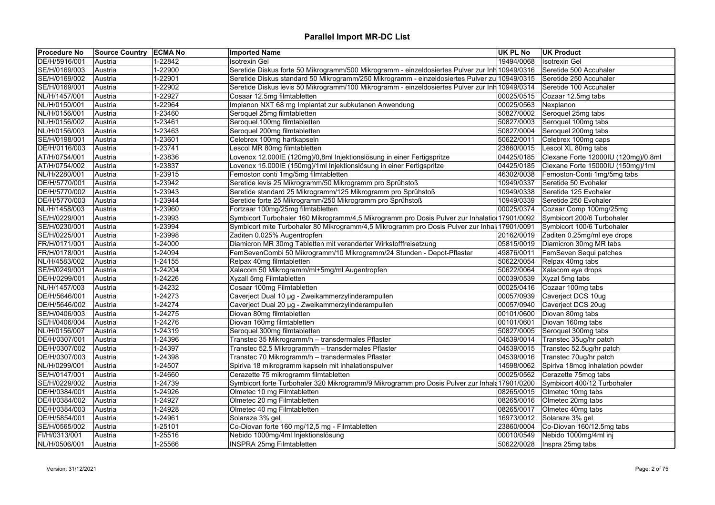| <b>Procedure No</b> | Source Country   ECMA No |             | <b>Imported Name</b>                                                                                                    | <b>UK PL No</b> | <b>UK Product</b>                   |
|---------------------|--------------------------|-------------|-------------------------------------------------------------------------------------------------------------------------|-----------------|-------------------------------------|
| DE/H/5916/001       | Austria                  | 1-22842     | <b>Isotrexin Gel</b>                                                                                                    | 19494/0068      | <b>Isotrexin Gel</b>                |
| SE/H/0169/003       | Austria                  | 1-22900     | Seretide Diskus forte 50 Mikrogramm/500 Mikrogramm - einzeldosiertes Pulver zur Inh 10949/0316                          |                 | Seretide 500 Accuhaler              |
| SE/H/0169/002       | Austria                  | 1-22901     | Seretide Diskus standard 50 Mikrogramm/250 Mikrogramm - einzeldosiertes Pulver zu 10949/0315                            |                 | Seretide 250 Accuhaler              |
| SE/H/0169/001       | Austria                  | 1-22902     | Seretide Diskus levis 50 Mikrogramm/100 Mikrogramm - einzeldosiertes Pulver zur Inh 10949/0314                          |                 | Seretide 100 Accuhaler              |
| NL/H/1457/001       | Austria                  | 1-22927     | Cosaar 12.5mg filmtabletten                                                                                             | 00025/0515      | Cozaar 12.5mg tabs                  |
| NL/H/0150/001       | Austria                  | 1-22964     | Implanon NXT 68 mg Implantat zur subkutanen Anwendung                                                                   | 00025/0563      | Nexplanon                           |
| NL/H/0156/001       | Austria                  | 1-23460     | Seroquel 25mg filmtabletten                                                                                             | 50827/0002      | Seroquel 25mg tabs                  |
| NL/H/0156/002       | Austria                  | 1-23461     | Seroquel 100mg filmtabletten                                                                                            | 50827/0003      | Seroquel 100mg tabs                 |
| NL/H/0156/003       | Austria                  | 1-23463     | Seroquel 200mg filmtabletten                                                                                            | 50827/0004      | Seroquel 200mg tabs                 |
| SE/H/0198/001       | Austria                  | 1-23601     | Celebrex 100mg hartkapseln                                                                                              | 50622/0011      | Celebrex 100mg caps                 |
| DE/H/0116/003       | Austria                  | 1-23741     | Lescol MR 80mg filmtabletten                                                                                            | 23860/0015      | Lescol XL 80mg tabs                 |
| AT/H/0754/001       | Austria                  | 1-23836     | Lovenox 12.000IE (120mg)/0,8ml Injektionslösung in einer Fertigspritze                                                  | 04425/0185      | Clexane Forte 12000IU (120mg)/0.8ml |
| AT/H/0754/002       | Austria                  | 1-23837     | Lovenox 15.000IE (150mg)/1ml Injektionslösung in einer Fertigspritze                                                    | 04425/0185      | Clexane Forte 15000IU (150mg)/1ml   |
| NL/H/2280/001       | Austria                  | 1-23915     | Femoston conti 1mg/5mg filmtabletten                                                                                    | 46302/0038      | Femoston-Conti 1mg/5mg tabs         |
| DE/H/5770/001       | Austria                  | 1-23942     | Seretide levis 25 Mikrogramm/50 Mikrogramm pro Sprühstoß                                                                | 10949/0337      | Seretide 50 Evohaler                |
| DE/H/5770/002       | Austria                  | 1-23943     | Seretide standard 25 Mikrogramm/125 Mikrogramm pro Sprühstoß                                                            | 10949/0338      | Seretide 125 Evohaler               |
| DE/H/5770/003       | Austria                  | 1-23944     | Seretide forte 25 Mikrogramm/250 Mikrogramm pro Sprühstoß                                                               | 10949/0339      | Seretide 250 Evohaler               |
| NL/H/1458/003       | Austria                  | 1-23960     | Fortzaar 100mg/25mg filmtabletten                                                                                       | 00025/0374      | Cozaar Comp 100mg/25mg              |
| SE/H/0229/001       | Austria                  | 1-23993     | Symbicort Turbohaler 160 Mikrogramm/4,5 Mikrogramm pro Dosis Pulver zur Inhalatio 17901/0092 Symbicort 200/6 Turbohaler |                 |                                     |
| SE/H/0230/001       | Austria                  | 1-23994     | Symbicort mite Turbohaler 80 Mikrogramm/4,5 Mikrogramm pro Dosis Pulver zur Inhal 17901/0091                            |                 | Symbicort 100/6 Turbohaler          |
| SE/H/0225/001       | Austria                  | 1-23998     | Zaditen 0.025% Augentropfen                                                                                             | 20162/0019      | Zaditen 0.25mg/ml eye drops         |
| FR/H/0171/001       | Austria                  | 1-24000     | Diamicron MR 30mg Tabletten mit veranderter Wirkstofffreisetzung                                                        | 05815/0019      | Diamicron 30mg MR tabs              |
| FR/H/0178/001       | Austria                  | 1-24094     | FemSevenCombi 50 Mikrogramm/10 Mikrogramm/24 Stunden - Depot-Pflaster                                                   | 49876/0011      | FemSeven Sequi patches              |
| NL/H/4583/002       | Austria                  | 1-24155     | Relpax 40mg filmtabletten                                                                                               | 50622/0054      | Relpax 40mg tabs                    |
| SE/H/0249/001       | Austria                  | 1-24204     | Xalacom 50 Mikrogramm/ml+5mg/ml Augentropfen                                                                            | 50622/0064      | Xalacom eye drops                   |
| DE/H/0299/001       | Austria                  | 1-24226     | Xyzall 5mg Filmtabletten                                                                                                | 00039/0539      | Xyzal 5mg tabs                      |
| NL/H/1457/003       | Austria                  | 1-24232     | Cosaar 100mg Filmtabletten                                                                                              | 00025/0416      | Cozaar 100mg tabs                   |
| DE/H/5646/001       | Austria                  | 1-24273     | Caverject Dual 10 µg - Zweikammerzylinderampullen                                                                       | 00057/0939      | Caverject DCS 10ug                  |
| DE/H/5646/002       | Austria                  | 1-24274     | Caverject Dual 20 µg - Zweikammerzylinderampullen                                                                       | 00057/0940      | Caverject DCS 20ug                  |
| SE/H/0406/003       | Austria                  | 1-24275     | Diovan 80mg filmtabletten                                                                                               | 00101/0600      | Diovan 80mg tabs                    |
| SE/H/0406/004       | Austria                  | 1-24276     | Diovan 160mg filmtabletten                                                                                              | 00101/0601      | Diovan 160mg tabs                   |
| NL/H/0156/007       | Austria                  | 1-24319     | Seroquel 300mg filmtabletten                                                                                            | 50827/0005      | Seroquel 300mg tabs                 |
| DE/H/0307/001       | Austria                  | 1-24396     | Transtec 35 Mikrogramm/h - transdermales Pflaster                                                                       | 04539/0014      | Transtec 35ug/hr patch              |
| DE/H/0307/002       | Austria                  | 1-24397     | Transtec 52.5 Mikrogramm/h - transdermales Pflaster                                                                     | 04539/0015      | Transtec 52.5ug/hr patch            |
| DE/H/0307/003       | Austria                  | 1-24398     | Transtec 70 Mikrogramm/h - transdermales Pflaster                                                                       | 04539/0016      | Transtec 70ug/hr patch              |
| NL/H/0299/001       | Austria                  | 1-24507     | Spiriva 18 mikrogramm kapseln mit inhalationspulver                                                                     | 14598/0062      | Spiriva 18mcg inhalation powder     |
| SE/H/0147/001       | Austria                  | 1-24660     | Cerazette 75 mikrogramm filmtabletten                                                                                   | 00025/0562      | Cerazette 75mcg tabs                |
| SE/H/0229/002       | Austria                  | 1-24739     | Symbicort forte Turbohaler 320 Mikrogramm/9 Mikrogramm pro Dosis Pulver zur Inhala 17901/0200                           |                 | Symbicort 400/12 Turbohaler         |
| DE/H/0384/001       | Austria                  | 1-24926     | Olmetec 10 mg Filmtabletten                                                                                             | 08265/0015      | Olmetec 10mg tabs                   |
| DE/H/0384/002       | Austria                  | 1-24927     | Olmetec 20 mg Filmtabletten                                                                                             | 08265/0016      | Olmetec 20mg tabs                   |
| DE/H/0384/003       | Austria                  | 1-24928     | Olmetec 40 mg Filmtabletten                                                                                             | 08265/0017      | Olmetec 40mg tabs                   |
| DE/H/5854/001       | Austria                  | 1-24961     | Solaraze 3% gel                                                                                                         | 16973/0012      | Solaraze 3% gel                     |
| SE/H/0565/002       | Austria                  | $1 - 25101$ | Co-Diovan forte 160 mg/12,5 mg - Filmtabletten                                                                          | 23860/0004      | Co-Diovan 160/12.5mg tabs           |
| FI/H/0313/001       | Austria                  | 1-25516     | Nebido 1000mg/4ml Injektionslösung                                                                                      | 00010/0549      | Nebido 1000mg/4ml inj               |
| NL/H/0506/001       | Austria                  | 1-25566     | <b>INSPRA 25mg Filmtabletten</b>                                                                                        | 50622/0028      | Inspra 25mg tabs                    |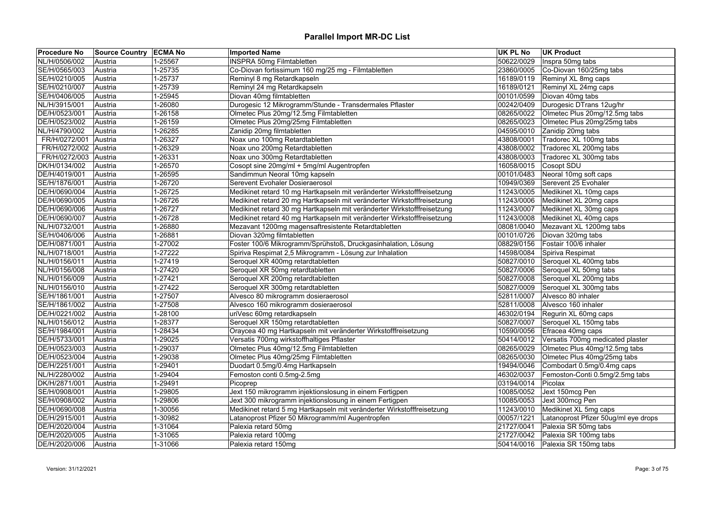| <b>Procedure No</b> | Source Country ECMA No |         | <b>Imported Name</b>                                                    | <b>UK PL No</b> | <b>UK Product</b>                    |
|---------------------|------------------------|---------|-------------------------------------------------------------------------|-----------------|--------------------------------------|
| NL/H/0506/002       | Austria                | 1-25567 | <b>INSPRA 50mg Filmtabletten</b>                                        | 50622/0029      | Inspra 50mg tabs                     |
| SE/H/0565/003       | Austria                | 1-25735 | Co-Diovan fortissimum 160 mg/25 mg - Filmtabletten                      | 23860/0005      | Co-Diovan 160/25mg tabs              |
| SE/H/0210/005       | Austria                | 1-25737 | Reminyl 8 mg Retardkapseln                                              | 16189/0119      | Reminyl XL 8mg caps                  |
| SE/H/0210/007       | Austria                | 1-25739 | Reminyl 24 mg Retardkapseln                                             | 16189/0121      | Reminyl XL 24mg caps                 |
| SE/H/0406/005       | Austria                | 1-25945 | Diovan 40mg filmtabletten                                               | 00101/0599      | Diovan 40mg tabs                     |
| NL/H/3915/001       | Austria                | 1-26080 | Durogesic 12 Mikrogramm/Stunde - Transdermales Pflaster                 | 00242/0409      | Durogesic DTrans 12ug/hr             |
| DE/H/0523/001       | Austria                | 1-26158 | Olmetec Plus 20mg/12.5mg Filmtabletten                                  | 08265/0022      | Olmetec Plus 20mg/12.5mg tabs        |
| DE/H/0523/002       | Austria                | 1-26159 | Olmetec Plus 20mg/25mg Filmtabletten                                    | 08265/0023      | Olmetec Plus 20mg/25mg tabs          |
| NL/H/4790/002       | Austria                | 1-26285 | Zanidip 20mg filmtabletten                                              | 04595/0010      | Zanidip 20mg tabs                    |
| FR/H/0272/001       | Austria                | 1-26327 | Noax uno 100mg Retardtabletten                                          | 43808/0001      | Tradorec XL 100mg tabs               |
| FR/H/0272/002       | Austria                | 1-26329 | Noax uno 200mg Retardtabletten                                          | 43808/0002      | Tradorec XL 200mg tabs               |
| FR/H/0272/003       | Austria                | 1-26331 | Noax uno 300mg Retardtabletten                                          | 43808/0003      | Tradorec XL 300mg tabs               |
| DK/H/0134/002       | Austria                | 1-26570 | Cosopt sine 20mg/ml + 5mg/ml Augentropfen                               | 16058/0015      | Cosopt SDU                           |
| DE/H/4019/001       | Austria                | 1-26595 | Sandimmun Neoral 10mg kapseln                                           | 00101/0483      | Neoral 10mg soft caps                |
| SE/H/1876/001       | Austria                | 1-26720 | Serevent Evohaler Dosieraerosol                                         | 10949/0369      | Serevent 25 Evohaler                 |
| DE/H/0690/004       | Austria                | 1-26725 | Medikinet retard 10 mg Hartkapseln mit veränderter Wirkstofffreisetzung | 11243/0005      | Medikinet XL 10mg caps               |
| DE/H/0690/005       | Austria                | 1-26726 | Medikinet retard 20 mg Hartkapseln mit veränderter Wirkstofffreisetzung | 11243/0006      | Medikinet XL 20mg caps               |
| DE/H/0690/006       | Austria                | 1-26727 | Medikinet retard 30 mg Hartkapseln mit veränderter Wirkstofffreisetzung | 11243/0007      | Medikinet XL 30mg caps               |
| DE/H/0690/007       | Austria                | 1-26728 | Medikinet retard 40 mg Hartkapseln mit veränderter Wirkstofffreisetzung | 11243/0008      | Medikinet XL 40mg caps               |
| NL/H/0732/001       | Austria                | 1-26880 | Mezavant 1200mg magensaftresistente Retardtabletten                     | 08081/0040      | Mezavant XL 1200mg tabs              |
| SE/H/0406/006       | Austria                | 1-26881 | Diovan 320mg filmtabletten                                              | 00101/0726      | Diovan 320mg tabs                    |
| DE/H/0871/001       | Austria                | 1-27002 | Foster 100/6 Mikrogramm/Sprühstoß, Druckgasinhalation, Lösung           | 08829/0156      | Fostair 100/6 inhaler                |
| NL/H/0718/001       | Austria                | 1-27222 | Spiriva Respimat 2,5 Mikrogramm - Lösung zur Inhalation                 | 14598/0084      | Spiriva Respimat                     |
| NL/H/0156/011       | Austria                | 1-27419 | Seroquel XR 400mg retardtabletten                                       | 50827/0010      | Seroquel XL 400mg tabs               |
| NL/H/0156/008       | Austria                | 1-27420 | Seroquel XR 50mg retardtabletten                                        | 50827/0006      | Seroquel XL 50mg tabs                |
| NL/H/0156/009       | Austria                | 1-27421 | Seroquel XR 200mg retardtabletten                                       | 50827/0008      | Seroquel XL 200mg tabs               |
| NL/H/0156/010       | Austria                | 1-27422 | Seroquel XR 300mg retardtabletten                                       | 50827/0009      | Seroquel XL 300mg tabs               |
| SE/H/1861/001       | Austria                | 1-27507 | Alvesco 80 mikrogramm dosieraerosol                                     | 52811/0007      | Alvesco 80 inhaler                   |
| SE/H/1861/002       | Austria                | 1-27508 | Alvesco 160 mikrogramm dosieraerosol                                    | 52811/0008      | Alvesco 160 inhaler                  |
| DE/H/0221/002       | Austria                | 1-28100 | uriVesc 60mg retardkapseln                                              | 46302/0194      | Regurin XL 60mg caps                 |
| NL/H/0156/012       | Austria                | 1-28377 | Seroquel XR 150mg retardtabletten                                       | 50827/0007      | Seroquel XL 150mg tabs               |
| SE/H/1984/001       | Austria                | 1-28434 | Oraycea 40 mg Hartkapseln mit veränderter Wirkstofffreisetzung          | 10590/0056      | Efracea 40mg caps                    |
| DE/H/5733/001       | Austria                | 1-29025 | Versatis 700mg wirkstoffhaltiges Pflaster                               | 50414/0012      | Versatis 700mg medicated plaster     |
| DE/H/0523/003       | Austria                | 1-29037 | Olmetec Plus 40mg/12.5mg Filmtabletten                                  | 08265/0029      | Olmetec Plus 40mg/12.5mg tabs        |
| DE/H/0523/004       | Austria                | 1-29038 | Olmetec Plus 40mg/25mg Filmtabletten                                    | 08265/0030      | Olmetec Plus 40mg/25mg tabs          |
| DE/H/2251/001       | Austria                | 1-29401 | Duodart 0.5mg/0.4mg Hartkapseln                                         | 19494/0046      | Combodart 0.5mg/0.4mg caps           |
| NL/H/2280/002       | Austria                | 1-29404 | Femoston conti 0.5mg-2.5mg                                              | 46302/0037      | Femoston-Conti 0.5mg/2.5mg tabs      |
| DK/H/2871/001       | Austria                | 1-29491 | Picoprep                                                                | 03194/0014      | Picolax                              |
| SE/H/0908/001       | Austria                | 1-29805 | Jext 150 mikrogramm injektionslosung in einem Fertigpen                 | 10085/0052      | Jext 150mcg Pen                      |
| SE/H/0908/002       | Austria                | 1-29806 | Jext 300 mikrogramm injektionslosung in einem Fertigpen                 | 10085/0053      | Jext 300mcg Pen                      |
| DE/H/0690/008       | Austria                | 1-30056 | Medikinet retard 5 mg Hartkapseln mit veränderter Wirkstofffreisetzung  | 11243/0010      | Medikinet XL 5mg caps                |
| DE/H/2915/001       | Austria                | 1-30982 | Latanoprost Pfizer 50 Mikrogramm/ml Augentropfen                        | 00057/1221      | Latanoprost Pfizer 50ug/ml eye drops |
| DE/H/2020/004       | Austria                | 1-31064 | Palexia retard 50mg                                                     | 21727/0041      | Palexia SR 50mg tabs                 |
| DE/H/2020/005       | Austria                | 1-31065 | Palexia retard 100mg                                                    |                 | 21727/0042 Palexia SR 100mg tabs     |
| DE/H/2020/006       | Austria                | 1-31066 | Palexia retard 150mg                                                    |                 | 50414/0016 Palexia SR 150mg tabs     |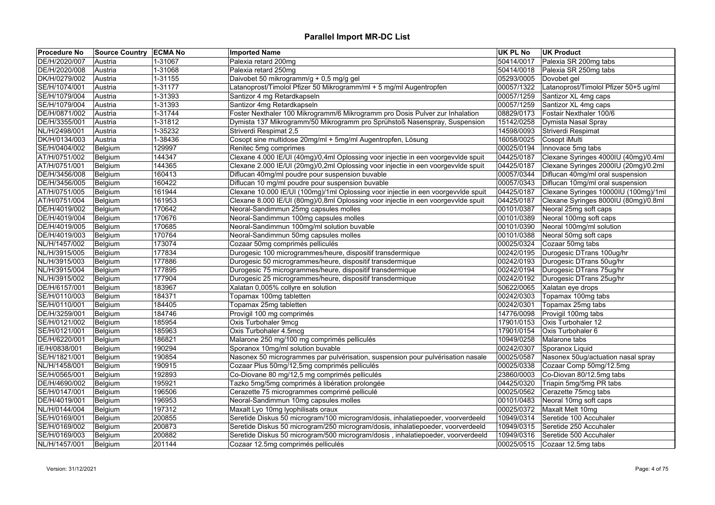| <b>Procedure No</b> | Source Country ECMA No |         | <b>Imported Name</b>                                                              | <b>UK PL No</b> | <b>UK Product</b>                     |
|---------------------|------------------------|---------|-----------------------------------------------------------------------------------|-----------------|---------------------------------------|
| DE/H/2020/007       | Austria                | 1-31067 | Palexia retard 200mg                                                              | 50414/0017      | Palexia SR 200mg tabs                 |
| DE/H/2020/008       | Austria                | 1-31068 | Palexia retard 250mg                                                              | 50414/0018      | Palexia SR 250mg tabs                 |
| DK/H/0279/002       | Austria                | 1-31155 | Daivobet 50 mikrogramm/g + 0,5 mg/g gel                                           | 05293/0005      | Dovobet gel                           |
| SE/H/1074/001       | Austria                | 1-31177 | Latanoprost/Timolol Pfizer 50 Mikrogramm/ml + 5 mg/ml Augentropfen                | 00057/1322      | Latanoprost/Timolol Pfizer 50+5 ug/ml |
| SE/H/1079/004       | Austria                | 1-31393 | Santizor 4 mg Retardkapseln                                                       | 00057/1259      | Santizor XL 4mg caps                  |
| SE/H/1079/004       | Austria                | 1-31393 | Santizor 4mg Retardkapseln                                                        | 00057/1259      | Santizor XL 4mg caps                  |
| DE/H/0871/002       | Austria                | 1-31744 | Foster Nexthaler 100 Mikrogramm/6 Mikrogramm pro Dosis Pulver zur Inhalation      | 08829/0173      | Fostair Nexthaler 100/6               |
| DE/H/3355/001       | Austria                | 1-31812 | Dymista 137 Mikrogramm/50 Mikrogramm pro Sprühstoß Nasenspray, Suspension         | 15142/0258      | Dymista Nasal Spray                   |
| NL/H/2498/001       | Austria                | 1-35232 | Striverdi Respimat 2,5                                                            | 14598/0093      | Striverdi Respimat                    |
| DK/H/0134/003       | Austria                | 1-38436 | Cosopt sine multidose 20mg/ml + 5mg/ml Augentropfen, Lösung                       | 16058/0025      | Cosopt iMulti                         |
| SE/H/0404/002       | Belgium                | 129997  | Renitec 5mg comprimes                                                             | 00025/0194      | Innovace 5mg tabs                     |
| AT/H/0751/002       | Belgium                | 144347  | Clexane 4.000 IE/UI (40mg)/0,4ml Oplossing voor injectie in een voorgevvlde spuit | 04425/0187      | Clexane Syringes 4000IU (40mg)/0.4ml  |
| AT/H/0751/001       | Belgium                | 144365  | Clexane 2.000 IE/UI (20mg)/0,2ml Oplossing voor injectie in een voorgevvlde spuit | 04425/0187      | Clexane Syringes 2000IU (20mg)/0.2ml  |
| DE/H/3456/008       | Belgium                | 160413  | Diflucan 40mg/ml poudre pour suspension buvable                                   | 00057/0344      | Diflucan 40mg/ml oral suspension      |
| DE/H/3456/005       | Belgium                | 160422  | Diflucan 10 mg/ml poudre pour suspension buvable                                  | 00057/0343      | Diflucan 10mg/ml oral suspension      |
| AT/H/0751/005       | Belgium                | 161944  | Clexane 10.000 IE/UI (100mg)/1ml Oplossing voor injectie in een voorgevvlde spuit | 04425/0187      | Clexane Syringes 10000IU (100mg)/1ml  |
| AT/H/0751/004       | Belgium                | 161953  | Clexane 8.000 IE/UI (80mg)/0,8ml Oplossing voor injectie in een voorgevvlde spuit | 04425/0187      | Clexane Syringes 8000IU (80mg)/0.8ml  |
| DE/H/4019/002       | Belgium                | 170642  | Neoral-Sandimmun 25mg capsules molles                                             | 00101/0387      | Neoral 25mg soft caps                 |
| DE/H/4019/004       | Belgium                | 170676  | Neoral-Sandimmun 100mg capsules molles                                            | 00101/0389      | Neoral 100mg soft caps                |
| DE/H/4019/005       | Belgium                | 170685  | Neoral-Sandimmun 100mg/ml solution buvable                                        | 00101/0390      | Neoral 100mg/ml solution              |
| DE/H/4019/003       | Belgium                | 170764  | Neoral-Sandimmun 50mg capsules molles                                             | 00101/0388      | Neoral 50mg soft caps                 |
| NL/H/1457/002       | Belgium                | 173074  | Cozaar 50mg comprimés pelliculés                                                  | 00025/0324      | Cozaar 50mg tabs                      |
| NL/H/3915/005       | Belgium                | 177834  | Durogesic 100 microgrammes/heure, dispositif transdermique                        | 00242/0195      | Durogesic DTrans 100ug/hr             |
| NL/H/3915/003       | Belgium                | 177886  | Durogesic 50 microgrammes/heure, dispositif transdermique                         | 00242/0193      | Durogesic DTrans 50ug/hr              |
| NL/H/3915/004       | Belgium                | 177895  | Durogesic 75 microgrammes/heure, dispositif transdermique                         | 00242/0194      | Durogesic DTrans 75ug/hr              |
| NL/H/3915/002       | Belgium                | 177904  | Durogesic 25 microgrammes/heure, dispositif transdermique                         | 00242/0192      | Durogesic DTrans 25ug/hr              |
| DE/H/6157/001       | Belgium                | 183967  | Xalatan 0,005% collyre en solution                                                | 50622/0065      | Xalatan eye drops                     |
| SE/H/0110/003       | Belgium                | 184371  | Topamax 100mg tabletten                                                           | 00242/0303      | Topamax 100mg tabs                    |
| SE/H/0110/001       | Belgium                | 184405  | Topamax 25mg tabletten                                                            | 00242/0301      | Topamax 25mg tabs                     |
| DE/H/3259/001       | Belgium                | 184746  | Provigil 100 mg comprimés                                                         | 14776/0098      | Provigil 100mg tabs                   |
| SE/H/0121/002       | Belgium                | 185954  | Oxis Turbohaler 9mcg                                                              | 17901/0153      | Oxis Turbohaler 12                    |
| SE/H/0121/001       | Belgium                | 185963  | Oxis Turbohaler 4.5mcg                                                            | 17901/0154      | Oxis Turbohaler 6                     |
| DE/H/6220/001       | Belgium                | 186821  | Malarone 250 mg/100 mg comprimés pelliculés                                       | 10949/0258      | Malarone tabs                         |
| IE/H/0838/001       | Belgium                | 190294  | Sporanox 10mg/ml solution buvable                                                 | 00242/0307      | Sporanox Liquid                       |
| SE/H/1821/001       | Belgium                | 190854  | Nasonex 50 microgrammes par pulvérisation, suspension pour pulvérisation nasale   | 00025/0587      | Nasonex 50ug/actuation nasal spray    |
| NL/H/1458/001       | Belgium                | 190915  | Cozaar Plus 50mg/12,5mg comprimés pelliculés                                      | 00025/0338      | Cozaar Comp 50mg/12.5mg               |
| SE/H/0565/001       | Belgium                | 192893  | Co-Diovane 80 mg/12,5 mg comprimés pelliculés                                     | 23860/0003      | Co-Diovan 80/12.5mg tabs              |
| DE/H/4690/002       | Belgium                | 195921  | Tazko 5mg/5mg comprimés à libération prolongée                                    | 04425/0320      | Triapin 5mg/5mg PR tabs               |
| SE/H/0147/001       | Belgium                | 196506  | Cerazette 75 microgrammes comprimé pelliculé                                      | 00025/0562      | Cerazette 75mcg tabs                  |
| DE/H/4019/001       | Belgium                | 196953  | Neoral-Sandimmun 10mg capsules molles                                             | 00101/0483      | Neoral 10mg soft caps                 |
| NL/H/0144/004       | Belgium                | 197312  | Maxalt Lyo 10mg lyophilisats oraux                                                | 00025/0372      | Maxalt Melt 10mg                      |
| SE/H/0169/001       | Belgium                | 200855  | Seretide Diskus 50 microgram/100 microgram/dosis, inhalatiepoeder, voorverdeeld   | 10949/0314      | Seretide 100 Accuhaler                |
| SE/H/0169/002       | Belgium                | 200873  | Seretide Diskus 50 microgram/250 microgram/dosis, inhalatiepoeder, voorverdeeld   | 10949/0315      | Seretide 250 Accuhaler                |
| SE/H/0169/003       | Belgium                | 200882  | Seretide Diskus 50 microgram/500 microgram/dosis, inhalatiepoeder, voorverdeeld   | 10949/0316      | Seretide 500 Accuhaler                |
| NL/H/1457/001       | Belgium                | 201144  | Cozaar 12.5mg comprimés pelliculés                                                | 00025/0515      | Cozaar 12.5mg tabs                    |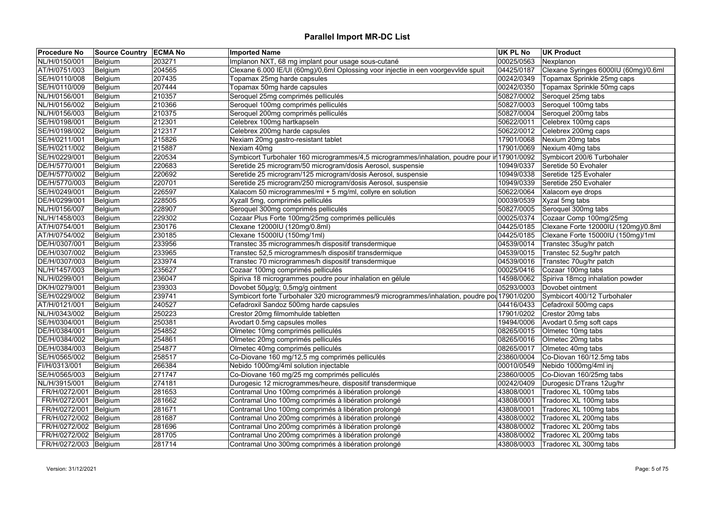| <b>Procedure No</b>   | Source Country   ECMA No |        | <b>Imported Name</b>                                                                         | <b>UK PL No</b> | <b>UK Product</b>                    |
|-----------------------|--------------------------|--------|----------------------------------------------------------------------------------------------|-----------------|--------------------------------------|
| NL/H/0150/001         | Belgium                  | 203271 | Implanon NXT, 68 mg implant pour usage sous-cutané                                           | 00025/0563      | Nexplanon                            |
| AT/H/0751/003         | Belgium                  | 204565 | Clexane 6.000 IE/UI (60mg)/0,6ml Oplossing voor injectie in een voorgevvlde spuit            | 04425/0187      | Clexane Syringes 6000IU (60mg)/0.6ml |
| SE/H/0110/008         | Belgium                  | 207435 | Topamax 25mg harde capsules                                                                  | 00242/0349      | Topamax Sprinkle 25mg caps           |
| SE/H/0110/009         | Belgium                  | 207444 | Topamax 50mg harde capsules                                                                  | 00242/0350      | Topamax Sprinkle 50mg caps           |
| NL/H/0156/001         | Belgium                  | 210357 | Seroquel 25mg comprimés pelliculés                                                           | 50827/0002      | Seroquel 25mg tabs                   |
| NL/H/0156/002         | Belgium                  | 210366 | Seroquel 100mg comprimés pelliculés                                                          | 50827/0003      | Seroquel 100mg tabs                  |
| NL/H/0156/003         | Belgium                  | 210375 | Seroquel 200mg comprimés pelliculés                                                          | 50827/0004      | Seroquel 200mg tabs                  |
| SE/H/0198/001         | Belgium                  | 212301 | Celebrex 100mg hartkapseln                                                                   | 50622/0011      | Celebrex 100mg caps                  |
| SE/H/0198/002         | Belgium                  | 212317 | Celebrex 200mg harde capsules                                                                | 50622/0012      | Celebrex 200mg caps                  |
| SE/H/0211/001         | Belgium                  | 215826 | Nexiam 20mg gastro-resistant tablet                                                          | 17901/0068      | Nexium 20mg tabs                     |
| SE/H/0211/002         | Belgium                  | 215887 | Nexiam 40mg                                                                                  | 17901/0069      | Nexium 40mg tabs                     |
| SE/H/0229/001         | Belgium                  | 220534 | Symbicort Turbohaler 160 microgrammes/4,5 microgrammes/inhalation, poudre pour ir 17901/0092 |                 | Symbicort 200/6 Turbohaler           |
| DE/H/5770/001         | Belgium                  | 220683 | Seretide 25 microgram/50 microgram/dosis Aerosol, suspensie                                  | 10949/0337      | Seretide 50 Evohaler                 |
| DE/H/5770/002         | Belgium                  | 220692 | Seretide 25 microgram/125 microgram/dosis Aerosol, suspensie                                 | 10949/0338      | Seretide 125 Evohaler                |
| DE/H/5770/003         | Belgium                  | 220701 | Seretide 25 microgram/250 microgram/dosis Aerosol, suspensie                                 | 10949/0339      | Seretide 250 Evohaler                |
| SE/H/0249/001         | Belgium                  | 226597 | Xalacom 50 microgrammes/ml + 5 mg/ml, collyre en solution                                    | 50622/0064      | Xalacom eye drops                    |
| DE/H/0299/001         | Belgium                  | 228505 | Xyzall 5mg, comprimés pelliculés                                                             | 00039/0539      | Xyzal 5mg tabs                       |
| NL/H/0156/007         | Belgium                  | 228907 | Seroquel 300mg comprimés pelliculés                                                          | 50827/0005      | Seroquel 300mg tabs                  |
| NL/H/1458/003         | Belgium                  | 229302 | Cozaar Plus Forte 100mg/25mg comprimés pelliculés                                            | 00025/0374      | Cozaar Comp 100mg/25mg               |
| AT/H/0754/001         | Belgium                  | 230176 | Clexane 12000IU (120mg/0.8ml)                                                                | 04425/0185      | Clexane Forte 12000IU (120mg)/0.8ml  |
| AT/H/0754/002         | Belgium                  | 230185 | Clexane 15000IU (150mg/1ml)                                                                  | 04425/0185      | Clexane Forte 15000IU (150mg)/1ml    |
| DE/H/0307/001         | Belgium                  | 233956 | Transtec 35 microgrammes/h dispositif transdermique                                          | 04539/0014      | Transtec 35ug/hr patch               |
| DE/H/0307/002         | Belgium                  | 233965 | Transtec 52,5 microgrammes/h dispositif transdermique                                        | 04539/0015      | Transtec 52.5ug/hr patch             |
| DE/H/0307/003         | Belgium                  | 233974 | Transtec 70 microgrammes/h dispositif transdermique                                          | 04539/0016      | Transtec 70ug/hr patch               |
| NL/H/1457/003         | Belgium                  | 235627 | Cozaar 100mg comprimés pelliculés                                                            | 00025/0416      | Cozaar 100mg tabs                    |
| NL/H/0299/001         | Belgium                  | 236047 | Spiriva 18 microgrammes poudre pour inhalation en gélule                                     | 14598/0062      | Spiriva 18mcg inhalation powder      |
| DK/H/0279/001         | Belgium                  | 239303 | Dovobet 50µg/g; 0,5mg/g ointment                                                             | 05293/0003      | Dovobet ointment                     |
| SE/H/0229/002         | Belgium                  | 239741 | Symbicort forte Turbohaler 320 microgrammes/9 microgrammes/inhalation, poudre pou 17901/0200 |                 | Symbicort 400/12 Turbohaler          |
| AT/H/0121/001         | Belgium                  | 240527 | Cefadroxil Sandoz 500mg harde capsules                                                       | 04416/0433      | Cefadroxil 500mg caps                |
| NL/H/0343/002         | Belgium                  | 250223 | Crestor 20mg filmomhulde tabletten                                                           | 17901/0202      | Crestor 20mg tabs                    |
| SE/H/0304/001         |                          | 250381 | Avodart 0.5mg capsules molles                                                                | 19494/0006      |                                      |
|                       | Belgium                  |        |                                                                                              |                 | Avodart 0.5mg soft caps              |
| DE/H/0384/001         | Belgium                  | 254852 | Olmetec 10mg comprimés pelliculés                                                            | 08265/0015      | Olmetec 10mg tabs                    |
| DE/H/0384/002         | Belgium                  | 254861 | Olmetec 20mg comprimés pelliculés                                                            | 08265/0016      | Olmetec 20mg tabs                    |
| DE/H/0384/003         | Belgium                  | 254877 | Olmetec 40mg comprimés pelliculés                                                            | 08265/0017      | Olmetec 40mg tabs                    |
| SE/H/0565/002         | Belgium                  | 258517 | Co-Diovane 160 mg/12,5 mg comprimés pelliculés                                               | 23860/0004      | Co-Diovan 160/12.5mg tabs            |
| FI/H/0313/001         | Belgium                  | 266384 | Nebido 1000mg/4ml solution injectable                                                        | 00010/0549      | Nebido 1000mg/4ml inj                |
| SE/H/0565/003         | Belgium                  | 271747 | Co-Diovane 160 mg/25 mg comprimés pelliculés                                                 | 23860/0005      | Co-Diovan 160/25mg tabs              |
| NL/H/3915/001         | Belgium                  | 274181 | Durogesic 12 microgrammes/heure, dispositif transdermique                                    | 00242/0409      | Durogesic DTrans 12ug/hr             |
| FR/H/0272/001         | Belgium                  | 281653 | Contramal Uno 100mg comprimés à libération prolongé                                          | 43808/0001      | Tradorec XL 100mg tabs               |
| FR/H/0272/001         | Belgium                  | 281662 | Contramal Uno 100mg comprimés à libération prolongé                                          | 43808/0001      | Tradorec XL 100mg tabs               |
| FR/H/0272/001         | Belgium                  | 281671 | Contramal Uno 100mg comprimés à libération prolongé                                          | 43808/0001      | Tradorec XL 100mg tabs               |
| FR/H/0272/002 Belgium |                          | 281687 | Contramal Uno 200mg comprimés à libération prolongé                                          | 43808/0002      | Tradorec XL 200mg tabs               |
| FR/H/0272/002 Belgium |                          | 281696 | Contramal Uno 200mg comprimés à libération prolongé                                          | 43808/0002      | Tradorec XL 200mg tabs               |
| FR/H/0272/002 Belgium |                          | 281705 | Contramal Uno 200mg comprimés à libération prolongé                                          | 43808/0002      | Tradorec XL 200mg tabs               |
| FR/H/0272/003 Belgium |                          | 281714 | Contramal Uno 300mg comprimés à libération prolongé                                          | 43808/0003      | Tradorec XL 300mg tabs               |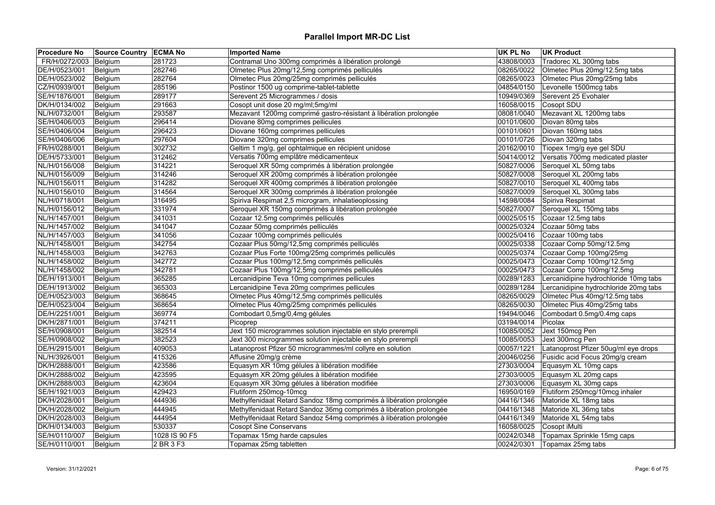| <b>Procedure No</b> | Source Country ECMA No |               | <b>Imported Name</b>                                               | UK PL No   | <b>UK Product</b>                     |
|---------------------|------------------------|---------------|--------------------------------------------------------------------|------------|---------------------------------------|
| FR/H/0272/003       | Belgium                | 281723        | Contramal Uno 300mg comprimés à libération prolongé                | 43808/0003 | Tradorec XL 300mg tabs                |
| DE/H/0523/001       | Belgium                | 282746        | Olmetec Plus 20mg/12,5mg comprimés pelliculés                      | 08265/0022 | Olmetec Plus 20mg/12.5mg tabs         |
| DE/H/0523/002       | Belgium                | 282764        | Olmetec Plus 20mg/25mg comprimés pelliculés                        | 08265/0023 | Olmetec Plus 20mg/25mg tabs           |
| CZ/H/0939/001       | Belgium                | 285196        | Postinor 1500 ug comprime-tablet-tablette                          | 04854/0150 | Levonelle 1500mcg tabs                |
| SE/H/1876/001       | Belgium                | 289177        | Serevent 25 Microgrammes / dosis                                   | 10949/0369 | Serevent 25 Evohaler                  |
| DK/H/0134/002       | Belgium                | 291663        | Cosopt unit dose 20 mg/ml;5mg/ml                                   | 16058/0015 | Cosopt SDU                            |
| NL/H/0732/001       | Belgium                | 293587        | Mezavant 1200mg comprimé gastro-résistant à libération prolongée   | 08081/0040 | Mezavant XL 1200mg tabs               |
| SE/H/0406/003       | Belgium                | 296414        | Diovane 80mg comprimes pellicules                                  | 00101/0600 | Diovan 80mg tabs                      |
| SE/H/0406/004       | Belgium                | 296423        | Diovane 160mg comprimes pellicules                                 | 00101/0601 | Diovan 160mg tabs                     |
| SE/H/0406/006       | Belgium                | 297604        | Diovane 320mg comprimes pellicules                                 | 00101/0726 | Diovan 320mg tabs                     |
| FR/H/0288/001       | Belgium                | 302732        | Geltim 1 mg/g, gel ophtalmique en récipient unidose                | 20162/0010 | Tiopex 1mg/g eye gel SDU              |
| DE/H/5733/001       | Belgium                | 312462        | Versatis 700mg emplâtre médicamenteux                              | 50414/0012 | Versatis 700mg medicated plaster      |
| NL/H/0156/008       | Belgium                | 314221        | Seroquel XR 50mg comprimés à libération prolongée                  | 50827/0006 | Seroquel XL 50mg tabs                 |
| NL/H/0156/009       | Belgium                | 314246        | Seroquel XR 200mg comprimés à libération prolongée                 |            | 50827/0008 Seroquel XL 200mg tabs     |
| NL/H/0156/011       | Belgium                | 314282        | Seroquel XR 400mg comprimés à libération prolongée                 | 50827/0010 | Seroquel XL 400mg tabs                |
| NL/H/0156/010       | Belgium                | 314564        | Seroquel XR 300mg comprimés à libération prolongée                 | 50827/0009 | Seroquel XL 300mg tabs                |
| NL/H/0718/001       | Belgium                | 316495        | Spiriva Respimat 2,5 microgram, inhalatieoplossing                 | 14598/0084 | Spiriva Respimat                      |
| NL/H/0156/012       | Belgium                | 331974        | Seroquel XR 150mg comprimés à libération prolongée                 | 50827/0007 | Seroquel XL 150mg tabs                |
| NL/H/1457/001       | Belgium                | 341031        | Cozaar 12.5mg comprimés pelliculés                                 | 00025/0515 | Cozaar 12.5mg tabs                    |
| NL/H/1457/002       | Belgium                | 341047        | Cozaar 50mg comprimés pelliculés                                   | 00025/0324 | Cozaar 50mg tabs                      |
| NL/H/1457/003       | Belgium                | 341056        | Cozaar 100mg comprimés pelliculés                                  | 00025/0416 | Cozaar 100mg tabs                     |
| NL/H/1458/001       | Belgium                | 342754        | Cozaar Plus 50mg/12,5mg comprimés pelliculés                       | 00025/0338 | Cozaar Comp 50mg/12.5mg               |
| NL/H/1458/003       | Belgium                | 342763        | Cozaar Plus Forte 100mg/25mg comprimés pelliculés                  | 00025/0374 | Cozaar Comp 100mg/25mg                |
| NL/H/1458/002       | Belgium                | 342772        | Cozaar Plus 100mg/12,5mg comprimés pelliculés                      | 00025/0473 | Cozaar Comp 100mg/12.5mg              |
| NL/H/1458/002       | Belgium                | 342781        | Cozaar Plus 100mg/12,5mg comprimés pelliculés                      | 00025/0473 | Cozaar Comp 100mg/12.5mg              |
| DE/H/1913/001       | Belgium                | 365285        | Lercanidipine Teva 10mg comprimes pellicules                       | 00289/1283 | Lercanidipine hydrochloride 10mg tabs |
| DE/H/1913/002       | Belgium                | 365303        | Lercanidipine Teva 20mg comprimes pellicules                       | 00289/1284 | Lercanidipine hydrochloride 20mg tabs |
| DE/H/0523/003       | Belgium                | 368645        | Olmetec Plus 40mg/12,5mg comprimés pelliculés                      | 08265/0029 | Olmetec Plus 40mg/12.5mg tabs         |
| DE/H/0523/004       | Belgium                | 368654        | Olmetec Plus 40mg/25mg comprimés pelliculés                        | 08265/0030 | Olmetec Plus 40mg/25mg tabs           |
| DE/H/2251/001       | Belgium                | 369774        | Combodart 0,5mg/0,4mg gélules                                      | 19494/0046 | Combodart 0.5mg/0.4mg caps            |
| DK/H/2871/001       | Belgium                | 374211        | Picoprep                                                           | 03194/0014 | Picolax                               |
| SE/H/0908/001       | Belgium                | 382514        | Jext 150 microgrammes solution injectable en stylo prerempli       | 10085/0052 | Jext 150mcg Pen                       |
| SE/H/0908/002       | Belgium                | 382523        | Jext 300 microgrammes solution injectable en stylo prerempli       | 10085/0053 | Jext 300mcg Pen                       |
| DE/H/2915/001       | Belgium                | 409053        | Latanoprost Pfizer 50 microgrammes/ml collyre en solution          | 00057/1221 | Latanoprost Pfizer 50ug/ml eye drops  |
| NL/H/3926/001       | Belgium                | 415326        | Affusine 20mg/g crème                                              | 20046/0256 | Fusidic acid Focus 20mg/g cream       |
| DK/H/2888/001       | Belgium                | 423586        | Equasym XR 10mg gélules à libération modifiée                      | 27303/0004 | Equasym XL 10mg caps                  |
| DK/H/2888/002       | Belgium                | 423595        | Equasym XR 20mg gélules à libération modifiée                      | 27303/0005 | Equasym XL 20mg caps                  |
| DK/H/2888/003       | Belgium                | 423604        | Equasym XR 30mg gélules à libération modifiée                      | 27303/0006 | Equasym XL 30mg caps                  |
| SE/H/1921/003       | Belgium                | 429423        | Flutiform 250mcg-10mcg                                             | 16950/0169 | Flutiform 250mcg/10mcg inhaler        |
| DK/H/2028/001       | Belgium                | 444936        | Methylfenidaat Retard Sandoz 18mg comprimés à libération prolongée | 04416/1346 | Matoride XL 18mg tabs                 |
| DK/H/2028/002       | Belgium                | 444945        | Methylfenidaat Retard Sandoz 36mg comprimés à libération prolongée | 04416/1348 | Matoride XL 36mg tabs                 |
| DK/H/2028/003       | Belgium                | 444954        | Methylfenidaat Retard Sandoz 54mg comprimés à libération prolongée | 04416/1349 | Matoride XL 54mg tabs                 |
| DK/H/0134/003       | Belgium                | 530337        | <b>Cosopt Sine Conservans</b>                                      | 16058/0025 | Cosopt iMulti                         |
| SE/H/0110/007       | Belgium                | 1028 IS 90 F5 | Topamax 15mg harde capsules                                        | 00242/0348 | Topamax Sprinkle 15mg caps            |
| SE/H/0110/001       | Belgium                | 2 BR 3 F3     | Topamax 25mg tabletten                                             | 00242/0301 | Topamax 25mg tabs                     |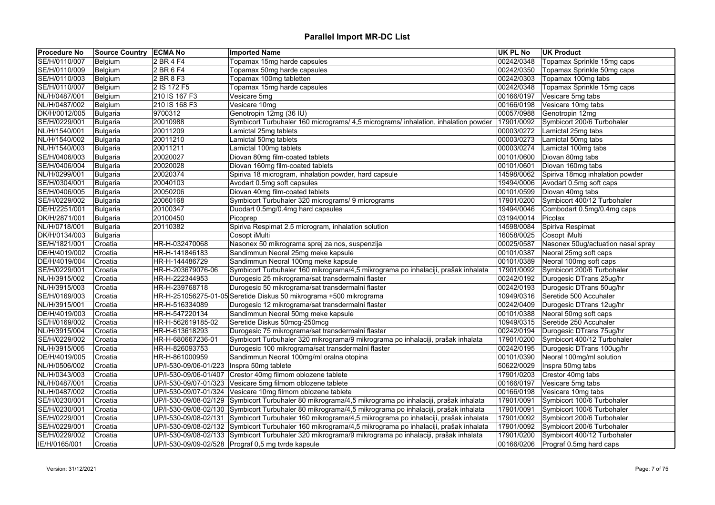| <b>Procedure No</b> | Source Country ECMA No |                       | <b>Imported Name</b>                                                                                    | <b>UK PL No</b> | <b>UK Product</b>                       |
|---------------------|------------------------|-----------------------|---------------------------------------------------------------------------------------------------------|-----------------|-----------------------------------------|
| SE/H/0110/007       | Belgium                | 2 BR 4 F4             | Topamax 15mg harde capsules                                                                             | 00242/0348      | Topamax Sprinkle 15mg caps              |
| SE/H/0110/009       | Belgium                | 2 BR 6 F4             | Topamax 50mg harde capsules                                                                             | 00242/0350      | Topamax Sprinkle 50mg caps              |
| SE/H/0110/003       | Belgium                | 2 BR 8 F3             | Topamax 100mg tabletten                                                                                 |                 | 00242/0303 Topamax 100mg tabs           |
| SE/H/0110/007       | Belgium                | 2 IS 172 F5           | Topamax 15mg harde capsules                                                                             |                 | 00242/0348   Topamax Sprinkle 15mg caps |
| NL/H/0487/001       | Belgium                | 210 IS 167 F3         | Vesicare 5mg                                                                                            | 00166/0197      | Vesicare 5mg tabs                       |
| NL/H/0487/002       | Belgium                | 210 IS 168 F3         | Vesicare 10mg                                                                                           | 00166/0198      | Vesicare 10mg tabs                      |
| DK/H/0012/005       | Bulgaria               | 9700312               | Genotropin 12mg (36 IU)                                                                                 | 00057/0988      | Genotropin 12mg                         |
| SE/H/0229/001       | <b>Bulgaria</b>        | 20010988              | Symbicort Turbuhaler 160 micrograms/ 4,5 micrograms/ inhalation, inhalation powder                      | 17901/0092      | Symbicort 200/6 Turbohaler              |
| NL/H/1540/001       | Bulgaria               | 20011209              | Lamictal 25mg tablets                                                                                   | 00003/0272      | Lamictal 25mg tabs                      |
| NL/H/1540/002       | Bulgaria               | 20011210              | Lamictal 50mg tablets                                                                                   | 00003/0273      | Lamictal 50mg tabs                      |
| NL/H/1540/003       | Bulgaria               | 20011211              | Lamictal 100mg tablets                                                                                  | 00003/0274      | Lamictal 100mg tabs                     |
| SE/H/0406/003       | <b>Bulgaria</b>        | 20020027              | Diovan 80mg film-coated tablets                                                                         | 00101/0600      | Diovan 80mg tabs                        |
| SE/H/0406/004       | Bulgaria               | 20020028              | Diovan 160mg film-coated tablets                                                                        | 00101/0601      | Diovan 160mg tabs                       |
| NL/H/0299/001       | Bulgaria               | 20020374              | Spiriva 18 microgram, inhalation powder, hard capsule                                                   | 14598/0062      | Spiriva 18mcg inhalation powder         |
| SE/H/0304/001       | Bulgaria               | 20040103              | Avodart 0.5mg soft capsules                                                                             | 19494/0006      | Avodart 0.5mg soft caps                 |
| SE/H/0406/005       | Bulgaria               | 20050206              | Diovan 40mg film-coated tablets                                                                         | 00101/0599      | Diovan 40mg tabs                        |
| SE/H/0229/002       | Bulgaria               | 20060168              | Symbicort Turbuhaler 320 micrograms/ 9 micrograms                                                       | 17901/0200      | Symbicort 400/12 Turbohaler             |
| DE/H/2251/001       | Bulgaria               | 20100347              | Duodart 0.5mg/0.4mg hard capsules                                                                       | 19494/0046      | Combodart 0.5mg/0.4mg caps              |
| DK/H/2871/001       | Bulgaria               | 20100450              | Picoprep                                                                                                | 03194/0014      | Picolax                                 |
| NL/H/0718/001       | Bulgaria               | 20110382              | Spiriva Respimat 2.5 microgram, inhalation solution                                                     | 14598/0084      | Spiriva Respimat                        |
| DK/H/0134/003       | Bulgaria               |                       | Cosopt iMulti                                                                                           | 16058/0025      | Cosopt iMulti                           |
| SE/H/1821/001       | Croatia                | HR-H-032470068        | Nasonex 50 mikrograma sprej za nos, suspenzija                                                          | 00025/0587      | Nasonex 50ug/actuation nasal spray      |
| DE/H/4019/002       | Croatia                | HR-H-141846183        | Sandimmun Neoral 25mg meke kapsule                                                                      | 00101/0387      | Neoral 25mg soft caps                   |
| DE/H/4019/004       | Croatia                | HR-H-144486729        | Sandimmun Neoral 100mg meke kapsule                                                                     | 00101/0389      | Neoral 100mg soft caps                  |
| SE/H/0229/001       | Croatia                | HR-H-203679076-06     | Symbicort Turbuhaler 160 mikrograma/4,5 mikrograma po inhalaciji, prašak inhalata                       | 17901/0092      | Symbicort 200/6 Turbohaler              |
| NL/H/3915/002       | Croatia                | HR-H-222344953        | Durogesic 25 mikrograma/sat transdermalni flaster                                                       | 00242/0192      | Durogesic DTrans 25ug/hr                |
| NL/H/3915/003       | Croatia                | HR-H-239768718        | Durogesic 50 mikrograma/sat transdermalni flaster                                                       |                 | 00242/0193 Durogesic DTrans 50ug/hr     |
| SE/H/0169/003       | Croatia                |                       | HR-H-251056275-01-05 Seretide Diskus 50 mikrograma +500 mikrograma                                      | 10949/0316      | Seretide 500 Accuhaler                  |
| NL/H/3915/001       | Croatia                | HR-H-516334089        | Durogesic 12 mikrograma/sat transdermalni flaster                                                       | 00242/0409      | Durogesic DTrans 12ug/hr                |
| DE/H/4019/003       | Croatia                | HR-H-547220134        | Sandimmun Neoral 50mg meke kapsule                                                                      |                 | 00101/0388 Neoral 50mg soft caps        |
| SE/H/0169/002       | Croatia                | HR-H-562619185-02     | Seretide Diskus 50mcg-250mcg                                                                            | 10949/0315      | Seretide 250 Accuhaler                  |
| NL/H/3915/004       | Croatia                | HR-H-613618293        | Durogesic 75 mikrograma/sat transdermalni flaster                                                       | 00242/0194      | Durogesic DTrans 75ug/hr                |
| SE/H/0229/002       | Croatia                | HR-H-680667236-01     | Symbicort Turbuhaler 320 mikrograma/9 mikrograma po inhalaciji, prašak inhalata                         | 17901/0200      | Symbicort 400/12 Turbohaler             |
| NL/H/3915/005       | Croatia                | HR-H-826093753        | Durogesic 100 mikrograma/sat transdermalni flaster                                                      | 00242/0195      | Durogesic DTrans 100ug/hr               |
| DE/H/4019/005       | Croatia                | HR-H-861000959        | Sandimmun Neoral 100mg/ml oralna otopina                                                                | 00101/0390      | Neoral 100mg/ml solution                |
| NL/H/0506/002       | Croatia                | UP/I-530-09/06-01/223 | Inspra 50mg tablete                                                                                     | 50622/0029      | Inspra 50mg tabs                        |
| NL/H/0343/003       | Croatia                | UP/I-530-09/06-01/407 | Crestor 40mg filmom oblozene tablete                                                                    | 17901/0203      | Crestor 40mg tabs                       |
| NL/H/0487/001       | Croatia                | UP/I-530-09/07-01/323 | Vesicare 5mg filmom oblozene tablete                                                                    | 00166/0197      | Vesicare 5mg tabs                       |
| NL/H/0487/002       | Croatia                | UP/I-530-09/07-01/324 | Vesicare 10mg filmom oblozene tablete                                                                   | 00166/0198      | Vesicare 10mg tabs                      |
| SE/H/0230/001       | Croatia                |                       | UP/I-530-09/08-02/129 Symbicort Turbuhaler 80 mikrograma/4,5 mikrograma po inhalaciji, prašak inhalata  | 17901/0091      | Symbicort 100/6 Turbohaler              |
| SE/H/0230/001       |                        |                       | UP/I-530-09/08-02/130 Symbicort Turbuhaler 80 mikrograma/4,5 mikrograma po inhalaciji, prašak inhalata  | 17901/0091      |                                         |
|                     | Croatia                |                       |                                                                                                         |                 | Symbicort 100/6 Turbohaler              |
| SE/H/0229/001       | Croatia                |                       | UP/I-530-09/08-02/131 Symbicort Turbuhaler 160 mikrograma/4,5 mikrograma po inhalaciji, prašak inhalata | 17901/0092      | Symbicort 200/6 Turbohaler              |
| SE/H/0229/001       | Croatia                |                       | UP/I-530-09/08-02/132 Symbicort Turbuhaler 160 mikrograma/4,5 mikrograma po inhalaciji, prašak inhalata | 17901/0092      | Symbicort 200/6 Turbohaler              |
| SE/H/0229/002       | Croatia                |                       | UP/I-530-09/08-02/133 Symbicort Turbuhaler 320 mikrograma/9 mikrograma po inhalaciji, prašak inhalata   | 17901/0200      | Symbicort 400/12 Turbohaler             |
| IE/H/0165/001       | Croatia                |                       | UP/I-530-09/09-02/528 Prograf 0,5 mg tvrde kapsule                                                      | 00166/0206      | Prograf 0.5mg hard caps                 |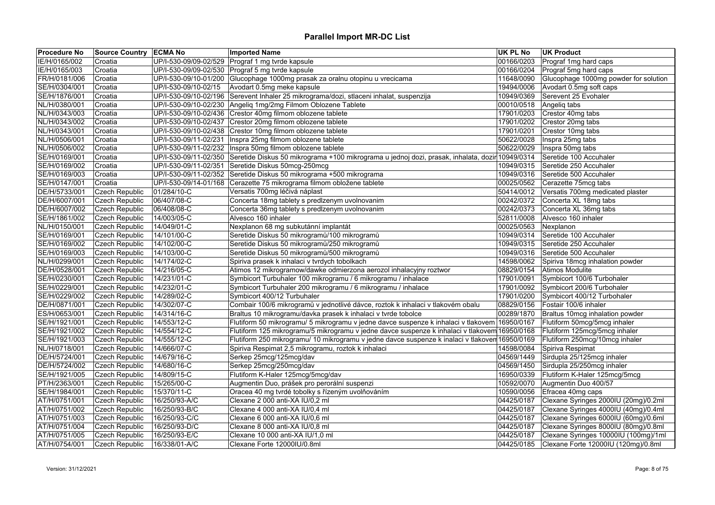| <b>Procedure No</b> | <b>Source Country ECMA No</b> |                       | <b>Imported Name</b>                                                                            | <b>UK PL No</b> | <b>UK Product</b>                     |
|---------------------|-------------------------------|-----------------------|-------------------------------------------------------------------------------------------------|-----------------|---------------------------------------|
| IE/H/0165/002       | Croatia                       |                       | UP/I-530-09/09-02/529 Prograf 1 mg tvrde kapsule                                                | 00166/0203      | Prograf 1mg hard caps                 |
| IE/H/0165/003       | Croatia                       |                       | UP/I-530-09/09-02/530 Prograf 5 mg tvrde kapsule                                                | 00166/0204      | Prograf 5mg hard caps                 |
| FR/H/0181/006       | Croatia                       |                       | UP/I-530-09/10-01/200 Glucophage 1000mg prasak za oralnu otopinu u vrecicama                    | 11648/0090      | Glucophage 1000mg powder for solution |
| SE/H/0304/001       | Croatia                       | UP/I-530-09/10-02/15  | Avodart 0.5mg meke kapsule                                                                      | 19494/0006      | Avodart 0.5mg soft caps               |
| SE/H/1876/001       | Croatia                       |                       | UP/I-530-09/10-02/196 Serevent Inhaler 25 mikrograma/dozi, stlaceni inhalat, suspenzija         | 10949/0369      | Serevent 25 Evohaler                  |
| NL/H/0380/001       | Croatia                       |                       | UP/I-530-09/10-02/230 Angeliq 1mg/2mg Filmom Oblozene Tablete                                   | 00010/0518      | Angeliq tabs                          |
| NL/H/0343/003       | Croatia                       | UP/I-530-09/10-02/436 | Crestor 40mg filmom oblozene tablete                                                            | 17901/0203      | Crestor 40mg tabs                     |
| NL/H/0343/002       | Croatia                       |                       | UP/I-530-09/10-02/437 Crestor 20mg filmom oblozene tablete                                      | 17901/0202      | Crestor 20mg tabs                     |
| NL/H/0343/001       | Croatia                       |                       | UP/I-530-09/10-02/438 Crestor 10mg filmom oblozene tablete                                      | 17901/0201      | Crestor 10mg tabs                     |
| NL/H/0506/001       | Croatia                       | UP/I-530-09/11-02/231 | Inspra 25mg filmom oblozene tablete                                                             | 50622/0028      | Inspra 25mg tabs                      |
| NL/H/0506/002       | Croatia                       | UP/I-530-09/11-02/232 | Inspra 50mg filmom oblozene tablete                                                             | 50622/0029      | Inspra 50mg tabs                      |
| SE/H/0169/001       | Croatia                       | UP/I-530-09/11-02/350 | Seretide Diskus 50 mikrograma +100 mikrograma u jednoj dozi, prasak, inhalata, dozir 10949/0314 |                 | Seretide 100 Accuhaler                |
| SE/H/0169/002       | Croatia                       | UP/I-530-09/11-02/351 | Seretide Diskus 50mcg-250mcg                                                                    | 10949/0315      | Seretide 250 Accuhaler                |
| SE/H/0169/003       | Croatia                       |                       | UP/I-530-09/11-02/352 Seretide Diskus 50 mikrograma +500 mikrograma                             | 10949/0316      | Seretide 500 Accuhaler                |
| SE/H/0147/001       | Croatia                       | UP/I-530-09/14-01/168 | Cerazette 75 mikrograma filmom obložene tablete                                                 | 00025/0562      | Cerazette 75mcg tabs                  |
| DE/H/5733/001       | <b>Czech Republic</b>         | 01/284/10-C           | Versatis 700mg léčivá náplast                                                                   | 50414/0012      | Versatis 700mg medicated plaster      |
| DE/H/6007/001       | <b>Czech Republic</b>         | 06/407/08-C           | Concerta 18mg tablety s predizenym uvolnovanim                                                  | 00242/0372      | Concerta XL 18mg tabs                 |
| DE/H/6007/002       | <b>Czech Republic</b>         | 06/408/08-C           | Concerta 36mg tablety s predizenym uvolnovanim                                                  | 00242/0373      | Concerta XL 36mg tabs                 |
| SE/H/1861/002       | Czech Republic                | 14/003/05-C           | Alvesco 160 inhaler                                                                             | 52811/0008      | Alvesco 160 inhaler                   |
| NL/H/0150/001       | <b>Czech Republic</b>         | 14/049/01-C           | Nexplanon 68 mg subkutánní implantát                                                            | 00025/0563      | Nexplanon                             |
| SE/H/0169/001       | <b>Czech Republic</b>         | 14/101/00-C           | Seretide Diskus 50 mikrogramů/100 mikrogramů                                                    | 10949/0314      | Seretide 100 Accuhaler                |
| SE/H/0169/002       | <b>Czech Republic</b>         | 14/102/00-C           | Seretide Diskus 50 mikrogramů/250 mikrogramů                                                    | 10949/0315      | Seretide 250 Accuhaler                |
| SE/H/0169/003       | Czech Republic                | 14/103/00-C           | Seretide Diskus 50 mikrogramů/500 mikrogramů                                                    | 10949/0316      | Seretide 500 Accuhaler                |
| NL/H/0299/001       | Czech Republic                | 14/174/02-C           | Spiriva prasek k inhalaci v tvrdych tobolkach                                                   | 14598/0062      | Spiriva 18mcg inhalation powder       |
| DE/H/0528/001       | Czech Republic                | 14/216/05-C           | Atimos 12 mikrogramow/dawke odmierzona aerozol inhalacyjny roztwor                              | 08829/0154      | Atimos Modulite                       |
| SE/H/0230/001       | <b>Czech Republic</b>         | 14/231/01-C           | Symbicort Turbuhaler 100 mikrogramu / 6 mikrogramu / inhalace                                   | 17901/0091      | Symbicort 100/6 Turbohaler            |
| SE/H/0229/001       | Czech Republic                | 14/232/01-C           | Symbicort Turbuhaler 200 mikrogramu / 6 mikrogramu / inhalace                                   | 17901/0092      | Symbicort 200/6 Turbohaler            |
| SE/H/0229/002       | Czech Republic                | 14/289/02-C           | Symbicort 400/12 Turbuhaler                                                                     | 17901/0200      | Symbicort 400/12 Turbohaler           |
| DE/H/0871/001       | Czech Republic                | 14/302/07-C           | Combair 100/6 mikrogramů v jednotlivé dávce, roztok k inhalaci v tlakovém obalu                 | 08829/0156      | Fostair 100/6 inhaler                 |
| ES/H/0653/001       | <b>Czech Republic</b>         | 14/314/16-C           | Braltus 10 mikrogramu/davka prasek k inhalaci v tvrde tobolce                                   | 00289/1870      | Braltus 10mcg inhalation powder       |
| SE/H/1921/001       | Czech Republic                | 14/553/12-C           | Flutiform 50 mikrogramu/ 5 mikrogramu v jedne davce suspenze k inhalaci v tlakovem 16950/0167   |                 | Flutiform 50mcg/5mcg inhaler          |
| SE/H/1921/002       | Czech Republic                | 14/554/12-C           | Flutiform 125 mikrogramu/5 mikrogramu v jedne davce suspenze k inhalaci v tlakovem 16950/0168   |                 | Flutiform 125mcg/5mcg inhaler         |
| SE/H/1921/003       | Czech Republic                | 14/555/12-C           | Flutiform 250 mikrogramu/ 10 mikrogramu v jedne davce suspenze k inalaci v tlakoven 16950/0169  |                 | Flutiform 250mcg/10mcg inhaler        |
| NL/H/0718/001       | <b>Czech Republic</b>         | 14/666/07-C           | Spiriva Respimat 2,5 mikrogramu, roztok k inhalaci                                              | 14598/0084      | Spiriva Respimat                      |
| DE/H/5724/001       | Czech Republic                | 14/679/16-C           | Serkep 25mcg/125mcg/dav                                                                         | 04569/1449      | Sirdupla 25/125mcg inhaler            |
| DE/H/5724/002       | Czech Republic                | 14/680/16-C           | Serkep 25mcg/250mcg/dav                                                                         | 04569/1450      | Sirdupla 25/250mcg inhaler            |
| SE/H/1921/005       | Czech Republic                | 14/809/15-C           | Flutiform K-Haler 125mcg/5mcg/dav                                                               | 16950/0339      | Flutiform K-Haler 125mcg/5mcg         |
| PT/H/2363/001       | <b>Czech Republic</b>         | 15/265/00-C           | Augmentin Duo, prášek pro perorální suspenzi                                                    | 10592/0070      | Augmentin Duo 400/57                  |
| SE/H/1984/001       | <b>Czech Republic</b>         | 15/370/11-C           | Oracea 40 mg tvrdé tobolky s řízeným uvolňováním                                                | 10590/0056      | Efracea 40mg caps                     |
| AT/H/0751/001       | Czech Republic                | 16/250/93-A/C         | Clexane 2 000 anti-XA IU/0,2 ml                                                                 | 04425/0187      | Clexane Syringes 2000IU (20mg)/0.2ml  |
| AT/H/0751/002       | Czech Republic                | 16/250/93-B/C         | Clexane 4 000 anti-XA IU/0,4 ml                                                                 | 04425/0187      | Clexane Syringes 4000IU (40mg)/0.4ml  |
| AT/H/0751/003       | <b>Czech Republic</b>         | 16/250/93-C/C         | Clexane 6 000 anti-XA IU/0,6 ml                                                                 | 04425/0187      | Clexane Syringes 6000IU (60mg)/0.6ml  |
| AT/H/0751/004       | <b>Czech Republic</b>         | 16/250/93-D/C         | Clexane 8 000 anti-XA IU/0,8 ml                                                                 | 04425/0187      | Clexane Syringes 8000IU (80mg)/0.8ml  |
| AT/H/0751/005       | <b>Czech Republic</b>         | 16/250/93-E/C         | Clexane 10 000 anti-XA IU/1,0 ml                                                                | 04425/0187      | Clexane Syringes 10000IU (100mg)/1ml  |
| AT/H/0754/001       | Czech Republic                | 16/338/01-A/C         | Clexane Forte 12000IU/0.8ml                                                                     | 04425/0185      | Clexane Forte 12000IU (120mg)/0.8ml   |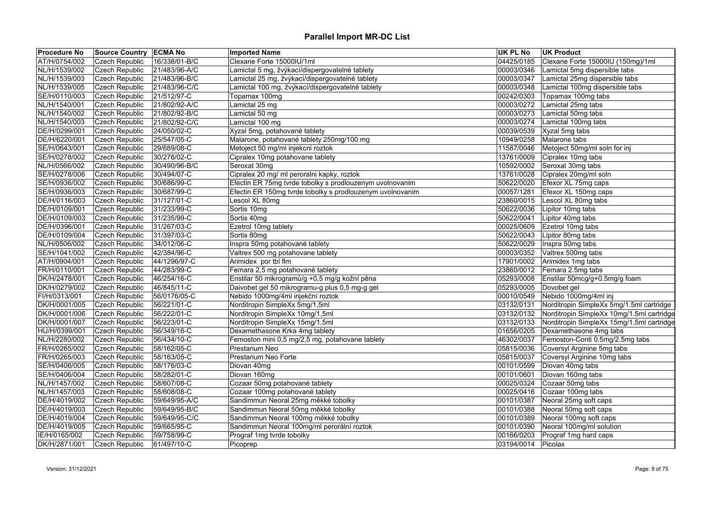| <b>Procedure No</b> | Source Country   ECMA No |               | <b>Imported Name</b>                                      | <b>UK PL No</b>    | UK Product                                |
|---------------------|--------------------------|---------------|-----------------------------------------------------------|--------------------|-------------------------------------------|
| AT/H/0754/002       | Czech Republic           | 16/338/01-B/C | Clexane Forte 15000IU/1ml                                 | 04425/0185         | Clexane Forte 15000IU (150mg)/1ml         |
| NL/H/1539/002       | <b>Czech Republic</b>    | 21/483/96-A/C | Lamictal 5 mg, žvýkací/dispergovatelné tablety            | 00003/0346         | Lamictal 5mg dispersible tabs             |
| NL/H/1539/003       | Czech Republic           | 21/483/96-B/C | Lamictal 25 mg, žvýkací/dispergovatelné tablety           | 00003/0347         | Lamictal 25mg dispersible tabs            |
| NL/H/1539/005       | <b>Czech Republic</b>    | 21/483/96-C/C | Lamictal 100 mg, žvýkací/dispergovatelné tablety          | 00003/0348         | Lamictal 100mg dispersible tabs           |
| SE/H/0110/003       | Czech Republic           | 21/512/97-C   | Topamax 100mg                                             | 00242/0303         | Topamax 100mg tabs                        |
| NL/H/1540/001       | <b>Czech Republic</b>    | 21/802/92-A/C | Lamictal 25 mg                                            | 00003/0272         | Lamictal 25mg tabs                        |
| NL/H/1540/002       | Czech Republic           | 21/802/92-B/C | Lamictal 50 mg                                            | 00003/0273         | Lamictal 50mg tabs                        |
| NL/H/1540/003       | Czech Republic           | 21/802/92-C/C | Lamictal 100 mg                                           | 00003/0274         | Lamictal 100mg tabs                       |
| DE/H/0299/001       | Czech Republic           | 24/050/02-C   | Xyzal 5mg, potahované tablety                             | 00039/0539         | Xyzal 5mg tabs                            |
| DE/H/6220/001       | <b>Czech Republic</b>    | 25/547/05-C   | Malarone, potahované tablety 250mg/100 mg                 | 10949/0258         | Malarone tabs                             |
| SE/H/0643/001       | <b>Czech Republic</b>    | 29/689/08-C   | Metoject 50 mg/ml injekcni roztok                         | 11587/0046         | Metoject 50mg/ml soln for inj             |
| SE/H/0278/002       | <b>Czech Republic</b>    | 30/276/02-C   | Cipralex 10mg potahovane tablety                          | 13761/0009         | Cipralex 10mg tabs                        |
| NL/H/0566/002       | Czech Republic           | 30/490/96-B/C | Seroxat 30mg                                              | 10592/0002         | Seroxat 30mg tabs                         |
| SE/H/0278/006       | Czech Republic           | 30/494/07-C   | Cipralex 20 mg/ ml peroralni kapky, roztok                | 13761/0028         | Cipralex 20mg/ml soln                     |
| SE/H/0936/002       | Czech Republic           | 30/686/99-C   | Efectin ER 75mg tvrde tobolky s prodlouzenym uvolnovanim  | 50622/0020         | Efexor XL 75mg caps                       |
| SE/H/0936/003       | <b>Czech Republic</b>    | 30/687/99-C   | Efectin ER 150mg tvrde tobolky s prodlouzenym uvolnovanim | 00057/1281         | Efexor XL 150mg caps                      |
| DE/H/0116/003       | Czech Republic           | 31/127/01-C   | Lescol XL 80mg                                            | 23860/0015         | Lescol XL 80mg tabs                       |
| DE/H/0109/001       | <b>Czech Republic</b>    | 31/233/99-C   | Sortis 10mg                                               | 50622/0036         | Lipitor 10mg tabs                         |
| DE/H/0109/003       | Czech Republic           | 31/235/99-C   | Sortis 40mg                                               | 50622/0041         | Lipitor 40mg tabs                         |
| DE/H/0396/001       | <b>Czech Republic</b>    | 31/267/03-C   | Ezetrol 10mg tablety                                      | 00025/0609         | Ezetrol 10mg tabs                         |
| DE/H/0109/004       | Czech Republic           | 31/397/03-C   | Sortis 80mg                                               | 50622/0043         | Lipitor 80mg tabs                         |
| NL/H/0506/002       | Czech Republic           | 34/012/06-C   | Inspra 50mg potahované tablety                            | 50622/0029         | Inspra 50mg tabs                          |
| SE/H/1041/002       | Czech Republic           | 42/384/96-C   | Valtrex 500 mg potahovane tablety                         | 00003/0352         | Valtrex 500mg tabs                        |
| AT/H/0904/001       | <b>Czech Republic</b>    | 44/1296/97-C  | Arimidex por tbl flm                                      | 17901/0002         | Arimidex 1mg tabs                         |
| FR/H/0110/001       | Czech Republic           | 44/283/99-C   | Femara 2,5 mg potahované tablety                          | 23860/0012         | Femara 2.5mg tabs                         |
| DK/H/2478/001       | <b>Czech Republic</b>    | 46/254/16-C   | Enstilar 50 mikrogramů/g +0,5 mg/g kožní pěna             | 05293/0008         | Enstilar 50mcg/g+0.5mg/g foam             |
| DK/H/0279/002       | <b>Czech Republic</b>    | 46/845/11-C   | Daivobet gel 50 mikrogramu-g plus 0,5 mg-g gel            | 05293/0005         | Dovobet gel                               |
| FI/H/0313/001       | <b>Czech Republic</b>    | 56/0176/05-C  | Nebido 1000mg/4ml injekční roztok                         | 00010/0549         | Nebido 1000mg/4ml inj                     |
| DK/H/0001/005       | Czech Republic           | 56/221/01-C   | Norditropin SimpleXx 5mg/1,5ml                            | 03132/0131         | Norditropin SimpleXx 5mg/1.5ml cartridge  |
| DK/H/0001/006       | <b>Czech Republic</b>    | 56/222/01-C   | Norditropin SimpleXx 10mg/1,5ml                           | 03132/0132         | Norditropin SimpleXx 10mg/1.5ml cartridge |
| DK/H/0001/007       | <b>Czech Republic</b>    | 56/223/01-C   | Norditropin SimpleXx 15mg/1,5ml                           | 03132/0133         | Norditropin SimpleXx 15mg/1.5ml cartridge |
| HU/H/0399/001       | <b>Czech Republic</b>    | 56/349/16-C   | Dexamethasone Krka 4mg tablety                            | 01656/0205         | Dexamethasone 4mg tabs                    |
| NL/H/2280/002       | Czech Republic           | 56/434/10-C   | Femoston mini 0,5 mg/2,5 mg, potahovane tablety           | 46302/0037         | Femoston-Conti 0.5mg/2.5mg tabs           |
| FR/H/0265/002       | <b>Czech Republic</b>    | 58/162/05-C   | Prestarium Neo                                            | 05815/0036         | Coversyl Arginine 5mg tabs                |
| FR/H/0265/003       | Czech Republic           | 58/163/05-C   | Prestarium Neo Forte                                      | 05815/0037         | Coversyl Arginine 10mg tabs               |
| SE/H/0406/005       | Czech Republic           | 58/176/03-C   | Diovan 40mg                                               | 00101/0599         | Diovan 40mg tabs                          |
| SE/H/0406/004       | <b>Czech Republic</b>    | 58/282/01-C   | Diovan 160mg                                              | 00101/0601         | Diovan 160mg tabs                         |
| NL/H/1457/002       | Czech Republic           | 58/607/08-C   | Cozaar 50mg potahované tablety                            | 00025/0324         | Cozaar 50mg tabs                          |
| NL/H/1457/003       | Czech Republic           | 58/608/08-C   | Cozaar 100mg potahované tablety                           | 00025/0416         | Cozaar 100mg tabs                         |
| DE/H/4019/002       | Czech Republic           | 59/649/95-A/C | Sandimmun Neoral 25mg měkké tobolky                       | 00101/0387         | Neoral 25mg soft caps                     |
| DE/H/4019/003       | Czech Republic           | 59/649/95-B/C | Sandimmun Neoral 50mg měkké tobolky                       | 00101/0388         | Neoral 50mg soft caps                     |
| DE/H/4019/004       | Czech Republic           | 59/649/95-C/C | Sandimmun Neoral 100mg měkké tobolky                      | 00101/0389         | Neoral 100mg soft caps                    |
| DE/H/4019/005       | Czech Republic           | 59/665/95-C   | Sandimmun Neoral 100mg/ml perorální roztok                | 00101/0390         | Neoral 100mg/ml solution                  |
| IE/H/0165/002       | <b>Czech Republic</b>    | 59/758/99-C   | Prograf 1mg tvrde tobolky                                 | 00166/0203         | Prograf 1mg hard caps                     |
| DK/H/2871/001       | Czech Republic           | 61/497/10-C   | Picoprep                                                  | 03194/0014 Picolax |                                           |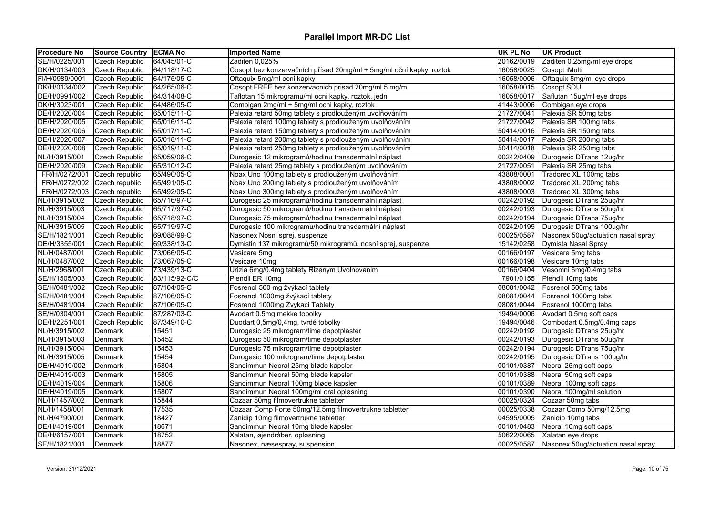| <b>Procedure No</b> | Source Country   ECMA No |               | <b>Imported Name</b>                                                | <b>UK PL No</b> | <b>UK Product</b>                  |
|---------------------|--------------------------|---------------|---------------------------------------------------------------------|-----------------|------------------------------------|
| SE/H/0225/001       | <b>Czech Republic</b>    | 64/045/01-C   | Zaditen 0,025%                                                      | 20162/0019      | Zaditen 0.25mg/ml eye drops        |
| DK/H/0134/003       | Czech Republic           | 64/118/17-C   | Cosopt bez konzervačních přísad 20mg/ml + 5mg/ml oční kapky, roztok | 16058/0025      | Cosopt iMulti                      |
| FI/H/0989/0001      | Czech Republic           | 64/175/05-C   | Oftaquix 5mg/ml ocni kapky                                          | 16058/0006      | Oftaquix 5mg/ml eye drops          |
| DK/H/0134/002       | Czech Republic           | 64/265/06-C   | Cosopt FREE bez konzervacnich prisad 20mg/ml 5 mg/m                 | 16058/0015      | Cosopt SDU                         |
| DE/H/0991/002       | Czech Republic           | 64/314/08-C   | Taflotan 15 mikrogramu/ml ocni kapky, roztok, jedn                  | 16058/0017      | Saflutan 15ug/ml eye drops         |
| DK/H/3023/001       | Czech Republic           | 64/486/05-C   | Combigan 2mg/ml + 5mg/ml ocni kapky, roztok                         | 41443/0006      | Combigan eye drops                 |
| DE/H/2020/004       | Czech Republic           | 65/015/11-C   | Palexia retard 50mg tablety s prodlouženým uvolňováním              | 21727/0041      | Palexia SR 50mg tabs               |
| DE/H/2020/005       | <b>Czech Republic</b>    | 65/016/11-C   | Palexia retard 100mg tablety s prodlouženým uvolňováním             |                 | 21727/0042 Palexia SR 100mg tabs   |
| DE/H/2020/006       | Czech Republic           | 65/017/11-C   | Palexia retard 150mg tablety s prodlouženým uvolňováním             | 50414/0016      | Palexia SR 150mg tabs              |
| DE/H/2020/007       | Czech Republic           | 65/018/11-C   | Palexia retard 200mg tablety s prodlouženým uvolňováním             | 50414/0017      | Palexia SR 200mg tabs              |
| DE/H/2020/008       | Czech Republic           | 65/019/11-C   | Palexia retard 250mg tablety s prodlouženým uvolňováním             | 50414/0018      | Palexia SR 250mg tabs              |
| NL/H/3915/001       | Czech Republic           | 65/059/06-C   | Durogesic 12 mikrogramů/hodinu transdermální náplast                | 00242/0409      | Durogesic DTrans 12ug/hr           |
| DE/H/2020/009       | Czech Republic           | 65/310/12-C   | Palexia retard 25mg tablety s prodlouženým uvolňováním              | 21727/0051      | Palexia SR 25mg tabs               |
| FR/H/0272/001       | Czech republic           | 65/490/05-C   | Noax Uno 100mg tablety s prodlouženým uvolňováním                   | 43808/0001      | Tradorec XL 100mg tabs             |
| FR/H/0272/002       | Czech republic           | 65/491/05-C   | Noax Uno 200mg tablety s prodlouženým uvolňováním                   |                 | 43808/0002 Tradorec XL 200mg tabs  |
| FR/H/0272/003       | Czech republic           | 65/492/05-C   | Noax Uno 300mg tablety s prodlouženým uvolňováním                   | 43808/0003      | Tradorec XL 300mg tabs             |
| NL/H/3915/002       | Czech Republic           | 65/716/97-C   | Durogesic 25 mikrogramů/hodinu transdermální náplast                | 00242/0192      | Durogesic DTrans 25ug/hr           |
| NL/H/3915/003       | <b>Czech Republic</b>    | 65/717/97-C   | Durogesic 50 mikrogramů/hodinu transdermální náplast                | 00242/0193      | Durogesic DTrans 50ug/hr           |
| NL/H/3915/004       | Czech Republic           | 65/718/97-C   | Durogesic 75 mikrogramů/hodinu transdermální náplast                | 00242/0194      | Durogesic DTrans 75ug/hr           |
| NL/H/3915/005       | Czech Republic           | 65/719/97-C   | Durogesic 100 mikrogramů/hodinu transdermální náplast               | 00242/0195      | Durogesic DTrans 100ug/hr          |
| SE/H/1821/001       | Czech Republic           | 69/088/99-C   | Nasonex Nosni sprej, suspenze                                       | 00025/0587      | Nasonex 50ug/actuation nasal spray |
| DE/H/3355/001       | Czech Republic           | 69/338/13-C   | Dymistin 137 mikrogramů/50 mikrogramů, nosní sprej, suspenze        | 15142/0258      | Dymista Nasal Spray                |
| NL/H/0487/001       | Czech Republic           | 73/066/05-C   | Vesicare 5mg                                                        | 00166/0197      | Vesicare 5mg tabs                  |
| NL/H/0487/002       | Czech Republic           | 73/067/05-C   | Vesicare 10mg                                                       | 00166/0198      | Vesicare 10mg tabs                 |
| NL/H/2968/001       | Czech Republic           | 73/439/13-C   | Urizia 6mg/0.4mg tablety Rizenym Uvolnovanim                        | 00166/0404      | Vesomni 6mg/0.4mg tabs             |
| SE/H/1505/003       | <b>Czech Republic</b>    | 83/115/92-C/C | Plendil ER 10mg                                                     | 17901/0155      | Plendil 10mg tabs                  |
| SE/H/0481/002       | Czech Republic           | 87/104/05-C   | Fosrenol 500 mg žvýkací tablety                                     | 08081/0042      | Fosrenol 500mg tabs                |
| SE/H/0481/004       | Czech Republic           | 87/106/05-C   | Fosrenol 1000mg žvýkací tablety                                     | 08081/0044      | Fosrenol 1000mg tabs               |
| SE/H/0481/004       | Czech Republic           | 87/106/05-C   | Fosrenol 1000mg Zvykaci Tablety                                     | 08081/0044      | Fosrenol 1000mg tabs               |
| SE/H/0304/001       | Czech Republic           | 87/287/03-C   | Avodart 0.5mg mekke tobolky                                         |                 | 19494/0006 Avodart 0.5mg soft caps |
| DE/H/2251/001       | Czech Republic           | 87/349/10-C   | Duodart 0,5mg/0,4mg, tvrdé tobolky                                  | 19494/0046      | Combodart 0.5mg/0.4mg caps         |
| NL/H/3915/002       | Denmark                  | 15451         | Durogesic 25 mikrogram/time depotplaster                            | 00242/0192      | Durogesic DTrans 25ug/hr           |
| NL/H/3915/003       | Denmark                  | 15452         | Durogesic 50 mikrogram/time depotplaster                            | 00242/0193      | Durogesic DTrans 50ug/hr           |
| NL/H/3915/004       | Denmark                  | 15453         | Durogesic 75 mikrogram/time depotplaster                            | 00242/0194      | Durogesic DTrans 75ug/hr           |
| NL/H/3915/005       | Denmark                  | 15454         | Durogesic 100 mikrogram/time depotplaster                           | 00242/0195      | Durogesic DTrans 100ug/hr          |
| DE/H/4019/002       | Denmark                  | 15804         | Sandimmun Neoral 25mg bløde kapsler                                 | 00101/0387      | Neoral 25mg soft caps              |
| DE/H/4019/003       | Denmark                  | 15805         | Sandimmun Neoral 50mg bløde kapsler                                 | 00101/0388      | Neoral 50mg soft caps              |
| DE/H/4019/004       | Denmark                  | 15806         | Sandimmun Neoral 100mg bløde kapsler                                | 00101/0389      | Neoral 100mg soft caps             |
| DE/H/4019/005       | Denmark                  | 15807         | Sandimmun Neoral 100mg/ml oral opløsning                            | 00101/0390      | Neoral 100mg/ml solution           |
| NL/H/1457/002       | Denmark                  | 15844         | Cozaar 50mg filmovertrukne tabletter                                | 00025/0324      | Cozaar 50mg tabs                   |
| NL/H/1458/001       | Denmark                  | 17535         | Cozaar Comp Forte 50mg/12.5mg filmovertrukne tabletter              | 00025/0338      | Cozaar Comp 50mg/12.5mg            |
| NL/H/4790/001       | Denmark                  | 18427         | Zanidip 10mg filmovertrukne tabletter                               | 04595/0005      | Zanidip 10mg tabs                  |
| DE/H/4019/001       | Denmark                  | 18671         | Sandimmun Neoral 10mg bløde kapsler                                 | 00101/0483      | Neoral 10mg soft caps              |
| DE/H/6157/001       | Denmark                  | 18752         | Xalatan, øjendråber, opløsning                                      | 50622/0065      | Xalatan eye drops                  |
| SE/H/1821/001       | Denmark                  | 18877         | Nasonex, næsespray, suspension                                      | 00025/0587      | Nasonex 50ug/actuation nasal spray |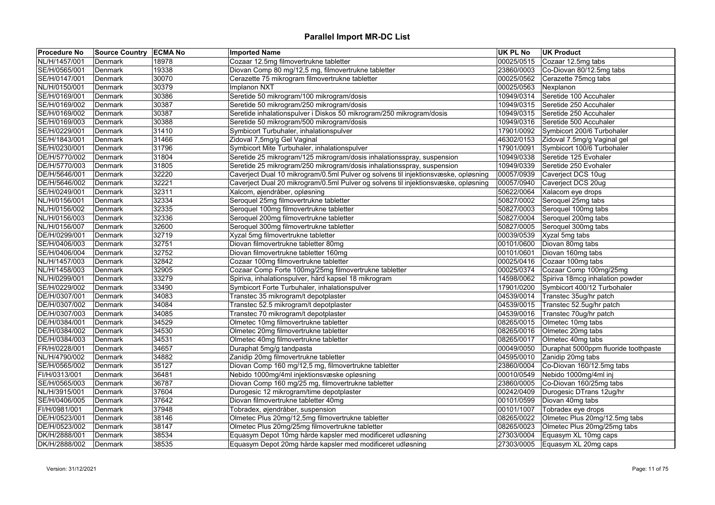| <b>Procedure No</b> | Source Country ECMA No |       | <b>Imported Name</b>                                                               | <b>UK PL No</b> | <b>UK Product</b>                    |
|---------------------|------------------------|-------|------------------------------------------------------------------------------------|-----------------|--------------------------------------|
| NL/H/1457/001       | Denmark                | 18978 | Cozaar 12.5mg filmovertrukne tabletter                                             | 00025/0515      | Cozaar 12.5mg tabs                   |
| SE/H/0565/001       | Denmark                | 19338 | Diovan Comp 80 mg/12,5 mg, filmovertrukne tabletter                                | 23860/0003      | Co-Diovan 80/12.5mg tabs             |
| SE/H/0147/001       | Denmark                | 30070 | Cerazette 75 mikrogram filmovertrukne tabletter                                    | 00025/0562      | Cerazette 75mcg tabs                 |
| NL/H/0150/001       | Denmark                | 30379 | Implanon NXT                                                                       | 00025/0563      | Nexplanon                            |
| SE/H/0169/001       | Denmark                | 30386 | Seretide 50 mikrogram/100 mikrogram/dosis                                          | 10949/0314      | Seretide 100 Accuhaler               |
| SE/H/0169/002       | Denmark                | 30387 | Seretide 50 mikrogram/250 mikrogram/dosis                                          | 10949/0315      | Seretide 250 Accuhaler               |
| SE/H/0169/002       | Denmark                | 30387 | Seretide inhalationspulver i Diskos 50 mikrogram/250 mikrogram/dosis               | 10949/0315      | Seretide 250 Accuhaler               |
| SE/H/0169/003       | Denmark                | 30388 | Seretide 50 mikrogram/500 mikrogram/dosis                                          | 10949/0316      | Seretide 500 Accuhaler               |
| SE/H/0229/001       | Denmark                | 31410 | Symbicort Turbuhaler, inhalationspulver                                            | 17901/0092      | Symbicort 200/6 Turbohaler           |
| SE/H/1843/001       | Denmark                | 31466 | Zidoval 7,5mg/g Gel Vaginal                                                        | 46302/0153      | Zidoval 7.5mg/g Vaginal gel          |
| SE/H/0230/001       | Denmark                | 31796 | Symbicort Mite Turbuhaler, inhalationspulver                                       | 17901/0091      | Symbicort 100/6 Turbohaler           |
| DE/H/5770/002       | Denmark                | 31804 | Seretide 25 mikrogram/125 mikrogram/dosis inhalationsspray, suspension             | 10949/0338      | Seretide 125 Evohaler                |
| DE/H/5770/003       | Denmark                | 31805 | Seretide 25 mikrogram/250 mikrogram/dosis inhalationsspray, suspension             | 10949/0339      | Seretide 250 Evohaler                |
| DE/H/5646/001       | Denmark                | 32220 | Caverject Dual 10 mikrogram/0.5ml Pulver og solvens til injektionsvæske, opløsning | 00057/0939      | Caverject DCS 10ug                   |
| DE/H/5646/002       | Denmark                | 32221 | Caverject Dual 20 mikrogram/0.5ml Pulver og solvens til injektionsvæske, opløsning | 00057/0940      | Caverject DCS 20ug                   |
| SE/H/0249/001       | Denmark                | 32311 | Xalcom, øjendråber, opløsning                                                      | 50622/0064      | Xalacom eye drops                    |
| NL/H/0156/001       | Denmark                | 32334 | Seroquel 25mg filmovertrukne tabletter                                             | 50827/0002      | Seroquel 25mg tabs                   |
| NL/H/0156/002       | Denmark                | 32335 | Seroquel 100mg filmovertrukne tabletter                                            | 50827/0003      | Seroquel 100mg tabs                  |
| NL/H/0156/003       | Denmark                | 32336 | Seroquel 200mg filmovertrukne tabletter                                            | 50827/0004      | Seroquel 200mg tabs                  |
| NL/H/0156/007       | Denmark                | 32600 | Seroquel 300mg filmovertrukne tabletter                                            | 50827/0005      | Seroquel 300mg tabs                  |
| DE/H/0299/001       | Denmark                | 32719 | Xyzal 5mg filmovertrukne tabletter                                                 | 00039/0539      | Xyzal 5mg tabs                       |
| SE/H/0406/003       | Denmark                | 32751 | Diovan filmovertrukne tabletter 80mg                                               | 00101/0600      | Diovan 80mg tabs                     |
| SE/H/0406/004       | Denmark                | 32752 | Diovan filmovertrukne tabletter 160mg                                              | 00101/0601      | Diovan 160mg tabs                    |
| NL/H/1457/003       | Denmark                | 32842 | Cozaar 100mg filmovertrukne tabletter                                              | 00025/0416      | Cozaar 100mg tabs                    |
| NL/H/1458/003       | Denmark                | 32905 | Cozaar Comp Forte 100mg/25mg filmovertrukne tabletter                              | 00025/0374      | Cozaar Comp 100mg/25mg               |
| NL/H/0299/001       | Denmark                | 33279 | Spiriva, inhalationspulver, hård kapsel 18 mikrogram                               | 14598/0062      | Spiriva 18mcg inhalation powder      |
| SE/H/0229/002       | Denmark                | 33490 | Symbicort Forte Turbuhaler, inhalationspulver                                      | 17901/0200      | Symbicort 400/12 Turbohaler          |
| DE/H/0307/001       | Denmark                | 34083 | Transtec 35 mikrogram/t depotplaster                                               | 04539/0014      | Transtec 35ug/hr patch               |
| DE/H/0307/002       | Denmark                | 34084 | Transtec 52.5 mikrogram/t depotplaster                                             | 04539/0015      | Transtec 52.5ug/hr patch             |
| DE/H/0307/003       | Denmark                | 34085 | Transtec 70 mikrogram/t depotplaster                                               | 04539/0016      | Transtec 70ug/hr patch               |
| DE/H/0384/001       | Denmark                | 34529 | Olmetec 10mg filmovertrukne tabletter                                              | 08265/0015      | Olmetec 10mg tabs                    |
| DE/H/0384/002       | Denmark                | 34530 | Olmetec 20mg filmovertrukne tabletter                                              | 08265/0016      | Olmetec 20mg tabs                    |
| DE/H/0384/003       | Denmark                | 34531 | Olmetec 40mg filmovertrukne tabletter                                              | 08265/0017      | Olmetec 40mg tabs                    |
| FR/H/0228/001       | Denmark                | 34657 | Duraphat 5mg/g tandpasta                                                           | 00049/0050      | Duraphat 5000ppm fluoride toothpaste |
| NL/H/4790/002       | Denmark                | 34882 | Zanidip 20mg filmovertrukne tabletter                                              | 04595/0010      | Zanidip 20mg tabs                    |
| SE/H/0565/002       | Denmark                | 35127 | Diovan Comp 160 mg/12,5 mg, filmovertrukne tabletter                               | 23860/0004      | Co-Diovan 160/12.5mg tabs            |
| FI/H/0313/001       | Denmark                | 36481 | Nebido 1000mg/4ml injektionsvæske opløsning                                        | 00010/0549      | Nebido 1000mg/4ml inj                |
| SE/H/0565/003       | Denmark                | 36787 | Diovan Comp 160 mg/25 mg, filmovertrukne tabletter                                 | 23860/0005      | Co-Diovan 160/25mg tabs              |
| NL/H/3915/001       | Denmark                | 37604 | Durogesic 12 mikrogram/time depotplaster                                           | 00242/0409      | Durogesic DTrans 12ug/hr             |
| SE/H/0406/005       | Denmark                | 37642 | Diovan filmovertrukne tabletter 40mg                                               | 00101/0599      | Diovan 40mg tabs                     |
| FI/H/0981/001       | Denmark                | 37948 | Tobradex, øjendråber, suspension                                                   | 00101/1007      | Tobradex eye drops                   |
| DE/H/0523/001       | Denmark                | 38146 | Olmetec Plus 20mg/12,5mg filmovertrukne tabletter                                  | 08265/0022      | Olmetec Plus 20mg/12.5mg tabs        |
| DE/H/0523/002       | Denmark                | 38147 | Olmetec Plus 20mg/25mg filmovertrukne tabletter                                    | 08265/0023      | Olmetec Plus 20mg/25mg tabs          |
| DK/H/2888/001       | Denmark                | 38534 | Equasym Depot 10mg hårde kapsler med modificeret udløsning                         | 27303/0004      | Equasym XL 10mg caps                 |
| DK/H/2888/002       | Denmark                | 38535 | Equasym Depot 20mg hårde kapsler med modificeret udløsning                         | 27303/0005      | Equasym XL 20mg caps                 |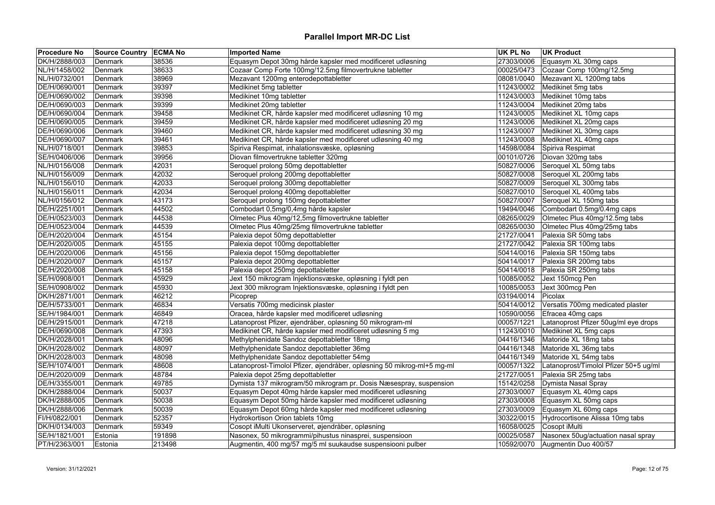| <b>Procedure No</b> | <b>Source Country ECMA No</b> |        | <b>Imported Name</b>                                                   | <b>UK PL No</b> | <b>UK Product</b>                     |
|---------------------|-------------------------------|--------|------------------------------------------------------------------------|-----------------|---------------------------------------|
| DK/H/2888/003       | Denmark                       | 38536  | Equasym Depot 30mg hårde kapsler med modificeret udløsning             | 27303/0006      | Equasym XL 30mg caps                  |
| NL/H/1458/002       | Denmark                       | 38633  | Cozaar Comp Forte 100mg/12.5mg filmovertrukne tabletter                | 00025/0473      | Cozaar Comp 100mg/12.5mg              |
| NL/H/0732/001       | Denmark                       | 38969  | Mezavant 1200mg enterodepottabletter                                   | 08081/0040      | Mezavant XL 1200mg tabs               |
| DE/H/0690/001       | Denmark                       | 39397  | Medikinet 5mg tabletter                                                | 11243/0002      | Medikinet 5mg tabs                    |
| DE/H/0690/002       | Denmark                       | 39398  | Medikinet 10mg tabletter                                               | 11243/0003      | Medikinet 10mg tabs                   |
| DE/H/0690/003       | Denmark                       | 39399  | Medikinet 20mg tabletter                                               | 11243/0004      | Medikinet 20mg tabs                   |
| DE/H/0690/004       | Denmark                       | 39458  | Medikinet CR, hårde kapsler med modificeret udløsning 10 mg            | 11243/0005      | Medikinet XL 10mg caps                |
| DE/H/0690/005       | Denmark                       | 39459  | Medikinet CR, hårde kapsler med modificeret udløsning 20 mg            | 11243/0006      | Medikinet XL 20mg caps                |
| DE/H/0690/006       | Denmark                       | 39460  | Medikinet CR, hårde kapsler med modificeret udløsning 30 mg            | 11243/0007      | Medikinet XL 30mg caps                |
| DE/H/0690/007       | Denmark                       | 39461  | Medikinet CR, hårde kapsler med modificeret udløsning 40 mg            | 11243/0008      | Medikinet XL 40mg caps                |
| NL/H/0718/001       | Denmark                       | 39853  | Spiriva Respimat, inhalationsvæske, opløsning                          | 14598/0084      | Spiriva Respimat                      |
| SE/H/0406/006       | Denmark                       | 39956  | Diovan filmovertrukne tabletter 320mg                                  | 00101/0726      | Diovan 320mg tabs                     |
| NL/H/0156/008       | Denmark                       | 42031  | Seroquel prolong 50mg depottabletter                                   | 50827/0006      | Seroquel XL 50mg tabs                 |
| NL/H/0156/009       | Denmark                       | 42032  | Seroquel prolong 200mg depottabletter                                  | 50827/0008      | Seroquel XL 200mg tabs                |
| NL/H/0156/010       | Denmark                       | 42033  | Seroquel prolong 300mg depottabletter                                  | 50827/0009      | Seroquel XL 300mg tabs                |
| NL/H/0156/011       | Denmark                       | 42034  | Seroquel prolong 400mg depottabletter                                  | 50827/0010      | Seroquel XL 400mg tabs                |
| NL/H/0156/012       | Denmark                       | 43173  | Seroquel prolong 150mg depottabletter                                  | 50827/0007      | Seroquel XL 150mg tabs                |
| DE/H/2251/001       | Denmark                       | 44502  | Combodart 0,5mg/0,4mg hårde kapsler                                    | 19494/0046      | Combodart 0.5mg/0.4mg caps            |
| DE/H/0523/003       | Denmark                       | 44538  | Olmetec Plus 40mg/12,5mg filmovertrukne tabletter                      | 08265/0029      | Olmetec Plus 40mg/12.5mg tabs         |
| DE/H/0523/004       | Denmark                       | 44539  | Olmetec Plus 40mg/25mg filmovertrukne tabletter                        | 08265/0030      | Olmetec Plus 40mg/25mg tabs           |
| DE/H/2020/004       | Denmark                       | 45154  | Palexia depot 50mg depottabletter                                      | 21727/0041      | Palexia SR 50mg tabs                  |
| DE/H/2020/005       | Denmark                       | 45155  | Palexia depot 100mg depottabletter                                     | 21727/0042      | Palexia SR 100mg tabs                 |
| DE/H/2020/006       | Denmark                       | 45156  | Palexia depot 150mg depottabletter                                     | 50414/0016      | Palexia SR 150mg tabs                 |
| DE/H/2020/007       | Denmark                       | 45157  | Palexia depot 200mg depottabletter                                     | 50414/0017      | Palexia SR 200mg tabs                 |
| DE/H/2020/008       | Denmark                       | 45158  | Palexia depot 250mg depottabletter                                     | 50414/0018      | Palexia SR 250mg tabs                 |
| SE/H/0908/001       | Denmark                       | 45929  | Jext 150 mikrogram Injektionsvæske, opløsning i fyldt pen              | 10085/0052      | Jext 150mcg Pen                       |
| SE/H/0908/002       | Denmark                       | 45930  | Jext 300 mikrogram Injektionsvæske, opløsning i fyldt pen              | 10085/0053      | Jext 300mcg Pen                       |
| DK/H/2871/001       | Denmark                       | 46212  | $P$ icoprep                                                            | 03194/0014      | <b>Picolax</b>                        |
| DE/H/5733/001       | Denmark                       | 46834  | Versatis 700mg medicinsk plaster                                       | 50414/0012      | Versatis 700mg medicated plaster      |
| SE/H/1984/001       | Denmark                       | 46849  | Oracea, hårde kapsler med modificeret udløsning                        | 10590/0056      | Efracea 40mg caps                     |
| DE/H/2915/001       | Denmark                       | 47218  | Latanoprost Pfizer, øjendråber, opløsning 50 mikrogram-ml              | 00057/1221      | Latanoprost Pfizer 50ug/ml eye drops  |
| DE/H/0690/008       | Denmark                       | 47393  | Medikinet CR, hårde kapsler med modificeret udløsning 5 mg             | 11243/0010      | Medikinet XL 5mg caps                 |
| DK/H/2028/001       | Denmark                       | 48096  | Methylphenidate Sandoz depottabletter 18mg                             | 04416/1346      | Matoride XL 18mg tabs                 |
| DK/H/2028/002       | Denmark                       | 48097  | Methylphenidate Sandoz depottabletter 36mg                             | 04416/1348      | Matoride XL 36mg tabs                 |
| DK/H/2028/003       | Denmark                       | 48098  | Methylphenidate Sandoz depottabletter 54mg                             | 04416/1349      | Matoride XL 54mg tabs                 |
| SE/H/1074/001       | Denmark                       | 48608  | Latanoprost-Timolol Pfizer, øjendråber, opløsning 50 mikrog-ml+5 mg-ml | 00057/1322      | Latanoprost/Timolol Pfizer 50+5 ug/ml |
| DE/H/2020/009       | Denmark                       | 48784  | Palexia depot 25mg depottabletter                                      | 21727/0051      | Palexia SR 25mg tabs                  |
| DE/H/3355/001       | Denmark                       | 49785  | Dymista 137 mikrogram/50 mikrogram pr. Dosis Næsespray, suspension     | 15142/0258      | Dymista Nasal Spray                   |
| DK/H/2888/004       | Denmark                       | 50037  | Equasym Depot 40mg hårde kapsler med modificeret udløsning             | 27303/0007      | Equasym XL 40mg caps                  |
| DK/H/2888/005       | Denmark                       | 50038  | Equasym Depot 50mg hårde kapsler med modificeret udløsning             | 27303/0008      | Equasym XL 50mg caps                  |
| DK/H/2888/006       | Denmark                       | 50039  | Equasym Depot 60mg hårde kapsler med modificeret udløsning             | 27303/0009      | Equasym XL 60mg caps                  |
| FI/H/0822/001       | Denmark                       | 52357  | Hydrokortison Orion tablets 10mg                                       | 30322/0015      | Hydrocortisone Alissa 10mg tabs       |
| DK/H/0134/003       | Denmark                       | 59349  | Cosopt iMulti Ukonserveret, øjendråber, opløsning                      | 16058/0025      | Cosopt iMulti                         |
| SE/H/1821/001       | Estonia                       | 191898 | Nasonex, 50 mikrogrammi/pihustus ninasprei, suspensioon                | 00025/0587      | Nasonex 50ug/actuation nasal spray    |
| PT/H/2363/001       | Estonia                       | 213498 | Augmentin, 400 mg/57 mg/5 ml suukaudse suspensiooni pulber             | 10592/0070      | Augmentin Duo 400/57                  |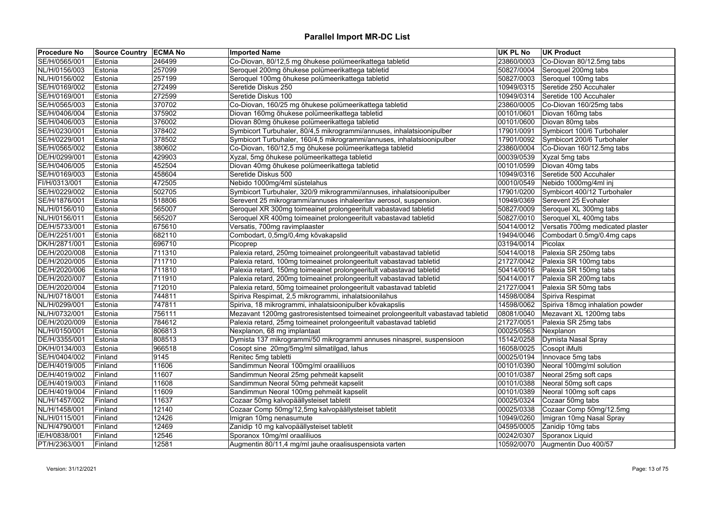| Co-Diovan, 80/12,5 mg õhukese polümeerikattega tabletid<br>SE/H/0565/001<br>246499<br>23860/0003<br>Co-Diovan 80/12.5mg tabs<br>Estonia           |                                  |
|---------------------------------------------------------------------------------------------------------------------------------------------------|----------------------------------|
|                                                                                                                                                   |                                  |
| 257099<br>NL/H/0156/003<br>Seroquel 200mg õhukese polümeerikattega tabletid<br>50827/0004<br>Estonia                                              | Seroquel 200mg tabs              |
| 257199<br>Seroquel 100mg õhukese polümeerikattega tabletid<br>NL/H/0156/002<br>50827/0003 Seroquel 100mg tabs<br>Estonia                          |                                  |
| Seretide 250 Accuhaler<br>SE/H/0169/002<br>272499<br>Seretide Diskus 250<br>10949/0315<br>Estonia                                                 |                                  |
| 272599<br>SE/H/0169/001<br>Seretide Diskus 100<br>10949/0314<br>Seretide 100 Accuhaler<br>Estonia                                                 |                                  |
| 370702<br>SE/H/0565/003<br>Co-Diovan, 160/25 mg õhukese polümeerikattega tabletid<br>23860/0005<br>Co-Diovan 160/25mg tabs<br>Estonia             |                                  |
| 375902<br>Diovan 160mg õhukese polümeerikattega tabletid<br>00101/0601<br>Diovan 160mg tabs<br>SE/H/0406/004<br>Estonia                           |                                  |
| 376002<br>Diovan 80mg õhukese polümeerikattega tabletid<br>SE/H/0406/003<br>Estonia<br>00101/0600<br>Diovan 80mg tabs                             |                                  |
| SE/H/0230/001<br>378402<br>Symbicort Turbuhaler, 80/4,5 mikrogrammi/annuses, inhalatsioonipulber<br>17901/0091<br>Estonia                         | Symbicort 100/6 Turbohaler       |
| 378502<br>SE/H/0229/001<br>Symbicort Turbuhaler, 160/4,5 mikrogrammi/annuses, inhalatsioonipulber<br>17901/0092<br>Estonia                        | Symbicort 200/6 Turbohaler       |
| 380602<br>SE/H/0565/002<br>Co-Diovan, 160/12,5 mg õhukese polümeerikattega tabletid<br>23860/0004<br>Estonia                                      | Co-Diovan 160/12.5mg tabs        |
| DE/H/0299/001<br>429903<br>Xyzal, 5mg õhukese polümeerikattega tabletid<br>00039/0539<br>Xyzal 5mg tabs<br>Estonia                                |                                  |
| 452504<br>SE/H/0406/005<br>Diovan 40mg õhukese polümeerikattega tabletid<br>00101/0599<br>Diovan 40mg tabs<br>Estonia                             |                                  |
| 458604<br>Seretide 500 Accuhaler<br>SE/H/0169/003<br>Seretide Diskus 500<br>10949/0316<br>Estonia                                                 |                                  |
| 472505<br>Nebido 1000mg/4ml süstelahus<br>FI/H/0313/001<br>00010/0549<br>Nebido 1000mg/4ml inj<br>Estonia                                         |                                  |
| 502705<br>SE/H/0229/002<br>Estonia<br>Symbicort Turbuhaler, 320/9 mikrogrammi/annuses, inhalatsioonipulber<br>17901/0200                          | Symbicort 400/12 Turbohaler      |
| 518806<br>Serevent 25 mikrogrammi/annuses inhaleeritav aerosol, suspension.<br>10949/0369<br>Serevent 25 Evohaler<br>SE/H/1876/001<br>Estonia     |                                  |
| 565007<br>Seroquel XR 300mg toimeainet prolongeeritult vabastavad tabletid<br>50827/0009<br>Seroquel XL 300mg tabs<br>NL/H/0156/010<br>Estonia    |                                  |
| 565207<br>NL/H/0156/011<br>50827/0010 Seroquel XL 400mg tabs<br>Estonia<br>Seroquel XR 400mg toimeainet prolongeeritult vabastavad tabletid       |                                  |
| DE/H/5733/001<br>675610<br>Versatis, 700mg ravimplaaster<br>50414/0012<br>Estonia                                                                 | Versatis 700mg medicated plaster |
| 682110<br>Combodart, 0,5mg/0,4mg kõvakapslid<br>19494/0046<br>DE/H/2251/001<br>Estonia                                                            | Combodart 0.5mg/0.4mg caps       |
| DK/H/2871/001<br>696710<br>Picoprep<br>03194/0014<br>Picolax<br>Estonia                                                                           |                                  |
| DE/H/2020/008<br>711310<br>Palexia retard, 250mg toimeainet prolongeeritult vabastavad tabletid<br>50414/0018<br>Palexia SR 250mg tabs<br>Estonia |                                  |
| 711710<br>Palexia retard, 100mg toimeainet prolongeeritult vabastavad tabletid<br>21727/0042<br>DE/H/2020/005<br>Estonia<br>Palexia SR 100mg tabs |                                  |
| Palexia retard, 150mg toimeainet prolongeeritult vabastavad tabletid<br>DE/H/2020/006<br>711810<br>50414/0016<br>Palexia SR 150mg tabs<br>Estonia |                                  |
| 711910<br>Palexia retard, 200mg toimeainet prolongeeritult vabastavad tabletid<br>DE/H/2020/007<br>Estonia<br>50414/0017<br>Palexia SR 200mg tabs |                                  |
| 712010<br>DE/H/2020/004<br>Palexia retard, 50mg toimeainet prolongeeritult vabastavad tabletid<br>21727/0041<br>Palexia SR 50mg tabs<br>Estonia   |                                  |
| Spiriva Respimat, 2,5 mikrogrammi, inhalatsioonilahus<br>NL/H/0718/001<br>744811<br>14598/0084<br>Spiriva Respimat<br>Estonia                     |                                  |
| 14598/0062<br>NL/H/0299/001<br>747811<br>Spiriva, 18 mikrogrammi, inhalatsioonipulber kõvakapslis<br>Estonia                                      | Spiriva 18mcg inhalation powder  |
| NL/H/0732/001<br>756111<br>Mezavant 1200mg gastroresistentsed toimeainet prolongeeritult vabastavad tabletid<br>08081/0040<br>Estonia             | Mezavant XL 1200mg tabs          |
| DE/H/2020/009<br>21727/0051<br>Palexia SR 25mg tabs<br>Estonia<br>784612<br>Palexia retard, 25mg toimeainet prolongeeritult vabastavad tabletid   |                                  |
| 806813<br>Nexplanon, 68 mg implantaat<br>00025/0563<br>NL/H/0150/001<br>Estonia<br>Nexplanon                                                      |                                  |
| DE/H/3355/001<br>808513<br>Dymista 137 mikrogrammi/50 mikrogrammi annuses ninasprei, suspensioon<br>15142/0258<br>Dymista Nasal Spray<br>Estonia  |                                  |
| DK/H/0134/003<br>966518<br>Cosopt sine 20mg/5mg/ml silmatilgad, lahus<br>16058/0025<br>Cosopt iMulti<br>Estonia                                   |                                  |
| 9145<br>00025/0194<br>Innovace 5mg tabs<br>SE/H/0404/002<br>Finland<br>Renitec 5mg tabletti                                                       |                                  |
| Sandimmun Neoral 100mg/ml oraaliliuos<br>DE/H/4019/005<br>11606<br>00101/0390<br>Neoral 100mg/ml solution<br>Finland                              |                                  |
| 11607<br>Sandimmun Neoral 25mg pehmeät kapselit<br>00101/0387<br>Neoral 25mg soft caps<br>DE/H/4019/002<br>Finland                                |                                  |
| Sandimmun Neoral 50mg pehmeät kapselit<br>11608<br>00101/0388<br>Neoral 50mg soft caps<br>DE/H/4019/003<br>Finland                                |                                  |
| Sandimmun Neoral 100mg pehmeät kapselit<br>00101/0389<br>Neoral 100mg soft caps<br>DE/H/4019/004<br>11609<br>Finland                              |                                  |
| NL/H/1457/002<br>11637<br>Cozaar 50mg kalvopäällysteiset tabletit<br>00025/0324<br>Cozaar 50mg tabs<br>Finland                                    |                                  |
| 00025/0338<br>NL/H/1458/001<br>12140<br>Cozaar Comp 50mg/12,5mg kalvopäällysteiset tabletit<br>Finland                                            | Cozaar Comp 50mg/12.5mg          |
| Imigran 10mg nenasumute<br>12426<br>10949/0260<br>NL/H/0115/001<br>Finland                                                                        | Imigran 10mg Nasal Spray         |
| 12469<br>Zanidip 10 mg kalvopäällysteiset tabletit<br>NL/H/4790/001<br>Finland<br>04595/0005<br>Zanidip 10mg tabs                                 |                                  |
| IE/H/0838/001<br>12546<br>Sporanox 10mg/ml oraaliliuos<br>00242/0307<br>Sporanox Liquid<br>Finland                                                |                                  |
| 12581<br>10592/0070<br>PT/H/2363/001<br>Finland<br>Augmentin 80/11,4 mg/ml jauhe oraalisuspensiota varten<br>Augmentin Duo 400/57                 |                                  |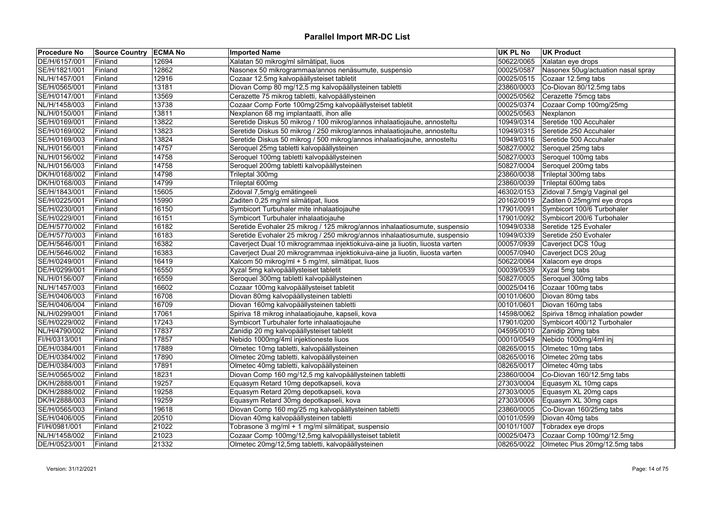| <b>Procedure No</b>            | Source Country ECMA No |                | <b>Imported Name</b>                                                         | UK PL No                 | <b>UK Product</b>                          |
|--------------------------------|------------------------|----------------|------------------------------------------------------------------------------|--------------------------|--------------------------------------------|
| DE/H/6157/001                  | Finland                | 12694          | Xalatan 50 mikrog/ml silmätipat, liuos                                       | 50622/0065               | Xalatan eye drops                          |
| SE/H/1821/001                  | Finland                | 12862          | Nasonex 50 mikrogrammaa/annos nenäsumute, suspensio                          | 00025/0587               | Nasonex 50ug/actuation nasal spray         |
| NL/H/1457/001                  | Finland                | 12916          | Cozaar 12.5mg kalvopäällysteiset tabletit                                    | 00025/0515               | Cozaar 12.5mg tabs                         |
| SE/H/0565/001                  | Finland                | 13181          | Diovan Comp 80 mg/12,5 mg kalvopäällysteinen tabletti                        | 23860/0003               | Co-Diovan 80/12.5mg tabs                   |
| SE/H/0147/001                  | Finland                | 13569          | Cerazette 75 mikrog tabletti, kalvopäällysteinen                             | 00025/0562               | Cerazette 75mcg tabs                       |
| NL/H/1458/003                  | Finland                | 13738          | Cozaar Comp Forte 100mg/25mg kalvopäällysteiset tabletit                     | 00025/0374               | Cozaar Comp 100mg/25mg                     |
| NL/H/0150/001                  | Finland                | 13811          | Nexplanon 68 mg implantaatti, ihon alle                                      | 00025/0563               | Nexplanon                                  |
| SE/H/0169/001                  | Finland                | 13822          | Seretide Diskus 50 mikrog / 100 mikrog/annos inhalaatiojauhe, annosteltu     | 10949/0314               | Seretide 100 Accuhaler                     |
| SE/H/0169/002                  | Finland                | 13823          | Seretide Diskus 50 mikrog / 250 mikrog/annos inhalaatiojauhe, annosteltu     | 10949/0315               | Seretide 250 Accuhaler                     |
| SE/H/0169/003                  | Finland                | 13824          | Seretide Diskus 50 mikrog / 500 mikrog/annos inhalaatiojauhe, annosteltu     | 10949/0316               | Seretide 500 Accuhaler                     |
| NL/H/0156/001                  | Finland                | 14757          | Seroquel 25mg tabletti kalvopäällysteinen                                    | 50827/0002               | Seroquel 25mg tabs                         |
| NL/H/0156/002                  | Finland                | 14758          | Seroquel 100mg tabletti kalvopäällysteinen                                   | 50827/0003               | Seroquel 100mg tabs                        |
| NL/H/0156/003                  | Finland                | 14758          | Seroquel 200mg tabletti kalvopäällysteinen                                   | 50827/0004               | Seroquel 200mg tabs                        |
| DK/H/0168/002                  | Finland                | 14798          | Trileptal 300mg                                                              | 23860/0038               | Trileptal 300mg tabs                       |
| DK/H/0168/003                  | Finland                | 14799          | Trileptal 600mg                                                              | 23860/0039               | Trileptal 600mg tabs                       |
| SE/H/1843/001                  | Finland                | 15605          | Zidoval 7,5mg/g emätingeeli                                                  | 46302/0153               | Zidoval 7.5mg/g Vaginal gel                |
| SE/H/0225/001                  | Finland                | 15990          | Zaditen 0,25 mg/ml silmätipat, liuos                                         | 20162/0019               | Zaditen 0.25mg/ml eye drops                |
| SE/H/0230/001                  | Finland                | 16150          | Symbicort Turbuhaler mite inhalaatiojauhe                                    | 17901/0091               | Symbicort 100/6 Turbohaler                 |
| SE/H/0229/001                  | Finland                | 16151          | Symbicort Turbuhaler inhalaatiojauhe                                         | 17901/0092               | Symbicort 200/6 Turbohaler                 |
| DE/H/5770/002                  | Finland                | 16182          | Seretide Evohaler 25 mikrog / 125 mikrog/annos inhalaatiosumute, suspensio   | 10949/0338               | Seretide 125 Evohaler                      |
| DE/H/5770/003                  | Finland                | 16183          | Seretide Evohaler 25 mikrog / 250 mikrog/annos inhalaatiosumute, suspensio   | 10949/0339               | Seretide 250 Evohaler                      |
| DE/H/5646/001                  | Finland                | 16382          | Caverject Dual 10 mikrogrammaa injektiokuiva-aine ja liuotin, liuosta varten | 00057/0939               | Caverject DCS 10ug                         |
| DE/H/5646/002                  | Finland                | 16383          | Caverject Dual 20 mikrogrammaa injektiokuiva-aine ja liuotin, liuosta varten | 00057/0940               | Caverject DCS 20ug                         |
| SE/H/0249/001                  | Finland                | 16419          | Xalcom 50 mikrog/ml + 5 mg/ml, silmätipat, liuos                             | 50622/0064               | Xalacom eye drops                          |
| DE/H/0299/001                  | Finland                | 16550          | Xyzal 5mg kalvopäällysteiset tabletit                                        | 00039/0539               | Xyzal 5mg tabs                             |
| NL/H/0156/007                  | Finland                | 16559          | Seroquel 300mg tabletti kalvopäällysteinen                                   | 50827/0005               | Seroquel 300mg tabs                        |
| NL/H/1457/003                  | Finland                | 16602          | Cozaar 100mg kalvopäällysteiset tabletit                                     | 00025/0416               | Cozaar 100mg tabs                          |
| SE/H/0406/003                  | Finland                | 16708          | Diovan 80mg kalvopäällysteinen tabletti                                      | 00101/0600               | Diovan 80mg tabs                           |
| SE/H/0406/004                  | Finland                | 16709          | Diovan 160mg kalvopäällysteinen tabletti                                     | 00101/0601               | Diovan 160mg tabs                          |
| NL/H/0299/001                  | Finland                | 17061          | Spiriva 18 mikrog inhalaatiojauhe, kapseli, kova                             |                          | 14598/0062 Spiriva 18mcg inhalation powder |
| SE/H/0229/002                  | Finland                | 17243          | Symbicort Turbuhaler forte inhalaatiojauhe                                   | 17901/0200               | Symbicort 400/12 Turbohaler                |
| NL/H/4790/002                  | Finland                | 17837          | Zanidip 20 mg kalvopäällysteiset tabletit                                    | 04595/0010               | Zanidip 20mg tabs                          |
| FI/H/0313/001                  | Finland                | 17857          | Nebido 1000mg/4ml injektioneste liuos                                        | 00010/0549               | Nebido 1000mg/4ml inj                      |
|                                |                        |                |                                                                              |                          |                                            |
| DE/H/0384/001<br>DE/H/0384/002 | Finland                | 17889<br>17890 | Olmetec 10mg tabletti, kalvopäällysteinen                                    | 08265/0015<br>08265/0016 | Olmetec 10mg tabs<br>Olmetec 20mg tabs     |
|                                | Finland                |                | Olmetec 20mg tabletti, kalvopäällysteinen                                    |                          |                                            |
| DE/H/0384/003                  | Finland                | 17891          | Olmetec 40mg tabletti, kalvopäällysteinen                                    | 08265/0017               | Olmetec 40mg tabs                          |
| SE/H/0565/002                  | Finland                | 18231          | Diovan Comp 160 mg/12,5 mg kalvopäällysteinen tabletti                       | 23860/0004               | Co-Diovan 160/12.5mg tabs                  |
| DK/H/2888/001                  | Finland                | 19257          | Equasym Retard 10mg depotkapseli, kova                                       | 27303/0004               | Equasym XL 10mg caps                       |
| DK/H/2888/002                  | Finland                | 19258          | Equasym Retard 20mg depotkapseli, kova                                       | 27303/0005               | Equasym XL 20mg caps                       |
| DK/H/2888/003                  | Finland                | 19259          | Equasym Retard 30mg depotkapseli, kova                                       | 27303/0006               | Equasym XL 30mg caps                       |
| SE/H/0565/003                  | Finland                | 19618          | Diovan Comp 160 mg/25 mg kalvopäällysteinen tabletti                         | 23860/0005               | Co-Diovan 160/25mg tabs                    |
| SE/H/0406/005                  | Finland                | 20510          | Diovan 40mg kalvopäällysteinen tabletti                                      | 00101/0599               | Diovan 40mg tabs                           |
| FI/H/0981/001                  | Finland                | 21022          | Tobrasone 3 mg/ml + 1 mg/ml silmätipat, suspensio                            | 00101/1007               | Tobradex eye drops                         |
| NL/H/1458/002                  | Finland                | 21023          | Cozaar Comp 100mg/12,5mg kalvopäällysteiset tabletit                         | 00025/0473               | Cozaar Comp 100mg/12.5mg                   |
| DE/H/0523/001                  | Finland                | 21332          | Olmetec 20mg/12,5mg tabletti, kalvopäällysteinen                             | 08265/0022               | Olmetec Plus 20mg/12.5mg tabs              |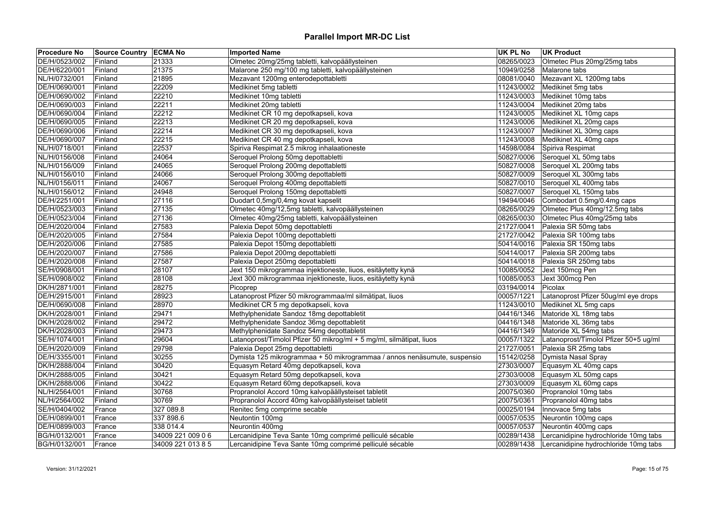| Olmetec 20mg/25mg tabletti, kalvopäällysteinen<br>DE/H/0523/002<br>21333<br>08265/0023<br>Olmetec Plus 20mg/25mg tabs<br>Finland<br>DE/H/6220/001<br>21375<br>Malarone 250 mg/100 mg tabletti, kalvopäällysteinen<br>10949/0258<br>Malarone tabs<br>Finland<br>21895<br>Mezavant 1200mg enterodepottabletti<br>08081/0040<br>Mezavant XL 1200mg tabs<br>NL/H/0732/001<br>Finland<br>DE/H/0690/001<br>22209<br>Medikinet 5mg tabletti<br>11243/0002<br>Medikinet 5mg tabs<br>Finland<br>Medikinet 10mg tabletti<br>Medikinet 10mg tabs<br>22210<br>11243/0003<br>Finland<br>Medikinet 20mg tabletti<br>11243/0004 Medikinet 20mg tabs<br>DE/H/0690/003<br>22211<br>Finland<br>Medikinet CR 10 mg depotkapseli, kova<br>Medikinet XL 10mg caps<br>DE/H/0690/004<br>22212<br>11243/0005<br>Finland<br>22213<br>Medikinet CR 20 mg depotkapseli, kova<br>11243/0006<br>DE/H/0690/005<br>Finland<br>Medikinet XL 20mg caps<br>Medikinet CR 30 mg depotkapseli, kova<br>Medikinet XL 30mg caps<br>DE/H/0690/006<br>22214<br>11243/0007<br>Finland<br>Medikinet CR 40 mg depotkapseli, kova<br>DE/H/0690/007<br>22215<br>11243/0008<br>Medikinet XL 40mg caps<br>Finland<br>22537<br>Spiriva Respimat 2.5 mikrog inhalaationeste<br>14598/0084 Spiriva Respimat<br>NL/H/0718/001<br>Finland<br>Seroquel Prolong 50mg depottabletti<br>50827/0006<br>NL/H/0156/008<br>24064<br>Seroquel XL 50mg tabs<br>Finland<br>24065<br>Seroquel Prolong 200mg depottabletti<br>50827/0008<br>Seroquel XL 200mg tabs<br>NL/H/0156/009<br>Finland<br>24066<br>Seroquel Prolong 300mg depottabletti<br>50827/0009 Seroquel XL 300mg tabs<br>NL/H/0156/010<br>Finland<br>Seroquel XL 400mg tabs<br>NL/H/0156/011<br>24067<br>Seroquel Prolong 400mg depottabletti<br>50827/0010<br>Finland<br>Seroquel Prolong 150mg depottabletti<br>50827/0007<br>Seroquel XL 150mg tabs<br>NL/H/0156/012<br>Finland<br>24948<br>Duodart 0,5mg/0,4mg kovat kapselit<br>19494/0046<br>Combodart 0.5mg/0.4mg caps<br>DE/H/2251/001<br>27116<br>Finland<br>Olmetec Plus 40mg/12.5mg tabs<br>Olmetec 40mg/12,5mg tabletti, kalvopäällysteinen<br>08265/0029<br>DE/H/0523/003<br>Finland<br>27135<br>27136<br>Olmetec Plus 40mg/25mg tabs<br>DE/H/0523/004<br>Olmetec 40mg/25mg tabletti, kalvopäällysteinen<br>08265/0030<br>Finland<br>DE/H/2020/004<br>Palexia Depot 50mg depottabletti<br>21727/0041<br>Palexia SR 50mg tabs<br>Finland<br>27583<br>Palexia Depot 100mg depottabletti<br>Palexia SR 100mg tabs<br>DE/H/2020/005<br>27584<br>21727/0042<br>Finland<br>Palexia Depot 150mg depottabletti<br>Palexia SR 150mg tabs<br>DE/H/2020/006<br>27585<br>50414/0016<br><b>Finland</b><br>DE/H/2020/007<br>27586<br>Palexia Depot 200mg depottabletti<br>50414/0017<br>Palexia SR 200mg tabs<br>Finland<br>Palexia Depot 250mg depottabletti<br>DE/H/2020/008<br>Finland<br>27587<br>50414/0018<br>Palexia SR 250mg tabs<br>SE/H/0908/001<br>28107<br>Jext 150 mikrogrammaa injektioneste, liuos, esitäytetty kynä<br>10085/0052<br>Jext 150mcg Pen<br>Finland<br>SE/H/0908/002<br>Jext 300 mikrogrammaa injektioneste, liuos, esitäytetty kynä<br>10085/0053<br>Jext 300mcg Pen<br>Finland<br>28108<br>28275<br>DK/H/2871/001<br>Picoprep<br>03194/0014<br>Picolax<br>Finland<br>DE/H/2915/001<br>Latanoprost Pfizer 50 mikrogrammaa/ml silmätipat, liuos<br>00057/1221<br>Latanoprost Pfizer 50ug/ml eye drops<br>Finland<br>28923<br>DE/H/0690/008<br>28970<br>Medikinet CR 5 mg depotkapseli, kova<br>11243/0010<br>Medikinet XL 5mg caps<br>Finland<br>Methylphenidate Sandoz 18mg depottabletit<br>DK/H/2028/001<br>Finland<br>29471<br>04416/1346<br>Matoride XL 18mg tabs<br>DK/H/2028/002<br>29472<br>Methylphenidate Sandoz 36mg depottabletit<br>04416/1348<br>Matoride XL 36mg tabs<br>Finland<br>Methylphenidate Sandoz 54mg depottabletit<br>29473<br>04416/1349<br>Matoride XL 54mg tabs<br>DK/H/2028/003<br>Finland<br>29604<br>Latanoprost/Timolol Pfizer 50 mikrog/ml + 5 mg/ml, silmätipat, liuos<br>00057/1322<br>Latanoprost/Timolol Pfizer 50+5 ug/ml<br>SE/H/1074/001<br>Finland<br>Palexia Depot 25mg depottabletti<br>21727/0051<br>DE/H/2020/009<br>Finland<br>29798<br>Palexia SR 25mg tabs<br>DE/H/3355/001<br>30255<br>Dymista 125 mikrogrammaa + 50 mikrogrammaa / annos nenäsumute, suspensio<br>15142/0258<br>Dymista Nasal Spray<br>Finland<br>Equasym Retard 40mg depotkapseli, kova<br>Equasym XL 40mg caps<br>DK/H/2888/004<br>30420<br>27303/0007<br>Finland<br>DK/H/2888/005<br>30421<br>Equasym Retard 50mg depotkapseli, kova<br>27303/0008<br>Equasym XL 50mg caps<br>Finland<br>DK/H/2888/006<br>30422<br>Equasym Retard 60mg depotkapseli, kova<br>27303/0009<br>Equasym XL 60mg caps<br>Finland<br>30768<br>20075/0360<br>NL/H/2564/001<br>Propranolol Accord 10mg kalvopäällysteiset tabletit<br>Propranolol 10mg tabs<br>Finland<br>30769<br>Propranolol Accord 40mg kalvopäällysteiset tabletit<br>20075/0361<br>Propranolol 40mg tabs<br>NL/H/2564/002<br>Finland<br>00025/0194<br>SE/H/0404/002<br>327 089.8<br>Renitec 5mg comprime secable<br>Innovace 5mg tabs<br>France<br>Neutontin 100mg<br>Neurontin 100mg caps<br>DE/H/0899/001<br>337 898.6<br>00057/0535<br>France<br>338 014.4<br>Neurontin 400mg<br>00057/0537<br>Neurontin 400mg caps<br>DE/H/0899/003<br>France<br>Lercanidipine Teva Sante 10mg comprimé pelliculé sécable<br>BG/H/0132/001<br>34009 221 009 06<br>00289/1438<br>Lercanidipine hydrochloride 10mg tabs<br>France | <b>Procedure No</b> | Source Country ECMA No |                   | <b>Imported Name</b>                                     | UK PL No   | <b>UK Product</b>                     |
|---------------------------------------------------------------------------------------------------------------------------------------------------------------------------------------------------------------------------------------------------------------------------------------------------------------------------------------------------------------------------------------------------------------------------------------------------------------------------------------------------------------------------------------------------------------------------------------------------------------------------------------------------------------------------------------------------------------------------------------------------------------------------------------------------------------------------------------------------------------------------------------------------------------------------------------------------------------------------------------------------------------------------------------------------------------------------------------------------------------------------------------------------------------------------------------------------------------------------------------------------------------------------------------------------------------------------------------------------------------------------------------------------------------------------------------------------------------------------------------------------------------------------------------------------------------------------------------------------------------------------------------------------------------------------------------------------------------------------------------------------------------------------------------------------------------------------------------------------------------------------------------------------------------------------------------------------------------------------------------------------------------------------------------------------------------------------------------------------------------------------------------------------------------------------------------------------------------------------------------------------------------------------------------------------------------------------------------------------------------------------------------------------------------------------------------------------------------------------------------------------------------------------------------------------------------------------------------------------------------------------------------------------------------------------------------------------------------------------------------------------------------------------------------------------------------------------------------------------------------------------------------------------------------------------------------------------------------------------------------------------------------------------------------------------------------------------------------------------------------------------------------------------------------------------------------------------------------------------------------------------------------------------------------------------------------------------------------------------------------------------------------------------------------------------------------------------------------------------------------------------------------------------------------------------------------------------------------------------------------------------------------------------------------------------------------------------------------------------------------------------------------------------------------------------------------------------------------------------------------------------------------------------------------------------------------------------------------------------------------------------------------------------------------------------------------------------------------------------------------------------------------------------------------------------------------------------------------------------------------------------------------------------------------------------------------------------------------------------------------------------------------------------------------------------------------------------------------------------------------------------------------------------------------------------------------------------------------------------------------------------------------------------------------------------------------------------------------------------------------------------------------------------------------------------------------------------------------------------------------------------------------------------------------------------------------------------------------------------------------------------------------------------------------------------------------------------------------------------------------------------------------------------------------------------------------------------------------------------------------------------------------------------------------------------------------------------------------------------------------------------------------------------------------------------------------------------------------|---------------------|------------------------|-------------------|----------------------------------------------------------|------------|---------------------------------------|
|                                                                                                                                                                                                                                                                                                                                                                                                                                                                                                                                                                                                                                                                                                                                                                                                                                                                                                                                                                                                                                                                                                                                                                                                                                                                                                                                                                                                                                                                                                                                                                                                                                                                                                                                                                                                                                                                                                                                                                                                                                                                                                                                                                                                                                                                                                                                                                                                                                                                                                                                                                                                                                                                                                                                                                                                                                                                                                                                                                                                                                                                                                                                                                                                                                                                                                                                                                                                                                                                                                                                                                                                                                                                                                                                                                                                                                                                                                                                                                                                                                                                                                                                                                                                                                                                                                                                                                                                                                                                                                                                                                                                                                                                                                                                                                                                                                                                                                                                                                                                                                                                                                                                                                                                                                                                                                                                                                                                                                                               |                     |                        |                   |                                                          |            |                                       |
|                                                                                                                                                                                                                                                                                                                                                                                                                                                                                                                                                                                                                                                                                                                                                                                                                                                                                                                                                                                                                                                                                                                                                                                                                                                                                                                                                                                                                                                                                                                                                                                                                                                                                                                                                                                                                                                                                                                                                                                                                                                                                                                                                                                                                                                                                                                                                                                                                                                                                                                                                                                                                                                                                                                                                                                                                                                                                                                                                                                                                                                                                                                                                                                                                                                                                                                                                                                                                                                                                                                                                                                                                                                                                                                                                                                                                                                                                                                                                                                                                                                                                                                                                                                                                                                                                                                                                                                                                                                                                                                                                                                                                                                                                                                                                                                                                                                                                                                                                                                                                                                                                                                                                                                                                                                                                                                                                                                                                                                               |                     |                        |                   |                                                          |            |                                       |
|                                                                                                                                                                                                                                                                                                                                                                                                                                                                                                                                                                                                                                                                                                                                                                                                                                                                                                                                                                                                                                                                                                                                                                                                                                                                                                                                                                                                                                                                                                                                                                                                                                                                                                                                                                                                                                                                                                                                                                                                                                                                                                                                                                                                                                                                                                                                                                                                                                                                                                                                                                                                                                                                                                                                                                                                                                                                                                                                                                                                                                                                                                                                                                                                                                                                                                                                                                                                                                                                                                                                                                                                                                                                                                                                                                                                                                                                                                                                                                                                                                                                                                                                                                                                                                                                                                                                                                                                                                                                                                                                                                                                                                                                                                                                                                                                                                                                                                                                                                                                                                                                                                                                                                                                                                                                                                                                                                                                                                                               |                     |                        |                   |                                                          |            |                                       |
|                                                                                                                                                                                                                                                                                                                                                                                                                                                                                                                                                                                                                                                                                                                                                                                                                                                                                                                                                                                                                                                                                                                                                                                                                                                                                                                                                                                                                                                                                                                                                                                                                                                                                                                                                                                                                                                                                                                                                                                                                                                                                                                                                                                                                                                                                                                                                                                                                                                                                                                                                                                                                                                                                                                                                                                                                                                                                                                                                                                                                                                                                                                                                                                                                                                                                                                                                                                                                                                                                                                                                                                                                                                                                                                                                                                                                                                                                                                                                                                                                                                                                                                                                                                                                                                                                                                                                                                                                                                                                                                                                                                                                                                                                                                                                                                                                                                                                                                                                                                                                                                                                                                                                                                                                                                                                                                                                                                                                                                               |                     |                        |                   |                                                          |            |                                       |
|                                                                                                                                                                                                                                                                                                                                                                                                                                                                                                                                                                                                                                                                                                                                                                                                                                                                                                                                                                                                                                                                                                                                                                                                                                                                                                                                                                                                                                                                                                                                                                                                                                                                                                                                                                                                                                                                                                                                                                                                                                                                                                                                                                                                                                                                                                                                                                                                                                                                                                                                                                                                                                                                                                                                                                                                                                                                                                                                                                                                                                                                                                                                                                                                                                                                                                                                                                                                                                                                                                                                                                                                                                                                                                                                                                                                                                                                                                                                                                                                                                                                                                                                                                                                                                                                                                                                                                                                                                                                                                                                                                                                                                                                                                                                                                                                                                                                                                                                                                                                                                                                                                                                                                                                                                                                                                                                                                                                                                                               | DE/H/0690/002       |                        |                   |                                                          |            |                                       |
|                                                                                                                                                                                                                                                                                                                                                                                                                                                                                                                                                                                                                                                                                                                                                                                                                                                                                                                                                                                                                                                                                                                                                                                                                                                                                                                                                                                                                                                                                                                                                                                                                                                                                                                                                                                                                                                                                                                                                                                                                                                                                                                                                                                                                                                                                                                                                                                                                                                                                                                                                                                                                                                                                                                                                                                                                                                                                                                                                                                                                                                                                                                                                                                                                                                                                                                                                                                                                                                                                                                                                                                                                                                                                                                                                                                                                                                                                                                                                                                                                                                                                                                                                                                                                                                                                                                                                                                                                                                                                                                                                                                                                                                                                                                                                                                                                                                                                                                                                                                                                                                                                                                                                                                                                                                                                                                                                                                                                                                               |                     |                        |                   |                                                          |            |                                       |
|                                                                                                                                                                                                                                                                                                                                                                                                                                                                                                                                                                                                                                                                                                                                                                                                                                                                                                                                                                                                                                                                                                                                                                                                                                                                                                                                                                                                                                                                                                                                                                                                                                                                                                                                                                                                                                                                                                                                                                                                                                                                                                                                                                                                                                                                                                                                                                                                                                                                                                                                                                                                                                                                                                                                                                                                                                                                                                                                                                                                                                                                                                                                                                                                                                                                                                                                                                                                                                                                                                                                                                                                                                                                                                                                                                                                                                                                                                                                                                                                                                                                                                                                                                                                                                                                                                                                                                                                                                                                                                                                                                                                                                                                                                                                                                                                                                                                                                                                                                                                                                                                                                                                                                                                                                                                                                                                                                                                                                                               |                     |                        |                   |                                                          |            |                                       |
|                                                                                                                                                                                                                                                                                                                                                                                                                                                                                                                                                                                                                                                                                                                                                                                                                                                                                                                                                                                                                                                                                                                                                                                                                                                                                                                                                                                                                                                                                                                                                                                                                                                                                                                                                                                                                                                                                                                                                                                                                                                                                                                                                                                                                                                                                                                                                                                                                                                                                                                                                                                                                                                                                                                                                                                                                                                                                                                                                                                                                                                                                                                                                                                                                                                                                                                                                                                                                                                                                                                                                                                                                                                                                                                                                                                                                                                                                                                                                                                                                                                                                                                                                                                                                                                                                                                                                                                                                                                                                                                                                                                                                                                                                                                                                                                                                                                                                                                                                                                                                                                                                                                                                                                                                                                                                                                                                                                                                                                               |                     |                        |                   |                                                          |            |                                       |
|                                                                                                                                                                                                                                                                                                                                                                                                                                                                                                                                                                                                                                                                                                                                                                                                                                                                                                                                                                                                                                                                                                                                                                                                                                                                                                                                                                                                                                                                                                                                                                                                                                                                                                                                                                                                                                                                                                                                                                                                                                                                                                                                                                                                                                                                                                                                                                                                                                                                                                                                                                                                                                                                                                                                                                                                                                                                                                                                                                                                                                                                                                                                                                                                                                                                                                                                                                                                                                                                                                                                                                                                                                                                                                                                                                                                                                                                                                                                                                                                                                                                                                                                                                                                                                                                                                                                                                                                                                                                                                                                                                                                                                                                                                                                                                                                                                                                                                                                                                                                                                                                                                                                                                                                                                                                                                                                                                                                                                                               |                     |                        |                   |                                                          |            |                                       |
|                                                                                                                                                                                                                                                                                                                                                                                                                                                                                                                                                                                                                                                                                                                                                                                                                                                                                                                                                                                                                                                                                                                                                                                                                                                                                                                                                                                                                                                                                                                                                                                                                                                                                                                                                                                                                                                                                                                                                                                                                                                                                                                                                                                                                                                                                                                                                                                                                                                                                                                                                                                                                                                                                                                                                                                                                                                                                                                                                                                                                                                                                                                                                                                                                                                                                                                                                                                                                                                                                                                                                                                                                                                                                                                                                                                                                                                                                                                                                                                                                                                                                                                                                                                                                                                                                                                                                                                                                                                                                                                                                                                                                                                                                                                                                                                                                                                                                                                                                                                                                                                                                                                                                                                                                                                                                                                                                                                                                                                               |                     |                        |                   |                                                          |            |                                       |
|                                                                                                                                                                                                                                                                                                                                                                                                                                                                                                                                                                                                                                                                                                                                                                                                                                                                                                                                                                                                                                                                                                                                                                                                                                                                                                                                                                                                                                                                                                                                                                                                                                                                                                                                                                                                                                                                                                                                                                                                                                                                                                                                                                                                                                                                                                                                                                                                                                                                                                                                                                                                                                                                                                                                                                                                                                                                                                                                                                                                                                                                                                                                                                                                                                                                                                                                                                                                                                                                                                                                                                                                                                                                                                                                                                                                                                                                                                                                                                                                                                                                                                                                                                                                                                                                                                                                                                                                                                                                                                                                                                                                                                                                                                                                                                                                                                                                                                                                                                                                                                                                                                                                                                                                                                                                                                                                                                                                                                                               |                     |                        |                   |                                                          |            |                                       |
|                                                                                                                                                                                                                                                                                                                                                                                                                                                                                                                                                                                                                                                                                                                                                                                                                                                                                                                                                                                                                                                                                                                                                                                                                                                                                                                                                                                                                                                                                                                                                                                                                                                                                                                                                                                                                                                                                                                                                                                                                                                                                                                                                                                                                                                                                                                                                                                                                                                                                                                                                                                                                                                                                                                                                                                                                                                                                                                                                                                                                                                                                                                                                                                                                                                                                                                                                                                                                                                                                                                                                                                                                                                                                                                                                                                                                                                                                                                                                                                                                                                                                                                                                                                                                                                                                                                                                                                                                                                                                                                                                                                                                                                                                                                                                                                                                                                                                                                                                                                                                                                                                                                                                                                                                                                                                                                                                                                                                                                               |                     |                        |                   |                                                          |            |                                       |
|                                                                                                                                                                                                                                                                                                                                                                                                                                                                                                                                                                                                                                                                                                                                                                                                                                                                                                                                                                                                                                                                                                                                                                                                                                                                                                                                                                                                                                                                                                                                                                                                                                                                                                                                                                                                                                                                                                                                                                                                                                                                                                                                                                                                                                                                                                                                                                                                                                                                                                                                                                                                                                                                                                                                                                                                                                                                                                                                                                                                                                                                                                                                                                                                                                                                                                                                                                                                                                                                                                                                                                                                                                                                                                                                                                                                                                                                                                                                                                                                                                                                                                                                                                                                                                                                                                                                                                                                                                                                                                                                                                                                                                                                                                                                                                                                                                                                                                                                                                                                                                                                                                                                                                                                                                                                                                                                                                                                                                                               |                     |                        |                   |                                                          |            |                                       |
|                                                                                                                                                                                                                                                                                                                                                                                                                                                                                                                                                                                                                                                                                                                                                                                                                                                                                                                                                                                                                                                                                                                                                                                                                                                                                                                                                                                                                                                                                                                                                                                                                                                                                                                                                                                                                                                                                                                                                                                                                                                                                                                                                                                                                                                                                                                                                                                                                                                                                                                                                                                                                                                                                                                                                                                                                                                                                                                                                                                                                                                                                                                                                                                                                                                                                                                                                                                                                                                                                                                                                                                                                                                                                                                                                                                                                                                                                                                                                                                                                                                                                                                                                                                                                                                                                                                                                                                                                                                                                                                                                                                                                                                                                                                                                                                                                                                                                                                                                                                                                                                                                                                                                                                                                                                                                                                                                                                                                                                               |                     |                        |                   |                                                          |            |                                       |
|                                                                                                                                                                                                                                                                                                                                                                                                                                                                                                                                                                                                                                                                                                                                                                                                                                                                                                                                                                                                                                                                                                                                                                                                                                                                                                                                                                                                                                                                                                                                                                                                                                                                                                                                                                                                                                                                                                                                                                                                                                                                                                                                                                                                                                                                                                                                                                                                                                                                                                                                                                                                                                                                                                                                                                                                                                                                                                                                                                                                                                                                                                                                                                                                                                                                                                                                                                                                                                                                                                                                                                                                                                                                                                                                                                                                                                                                                                                                                                                                                                                                                                                                                                                                                                                                                                                                                                                                                                                                                                                                                                                                                                                                                                                                                                                                                                                                                                                                                                                                                                                                                                                                                                                                                                                                                                                                                                                                                                                               |                     |                        |                   |                                                          |            |                                       |
|                                                                                                                                                                                                                                                                                                                                                                                                                                                                                                                                                                                                                                                                                                                                                                                                                                                                                                                                                                                                                                                                                                                                                                                                                                                                                                                                                                                                                                                                                                                                                                                                                                                                                                                                                                                                                                                                                                                                                                                                                                                                                                                                                                                                                                                                                                                                                                                                                                                                                                                                                                                                                                                                                                                                                                                                                                                                                                                                                                                                                                                                                                                                                                                                                                                                                                                                                                                                                                                                                                                                                                                                                                                                                                                                                                                                                                                                                                                                                                                                                                                                                                                                                                                                                                                                                                                                                                                                                                                                                                                                                                                                                                                                                                                                                                                                                                                                                                                                                                                                                                                                                                                                                                                                                                                                                                                                                                                                                                                               |                     |                        |                   |                                                          |            |                                       |
|                                                                                                                                                                                                                                                                                                                                                                                                                                                                                                                                                                                                                                                                                                                                                                                                                                                                                                                                                                                                                                                                                                                                                                                                                                                                                                                                                                                                                                                                                                                                                                                                                                                                                                                                                                                                                                                                                                                                                                                                                                                                                                                                                                                                                                                                                                                                                                                                                                                                                                                                                                                                                                                                                                                                                                                                                                                                                                                                                                                                                                                                                                                                                                                                                                                                                                                                                                                                                                                                                                                                                                                                                                                                                                                                                                                                                                                                                                                                                                                                                                                                                                                                                                                                                                                                                                                                                                                                                                                                                                                                                                                                                                                                                                                                                                                                                                                                                                                                                                                                                                                                                                                                                                                                                                                                                                                                                                                                                                                               |                     |                        |                   |                                                          |            |                                       |
|                                                                                                                                                                                                                                                                                                                                                                                                                                                                                                                                                                                                                                                                                                                                                                                                                                                                                                                                                                                                                                                                                                                                                                                                                                                                                                                                                                                                                                                                                                                                                                                                                                                                                                                                                                                                                                                                                                                                                                                                                                                                                                                                                                                                                                                                                                                                                                                                                                                                                                                                                                                                                                                                                                                                                                                                                                                                                                                                                                                                                                                                                                                                                                                                                                                                                                                                                                                                                                                                                                                                                                                                                                                                                                                                                                                                                                                                                                                                                                                                                                                                                                                                                                                                                                                                                                                                                                                                                                                                                                                                                                                                                                                                                                                                                                                                                                                                                                                                                                                                                                                                                                                                                                                                                                                                                                                                                                                                                                                               |                     |                        |                   |                                                          |            |                                       |
|                                                                                                                                                                                                                                                                                                                                                                                                                                                                                                                                                                                                                                                                                                                                                                                                                                                                                                                                                                                                                                                                                                                                                                                                                                                                                                                                                                                                                                                                                                                                                                                                                                                                                                                                                                                                                                                                                                                                                                                                                                                                                                                                                                                                                                                                                                                                                                                                                                                                                                                                                                                                                                                                                                                                                                                                                                                                                                                                                                                                                                                                                                                                                                                                                                                                                                                                                                                                                                                                                                                                                                                                                                                                                                                                                                                                                                                                                                                                                                                                                                                                                                                                                                                                                                                                                                                                                                                                                                                                                                                                                                                                                                                                                                                                                                                                                                                                                                                                                                                                                                                                                                                                                                                                                                                                                                                                                                                                                                                               |                     |                        |                   |                                                          |            |                                       |
|                                                                                                                                                                                                                                                                                                                                                                                                                                                                                                                                                                                                                                                                                                                                                                                                                                                                                                                                                                                                                                                                                                                                                                                                                                                                                                                                                                                                                                                                                                                                                                                                                                                                                                                                                                                                                                                                                                                                                                                                                                                                                                                                                                                                                                                                                                                                                                                                                                                                                                                                                                                                                                                                                                                                                                                                                                                                                                                                                                                                                                                                                                                                                                                                                                                                                                                                                                                                                                                                                                                                                                                                                                                                                                                                                                                                                                                                                                                                                                                                                                                                                                                                                                                                                                                                                                                                                                                                                                                                                                                                                                                                                                                                                                                                                                                                                                                                                                                                                                                                                                                                                                                                                                                                                                                                                                                                                                                                                                                               |                     |                        |                   |                                                          |            |                                       |
|                                                                                                                                                                                                                                                                                                                                                                                                                                                                                                                                                                                                                                                                                                                                                                                                                                                                                                                                                                                                                                                                                                                                                                                                                                                                                                                                                                                                                                                                                                                                                                                                                                                                                                                                                                                                                                                                                                                                                                                                                                                                                                                                                                                                                                                                                                                                                                                                                                                                                                                                                                                                                                                                                                                                                                                                                                                                                                                                                                                                                                                                                                                                                                                                                                                                                                                                                                                                                                                                                                                                                                                                                                                                                                                                                                                                                                                                                                                                                                                                                                                                                                                                                                                                                                                                                                                                                                                                                                                                                                                                                                                                                                                                                                                                                                                                                                                                                                                                                                                                                                                                                                                                                                                                                                                                                                                                                                                                                                                               |                     |                        |                   |                                                          |            |                                       |
|                                                                                                                                                                                                                                                                                                                                                                                                                                                                                                                                                                                                                                                                                                                                                                                                                                                                                                                                                                                                                                                                                                                                                                                                                                                                                                                                                                                                                                                                                                                                                                                                                                                                                                                                                                                                                                                                                                                                                                                                                                                                                                                                                                                                                                                                                                                                                                                                                                                                                                                                                                                                                                                                                                                                                                                                                                                                                                                                                                                                                                                                                                                                                                                                                                                                                                                                                                                                                                                                                                                                                                                                                                                                                                                                                                                                                                                                                                                                                                                                                                                                                                                                                                                                                                                                                                                                                                                                                                                                                                                                                                                                                                                                                                                                                                                                                                                                                                                                                                                                                                                                                                                                                                                                                                                                                                                                                                                                                                                               |                     |                        |                   |                                                          |            |                                       |
|                                                                                                                                                                                                                                                                                                                                                                                                                                                                                                                                                                                                                                                                                                                                                                                                                                                                                                                                                                                                                                                                                                                                                                                                                                                                                                                                                                                                                                                                                                                                                                                                                                                                                                                                                                                                                                                                                                                                                                                                                                                                                                                                                                                                                                                                                                                                                                                                                                                                                                                                                                                                                                                                                                                                                                                                                                                                                                                                                                                                                                                                                                                                                                                                                                                                                                                                                                                                                                                                                                                                                                                                                                                                                                                                                                                                                                                                                                                                                                                                                                                                                                                                                                                                                                                                                                                                                                                                                                                                                                                                                                                                                                                                                                                                                                                                                                                                                                                                                                                                                                                                                                                                                                                                                                                                                                                                                                                                                                                               |                     |                        |                   |                                                          |            |                                       |
|                                                                                                                                                                                                                                                                                                                                                                                                                                                                                                                                                                                                                                                                                                                                                                                                                                                                                                                                                                                                                                                                                                                                                                                                                                                                                                                                                                                                                                                                                                                                                                                                                                                                                                                                                                                                                                                                                                                                                                                                                                                                                                                                                                                                                                                                                                                                                                                                                                                                                                                                                                                                                                                                                                                                                                                                                                                                                                                                                                                                                                                                                                                                                                                                                                                                                                                                                                                                                                                                                                                                                                                                                                                                                                                                                                                                                                                                                                                                                                                                                                                                                                                                                                                                                                                                                                                                                                                                                                                                                                                                                                                                                                                                                                                                                                                                                                                                                                                                                                                                                                                                                                                                                                                                                                                                                                                                                                                                                                                               |                     |                        |                   |                                                          |            |                                       |
|                                                                                                                                                                                                                                                                                                                                                                                                                                                                                                                                                                                                                                                                                                                                                                                                                                                                                                                                                                                                                                                                                                                                                                                                                                                                                                                                                                                                                                                                                                                                                                                                                                                                                                                                                                                                                                                                                                                                                                                                                                                                                                                                                                                                                                                                                                                                                                                                                                                                                                                                                                                                                                                                                                                                                                                                                                                                                                                                                                                                                                                                                                                                                                                                                                                                                                                                                                                                                                                                                                                                                                                                                                                                                                                                                                                                                                                                                                                                                                                                                                                                                                                                                                                                                                                                                                                                                                                                                                                                                                                                                                                                                                                                                                                                                                                                                                                                                                                                                                                                                                                                                                                                                                                                                                                                                                                                                                                                                                                               |                     |                        |                   |                                                          |            |                                       |
|                                                                                                                                                                                                                                                                                                                                                                                                                                                                                                                                                                                                                                                                                                                                                                                                                                                                                                                                                                                                                                                                                                                                                                                                                                                                                                                                                                                                                                                                                                                                                                                                                                                                                                                                                                                                                                                                                                                                                                                                                                                                                                                                                                                                                                                                                                                                                                                                                                                                                                                                                                                                                                                                                                                                                                                                                                                                                                                                                                                                                                                                                                                                                                                                                                                                                                                                                                                                                                                                                                                                                                                                                                                                                                                                                                                                                                                                                                                                                                                                                                                                                                                                                                                                                                                                                                                                                                                                                                                                                                                                                                                                                                                                                                                                                                                                                                                                                                                                                                                                                                                                                                                                                                                                                                                                                                                                                                                                                                                               |                     |                        |                   |                                                          |            |                                       |
|                                                                                                                                                                                                                                                                                                                                                                                                                                                                                                                                                                                                                                                                                                                                                                                                                                                                                                                                                                                                                                                                                                                                                                                                                                                                                                                                                                                                                                                                                                                                                                                                                                                                                                                                                                                                                                                                                                                                                                                                                                                                                                                                                                                                                                                                                                                                                                                                                                                                                                                                                                                                                                                                                                                                                                                                                                                                                                                                                                                                                                                                                                                                                                                                                                                                                                                                                                                                                                                                                                                                                                                                                                                                                                                                                                                                                                                                                                                                                                                                                                                                                                                                                                                                                                                                                                                                                                                                                                                                                                                                                                                                                                                                                                                                                                                                                                                                                                                                                                                                                                                                                                                                                                                                                                                                                                                                                                                                                                                               |                     |                        |                   |                                                          |            |                                       |
|                                                                                                                                                                                                                                                                                                                                                                                                                                                                                                                                                                                                                                                                                                                                                                                                                                                                                                                                                                                                                                                                                                                                                                                                                                                                                                                                                                                                                                                                                                                                                                                                                                                                                                                                                                                                                                                                                                                                                                                                                                                                                                                                                                                                                                                                                                                                                                                                                                                                                                                                                                                                                                                                                                                                                                                                                                                                                                                                                                                                                                                                                                                                                                                                                                                                                                                                                                                                                                                                                                                                                                                                                                                                                                                                                                                                                                                                                                                                                                                                                                                                                                                                                                                                                                                                                                                                                                                                                                                                                                                                                                                                                                                                                                                                                                                                                                                                                                                                                                                                                                                                                                                                                                                                                                                                                                                                                                                                                                                               |                     |                        |                   |                                                          |            |                                       |
|                                                                                                                                                                                                                                                                                                                                                                                                                                                                                                                                                                                                                                                                                                                                                                                                                                                                                                                                                                                                                                                                                                                                                                                                                                                                                                                                                                                                                                                                                                                                                                                                                                                                                                                                                                                                                                                                                                                                                                                                                                                                                                                                                                                                                                                                                                                                                                                                                                                                                                                                                                                                                                                                                                                                                                                                                                                                                                                                                                                                                                                                                                                                                                                                                                                                                                                                                                                                                                                                                                                                                                                                                                                                                                                                                                                                                                                                                                                                                                                                                                                                                                                                                                                                                                                                                                                                                                                                                                                                                                                                                                                                                                                                                                                                                                                                                                                                                                                                                                                                                                                                                                                                                                                                                                                                                                                                                                                                                                                               |                     |                        |                   |                                                          |            |                                       |
|                                                                                                                                                                                                                                                                                                                                                                                                                                                                                                                                                                                                                                                                                                                                                                                                                                                                                                                                                                                                                                                                                                                                                                                                                                                                                                                                                                                                                                                                                                                                                                                                                                                                                                                                                                                                                                                                                                                                                                                                                                                                                                                                                                                                                                                                                                                                                                                                                                                                                                                                                                                                                                                                                                                                                                                                                                                                                                                                                                                                                                                                                                                                                                                                                                                                                                                                                                                                                                                                                                                                                                                                                                                                                                                                                                                                                                                                                                                                                                                                                                                                                                                                                                                                                                                                                                                                                                                                                                                                                                                                                                                                                                                                                                                                                                                                                                                                                                                                                                                                                                                                                                                                                                                                                                                                                                                                                                                                                                                               |                     |                        |                   |                                                          |            |                                       |
|                                                                                                                                                                                                                                                                                                                                                                                                                                                                                                                                                                                                                                                                                                                                                                                                                                                                                                                                                                                                                                                                                                                                                                                                                                                                                                                                                                                                                                                                                                                                                                                                                                                                                                                                                                                                                                                                                                                                                                                                                                                                                                                                                                                                                                                                                                                                                                                                                                                                                                                                                                                                                                                                                                                                                                                                                                                                                                                                                                                                                                                                                                                                                                                                                                                                                                                                                                                                                                                                                                                                                                                                                                                                                                                                                                                                                                                                                                                                                                                                                                                                                                                                                                                                                                                                                                                                                                                                                                                                                                                                                                                                                                                                                                                                                                                                                                                                                                                                                                                                                                                                                                                                                                                                                                                                                                                                                                                                                                                               |                     |                        |                   |                                                          |            |                                       |
|                                                                                                                                                                                                                                                                                                                                                                                                                                                                                                                                                                                                                                                                                                                                                                                                                                                                                                                                                                                                                                                                                                                                                                                                                                                                                                                                                                                                                                                                                                                                                                                                                                                                                                                                                                                                                                                                                                                                                                                                                                                                                                                                                                                                                                                                                                                                                                                                                                                                                                                                                                                                                                                                                                                                                                                                                                                                                                                                                                                                                                                                                                                                                                                                                                                                                                                                                                                                                                                                                                                                                                                                                                                                                                                                                                                                                                                                                                                                                                                                                                                                                                                                                                                                                                                                                                                                                                                                                                                                                                                                                                                                                                                                                                                                                                                                                                                                                                                                                                                                                                                                                                                                                                                                                                                                                                                                                                                                                                                               |                     |                        |                   |                                                          |            |                                       |
|                                                                                                                                                                                                                                                                                                                                                                                                                                                                                                                                                                                                                                                                                                                                                                                                                                                                                                                                                                                                                                                                                                                                                                                                                                                                                                                                                                                                                                                                                                                                                                                                                                                                                                                                                                                                                                                                                                                                                                                                                                                                                                                                                                                                                                                                                                                                                                                                                                                                                                                                                                                                                                                                                                                                                                                                                                                                                                                                                                                                                                                                                                                                                                                                                                                                                                                                                                                                                                                                                                                                                                                                                                                                                                                                                                                                                                                                                                                                                                                                                                                                                                                                                                                                                                                                                                                                                                                                                                                                                                                                                                                                                                                                                                                                                                                                                                                                                                                                                                                                                                                                                                                                                                                                                                                                                                                                                                                                                                                               |                     |                        |                   |                                                          |            |                                       |
|                                                                                                                                                                                                                                                                                                                                                                                                                                                                                                                                                                                                                                                                                                                                                                                                                                                                                                                                                                                                                                                                                                                                                                                                                                                                                                                                                                                                                                                                                                                                                                                                                                                                                                                                                                                                                                                                                                                                                                                                                                                                                                                                                                                                                                                                                                                                                                                                                                                                                                                                                                                                                                                                                                                                                                                                                                                                                                                                                                                                                                                                                                                                                                                                                                                                                                                                                                                                                                                                                                                                                                                                                                                                                                                                                                                                                                                                                                                                                                                                                                                                                                                                                                                                                                                                                                                                                                                                                                                                                                                                                                                                                                                                                                                                                                                                                                                                                                                                                                                                                                                                                                                                                                                                                                                                                                                                                                                                                                                               |                     |                        |                   |                                                          |            |                                       |
|                                                                                                                                                                                                                                                                                                                                                                                                                                                                                                                                                                                                                                                                                                                                                                                                                                                                                                                                                                                                                                                                                                                                                                                                                                                                                                                                                                                                                                                                                                                                                                                                                                                                                                                                                                                                                                                                                                                                                                                                                                                                                                                                                                                                                                                                                                                                                                                                                                                                                                                                                                                                                                                                                                                                                                                                                                                                                                                                                                                                                                                                                                                                                                                                                                                                                                                                                                                                                                                                                                                                                                                                                                                                                                                                                                                                                                                                                                                                                                                                                                                                                                                                                                                                                                                                                                                                                                                                                                                                                                                                                                                                                                                                                                                                                                                                                                                                                                                                                                                                                                                                                                                                                                                                                                                                                                                                                                                                                                                               |                     |                        |                   |                                                          |            |                                       |
|                                                                                                                                                                                                                                                                                                                                                                                                                                                                                                                                                                                                                                                                                                                                                                                                                                                                                                                                                                                                                                                                                                                                                                                                                                                                                                                                                                                                                                                                                                                                                                                                                                                                                                                                                                                                                                                                                                                                                                                                                                                                                                                                                                                                                                                                                                                                                                                                                                                                                                                                                                                                                                                                                                                                                                                                                                                                                                                                                                                                                                                                                                                                                                                                                                                                                                                                                                                                                                                                                                                                                                                                                                                                                                                                                                                                                                                                                                                                                                                                                                                                                                                                                                                                                                                                                                                                                                                                                                                                                                                                                                                                                                                                                                                                                                                                                                                                                                                                                                                                                                                                                                                                                                                                                                                                                                                                                                                                                                                               |                     |                        |                   |                                                          |            |                                       |
|                                                                                                                                                                                                                                                                                                                                                                                                                                                                                                                                                                                                                                                                                                                                                                                                                                                                                                                                                                                                                                                                                                                                                                                                                                                                                                                                                                                                                                                                                                                                                                                                                                                                                                                                                                                                                                                                                                                                                                                                                                                                                                                                                                                                                                                                                                                                                                                                                                                                                                                                                                                                                                                                                                                                                                                                                                                                                                                                                                                                                                                                                                                                                                                                                                                                                                                                                                                                                                                                                                                                                                                                                                                                                                                                                                                                                                                                                                                                                                                                                                                                                                                                                                                                                                                                                                                                                                                                                                                                                                                                                                                                                                                                                                                                                                                                                                                                                                                                                                                                                                                                                                                                                                                                                                                                                                                                                                                                                                                               |                     |                        |                   |                                                          |            |                                       |
|                                                                                                                                                                                                                                                                                                                                                                                                                                                                                                                                                                                                                                                                                                                                                                                                                                                                                                                                                                                                                                                                                                                                                                                                                                                                                                                                                                                                                                                                                                                                                                                                                                                                                                                                                                                                                                                                                                                                                                                                                                                                                                                                                                                                                                                                                                                                                                                                                                                                                                                                                                                                                                                                                                                                                                                                                                                                                                                                                                                                                                                                                                                                                                                                                                                                                                                                                                                                                                                                                                                                                                                                                                                                                                                                                                                                                                                                                                                                                                                                                                                                                                                                                                                                                                                                                                                                                                                                                                                                                                                                                                                                                                                                                                                                                                                                                                                                                                                                                                                                                                                                                                                                                                                                                                                                                                                                                                                                                                                               |                     |                        |                   |                                                          |            |                                       |
|                                                                                                                                                                                                                                                                                                                                                                                                                                                                                                                                                                                                                                                                                                                                                                                                                                                                                                                                                                                                                                                                                                                                                                                                                                                                                                                                                                                                                                                                                                                                                                                                                                                                                                                                                                                                                                                                                                                                                                                                                                                                                                                                                                                                                                                                                                                                                                                                                                                                                                                                                                                                                                                                                                                                                                                                                                                                                                                                                                                                                                                                                                                                                                                                                                                                                                                                                                                                                                                                                                                                                                                                                                                                                                                                                                                                                                                                                                                                                                                                                                                                                                                                                                                                                                                                                                                                                                                                                                                                                                                                                                                                                                                                                                                                                                                                                                                                                                                                                                                                                                                                                                                                                                                                                                                                                                                                                                                                                                                               |                     |                        |                   |                                                          |            |                                       |
|                                                                                                                                                                                                                                                                                                                                                                                                                                                                                                                                                                                                                                                                                                                                                                                                                                                                                                                                                                                                                                                                                                                                                                                                                                                                                                                                                                                                                                                                                                                                                                                                                                                                                                                                                                                                                                                                                                                                                                                                                                                                                                                                                                                                                                                                                                                                                                                                                                                                                                                                                                                                                                                                                                                                                                                                                                                                                                                                                                                                                                                                                                                                                                                                                                                                                                                                                                                                                                                                                                                                                                                                                                                                                                                                                                                                                                                                                                                                                                                                                                                                                                                                                                                                                                                                                                                                                                                                                                                                                                                                                                                                                                                                                                                                                                                                                                                                                                                                                                                                                                                                                                                                                                                                                                                                                                                                                                                                                                                               |                     |                        |                   |                                                          |            |                                       |
|                                                                                                                                                                                                                                                                                                                                                                                                                                                                                                                                                                                                                                                                                                                                                                                                                                                                                                                                                                                                                                                                                                                                                                                                                                                                                                                                                                                                                                                                                                                                                                                                                                                                                                                                                                                                                                                                                                                                                                                                                                                                                                                                                                                                                                                                                                                                                                                                                                                                                                                                                                                                                                                                                                                                                                                                                                                                                                                                                                                                                                                                                                                                                                                                                                                                                                                                                                                                                                                                                                                                                                                                                                                                                                                                                                                                                                                                                                                                                                                                                                                                                                                                                                                                                                                                                                                                                                                                                                                                                                                                                                                                                                                                                                                                                                                                                                                                                                                                                                                                                                                                                                                                                                                                                                                                                                                                                                                                                                                               |                     |                        |                   |                                                          |            |                                       |
|                                                                                                                                                                                                                                                                                                                                                                                                                                                                                                                                                                                                                                                                                                                                                                                                                                                                                                                                                                                                                                                                                                                                                                                                                                                                                                                                                                                                                                                                                                                                                                                                                                                                                                                                                                                                                                                                                                                                                                                                                                                                                                                                                                                                                                                                                                                                                                                                                                                                                                                                                                                                                                                                                                                                                                                                                                                                                                                                                                                                                                                                                                                                                                                                                                                                                                                                                                                                                                                                                                                                                                                                                                                                                                                                                                                                                                                                                                                                                                                                                                                                                                                                                                                                                                                                                                                                                                                                                                                                                                                                                                                                                                                                                                                                                                                                                                                                                                                                                                                                                                                                                                                                                                                                                                                                                                                                                                                                                                                               |                     |                        |                   |                                                          |            |                                       |
|                                                                                                                                                                                                                                                                                                                                                                                                                                                                                                                                                                                                                                                                                                                                                                                                                                                                                                                                                                                                                                                                                                                                                                                                                                                                                                                                                                                                                                                                                                                                                                                                                                                                                                                                                                                                                                                                                                                                                                                                                                                                                                                                                                                                                                                                                                                                                                                                                                                                                                                                                                                                                                                                                                                                                                                                                                                                                                                                                                                                                                                                                                                                                                                                                                                                                                                                                                                                                                                                                                                                                                                                                                                                                                                                                                                                                                                                                                                                                                                                                                                                                                                                                                                                                                                                                                                                                                                                                                                                                                                                                                                                                                                                                                                                                                                                                                                                                                                                                                                                                                                                                                                                                                                                                                                                                                                                                                                                                                                               |                     |                        |                   |                                                          |            |                                       |
|                                                                                                                                                                                                                                                                                                                                                                                                                                                                                                                                                                                                                                                                                                                                                                                                                                                                                                                                                                                                                                                                                                                                                                                                                                                                                                                                                                                                                                                                                                                                                                                                                                                                                                                                                                                                                                                                                                                                                                                                                                                                                                                                                                                                                                                                                                                                                                                                                                                                                                                                                                                                                                                                                                                                                                                                                                                                                                                                                                                                                                                                                                                                                                                                                                                                                                                                                                                                                                                                                                                                                                                                                                                                                                                                                                                                                                                                                                                                                                                                                                                                                                                                                                                                                                                                                                                                                                                                                                                                                                                                                                                                                                                                                                                                                                                                                                                                                                                                                                                                                                                                                                                                                                                                                                                                                                                                                                                                                                                               |                     |                        |                   |                                                          |            |                                       |
|                                                                                                                                                                                                                                                                                                                                                                                                                                                                                                                                                                                                                                                                                                                                                                                                                                                                                                                                                                                                                                                                                                                                                                                                                                                                                                                                                                                                                                                                                                                                                                                                                                                                                                                                                                                                                                                                                                                                                                                                                                                                                                                                                                                                                                                                                                                                                                                                                                                                                                                                                                                                                                                                                                                                                                                                                                                                                                                                                                                                                                                                                                                                                                                                                                                                                                                                                                                                                                                                                                                                                                                                                                                                                                                                                                                                                                                                                                                                                                                                                                                                                                                                                                                                                                                                                                                                                                                                                                                                                                                                                                                                                                                                                                                                                                                                                                                                                                                                                                                                                                                                                                                                                                                                                                                                                                                                                                                                                                                               | BG/H/0132/001       | France                 | 34009 221 013 8 5 | Lercanidipine Teva Sante 10mg comprimé pelliculé sécable | 00289/1438 | Lercanidipine hydrochloride 10mg tabs |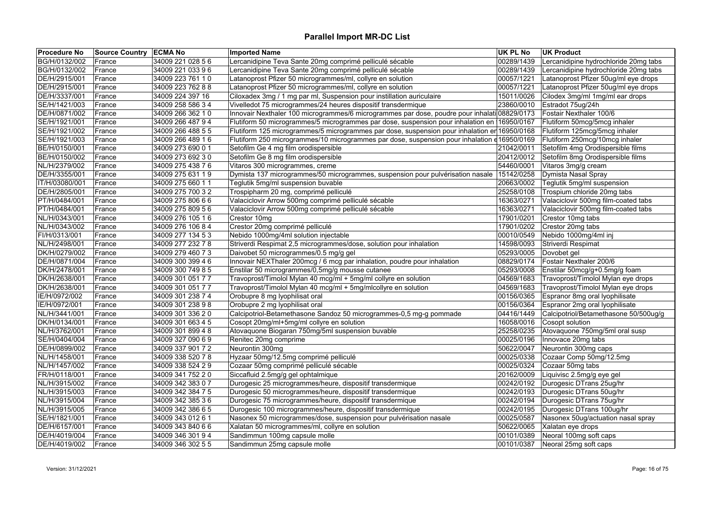| <b>Procedure No</b> | <b>Source Country ECMA No</b> |                   | <b>Imported Name</b>                                                                         | UK PL No   | <b>UK Product</b>                     |
|---------------------|-------------------------------|-------------------|----------------------------------------------------------------------------------------------|------------|---------------------------------------|
| BG/H/0132/002       | France                        | 34009 221 028 56  | Lercanidipine Teva Sante 20mg comprimé pelliculé sécable                                     | 00289/1439 | Lercanidipine hydrochloride 20mg tabs |
| BG/H/0132/002       | France                        | 34009 221 033 96  | Lercanidipine Teva Sante 20mg comprimé pelliculé sécable                                     | 00289/1439 | Lercanidipine hydrochloride 20mg tabs |
| DE/H/2915/001       | France                        | 34009 223 761 10  | Latanoprost Pfizer 50 microgrammes/ml, collyre en solution                                   | 00057/1221 | Latanoprost Pfizer 50ug/ml eye drops  |
| DE/H/2915/001       | France                        | 34009 223 762 88  | Latanoprost Pfizer 50 microgrammes/ml, collyre en solution                                   | 00057/1221 | Latanoprost Pfizer 50ug/ml eye drops  |
| DE/H/3337/001       | France                        | 34009 224 397 16  | Ciloxadex 3mg / 1 mg par ml, Suspension pour instillation auriculaire                        | 15011/0026 | Cilodex 3mg/ml 1mg/ml ear drops       |
| SE/H/1421/003       | France                        | 34009 258 586 34  | Vivelledot 75 microgrammes/24 heures dispositif transdermique                                | 23860/0010 | Estradot 75ug/24h                     |
| DE/H/0871/002       | France                        | 34009 266 362 10  | Innovair Nexthaler 100 microgrammes/6 microgrammes par dose, poudre pour inhalati 08829/0173 |            | Fostair Nexthaler 100/6               |
| SE/H/1921/001       | France                        | 34009 266 487 94  | Flutiform 50 microgrammes/5 microgrammes par dose, suspension pour inhalation en 16950/0167  |            | Flutiform 50mcg/5mcg inhaler          |
| SE/H/1921/002       | France                        | 34009 266 488 55  | Flutiform 125 microgrammes/5 microgrammes par dose, suspension pour inhalation er 16950/0168 |            | Flutiform 125mcg/5mcg inhaler         |
| SE/H/1921/003       | France                        | 34009 266 489 16  | Flutiform 250 microgrammes/10 microgrammes par dose, suspension pour inhalation e 16950/0169 |            | Flutiform 250mcg/10mcg inhaler        |
| BE/H/0150/001       | France                        | 34009 273 690 0 1 | Setofilm Ge 4 mg film orodispersible                                                         | 21042/0011 | Setofilm 4mg Orodispersible films     |
| BE/H/0150/002       | France                        | 34009 273 692 30  | Setofilm Ge 8 mg film orodispersible                                                         | 20412/0012 | Setofilm 8mg Orodispersible films     |
| NL/H/2379/002       | France                        | 34009 275 438 76  | Vitaros 300 microgrammes, creme                                                              | 54460/0001 | Vitaros 3mg/g cream                   |
| DE/H/3355/001       | France                        | 34009 275 631 19  | Dymista 137 microgrammes/50 microgrammes, suspension pour pulvérisation nasale               | 15142/0258 | Dymista Nasal Spray                   |
| IT/H/03080/001      | France                        | 34009 275 660 11  | Teglutik 5mg/ml suspension buvable                                                           | 20663/0002 | Teglutik 5mg/ml suspension            |
| DE/H/2805/001       | France                        | 34009 275 700 32  | Trospipharm 20 mg, comprimé pelliculé                                                        | 25258/0108 | Trospium chloride 20mg tabs           |
| PT/H/0484/001       | France                        | 34009 275 806 6 6 | Valaciclovir Arrow 500mg comprimé pelliculé sécable                                          | 16363/0271 | Valaciclovir 500mg film-coated tabs   |
| PT/H/0484/001       | France                        | 34009 275 809 56  | Valaciclovir Arrow 500mg comprimé pelliculé sécable                                          | 16363/0271 | Valaciclovir 500mg film-coated tabs   |
| NL/H/0343/001       | France                        | 34009 276 105 16  | Crestor 10mg                                                                                 | 17901/0201 | Crestor 10mg tabs                     |
| NL/H/0343/002       | France                        | 34009 276 106 8 4 | Crestor 20mg comprimé pelliculé                                                              | 17901/0202 | Crestor 20mg tabs                     |
| FI/H/0313/001       | France                        | 34009 277 134 5 3 | Nebido 1000mg/4ml solution injectable                                                        | 00010/0549 | Nebido 1000mg/4ml inj                 |
| NL/H/2498/001       | France                        | 34009 277 232 78  | Striverdi Respimat 2,5 microgrammes/dose, solution pour inhalation                           | 14598/0093 | Striverdi Respimat                    |
| DK/H/0279/002       | France                        | 34009 279 460 73  | Daivobet 50 microgrammes/0.5 mg/g gel                                                        | 05293/0005 | Dovobet gel                           |
| DE/H/0871/004       | France                        | 34009 300 399 46  | Innovair NEXThaler 200mcg / 6 mcg par inhalation, poudre pour inhalation                     | 08829/0174 | Fostair Nexthaler 200/6               |
| DK/H/2478/001       | France                        | 34009 300 749 8 5 | Enstilar 50 microgrammes/0,5mg/g mousse cutanee                                              | 05293/0008 | Enstilar 50mcg/g+0.5mg/g foam         |
| DK/H/2638/001       | France                        | 34009 301 051 77  | Travoprost/Timolol Mylan 40 mcg/ml + 5mg/ml collyre en solution                              | 04569/1683 | Travoprost/Timolol Mylan eye drops    |
| DK/H/2638/001       | France                        | 34009 301 051 7 7 | Travoprost/Timolol Mylan 40 mcg/ml + 5mg/mlcollyre en solution                               | 04569/1683 | Travoprost/Timolol Mylan eye drops    |
| IE/H/0972/002       | France                        | 34009 301 238 74  | Orobupre 8 mg lyophilisat oral                                                               | 00156/0365 | Espranor 8mg oral lyophilisate        |
| IE/H/0972/001       | France                        | 34009 301 238 98  | Orobupre 2 mg lyophilisat oral                                                               | 00156/0364 | Espranor 2mg oral lyophilisate        |
| NL/H/3441/001       | France                        | 34009 301 336 20  | Calcipotriol-Betamethasone Sandoz 50 microgrammes-0,5 mg-g pommade                           | 04416/1449 | Calcipotriol/Betamethasone 50/500ug/g |
| DK/H/0134/001       | France                        | 34009 301 663 4 5 | Cosopt 20mg/ml+5mg/ml collyre en solution                                                    | 16058/0016 | Cosopt solution                       |
| NL/H/3762/001       | France                        | 34009 301 899 48  | Atovaquone Biogaran 750mg/5ml suspension buvable                                             | 25258/0235 | Atovaquone 750mg/5ml oral susp        |
| SE/H/0404/004       | France                        | 34009 327 090 6 9 | Renitec 20mg comprime                                                                        | 00025/0196 | Innovace 20mg tabs                    |
| DE/H/0899/002       | France                        | 34009 337 901 72  | Neurontin 300mg                                                                              | 50622/0047 | Neurontin 300mg caps                  |
| NL/H/1458/001       | France                        | 34009 338 520 78  | Hyzaar 50mg/12.5mg comprimé pelliculé                                                        | 00025/0338 | Cozaar Comp 50mg/12.5mg               |
| NL/H/1457/002       | France                        | 34009 338 524 2 9 | Cozaar 50mg comprimé pelliculé sécable                                                       | 00025/0324 | Cozaar 50mg tabs                      |
| FR/H/0118/001       | France                        | 34009 341 752 20  | Siccafluid 2.5mg/g gel ophtalmique                                                           | 20162/0009 | Liquivisc 2.5mg/g eye gel             |
| NL/H/3915/002       | France                        | 34009 342 383 0 7 | Durogesic 25 microgrammes/heure, dispositif transdermique                                    | 00242/0192 | Durogesic DTrans 25ug/hr              |
| NL/H/3915/003       | France                        | 34009 342 384 7 5 | Durogesic 50 microgrammes/heure, dispositif transdermique                                    | 00242/0193 | Durogesic DTrans 50ug/hr              |
| NL/H/3915/004       | France                        | 34009 342 385 36  | Durogesic 75 microgrammes/heure, dispositif transdermique                                    | 00242/0194 | Durogesic DTrans 75ug/hr              |
| NL/H/3915/005       | France                        | 34009 342 386 6 5 | Durogesic 100 microgrammes/heure, dispositif transdermique                                   | 00242/0195 | Durogesic DTrans 100ug/hr             |
| SE/H/1821/001       | France                        | 34009 343 012 6 1 | Nasonex 50 microgrammes/dose, suspension pour pulvérisation nasale                           | 00025/0587 | Nasonex 50ug/actuation nasal spray    |
| DE/H/6157/001       | France                        | 34009 343 840 66  | Xalatan 50 microgrammes/ml, collyre en solution                                              | 50622/0065 | Xalatan eye drops                     |
| DE/H/4019/004       | France                        | 34009 346 301 94  | Sandimmun 100mg capsule molle                                                                | 00101/0389 | Neoral 100mg soft caps                |
| DE/H/4019/002       | France                        | 34009 346 302 55  | Sandimmun 25mg capsule molle                                                                 | 00101/0387 | Neoral 25mg soft caps                 |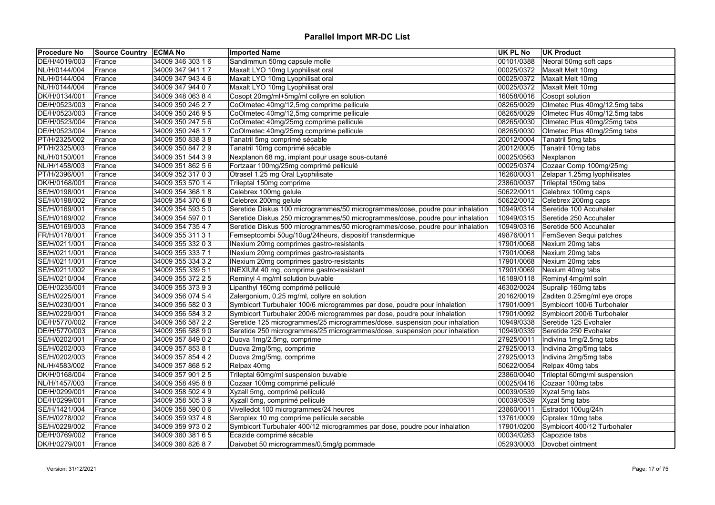| <b>Procedure No</b> | <b>Source Country ECMA No</b> |                   | <b>Imported Name</b>                                                          | <b>UK PL No</b> | <b>UK Product</b>             |
|---------------------|-------------------------------|-------------------|-------------------------------------------------------------------------------|-----------------|-------------------------------|
| DE/H/4019/003       | France                        | 34009 346 303 16  | Sandimmun 50mg capsule molle                                                  | 00101/0388      | Neoral 50mg soft caps         |
| NL/H/0144/004       | France                        | 34009 347 941 17  | Maxalt LYO 10mg Lyophilisat oral                                              | 00025/0372      | Maxalt Melt 10mg              |
| NL/H/0144/004       | France                        | 34009 347 943 46  | Maxalt LYO 10mg Lyophilisat oral                                              | 00025/0372      | Maxalt Melt 10mg              |
| NL/H/0144/004       | France                        | 34009 347 944 07  | Maxalt LYO 10mg Lyophilisat oral                                              | 00025/0372      | Maxalt Melt 10mg              |
| DK/H/0134/001       | France                        | 34009 348 063 84  | Cosopt 20mg/ml+5mg/ml collyre en solution                                     | 16058/0016      | Cosopt solution               |
| DE/H/0523/003       | France                        | 34009 350 245 27  | CoOlmetec 40mg/12,5mg comprime pellicule                                      | 08265/0029      | Olmetec Plus 40mg/12.5mg tabs |
| DE/H/0523/003       | France                        | 34009 350 246 9 5 | CoOlmetec 40mg/12,5mg comprime pellicule                                      | 08265/0029      | Olmetec Plus 40mg/12.5mg tabs |
| DE/H/0523/004       | France                        | 34009 350 247 56  | CoOlmetec 40mg/25mg comprime pellicule                                        | 08265/0030      | Olmetec Plus 40mg/25mg tabs   |
| DE/H/0523/004       | France                        | 34009 350 248 17  | CoOlmetec 40mg/25mg comprime pellicule                                        | 08265/0030      | Olmetec Plus 40mg/25mg tabs   |
| PT/H/2325/002       | France                        | 34009 350 838 38  | Tanatril 5mg comprimé sécable                                                 | 20012/0004      | Tanatril 5mg tabs             |
| PT/H/2325/003       | France                        | 34009 350 847 29  | Tanatril 10mg comprimé sécable                                                | 20012/0005      | Tanatril 10mg tabs            |
| NL/H/0150/001       | France                        | 34009 351 544 39  | Nexplanon 68 mg, implant pour usage sous-cutané                               | 00025/0563      | Nexplanon                     |
| NL/H/1458/003       | France                        | 34009 351 862 56  | Fortzaar 100mg/25mg comprimé pelliculé                                        | 00025/0374      | Cozaar Comp 100mg/25mg        |
| PT/H/2396/001       | France                        | 34009 352 317 0 3 | Otrasel 1.25 mg Oral Lyophilisate                                             | 16260/0031      | Zelapar 1.25mg lyophilisates  |
| DK/H/0168/001       | France                        | 34009 353 570 14  | Trileptal 150mg comprime                                                      | 23860/0037      | Trileptal 150mg tabs          |
| SE/H/0198/001       | France                        | 34009 354 368 18  | Celebrex 100mg gelule                                                         | 50622/0011      | Celebrex 100mg caps           |
| SE/H/0198/002       | France                        | 34009 354 370 68  | Celebrex 200mg gelule                                                         | 50622/0012      | Celebrex 200mg caps           |
| SE/H/0169/001       | France                        | 34009 354 593 50  | Seretide Diskus 100 microgrammes/50 microgrammes/dose, poudre pour inhalation | 10949/0314      | Seretide 100 Accuhaler        |
| SE/H/0169/002       | France                        | 34009 354 597 0 1 | Seretide Diskus 250 microgrammes/50 microgrammes/dose, poudre pour inhalation | 10949/0315      | Seretide 250 Accuhaler        |
| SE/H/0169/003       | France                        | 34009 354 735 4 7 | Seretide Diskus 500 microgrammes/50 microgrammes/dose, poudre pour inhalation | 10949/0316      | Seretide 500 Accuhaler        |
| FR/H/0178/001       | France                        | 34009 355 311 31  | Femseptcombi 50ug/10ug/24heurs, dispositif transdermique                      | 49876/0011      | FemSeven Sequi patches        |
| SE/H/0211/001       | France                        | 34009 355 332 0 3 | INexium 20mg comprimes gastro-resistants                                      | 17901/0068      | Nexium 20mg tabs              |
| SE/H/0211/001       | France                        | 34009 355 333 7 1 | INexium 20mg comprimes gastro-resistants                                      | 17901/0068      | Nexium 20mg tabs              |
| SE/H/0211/001       | France                        | 34009 355 334 3 2 | INexium 20mg comprimes gastro-resistants                                      | 17901/0068      | Nexium 20mg tabs              |
| SE/H/0211/002       | France                        | 34009 355 339 5 1 | INEXIUM 40 mg, comprime gastro-resistant                                      | 17901/0069      | Nexium 40mg tabs              |
| SE/H/0210/004       | France                        | 34009 355 372 2 5 | Reminyl 4 mg/ml solution buvable                                              | 16189/0118      | Reminyl 4mg/ml soln           |
| DE/H/0235/001       | France                        | 34009 355 373 9 3 | Lipanthyl 160mg comprimé pelliculé                                            | 46302/0024      | Supralip 160mg tabs           |
| SE/H/0225/001       | France                        | 34009 356 074 54  | Zalergonium, 0,25 mg/ml, collyre en solution                                  | 20162/0019      | Zaditen 0.25mg/ml eye drops   |
| SE/H/0230/001       | France                        | 34009 356 582 0 3 | Symbicort Turbuhaler 100/6 microgrammes par dose, poudre pour inhalation      | 17901/0091      | Symbicort 100/6 Turbohaler    |
| SE/H/0229/001       | France                        | 34009 356 584 32  | Symbicort Turbuhaler 200/6 microgrammes par dose, poudre pour inhalation      | 17901/0092      | Symbicort 200/6 Turbohaler    |
| DE/H/5770/002       | France                        | 34009 356 587 2 2 | Seretide 125 microgrammes/25 microgrammes/dose, suspension pour inhalation    | 10949/0338      | Seretide 125 Evohaler         |
| DE/H/5770/003       | France                        | 34009 356 588 90  | Seretide 250 microgrammes/25 microgrammes/dose, suspension pour inhalation    | 10949/0339      | Seretide 250 Evohaler         |
| SE/H/0202/001       |                               | 34009 357 849 0 2 | Duova 1mg/2.5mg, comprime                                                     | 27925/0011      | Indivina 1mg/2.5mg tabs       |
| SE/H/0202/003       | France<br>France              | 34009 357 853 8 1 | Duova 2mg/5mg, comprime                                                       | 27925/0013      |                               |
| SE/H/0202/003       |                               | 34009 357 854 4 2 |                                                                               | 27925/0013      | Indivina 2mg/5mg tabs         |
|                     | France                        |                   | Duova 2mg/5mg, comprime                                                       |                 | Indivina 2mg/5mg tabs         |
| NL/H/4583/002       | France                        | 34009 357 868 52  | Relpax 40mg                                                                   | 50622/0054      | Relpax 40mg tabs              |
| DK/H/0168/004       | France                        | 34009 357 901 25  | Trileptal 60mg/ml suspension buvable                                          | 23860/0040      | Trileptal 60mg/ml suspension  |
| NL/H/1457/003       | France                        | 34009 358 495 8 8 | Cozaar 100mg comprimé pelliculé                                               | 00025/0416      | Cozaar 100mg tabs             |
| DE/H/0299/001       | France                        | 34009 358 502 4 9 | Xyzall 5mg, comprimé pelliculé                                                | 00039/0539      | Xyzal 5mg tabs                |
| DE/H/0299/001       | France                        | 34009 358 505 39  | Xyzall 5mg, comprimé pelliculé                                                | 00039/0539      | Xyzal 5mg tabs                |
| SE/H/1421/004       | France                        | 34009 358 590 06  | Vivelledot 100 microgrammes/24 heures                                         | 23860/0011      | Estradot 100ug/24h            |
| SE/H/0278/002       | France                        | 34009 359 937 4 8 | Seroplex 10 mg comprime pellicule secable                                     | 13761/0009      | Cipralex 10mg tabs            |
| SE/H/0229/002       | France                        | 34009 359 973 0 2 | Symbicort Turbuhaler 400/12 microgrammes par dose, poudre pour inhalation     | 17901/0200      | Symbicort 400/12 Turbohaler   |
| DE/H/0769/002       | France                        | 34009 360 381 6 5 | Ecazide comprimé sécable                                                      | 00034/0263      | Capozide tabs                 |
| DK/H/0279/001       | France                        | 34009 360 826 87  | Daivobet 50 microgrammes/0,5mg/g pommade                                      | 05293/0003      | Dovobet ointment              |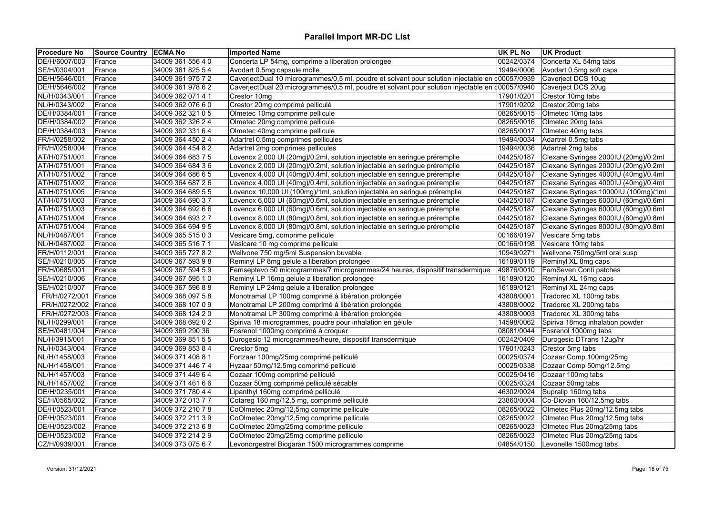| <b>Procedure No</b> | <b>Source Country ECMA No</b> |                   | <b>Imported Name</b>                                                                            | UK PL No   | <b>UK Product</b>                    |
|---------------------|-------------------------------|-------------------|-------------------------------------------------------------------------------------------------|------------|--------------------------------------|
| DE/H/6007/003       | France                        | 34009 361 556 4 0 | Concerta LP 54mg, comprime a liberation prolongee                                               | 00242/0374 | Concerta XL 54mg tabs                |
| SE/H/0304/001       | France                        | 34009 361 825 54  | Avodart 0.5mg capsule molle                                                                     | 19494/0006 | Avodart 0.5mg soft caps              |
| DE/H/5646/001       | France                        | 34009 361 975 72  | CaverjectDual 10 microgrammes/0,5 ml, poudre et solvant pour solution injectable en d00057/0939 |            | Caverject DCS 10ug                   |
| DE/H/5646/002       | France                        | 34009 361 978 62  | CaverjectDual 20 microgrammes/0,5 ml, poudre et solvant pour solution injectable en d00057/0940 |            | Caverject DCS 20ug                   |
| NL/H/0343/001       | France                        | 34009 362 071 4 1 | Crestor 10mg                                                                                    | 17901/0201 | Crestor 10mg tabs                    |
| NL/H/0343/002       | France                        | 34009 362 076 60  | Crestor 20mg comprimé pelliculé                                                                 | 17901/0202 | Crestor 20mg tabs                    |
| DE/H/0384/001       | France                        | 34009 362 321 0 5 | Olmetec 10mg comprime pellicule                                                                 | 08265/0015 | Olmetec 10mg tabs                    |
| DE/H/0384/002       | France                        | 34009 362 326 24  | Olmetec 20mg comprime pellicule                                                                 | 08265/0016 | Olmetec 20mg tabs                    |
| DE/H/0384/003       | France                        | 34009 362 331 64  | Olmetec 40mg comprime pellicule                                                                 | 08265/0017 | Olmetec 40mg tabs                    |
| FR/H/0258/002       | France                        | 34009 364 450 24  | Adartrel 0.5mg comprimes pellicules                                                             | 19494/0034 | Adartrel 0.5mg tabs                  |
| FR/H/0258/004       | France                        | 34009 364 454 82  | Adartrel 2mg comprimes pellicules                                                               | 19494/0036 | Adartrel 2mg tabs                    |
| AT/H/0751/001       | France                        | 34009 364 683 7 5 | Lovenox 2,000 UI (20mg)/0.2ml, solution injectable en seringue préremplie                       | 04425/0187 | Clexane Syringes 2000IU (20mg)/0.2ml |
| AT/H/0751/001       | France                        | 34009 364 684 36  | Lovenox 2,000 UI (20mg)/0.2ml, solution injectable en seringue préremplie                       | 04425/0187 | Clexane Syringes 2000IU (20mg)/0.2ml |
| AT/H/0751/002       | France                        | 34009 364 686 6 5 | Lovenox 4,000 UI (40mg)/0.4ml, solution injectable en seringue préremplie                       | 04425/0187 | Clexane Syringes 4000IU (40mg)/0.4ml |
| AT/H/0751/002       | France                        | 34009 364 687 26  | Lovenox 4,000 UI (40mg)/0.4ml, solution injectable en seringue préremplie                       | 04425/0187 | Clexane Syringes 4000IU (40mg)/0.4ml |
| AT/H/0751/005       | France                        | 34009 364 689 55  | Lovenox 10,000 UI (100mg)/1ml, solution injectable en seringue préremplie                       | 04425/0187 | Clexane Syringes 10000IU (100mg)/1ml |
| AT/H/0751/003       | France                        | 34009 364 690 37  | Lovenox 6,000 UI (60mg)/0.6ml, solution injectable en seringue préremplie                       | 04425/0187 | Clexane Syringes 6000IU (60mg)/0.6ml |
| AT/H/0751/003       | France                        | 34009 364 692 66  | Lovenox 6,000 UI (60mg)/0.6ml, solution injectable en seringue préremplie                       | 04425/0187 | Clexane Syringes 6000IU (60mg)/0.6ml |
| AT/H/0751/004       | France                        | 34009 364 693 27  | Lovenox 8,000 UI (80mg)/0.8ml, solution injectable en seringue préremplie                       | 04425/0187 | Clexane Syringes 8000IU (80mg)/0.8ml |
| AT/H/0751/004       | France                        | 34009 364 694 95  | Lovenox 8,000 UI (80mg)/0.8ml, solution injectable en seringue préremplie                       | 04425/0187 | Clexane Syringes 8000IU (80mg)/0.8ml |
| NL/H/0487/001       | France                        | 34009 365 515 0 3 | Vesicare 5mg, comprime pellicule                                                                | 00166/0197 | Vesicare 5mg tabs                    |
| NL/H/0487/002       | France                        | 34009 365 516 7 1 | Vesicare 10 mg comprime pellicule                                                               | 00166/0198 | Vesicare 10mg tabs                   |
| FR/H/0112/001       | France                        | 34009 365 727 82  | Wellvone 750 mg/5ml Suspension buvable                                                          | 10949/0271 | Wellvone 750mg/5ml oral susp         |
| SE/H/0210/005       | France                        | 34009 367 593 98  | Reminyl LP 8mg gelule a liberation prolongee                                                    | 16189/0119 | Reminyl XL 8mg caps                  |
| FR/H/0685/001       | France                        | 34009 367 594 59  | Femseptevo 50 microgrammes/7 microgrammes/24 heures, dispositif transdermique                   | 49876/0010 | FemSeven Conti patches               |
| SE/H/0210/006       | France                        | 34009 367 595 10  | Reminyl LP 16mg gelule a liberation prolongee                                                   | 16189/0120 | Reminyl XL 16mg caps                 |
| SE/H/0210/007       | France                        | 34009 367 596 88  | Reminyl LP 24mg gelule a liberation prolongee                                                   | 16189/0121 | Reminyl XL 24mg caps                 |
| FR/H/0272/001       | <b>France</b>                 | 34009 368 097 58  | Monotramal LP 100mg comprimé à libération prolongée                                             | 43808/0001 | Tradorec XL 100mg tabs               |
| FR/H/0272/002       | France                        | 34009 368 107 0 9 | Monotramal LP 200mg comprimé à libération prolongée                                             | 43808/0002 | Tradorec XL 200mg tabs               |
| FR/H/0272/003       | France                        | 34009 368 124 20  | Monotramal LP 300mg comprimé à libération prolongée                                             | 43808/0003 | Tradorec XL 300mg tabs               |
| NL/H/0299/001       | France                        | 34009 368 692 02  | Spiriva 18 microgrammes, poudre pour inhalation en gélule                                       | 14598/0062 | Spiriva 18mcg inhalation powder      |
| SE/H/0481/004       | France                        | 34009 369 290 36  | Fosrenol 1000mg comprimé à croquer                                                              | 08081/0044 | Fosrenol 1000mg tabs                 |
| NL/H/3915/001       | France                        | 34009 369 851 55  | Durogesic 12 microgrammes/heure, dispositif transdermique                                       | 00242/0409 | Durogesic DTrans 12ug/hr             |
| NL/H/0343/004       | France                        | 34009 369 853 84  | Crestor 5mg                                                                                     | 17901/0243 | Crestor 5mg tabs                     |
| NL/H/1458/003       | France                        | 34009 371 408 8 1 | Fortzaar 100mg/25mg comprimé pelliculé                                                          | 00025/0374 | Cozaar Comp 100mg/25mg               |
| NL/H/1458/001       | France                        | 34009 371 446 74  | Hyzaar 50mg/12.5mg comprimé pelliculé                                                           | 00025/0338 | Cozaar Comp 50mg/12.5mg              |
| NL/H/1457/003       | France                        | 34009 371 449 64  | Cozaar 100mg comprimé pelliculé                                                                 | 00025/0416 | Cozaar 100mg tabs                    |
| NL/H/1457/002       | France                        | 34009 371 461 66  | Cozaar 50mg comprimé pelliculé sécable                                                          | 00025/0324 | Cozaar 50mg tabs                     |
| DE/H/0235/001       | France                        | 34009 371 780 4 4 | Lipanthyl 160mg comprimé pelliculé                                                              | 46302/0024 | Supralip 160mg tabs                  |
| SE/H/0565/002       | France                        | 34009 372 013 7 7 | Cotareg 160 mg/12,5 mg, comprimé pelliculé                                                      | 23860/0004 | Co-Diovan 160/12.5mg tabs            |
| DE/H/0523/001       |                               | 34009 372 210 78  | CoOlmetec 20mg/12,5mg comprime pellicule                                                        | 08265/0022 | Olmetec Plus 20mg/12.5mg tabs        |
| DE/H/0523/001       | France                        |                   | CoOlmetec 20mg/12,5mg comprime pellicule                                                        | 08265/0022 | Olmetec Plus 20mg/12.5mg tabs        |
| DE/H/0523/002       | France                        | 34009 372 211 3 9 |                                                                                                 |            |                                      |
|                     | France                        | 34009 372 213 6 8 | CoOlmetec 20mg/25mg comprime pellicule                                                          | 08265/0023 | Olmetec Plus 20mg/25mg tabs          |
| DE/H/0523/002       | France                        | 34009 372 214 2 9 | CoOlmetec 20mg/25mg comprime pellicule                                                          | 08265/0023 | Olmetec Plus 20mg/25mg tabs          |
| CZ/H/0939/001       | France                        | 34009 373 075 67  | Levonorgestrel Biogaran 1500 microgrammes comprime                                              | 04854/0150 | Levonelle 1500mcg tabs               |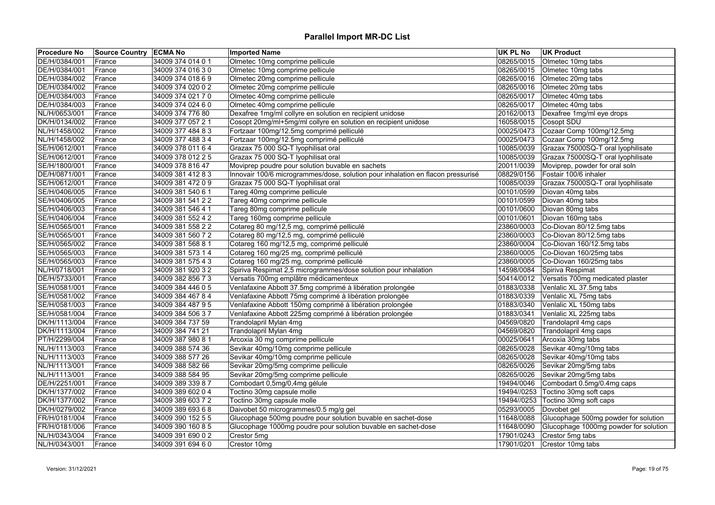| <b>Procedure No</b> | Source Country ECMA No |                   | <b>Imported Name</b>                                                            | <b>UK PL No</b> | <b>UK Product</b>                     |
|---------------------|------------------------|-------------------|---------------------------------------------------------------------------------|-----------------|---------------------------------------|
| DE/H/0384/001       | France                 | 34009 374 014 0 1 | Olmetec 10mg comprime pellicule                                                 | 08265/0015      | Olmetec 10mg tabs                     |
| DE/H/0384/001       | France                 | 34009 374 016 30  | Olmetec 10mg comprime pellicule                                                 | 08265/0015      | Olmetec 10mg tabs                     |
| DE/H/0384/002       | France                 | 34009 374 018 69  | Olmetec 20mg comprime pellicule                                                 | 08265/0016      | Olmetec 20mg tabs                     |
| DE/H/0384/002       | France                 | 34009 374 020 02  | Olmetec 20mg comprime pellicule                                                 | 08265/0016      | Olmetec 20mg tabs                     |
| DE/H/0384/003       | France                 | 34009 374 021 7 0 | Olmetec 40mg comprime pellicule                                                 | 08265/0017      | Olmetec 40mg tabs                     |
| DE/H/0384/003       | France                 | 34009 374 024 60  | Olmetec 40mg comprime pellicule                                                 | 08265/0017      | Olmetec 40mg tabs                     |
| NL/H/0653/001       | France                 | 34009 374 776 80  | Dexafree 1mg/ml collyre en solution en recipient unidose                        | 20162/0013      | Dexafree 1mg/ml eye drops             |
| DK/H/0134/002       | France                 | 34009 377 057 21  | Cosopt 20mg/ml+5mg/ml collyre en solution en recipient unidose                  | 16058/0015      | Cosopt SDU                            |
| NL/H/1458/002       | France                 | 34009 377 484 83  | Fortzaar 100mg/12.5mg comprimé pelliculé                                        | 00025/0473      | Cozaar Comp 100mg/12.5mg              |
| NL/H/1458/002       | France                 | 34009 377 488 34  | Fortzaar 100mg/12.5mg comprimé pelliculé                                        | 00025/0473      | Cozaar Comp 100mg/12.5mg              |
| SE/H/0612/001       | France                 | 34009 378 011 6 4 | Grazax 75 000 SQ-T lyophilisat oral                                             | 10085/0039      | Grazax 75000SQ-T oral lyophilisate    |
| SE/H/0612/001       | France                 | 34009 378 012 2 5 | Grazax 75 000 SQ-T lyophilisat oral                                             | 10085/0039      | Grazax 75000SQ-T oral lyophilisate    |
| SE/H/1800/001       | France                 | 34009 378 816 47  | Moviprep poudre pour solution buvable en sachets                                | 20011/0039      | Moviprep, powder for oral soln        |
| DE/H/0871/001       | France                 | 34009 381 412 83  | Innovair 100/6 microgrammes/dose, solution pour inhalation en flacon pressurisé | 08829/0156      | Fostair 100/6 inhaler                 |
| SE/H/0612/001       | France                 | 34009 381 472 09  | Grazax 75 000 SQ-T lyophilisat oral                                             | 10085/0039      | Grazax 75000SQ-T oral lyophilisate    |
| SE/H/0406/005       | France                 | 34009 381 540 6 1 | Tareg 40mg comprime pellicule                                                   | 00101/0599      | Diovan 40mg tabs                      |
| SE/H/0406/005       | France                 | 34009 381 541 22  | Tareg 40mg comprime pellicule                                                   | 00101/0599      | Diovan 40mg tabs                      |
| SE/H/0406/003       | France                 | 34009 381 546 4 1 | Tareg 80mg comprime pellicule                                                   | 00101/0600      | Diovan 80mg tabs                      |
| SE/H/0406/004       | France                 | 34009 381 552 4 2 | Tareg 160mg comprime pellicule                                                  | 00101/0601      | Diovan 160mg tabs                     |
| SE/H/0565/001       | France                 | 34009 381 558 22  | Cotareg 80 mg/12,5 mg, comprimé pelliculé                                       | 23860/0003      | Co-Diovan 80/12.5mg tabs              |
| SE/H/0565/001       | France                 | 34009 381 560 72  | Cotareg 80 mg/12,5 mg, comprimé pelliculé                                       | 23860/0003      | Co-Diovan 80/12.5mg tabs              |
| SE/H/0565/002       | France                 | 34009 381 568 81  | Cotareg 160 mg/12,5 mg, comprimé pelliculé                                      |                 | 23860/0004 Co-Diovan 160/12.5mg tabs  |
| SE/H/0565/003       | France                 | 34009 381 573 14  | Cotareg 160 mg/25 mg, comprimé pelliculé                                        | 23860/0005      | Co-Diovan 160/25mg tabs               |
| SE/H/0565/003       | France                 | 34009 381 575 4 3 | Cotareg 160 mg/25 mg, comprimé pelliculé                                        | 23860/0005      | Co-Diovan 160/25mg tabs               |
| NL/H/0718/001       | France                 | 34009 381 920 32  | Spiriva Respimat 2,5 microgrammes/dose solution pour inhalation                 | 14598/0084      | Spiriva Respimat                      |
| DE/H/5733/001       | France                 | 34009 382 856 73  | Versatis 700mg emplâtre médicamenteux                                           | 50414/0012      | Versatis 700mg medicated plaster      |
| SE/H/0581/001       | France                 | 34009 384 446 0 5 | Venlafaxine Abbott 37.5mg comprimé à libération prolongée                       | 01883/0338      | Venlalic XL 37.5mg tabs               |
| SE/H/0581/002       | France                 | 34009 384 467 84  | Venlafaxine Abbott 75mg comprimé à libération prolongée                         | 01883/0339      | Venlalic XL 75mg tabs                 |
| SE/H/0581/003       | France                 | 34009 384 487 95  | Venlafaxine Abbott 150mg comprimé à libération prolongée                        | 01883/0340      | Venlalic XL 150mg tabs                |
| SE/H/0581/004       | France                 | 34009 384 506 37  | Venlafaxine Abbott 225mg comprimé à libération prolongée                        | 01883/0341      | Venlalic XL 225mg tabs                |
| DK/H/1113/004       | France                 | 34009 384 737 59  | Trandolapril Mylan 4mg                                                          | 04569/0820      | Trandolapril 4mg caps                 |
| DK/H/1113/004       | France                 | 34009 384 741 21  | Trandolapril Mylan 4mg                                                          | 04569/0820      | Trandolapril 4mg caps                 |
| PT/H/2299/004       | France                 | 34009 387 980 8 1 | Arcoxia 30 mg comprime pellicule                                                | 00025/0641      | Arcoxia 30mg tabs                     |
| NL/H/1113/003       | France                 | 34009 388 574 36  | Sevikar 40mg/10mg comprime pellicule                                            | 08265/0028      | Sevikar 40mg/10mg tabs                |
| NL/H/1113/003       | France                 | 34009 388 577 26  | Sevikar 40mg/10mg comprime pellicule                                            | 08265/0028      | Sevikar 40mg/10mg tabs                |
| NL/H/1113/001       | France                 | 34009 388 582 66  | Sevikar 20mg/5mg comprime pellicule                                             | 08265/0026      | Sevikar 20mg/5mg tabs                 |
| NL/H/1113/001       | France                 | 34009 388 584 95  | Sevikar 20mg/5mg comprime pellicule                                             | 08265/0026      | Sevikar 20mg/5mg tabs                 |
| DE/H/2251/001       | France                 | 34009 389 339 87  | Combodart 0,5mg/0,4mg gélule                                                    | 19494/0046      | Combodart 0.5mg/0.4mg caps            |
| DK/H/1377/002       | France                 | 34009 389 602 0 4 | Toctino 30mg capsule molle                                                      |                 | 19494//0253 Toctino 30mg soft caps    |
| DK/H/1377/002       | France                 | 34009 389 603 72  | Toctino 30mg capsule molle                                                      |                 | 19494//0253 Toctino 30mg soft caps    |
| DK/H/0279/002       | France                 | 34009 389 693 68  | Daivobet 50 microgrammes/0.5 mg/g gel                                           | 05293/0005      | Dovobet gel                           |
| FR/H/0181/004       | France                 | 34009 390 152 5 5 | Glucophage 500mg poudre pour solution buvable en sachet-dose                    | 11648/0088      | Glucophage 500mg powder for solution  |
| FR/H/0181/006       | France                 | 34009 390 160 8 5 | Glucophage 1000mg poudre pour solution buvable en sachet-dose                   | 11648/0090      | Glucophage 1000mg powder for solution |
| NL/H/0343/004       | France                 | 34009 391 690 02  | Crestor 5mg                                                                     | 17901/0243      | Crestor 5mg tabs                      |
| NL/H/0343/001       | France                 | 34009 391 694 60  | Crestor 10mg                                                                    | 17901/0201      | Crestor 10mg tabs                     |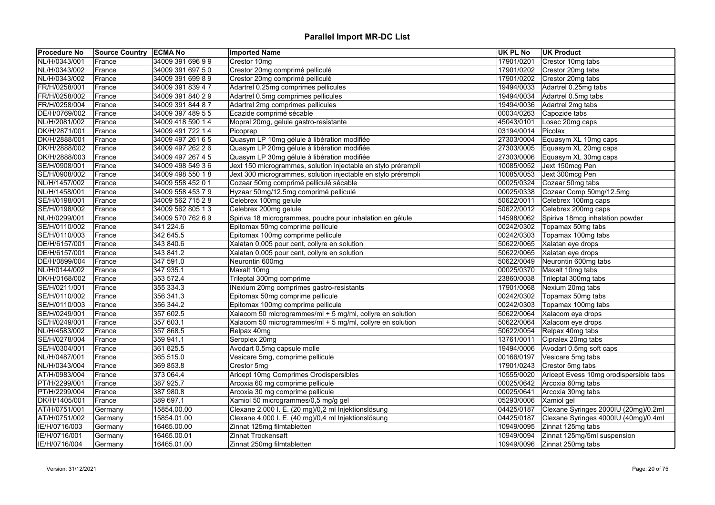| <b>Procedure No</b> | Source Country ECMA No |                   | <b>Imported Name</b>                                          | <b>UK PL No</b>       | <b>UK Product</b>                      |
|---------------------|------------------------|-------------------|---------------------------------------------------------------|-----------------------|----------------------------------------|
| NL/H/0343/001       | France                 | 34009 391 696 99  | Crestor 10mg                                                  | 17901/0201            | Crestor 10mg tabs                      |
| NL/H/0343/002       | France                 | 34009 391 697 50  | Crestor 20mg comprimé pelliculé                               | 17901/0202            | Crestor 20mg tabs                      |
| NL/H/0343/002       | France                 | 34009 391 699 8 9 | Crestor 20mg comprimé pelliculé                               | 17901/0202            | Crestor 20mg tabs                      |
| FR/H/0258/001       | France                 | 34009 391 839 47  | Adartrel 0.25mg comprimes pellicules                          | 19494/0033            | Adartrel 0.25mg tabs                   |
| FR/H/0258/002       | France                 | 34009 391 840 29  | Adartrel 0.5mg comprimes pellicules                           | 19494/0034            | Adartrel 0.5mg tabs                    |
| FR/H/0258/004       | France                 | 34009 391 844 87  | Adartrel 2mg comprimes pellicules                             | 19494/0036            | Adartrel 2mg tabs                      |
| DE/H/0769/002       | France                 | 34009 397 489 5 5 | Ecazide comprimé sécable                                      | 00034/0263            | Capozide tabs                          |
| NL/H/2081/002       | France                 | 34009 418 590 14  | Mopral 20mg, gelule gastro-resistante                         | 45043/0101            | Losec 20mg caps                        |
| DK/H/2871/001       | France                 | 34009 491 722 14  | Picoprep                                                      | 03194/0014            | Picolax                                |
| DK/H/2888/001       | France                 | 34009 497 261 6 5 | Quasym LP 10mg gélule à libération modifiée                   | 27303/0004            | Equasym XL 10mg caps                   |
| DK/H/2888/002       | France                 | 34009 497 262 26  | Quasym LP 20mg gélule à libération modifiée                   | 27303/0005            | Equasym XL 20mg caps                   |
| DK/H/2888/003       | France                 | 34009 497 267 45  | Quasym LP 30mg gélule à libération modifiée                   | 27303/0006            | Equasym XL 30mg caps                   |
| SE/H/0908/001       | France                 | 34009 498 549 36  | Jext 150 microgrammes, solution injectable en stylo prérempli | 10085/0052            | Jext 150mcg Pen                        |
| SE/H/0908/002       | France                 | 34009 498 550 18  | Jext 300 microgrammes, solution injectable en stylo prérempli | 10085/0053            | Jext 300mcg Pen                        |
| NL/H/1457/002       | France                 | 34009 558 452 0 1 | Cozaar 50mg comprimé pelliculé sécable                        | 00025/0324            | Cozaar 50mg tabs                       |
| NL/H/1458/001       | France                 | 34009 558 453 7 9 | Hyzaar 50mg/12.5mg comprimé pelliculé                         | 00025/0338            | Cozaar Comp 50mg/12.5mg                |
| SE/H/0198/001       | France                 | 34009 562 715 2 8 | Celebrex 100mg gelule                                         | 50622/0011            | Celebrex 100mg caps                    |
| SE/H/0198/002       | France                 | 34009 562 805 13  | Celebrex 200mg gelule                                         | 50622/0012            | Celebrex 200mg caps                    |
| NL/H/0299/001       | France                 | 34009 570 762 69  | Spiriva 18 microgrammes, poudre pour inhalation en gélule     | 14598/0062            | Spiriva 18mcg inhalation powder        |
| SE/H/0110/002       | France                 | 341 224.6         | Epitomax 50mg comprime pellicule                              | 00242/0302            | Topamax 50mg tabs                      |
| SE/H/0110/003       | France                 | 342 645.5         | Epitomax 100mg comprime pellicule                             | 00242/0303            | Topamax 100mg tabs                     |
| DE/H/6157/001       | France                 | 343 840.6         | Xalatan 0,005 pour cent, collyre en solution                  |                       | 50622/0065 Xalatan eye drops           |
| DE/H/6157/001       | France                 | 343 841.2         | Xalatan 0,005 pour cent, collyre en solution                  | 50622/0065            | Xalatan eye drops                      |
| DE/H/0899/004       | France                 | 347 591.0         | Neurontin 600mg                                               |                       | 50622/0049 Neurontin 600mg tabs        |
| NL/H/0144/002       | France                 | 347 935.1         | Maxalt 10mg                                                   | 00025/0370            | Maxalt 10mg tabs                       |
| DK/H/0168/002       | France                 | 353 572.4         | Trileptal 300mg comprime                                      | 23860/0038            | Trileptal 300mg tabs                   |
| SE/H/0211/001       | France                 | 355 334.3         | INexium 20mg comprimes gastro-resistants                      | 17901/0068            | Nexium 20mg tabs                       |
| SE/H/0110/002       | France                 | 356 341.3         | Epitomax 50mg comprime pellicule                              |                       | 00242/0302   Topamax 50mg tabs         |
| SE/H/0110/003       | France                 | 356 344.2         | Epitomax 100mg comprime pellicule                             | 00242/0303            | Topamax 100mg tabs                     |
| SE/H/0249/001       | France                 | 357 602.5         | Xalacom 50 microgrammes/ml + 5 mg/ml, collyre en solution     |                       | 50622/0064 Xalacom eye drops           |
| SE/H/0249/001       | France                 | 357 603.1         | Xalacom 50 microgrammes/ml + 5 mg/ml, collyre en solution     | 50622/0064            | Xalacom eye drops                      |
| NL/H/4583/002       | France                 | 357 868.5         | Relpax 40mg                                                   | 50622/0054            | Relpax 40mg tabs                       |
| SE/H/0278/004       | France                 | 359 941.1         | Seroplex 20mg                                                 | 13761/0011            | Cipralex 20mg tabs                     |
| SE/H/0304/001       | France                 | 361 825.5         | Avodart 0.5mg capsule molle                                   | 19494/0006            | Avodart 0.5mg soft caps                |
| NL/H/0487/001       | France                 | 365 515.0         | Vesicare 5mg, comprime pellicule                              | 00166/0197            | Vesicare 5mg tabs                      |
| NL/H/0343/004       | France                 | 369 853.8         | Crestor 5mg                                                   | 17901/0243            | Crestor 5mg tabs                       |
| AT/H/0983/004       | France                 | 373 064.4         | Aricept 10mg Comprimes Orodispersibles                        | 10555/0020            | Aricept Evess 10mg orodispersible tabs |
| PT/H/2299/001       | France                 | 387 925.7         | Arcoxia 60 mg comprime pellicule                              |                       | 00025/0642 Arcoxia 60mg tabs           |
| PT/H/2299/004       | France                 | 387 980.8         | Arcoxia 30 mg comprime pellicule                              | 00025/0641            | Arcoxia 30mg tabs                      |
| DK/H/1405/001       | France                 | 389 697.1         | Xamiol 50 microgrammes/0,5 mg/g gel                           | 05293/0006 Xamiol gel |                                        |
| AT/H/0751/001       | Germany                | 15854.00.00       | Clexane 2.000 I. E. (20 mg)/0,2 ml Injektionslösung           | 04425/0187            | Clexane Syringes 2000IU (20mg)/0.2ml   |
| AT/H/0751/002       | Germany                | 15854.01.00       | Clexane 4.000 I. E. (40 mg)/0,4 ml Injektionslösung           | 04425/0187            | Clexane Syringes 4000IU (40mg)/0.4ml   |
| IE/H/0716/003       | Germany                | 16465.00.00       | Zinnat 125mg filmtabletten                                    | 10949/0095            | Zinnat 125mg tabs                      |
| IE/H/0716/001       | Germany                | 16465.00.01       | Zinnat Trockensaft                                            | 10949/0094            | Zinnat 125mg/5ml suspension            |
| IE/H/0716/004       | Germany                | 16465.01.00       | Zinnat 250mg filmtabletten                                    |                       |                                        |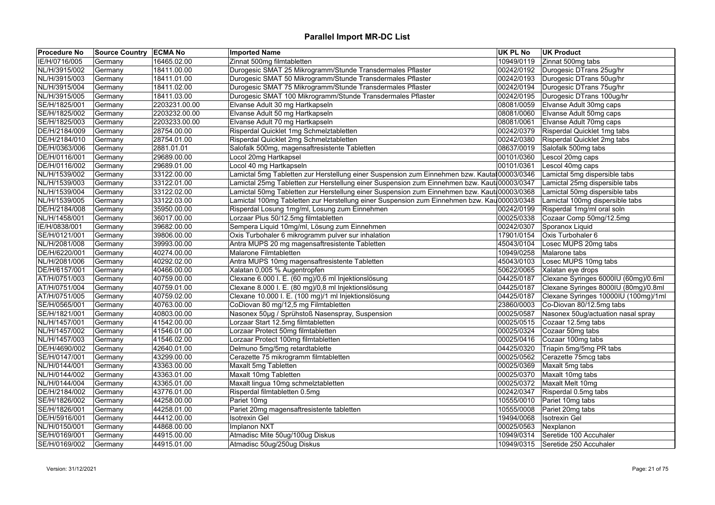| <b>Procedure No</b> | Source Country   ECMA No |               | <b>Imported Name</b>                                                                         | UK PL No   | <b>UK Product</b>                    |
|---------------------|--------------------------|---------------|----------------------------------------------------------------------------------------------|------------|--------------------------------------|
| IE/H/0716/005       | Germany                  | 16465.02.00   | Zinnat 500mg filmtabletten                                                                   | 10949/0119 | Zinnat 500mg tabs                    |
| NL/H/3915/002       | Germany                  | 18411.00.00   | Durogesic SMAT 25 Mikrogramm/Stunde Transdermales Pflaster                                   | 00242/0192 | Durogesic DTrans 25ug/hr             |
| NL/H/3915/003       | Germany                  | 18411.01.00   | Durogesic SMAT 50 Mikrogramm/Stunde Transdermales Pflaster                                   | 00242/0193 | Durogesic DTrans 50ug/hr             |
| NL/H/3915/004       | Germany                  | 18411.02.00   | Durogesic SMAT 75 Mikrogramm/Stunde Transdermales Pflaster                                   | 00242/0194 | Durogesic DTrans 75ug/hr             |
| NL/H/3915/005       | Germany                  | 18411.03.00   | Durogesic SMAT 100 Mikrogramm/Stunde Transdermales Pflaster                                  | 00242/0195 | Durogesic DTrans 100ug/hr            |
| SE/H/1825/001       | Germany                  | 2203231.00.00 | Elvanse Adult 30 mg Hartkapseln                                                              | 08081/0059 | Elvanse Adult 30mg caps              |
| SE/H/1825/002       | Germany                  | 2203232.00.00 | Elvanse Adult 50 mg Hartkapseln                                                              | 08081/0060 | Elvanse Adult 50mg caps              |
| SE/H/1825/003       | Germany                  | 2203233.00.00 | Elvanse Adult 70 mg Hartkapseln                                                              | 08081/0061 | Elvanse Adult 70mg caps              |
| DE/H/2184/009       | Germany                  | 28754.00.00   | Risperdal Quicklet 1mg Schmelztabletten                                                      | 00242/0379 | Risperdal Quicklet 1mg tabs          |
| DE/H/2184/010       | Germany                  | 28754.01.00   | Risperdal Quicklet 2mg Schmelztabletten                                                      | 00242/0380 | Risperdal Quicklet 2mg tabs          |
| DE/H/0363/006       | Germany                  | 2881.01.01    | Salofalk 500mg, magensaftresistente Tabletten                                                | 08637/0019 | Salofalk 500mg tabs                  |
| DE/H/0116/001       | Germany                  | 29689.00.00   | Locol 20mg Hartkapsel                                                                        | 00101/0360 | Lescol 20mg caps                     |
| DE/H/0116/002       | Germany                  | 29689.01.00   | Locol 40 mg Hartkapseln                                                                      | 00101/0361 | Lescol 40mg caps                     |
| NL/H/1539/002       | Germany                  | 33122.00.00   | Lamictal 5mg Tabletten zur Herstellung einer Suspension zum Einnehmen bzw. Kautal 00003/0346 |            | Lamictal 5mg dispersible tabs        |
| NL/H/1539/003       | Germany                  | 33122.01.00   | Lamictal 25mg Tabletten zur Herstellung einer Suspension zum Einnehmen bzw. Kautł 00003/0347 |            | Lamictal 25mg dispersible tabs       |
| NL/H/1539/004       | Germany                  | 33122.02.00   | Lamictal 50mg Tabletten zur Herstellung einer Suspension zum Einnehmen bzw. Kauta00003/0368  |            | Lamictal 50mg dispersible tabs       |
| NL/H/1539/005       | Germany                  | 33122.03.00   | Lamictal 100mg Tabletten zur Herstellung einer Suspension zum Einnehmen bzw. Kau 00003/0348  |            | Lamictal 100mg dispersible tabs      |
| DE/H/2184/008       | Germany                  | 35950.00.00   | Risperdal Losung 1mg/ml, Losung zum Einnehmen                                                | 00242/0199 | Risperdal 1mg/ml oral soln           |
| NL/H/1458/001       | Germany                  | 36017.00.00   | Lorzaar Plus 50/12.5mg filmtabletten                                                         | 00025/0338 | Cozaar Comp 50mg/12.5mg              |
| IE/H/0838/001       | Germany                  | 39682.00.00   | Sempera Liquid 10mg/ml, Lösung zum Einnehmen                                                 | 00242/0307 | Sporanox Liquid                      |
| SE/H/0121/001       | Germany                  | 39806.00.00   | Oxis Turbohaler 6 mikrogramm pulver sur inhalation                                           | 17901/0154 | Oxis Turbohaler 6                    |
| NL/H/2081/008       | Germany                  | 39993.00.00   | Antra MUPS 20 mg magensaftresistente Tabletten                                               | 45043/0104 | Losec MUPS 20mg tabs                 |
| DE/H/6220/001       | Germany                  | 40274.00.00   | Malarone Filmtabletten                                                                       | 10949/0258 | Malarone tabs                        |
| NL/H/2081/006       | Germany                  | 40292.02.00   | Antra MUPS 10mg magensaftresistente Tabletten                                                | 45043/0103 | Losec MUPS 10mg tabs                 |
| DE/H/6157/001       | Germany                  | 40466.00.00   | Xalatan 0,005 % Augentropfen                                                                 | 50622/0065 | Xalatan eye drops                    |
| AT/H/0751/003       | Germany                  | 40759.00.00   | Clexane 6.000 I. E. (60 mg)/0,6 ml Injektionslösung                                          | 04425/0187 | Clexane Syringes 6000IU (60mg)/0.6ml |
| AT/H/0751/004       | Germany                  | 40759.01.00   | Clexane 8.000 I. E. (80 mg)/0,8 ml Injektionslösung                                          | 04425/0187 | Clexane Syringes 8000IU (80mg)/0.8ml |
| AT/H/0751/005       | Germany                  | 40759.02.00   | Clexane 10.000 I. E. (100 mg)/1 ml Injektionslösung                                          | 04425/0187 | Clexane Syringes 10000IU (100mg)/1ml |
| SE/H/0565/001       | Germany                  | 40763.00.00   | CoDiovan 80 mg/12,5 mg Filmtabletten                                                         | 23860/0003 | Co-Diovan 80/12.5mg tabs             |
| SE/H/1821/001       | Germany                  | 40803.00.00   | Nasonex 50µg / Sprühstoß Nasenspray, Suspension                                              | 00025/0587 | Nasonex 50ug/actuation nasal spray   |
| NL/H/1457/001       | Germany                  | 41542.00.00   | Lorzaar Start 12.5mg filmtabletten                                                           | 00025/0515 | Cozaar 12.5mg tabs                   |
| NL/H/1457/002       | Germany                  | 41546.01.00   | Lorzaar Protect 50mg filmtabletten                                                           | 00025/0324 | Cozaar 50mg tabs                     |
| NL/H/1457/003       | Germany                  | 41546.02.00   | Lorzaar Protect 100mg filmtabletten                                                          | 00025/0416 | Cozaar 100mg tabs                    |
| DE/H/4690/002       |                          | 42640.01.00   | Delmuno 5mg/5mg retardtablette                                                               | 04425/0320 | Triapin 5mg/5mg PR tabs              |
| SE/H/0147/001       | Germany<br>Germany       | 43299.00.00   | Cerazette 75 mikrogramm filmtabletten                                                        | 00025/0562 | Cerazette 75mcg tabs                 |
|                     |                          | 43363.00.00   |                                                                                              |            |                                      |
| NL/H/0144/001       | Germany                  |               | Maxalt 5mg Tabletten                                                                         | 00025/0369 | Maxalt 5mg tabs                      |
| NL/H/0144/002       | Germany                  | 43363.01.00   | Maxalt 10mg Tabletten                                                                        | 00025/0370 | Maxalt 10mg tabs                     |
| NL/H/0144/004       | Germany                  | 43365.01.00   | Maxalt lingua 10mg schmelztabletten                                                          | 00025/0372 | Maxalt Melt 10mg                     |
| DE/H/2184/002       | Germany                  | 43776.01.00   | Risperdal filmtabletten 0.5mg                                                                | 00242/0347 | Risperdal 0.5mg tabs                 |
| SE/H/1826/002       | Germany                  | 44258.00.00   | Pariet 10mg                                                                                  | 10555/0010 | Pariet 10mg tabs                     |
| SE/H/1826/001       | Germany                  | 44258.01.00   | Pariet 20mg magensaftresistente tabletten                                                    | 10555/0008 | Pariet 20mg tabs                     |
| DE/H/5916/001       | Germany                  | 44412.00.00   | <b>Isotrexin Gel</b>                                                                         | 19494/0068 | <b>Isotrexin Gel</b>                 |
| NL/H/0150/001       | Germany                  | 44868.00.00   | Implanon NXT                                                                                 | 00025/0563 | Nexplanon                            |
| SE/H/0169/001       | Germany                  | 44915.00.00   | Atmadisc Mite 50ug/100ug Diskus                                                              | 10949/0314 | Seretide 100 Accuhaler               |
| SE/H/0169/002       | Germany                  | 44915.01.00   | Atmadisc 50ug/250ug Diskus                                                                   |            | 10949/0315 Seretide 250 Accuhaler    |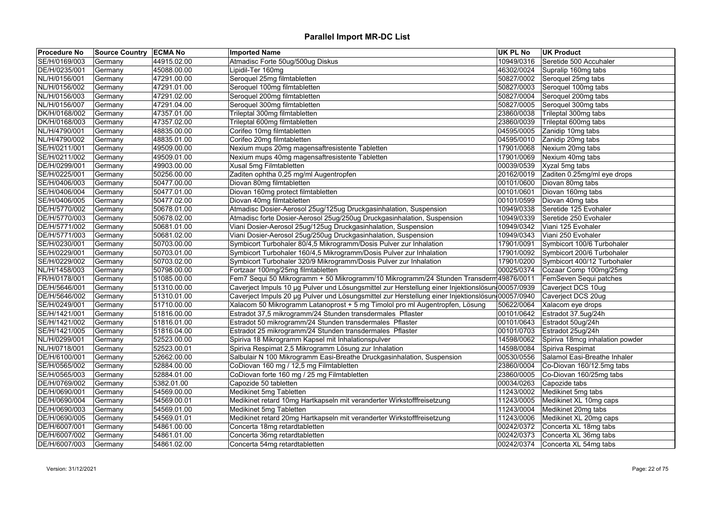| <b>Procedure No</b> | Source Country   ECMA No |             | <b>Imported Name</b>                                                                             | <b>UK PL No</b> | UK Product                        |
|---------------------|--------------------------|-------------|--------------------------------------------------------------------------------------------------|-----------------|-----------------------------------|
| SE/H/0169/003       | Germany                  | 44915.02.00 | Atmadisc Forte 50ug/500ug Diskus                                                                 | 10949/0316      | Seretide 500 Accuhaler            |
| DE/H/0235/001       | Germany                  | 45088.00.00 | Lipidil-Ter 160mg                                                                                | 46302/0024      | Supralip 160mg tabs               |
| NL/H/0156/001       | Germany                  | 47291.00.00 | Seroquel 25mg filmtabletten                                                                      |                 | 50827/0002 Seroquel 25mg tabs     |
| NL/H/0156/002       | Germany                  | 47291.01.00 | Seroquel 100mg filmtabletten                                                                     | 50827/0003      | Seroquel 100mg tabs               |
| NL/H/0156/003       | Germany                  | 47291.02.00 | Seroquel 200mg filmtabletten                                                                     | 50827/0004      | Seroquel 200mg tabs               |
| NL/H/0156/007       | Germany                  | 47291.04.00 | Seroquel 300mg filmtabletten                                                                     |                 | 50827/0005 Seroquel 300mg tabs    |
| DK/H/0168/002       | Germany                  | 47357.01.00 | Trileptal 300mg filmtabletten                                                                    | 23860/0038      | Trileptal 300mg tabs              |
| DK/H/0168/003       | Germany                  | 47357.02.00 | Trileptal 600mg filmtabletten                                                                    | 23860/0039      | Trileptal 600mg tabs              |
| NL/H/4790/001       | Germany                  | 48835.00.00 | Corifeo 10mg filmtabletten                                                                       | 04595/0005      | Zanidip 10mg tabs                 |
| NL/H/4790/002       | Germany                  | 48835.01.00 | Corifeo 20mg filmtabletten                                                                       | 04595/0010      | Zanidip 20mg tabs                 |
| SE/H/0211/001       | Germany                  | 49509.00.00 | Nexium mups 20mg magensaftresistente Tabletten                                                   | 17901/0068      | Nexium 20mg tabs                  |
| SE/H/0211/002       | Germany                  | 49509.01.00 | Nexium mups 40mg magensaftresistente Tabletten                                                   | 17901/0069      | Nexium 40mg tabs                  |
| DE/H/0299/001       | Germany                  | 49903.00.00 | Xusal 5mg Filmtabletten                                                                          | 00039/0539      | Xyzal 5mg tabs                    |
| SE/H/0225/001       | Germany                  | 50256.00.00 | Zaditen ophtha 0,25 mg/ml Augentropfen                                                           | 20162/0019      | Zaditen 0.25mg/ml eye drops       |
| SE/H/0406/003       | Germany                  | 50477.00.00 | Diovan 80mg filmtabletten                                                                        | 00101/0600      | Diovan 80mg tabs                  |
| SE/H/0406/004       | Germany                  | 50477.01.00 | Diovan 160mg protect filmtabletten                                                               | 00101/0601      | Diovan 160mg tabs                 |
| SE/H/0406/005       | Germany                  | 50477.02.00 | Diovan 40mg filmtabletten                                                                        | 00101/0599      | Diovan 40mg tabs                  |
| DE/H/5770/002       | Germany                  | 50678.01.00 | Atmadisc Dosier-Aerosol 25ug/125ug Druckgasinhalation, Suspension                                | 10949/0338      | Seretide 125 Evohaler             |
| DE/H/5770/003       | Germany                  | 50678.02.00 | Atmadisc forte Dosier-Aerosol 25ug/250ug Druckgasinhalation, Suspension                          | 10949/0339      | Seretide 250 Evohaler             |
| DE/H/5771/002       | Germany                  | 50681.01.00 | Viani Dosier-Aerosol 25ug/125ug Druckgasinhalation, Suspension                                   | 10949/0342      | Viani 125 Evohaler                |
| DE/H/5771/003       | Germany                  | 50681.02.00 | Viani Dosier-Aerosol 25ug/250ug Druckgasinhalation, Suspension                                   | 10949/0343      | Viani 250 Evohaler                |
| SE/H/0230/001       | Germany                  | 50703.00.00 | Symbicort Turbohaler 80/4,5 Mikrogramm/Dosis Pulver zur Inhalation                               | 17901/0091      | Symbicort 100/6 Turbohaler        |
| SE/H/0229/001       | Germany                  | 50703.01.00 | Symbicort Turbohaler 160/4,5 Mikrogramm/Dosis Pulver zur Inhalation                              | 17901/0092      | Symbicort 200/6 Turbohaler        |
| SE/H/0229/002       | Germany                  | 50703.02.00 | Symbicort Turbohaler 320/9 Mikrogramm/Dosis Pulver zur Inhalation                                | 17901/0200      | Symbicort 400/12 Turbohaler       |
| NL/H/1458/003       | Germany                  | 50798.00.00 | Fortzaar 100mg/25mg filmtabletten                                                                | 00025/0374      | Cozaar Comp 100mg/25mg            |
| FR/H/0178/001       | Germany                  | 51085.00.00 | Fem7 Sequi 50 Mikrogramm + 50 Mikrogramm/10 Mikrogramm/24 Stunden Transdern 49876/0011           |                 | FemSeven Sequi patches            |
| DE/H/5646/001       | Germany                  | 51310.00.00 | Caverject Impuls 10 µg Pulver und Lösungsmittel zur Herstellung einer Injektionslösun 00057/0939 |                 | Caverject DCS 10ug                |
|                     |                          |             |                                                                                                  |                 | Caverject DCS 20ug                |
| DE/H/5646/002       | Germany                  | 51310.01.00 | Caverject Impuls 20 µg Pulver und Lösungsmittel zur Herstellung einer Injektionslösun 00057/0940 |                 |                                   |
| SE/H/0249/001       | Germany                  | 51710.00.00 | Xalacom 50 Mikrogramm Latanoprost + 5 mg Timolol pro ml Augentropfen, Lösung                     | 50622/0064      | Xalacom eye drops                 |
| SE/H/1421/001       | Germany                  | 51816.00.00 | Estradot 37,5 mikrogramm/24 Stunden transdermales Pflaster                                       | 00101/0642      | Estradot 37.5ug/24h               |
| SE/H/1421/002       | Germany                  | 51816.01.00 | Estradot 50 mikrogramm/24 Stunden transdermales Pflaster                                         | 00101/0643      | Estradot 50ug/24h                 |
| SE/H/1421/005       | Germany                  | 51816.04.00 | Estradot 25 mikrogramm/24 Stunden transdermales Pflaster                                         | 00101/0703      | Estradot 25ug/24h                 |
| NL/H/0299/001       | Germany                  | 52523.00.00 | Spiriva 18 Mikrogramm Kapsel mit Inhalationspulver                                               | 14598/0062      | Spiriva 18mcg inhalation powder   |
| NL/H/0718/001       | Germany                  | 52523.00.01 | Spiriva Respimat 2,5 Mikrogramm Lösung zur Inhalation                                            | 14598/0084      | Spiriva Respimat                  |
| DE/H/6100/001       | Germany                  | 52662.00.00 | Salbulair N 100 Mikrogramm Easi-Breathe Druckgasinhalation, Suspension                           | 00530/0556      | Salamol Easi-Breathe Inhaler      |
| SE/H/0565/002       | Germany                  | 52884.00.00 | CoDiovan 160 mg / 12,5 mg Filmtabletten                                                          | 23860/0004      | Co-Diovan 160/12.5mg tabs         |
| SE/H/0565/003       | Germany                  | 52884.01.00 | CoDiovan forte 160 mg / 25 mg Filmtabletten                                                      | 23860/0005      | Co-Diovan 160/25mg tabs           |
| DE/H/0769/002       | Germany                  | 5382.01.00  | Capozide 50 tabletten                                                                            |                 | 00034/0263 Capozide tabs          |
| DE/H/0690/001       | Germany                  | 54569.00.00 | Medikinet 5mg Tabletten                                                                          |                 | 11243/0002 Medikinet 5mg tabs     |
| DE/H/0690/004       | Germany                  | 54569.00.01 | Medikinet retard 10mg Hartkapseln mit veranderter Wirkstofffreisetzung                           |                 | 11243/0005 Medikinet XL 10mg caps |
| DE/H/0690/003       | Germany                  | 54569.01.00 | Medikinet 5mg Tabletten                                                                          |                 | 11243/0004   Medikinet 20mg tabs  |
| DE/H/0690/005       | Germany                  | 54569.01.01 | Medikinet retard 20mg Hartkapseln mit veranderter Wirkstofffreisetzung                           | 11243/0006      | Medikinet XL 20mg caps            |
| DE/H/6007/001       | Germany                  | 54861.00.00 | Concerta 18mg retardtabletten                                                                    | 00242/0372      | Concerta XL 18mg tabs             |
| DE/H/6007/002       | Germany                  | 54861.01.00 | Concerta 36mg retardtabletten                                                                    | 00242/0373      | Concerta XL 36mg tabs             |
| DE/H/6007/003       | Germany                  | 54861.02.00 | Concerta 54mg retardtabletten                                                                    |                 | 00242/0374 Concerta XL 54mg tabs  |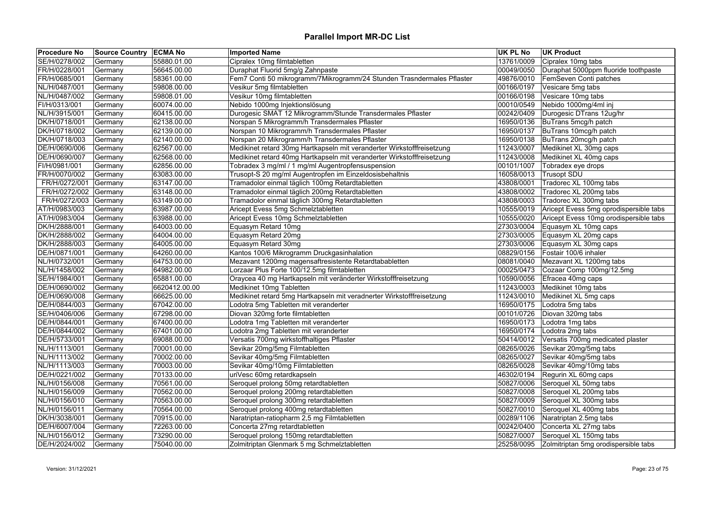| <b>Procedure No</b> | Source Country   ECMA No |               | <b>Imported Name</b>                                                   | <b>UK PL No</b> | <b>UK Product</b>                               |
|---------------------|--------------------------|---------------|------------------------------------------------------------------------|-----------------|-------------------------------------------------|
| SE/H/0278/002       | Germany                  | 55880.01.00   | Cipralex 10mg filmtabletten                                            | 13761/0009      | Cipralex 10mg tabs                              |
| FR/H/0228/001       | Germany                  | 56645.00.00   | Duraphat Fluorid 5mg/g Zahnpaste                                       | 00049/0050      | Duraphat 5000ppm fluoride toothpaste            |
| FR/H/0685/001       | Germany                  | 58361.00.00   | Fem7 Conti 50 mikrogramm/7Mikrogramm/24 Stunden Trasndermales Pflaster | 49876/0010      | FemSeven Conti patches                          |
| NL/H/0487/001       | Germany                  | 59808.00.00   | Vesikur 5mg filmtabletten                                              | 00166/0197      | Vesicare 5mg tabs                               |
| NL/H/0487/002       | Germany                  | 59808.01.00   | Vesikur 10mg filmtabletten                                             | 00166/0198      | Vesicare 10mg tabs                              |
| FI/H/0313/001       | Germany                  | 60074.00.00   | Nebido 1000mg Injektionslösung                                         | 00010/0549      | Nebido 1000mg/4ml inj                           |
| NL/H/3915/001       | Germany                  | 60415.00.00   | Durogesic SMAT 12 Mikrogramm/Stunde Transdermales Pflaster             | 00242/0409      | Durogesic DTrans 12ug/hr                        |
| DK/H/0718/001       | Germany                  | 62138.00.00   | Norspan 5 Mikrogramm/h Transdermales Pflaster                          | 16950/0136      | BuTrans 5mcg/h patch                            |
| DK/H/0718/002       | Germany                  | 62139.00.00   | Norspan 10 Mikrogramm/h Transdermales Pflaster                         | 16950/0137      | BuTrans 10mcg/h patch                           |
| DK/H/0718/003       | Germany                  | 62140.00.00   | Norspan 20 Mikrogramm/h Transdermales Pflaster                         | 16950/0138      | BuTrans 20mcg/h patch                           |
| DE/H/0690/006       | Germany                  | 62567.00.00   | Medikinet retard 30mg Hartkapseln mit veranderter Wirkstofffreisetzung | 11243/0007      | Medikinet XL 30mg caps                          |
| DE/H/0690/007       | Germany                  | 62568.00.00   | Medikinet retard 40mg Hartkapseln mit veranderter Wirkstofffreisetzung | 11243/0008      | Medikinet XL 40mg caps                          |
| FI/H/0981/001       | Germany                  | 62856.00.00   | Tobradex 3 mg/ml / 1 mg/ml Augentropfensuspension                      | 00101/1007      | Tobradex eye drops                              |
| FR/H/0070/002       | Germany                  | 63083.00.00   | Trusopt-S 20 mg/ml Augentropfen im Einzeldosisbehaltnis                | 16058/0013      | Trusopt SDU                                     |
| FR/H/0272/001       | Germany                  | 63147.00.00   | Tramadolor einmal täglich 100mg Retardtabletten                        | 43808/0001      | Tradorec XL 100mg tabs                          |
| FR/H/0272/002       | Germany                  | 63148.00.00   | Tramadolor einmal täglich 200mg Retardtabletten                        | 43808/0002      | Tradorec XL 200mg tabs                          |
| FR/H/0272/003       | Germany                  | 63149.00.00   | Tramadolor einmal täglich 300mg Retardtabletten                        | 43808/0003      | Tradorec XL 300mg tabs                          |
| AT/H/0983/003       | Germany                  | 63987.00.00   | Aricept Evess 5mg Schmelztabletten                                     | 10555/0019      | Aricept Evess 5mg oprodispersible tabs          |
| AT/H/0983/004       | Germany                  | 63988.00.00   | Aricept Evess 10mg Schmelztabletten                                    | 10555/0020      | Aricept Evess 10mg orodispersible tabs          |
| DK/H/2888/001       | Germany                  | 64003.00.00   | Equasym Retard 10mg                                                    | 27303/0004      | Equasym XL 10mg caps                            |
| DK/H/2888/002       | Germany                  | 64004.00.00   | Equasym Retard 20mg                                                    | 27303/0005      | Equasym XL 20mg caps                            |
| DK/H/2888/003       | Germany                  | 64005.00.00   | Equasym Retard 30mg                                                    | 27303/0006      | Equasym XL 30mg caps                            |
| DE/H/0871/001       | Germany                  | 64260.00.00   | Kantos 100/6 Mikrogramm Druckgasinhalation                             | 08829/0156      | Fostair 100/6 inhaler                           |
| NL/H/0732/001       | Germany                  | 64753.00.00   | Mezavant 1200mg magensaftresistente Retardtababletten                  | 08081/0040      | Mezavant XL 1200mg tabs                         |
| NL/H/1458/002       | Germany                  | 64982.00.00   | Lorzaar Plus Forte 100/12.5mg filmtabletten                            | 00025/0473      | Cozaar Comp 100mg/12.5mg                        |
| SE/H/1984/001       | Germany                  | 65881.00.00   | Oraycea 40 mg Hartkapseln mit veränderter Wirkstofffreisetzung         | 10590/0056      | Efracea 40mg caps                               |
| DE/H/0690/002       | Germany                  | 6620412.00.00 | Medikinet 10mg Tabletten                                               | 11243/0003      | Medikinet 10mg tabs                             |
| DE/H/0690/008       | Germany                  | 66625.00.00   | Medikinet retard 5mg Hartkapseln mit veradnerter Wirkstofffreisetzung  | 11243/0010      | Medikinet XL 5mg caps                           |
| DE/H/0844/003       | Germany                  | 67042.00.00   | Lodotra 5mg Tabletten mit veranderter                                  | 16950/0175      | Lodotra 5mg tabs                                |
| SE/H/0406/006       | Germany                  | 67298.00.00   | Diovan 320mg forte filmtabletten                                       | 00101/0726      | Diovan 320mg tabs                               |
| DE/H/0844/001       | Germany                  | 67400.00.00   | Lodotra 1mg Tabletten mit veranderter                                  | 16950/0173      | Lodotra 1mg tabs                                |
| DE/H/0844/002       | Germany                  | 67401.00.00   | Lodotra 2mg Tabletten mit veranderter                                  | 16950/0174      | Lodotra 2mg tabs                                |
| DE/H/5733/001       | Germany                  | 69088.00.00   | Versatis 700mg wirkstoffhaltiges Pflaster                              | 50414/0012      | Versatis 700mg medicated plaster                |
| NL/H/1113/001       | Germany                  | 70001.00.00   | Sevikar 20mg/5mg Filmtabletten                                         | 08265/0026      | Sevikar 20mg/5mg tabs                           |
| NL/H/1113/002       | Germany                  | 70002.00.00   | Sevikar 40mg/5mg Filmtabletten                                         | 08265/0027      | Sevikar 40mg/5mg tabs                           |
| NL/H/1113/003       | Germany                  | 70003.00.00   | Sevikar 40mg/10mg Filmtabletten                                        | 08265/0028      | Sevikar 40mg/10mg tabs                          |
| DE/H/0221/002       | Germany                  | 70133.00.00   | uriVesc 60mg retardkapseln                                             | 46302/0194      | Regurin XL 60mg caps                            |
| NL/H/0156/008       | Germany                  | 70561.00.00   | Seroquel prolong 50mg retardtabletten                                  | 50827/0006      | Seroquel XL 50mg tabs                           |
| NL/H/0156/009       | Germany                  | 70562.00.00   | Seroquel prolong 200mg retardtabletten                                 | 50827/0008      | Seroquel XL 200mg tabs                          |
| NL/H/0156/010       | Germany                  | 70563.00.00   | Seroquel prolong 300mg retardtabletten                                 | 50827/0009      | Seroquel XL 300mg tabs                          |
| NL/H/0156/011       | Germany                  | 70564.00.00   | Seroquel prolong 400mg retardtabletten                                 | 50827/0010      | Seroquel XL 400mg tabs                          |
| DK/H/3038/001       | Germany                  | 70915.00.00   | Naratriptan-ratiopharm 2,5 mg Filmtabletten                            | 00289/1106      | Naratriptan 2.5mg tabs                          |
| DE/H/6007/004       | Germany                  | 72263.00.00   | Concerta 27mg retardtabletten                                          | 00242/0400      | Concerta XL 27mg tabs                           |
| NL/H/0156/012       | Germany                  | 73290.00.00   | Seroquel prolong 150mg retardtabletten                                 | 50827/0007      | Seroquel XL 150mg tabs                          |
| DE/H/2024/002       | Germany                  | 75040.00.00   | Zolmitriptan Glenmark 5 mg Schmelztabletten                            |                 | 25258/0095 Zolmitriptan 5mg orodispersible tabs |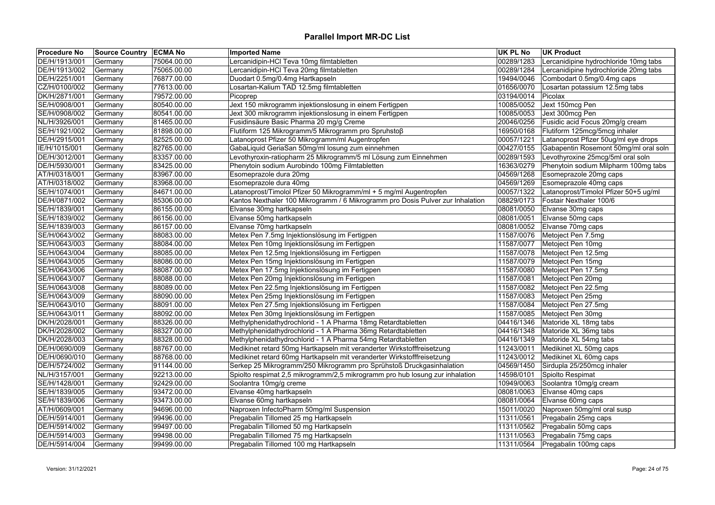| <b>Procedure No</b> | Source Country   ECMA No |             | <b>Imported Name</b>                                                           | UK PL No   | <b>UK Product</b>                     |
|---------------------|--------------------------|-------------|--------------------------------------------------------------------------------|------------|---------------------------------------|
| DE/H/1913/001       | Germany                  | 75064.00.00 | Lercanidipin-HCl Teva 10mg filmtabletten                                       | 00289/1283 | Lercanidipine hydrochloride 10mg tabs |
| DE/H/1913/002       | Germany                  | 75065.00.00 | Lercanidipin-HCl Teva 20mg filmtabletten                                       | 00289/1284 | Lercanidipine hydrochloride 20mg tabs |
| DE/H/2251/001       | Germany                  | 76877.00.00 | Duodart 0.5mg/0.4mg Hartkapseln                                                | 19494/0046 | Combodart 0.5mg/0.4mg caps            |
| CZ/H/0100/002       | Germany                  | 77613.00.00 | Losartan-Kalium TAD 12.5mg filmtabletten                                       | 01656/0070 | Losartan potassium 12.5mg tabs        |
| DK/H/2871/001       | Germany                  | 79572.00.00 | Picoprep                                                                       | 03194/0014 | Picolax                               |
| SE/H/0908/001       | Germany                  | 80540.00.00 | Jext 150 mikrogramm injektionslosung in einem Fertigpen                        | 10085/0052 | Jext 150mcg Pen                       |
| SE/H/0908/002       | Germany                  | 80541.00.00 | Jext 300 mikrogramm injektionslosung in einem Fertigpen                        | 10085/0053 | Jext 300mcg Pen                       |
| NL/H/3926/001       | Germany                  | 81465.00.00 | Fusidinsäure Basic Pharma 20 mg/g Creme                                        | 20046/0256 | Fusidic acid Focus 20mg/g cream       |
| SE/H/1921/002       | Germany                  | 81898.00.00 | Flutiform 125 Mikrogramm/5 Mikrogramm pro Spruhstoß                            | 16950/0168 | Flutiform 125mcg/5mcg inhaler         |
| DE/H/2915/001       | Germany                  | 82525.00.00 | Latanoprost Pfizer 50 Mikrogramm/ml Augentropfen                               | 00057/1221 | Latanoprost Pfizer 50ug/ml eye drops  |
| IE/H/1015/001       | Germany                  | 82765.00.00 | GabaLiquid GeriaSan 50mg/ml losung zum einnehmen                               | 00427/0155 | Gabapentin Rosemont 50mg/ml oral soln |
| DE/H/3012/001       | Germany                  | 83357.00.00 | Levothyroxin-ratiopharm 25 Mikrogramm/5 ml Lösung zum Einnehmen                | 00289/1593 | Levothyroxine 25mcg/5ml oral soln     |
| DE/H/5930/001       | Germany                  | 83425.00.00 | Phenytoin sodium Aurobindo 100mg Filmtabletten                                 | 16363/0279 | Phenytoin sodium Milpharm 100mg tabs  |
| AT/H/0318/001       | Germany                  | 83967.00.00 | Esomeprazole dura 20mg                                                         | 04569/1268 | Esomeprazole 20mg caps                |
| AT/H/0318/002       | Germany                  | 83968.00.00 | Esomeprazole dura 40mg                                                         | 04569/1269 | Esomeprazole 40mg caps                |
| SE/H/1074/001       | Germany                  | 84671.00.00 | Latanoprost/Timolol Pfizer 50 Mikrogramm/ml + 5 mg/ml Augentropfen             | 00057/1322 | Latanoprost/Timolol Pfizer 50+5 ug/ml |
| DE/H/0871/002       | Germany                  | 85306.00.00 | Kantos Nexthaler 100 Mikrogramm / 6 Mikrogramm pro Dosis Pulver zur Inhalation | 08829/0173 | Fostair Nexthaler 100/6               |
| SE/H/1839/001       | Germany                  | 86155.00.00 | Elvanse 30mg hartkapseln                                                       | 08081/0050 | Elvanse 30mg caps                     |
| SE/H/1839/002       | Germany                  | 86156.00.00 | Elvanse 50mg hartkapseln                                                       | 08081/0051 | Elvanse 50mg caps                     |
| SE/H/1839/003       | Germany                  | 86157.00.00 | Elvanse 70mg hartkapseln                                                       | 08081/0052 | Elvanse 70mg caps                     |
| SE/H/0643/002       | Germany                  | 88083.00.00 | Metex Pen 7.5mg Injektionslösung im Fertigpen                                  | 11587/0076 | Metoject Pen 7.5mg                    |
| SE/H/0643/003       | Germany                  | 88084.00.00 | Metex Pen 10mg Injektionslösung im Fertigpen                                   | 11587/0077 | Metoject Pen 10mg                     |
| SE/H/0643/004       | Germany                  | 88085.00.00 | Metex Pen 12.5mg Injektionslösung im Fertigpen                                 | 11587/0078 | Metoject Pen 12.5mg                   |
| SE/H/0643/005       | Germany                  | 88086.00.00 | Metex Pen 15mg Injektionslösung im Fertigpen                                   | 11587/0079 | Metoject Pen 15mg                     |
| SE/H/0643/006       | Germany                  | 88087.00.00 | Metex Pen 17.5mg Injektionslösung im Fertigpen                                 | 11587/0080 | Metoject Pen 17.5mg                   |
| SE/H/0643/007       | Germany                  | 88088.00.00 | Metex Pen 20mg Injektionslösung im Fertigpen                                   | 11587/0081 | Metoject Pen 20mg                     |
| SE/H/0643/008       | Germany                  | 88089.00.00 | Metex Pen 22.5mg Injektionslösung im Fertigpen                                 | 11587/0082 | Metoject Pen 22.5mg                   |
| SE/H/0643/009       | Germany                  | 88090.00.00 | Metex Pen 25mg Injektionslösung im Fertigpen                                   | 11587/0083 | Metoject Pen 25mg                     |
| SE/H/0643/010       | Germany                  | 88091.00.00 | Metex Pen 27.5mg Injektionslösung im Fertigpen                                 | 11587/0084 | Metoject Pen 27.5mg                   |
| SE/H/0643/011       | Germany                  | 88092.00.00 | Metex Pen 30mg Injektionslösung im Fertigpen                                   | 11587/0085 | Metoject Pen 30mg                     |
| DK/H/2028/001       | Germany                  | 88326.00.00 | Methylphenidathydrochlorid - 1 A Pharma 18mg Retardtabletten                   | 04416/1346 | Matoride XL 18mg tabs                 |
| DK/H/2028/002       | Germany                  | 88327.00.00 | Methylphenidathydrochlorid - 1 A Pharma 36mg Retardtabletten                   | 04416/1348 | Matoride XL 36mg tabs                 |
| DK/H/2028/003       | Germany                  | 88328.00.00 | Methylphenidathydrochlorid - 1 A Pharma 54mg Retardtabletten                   | 04416/1349 | Matoride XL 54mg tabs                 |
| DE/H/0690/009       | Germany                  | 88767.00.00 | Medikinet retard 50mg Hartkapseln mit veranderter Wirkstofffreisetzung         | 11243/0011 | Medikinet XL 50mg caps                |
| DE/H/0690/010       | Germany                  | 88768.00.00 | Medikinet retard 60mg Hartkapseln mit veranderter Wirkstofffreisetzung         | 11243/0012 | Medikinet XL 60mg caps                |
| DE/H/5724/002       | Germany                  | 91144.00.00 | Serkep 25 Mikrogramm/250 Mikrogramm pro Sprühstoß Druckgasinhalation           | 04569/1450 | Sirdupla 25/250mcg inhaler            |
| NL/H/3157/001       | Germany                  | 92213.00.00 | Spiolto respimat 2,5 mikrogramm/2,5 mikrogramm pro hub losung zur inhalation   | 14598/0101 | Spiolto Respimat                      |
| SE/H/1428/001       | Germany                  | 92429.00.00 | Soolantra 10mg/g creme                                                         | 10949/0063 | Soolantra 10mg/g cream                |
| SE/H/1839/005       | Germany                  | 93472.00.00 | Elvanse 40mg hartkapseln                                                       | 08081/0063 | Elvanse 40mg caps                     |
| SE/H/1839/006       | Germany                  | 93473.00.00 | Elvanse 60mg hartkapseln                                                       | 08081/0064 | Elvanse 60mg caps                     |
| AT/H/0609/001       | Germany                  | 94696.00.00 | Naproxen InfectoPharm 50mg/ml Suspension                                       | 15011/0020 | Naproxen 50mg/ml oral susp            |
| DE/H/5914/001       | Germany                  | 99496.00.00 | Pregabalin Tillomed 25 mg Hartkapseln                                          | 11311/0561 | Pregabalin 25mg caps                  |
| DE/H/5914/002       | Germany                  | 99497.00.00 | Pregabalin Tillomed 50 mg Hartkapseln                                          | 11311/0562 | Pregabalin 50mg caps                  |
| DE/H/5914/003       | Germany                  | 99498.00.00 | Pregabalin Tillomed 75 mg Hartkapseln                                          | 11311/0563 | Pregabalin 75mg caps                  |
| DE/H/5914/004       | Germany                  | 99499.00.00 | Pregabalin Tillomed 100 mg Hartkapseln                                         |            | 11311/0564 Pregabalin 100mg caps      |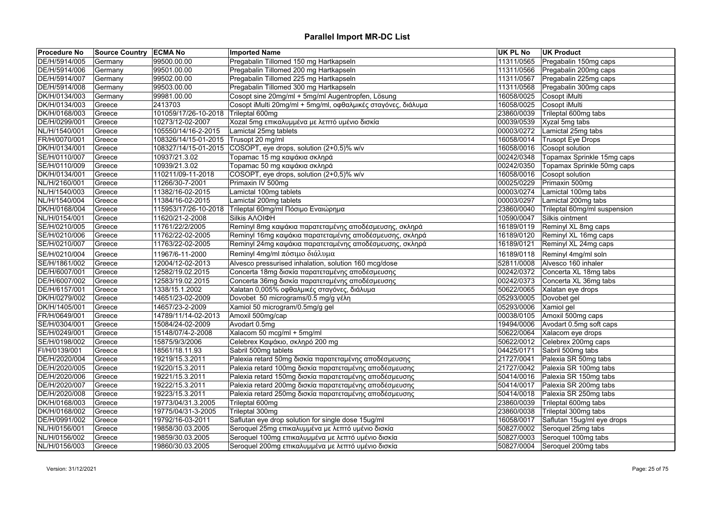| <b>Procedure No</b> | Source Country   ECMA No |                      | <b>Imported Name</b>                                         | UK PL No   | <b>UK Product</b>                |
|---------------------|--------------------------|----------------------|--------------------------------------------------------------|------------|----------------------------------|
| DE/H/5914/005       | Germany                  | 99500.00.00          | Pregabalin Tillomed 150 mg Hartkapseln                       | 11311/0565 | Pregabalin 150mg caps            |
| DE/H/5914/006       | Germany                  | 99501.00.00          | Pregabalin Tillomed 200 mg Hartkapseln                       | 11311/0566 | Pregabalin 200mg caps            |
| DE/H/5914/007       | Germany                  | 99502.00.00          | Pregabalin Tillomed 225 mg Hartkapseln                       | 11311/0567 | Pregabalin 225mg caps            |
| DE/H/5914/008       | Germany                  | 99503.00.00          | Pregabalin Tillomed 300 mg Hartkapseln                       | 11311/0568 | Pregabalin 300mg caps            |
| DK/H/0134/003       | Germany                  | 99981.00.00          | Cosopt sine 20mg/ml + 5mg/ml Augentropfen, Lösung            | 16058/0025 | Cosopt iMulti                    |
| DK/H/0134/003       | Greece                   | 2413703              | Cosopt iMulti 20mg/ml + 5mg/ml, οφθαλμικές σταγόνες, διάλυμα | 16058/0025 | Cosopt iMulti                    |
| DK/H/0168/003       | Greece                   | 101059/17/26-10-2018 | Trileptal 600mg                                              | 23860/0039 | Trileptal 600mg tabs             |
| DE/H/0299/001       | Greece                   | 10273/12-02-2007     | Xozal 5mg επικαλυμμένα με λεπτό υμένιο δισκία                | 00039/0539 | Xyzal 5mg tabs                   |
| NL/H/1540/001       | Greece                   | 105550/14/16-2-2015  | Lamictal 25mg tablets                                        | 00003/0272 | Lamictal 25mg tabs               |
| FR/H/0070/001       | Greece                   | 108326/14/15-01-2015 | Trusopt 20 mg/ml                                             | 16058/0014 | <b>Trusopt Eye Drops</b>         |
| DK/H/0134/001       | Greece                   | 108327/14/15-01-2015 | COSOPT, eye drops, solution (2+0,5)% w/v                     | 16058/0016 | Cosopt solution                  |
| SE/H/0110/007       | Greece                   | 10937/21.3.02        | Topamac 15 mg καψάκια σκληρά                                 | 00242/0348 | Topamax Sprinkle 15mg caps       |
| SE/H/0110/009       | Greece                   | 10939/21.3.02        | Topamac 50 mg καψάκια σκληρά                                 | 00242/0350 | Topamax Sprinkle 50mg caps       |
| DK/H/0134/001       | Greece                   | 110211/09-11-2018    | COSOPT, eye drops, solution (2+0,5)% w/v                     | 16058/0016 | Cosopt solution                  |
| NL/H/2160/001       | Greece                   | 11266/30-7-2001      | Primaxin IV 500mg                                            | 00025/0229 | Primaxin 500mg                   |
| NL/H/1540/003       | Greece                   | 11382/16-02-2015     | Lamictal 100mg tablets                                       | 00003/0274 | Lamictal 100mg tabs              |
| NL/H/1540/004       | Greece                   | 11384/16-02-2015     | Lamictal 200mg tablets                                       | 00003/0297 | Lamictal 200mg tabs              |
| DK/H/0168/004       | Greece                   | 115953/17/26-10-2018 | Trileptal 60mg/ml Πόσιμο Εναιώρημα                           | 23860/0040 | Trileptal 60mg/ml suspension     |
| NL/H/0154/001       | Greece                   | 11620/21-2-2008      | Silkis AAOIOH                                                | 10590/0047 | Silkis ointment                  |
| SE/H/0210/005       | Greece                   | 11761/22/2/2005      | Reminyl 8mg καψάκια παρατεταμένης αποδέσμευσης, σκληρά       | 16189/0119 | Reminyl XL 8mg caps              |
| SE/H/0210/006       | Greece                   | 11762/22-02-2005     | Reminyl 16mg καψάκια παρατεταμένης αποδέσμευσης, σκληρά      | 16189/0120 | Reminyl XL 16mg caps             |
| SE/H/0210/007       | Greece                   | 11763/22-02-2005     | Reminyl 24mg καψάκια παρατεταμένης αποδέσμευσης, σκληρά      | 16189/0121 | Reminyl XL 24mg caps             |
| SE/H/0210/004       | Greece                   | 11967/6-11-2000      | Reminyl 4mg/ml πόσιμο διάλυμα                                | 16189/0118 | Reminyl 4mg/ml soln              |
| SE/H/1861/002       | Greece                   | 12004/12-02-2013     | Alvesco pressurised inhalation, solution 160 mcg/dose        | 52811/0008 | Alvesco 160 inhaler              |
| DE/H/6007/001       | Greece                   | 12582/19.02.2015     | Concerta 18mg δισκία παρατεταμένης αποδέσμευσης              |            | 00242/0372 Concerta XL 18mg tabs |
| DE/H/6007/002       | Greece                   | 12583/19.02.2015     | Concerta 36mg δισκία παρατεταμένης αποδέσμευσης              | 00242/0373 | Concerta XL 36mg tabs            |
| DE/H/6157/001       | Greece                   | 1338/15.1.2002       | Xalatan 0,005% οφθαλμικές σταγόνες, διάλυμα                  | 50622/0065 | Xalatan eye drops                |
| DK/H/0279/002       | Greece                   | 14651/23-02-2009     | Dovobet 50 micrograms/0.5 mg/g γέλη                          | 05293/0005 | Dovobet gel                      |
| DK/H/1405/001       | Greece                   | 14657/23-2-2009      | Xamiol 50 microgram/0.5mg/g gel                              | 05293/0006 | Xamiol gel                       |
| FR/H/0649/001       | Greece                   | 14789/11/14-02-2013  | Amoxil 500mg/cap                                             | 00038/0105 | Amoxil 500mg caps                |
| SE/H/0304/001       | Greece                   | 15084/24-02-2009     | Avodart 0.5mg                                                | 19494/0006 | Avodart 0.5mg soft caps          |
| SE/H/0249/001       | Greece                   | 15148/07/4-2-2008    | Xalacom 50 mcg/ml + 5mg/ml                                   | 50622/0064 | Xalacom eye drops                |
| SE/H/0198/002       | Greece                   | 15875/9/3/2006       | Celebrex Καψάκιο, σκληρό 200 mg                              | 50622/0012 | Celebrex 200mg caps              |
| FI/H/0139/001       | Greece                   | 18561/18.11.93       | Sabril 500mg tablets                                         | 04425/0171 | Sabril 500mg tabs                |
| DE/H/2020/004       | Greece                   | 19219/15.3.2011      | Palexia retard 50mg δισκία παρατεταμένης αποδέσμευσης        | 21727/0041 | Palexia SR 50mg tabs             |
| DE/H/2020/005       | Greece                   | 19220/15.3.2011      | Palexia retard 100mg δισκία παρατεταμένης αποδέσμευσης       | 21727/0042 | Palexia SR 100mg tabs            |
| DE/H/2020/006       | Greece                   | 19221/15.3.2011      | Palexia retard 150mg δισκία παρατεταμένης αποδέσμευσης       | 50414/0016 | Palexia SR 150mg tabs            |
| DE/H/2020/007       | Greece                   | 19222/15.3.2011      | Palexia retard 200mg δισκία παρατεταμένης αποδέσμευσης       | 50414/0017 | Palexia SR 200mg tabs            |
| DE/H/2020/008       | Greece                   | 19223/15.3.2011      | Palexia retard 250mg δισκία παρατεταμένης αποδέσμευσης       | 50414/0018 | Palexia SR 250mg tabs            |
| DK/H/0168/003       | Greece                   | 19773/04/31.3.2005   | Trileptal 600mg                                              | 23860/0039 | Trileptal 600mg tabs             |
| DK/H/0168/002       | Greece                   | 19775/04/31-3-2005   | Trileptal 300mg                                              | 23860/0038 | Trileptal 300mg tabs             |
| DE/H/0991/002       | Greece                   | 19792/16-03-2011     | Saflutan eye drop solution for single dose 15ug/ml           | 16058/0017 | Saflutan 15ug/ml eye drops       |
| NL/H/0156/001       | Greece                   | 19858/30.03.2005     | Seroquel 25mg επικαλυμμένα με λεπτό υμένιο δισκία            | 50827/0002 | Seroquel 25mg tabs               |
| NL/H/0156/002       |                          | 19859/30.03.2005     | Seroquel 100mg επικαλυμμένα με λεπτό υμένιο δισκία           | 50827/0003 | Seroquel 100mg tabs              |
|                     | Greece                   |                      |                                                              | 50827/0004 | Seroquel 200mg tabs              |
| NL/H/0156/003       | Greece                   | 19860/30.03.2005     | Seroquel 200mg επικαλυμμένα με λεπτό υμένιο δισκία           |            |                                  |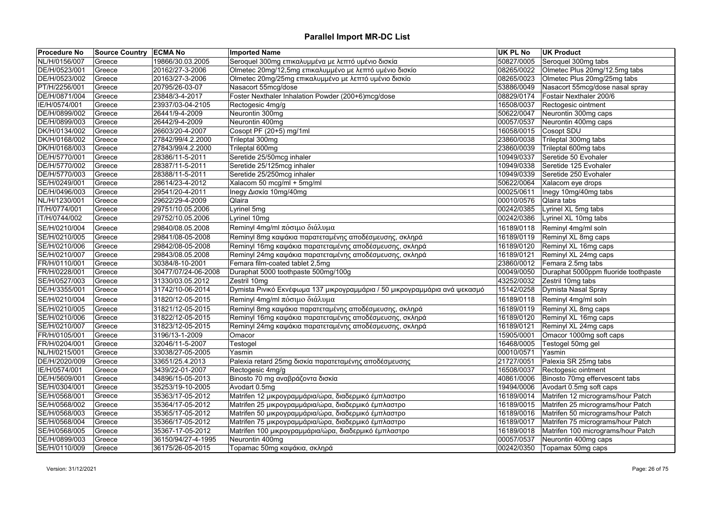| <b>Procedure No</b> | <b>Source Country ECMA No</b> |                     | <b>Imported Name</b>                                                       | UK PL No   | <b>UK Product</b>                    |
|---------------------|-------------------------------|---------------------|----------------------------------------------------------------------------|------------|--------------------------------------|
| NL/H/0156/007       | Greece                        | 19866/30.03.2005    | Seroquel 300mg επικαλυμμένα με λεπτό υμένιο δισκία                         | 50827/0005 | Seroquel 300mg tabs                  |
| DE/H/0523/001       | Greece                        | 20162/27-3-2006     | Olmetec 20mg/12,5mg επικαλυμμένο με λεπτό υμένιο δισκίο                    | 08265/0022 | Olmetec Plus 20mg/12.5mg tabs        |
| DE/H/0523/002       | Greece                        | 20163/27-3-2006     | Olmetec 20mg/25mg επικαλυμμένο με λεπτό υμένιο δισκίο                      | 08265/0023 | Olmetec Plus 20mg/25mg tabs          |
| PT/H/2256/001       | Greece                        | 20795/26-03-07      | Nasacort 55mcg/dose                                                        | 53886/0049 | Nasacort 55mcg/dose nasal spray      |
| DE/H/0871/004       | Greece                        | 23848/3-4-2017      | Foster Nexthaler Inhalation Powder (200+6)mcg/dose                         | 08829/0174 | Fostair Nexthaler 200/6              |
| IE/H/0574/001       | Greece                        | 23937/03-04-2105    | Rectogesic 4mg/g                                                           | 16508/0037 | Rectogesic ointment                  |
| DE/H/0899/002       | Greece                        | 26441/9-4-2009      | Neurontin 300mg                                                            | 50622/0047 | Neurontin 300mg caps                 |
| DE/H/0899/003       | Greece                        | 26442/9-4-2009      | Neurontin 400mg                                                            | 00057/0537 | Neurontin 400mg caps                 |
| DK/H/0134/002       | Greece                        | 26603/20-4-2007     | Cosopt PF (20+5) mg/1ml                                                    | 16058/0015 | Cosopt SDU                           |
| DK/H/0168/002       | Greece                        | 27842/99/4.2.2000   | Trileptal 300mg                                                            | 23860/0038 | Trileptal 300mg tabs                 |
| DK/H/0168/003       | Greece                        | 27843/99/4.2.2000   | Trileptal 600mg                                                            | 23860/0039 | Trileptal 600mg tabs                 |
| DE/H/5770/001       | Greece                        | 28386/11-5-2011     | Seretide 25/50mcg inhaler                                                  | 10949/0337 | Seretide 50 Evohaler                 |
| DE/H/5770/002       | Greece                        | 28387/11-5-2011     | Seretide 25/125mcg inhaler                                                 | 10949/0338 | Seretide 125 Evohaler                |
| DE/H/5770/003       | Greece                        | 28388/11-5-2011     | Seretide 25/250mcg inhaler                                                 | 10949/0339 | Seretide 250 Evohaler                |
| SE/H/0249/001       | Greece                        | 28614/23-4-2012     | Xalacom 50 mcg/ml + 5mg/ml                                                 | 50622/0064 | Xalacom eye drops                    |
| DE/H/0496/003       | Greece                        | 29541/20-4-2011     | Inegy Δισκία 10mg/40mg                                                     | 00025/0611 | Inegy 10mg/40mg tabs                 |
| NL/H/1230/001       | Greece                        | 29622/29-4-2009     | Qlaira                                                                     | 00010/0576 | Qlaira tabs                          |
| IT/H/0774/001       | Greece                        | 29751/10.05.2006    | Lyrinel 5mg                                                                | 00242/0385 | Lyrinel XL 5mg tabs                  |
| IT/H/0744/002       | Greece                        | 29752/10.05.2006    | Lyrinel 10mg                                                               | 00242/0386 | Lyrinel XL 10mg tabs                 |
| SE/H/0210/004       | Greece                        | 29840/08.05.2008    | Reminyl 4mg/ml πόσιμο διάλυμα                                              | 16189/0118 | Reminyl 4mg/ml soln                  |
| SE/H/0210/005       | Greece                        | 29841/08-05-2008    | Reminyl 8mg καψάκια παρατεταμένης αποδέσμευσης, σκληρά                     | 16189/0119 | Reminyl XL 8mg caps                  |
| SE/H/0210/006       | Greece                        | 29842/08-05-2008    | Reminyl 16mg καψάκια παρατεταμένης αποδέσμευσης, σκληρά                    | 16189/0120 | Reminyl XL 16mg caps                 |
| SE/H/0210/007       | Greece                        | 29843/08.05.2008    | Reminyl 24mg καψάκια παρατεταμένης αποδέσμευσης, σκληρά                    | 16189/0121 | Reminyl XL 24mg caps                 |
| FR/H/0110/001       | Greece                        | 30384/8-10-2001     | Femara film-coated tablet 2,5mg                                            | 23860/0012 | Femara 2.5mg tabs                    |
| FR/H/0228/001       | Greece                        | 30477/07/24-06-2008 | Duraphat 5000 toothpaste 500mg/100g                                        | 00049/0050 | Duraphat 5000ppm fluoride toothpaste |
| SE/H/0527/003       | Greece                        | 31330/03.05.2012    | Zestril 10mg                                                               | 43252/0032 | Zestril 10mg tabs                    |
| DE/H/3355/001       | Greece                        | 31742/10-06-2014    | Dymista Ρινικό Εκνέφωμα 137 μικρογραμμάρια / 50 μικρογραμμάρια ανά ψεκασμό | 15142/0258 | Dymista Nasal Spray                  |
| SE/H/0210/004       | Greece                        | 31820/12-05-2015    | Reminyl 4mg/ml πόσιμο διάλυμα                                              | 16189/0118 | Reminyl 4mg/ml soln                  |
| SE/H/0210/005       | Greece                        | 31821/12-05-2015    | Reminyl 8mg καψάκια παρατεταμένης αποδέσμευσης, σκληρά                     | 16189/0119 | Reminyl XL 8mg caps                  |
| SE/H/0210/006       | Greece                        | 31822/12-05-2015    | Reminyl 16mg καψάκια παρατεταμένης αποδέσμευσης, σκληρά                    | 16189/0120 | Reminyl XL 16mg caps                 |
| SE/H/0210/007       | Greece                        | 31823/12-05-2015    | Reminyl 24mg καψάκια παρατεταμένης αποδέσμευσης, σκληρά                    | 16189/0121 | Reminyl XL 24mg caps                 |
| FR/H/0105/001       | Greece                        | 3196/13-1-2009      | Omacor                                                                     | 15905/0001 | Omacor 1000mg soft caps              |
| FR/H/0204/001       | Greece                        | 32046/11-5-2007     | Testogel                                                                   | 16468/0005 | Testogel 50mg gel                    |
| NL/H/0215/001       | Greece                        | 33038/27-05-2005    | Yasmin                                                                     | 00010/0571 | Yasmin                               |
| DE/H/2020/009       | Greece                        | 33651/25.4.2013     | Palexia retard 25mg δισκία παρατεταμένης αποδέσμευσης                      | 21727/0051 | Palexia SR 25mg tabs                 |
| IE/H/0574/001       | Greece                        | 3439/22-01-2007     | Rectogesic 4mg/g                                                           | 16508/0037 | Rectogesic ointment                  |
| DE/H/5609/001       | Greece                        | 34896/15-05-2013    | Binosto 70 mg αναβράζοντα δισκία                                           | 40861/0006 | Binosto 70mg effervescent tabs       |
| SE/H/0304/001       | Greece                        | 35253/19-10-2005    | Avodart 0.5mg                                                              | 19494/0006 | Avodart 0.5mg soft caps              |
| SE/H/0568/001       | Greece                        | 35363/17-05-2012    | Matrifen 12 μικρογραμμάρια/ώρα, διαδερμικό έμπλαστρο                       | 16189/0014 | Matrifen 12 micrograms/hour Patch    |
| SE/H/0568/002       | Greece                        | 35364/17-05-2012    | Matrifen 25 μικρογραμμάρια/ώρα, διαδερμικό έμπλαστρο                       | 16189/0015 | Matrifen 25 micrograms/hour Patch    |
| SE/H/0568/003       | Greece                        | 35365/17-05-2012    | Matrifen 50 μικρογραμμάρια/ώρα, διαδερμικό έμπλαστρο                       | 16189/0016 | Matrifen 50 micrograms/hour Patch    |
| SE/H/0568/004       | Greece                        | 35366/17-05-2012    | Matrifen 75 μικρογραμμάρια/ώρα, διαδερμικό έμπλαστρο                       | 16189/0017 | Matrifen 75 micrograms/hour Patch    |
| SE/H/0568/005       | Greece                        | 35367-17-05-2012    | Matrifen 100 μικρογραμμάρια/ώρα, διαδερμικό έμπλαστρο                      | 16189/0018 | Matrifen 100 micrograms/hour Patch   |
| DE/H/0899/003       | Greece                        | 36150/94/27-4-1995  | Neurontin 400mg                                                            | 00057/0537 | Neurontin 400mg caps                 |
| SE/H/0110/009       | Greece                        | 36175/26-05-2015    | Topamac 50mg καψάκια, σκληρά                                               | 00242/0350 | Topamax 50mg caps                    |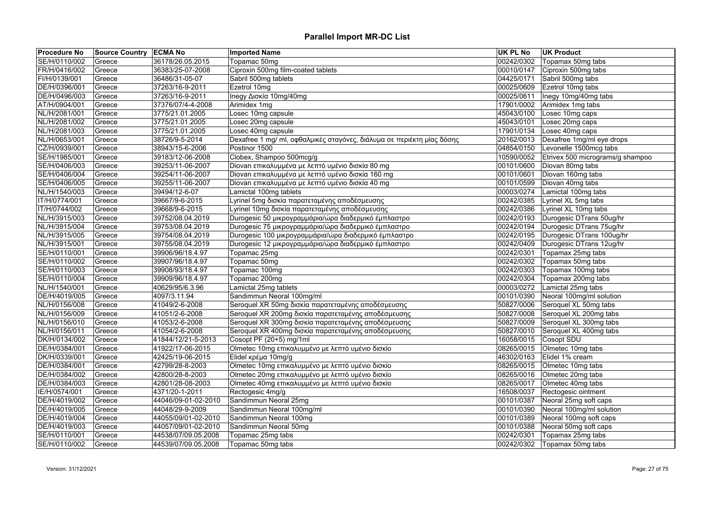| SE/H/0110/002<br>00242/0302<br>36178/26.05.2015<br>Topamac 50mg<br>Topamax 50mg tabs<br>Greece<br>Ciproxin 500mg film-coated tablets<br>Ciproxin 500mg tabs<br>FR/H/0416/002<br>36383/25-07-2008<br>00010/0147<br>Greece<br>FI/H/0139/001<br>36486/31-05-07<br>Sabril 500mg tablets<br>04425/0171<br>Sabril 500mg tabs<br>Greece<br>Ezetrol 10mg<br>00025/0609<br>Ezetrol 10mg tabs<br>Greece<br>37263/16-9-2011<br>Inegy Δισκία 10mg/40mg<br>DE/H/0496/003<br>Greece<br>37263/16-9-2011<br>00025/0611<br>Inegy 10mg/40mg tabs<br>Arimidex 1mg<br>AT/H/0904/001<br>17901/0002<br>Arimidex 1mg tabs<br>Greece<br>37376/07/4-4-2008<br>NL/H/2081/001<br>Losec 10mg capsule<br>45043/0100<br>Losec 10mg caps<br>3775/21.01.2005<br>Greece<br>Losec 20mg capsule<br>Losec 20mg caps<br>NL/H/2081/002<br>45043/0101<br>Greece<br>3775/21.01.2005<br>17901/0134<br>NL/H/2081/003<br>Losec 40mg caps<br>Greece<br>3775/21.01.2005<br>Losec 40mg capsule<br>NL/H/0653/001<br>Dexafree 1 mg/ ml, οφθαλμικές σταγόνες, διάλυμα σε περιέκτη μίας δόσης<br>20162/0013<br>Dexafree 1mg/ml eye drops<br>Greece<br>38726/9-5-2014<br>CZ/H/0939/001<br>38943/15-6-2006<br>Postinor 1500<br>04854/0150<br>Levonelle 1500mcg tabs<br>Greece<br>Clobex, Shampoo 500mcg/g<br>SE/H/1985/001<br>10590/0052<br>Etrivex 500 micrograms/g shampoo<br>Greece<br>39183/12-06-2008 |  |
|--------------------------------------------------------------------------------------------------------------------------------------------------------------------------------------------------------------------------------------------------------------------------------------------------------------------------------------------------------------------------------------------------------------------------------------------------------------------------------------------------------------------------------------------------------------------------------------------------------------------------------------------------------------------------------------------------------------------------------------------------------------------------------------------------------------------------------------------------------------------------------------------------------------------------------------------------------------------------------------------------------------------------------------------------------------------------------------------------------------------------------------------------------------------------------------------------------------------------------------------------------------------------------------------------------------------------------------------------------|--|
| DE/H/0396/001                                                                                                                                                                                                                                                                                                                                                                                                                                                                                                                                                                                                                                                                                                                                                                                                                                                                                                                                                                                                                                                                                                                                                                                                                                                                                                                                          |  |
|                                                                                                                                                                                                                                                                                                                                                                                                                                                                                                                                                                                                                                                                                                                                                                                                                                                                                                                                                                                                                                                                                                                                                                                                                                                                                                                                                        |  |
|                                                                                                                                                                                                                                                                                                                                                                                                                                                                                                                                                                                                                                                                                                                                                                                                                                                                                                                                                                                                                                                                                                                                                                                                                                                                                                                                                        |  |
|                                                                                                                                                                                                                                                                                                                                                                                                                                                                                                                                                                                                                                                                                                                                                                                                                                                                                                                                                                                                                                                                                                                                                                                                                                                                                                                                                        |  |
|                                                                                                                                                                                                                                                                                                                                                                                                                                                                                                                                                                                                                                                                                                                                                                                                                                                                                                                                                                                                                                                                                                                                                                                                                                                                                                                                                        |  |
|                                                                                                                                                                                                                                                                                                                                                                                                                                                                                                                                                                                                                                                                                                                                                                                                                                                                                                                                                                                                                                                                                                                                                                                                                                                                                                                                                        |  |
|                                                                                                                                                                                                                                                                                                                                                                                                                                                                                                                                                                                                                                                                                                                                                                                                                                                                                                                                                                                                                                                                                                                                                                                                                                                                                                                                                        |  |
|                                                                                                                                                                                                                                                                                                                                                                                                                                                                                                                                                                                                                                                                                                                                                                                                                                                                                                                                                                                                                                                                                                                                                                                                                                                                                                                                                        |  |
|                                                                                                                                                                                                                                                                                                                                                                                                                                                                                                                                                                                                                                                                                                                                                                                                                                                                                                                                                                                                                                                                                                                                                                                                                                                                                                                                                        |  |
|                                                                                                                                                                                                                                                                                                                                                                                                                                                                                                                                                                                                                                                                                                                                                                                                                                                                                                                                                                                                                                                                                                                                                                                                                                                                                                                                                        |  |
|                                                                                                                                                                                                                                                                                                                                                                                                                                                                                                                                                                                                                                                                                                                                                                                                                                                                                                                                                                                                                                                                                                                                                                                                                                                                                                                                                        |  |
|                                                                                                                                                                                                                                                                                                                                                                                                                                                                                                                                                                                                                                                                                                                                                                                                                                                                                                                                                                                                                                                                                                                                                                                                                                                                                                                                                        |  |
| Diovan επικαλυμμένα με λεπτό υμένιο δισκία 80 mg<br>Diovan 80mg tabs<br>SE/H/0406/003<br>39253/11-06-2007<br>00101/0600<br>Greece                                                                                                                                                                                                                                                                                                                                                                                                                                                                                                                                                                                                                                                                                                                                                                                                                                                                                                                                                                                                                                                                                                                                                                                                                      |  |
| Diovan επικαλυμμένα με λεπτό υμένιο δισκία 160 mg<br>Diovan 160mg tabs<br>SE/H/0406/004<br>Greece<br>39254/11-06-2007<br>00101/0601                                                                                                                                                                                                                                                                                                                                                                                                                                                                                                                                                                                                                                                                                                                                                                                                                                                                                                                                                                                                                                                                                                                                                                                                                    |  |
| Diovan 40mg tabs<br>SE/H/0406/005<br>39255/11-06-2007<br>Diovan επικαλυμμένα με λεπτό υμένιο δισκία 40 mg<br>00101/0599<br>Greece                                                                                                                                                                                                                                                                                                                                                                                                                                                                                                                                                                                                                                                                                                                                                                                                                                                                                                                                                                                                                                                                                                                                                                                                                      |  |
| Lamictal 100mg tablets<br>NL/H/1540/003<br>Greece<br>39494/12-6-07<br>00003/0274<br>Lamictal 100mg tabs                                                                                                                                                                                                                                                                                                                                                                                                                                                                                                                                                                                                                                                                                                                                                                                                                                                                                                                                                                                                                                                                                                                                                                                                                                                |  |
| Lyrinel 5mg δισκία παρατεταμένης αποδέσμευσης<br>IT/H/0774/001<br>39667/9-6-2015<br>00242/0385<br>Lyrinel XL 5mg tabs<br>Greece                                                                                                                                                                                                                                                                                                                                                                                                                                                                                                                                                                                                                                                                                                                                                                                                                                                                                                                                                                                                                                                                                                                                                                                                                        |  |
| Lyrinel 10mg δισκία παρατεταμένης αποδέσμευσης<br>00242/0386<br>IT/H/0744/002<br>Greece<br>39668/9-6-2015<br>Lyrinel XL 10mg tabs                                                                                                                                                                                                                                                                                                                                                                                                                                                                                                                                                                                                                                                                                                                                                                                                                                                                                                                                                                                                                                                                                                                                                                                                                      |  |
| 00242/0193<br>Durogesic DTrans 50ug/hr<br>NL/H/3915/003<br>39752/08.04.2019<br>Durogesic 50 μικρογραμμάρια/ώρα διαδερμικό έμπλαστρο<br>Greece                                                                                                                                                                                                                                                                                                                                                                                                                                                                                                                                                                                                                                                                                                                                                                                                                                                                                                                                                                                                                                                                                                                                                                                                          |  |
| NL/H/3915/004<br>Durogesic 75 μικρογραμμάρια/ώρα διαδερμικό έμπλαστρο<br>00242/0194<br>Durogesic DTrans 75ug/hr<br>Greece<br>39753/08.04.2019                                                                                                                                                                                                                                                                                                                                                                                                                                                                                                                                                                                                                                                                                                                                                                                                                                                                                                                                                                                                                                                                                                                                                                                                          |  |
| 00242/0195<br>Durogesic DTrans 100ug/hr<br>NL/H/3915/005<br>Greece<br>39754/08.04.2019<br>Durogesic 100 μικρογραμμάρια/ώρα διαδερμικό έμπλαστρο                                                                                                                                                                                                                                                                                                                                                                                                                                                                                                                                                                                                                                                                                                                                                                                                                                                                                                                                                                                                                                                                                                                                                                                                        |  |
| NL/H/3915/001<br>00242/0409<br>Durogesic DTrans 12ug/hr<br>39755/08.04.2019<br>Durogesic 12 μικρογραμμάρια/ώρα διαδερμικό έμπλαστρο<br>Greece                                                                                                                                                                                                                                                                                                                                                                                                                                                                                                                                                                                                                                                                                                                                                                                                                                                                                                                                                                                                                                                                                                                                                                                                          |  |
| SE/H/0110/001<br>39906/96/18.4.97<br>Topamac 25mg<br>00242/0301<br>Topamax 25mg tabs<br>Greece                                                                                                                                                                                                                                                                                                                                                                                                                                                                                                                                                                                                                                                                                                                                                                                                                                                                                                                                                                                                                                                                                                                                                                                                                                                         |  |
| Topamac 50mg<br>00242/0302<br>Topamax 50mg tabs<br>SE/H/0110/002<br>39907/96/18.4.97<br>Greece                                                                                                                                                                                                                                                                                                                                                                                                                                                                                                                                                                                                                                                                                                                                                                                                                                                                                                                                                                                                                                                                                                                                                                                                                                                         |  |
| Topamac 100mg<br>00242/0303<br>Topamax 100mg tabs<br>SE/H/0110/003<br>Greece<br>39908/93/18.4.97                                                                                                                                                                                                                                                                                                                                                                                                                                                                                                                                                                                                                                                                                                                                                                                                                                                                                                                                                                                                                                                                                                                                                                                                                                                       |  |
| SE/H/0110/004<br>Topamac 200mg<br>00242/0304<br>Topamax 200mg tabs<br>Greece<br>39909/96/18.4.97                                                                                                                                                                                                                                                                                                                                                                                                                                                                                                                                                                                                                                                                                                                                                                                                                                                                                                                                                                                                                                                                                                                                                                                                                                                       |  |
| Lamictal 25mg tablets<br>00003/0272<br>Lamictal 25mg tabs<br>NL/H/1540/001<br>40629/95/6.3.96<br>Greece                                                                                                                                                                                                                                                                                                                                                                                                                                                                                                                                                                                                                                                                                                                                                                                                                                                                                                                                                                                                                                                                                                                                                                                                                                                |  |
| 00101/0390<br>DE/H/4019/005<br>4097/3.11.94<br>Sandimmun Neoral 100mg/ml<br>Neoral 100mg/ml solution<br>Greece                                                                                                                                                                                                                                                                                                                                                                                                                                                                                                                                                                                                                                                                                                                                                                                                                                                                                                                                                                                                                                                                                                                                                                                                                                         |  |
| Seroquel XR 50mg δισκία παρατεταμένης αποδέσμευσης<br>50827/0006<br>NL/H/0156/008<br>41049/2-6-2008<br>Seroquel XL 50mg tabs<br>Greece                                                                                                                                                                                                                                                                                                                                                                                                                                                                                                                                                                                                                                                                                                                                                                                                                                                                                                                                                                                                                                                                                                                                                                                                                 |  |
| NL/H/0156/009<br>Seroquel XR 200mg δισκία παρατεταμένης αποδέσμευσης<br>50827/0008<br>Seroquel XL 200mg tabs<br>Greece<br>41051/2-6-2008                                                                                                                                                                                                                                                                                                                                                                                                                                                                                                                                                                                                                                                                                                                                                                                                                                                                                                                                                                                                                                                                                                                                                                                                               |  |
| NL/H/0156/010<br>41053/2-6-2008<br>Seroquel XR 300mg δισκία παρατεταμένης αποδέσμευσης<br>50827/0009<br>Seroquel XL 300mg tabs<br>Greece                                                                                                                                                                                                                                                                                                                                                                                                                                                                                                                                                                                                                                                                                                                                                                                                                                                                                                                                                                                                                                                                                                                                                                                                               |  |
| Seroquel XR 400mg δισκία παρατεταμένης αποδέσμευσης<br>Seroquel XL 400mg tabs<br>NL/H/0156/011<br>Greece<br>41054/2-6-2008<br>50827/0010                                                                                                                                                                                                                                                                                                                                                                                                                                                                                                                                                                                                                                                                                                                                                                                                                                                                                                                                                                                                                                                                                                                                                                                                               |  |
| Cosopt PF (20+5) mg/1ml<br>Cosopt SDU<br>DK/H/0134/002<br>41844/12/21-5-2013<br>16058/0015<br>Greece                                                                                                                                                                                                                                                                                                                                                                                                                                                                                                                                                                                                                                                                                                                                                                                                                                                                                                                                                                                                                                                                                                                                                                                                                                                   |  |
| Olmetec 10mg επικαλυμμένο με λεπτό υμένιο δισκίο<br>Olmetec 10mg tabs<br>DE/H/0384/001<br>41922/17-06-2015<br>08265/0015<br>Greece                                                                                                                                                                                                                                                                                                                                                                                                                                                                                                                                                                                                                                                                                                                                                                                                                                                                                                                                                                                                                                                                                                                                                                                                                     |  |
| 46302/0163<br>Elidel 1% cream<br>DK/H/0339/001<br>42425/19-06-2015<br>Elidel κρέμα 10mg/g<br>Greece                                                                                                                                                                                                                                                                                                                                                                                                                                                                                                                                                                                                                                                                                                                                                                                                                                                                                                                                                                                                                                                                                                                                                                                                                                                    |  |
| Olmetec 10mg επικαλυμμένο με λεπτό υμένιο δισκίο<br>DE/H/0384/001<br>08265/0015<br>Olmetec 10mg tabs<br>Greece<br>42799/28-8-2003                                                                                                                                                                                                                                                                                                                                                                                                                                                                                                                                                                                                                                                                                                                                                                                                                                                                                                                                                                                                                                                                                                                                                                                                                      |  |
| Olmetec 20mg επικαλυμμένο με λεπτό υμένιο δισκίο<br>08265/0016<br>Olmetec 20mg tabs<br>DE/H/0384/002<br>Greece<br>42800/28-8-2003                                                                                                                                                                                                                                                                                                                                                                                                                                                                                                                                                                                                                                                                                                                                                                                                                                                                                                                                                                                                                                                                                                                                                                                                                      |  |
| 08265/0017<br>Olmetec 40mg tabs<br>DE/H/0384/003<br>42801/28-08-2003<br>Olmetec 40mg επικαλυμμένο με λεπτό υμένιο δισκίο<br>Greece                                                                                                                                                                                                                                                                                                                                                                                                                                                                                                                                                                                                                                                                                                                                                                                                                                                                                                                                                                                                                                                                                                                                                                                                                     |  |
| IE/H/0574/001<br>4371/20-1-2011<br>Rectogesic 4mg/g<br>16508/0037<br>Rectogesic ointment<br>Greece                                                                                                                                                                                                                                                                                                                                                                                                                                                                                                                                                                                                                                                                                                                                                                                                                                                                                                                                                                                                                                                                                                                                                                                                                                                     |  |
| Sandimmun Neoral 25mg<br>Neoral 25mg soft caps<br>DE/H/4019/002<br>44046/09-01-02-2010<br>00101/0387<br>Greece                                                                                                                                                                                                                                                                                                                                                                                                                                                                                                                                                                                                                                                                                                                                                                                                                                                                                                                                                                                                                                                                                                                                                                                                                                         |  |
| 00101/0390<br>Neoral 100mg/ml solution<br>DE/H/4019/005<br>44048/29-9-2009<br>Sandimmun Neoral 100mg/ml<br>Greece                                                                                                                                                                                                                                                                                                                                                                                                                                                                                                                                                                                                                                                                                                                                                                                                                                                                                                                                                                                                                                                                                                                                                                                                                                      |  |
| DE/H/4019/004<br>Sandimmun Neoral 100mg<br>00101/0389<br>Neoral 100mg soft caps<br>Greece<br>44055/09/01-02-2010                                                                                                                                                                                                                                                                                                                                                                                                                                                                                                                                                                                                                                                                                                                                                                                                                                                                                                                                                                                                                                                                                                                                                                                                                                       |  |
| DE/H/4019/003<br>44057/09/01-02-2010<br>Sandimmun Neoral 50mg<br>00101/0388<br>Neoral 50mg soft caps<br>Greece                                                                                                                                                                                                                                                                                                                                                                                                                                                                                                                                                                                                                                                                                                                                                                                                                                                                                                                                                                                                                                                                                                                                                                                                                                         |  |
| SE/H/0110/001<br>44538/07/09.05.2008<br>Topamac 25mg tabs<br>00242/0301<br>Topamax 25mg tabs<br>Greece                                                                                                                                                                                                                                                                                                                                                                                                                                                                                                                                                                                                                                                                                                                                                                                                                                                                                                                                                                                                                                                                                                                                                                                                                                                 |  |
| 00242/0302 Topamax 50mg tabs<br>SE/H/0110/002<br>44539/07/09.05.2008<br>Topamac 50mg tabs<br>Greece                                                                                                                                                                                                                                                                                                                                                                                                                                                                                                                                                                                                                                                                                                                                                                                                                                                                                                                                                                                                                                                                                                                                                                                                                                                    |  |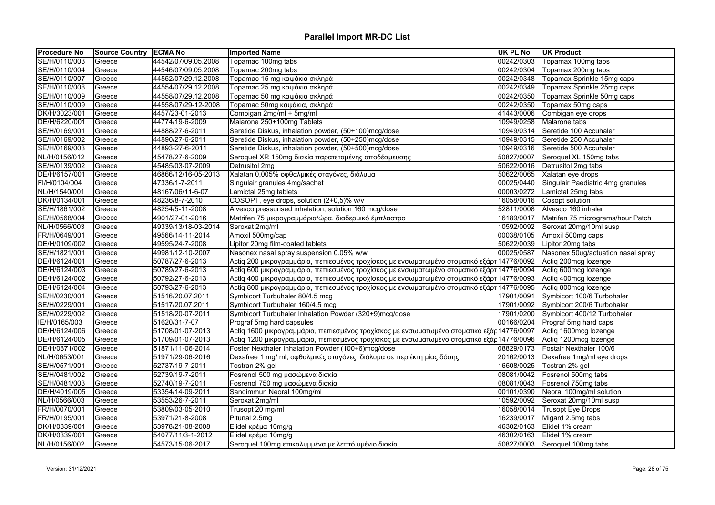| <b>Procedure No</b> | <b>Source Country ECMA No</b> |                     | <b>Imported Name</b>                                                                       | <b>UK PL No</b> | <b>UK Product</b>                  |
|---------------------|-------------------------------|---------------------|--------------------------------------------------------------------------------------------|-----------------|------------------------------------|
| SE/H/0110/003       | Greece                        | 44542/07/09.05.2008 | Topamac 100mg tabs                                                                         | 00242/0303      | Topamax 100mg tabs                 |
| SE/H/0110/004       | Greece                        | 44546/07/09.05.2008 | Topamac 200mg tabs                                                                         | 00242/0304      | Topamax 200mg tabs                 |
| SE/H/0110/007       | Greece                        | 44552/07/29.12.2008 | Topamac 15 mg καψάκια σκληρά                                                               | 00242/0348      | Topamax Sprinkle 15mg caps         |
| SE/H/0110/008       | Greece                        | 44554/07/29.12.2008 | Topamac 25 mg καψάκια σκληρά                                                               | 00242/0349      | Topamax Sprinkle 25mg caps         |
| SE/H/0110/009       | Greece                        | 44558/07/29.12.2008 | Topamac 50 mg καψάκια σκληρά                                                               | 00242/0350      | Topamax Sprinkle 50mg caps         |
| SE/H/0110/009       | Greece                        | 44558/07/29-12-2008 | Topamac 50mg καψάκια, σκληρά                                                               | 00242/0350      | Topamax 50mg caps                  |
| DK/H/3023/001       | Greece                        | 4457/23-01-2013     | Combigan 2mg/ml + 5mg/ml                                                                   | 41443/0006      | Combigan eye drops                 |
| DE/H/6220/001       | Greece                        | 44774/19-6-2009     | Malarone 250+100mg Tablets                                                                 | 10949/0258      | Malarone tabs                      |
| SE/H/0169/001       | Greece                        | 44888/27-6-2011     | Seretide Diskus, inhalation powder, (50+100)mcg/dose                                       | 10949/0314      | Seretide 100 Accuhaler             |
| SE/H/0169/002       | Greece                        | 44890/27-6-2011     | Seretide Diskus, inhalation powder, (50+250)mcg/dose                                       | 10949/0315      | Seretide 250 Accuhaler             |
| SE/H/0169/003       | Greece                        | 44893-27-6-2011     | Seretide Diskus, inhalation powder, (50+500)mcg/dose                                       | 10949/0316      | Seretide 500 Accuhaler             |
| NL/H/0156/012       | Greece                        | 45478/27-6-2009     | Seroquel XR 150mg δισκία παρατεταμένης αποδέσμευσης                                        | 50827/0007      | Seroquel XL 150mg tabs             |
| SE/H/0139/002       | Greece                        | 45485/03-07-2009    | Detrusitol 2mg                                                                             | 50622/0016      | Detrusitol 2mg tabs                |
| DE/H/6157/001       | Greece                        | 46866/12/16-05-2013 | Xalatan 0,005% οφθαλμικές σταγόνες, διάλυμα                                                |                 | 50622/0065 Xalatan eye drops       |
| FI/H/0104/004       | Greece                        | 47336/1-7-2011      | Singulair granules 4mg/sachet                                                              | 00025/0440      | Singulair Paediatric 4mg granules  |
| NL/H/1540/001       | Greece                        | 48167/06/11-6-07    | Lamictal 25mg tablets                                                                      | 00003/0272      | Lamictal 25mg tabs                 |
| DK/H/0134/001       | Greece                        | 48236/8-7-2010      | COSOPT, eye drops, solution (2+0,5)% w/v                                                   | 16058/0016      | Cosopt solution                    |
| SE/H/1861/002       | Greece                        | 48254/5-11-2008     | Alvesco pressurised inhalation, solution 160 mcg/dose                                      | 52811/0008      | Alvesco 160 inhaler                |
| SE/H/0568/004       | Greece                        | 4901/27-01-2016     | Matrifen 75 μικρογραμμάρια/ώρα, διαδερμικό έμπλαστρο                                       | 16189/0017      | Matrifen 75 micrograms/hour Patch  |
| NL/H/0566/003       | Greece                        | 49339/13/18-03-2014 | Seroxat 2mg/ml                                                                             | 10592/0092      | Seroxat 20mg/10ml susp             |
| FR/H/0649/001       | Greece                        | 49566/14-11-2014    | Amoxil 500mg/cap                                                                           | 00038/0105      | Amoxil 500mg caps                  |
| DE/H/0109/002       | Greece                        | 49595/24-7-2008     | Lipitor 20mg film-coated tablets                                                           | 50622/0039      | Lipitor 20mg tabs                  |
| SE/H/1821/001       | Greece                        | 49981/12-10-2007    | Nasonex nasal spray suspension 0.05% w/w                                                   | 00025/0587      | Nasonex 50ug/actuation nasal spray |
| DE/H/6124/001       | Greece                        | 50787/27-6-2013     | Actiq 200 μικρογραμμάρια, πεπιεσμένος τροχίσκος με ενσωματωμένο στοματικό εξάρτ 14776/0092 |                 | Actiq 200mcg lozenge               |
| DE/H/6124/003       | Greece                        | 50789/27-6-2013     | Actiq 600 μικρογραμμάρια, πεπιεσμένος τροχίσκος με ενσωματωμένο στοματικό εξάρτ 14776/0094 |                 | Actiq 600mcg lozenge               |
| DE/H/6124/002       | Greece                        | 50792/27-6-2013     | Actiq 400 μικρογραμμάρια, πεπιεσμένος τροχίσκος με ενσωματωμένο στοματικό εξάρτ 14776/0093 |                 | Actiq 400mcg lozenge               |
| DE/H/6124/004       | Greece                        | 50793/27-6-2013     | Actiq 800 μικρογραμμάρια, πεπιεσμένος τροχίσκος με ενσωματωμένο στοματικό εξάρτ 14776/0095 |                 | Actiq 800mcg lozenge               |
| SE/H/0230/001       | Greece                        | 51516/20.07.2011    | Symbicort Turbuhaler 80/4.5 mcg                                                            | 17901/0091      | Symbicort 100/6 Turbohaler         |
| SE/H/0229/001       | Greece                        | 51517/20.07.2011    | Symbicort Turbuhaler 160/4.5 mcg                                                           | 17901/0092      | Symbicort 200/6 Turbohaler         |
| SE/H/0229/002       | Greece                        | 51518/20-07-2011    | Symbicort Turbuhaler Inhalation Powder (320+9)mcg/dose                                     | 17901/0200      | Symbicort 400/12 Turbohaler        |
| IE/H/0165/003       | Greece                        | 51620/31-7-07       | Prograf 5mg hard capsules                                                                  | 00166/0204      | Prograf 5mg hard caps              |
| DE/H/6124/006       | Greece                        | 51708/01-07-2013    | Actiq 1600 μικρογραμμάρια, πεπιεσμένος τροχίσκος με ενσωματωμένο στοματικό εξάρ 14776/0097 |                 | Actiq 1600mcg lozenge              |
| DE/H/6124/005       | Greece                        | 51709/01-07-2013    | Actiq 1200 μικρογραμμάρια, πεπιεσμένος τροχίσκος με ενσωματωμένο στοματικό εξάρ 14776/0096 |                 | Actiq 1200mcg lozenge              |
| DE/H/0871/002       | Greece                        | 51871/11-06-2014    | Foster Nexthaler Inhalation Powder (100+6)mcg/dose                                         | 08829/0173      | Fostair Nexthaler 100/6            |
| NL/H/0653/001       | Greece                        | 51971/29-06-2016    | Dexafree 1 mg/ ml, οφθαλμικές σταγόνες, διάλυμα σε περιέκτη μίας δόσης                     | 20162/0013      | Dexafree 1mg/ml eye drops          |
| SE/H/0571/001       | Greece                        | 52737/19-7-2011     | Tostran 2% gel                                                                             | 16508/0025      | Tostran 2% gel                     |
| SE/H/0481/002       | Greece                        | 52739/19-7-2011     | Fosrenol 500 mg μασώμενα δισκία                                                            | 08081/0042      | Fosrenol 500mg tabs                |
| SE/H/0481/003       | Greece                        | 52740/19-7-2011     | Fosrenol 750 mg μασώμενα δισκία                                                            | 08081/0043      | Fosrenol 750mg tabs                |
| DE/H/4019/005       | Greece                        | 53354/14-09-2011    | Sandimmun Neoral 100mg/ml                                                                  | 00101/0390      | Neoral 100mg/ml solution           |
| NL/H/0566/003       | Greece                        | 53553/26-7-2011     | Seroxat 2mg/ml                                                                             | 10592/0092      | Seroxat 20mg/10ml susp             |
| FR/H/0070/001       | Greece                        | 53809/03-05-2010    | Trusopt 20 mg/ml                                                                           | 16058/0014      | Trusopt Eye Drops                  |
| FR/H/0195/001       | Greece                        | 53971/21-8-2008     | Pitunal 2.5mg                                                                              | 16239/0017      | Migard 2.5mg tabs                  |
| DK/H/0339/001       | Greece                        | 53978/21-08-2008    | Elidel κρέμα 10mg/g                                                                        | 46302/0163      | Elidel 1% cream                    |
| DK/H/0339/001       | Greece                        | 54077/11/3-1-2012   | Elidel κρέμα 10mg/g                                                                        | 46302/0163      | Elidel 1% cream                    |
| NL/H/0156/002       | Greece                        | 54573/15-06-2017    | Seroquel 100mg επικαλυμμένα με λεπτό υμένιο δισκία                                         | 50827/0003      | Seroquel 100mg tabs                |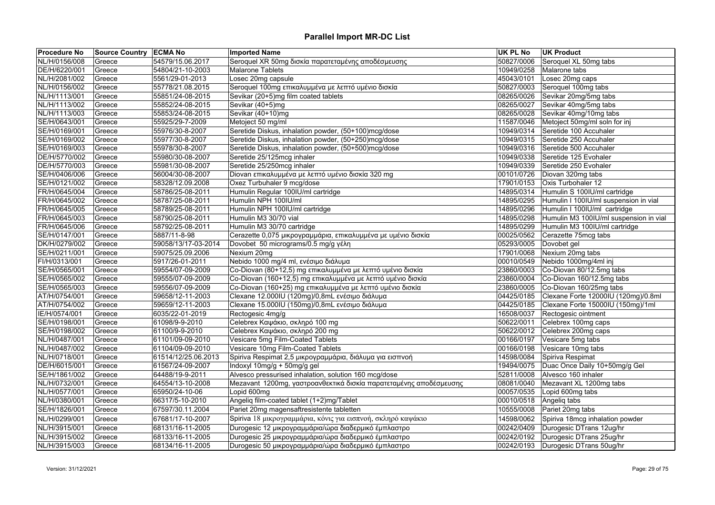| <b>Procedure No</b> | <b>Source Country ECMA No</b> |                     | <b>Imported Name</b>                                               | UK PL No   | <b>UK Product</b>                      |
|---------------------|-------------------------------|---------------------|--------------------------------------------------------------------|------------|----------------------------------------|
| NL/H/0156/008       | Greece                        | 54579/15.06.2017    | Seroquel XR 50mg δισκία παρατεταμένης αποδέσμευσης                 | 50827/0006 | Seroquel XL 50mg tabs                  |
| DE/H/6220/001       | Greece                        | 54804/21-10-2003    | <b>Malarone Tablets</b>                                            | 10949/0258 | Malarone tabs                          |
| NL/H/2081/002       | Greece                        | 5561/29-01-2013     | Losec 20mg capsule                                                 | 45043/0101 | Losec 20mg caps                        |
| NL/H/0156/002       | Greece                        | 55778/21.08.2015    | Seroquel 100mg επικαλυμμένα με λεπτό υμένιο δισκία                 | 50827/0003 | Seroquel 100mg tabs                    |
| NL/H/1113/001       | Greece                        | 55851/24-08-2015    | Sevikar (20+5)mg film coated tablets                               | 08265/0026 | Sevikar 20mg/5mg tabs                  |
| NL/H/1113/002       | Greece                        | 55852/24-08-2015    | Sevikar (40+5)mg                                                   | 08265/0027 | Sevikar 40mg/5mg tabs                  |
| NL/H/1113/003       | Greece                        | 55853/24-08-2015    | Sevikar (40+10)mg                                                  | 08265/0028 | Sevikar 40mg/10mg tabs                 |
| SE/H/0643/001       | Greece                        | 55925/29-7-2009     | Metoject 50 mg/ml                                                  | 11587/0046 | Metoject 50mg/ml soln for inj          |
| SE/H/0169/001       | Greece                        | 55976/30-8-2007     | Seretide Diskus, inhalation powder, (50+100)mcg/dose               | 10949/0314 | Seretide 100 Accuhaler                 |
| SE/H/0169/002       | Greece                        | 55977/30-8-2007     | Seretide Diskus, inhalation powder, (50+250)mcg/dose               | 10949/0315 | Seretide 250 Accuhaler                 |
| SE/H/0169/003       | Greece                        | 55978/30-8-2007     | Seretide Diskus, inhalation powder, (50+500)mcg/dose               | 10949/0316 | Seretide 500 Accuhaler                 |
| DE/H/5770/002       | Greece                        | 55980/30-08-2007    | Seretide 25/125mcg inhaler                                         | 10949/0338 | Seretide 125 Evohaler                  |
| DE/H/5770/003       | Greece                        | 55981/30-08-2007    | Seretide 25/250mcg inhaler                                         | 10949/0339 | Seretide 250 Evohaler                  |
| SE/H/0406/006       | Greece                        | 56004/30-08-2007    | Diovan επικαλυμμένα με λεπτό υμένιο δισκία 320 mg                  | 00101/0726 | Diovan 320mg tabs                      |
| SE/H/0121/002       | Greece                        | 58328/12.09.2008    | Oxez Turbuhaler 9 mcg/dose                                         | 17901/0153 | Oxis Turbohaler 12                     |
| FR/H/0645/004       | Greece                        | 58786/25-08-2011    | Humulin Regular 100IU/ml cartridge                                 | 14895/0314 | Humulin S 100IU/ml cartridge           |
| FR/H/0645/002       | Greece                        | 58787/25-08-2011    | Humulin NPH 100IU/ml                                               | 14895/0295 | Humulin I 100IU/ml suspension in vial  |
| FR/H/0645/005       | Greece                        | 58789/25-08-2011    | Humulin NPH 100IU/ml cartridge                                     | 14895/0296 | Humulin I 100IU/ml cartridge           |
| FR/H/0645/003       | Greece                        | 58790/25-08-2011    | Humulin M3 30/70 vial                                              | 14895/0298 | Humulin M3 100IU/ml suspension in vial |
| FR/H/0645/006       | Greece                        | 58792/25-08-2011    | Humulin M3 30/70 cartridge                                         | 14895/0299 | Humulin M3 100IU/ml cartridge          |
| SE/H/0147/001       | Greece                        | 5887/11-8-98        | Cerazette 0,075 μικρογραμμάρια, επικαλυμμένα με υμένιο δισκία      | 00025/0562 | Cerazette 75mcg tabs                   |
| DK/H/0279/002       | Greece                        | 59058/13/17-03-2014 | Dovobet 50 micrograms/0.5 mg/g γέλη                                | 05293/0005 | Dovobet gel                            |
| SE/H/0211/001       | Greece                        | 59075/25.09.2006    | Nexium 20mg                                                        | 17901/0068 | Nexium 20mg tabs                       |
| FI/H/0313/001       | Greece                        | 5917/26-01-2011     | Nebido 1000 mg/4 ml, ενέσιμο διάλυμα                               | 00010/0549 | Nebido 1000mg/4ml inj                  |
| SE/H/0565/001       | Greece                        | 59554/07-09-2009    | Co-Diovan (80+12,5) mg επικαλυμμένα με λεπτό υμένιο δισκία         | 23860/0003 | Co-Diovan 80/12.5mg tabs               |
| SE/H/0565/002       | Greece                        | 59555/07-09-2009    | Co-Diovan (160+12,5) mg επικαλυμμένα με λεπτό υμένιο δισκία        | 23860/0004 | Co-Diovan 160/12.5mg tabs              |
| SE/H/0565/003       | Greece                        | 59556/07-09-2009    | Co-Diovan (160+25) mg επικαλυμμένα με λεπτό υμένιο δισκία          | 23860/0005 | Co-Diovan 160/25mg tabs                |
| AT/H/0754/001       | Greece                        | 59658/12-11-2003    | Clexane 12.000IU (120mg)/0,8mL ενέσιμο διάλυμα                     | 04425/0185 | Clexane Forte 12000IU (120mg)/0.8ml    |
| AT/H/0754/002       | Greece                        | 59659/12-11-2003    | Clexane 15.000IU (150mg)/0,8mL ενέσιμο διάλυμα                     | 04425/0185 | Clexane Forte 15000IU (150mg)/1ml      |
| IE/H/0574/001       | Greece                        | 6035/22-01-2019     | Rectogesic 4mg/g                                                   | 16508/0037 | Rectogesic ointment                    |
| SE/H/0198/001       | Greece                        | 61098/9-9-2010      | Celebrex Καψάκιο, σκληρό 100 mg                                    | 50622/0011 | Celebrex 100mg caps                    |
| SE/H/0198/002       | Greece                        | 61100/9-9-2010      | Celebrex Καψάκιο, σκληρό 200 mg                                    | 50622/0012 | Celebrex 200mg caps                    |
| NL/H/0487/001       | Greece                        | 61101/09-09-2010    | Vesicare 5mg Film-Coated Tablets                                   | 00166/0197 | Vesicare 5mg tabs                      |
| NL/H/0487/002       | Greece                        | 61104/09-09-2010    | Vesicare 10mg Film-Coated Tablets                                  | 00166/0198 | Vesicare 10mg tabs                     |
| NL/H/0718/001       | Greece                        | 61514/12/25.06.2013 | Spiriva Respimat 2,5 μικρογραμμάρια, διάλυμα για εισπνοή           | 14598/0084 | Spiriva Respimat                       |
| DE/H/6015/001       | Greece                        | 61567/24-09-2007    | Indoxyl 10mg/g + 50mg/g gel                                        | 19494/0075 | Duac Once Daily 10+50mg/g Gel          |
| SE/H/1861/002       | Greece                        | 64488/19-9-2011     | Alvesco pressurised inhalation, solution 160 mcg/dose              | 52811/0008 | Alvesco 160 inhaler                    |
| NL/H/0732/001       | Greece                        | 64554/13-10-2008    | Mezavant 1200mg, γαστροανθεκτικά δισκία παρατεταμένης αποδέσμευσης | 08081/0040 | Mezavant XL 1200mg tabs                |
| NL/H/0577/001       | Greece                        | 65950/24-10-06      | Lopid 600mg                                                        | 00057/0535 | Lopid 600mg tabs                       |
| NL/H/0380/001       | Greece                        | 66317/5-10-2010     | Angeliq film-coated tablet (1+2)mg/Tablet                          | 00010/0518 | Angeliq tabs                           |
| SE/H/1826/001       | Greece                        | 67597/30.11.2004    | Pariet 20mg magensaftresistente tabletten                          | 10555/0008 | Pariet 20mg tabs                       |
| NL/H/0299/001       | Greece                        | 67681/17-10-2007    | Spiriva 18 μικρογραμμάρια, κόνις για εισπνοή, σκληρό καψάκιο       | 14598/0062 | Spiriva 18mcg inhalation powder        |
| NL/H/3915/001       | Greece                        | 68131/16-11-2005    | Durogesic 12 μικρογραμμάρια/ώρα διαδερμικό έμπλαστρο               | 00242/0409 | Durogesic DTrans 12ug/hr               |
| NL/H/3915/002       | Greece                        | 68133/16-11-2005    | Durogesic 25 μικρογραμμάρια/ώρα διαδερμικό έμπλαστρο               | 00242/0192 | Durogesic DTrans 25ug/hr               |
| NL/H/3915/003       | Greece                        | 68134/16-11-2005    | Durogesic 50 μικρογραμμάρια/ώρα διαδερμικό έμπλαστρο               |            | 00242/0193 Durogesic DTrans 50ug/hr    |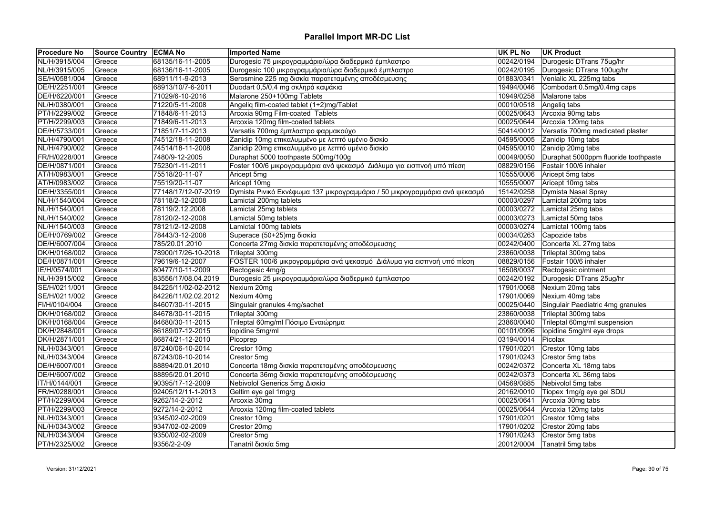| <b>Procedure No</b> | <b>Source Country ECMA No</b> |                     | <b>Imported Name</b>                                                       | <b>UK PL No</b> | <b>UK Product</b>                    |
|---------------------|-------------------------------|---------------------|----------------------------------------------------------------------------|-----------------|--------------------------------------|
| NL/H/3915/004       | Greece                        | 68135/16-11-2005    | Durogesic 75 μικρογραμμάρια/ώρα διαδερμικό έμπλαστρο                       | 00242/0194      | Durogesic DTrans 75ug/hr             |
| NL/H/3915/005       | Greece                        | 68136/16-11-2005    | Durogesic 100 μικρογραμμάρια/ώρα διαδερμικό έμπλαστρο                      | 00242/0195      | Durogesic DTrans 100ug/hr            |
| SE/H/0581/004       | Greece                        | 68911/11-9-2013     | Serosmine 225 mg δισκία παρατεταμένης αποδέσμευσης                         | 01883/0341      | Venlalic XL 225mg tabs               |
| DE/H/2251/001       | Greece                        | 68913/10/7-6-2011   | Duodart 0,5/0,4 mg σκληρά καψάκια                                          | 19494/0046      | Combodart 0.5mg/0.4mg caps           |
| DE/H/6220/001       | Greece                        | 71029/6-10-2016     | Malarone 250+100mg Tablets                                                 | 10949/0258      | Malarone tabs                        |
| NL/H/0380/001       | Greece                        | 71220/5-11-2008     | Angeliq film-coated tablet (1+2)mg/Tablet                                  | 00010/0518      | Angeliq tabs                         |
| PT/H/2299/002       | Greece                        | 71848/6-11-2013     | Arcoxia 90mg Film-coated Tablets                                           | 00025/0643      | Arcoxia 90mg tabs                    |
| PT/H/2299/003       | Greece                        | 71849/6-11-2013     | Arcoxia 120mg film-coated tablets                                          | 00025/0644      | Arcoxia 120mg tabs                   |
| DE/H/5733/001       | Greece                        | 71851/7-11-2013     | Versatis 700mg έμπλαστρο φαρμακούχο                                        | 50414/0012      | Versatis 700mg medicated plaster     |
| NL/H/4790/001       | Greece                        | 74512/18-11-2008    | Zanidip 10mg επικαλυμμένο με λεπτό υμένιο δισκίο                           | 04595/0005      | Zanidip 10mg tabs                    |
| NL/H/4790/002       | Greece                        | 74514/18-11-2008    | Zanidip 20mg επικαλυμμένο με λεπτό υμένιο δισκίο                           | 04595/0010      | Zanidip 20mg tabs                    |
| FR/H/0228/001       | Greece                        | 7480/9-12-2005      | Duraphat 5000 toothpaste 500mg/100g                                        | 00049/0050      | Duraphat 5000ppm fluoride toothpaste |
| DE/H/0871/001       | Greece                        | 75230/1-11-2011     | Foster 100/6 μικρογραμμάρια ανά ψεκασμό Διάλυμα για εισπνοή υπό πίεση      | 08829/0156      | Fostair 100/6 inhaler                |
| AT/H/0983/001       | Greece                        | 75518/20-11-07      | Aricept 5mg                                                                | 10555/0006      | Aricept 5mg tabs                     |
| AT/H/0983/002       | Greece                        | 75519/20-11-07      | Aricept 10mg                                                               | 10555/0007      | Aricept 10mg tabs                    |
| DE/H/3355/001       | Greece                        | 77148/17/12-07-2019 | Dymista Ρινικό Εκνέφωμα 137 μικρογραμμάρια / 50 μικρογραμμάρια ανά ψεκασμό | 15142/0258      | Dymista Nasal Spray                  |
| NL/H/1540/004       | Greece                        | 78118/2-12-2008     | Lamictal 200mg tablets                                                     | 00003/0297      | Lamictal 200mg tabs                  |
| NL/H/1540/001       | Greece                        | 78119/2.12.2008     | Lamictal 25mg tablets                                                      | 00003/0272      | Lamictal 25mg tabs                   |
| NL/H/1540/002       | Greece                        | 78120/2-12-2008     | Lamictal 50mg tablets                                                      | 00003/0273      | Lamictal 50mg tabs                   |
| NL/H/1540/003       | Greece                        | 78121/2-12-2008     | Lamictal 100mg tablets                                                     | 00003/0274      | Lamictal 100mg tabs                  |
| DE/H/0769/002       | Greece                        | 78443/3-12-2008     | Superace (50+25)mg δισκία                                                  | 00034/0263      | Capozide tabs                        |
| DE/H/6007/004       | Greece                        | 785/20.01.2010      | Concerta 27mg δισκία παρατεταμένης αποδέσμευσης                            | 00242/0400      | Concerta XL 27mg tabs                |
| DK/H/0168/002       | Greece                        | 78900/17/26-10-2018 | Trileptal 300mg                                                            | 23860/0038      | Trileptal 300mg tabs                 |
| DE/H/0871/001       | Greece                        | 79619/6-12-2007     | FOSTER 100/6 μικρογραμμάρια ανά ψεκασμό Διάλυμα για εισπνοή υπό πίεση      | 08829/0156      | Fostair 100/6 inhaler                |
| IE/H/0574/001       | Greece                        | 80477/10-11-2009    | Rectogesic 4mg/g                                                           | 16508/0037      | Rectogesic ointment                  |
| NL/H/3915/002       | Greece                        | 83556/17/08.04.2019 | Durogesic 25 μικρογραμμάρια/ώρα διαδερμικό έμπλαστρο                       | 00242/0192      | Durogesic DTrans 25ug/hr             |
| SE/H/0211/001       | Greece                        | 84225/11/02-02-2012 | Nexium 20mg                                                                | 17901/0068      | Nexium 20mg tabs                     |
| SE/H/0211/002       | Greece                        | 84226/11/02.02.2012 | Nexium 40mg                                                                | 17901/0069      | Nexium 40mg tabs                     |
| FI/H/0104/004       | Greece                        | 84607/30-11-2015    | Singulair granules 4mg/sachet                                              | 00025/0440      | Singulair Paediatric 4mg granules    |
| DK/H/0168/002       | Greece                        | 84678/30-11-2015    | Trileptal 300mg                                                            | 23860/0038      | Trileptal 300mg tabs                 |
| DK/H/0168/004       | Greece                        | 84680/30-11-2015    | Trileptal 60mg/ml Πόσιμο Εναιώρημα                                         | 23860/0040      | Trileptal 60mg/ml suspension         |
| DK/H/2848/001       | Greece                        | 86189/07-12-2015    | lopidine 5mg/ml                                                            | 00101/0996      | lopidine 5mg/ml eye drops            |
| DK/H/2871/001       | Greece                        | 86874/21-12-2010    | Picoprep                                                                   | 03194/0014      | Picolax                              |
| NL/H/0343/001       | Greece                        | 87240/06-10-2014    | Crestor 10mg                                                               | 17901/0201      | Crestor 10mg tabs                    |
| NL/H/0343/004       | Greece                        | 87243/06-10-2014    | Crestor 5mg                                                                | 17901/0243      | Crestor 5mg tabs                     |
| DE/H/6007/001       | Greece                        | 88894/20.01.2010    | Concerta 18mg δισκία παρατεταμένης αποδέσμευσης                            | 00242/0372      | Concerta XL 18mg tabs                |
| DE/H/6007/002       | Greece                        | 88895/20.01.2010    | Concerta 36mg δισκία παρατεταμένης αποδέσμευσης                            | 00242/0373      | Concerta XL 36mg tabs                |
| IT/H/0144/001       | Greece                        | 90395/17-12-2009    | Nebivolol Generics 5mg Δισκία                                              | 04569/0885      | Nebivolol 5mg tabs                   |
| FR/H/0288/001       | Greece                        | 92405/12/11-1-2013  | Geltim eye gel 1mg/g                                                       | 20162/0010      | Tiopex 1mg/g eye gel SDU             |
| PT/H/2299/004       | Greece                        | 9262/14-2-2012      | Arcoxia 30mg                                                               | 00025/0641      | Arcoxia 30mg tabs                    |
|                     |                               |                     |                                                                            |                 |                                      |
| PT/H/2299/003       | Greece                        | 9272/14-2-2012      | Arcoxia 120mg film-coated tablets                                          | 00025/0644      | Arcoxia 120mg tabs                   |
| NL/H/0343/001       | Greece                        | 9345/02-02-2009     | Crestor 10mg                                                               | 17901/0201      | Crestor 10mg tabs                    |
| NL/H/0343/002       | Greece                        | 9347/02-02-2009     | Crestor 20mg                                                               | 17901/0202      | Crestor 20mg tabs                    |
| NL/H/0343/004       | Greece                        | 9350/02-02-2009     | Crestor 5mg                                                                | 17901/0243      | Crestor 5mg tabs                     |
| PT/H/2325/002       | Greece                        | 9356/2-2-09         | Tanatril δισκία 5mg                                                        |                 | 20012/0004 Tanatril 5mg tabs         |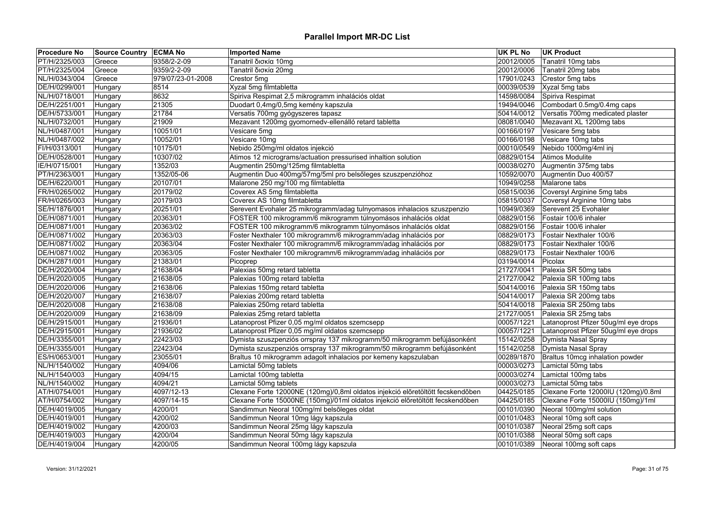| <b>Procedure No</b> | <b>Source Country ECMA No</b> |                   | <b>Imported Name</b>                                                           | UK PL No   | <b>UK Product</b>                    |
|---------------------|-------------------------------|-------------------|--------------------------------------------------------------------------------|------------|--------------------------------------|
| PT/H/2325/003       | Greece                        | 9358/2-2-09       | Tanatril δισκία 10mg                                                           | 20012/0005 | Tanatril 10mg tabs                   |
| PT/H/2325/004       | Greece                        | 9359/2-2-09       | Tanatril δισκία 20mg                                                           | 20012/0006 | Tanatril 20mg tabs                   |
| NL/H/0343/004       | Greece                        | 979/07/23-01-2008 | Crestor 5mg                                                                    | 17901/0243 | Crestor 5mg tabs                     |
| DE/H/0299/001       | Hungary                       | 8514              | Xyzal 5mg filmtabletta                                                         | 00039/0539 | Xyzal 5mg tabs                       |
| NL/H/0718/001       | Hungary                       | 8632              | Spiriva Respimat 2,5 mikrogramm inhalációs oldat                               | 14598/0084 | Spiriva Respimat                     |
| DE/H/2251/001       | Hungary                       | 21305             | Duodart 0,4mg/0,5mg kemény kapszula                                            | 19494/0046 | Combodart 0.5mg/0.4mg caps           |
| DE/H/5733/001       | Hungary                       | 21784             | Versatis 700mg gyógyszeres tapasz                                              | 50414/0012 | Versatis 700mg medicated plaster     |
| NL/H/0732/001       | Hungary                       | 21909             | Mezavant 1200mg gyomornedv-ellenálló retard tabletta                           | 08081/0040 | Mezavant XL 1200mg tabs              |
| NL/H/0487/001       | Hungary                       | 10051/01          | Vesicare 5mg                                                                   | 00166/0197 | Vesicare 5mg tabs                    |
| NL/H/0487/002       | Hungary                       | 10052/01          | Vesicare 10mg                                                                  | 00166/0198 | Vesicare 10mg tabs                   |
| FI/H/0313/001       | Hungary                       | 10175/01          | Nebido 250mg/ml oldatos injekció                                               | 00010/0549 | Nebido 1000mg/4ml inj                |
| DE/H/0528/001       | Hungary                       | 10307/02          | Atimos 12 micrograms/actuation pressurised inhaltion solution                  | 08829/0154 | Atimos Modulite                      |
| IE/H/0715/001       | Hungary                       | 1352/03           | Augmentin 250mg/125mg filmtabletta                                             | 00038/0270 | Augmentin 375mg tabs                 |
| PT/H/2363/001       | Hungary                       | 1352/05-06        | Augmentin Duo 400mg/57mg/5ml pro belsőleges szuszpenzióhoz                     | 10592/0070 | Augmentin Duo 400/57                 |
| DE/H/6220/001       | Hungary                       | 20107/01          | Malarone 250 mg/100 mg filmtabletta                                            | 10949/0258 | Malarone tabs                        |
| FR/H/0265/002       | Hungary                       | 20179/02          | Coverex AS 5mg filmtabletta                                                    | 05815/0036 | Coversyl Arginine 5mg tabs           |
| FR/H/0265/003       | Hungary                       | 20179/03          | Coverex AS 10mg filmtabletta                                                   | 05815/0037 | Coversyl Arginine 10mg tabs          |
| SE/H/1876/001       | Hungary                       | 20251/01          | Serevent Evohaler 25 mikrogramm/adag tulnyomasos inhalacios szuszpenzio        | 10949/0369 | Serevent 25 Evohaler                 |
| DE/H/0871/001       | Hungary                       | 20363/01          | FOSTER 100 mikrogramm/6 mikrogramm túlnyomásos inhalációs oldat                | 08829/0156 | Fostair 100/6 inhaler                |
| DE/H/0871/001       | Hungary                       | 20363/02          | FOSTER 100 mikrogramm/6 mikrogramm túlnyomásos inhalációs oldat                | 08829/0156 | Fostair 100/6 inhaler                |
| DE/H/0871/002       | Hungary                       | 20363/03          | Foster Nexthaler 100 mikrogramm/6 mikrogramm/adag inhalációs por               | 08829/0173 | Fostair Nexthaler 100/6              |
| DE/H/0871/002       | Hungary                       | 20363/04          | Foster Nexthaler 100 mikrogramm/6 mikrogramm/adag inhalációs por               | 08829/0173 | Fostair Nexthaler 100/6              |
| DE/H/0871/002       | Hungary                       | 20363/05          | Foster Nexthaler 100 mikrogramm/6 mikrogramm/adag inhalációs por               | 08829/0173 | Fostair Nexthaler 100/6              |
| DK/H/2871/001       | Hungary                       | 21383/01          | Picoprep                                                                       | 03194/0014 | Picolax                              |
| DE/H/2020/004       | Hungary                       | 21638/04          | Palexias 50mg retard tabletta                                                  | 21727/0041 | Palexia SR 50mg tabs                 |
| DE/H/2020/005       | Hungary                       | 21638/05          | Palexias 100mg retard tabletta                                                 | 21727/0042 | Palexia SR 100mg tabs                |
| DE/H/2020/006       | Hungary                       | 21638/06          | Palexias 150mg retard tabletta                                                 | 50414/0016 | Palexia SR 150mg tabs                |
| DE/H/2020/007       | Hungary                       | 21638/07          | Palexias 200mg retard tabletta                                                 | 50414/0017 | Palexia SR 200mg tabs                |
| DE/H/2020/008       | Hungary                       | 21638/08          | Palexias 250mg retard tabletta                                                 | 50414/0018 | Palexia SR 250mg tabs                |
| DE/H/2020/009       | Hungary                       | 21638/09          | Palexias 25mg retard tabletta                                                  | 21727/0051 | Palexia SR 25mg tabs                 |
| DE/H/2915/001       | Hungary                       | 21936/01          | Latanoprost Pfizer 0,05 mg/ml oldatos szemcsepp                                | 00057/1221 | Latanoprost Pfizer 50ug/ml eye drops |
| DE/H/2915/001       | Hungary                       | 21936/02          | Latanoprost Pfizer 0,05 mg/ml oldatos szemcsepp                                | 00057/1221 | Latanoprost Pfizer 50ug/ml eye drops |
| DE/H/3355/001       | Hungary                       | 22423/03          | Dymista szuszpenziós orrspray 137 mikrogramm/50 mikrogramm befújásonként       | 15142/0258 | Dymista Nasal Spray                  |
| DE/H/3355/001       | Hungary                       | 22423/04          | Dymista szuszpenziós orrspray 137 mikrogramm/50 mikrogramm befújásonként       | 15142/0258 | Dymista Nasal Spray                  |
| ES/H/0653/001       | Hungary                       | 23055/01          | Braltus 10 mikrogramm adagolt inhalacios por kemeny kapszulaban                | 00289/1870 | Braltus 10mcg inhalation powder      |
| NL/H/1540/002       | Hungary                       | 4094/06           | Lamictal 50mg tablets                                                          | 00003/0273 | Lamictal 50mg tabs                   |
| NL/H/1540/003       | Hungary                       | 4094/15           | Lamictal 100mg tabletta                                                        | 00003/0274 | Lamictal 100mg tabs                  |
| NL/H/1540/002       | Hungary                       | 4094/21           | Lamictal 50mg tablets                                                          | 00003/0273 | Lamictal 50mg tabs                   |
| AT/H/0754/001       | Hungary                       | 4097/12-13        | Clexane Forte 12000NE (120mg)/0,8ml oldatos injekció előretöltött fecskendőben | 04425/0185 | Clexane Forte 12000IU (120mg)/0.8ml  |
| AT/H/0754/002       | Hungary                       | 4097/14-15        | Clexane Forte 15000NE (150mg)/01ml oldatos injekció előretöltött fecskendőben  | 04425/0185 | Clexane Forte 15000IU (150mg)/1ml    |
| DE/H/4019/005       | Hungary                       | 4200/01           | Sandimmun Neoral 100mg/ml belsõleges oldat                                     | 00101/0390 | Neoral 100mg/ml solution             |
| DE/H/4019/001       | Hungary                       | 4200/02           | Sandimmun Neoral 10mg lágy kapszula                                            | 00101/0483 | Neoral 10mg soft caps                |
| DE/H/4019/002       | Hungary                       | 4200/03           | Sandimmun Neoral 25mg lágy kapszula                                            | 00101/0387 | Neoral 25mg soft caps                |
| DE/H/4019/003       | Hungary                       | 4200/04           | Sandimmun Neoral 50mg lágy kapszula                                            | 00101/0388 | Neoral 50mg soft caps                |
| DE/H/4019/004       | Hungary                       | 4200/05           | Sandimmun Neoral 100mg lágy kapszula                                           | 00101/0389 | Neoral 100mg soft caps               |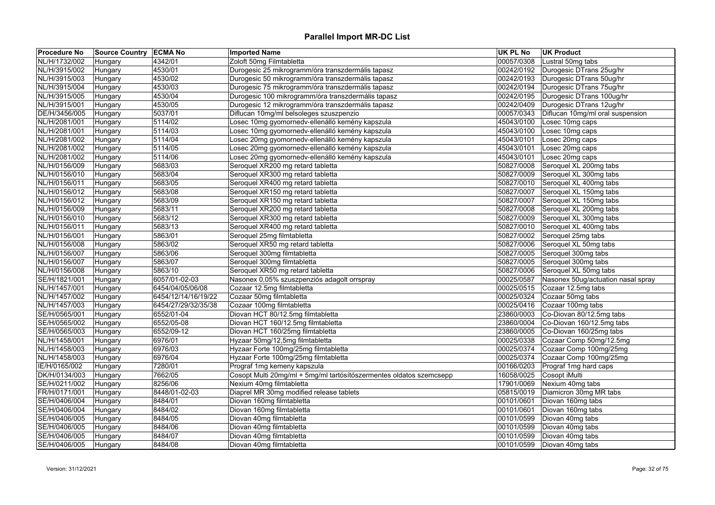| <b>Procedure No</b> | Source Country   ECMA No |                     | <b>Imported Name</b>                                                | <b>UK PL No</b> | <b>UK Product</b>                  |
|---------------------|--------------------------|---------------------|---------------------------------------------------------------------|-----------------|------------------------------------|
| NL/H/1732/002       | Hungary                  | 4342/01             | Zoloft 50mg Filmtabletta                                            | 00057/0308      | Lustral 50mg tabs                  |
| NL/H/3915/002       | Hungary                  | 4530/01             | Durogesic 25 mikrogramm/óra transzdermális tapasz                   | 00242/0192      | Durogesic DTrans 25ug/hr           |
| NL/H/3915/003       | Hungary                  | 4530/02             | Durogesic 50 mikrogramm/óra transzdermális tapasz                   | 00242/0193      | Durogesic DTrans 50ug/hr           |
| NL/H/3915/004       | Hungary                  | 4530/03             | Durogesic 75 mikrogramm/óra transzdermális tapasz                   | 00242/0194      | Durogesic DTrans 75ug/hr           |
| NL/H/3915/005       | Hungary                  | 4530/04             | Durogesic 100 mikrogramm/óra transzdermális tapasz                  | 00242/0195      | Durogesic DTrans 100ug/hr          |
| NL/H/3915/001       | Hungary                  | 4530/05             | Durogesic 12 mikrogramm/óra transzdermális tapasz                   | 00242/0409      | Durogesic DTrans 12ug/hr           |
| DE/H/3456/005       | Hungary                  | 5037/01             | Diflucan 10mg/ml belsoleges szuszpenzio                             | 00057/0343      | Diflucan 10mg/ml oral suspension   |
| NL/H/2081/001       | Hungary                  | 5114/02             | Losec 10mg gyomornedv-ellenálló kemény kapszula                     | 45043/0100      | Losec 10mg caps                    |
| NL/H/2081/001       | Hungary                  | 5114/03             | Losec 10mg gyomornedv-ellenálló kemény kapszula                     | 45043/0100      | Losec 10mg caps                    |
| NL/H/2081/002       | Hungary                  | 5114/04             | Losec 20mg gyomornedv-ellenálló kemény kapszula                     | 45043/0101      | Losec 20mg caps                    |
| NL/H/2081/002       | Hungary                  | 5114/05             | osec 20mg gyomornedv-ellenálló kemény kapszula                      | 45043/0101      | Losec 20mg caps                    |
| NL/H/2081/002       | Hungary                  | 5114/06             | Losec 20mg gyomornedv-ellenálló kemény kapszula                     | 45043/0101      | Losec 20mg caps                    |
| NL/H/0156/009       | Hungary                  | 5683/03             | Seroquel XR200 mg retard tabletta                                   | 50827/0008      | Seroquel XL 200mg tabs             |
| NL/H/0156/010       | Hungary                  | 5683/04             | Seroquel XR300 mg retard tabletta                                   | 50827/0009      | Seroquel XL 300mg tabs             |
| NL/H/0156/011       | Hungary                  | 5683/05             | Seroquel XR400 mg retard tabletta                                   | 50827/0010      | Seroquel XL 400mg tabs             |
| NL/H/0156/012       | Hungary                  | 5683/08             | Seroquel XR150 mg retard tabletta                                   | 50827/0007      | Seroquel XL 150mg tabs             |
| NL/H/0156/012       | Hungary                  | 5683/09             | Seroquel XR150 mg retard tabletta                                   | 50827/0007      | Seroquel XL 150mg tabs             |
| NL/H/0156/009       | Hungary                  | 5683/11             | Seroquel XR200 mg retard tabletta                                   | 50827/0008      | Seroquel XL 200mg tabs             |
| NL/H/0156/010       | Hungary                  | 5683/12             | Seroquel XR300 mg retard tabletta                                   | 50827/0009      | Seroquel XL 300mg tabs             |
| NL/H/0156/011       | Hungary                  | 5683/13             | Seroquel XR400 mg retard tabletta                                   | 50827/0010      | Seroquel XL 400mg tabs             |
| NL/H/0156/001       | Hungary                  | 5863/01             | Seroquel 25mg filmtabletta                                          | 50827/0002      | Seroquel 25mg tabs                 |
| NL/H/0156/008       | Hungary                  | 5863/02             | Seroquel XR50 mg retard tabletta                                    | 50827/0006      | Seroquel XL 50mg tabs              |
| NL/H/0156/007       | Hungary                  | 5863/06             | Seroquel 300mg filmtabletta                                         | 50827/0005      | Seroquel 300mg tabs                |
| NL/H/0156/007       | Hungary                  | 5863/07             | Seroquel 300mg filmtabletta                                         | 50827/0005      | Seroquel 300mg tabs                |
| NL/H/0156/008       | Hungary                  | 5863/10             | Seroquel XR50 mg retard tabletta                                    | 50827/0006      | Seroquel XL 50mg tabs              |
| SE/H/1821/001       | Hungary                  | 6057/01-02-03       | Nasonex 0,05% szuszpenziós adagolt orrspray                         | 00025/0587      | Nasonex 50ug/actuation nasal spray |
| NL/H/1457/001       | Hungary                  | 6454/04/05/06/08    | Cozaar 12.5mg filmtabletta                                          | 00025/0515      | Cozaar 12.5mg tabs                 |
| NL/H/1457/002       |                          | 6454/12/14/16/19/22 | Cozaar 50mg filmtabletta                                            | 00025/0324      | Cozaar 50mg tabs                   |
| NL/H/1457/003       | Hungary                  | 6454/27/29/32/35/38 |                                                                     | 00025/0416      | Cozaar 100mg tabs                  |
|                     | Hungary                  |                     | Cozaar 100mg filmtabletta                                           |                 |                                    |
| SE/H/0565/001       | Hungary                  | 6552/01-04          | Diovan HCT 80/12.5mg filmtabletta                                   | 23860/0003      | Co-Diovan 80/12.5mg tabs           |
| SE/H/0565/002       | Hungary                  | 6552/05-08          | Diovan HCT 160/12.5mg filmtabletta                                  | 23860/0004      | Co-Diovan 160/12.5mg tabs          |
| SE/H/0565/003       | Hungary                  | 6552/09-12          | Diovan HCT 160/25mg filmtabletta                                    | 23860/0005      | Co-Diovan 160/25mg tabs            |
| NL/H/1458/001       | Hungary                  | 6976/01             | Hyzaar 50mg/12,5mg filmtabletta                                     | 00025/0338      | Cozaar Comp 50mg/12.5mg            |
| NL/H/1458/003       | Hungary                  | 6976/03             | Hyzaar Forte 100mg/25mg filmtabletta                                | 00025/0374      | Cozaar Comp 100mg/25mg             |
| NL/H/1458/003       | Hungary                  | 6976/04             | Hyzaar Forte 100mg/25mg filmtabletta                                | 00025/0374      | Cozaar Comp 100mg/25mg             |
| IE/H/0165/002       | Hungary                  | 7280/01             | Prograf 1mg kemeny kapszula                                         | 00166/0203      | Prograf 1mg hard caps              |
| DK/H/0134/003       | Hungary                  | 7662/05             | Cosopt Multi 20mg/ml + 5mg/ml tartósítószermentes oldatos szemcsepp | 16058/0025      | Cosopt iMulti                      |
| SE/H/0211/002       | Hungary                  | 8256/06             | Nexium 40mg filmtabletta                                            | 17901/0069      | Nexium 40mg tabs                   |
| FR/H/0171/001       | Hungary                  | 8448/01-02-03       | Diaprel MR 30mg modified release tablets                            | 05815/0019      | Diamicron 30mg MR tabs             |
| SE/H/0406/004       | Hungary                  | 8484/01             | Diovan 160mg filmtabletta                                           | 00101/0601      | Diovan 160mg tabs                  |
| SE/H/0406/004       | Hungary                  | 8484/02             | Diovan 160mg filmtabletta                                           | 00101/0601      | Diovan 160mg tabs                  |
| SE/H/0406/005       | Hungary                  | 8484/05             | Diovan 40mg filmtabletta                                            | 00101/0599      | Diovan 40mg tabs                   |
| SE/H/0406/005       | Hungary                  | 8484/06             | Diovan 40mg filmtabletta                                            | 00101/0599      | Diovan 40mg tabs                   |
| SE/H/0406/005       | Hungary                  | 8484/07             | Diovan 40mg filmtabletta                                            | 00101/0599      | Diovan 40mg tabs                   |
| SE/H/0406/005       | Hungary                  | 8484/08             | Diovan 40mg filmtabletta                                            | 00101/0599      | Diovan 40mg tabs                   |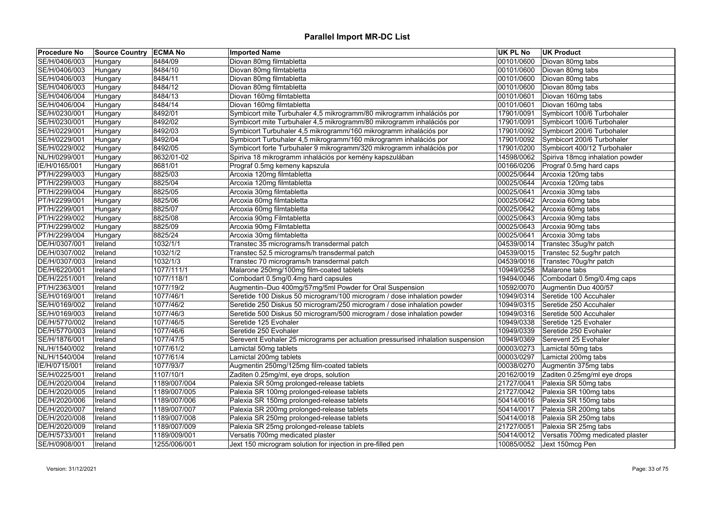| <b>Procedure No</b> | <b>Source Country ECMA No</b> |              | <b>Imported Name</b>                                                            | UK PL No   | <b>UK Product</b>                |
|---------------------|-------------------------------|--------------|---------------------------------------------------------------------------------|------------|----------------------------------|
| SE/H/0406/003       | Hungary                       | 8484/09      | Diovan 80mg filmtabletta                                                        | 00101/0600 | Diovan 80mg tabs                 |
| SE/H/0406/003       | Hungary                       | 8484/10      | Diovan 80mg filmtabletta                                                        | 00101/0600 | Diovan 80mg tabs                 |
| SE/H/0406/003       | Hungary                       | 8484/11      | Diovan 80mg filmtabletta                                                        | 00101/0600 | Diovan 80mg tabs                 |
| SE/H/0406/003       | Hungary                       | 8484/12      | Diovan 80mg filmtabletta                                                        | 00101/0600 | Diovan 80mg tabs                 |
| SE/H/0406/004       | Hungary                       | 8484/13      | Diovan 160mg filmtabletta                                                       | 00101/0601 | Diovan 160mg tabs                |
| SE/H/0406/004       | Hungary                       | 8484/14      | Diovan 160mg filmtabletta                                                       | 00101/0601 | Diovan 160mg tabs                |
| SE/H/0230/001       | Hungary                       | 8492/01      | Symbicort mite Turbuhaler 4,5 mikrogramm/80 mikrogramm inhalációs por           | 17901/0091 | Symbicort 100/6 Turbohaler       |
| SE/H/0230/001       | Hungary                       | 8492/02      | Symbicort mite Turbuhaler 4,5 mikrogramm/80 mikrogramm inhalációs por           | 17901/0091 | Symbicort 100/6 Turbohaler       |
| SE/H/0229/001       | Hungary                       | 8492/03      | Symbicort Turbuhaler 4,5 mikrogramm/160 mikrogramm inhalációs por               | 17901/0092 | Symbicort 200/6 Turbohaler       |
| SE/H/0229/001       | Hungary                       | 8492/04      | Symbicort Turbuhaler 4,5 mikrogramm/160 mikrogramm inhalációs por               | 17901/0092 | Symbicort 200/6 Turbohaler       |
| SE/H/0229/002       | Hungary                       | 8492/05      | Symbicort forte Turbuhaler 9 mikrogramm/320 mikrogramm inhalációs por           | 17901/0200 | Symbicort 400/12 Turbohaler      |
| NL/H/0299/001       | Hungary                       | 8632/01-02   | Spiriva 18 mikrogramm inhalációs por kemény kapszulában                         | 14598/0062 | Spiriva 18mcg inhalation powder  |
| IE/H/0165/001       | Hungary                       | 8681/01      | Prograf 0.5mg kemeny kapszula                                                   | 00166/0206 | Prograf 0.5mg hard caps          |
| PT/H/2299/003       | Hungary                       | 8825/03      | Arcoxia 120mg filmtabletta                                                      |            | 00025/0644 Arcoxia 120mg tabs    |
| PT/H/2299/003       | Hungary                       | 8825/04      | Arcoxia 120mg filmtabletta                                                      | 00025/0644 | Arcoxia 120mg tabs               |
| PT/H/2299/004       | Hungary                       | 8825/05      | Arcoxia 30mg filmtabletta                                                       | 00025/0641 | Arcoxia 30mg tabs                |
| PT/H/2299/001       | Hungary                       | 8825/06      | Arcoxia 60mg filmtabletta                                                       | 00025/0642 | Arcoxia 60mg tabs                |
| PT/H/2299/001       | Hungary                       | 8825/07      | Arcoxia 60mg filmtabletta                                                       | 00025/0642 | Arcoxia 60mg tabs                |
| PT/H/2299/002       | Hungary                       | 8825/08      | Arcoxia 90mg Filmtabletta                                                       | 00025/0643 | Arcoxia 90mg tabs                |
| PT/H/2299/002       | Hungary                       | 8825/09      | Arcoxia 90mg Filmtabletta                                                       | 00025/0643 | Arcoxia 90mg tabs                |
| PT/H/2299/004       | Hungary                       | 8825/24      | Arcoxia 30mg filmtabletta                                                       | 00025/0641 | Arcoxia 30mg tabs                |
| DE/H/0307/001       | Ireland                       | 1032/1/1     | Transtec 35 micrograms/h transdermal patch                                      | 04539/0014 | Transtec 35ug/hr patch           |
| DE/H/0307/002       | Ireland                       | 1032/1/2     | Transtec 52.5 micrograms/h transdermal patch                                    | 04539/0015 | Transtec 52.5ug/hr patch         |
| DE/H/0307/003       | Ireland                       | 1032/1/3     | Transtec 70 micrograms/h transdermal patch                                      | 04539/0016 | Transtec 70ug/hr patch           |
| DE/H/6220/001       | Ireland                       | 1077/111/1   | Malarone 250mg/100mg film-coated tablets                                        | 10949/0258 | Malarone tabs                    |
| DE/H/2251/001       | Ireland                       | 1077/118/1   | Combodart 0.5mg/0.4mg hard capsules                                             | 19494/0046 | Combodart 0.5mg/0.4mg caps       |
| PT/H/2363/001       | Ireland                       | 1077/19/2    | Augmentin-Duo 400mg/57mg/5ml Powder for Oral Suspension                         | 10592/0070 | Augmentin Duo 400/57             |
| SE/H/0169/001       | Ireland                       | 1077/46/1    | Seretide 100 Diskus 50 microgram/100 microgram / dose inhalation powder         | 10949/0314 | Seretide 100 Accuhaler           |
| SE/H/0169/002       | Ireland                       | 1077/46/2    | Seretide 250 Diskus 50 microgram/250 microgram / dose inhalation powder         | 10949/0315 | Seretide 250 Accuhaler           |
| SE/H/0169/003       | Ireland                       | 1077/46/3    | Seretide 500 Diskus 50 microgram/500 microgram / dose inhalation powder         | 10949/0316 | Seretide 500 Accuhaler           |
| DE/H/5770/002       | Ireland                       | 1077/46/5    | Seretide 125 Evohaler                                                           | 10949/0338 | Seretide 125 Evohaler            |
| DE/H/5770/003       | Ireland                       | 1077/46/6    | Seretide 250 Evohaler                                                           | 10949/0339 | Seretide 250 Evohaler            |
| SE/H/1876/001       | Ireland                       | 1077/47/5    | Serevent Evohaler 25 micrograms per actuation pressurised inhalation suspension | 10949/0369 | Serevent 25 Evohaler             |
| NL/H/1540/002       | Ireland                       | 1077/61/2    | Lamictal 50mg tablets                                                           | 00003/0273 | Lamictal 50mg tabs               |
| NL/H/1540/004       | Ireland                       | 1077/61/4    | Lamictal 200mg tablets                                                          | 00003/0297 | Lamictal 200mg tabs              |
| IE/H/0715/001       | Ireland                       | 1077/93/7    | Augmentin 250mg/125mg film-coated tablets                                       | 00038/0270 | Augmentin 375mg tabs             |
| SE/H/0225/001       | Ireland                       | 1107/10/1    | Zaditen 0.25mg/ml, eye drops, solution                                          | 20162/0019 | Zaditen 0.25mg/ml eye drops      |
| DE/H/2020/004       | Ireland                       | 1189/007/004 | Palexia SR 50mg prolonged-release tablets                                       | 21727/0041 | Palexia SR 50mg tabs             |
| DE/H/2020/005       | Ireland                       | 1189/007/005 | Palexia SR 100mg prolonged-release tablets                                      | 21727/0042 | Palexia SR 100mg tabs            |
| DE/H/2020/006       | Ireland                       | 1189/007/006 | Palexia SR 150mg prolonged-release tablets                                      | 50414/0016 | Palexia SR 150mg tabs            |
| DE/H/2020/007       | Ireland                       | 1189/007/007 | Palexia SR 200mg prolonged-release tablets                                      | 50414/0017 | Palexia SR 200mg tabs            |
| DE/H/2020/008       | Ireland                       | 1189/007/008 | Palexia SR 250mg prolonged-release tablets                                      | 50414/0018 | Palexia SR 250mg tabs            |
| DE/H/2020/009       | Ireland                       | 1189/007/009 | Palexia SR 25mg prolonged-release tablets                                       | 21727/0051 | Palexia SR 25mg tabs             |
| DE/H/5733/001       | Ireland                       | 1189/009/001 | Versatis 700mg medicated plaster                                                | 50414/0012 | Versatis 700mg medicated plaster |
| SE/H/0908/001       | Ireland                       | 1255/006/001 | Jext 150 microgram solution for injection in pre-filled pen                     |            | 10085/0052 Jext 150mcg Pen       |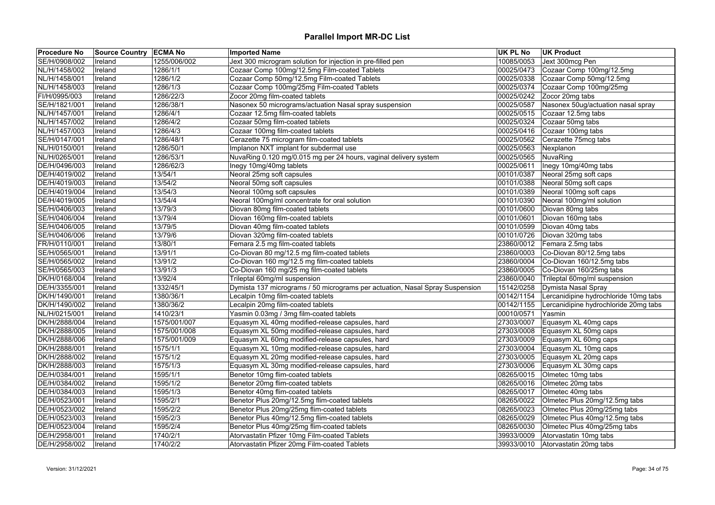| <b>Procedure No</b> | <b>Source Country ECMA No</b> |              | <b>Imported Name</b>                                                         | <b>UK PL No</b> | <b>UK Product</b>                     |
|---------------------|-------------------------------|--------------|------------------------------------------------------------------------------|-----------------|---------------------------------------|
| SE/H/0908/002       | Ireland                       | 1255/006/002 | Jext 300 microgram solution for injection in pre-filled pen                  | 10085/0053      | Jext 300mcg Pen                       |
| NL/H/1458/002       | Ireland                       | 1286/1/1     | Cozaar Comp 100mg/12.5mg Film-coated Tablets                                 | 00025/0473      | Cozaar Comp 100mg/12.5mg              |
| NL/H/1458/001       | Ireland                       | 1286/1/2     | Cozaar Comp 50mg/12.5mg Film-coated Tablets                                  | 00025/0338      | Cozaar Comp 50mg/12.5mg               |
| NL/H/1458/003       | Ireland                       | 1286/1/3     | Cozaar Comp 100mg/25mg Film-coated Tablets                                   | 00025/0374      | Cozaar Comp 100mg/25mg                |
| FI/H/0995/003       | Ireland                       | 1286/22/3    | Zocor 20mg film-coated tablets                                               | 00025/0242      | Zocor 20mg tabs                       |
| SE/H/1821/001       | Ireland                       | 1286/38/1    | Nasonex 50 micrograms/actuation Nasal spray suspension                       | 00025/0587      | Nasonex 50ug/actuation nasal spray    |
| NL/H/1457/001       | Ireland                       | 1286/4/1     | Cozaar 12.5mg film-coated tablets                                            | 00025/0515      | Cozaar 12.5mg tabs                    |
| NL/H/1457/002       | Ireland                       | 1286/4/2     | Cozaar 50mg film-coated tablets                                              | 00025/0324      | Cozaar 50mg tabs                      |
| NL/H/1457/003       | Ireland                       | 1286/4/3     | Cozaar 100mg film-coated tablets                                             | 00025/0416      | Cozaar 100mg tabs                     |
| SE/H/0147/001       | Ireland                       | 1286/48/1    | Cerazette 75 microgram film-coated tablets                                   | 00025/0562      | Cerazette 75mcg tabs                  |
| NL/H/0150/001       | Ireland                       | 1286/50/1    | Implanon NXT implant for subdermal use                                       | 00025/0563      | Nexplanon                             |
| NL/H/0265/001       | Ireland                       | 1286/53/1    | NuvaRing 0.120 mg/0.015 mg per 24 hours, vaginal delivery system             | 00025/0565      | NuvaRing                              |
| DE/H/0496/003       | Ireland                       | 1286/62/3    | Inegy 10mg/40mg tablets                                                      | 00025/0611      | Inegy 10mg/40mg tabs                  |
| DE/H/4019/002       | Ireland                       | 13/54/1      | Neoral 25mg soft capsules                                                    | 00101/0387      | Neoral 25mg soft caps                 |
| DE/H/4019/003       | Ireland                       | 13/54/2      | Neoral 50mg soft capsules                                                    | 00101/0388      | Neoral 50mg soft caps                 |
| DE/H/4019/004       | Ireland                       | 13/54/3      | Neoral 100mg soft capsules                                                   | 00101/0389      | Neoral 100mg soft caps                |
| DE/H/4019/005       | Ireland                       | 13/54/4      | Neoral 100mg/ml concentrate for oral solution                                | 00101/0390      | Neoral 100mg/ml solution              |
| SE/H/0406/003       | Ireland                       | 13/79/3      | Diovan 80mg film-coated tablets                                              | 00101/0600      | Diovan 80mg tabs                      |
| SE/H/0406/004       | Ireland                       | 13/79/4      | Diovan 160mg film-coated tablets                                             | 00101/0601      | Diovan 160mg tabs                     |
| SE/H/0406/005       | Ireland                       | 13/79/5      | Diovan 40mg film-coated tablets                                              | 00101/0599      | Diovan 40mg tabs                      |
| SE/H/0406/006       | Ireland                       | 13/79/6      | Diovan 320mg film-coated tablets                                             | 00101/0726      | Diovan 320mg tabs                     |
| FR/H/0110/001       | Ireland                       | 13/80/1      | Femara 2.5 mg film-coated tablets                                            | 23860/0012      | Femara 2.5mg tabs                     |
| SE/H/0565/001       | Ireland                       | 13/91/1      | Co-Diovan 80 mg/12.5 mg film-coated tablets                                  | 23860/0003      | Co-Diovan 80/12.5mg tabs              |
| SE/H/0565/002       | Ireland                       | 13/91/2      | Co-Diovan 160 mg/12.5 mg film-coated tablets                                 | 23860/0004      | Co-Diovan 160/12.5mg tabs             |
| SE/H/0565/003       | Ireland                       | 13/91/3      | Co-Diovan 160 mg/25 mg film-coated tablets                                   | 23860/0005      | Co-Diovan 160/25mg tabs               |
| DK/H/0168/004       | Ireland                       | 13/92/4      | Trileptal 60mg/ml suspension                                                 | 23860/0040      | Trileptal 60mg/ml suspension          |
| DE/H/3355/001       | Ireland                       | 1332/45/1    | Dymista 137 micrograms / 50 micrograms per actuation, Nasal Spray Suspension | 15142/0258      | Dymista Nasal Spray                   |
| DK/H/1490/001       | Ireland                       | 1380/36/1    | Lecalpin 10mg film-coated tablets                                            | 00142/1154      | Lercanidipine hydrochloride 10mg tabs |
| DK/H/1490/002       | Ireland                       | 1380/36/2    | Lecalpin 20mg film-coated tablets                                            | 00142/1155      | Lercanidipine hydrochloride 20mg tabs |
| NL/H/0215/001       | Ireland                       | 1410/23/1    | Yasmin 0.03mg / 3mg film-coated tablets                                      | 00010/0571      | Yasmin                                |
| DK/H/2888/004       | Ireland                       | 1575/001/007 | Equasym XL 40mg modified-release capsules, hard                              | 27303/0007      | Equasym XL 40mg caps                  |
| DK/H/2888/005       | <b>Ireland</b>                | 1575/001/008 | Equasym XL 50mg modified-release capsules, hard                              | 27303/0008      | Equasym XL 50mg caps                  |
| DK/H/2888/006       | Ireland                       | 1575/001/009 | Equasym XL 60mg modified-release capsules, hard                              | 27303/0009      | Equasym XL 60mg caps                  |
| DK/H/2888/001       | Ireland                       | 1575/1/1     | Equasym XL 10mg modified-release capsules, hard                              | 27303/0004      | Equasym XL 10mg caps                  |
| DK/H/2888/002       | Ireland                       | 1575/1/2     | Equasym XL 20mg modified-release capsules, hard                              | 27303/0005      | Equasym XL 20mg caps                  |
| DK/H/2888/003       | Ireland                       | 1575/1/3     | Equasym XL 30mg modified-release capsules, hard                              | 27303/0006      | Equasym XL 30mg caps                  |
| DE/H/0384/001       | Ireland                       | 1595/1/1     | Benetor 10mg flim-coated tablets                                             | 08265/0015      | Olmetec 10mg tabs                     |
| DE/H/0384/002       |                               | 1595/1/2     | Benetor 20mg flim-coated tablets                                             | 08265/0016      | Olmetec 20mg tabs                     |
|                     | Ireland                       |              |                                                                              |                 |                                       |
| DE/H/0384/003       | Ireland                       | 1595/1/3     | Benetor 40mg flim-coated tablets                                             | 08265/0017      | Olmetec 40mg tabs                     |
| DE/H/0523/001       | Ireland                       | 1595/2/1     | Benetor Plus 20mg/12.5mg flim-coated tablets                                 | 08265/0022      | Olmetec Plus 20mg/12.5mg tabs         |
| DE/H/0523/002       | Ireland                       | 1595/2/2     | Benetor Plus 20mg/25mg flim-coated tablets                                   | 08265/0023      | Olmetec Plus 20mg/25mg tabs           |
| DE/H/0523/003       | Ireland                       | 1595/2/3     | Benetor Plus 40mg/12.5mg flim-coated tablets                                 | 08265/0029      | Olmetec Plus 40mg/12.5mg tabs         |
| DE/H/0523/004       | Ireland                       | 1595/2/4     | Benetor Plus 40mg/25mg flim-coated tablets                                   | 08265/0030      | Olmetec Plus 40mg/25mg tabs           |
| DE/H/2958/001       | Ireland                       | 1740/2/1     | Atorvastatin Pfizer 10mg Film-coated Tablets                                 | 39933/0009      | Atorvastatin 10mg tabs                |
| DE/H/2958/002       | Ireland                       | 1740/2/2     | Atorvastatin Pfizer 20mg Film-coated Tablets                                 | 39933/0010      | Atorvastatin 20mg tabs                |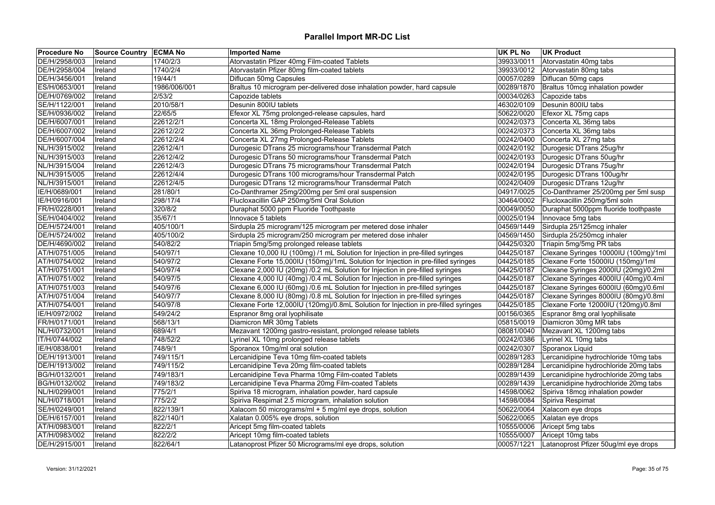| <b>Procedure No</b> | Source Country   ECMA No |              | <b>Imported Name</b>                                                               | <b>UK PL No</b> | <b>UK Product</b>                              |
|---------------------|--------------------------|--------------|------------------------------------------------------------------------------------|-----------------|------------------------------------------------|
| DE/H/2958/003       | Ireland                  | 1740/2/3     | Atorvastatin Pfizer 40mg Film-coated Tablets                                       | 39933/0011      | Atorvastatin 40mg tabs                         |
| DE/H/2958/004       | Ireland                  | 1740/2/4     | Atorvastatin Pfizer 80mg film-coated tablets                                       | 39933/0012      | Atorvastatin 80mg tabs                         |
| DE/H/3456/001       | Ireland                  | 19/44/1      | Diflucan 50mg Capsules                                                             | 00057/0289      | Diflucan 50mg caps                             |
| ES/H/0653/001       | Ireland                  | 1986/006/001 | Braltus 10 microgram per-delivered dose inhalation powder, hard capsule            | 00289/1870      | Braltus 10mcg inhalation powder                |
| DE/H/0769/002       | Ireland                  | 2/53/2       | Capozide tablets                                                                   | 00034/0263      | Capozide tabs                                  |
| SE/H/1122/001       | Ireland                  | 2010/58/1    | Desunin 800IU tablets                                                              | 46302/0109      | Desunin 800IU tabs                             |
| SE/H/0936/002       | Ireland                  | 22/65/5      | Efexor XL 75mg prolonged-release capsules, hard                                    | 50622/0020      | Efexor XL 75mg caps                            |
| DE/H/6007/001       | Ireland                  | 22612/2/1    | Concerta XL 18mg Prolonged-Release Tablets                                         |                 | 00242/0373 Concerta XL 36mg tabs               |
| DE/H/6007/002       | Ireland                  | 22612/2/2    | Concerta XL 36mg Prolonged-Release Tablets                                         | 00242/0373      | Concerta XL 36mg tabs                          |
| DE/H/6007/004       | Ireland                  | 22612/2/4    | Concerta XL 27mg Prolonged-Release Tablets                                         | 00242/0400      | Concerta XL 27mg tabs                          |
| NL/H/3915/002       | Ireland                  | 22612/4/1    | Durogesic DTrans 25 micrograms/hour Transdermal Patch                              |                 | 00242/0192 Durogesic DTrans 25ug/hr            |
| NL/H/3915/003       | Ireland                  | 22612/4/2    | Durogesic DTrans 50 micrograms/hour Transdermal Patch                              | 00242/0193      | Durogesic DTrans 50ug/hr                       |
| NL/H/3915/004       | Ireland                  | 22612/4/3    | Durogesic DTrans 75 micrograms/hour Transdermal Patch                              |                 | 00242/0194 Durogesic DTrans 75ug/hr            |
| NL/H/3915/005       | Ireland                  | 22612/4/4    | Durogesic DTrans 100 micrograms/hour Transdermal Patch                             |                 | 00242/0195 Durogesic DTrans 100ug/hr           |
| NL/H/3915/001       | Ireland                  | 22612/4/5    | Durogesic DTrans 12 micrograms/hour Transdermal Patch                              | 00242/0409      | Durogesic DTrans 12ug/hr                       |
| IE/H/0689/001       | Ireland                  | 281/80/1     | Co-Danthramer 25mg/200mg per 5ml oral suspension                                   |                 | 04917/0025 Co-Danthramer 25/200mg per 5ml susp |
| IE/H/0916/001       | Ireland                  | 298/17/4     | Flucloxacillin GAP 250mg/5ml Oral Solution                                         |                 | 30464/0002 Flucloxacillin 250mg/5ml soln       |
| FR/H/0228/001       | Ireland                  | 320/8/2      | Duraphat 5000 ppm Fluoride Toothpaste                                              | 00049/0050      | Duraphat 5000ppm fluoride toothpaste           |
| SE/H/0404/002       | Ireland                  | 35/67/1      | Innovace 5 tablets                                                                 |                 | 00025/0194   Innovace 5mg tabs                 |
| DE/H/5724/001       | Ireland                  | 405/100/1    | Sirdupla 25 microgram/125 microgram per metered dose inhaler                       |                 | 04569/1449 Sirdupla 25/125mcg inhaler          |
| DE/H/5724/002       | Ireland                  | 405/100/2    | Sirdupla 25 microgram/250 microgram per metered dose inhaler                       | 04569/1450      | Sirdupla 25/250mcg inhaler                     |
| DE/H/4690/002       | Ireland                  | 540/82/2     | Triapin 5mg/5mg prolonged release tablets                                          |                 | 04425/0320 Triapin 5mg/5mg PR tabs             |
| AT/H/0751/005       | Ireland                  | 540/97/1     | Clexane 10,000 IU (100mg) /1 mL Solution for Injection in pre-filled syringes      | 04425/0187      | Clexane Syringes 10000IU (100mg)/1ml           |
| AT/H/0754/002       | Ireland                  | 540/97/2     | Clexane Forte 15,000IU (150mg)/1mL Solution for Injection in pre-filled syringes   | 04425/0185      | Clexane Forte 15000IU (150mg)/1ml              |
| AT/H/0751/001       | Ireland                  | 540/97/4     | Clexane 2,000 IU (20mg) /0.2 mL Solution for Injection in pre-filled syringes      | 04425/0187      | Clexane Syringes 2000IU (20mg)/0.2ml           |
| AT/H/0751/002       | Ireland                  | 540/97/5     | Clexane 4,000 IU (40mg) /0.4 mL Solution for Injection in pre-filled syringes      | 04425/0187      | Clexane Syringes 4000IU (40mg)/0.4ml           |
| AT/H/0751/003       | Ireland                  | 540/97/6     | Clexane 6,000 IU (60mg) /0.6 mL Solution for Injection in pre-filled syringes      | 04425/0187      | Clexane Syringes 6000IU (60mg)/0.6ml           |
| AT/H/0751/004       | Ireland                  | 540/97/7     | Clexane 8,000 IU (80mg) /0.8 mL Solution for Injection in pre-filled syringes      | 04425/0187      | Clexane Syringes 8000IU (80mg)/0.8ml           |
| AT/H/0754/001       | Ireland                  | 540/97/8     | Clexane Forte 12,000IU (120mg)/0.8mL Solution for Injection in pre-filled syringes | 04425/0185      | Clexane Forte 12000IU (120mg)/0.8ml            |
| IE/H/0972/002       | Ireland                  | 549/24/2     | Espranor 8mg oral lyophilisate                                                     | 00156/0365      | Espranor 8mg oral lyophilisate                 |
| FR/H/0171/001       | Ireland                  | 568/13/1     | Diamicron MR 30mg Tablets                                                          | 05815/0019      | Diamicron 30mg MR tabs                         |
| NL/H/0732/001       | Ireland                  | 689/4/1      | Mezavant 1200mg gastro-resistant, prolonged release tablets                        | 08081/0040      | Mezavant XL 1200mg tabs                        |
| IT/H/0744/002       | Ireland                  | 748/52/2     | Lyrinel XL 10mg prolonged release tablets                                          | 00242/0386      | Lyrinel XL 10mg tabs                           |
| IE/H/0838/001       | Ireland                  | 748/9/1      | Sporanox 10mg/ml oral solution                                                     | 00242/0307      | Sporanox Liquid                                |
| DE/H/1913/001       | Ireland                  | 749/115/1    | Lercanidipine Teva 10mg film-coated tablets                                        | 00289/1283      | Lercanidipine hydrochloride 10mg tabs          |
| DE/H/1913/002       | Ireland                  | 749/115/2    | Lercanidipine Teva 20mg film-coated tablets                                        | 00289/1284      | Lercanidipine hydrochloride 20mg tabs          |
| BG/H/0132/001       | Ireland                  | 749/183/1    | Lercanidipine Teva Pharma 10mg Film-coated Tablets                                 | 00289/1439      | Lercanidipine hydrochloride 20mg tabs          |
| BG/H/0132/002       | Ireland                  | 749/183/2    | Lercanidipine Teva Pharma 20mg Film-coated Tablets                                 | 00289/1439      | Lercanidipine hydrochloride 20mg tabs          |
| NL/H/0299/001       | Ireland                  | 775/2/1      | Spiriva 18 microgram, inhalation powder, hard capsule                              | 14598/0062      | Spiriva 18mcg inhalation powder                |
| NL/H/0718/001       | Ireland                  | 775/2/2      | Spiriva Respimat 2.5 microgram, inhalation solution                                |                 | 14598/0084 Spiriva Respimat                    |
| SE/H/0249/001       | Ireland                  | 822/139/1    | Xalacom 50 micrograms/ml + 5 mg/ml eye drops, solution                             | 50622/0064      | Xalacom eye drops                              |
| DE/H/6157/001       | Ireland                  | 822/140/1    | Xalatan 0.005% eye drops, solution                                                 | 50622/0065      | Xalatan eye drops                              |
| AT/H/0983/001       | Ireland                  | 822/2/1      | Aricept 5mg film-coated tablets                                                    | 10555/0006      | Aricept 5mg tabs                               |
| AT/H/0983/002       | Ireland                  | 822/2/2      | Aricept 10mg film-coated tablets                                                   | 10555/0007      | Aricept 10mg tabs                              |
| DE/H/2915/001       | Ireland                  | 822/64/1     | Latanoprost Pfizer 50 Micrograms/ml eye drops, solution                            | 00057/1221      | Latanoprost Pfizer 50ug/ml eye drops           |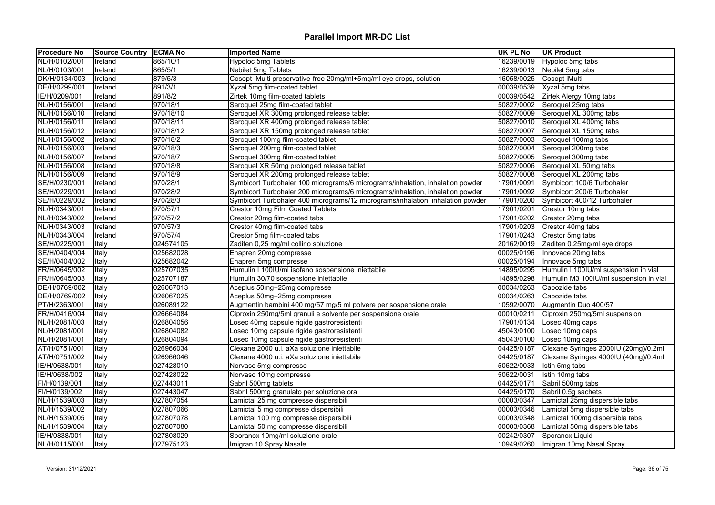| <b>Procedure No</b> | Source Country   ECMA No |           | <b>Imported Name</b>                                                            | <b>UK PL No</b> | <b>UK Product</b>                      |
|---------------------|--------------------------|-----------|---------------------------------------------------------------------------------|-----------------|----------------------------------------|
| NL/H/0102/001       | Ireland                  | 865/10/1  | <b>Hypoloc 5mg Tablets</b>                                                      | 16239/0019      | Hypoloc 5mg tabs                       |
| NL/H/0103/001       | Ireland                  | 865/5/1   | Nebilet 5mg Tablets                                                             | 16239/0013      | Nebilet 5mg tabs                       |
| DK/H/0134/003       | Ireland                  | 879/5/3   | Cosopt Multi preservative-free 20mg/ml+5mg/ml eye drops, solution               | 16058/0025      | Cosopt iMulti                          |
| DE/H/0299/001       | Ireland                  | 891/3/1   | Xyzal 5mg film-coated tablet                                                    | 00039/0539      | Xyzal 5mg tabs                         |
| IE/H/0209/001       | Ireland                  | 891/8/2   | Zirtek 10mg film-coated tablets                                                 | 00039/0542      | Zirtek Alergy 10mg tabs                |
| NL/H/0156/001       | Ireland                  | 970/18/1  | Seroquel 25mg film-coated tablet                                                | 50827/0002      | Seroquel 25mg tabs                     |
| NL/H/0156/010       | Ireland                  | 970/18/10 | Seroquel XR 300mg prolonged release tablet                                      | 50827/0009      | Seroquel XL 300mg tabs                 |
| NL/H/0156/011       | Ireland                  | 970/18/11 | Seroquel XR 400mg prolonged release tablet                                      | 50827/0010      | Seroquel XL 400mg tabs                 |
| NL/H/0156/012       | Ireland                  | 970/18/12 | Seroquel XR 150mg prolonged release tablet                                      | 50827/0007      | Seroquel XL 150mg tabs                 |
| NL/H/0156/002       | Ireland                  | 970/18/2  | Seroquel 100mg film-coated tablet                                               | 50827/0003      | Seroquel 100mg tabs                    |
| NL/H/0156/003       | Ireland                  | 970/18/3  | Seroquel 200mg film-coated tablet                                               | 50827/0004      | Seroquel 200mg tabs                    |
| NL/H/0156/007       | Ireland                  | 970/18/7  | Seroquel 300mg film-coated tablet                                               | 50827/0005      | Seroquel 300mg tabs                    |
| NL/H/0156/008       | Ireland                  | 970/18/8  | Seroquel XR 50mg prolonged release tablet                                       | 50827/0006      | Seroquel XL 50mg tabs                  |
| NL/H/0156/009       | Ireland                  | 970/18/9  | Seroquel XR 200mg prolonged release tablet                                      | 50827/0008      | Seroquel XL 200mg tabs                 |
| SE/H/0230/001       | Ireland                  | 970/28/1  | Symbicort Turbohaler 100 micrograms/6 micrograms/inhalation, inhalation powder  | 17901/0091      | Symbicort 100/6 Turbohaler             |
| SE/H/0229/001       | Ireland                  | 970/28/2  | Symbicort Turbohaler 200 micrograms/6 micrograms/inhalation, inhalation powder  | 17901/0092      | Symbicort 200/6 Turbohaler             |
| SE/H/0229/002       | Ireland                  | 970/28/3  | Symbicort Turbohaler 400 micrograms/12 micrograms/inhalation, inhalation powder | 17901/0200      | Symbicort 400/12 Turbohaler            |
| NL/H/0343/001       | Ireland                  | 970/57/1  | Crestor 10mg Film Coated Tablets                                                | 17901/0201      | Crestor 10mg tabs                      |
| NL/H/0343/002       | Ireland                  | 970/57/2  | Crestor 20mg film-coated tabs                                                   | 17901/0202      | Crestor 20mg tabs                      |
| NL/H/0343/003       | Ireland                  | 970/57/3  | Crestor 40mg film-coated tabs                                                   | 17901/0203      | Crestor 40mg tabs                      |
| NL/H/0343/004       | Ireland                  | 970/57/4  | Crestor 5mg film-coated tabs                                                    | 17901/0243      | Crestor 5mg tabs                       |
| SE/H/0225/001       | Italy                    | 024574105 | Zaditen 0,25 mg/ml collirio soluzione                                           | 20162/0019      | Zaditen 0.25mg/ml eye drops            |
| SE/H/0404/004       | Italy                    | 025682028 | Enapren 20mg compresse                                                          | 00025/0196      | Innovace 20mg tabs                     |
| SE/H/0404/002       | Italy                    | 025682042 | Enapren 5mg compresse                                                           | 00025/0194      | Innovace 5mg tabs                      |
| FR/H/0645/002       | Italy                    | 025707035 | Humulin I 100IU/ml isofano sospensione iniettabile                              | 14895/0295      | Humulin I 100IU/ml suspension in vial  |
| FR/H/0645/003       | Italy                    | 025707187 | Humulin 30/70 sospensione iniettabile                                           | 14895/0298      | Humulin M3 100IU/ml suspension in vial |
| DE/H/0769/002       | Italy                    | 026067013 | Aceplus 50mg+25mg compresse                                                     | 00034/0263      | Capozide tabs                          |
| DE/H/0769/002       | Italy                    | 026067025 | Aceplus 50mg+25mg compresse                                                     | 00034/0263      | Capozide tabs                          |
| PT/H/2363/001       | Italy                    | 026089122 | Augmentin bambini 400 mg/57 mg/5 ml polvere per sospensione orale               | 10592/0070      | Augmentin Duo 400/57                   |
| FR/H/0416/004       | Italy                    | 026664084 | Ciproxin 250mg/5ml granuli e solvente per sospensione orale                     | 00010/0211      | Ciproxin 250mg/5ml suspension          |
| NL/H/2081/003       | Italy                    | 026804056 | Losec 40mg capsule rigide gastroresistenti                                      | 17901/0134      | Losec 40mg caps                        |
| NL/H/2081/001       | Italy                    | 026804082 | Losec 10mg capsule rigide gastroresistenti                                      | 45043/0100      | Losec 10mg caps                        |
| NL/H/2081/001       | Italy                    | 026804094 | Losec 10mg capsule rigide gastroresistenti                                      | 45043/0100      | Losec 10mg caps                        |
| AT/H/0751/001       | Italy                    | 026966034 | Clexane 2000 u.i. aXa soluzione iniettabile                                     | 04425/0187      | Clexane Syringes 2000IU (20mg)/0.2ml   |
| AT/H/0751/002       | Italy                    | 026966046 | Clexane 4000 u.i. aXa soluzione iniettabile                                     | 04425/0187      | Clexane Syringes 4000IU (40mg)/0.4ml   |
| IE/H/0638/001       | Italy                    | 027428010 | Norvasc 5mg compresse                                                           | 50622/0033      | Istin 5mg tabs                         |
| IE/H/0638/002       | Italy                    | 027428022 | Norvasc 10mg compresse                                                          | 50622/0031      | Istin 10mg tabs                        |
| FI/H/0139/001       | Italy                    | 027443011 | Sabril 500mg tablets                                                            | 04425/0171      | Sabril 500mg tabs                      |
| FI/H/0139/002       | Italy                    | 027443047 | Sabril 500mg granulato per soluzione ora                                        | 04425/0170      | Sabril 0.5g sachets                    |
| NL/H/1539/003       | Italy                    | 027807054 | Lamictal 25 mg compresse dispersibili                                           | 00003/0347      | Lamictal 25mg dispersible tabs         |
| NL/H/1539/002       | Italy                    | 027807066 | Lamictal 5 mg compresse dispersibili                                            | 00003/0346      | Lamictal 5mg dispersible tabs          |
| NL/H/1539/005       | Italy                    | 027807078 | Lamictal 100 mg compresse dispersibili                                          | 00003/0348      | Lamictal 100mg dispersible tabs        |
| NL/H/1539/004       | Italy                    | 027807080 | Lamictal 50 mg compresse dispersibili                                           | 00003/0368      | Lamictal 50mg dispersible tabs         |
| IE/H/0838/001       | Italy                    | 027808029 | Sporanox 10mg/ml soluzione orale                                                | 00242/0307      | Sporanox Liquid                        |
| NL/H/0115/001       | Italy                    | 027975123 | Imigran 10 Spray Nasale                                                         | 10949/0260      | Imigran 10mg Nasal Spray               |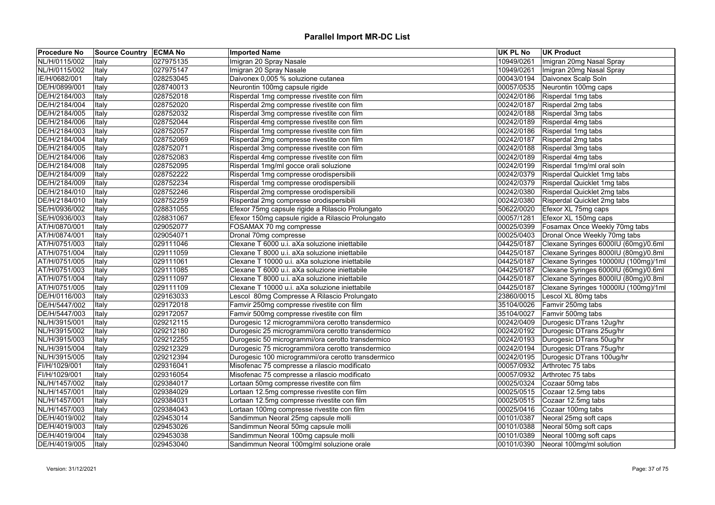| <b>Procedure No</b> | Source Country ECMA No |           | <b>Imported Name</b>                               | <b>UK PL No</b> | <b>UK Product</b>                    |
|---------------------|------------------------|-----------|----------------------------------------------------|-----------------|--------------------------------------|
| NL/H/0115/002       | Italy                  | 027975135 | Imigran 20 Spray Nasale                            | 10949/0261      | Imigran 20mg Nasal Spray             |
| NL/H/0115/002       | Italy                  | 027975147 | Imigran 20 Spray Nasale                            | 10949/0261      | Imigran 20mg Nasal Spray             |
| IE/H/0682/001       | Italy                  | 028253045 | Daivonex 0,005 % soluzione cutanea                 | 00043/0194      | Daivonex Scalp Soln                  |
| DE/H/0899/001       | Italy                  | 028740013 | Neurontin 100mg capsule rigide                     | 00057/0535      | Neurontin 100mg caps                 |
| DE/H/2184/003       | Italy                  | 028752018 | Risperdal 1mg compresse rivestite con film         | 00242/0186      | Risperdal 1mg tabs                   |
| DE/H/2184/004       | Italy                  | 028752020 | Risperdal 2mg compresse rivestite con film         | 00242/0187      | Risperdal 2mg tabs                   |
| DE/H/2184/005       | Italy                  | 028752032 | Risperdal 3mg compresse rivestite con film         | 00242/0188      | Risperdal 3mg tabs                   |
| DE/H/2184/006       | Italy                  | 028752044 | Risperdal 4mg compresse rivestite con film         | 00242/0189      | Risperdal 4mg tabs                   |
| DE/H/2184/003       | Italy                  | 028752057 | Risperdal 1mg compresse rivestite con film         | 00242/0186      | Risperdal 1mg tabs                   |
| DE/H/2184/004       | Italy                  | 028752069 | Risperdal 2mg compresse rivestite con film         | 00242/0187      | Risperdal 2mg tabs                   |
| DE/H/2184/005       | Italy                  | 028752071 | Risperdal 3mg compresse rivestite con film         | 00242/0188      | Risperdal 3mg tabs                   |
| DE/H/2184/006       | Italy                  | 028752083 | Risperdal 4mg compresse rivestite con film         | 00242/0189      | Risperdal 4mg tabs                   |
| DE/H/2184/008       | Italy                  | 028752095 | Risperdal 1mg/ml gocce orali soluzione             | 00242/0199      | Risperdal 1mg/ml oral soln           |
| DE/H/2184/009       | Italy                  | 028752222 | Risperdal 1mg compresse orodispersibili            | 00242/0379      | Risperdal Quicklet 1mg tabs          |
| DE/H/2184/009       | Italy                  | 028752234 | Risperdal 1mg compresse orodispersibili            | 00242/0379      | Risperdal Quicklet 1mg tabs          |
| DE/H/2184/010       | Italy                  | 028752246 | Risperdal 2mg compresse orodispersibili            | 00242/0380      | Risperdal Quicklet 2mg tabs          |
| DE/H/2184/010       | Italy                  | 028752259 | Risperdal 2mg compresse orodispersibili            | 00242/0380      | Risperdal Quicklet 2mg tabs          |
| SE/H/0936/002       | Italy                  | 028831055 | Efexor 75mg capsule rigide a Rilascio Prolungato   | 50622/0020      | Efexor XL 75mg caps                  |
| SE/H/0936/003       | Italy                  | 028831067 | Efexor 150mg capsule rigide a Rilascio Prolungato  | 00057/1281      | Efexor XL 150mg caps                 |
| AT/H/0870/001       | Italy                  | 029052077 | FOSAMAX 70 mg compresse                            | 00025/0399      | Fosamax Once Weekly 70mg tabs        |
| AT/H/0874/001       | Italy                  | 029054071 | Dronal 70mg compresse                              | 00025/0403      | Dronal Once Weekly 70mg tabs         |
| AT/H/0751/003       | Italy                  | 029111046 | Clexane T 6000 u.i. aXa soluzione iniettabile      | 04425/0187      | Clexane Syringes 6000IU (60mg)/0.6ml |
| AT/H/0751/004       | Italy                  | 029111059 | Clexane T 8000 u.i. aXa soluzione iniettabile      | 04425/0187      | Clexane Syringes 8000IU (80mg)/0.8ml |
| AT/H/0751/005       | Italy                  | 029111061 | Clexane T 10000 u.i. aXa soluzione iniettabile     | 04425/0187      | Clexane Syringes 10000IU (100mg)/1ml |
| AT/H/0751/003       | Italy                  | 029111085 | Clexane T 6000 u.i. aXa soluzione iniettabile      | 04425/0187      | Clexane Syringes 6000IU (60mg)/0.6ml |
| AT/H/0751/004       | Italy                  | 029111097 | Clexane T 8000 u.i. aXa soluzione iniettabile      | 04425/0187      | Clexane Syringes 8000IU (80mg)/0.8ml |
| AT/H/0751/005       | Italy                  | 029111109 | Clexane T 10000 u.i. aXa soluzione iniettabile     | 04425/0187      | Clexane Syringes 10000IU (100mg)/1ml |
| DE/H/0116/003       | Italy                  | 029163033 | Lescol 80mg Compresse A Rilascio Prolungato        | 23860/0015      | Lescol XL 80mg tabs                  |
| DE/H/5447/002       | Italy                  | 029172018 | Famvir 250mg compresse rivestite con film          | 35104/0026      | Famvir 250mg tabs                    |
| DE/H/5447/003       | Italy                  | 029172057 | Famvir 500mg compresse rivestite con film          | 35104/0027      | Famvir 500mg tabs                    |
| NL/H/3915/001       |                        | 029212115 | Durogesic 12 microgrammi/ora cerotto transdermico  | 00242/0409      | Durogesic DTrans 12ug/hr             |
| NL/H/3915/002       | Italy<br>Italy         | 029212180 | Durogesic 25 microgrammi/ora cerotto transdermico  | 00242/0192      | Durogesic DTrans 25ug/hr             |
| NL/H/3915/003       |                        | 029212255 |                                                    | 00242/0193      | Durogesic DTrans 50ug/hr             |
|                     | Italy                  |           | Durogesic 50 microgrammi/ora cerotto transdermico  |                 |                                      |
| NL/H/3915/004       | Italy                  | 029212329 | Durogesic 75 microgrammi/ora cerotto transdermico  | 00242/0194      | Durogesic DTrans 75ug/hr             |
| NL/H/3915/005       | Italy                  | 029212394 | Durogesic 100 microgrammi/ora cerotto transdermico | 00242/0195      | Durogesic DTrans 100ug/hr            |
| FI/H/1029/001       | Italy                  | 029316041 | Misofenac 75 compresse a rilascio modificato       | 00057/0932      | Arthrotec 75 tabs                    |
| FI/H/1029/001       | Italy                  | 029316054 | Misofenac 75 compresse a rilascio modificato       | 00057/0932      | Arthrotec 75 tabs                    |
| NL/H/1457/002       | Italy                  | 029384017 | Lortaan 50mg compresse rivestite con film          | 00025/0324      | Cozaar 50mg tabs                     |
| NL/H/1457/001       | Italy                  | 029384029 | Lortaan 12.5mg compresse rivestite con film        | 00025/0515      | Cozaar 12.5mg tabs                   |
| NL/H/1457/001       | Italy                  | 029384031 | Lortaan 12.5mg compresse rivestite con film        | 00025/0515      | Cozaar 12.5mg tabs                   |
| NL/H/1457/003       | Italy                  | 029384043 | Lortaan 100mg compresse rivestite con film         | 00025/0416      | Cozaar 100mg tabs                    |
| DE/H/4019/002       | Italy                  | 029453014 | Sandimmun Neoral 25mg capsule molli                | 00101/0387      | Neoral 25mg soft caps                |
| DE/H/4019/003       | Italy                  | 029453026 | Sandimmun Neoral 50mg capsule molli                | 00101/0388      | Neoral 50mg soft caps                |
| DE/H/4019/004       | Italy                  | 029453038 | Sandimmun Neoral 100mg capsule molli               | 00101/0389      | Neoral 100mg soft caps               |
| DE/H/4019/005       | Italy                  | 029453040 | Sandimmun Neoral 100mg/ml soluzione orale          | 00101/0390      | Neoral 100mg/ml solution             |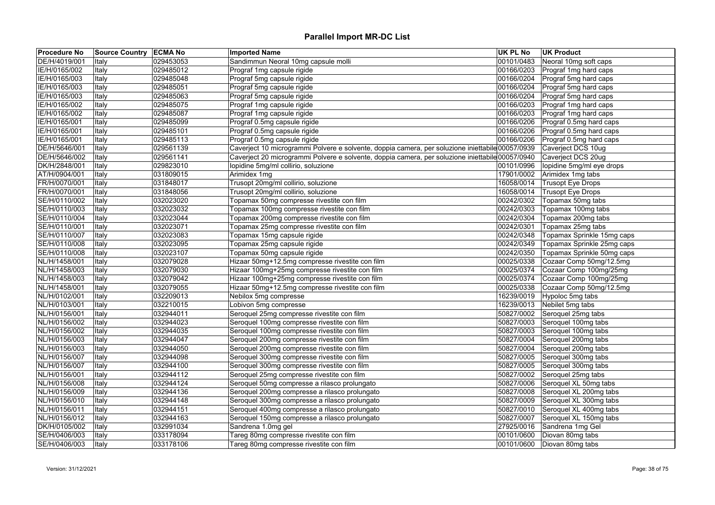| DE/H/4019/001<br>00101/0483<br>029453053<br>Sandimmun Neoral 10mg capsule molli<br>Neoral 10mg soft caps<br>Italy<br>IE/H/0165/002<br>029485012<br>Prograf 1mg capsule rigide<br>00166/0203<br>Prograf 1mg hard caps<br>Italy<br>IE/H/0165/003<br>029485048<br>Prograf 5mg capsule rigide<br>00166/0204<br>Prograf 5mg hard caps<br>Italy<br>Prograf 5mg capsule rigide<br>00166/0204<br>Prograf 5mg hard caps<br>IE/H/0165/003<br>029485051<br>Italy<br>IE/H/0165/003<br>029485063<br>Prograf 5mg capsule rigide<br>00166/0204<br>Prograf 5mg hard caps<br>Italy<br>00166/0203<br>IE/H/0165/002<br>029485075<br>Prograf 1mg capsule rigide<br>Prograf 1mg hard caps<br>Italy<br>IE/H/0165/002<br>029485087<br>Prograf 1mg capsule rigide<br>00166/0203<br>Prograf 1mg hard caps<br>Italy<br>IE/H/0165/001<br>029485099<br>Prograf 0.5mg capsule rigide<br>00166/0206<br>Prograf 0.5mg hard caps<br>Italy<br>00166/0206<br>IE/H/0165/001<br>029485101<br>Prograf 0.5mg capsule rigide<br>Prograf 0.5mg hard caps<br>Italy<br>00166/0206<br>IE/H/0165/001<br>029485113<br>Prograf 0.5mg capsule rigide<br>Prograf 0.5mg hard caps<br>Italy<br>DE/H/5646/001<br>Italy<br>029561139<br>Caverject 10 microgrammi Polvere e solvente, doppia camera, per soluzione iniettabile 00057/0939<br>Caverject DCS 10ug<br>DE/H/5646/002<br>029561141<br>Caverject 20 microgrammi Polvere e solvente, doppia camera, per soluzione iniettabile 00057/0940<br>Caverject DCS 20ug<br>Italy<br>029823010<br>DK/H/2848/001<br>lopidine 5mg/ml collirio, soluzione<br>00101/0996<br>lopidine 5mg/ml eye drops<br>Italy<br>AT/H/0904/001<br>031809015<br>Arimidex 1mg<br>17901/0002<br>Arimidex 1mg tabs<br>Italy<br>Trusopt 20mg/ml collirio, soluzione<br>FR/H/0070/001<br>031848017<br>16058/0014<br><b>Trusopt Eye Drops</b><br>Italy<br>031848056<br>Trusopt 20mg/ml collirio, soluzione<br>16058/0014<br><b>Trusopt Eye Drops</b><br>FR/H/0070/001<br>Italy<br>SE/H/0110/002<br>Topamax 50mg compresse rivestite con film<br>00242/0302<br>Topamax 50mg tabs<br>032023020<br>Italy<br>00242/0303<br>SE/H/0110/003<br>032023032<br>Topamax 100mg compresse rivestite con film<br>Topamax 100mg tabs<br>Italy<br>032023044<br>00242/0304<br>SE/H/0110/004<br>Italy<br>Topamax 200mg compresse rivestite con film<br>Topamax 200mg tabs<br>032023071<br>Topamax 25mg compresse rivestite con film<br>00242/0301<br>Topamax 25mg tabs<br>SE/H/0110/001<br>Italy<br>032023083<br>00242/0348<br>Topamax 15mg capsule rigide<br>Topamax Sprinkle 15mg caps<br>SE/H/0110/007<br>Italy |
|------------------------------------------------------------------------------------------------------------------------------------------------------------------------------------------------------------------------------------------------------------------------------------------------------------------------------------------------------------------------------------------------------------------------------------------------------------------------------------------------------------------------------------------------------------------------------------------------------------------------------------------------------------------------------------------------------------------------------------------------------------------------------------------------------------------------------------------------------------------------------------------------------------------------------------------------------------------------------------------------------------------------------------------------------------------------------------------------------------------------------------------------------------------------------------------------------------------------------------------------------------------------------------------------------------------------------------------------------------------------------------------------------------------------------------------------------------------------------------------------------------------------------------------------------------------------------------------------------------------------------------------------------------------------------------------------------------------------------------------------------------------------------------------------------------------------------------------------------------------------------------------------------------------------------------------------------------------------------------------------------------------------------------------------------------------------------------------------------------------------------------------------------------------------------------------------------------------------------------------------------------------------------------------------------------------------------------------------------------------------------------------------------------------------------------------------------------------------------------------------------------------------------------------------------------------|
|                                                                                                                                                                                                                                                                                                                                                                                                                                                                                                                                                                                                                                                                                                                                                                                                                                                                                                                                                                                                                                                                                                                                                                                                                                                                                                                                                                                                                                                                                                                                                                                                                                                                                                                                                                                                                                                                                                                                                                                                                                                                                                                                                                                                                                                                                                                                                                                                                                                                                                                                                                  |
|                                                                                                                                                                                                                                                                                                                                                                                                                                                                                                                                                                                                                                                                                                                                                                                                                                                                                                                                                                                                                                                                                                                                                                                                                                                                                                                                                                                                                                                                                                                                                                                                                                                                                                                                                                                                                                                                                                                                                                                                                                                                                                                                                                                                                                                                                                                                                                                                                                                                                                                                                                  |
|                                                                                                                                                                                                                                                                                                                                                                                                                                                                                                                                                                                                                                                                                                                                                                                                                                                                                                                                                                                                                                                                                                                                                                                                                                                                                                                                                                                                                                                                                                                                                                                                                                                                                                                                                                                                                                                                                                                                                                                                                                                                                                                                                                                                                                                                                                                                                                                                                                                                                                                                                                  |
|                                                                                                                                                                                                                                                                                                                                                                                                                                                                                                                                                                                                                                                                                                                                                                                                                                                                                                                                                                                                                                                                                                                                                                                                                                                                                                                                                                                                                                                                                                                                                                                                                                                                                                                                                                                                                                                                                                                                                                                                                                                                                                                                                                                                                                                                                                                                                                                                                                                                                                                                                                  |
|                                                                                                                                                                                                                                                                                                                                                                                                                                                                                                                                                                                                                                                                                                                                                                                                                                                                                                                                                                                                                                                                                                                                                                                                                                                                                                                                                                                                                                                                                                                                                                                                                                                                                                                                                                                                                                                                                                                                                                                                                                                                                                                                                                                                                                                                                                                                                                                                                                                                                                                                                                  |
|                                                                                                                                                                                                                                                                                                                                                                                                                                                                                                                                                                                                                                                                                                                                                                                                                                                                                                                                                                                                                                                                                                                                                                                                                                                                                                                                                                                                                                                                                                                                                                                                                                                                                                                                                                                                                                                                                                                                                                                                                                                                                                                                                                                                                                                                                                                                                                                                                                                                                                                                                                  |
|                                                                                                                                                                                                                                                                                                                                                                                                                                                                                                                                                                                                                                                                                                                                                                                                                                                                                                                                                                                                                                                                                                                                                                                                                                                                                                                                                                                                                                                                                                                                                                                                                                                                                                                                                                                                                                                                                                                                                                                                                                                                                                                                                                                                                                                                                                                                                                                                                                                                                                                                                                  |
|                                                                                                                                                                                                                                                                                                                                                                                                                                                                                                                                                                                                                                                                                                                                                                                                                                                                                                                                                                                                                                                                                                                                                                                                                                                                                                                                                                                                                                                                                                                                                                                                                                                                                                                                                                                                                                                                                                                                                                                                                                                                                                                                                                                                                                                                                                                                                                                                                                                                                                                                                                  |
|                                                                                                                                                                                                                                                                                                                                                                                                                                                                                                                                                                                                                                                                                                                                                                                                                                                                                                                                                                                                                                                                                                                                                                                                                                                                                                                                                                                                                                                                                                                                                                                                                                                                                                                                                                                                                                                                                                                                                                                                                                                                                                                                                                                                                                                                                                                                                                                                                                                                                                                                                                  |
|                                                                                                                                                                                                                                                                                                                                                                                                                                                                                                                                                                                                                                                                                                                                                                                                                                                                                                                                                                                                                                                                                                                                                                                                                                                                                                                                                                                                                                                                                                                                                                                                                                                                                                                                                                                                                                                                                                                                                                                                                                                                                                                                                                                                                                                                                                                                                                                                                                                                                                                                                                  |
|                                                                                                                                                                                                                                                                                                                                                                                                                                                                                                                                                                                                                                                                                                                                                                                                                                                                                                                                                                                                                                                                                                                                                                                                                                                                                                                                                                                                                                                                                                                                                                                                                                                                                                                                                                                                                                                                                                                                                                                                                                                                                                                                                                                                                                                                                                                                                                                                                                                                                                                                                                  |
|                                                                                                                                                                                                                                                                                                                                                                                                                                                                                                                                                                                                                                                                                                                                                                                                                                                                                                                                                                                                                                                                                                                                                                                                                                                                                                                                                                                                                                                                                                                                                                                                                                                                                                                                                                                                                                                                                                                                                                                                                                                                                                                                                                                                                                                                                                                                                                                                                                                                                                                                                                  |
|                                                                                                                                                                                                                                                                                                                                                                                                                                                                                                                                                                                                                                                                                                                                                                                                                                                                                                                                                                                                                                                                                                                                                                                                                                                                                                                                                                                                                                                                                                                                                                                                                                                                                                                                                                                                                                                                                                                                                                                                                                                                                                                                                                                                                                                                                                                                                                                                                                                                                                                                                                  |
|                                                                                                                                                                                                                                                                                                                                                                                                                                                                                                                                                                                                                                                                                                                                                                                                                                                                                                                                                                                                                                                                                                                                                                                                                                                                                                                                                                                                                                                                                                                                                                                                                                                                                                                                                                                                                                                                                                                                                                                                                                                                                                                                                                                                                                                                                                                                                                                                                                                                                                                                                                  |
|                                                                                                                                                                                                                                                                                                                                                                                                                                                                                                                                                                                                                                                                                                                                                                                                                                                                                                                                                                                                                                                                                                                                                                                                                                                                                                                                                                                                                                                                                                                                                                                                                                                                                                                                                                                                                                                                                                                                                                                                                                                                                                                                                                                                                                                                                                                                                                                                                                                                                                                                                                  |
|                                                                                                                                                                                                                                                                                                                                                                                                                                                                                                                                                                                                                                                                                                                                                                                                                                                                                                                                                                                                                                                                                                                                                                                                                                                                                                                                                                                                                                                                                                                                                                                                                                                                                                                                                                                                                                                                                                                                                                                                                                                                                                                                                                                                                                                                                                                                                                                                                                                                                                                                                                  |
|                                                                                                                                                                                                                                                                                                                                                                                                                                                                                                                                                                                                                                                                                                                                                                                                                                                                                                                                                                                                                                                                                                                                                                                                                                                                                                                                                                                                                                                                                                                                                                                                                                                                                                                                                                                                                                                                                                                                                                                                                                                                                                                                                                                                                                                                                                                                                                                                                                                                                                                                                                  |
|                                                                                                                                                                                                                                                                                                                                                                                                                                                                                                                                                                                                                                                                                                                                                                                                                                                                                                                                                                                                                                                                                                                                                                                                                                                                                                                                                                                                                                                                                                                                                                                                                                                                                                                                                                                                                                                                                                                                                                                                                                                                                                                                                                                                                                                                                                                                                                                                                                                                                                                                                                  |
|                                                                                                                                                                                                                                                                                                                                                                                                                                                                                                                                                                                                                                                                                                                                                                                                                                                                                                                                                                                                                                                                                                                                                                                                                                                                                                                                                                                                                                                                                                                                                                                                                                                                                                                                                                                                                                                                                                                                                                                                                                                                                                                                                                                                                                                                                                                                                                                                                                                                                                                                                                  |
|                                                                                                                                                                                                                                                                                                                                                                                                                                                                                                                                                                                                                                                                                                                                                                                                                                                                                                                                                                                                                                                                                                                                                                                                                                                                                                                                                                                                                                                                                                                                                                                                                                                                                                                                                                                                                                                                                                                                                                                                                                                                                                                                                                                                                                                                                                                                                                                                                                                                                                                                                                  |
|                                                                                                                                                                                                                                                                                                                                                                                                                                                                                                                                                                                                                                                                                                                                                                                                                                                                                                                                                                                                                                                                                                                                                                                                                                                                                                                                                                                                                                                                                                                                                                                                                                                                                                                                                                                                                                                                                                                                                                                                                                                                                                                                                                                                                                                                                                                                                                                                                                                                                                                                                                  |
| 032023095<br>Topamax 25mg capsule rigide<br>00242/0349<br>Topamax Sprinkle 25mg caps<br>SE/H/0110/008<br>Italy                                                                                                                                                                                                                                                                                                                                                                                                                                                                                                                                                                                                                                                                                                                                                                                                                                                                                                                                                                                                                                                                                                                                                                                                                                                                                                                                                                                                                                                                                                                                                                                                                                                                                                                                                                                                                                                                                                                                                                                                                                                                                                                                                                                                                                                                                                                                                                                                                                                   |
| SE/H/0110/008<br>032023107<br>Topamax 50mg capsule rigide<br>00242/0350<br>Topamax Sprinkle 50mg caps<br>Italy                                                                                                                                                                                                                                                                                                                                                                                                                                                                                                                                                                                                                                                                                                                                                                                                                                                                                                                                                                                                                                                                                                                                                                                                                                                                                                                                                                                                                                                                                                                                                                                                                                                                                                                                                                                                                                                                                                                                                                                                                                                                                                                                                                                                                                                                                                                                                                                                                                                   |
| 00025/0338<br>NL/H/1458/001<br>032079028<br>Hizaar 50mg+12.5mg compresse rivestite con film<br>Cozaar Comp 50mg/12.5mg<br>Italy                                                                                                                                                                                                                                                                                                                                                                                                                                                                                                                                                                                                                                                                                                                                                                                                                                                                                                                                                                                                                                                                                                                                                                                                                                                                                                                                                                                                                                                                                                                                                                                                                                                                                                                                                                                                                                                                                                                                                                                                                                                                                                                                                                                                                                                                                                                                                                                                                                  |
| NL/H/1458/003<br>032079030<br>Hizaar 100mg+25mg compresse rivestite con film<br>00025/0374<br>Cozaar Comp 100mg/25mg<br>Italy                                                                                                                                                                                                                                                                                                                                                                                                                                                                                                                                                                                                                                                                                                                                                                                                                                                                                                                                                                                                                                                                                                                                                                                                                                                                                                                                                                                                                                                                                                                                                                                                                                                                                                                                                                                                                                                                                                                                                                                                                                                                                                                                                                                                                                                                                                                                                                                                                                    |
| 00025/0374<br>Cozaar Comp 100mg/25mg<br>NL/H/1458/003<br>032079042<br>Hizaar 100mg+25mg compresse rivestite con film<br>Italy                                                                                                                                                                                                                                                                                                                                                                                                                                                                                                                                                                                                                                                                                                                                                                                                                                                                                                                                                                                                                                                                                                                                                                                                                                                                                                                                                                                                                                                                                                                                                                                                                                                                                                                                                                                                                                                                                                                                                                                                                                                                                                                                                                                                                                                                                                                                                                                                                                    |
| 00025/0338<br>NL/H/1458/001<br>032079055<br>Hizaar 50mg+12.5mg compresse rivestite con film<br>Cozaar Comp 50mg/12.5mg<br>Italy                                                                                                                                                                                                                                                                                                                                                                                                                                                                                                                                                                                                                                                                                                                                                                                                                                                                                                                                                                                                                                                                                                                                                                                                                                                                                                                                                                                                                                                                                                                                                                                                                                                                                                                                                                                                                                                                                                                                                                                                                                                                                                                                                                                                                                                                                                                                                                                                                                  |
| NL/H/0102/001<br>16239/0019<br>032209013<br>Nebilox 5mg compresse<br>Hypoloc 5mg tabs<br>Italy                                                                                                                                                                                                                                                                                                                                                                                                                                                                                                                                                                                                                                                                                                                                                                                                                                                                                                                                                                                                                                                                                                                                                                                                                                                                                                                                                                                                                                                                                                                                                                                                                                                                                                                                                                                                                                                                                                                                                                                                                                                                                                                                                                                                                                                                                                                                                                                                                                                                   |
| 032210015<br>Lobivon 5mg compresse<br>16239/0013<br>Nebilet 5mg tabs<br>NL/H/0103/001<br>Italy                                                                                                                                                                                                                                                                                                                                                                                                                                                                                                                                                                                                                                                                                                                                                                                                                                                                                                                                                                                                                                                                                                                                                                                                                                                                                                                                                                                                                                                                                                                                                                                                                                                                                                                                                                                                                                                                                                                                                                                                                                                                                                                                                                                                                                                                                                                                                                                                                                                                   |
| NL/H/0156/001<br>032944011<br>Seroquel 25mg compresse rivestite con film<br>50827/0002<br>Seroquel 25mg tabs<br>Italy                                                                                                                                                                                                                                                                                                                                                                                                                                                                                                                                                                                                                                                                                                                                                                                                                                                                                                                                                                                                                                                                                                                                                                                                                                                                                                                                                                                                                                                                                                                                                                                                                                                                                                                                                                                                                                                                                                                                                                                                                                                                                                                                                                                                                                                                                                                                                                                                                                            |
| NL/H/0156/002<br>032944023<br>50827/0003<br>Seroquel 100mg tabs<br>Italy<br>Seroquel 100mg compresse rivestite con film                                                                                                                                                                                                                                                                                                                                                                                                                                                                                                                                                                                                                                                                                                                                                                                                                                                                                                                                                                                                                                                                                                                                                                                                                                                                                                                                                                                                                                                                                                                                                                                                                                                                                                                                                                                                                                                                                                                                                                                                                                                                                                                                                                                                                                                                                                                                                                                                                                          |
| 50827/0003<br>NL/H/0156/002<br>032944035<br>Seroquel 100mg compresse rivestite con film<br>Seroquel 100mg tabs<br>Italy                                                                                                                                                                                                                                                                                                                                                                                                                                                                                                                                                                                                                                                                                                                                                                                                                                                                                                                                                                                                                                                                                                                                                                                                                                                                                                                                                                                                                                                                                                                                                                                                                                                                                                                                                                                                                                                                                                                                                                                                                                                                                                                                                                                                                                                                                                                                                                                                                                          |
| NL/H/0156/003<br>032944047<br>Seroquel 200mg compresse rivestite con film<br>50827/0004<br>Seroquel 200mg tabs<br>Italy                                                                                                                                                                                                                                                                                                                                                                                                                                                                                                                                                                                                                                                                                                                                                                                                                                                                                                                                                                                                                                                                                                                                                                                                                                                                                                                                                                                                                                                                                                                                                                                                                                                                                                                                                                                                                                                                                                                                                                                                                                                                                                                                                                                                                                                                                                                                                                                                                                          |
| 50827/0004<br>NL/H/0156/003<br>032944050<br>Seroquel 200mg compresse rivestite con film<br>Seroquel 200mg tabs<br>Italy                                                                                                                                                                                                                                                                                                                                                                                                                                                                                                                                                                                                                                                                                                                                                                                                                                                                                                                                                                                                                                                                                                                                                                                                                                                                                                                                                                                                                                                                                                                                                                                                                                                                                                                                                                                                                                                                                                                                                                                                                                                                                                                                                                                                                                                                                                                                                                                                                                          |
| 50827/0005<br>Seroquel 300mg tabs<br>NL/H/0156/007<br>032944098<br>Seroquel 300mg compresse rivestite con film<br>Italy                                                                                                                                                                                                                                                                                                                                                                                                                                                                                                                                                                                                                                                                                                                                                                                                                                                                                                                                                                                                                                                                                                                                                                                                                                                                                                                                                                                                                                                                                                                                                                                                                                                                                                                                                                                                                                                                                                                                                                                                                                                                                                                                                                                                                                                                                                                                                                                                                                          |
| Seroquel 300mg tabs<br>NL/H/0156/007<br>032944100<br>Seroquel 300mg compresse rivestite con film<br>50827/0005<br>Italy                                                                                                                                                                                                                                                                                                                                                                                                                                                                                                                                                                                                                                                                                                                                                                                                                                                                                                                                                                                                                                                                                                                                                                                                                                                                                                                                                                                                                                                                                                                                                                                                                                                                                                                                                                                                                                                                                                                                                                                                                                                                                                                                                                                                                                                                                                                                                                                                                                          |
| NL/H/0156/001<br>032944112<br>Seroquel 25mg compresse rivestite con film<br>50827/0002<br>Seroquel 25mg tabs<br>Italy                                                                                                                                                                                                                                                                                                                                                                                                                                                                                                                                                                                                                                                                                                                                                                                                                                                                                                                                                                                                                                                                                                                                                                                                                                                                                                                                                                                                                                                                                                                                                                                                                                                                                                                                                                                                                                                                                                                                                                                                                                                                                                                                                                                                                                                                                                                                                                                                                                            |
| NL/H/0156/008<br>50827/0006<br>Seroquel XL 50mg tabs<br>032944124<br>Seroquel 50mg compresse a rilasco prolungato<br>Italy                                                                                                                                                                                                                                                                                                                                                                                                                                                                                                                                                                                                                                                                                                                                                                                                                                                                                                                                                                                                                                                                                                                                                                                                                                                                                                                                                                                                                                                                                                                                                                                                                                                                                                                                                                                                                                                                                                                                                                                                                                                                                                                                                                                                                                                                                                                                                                                                                                       |
| NL/H/0156/009<br>032944136<br>Seroquel 200mg compresse a rilasco prolungato<br>50827/0008<br>Seroquel XL 200mg tabs<br>Italy                                                                                                                                                                                                                                                                                                                                                                                                                                                                                                                                                                                                                                                                                                                                                                                                                                                                                                                                                                                                                                                                                                                                                                                                                                                                                                                                                                                                                                                                                                                                                                                                                                                                                                                                                                                                                                                                                                                                                                                                                                                                                                                                                                                                                                                                                                                                                                                                                                     |
| NL/H/0156/010<br>032944148<br>50827/0009<br>Seroquel XL 300mg tabs<br>Italy<br>Seroquel 300mg compresse a rilasco prolungato                                                                                                                                                                                                                                                                                                                                                                                                                                                                                                                                                                                                                                                                                                                                                                                                                                                                                                                                                                                                                                                                                                                                                                                                                                                                                                                                                                                                                                                                                                                                                                                                                                                                                                                                                                                                                                                                                                                                                                                                                                                                                                                                                                                                                                                                                                                                                                                                                                     |
| Seroquel XL 400mg tabs<br>NL/H/0156/011<br>032944151<br>Seroquel 400mg compresse a rilasco prolungato<br>50827/0010<br>Italy                                                                                                                                                                                                                                                                                                                                                                                                                                                                                                                                                                                                                                                                                                                                                                                                                                                                                                                                                                                                                                                                                                                                                                                                                                                                                                                                                                                                                                                                                                                                                                                                                                                                                                                                                                                                                                                                                                                                                                                                                                                                                                                                                                                                                                                                                                                                                                                                                                     |
| 032944163<br>50827/0007<br>Seroquel XL 150mg tabs<br>NL/H/0156/012<br>Seroquel 150mg compresse a rilasco prolungato<br>Italy                                                                                                                                                                                                                                                                                                                                                                                                                                                                                                                                                                                                                                                                                                                                                                                                                                                                                                                                                                                                                                                                                                                                                                                                                                                                                                                                                                                                                                                                                                                                                                                                                                                                                                                                                                                                                                                                                                                                                                                                                                                                                                                                                                                                                                                                                                                                                                                                                                     |
| DK/H/0105/002<br>Sandrena 1.0mg gel<br>27925/0016<br>Sandrena 1mg Gel<br>Italy<br>032991034                                                                                                                                                                                                                                                                                                                                                                                                                                                                                                                                                                                                                                                                                                                                                                                                                                                                                                                                                                                                                                                                                                                                                                                                                                                                                                                                                                                                                                                                                                                                                                                                                                                                                                                                                                                                                                                                                                                                                                                                                                                                                                                                                                                                                                                                                                                                                                                                                                                                      |
| SE/H/0406/003<br>033178094<br>Tareg 80mg compresse rivestite con film<br>00101/0600<br>Diovan 80mg tabs<br>Italy                                                                                                                                                                                                                                                                                                                                                                                                                                                                                                                                                                                                                                                                                                                                                                                                                                                                                                                                                                                                                                                                                                                                                                                                                                                                                                                                                                                                                                                                                                                                                                                                                                                                                                                                                                                                                                                                                                                                                                                                                                                                                                                                                                                                                                                                                                                                                                                                                                                 |
| SE/H/0406/003<br>033178106<br>Tareg 80mg compresse rivestite con film<br>00101/0600<br>Diovan 80mg tabs<br>Italy                                                                                                                                                                                                                                                                                                                                                                                                                                                                                                                                                                                                                                                                                                                                                                                                                                                                                                                                                                                                                                                                                                                                                                                                                                                                                                                                                                                                                                                                                                                                                                                                                                                                                                                                                                                                                                                                                                                                                                                                                                                                                                                                                                                                                                                                                                                                                                                                                                                 |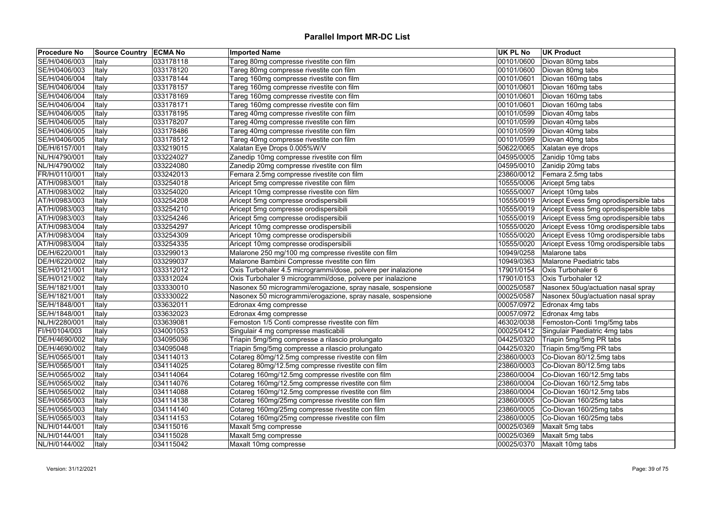| <b>Procedure No</b> | <b>Source Country ECMA No</b> |           | <b>Imported Name</b>                                         | <b>UK PL No</b> | <b>UK Product</b>                                 |
|---------------------|-------------------------------|-----------|--------------------------------------------------------------|-----------------|---------------------------------------------------|
| SE/H/0406/003       | Italy                         | 033178118 | Tareg 80mg compresse rivestite con film                      | 00101/0600      | Diovan 80mg tabs                                  |
| SE/H/0406/003       | Italy                         | 033178120 | Tareg 80mg compresse rivestite con film                      | 00101/0600      | Diovan 80mg tabs                                  |
| SE/H/0406/004       | <b>Italy</b>                  | 033178144 | Tareg 160mg compresse rivestite con film                     | 00101/0601      | Diovan 160mg tabs                                 |
| SE/H/0406/004       | Italy                         | 033178157 | Tareg 160mg compresse rivestite con film                     | 00101/0601      | Diovan 160mg tabs                                 |
| SE/H/0406/004       | Italy                         | 033178169 | Tareg 160mg compresse rivestite con film                     | 00101/0601      | Diovan 160mg tabs                                 |
| SE/H/0406/004       | Italy                         | 033178171 | Tareg 160mg compresse rivestite con film                     | 00101/0601      | Diovan 160mg tabs                                 |
| SE/H/0406/005       | Italy                         | 033178195 | Tareg 40mg compresse rivestite con film                      | 00101/0599      | Diovan 40mg tabs                                  |
| SE/H/0406/005       | Italy                         | 033178207 | Tareg 40mg compresse rivestite con film                      | 00101/0599      | Diovan 40mg tabs                                  |
| SE/H/0406/005       | Italy                         | 033178486 | Tareg 40mg compresse rivestite con film                      | 00101/0599      | Diovan 40mg tabs                                  |
| SE/H/0406/005       | Italy                         | 033178512 | Tareg 40mg compresse rivestite con film                      | 00101/0599      | Diovan 40mg tabs                                  |
| DE/H/6157/001       | Italy                         | 033219015 | Xalatan Eye Drops 0.005%W/V                                  | 50622/0065      | Xalatan eye drops                                 |
| NL/H/4790/001       | Italy                         | 033224027 | Zanedip 10mg compresse rivestite con film                    | 04595/0005      | Zanidip 10mg tabs                                 |
| NL/H/4790/002       | Italy                         | 033224080 | Zanedip 20mg compresse rivestite con film                    | 04595/0010      | Zanidip 20mg tabs                                 |
| FR/H/0110/001       | Italy                         | 033242013 | Femara 2.5mg compresse rivestite con film                    | 23860/0012      | Femara 2.5mg tabs                                 |
| AT/H/0983/001       | Italy                         | 033254018 | Aricept 5mg compresse rivestite con film                     | 10555/0006      | Aricept 5mg tabs                                  |
| AT/H/0983/002       | Italy                         | 033254020 | Aricept 10mg compresse rivestite con film                    | 10555/0007      | Aricept 10mg tabs                                 |
| AT/H/0983/003       | Italy                         | 033254208 | Aricept 5mg compresse orodispersibili                        | 10555/0019      | Aricept Evess 5mg oprodispersible tabs            |
| AT/H/0983/003       | Italy                         | 033254210 | Aricept 5mg compresse orodispersibili                        |                 | 10555/0019 Aricept Evess 5mg oprodispersible tabs |
| AT/H/0983/003       | Italy                         | 033254246 | Aricept 5mg compresse orodispersibili                        |                 | 10555/0019 Aricept Evess 5mg oprodispersible tabs |
| AT/H/0983/004       | Italy                         | 033254297 | Aricept 10mg compresse orodispersibili                       | 10555/0020      | Aricept Evess 10mg orodispersible tabs            |
| AT/H/0983/004       | Italy                         | 033254309 | Aricept 10mg compresse orodispersibili                       | 10555/0020      | Aricept Evess 10mg orodispersible tabs            |
| AT/H/0983/004       | Italy                         | 033254335 | Aricept 10mg compresse orodispersibili                       | 10555/0020      | Aricept Evess 10mg orodispersible tabs            |
| DE/H/6220/001       | Italy                         | 033299013 | Malarone 250 mg/100 mg compresse rivestite con film          | 10949/0258      | Malarone tabs                                     |
| DE/H/6220/002       | Italy                         | 033299037 | Malarone Bambini Compresse rivestite con film                | 10949/0363      | Malarone Paediatric tabs                          |
| SE/H/0121/001       | Italy                         | 033312012 | Oxis Turbohaler 4.5 microgrammi/dose, polvere per inalazione | 17901/0154      | Oxis Turbohaler 6                                 |
| SE/H/0121/002       | Italy                         | 033312024 | Oxis Turbohaler 9 microgrammi/dose, polvere per inalazione   | 17901/0153      | Oxis Turbohaler 12                                |
| SE/H/1821/001       | Italy                         | 033330010 | Nasonex 50 microgrammi/erogazione, spray nasale, sospensione | 00025/0587      | Nasonex 50ug/actuation nasal spray                |
| SE/H/1821/001       | Italy                         | 033330022 | Nasonex 50 microgrammi/erogazione, spray nasale, sospensione | 00025/0587      | Nasonex 50ug/actuation nasal spray                |
| SE/H/1848/001       | Italy                         | 033632011 | Edronax 4mg compresse                                        | 00057/0972      | Edronax 4mg tabs                                  |
| SE/H/1848/001       | Italy                         | 033632023 | Edronax 4mg compresse                                        | 00057/0972      | Edronax 4mg tabs                                  |
| NL/H/2280/001       | Italy                         | 033639081 | Femoston 1/5 Conti compresse rivestite con film              | 46302/0038      | Femoston-Conti 1mg/5mg tabs                       |
| FI/H/0104/003       | Italy                         | 034001053 | Singulair 4 mg compresse masticabili                         |                 | 00025/0412 Singulair Paediatric 4mg tabs          |
| DE/H/4690/002       | Italy                         | 034095036 | Triapin 5mg/5mg compresse a rilascio prolungato              | 04425/0320      | Triapin 5mg/5mg PR tabs                           |
| DE/H/4690/002       | Italy                         | 034095048 | Triapin 5mg/5mg compresse a rilascio prolungato              | 04425/0320      | Triapin 5mg/5mg PR tabs                           |
| SE/H/0565/001       | Italy                         | 034114013 | Cotareg 80mg/12.5mg compresse rivestite con film             | 23860/0003      | Co-Diovan 80/12.5mg tabs                          |
| SE/H/0565/001       | Italy                         | 034114025 | Cotareg 80mg/12.5mg compresse rivestite con film             | 23860/0003      | Co-Diovan 80/12.5mg tabs                          |
| SE/H/0565/002       | Italy                         | 034114064 | Cotareg 160mg/12.5mg compresse rivestite con film            |                 | 23860/0004 Co-Diovan 160/12.5mg tabs              |
| SE/H/0565/002       | Italy                         | 034114076 | Cotareg 160mg/12.5mg compresse rivestite con film            | 23860/0004      | Co-Diovan 160/12.5mg tabs                         |
| SE/H/0565/002       | Italy                         | 034114088 | Cotareg 160mg/12.5mg compresse rivestite con film            | 23860/0004      | Co-Diovan 160/12.5mg tabs                         |
| SE/H/0565/003       | Italy                         | 034114138 | Cotareg 160mg/25mg compresse rivestite con film              |                 | 23860/0005 Co-Diovan 160/25mg tabs                |
| SE/H/0565/003       | Italy                         | 034114140 | Cotareg 160mg/25mg compresse rivestite con film              | 23860/0005      | Co-Diovan 160/25mg tabs                           |
| SE/H/0565/003       | Italy                         | 034114153 | Cotareg 160mg/25mg compresse rivestite con film              | 23860/0005      | Co-Diovan 160/25mg tabs                           |
| NL/H/0144/001       | Italy                         | 034115016 | Maxalt 5mg compresse                                         | 00025/0369      | Maxalt 5mg tabs                                   |
| NL/H/0144/001       | Italy                         | 034115028 | Maxalt 5mg compresse                                         | 00025/0369      | Maxalt 5mg tabs                                   |
| NL/H/0144/002       | Italy                         | 034115042 | Maxalt 10mg compresse                                        |                 | 00025/0370 Maxalt 10mg tabs                       |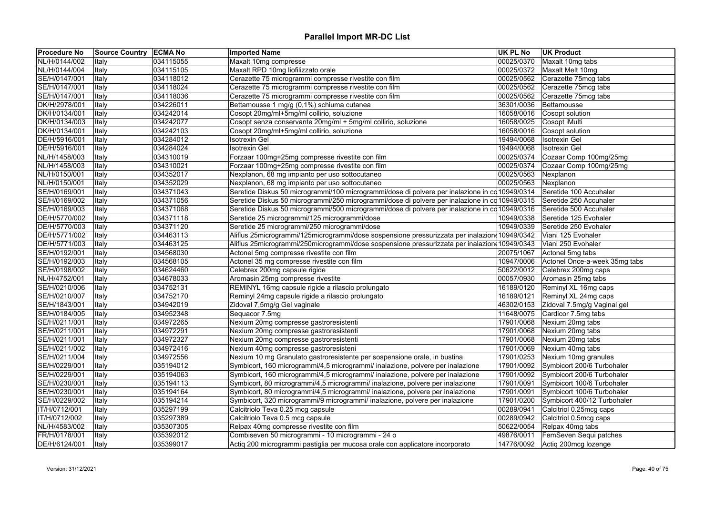| <b>Procedure No</b> | Source Country   ECMA No |           | <b>Imported Name</b>                                                                           | <b>UK PL No</b> | <b>UK Product</b>             |
|---------------------|--------------------------|-----------|------------------------------------------------------------------------------------------------|-----------------|-------------------------------|
| NL/H/0144/002       | Italy                    | 034115055 | Maxalt 10mg compresse                                                                          | 00025/0370      | Maxalt 10mg tabs              |
| NL/H/0144/004       | Italy                    | 034115105 | Maxalt RPD 10mg liofilizzato orale                                                             | 00025/0372      | Maxalt Melt 10mg              |
| SE/H/0147/001       | Italy                    | 034118012 | Cerazette 75 microgrammi compresse rivestite con film                                          | 00025/0562      | Cerazette 75mcg tabs          |
| SE/H/0147/001       | Italy                    | 034118024 | Cerazette 75 microgrammi compresse rivestite con film                                          | 00025/0562      | Cerazette 75mcg tabs          |
| SE/H/0147/001       | Italy                    | 034118036 | Cerazette 75 microgrammi compresse rivestite con film                                          | 00025/0562      | Cerazette 75mcg tabs          |
| DK/H/2978/001       | Italy                    | 034226011 | Bettamousse 1 mg/g (0,1%) schiuma cutanea                                                      | 36301/0036      | Bettamousse                   |
| DK/H/0134/001       | Italy                    | 034242014 | Cosopt 20mg/ml+5mg/ml collirio, soluzione                                                      | 16058/0016      | Cosopt solution               |
| DK/H/0134/003       | Italy                    | 034242077 | Cosopt senza conservante 20mg/ml + 5mg/ml collirio, soluzione                                  | 16058/0025      | Cosopt iMulti                 |
| DK/H/0134/001       | Italy                    | 034242103 | Cosopt 20mg/ml+5mg/ml collirio, soluzione                                                      | 16058/0016      | Cosopt solution               |
| DE/H/5916/001       | Italy                    | 034284012 | Isotrexin Gel                                                                                  | 19494/0068      | <b>Isotrexin Gel</b>          |
| DE/H/5916/001       | Italy                    | 034284024 | <b>Isotrexin Gel</b>                                                                           | 19494/0068      | <b>Isotrexin Gel</b>          |
| NL/H/1458/003       | Italy                    | 034310019 | Forzaar 100mg+25mg compresse rivestite con film                                                | 00025/0374      | Cozaar Comp 100mg/25mg        |
| NL/H/1458/003       | Italy                    | 034310021 | Forzaar 100mg+25mg compresse rivestite con film                                                | 00025/0374      | Cozaar Comp 100mg/25mg        |
| NL/H/0150/001       | Italy                    | 034352017 | Nexplanon, 68 mg impianto per uso sottocutaneo                                                 | 00025/0563      | Nexplanon                     |
| NL/H/0150/001       | Italy                    | 034352029 | Nexplanon, 68 mg impianto per uso sottocutaneo                                                 | 00025/0563      | Nexplanon                     |
| SE/H/0169/001       | Italy                    | 034371043 | Seretide Diskus 50 microgrammi/100 microgrammi/dose di polvere per inalazione in cd 10949/0314 |                 | Seretide 100 Accuhaler        |
| SE/H/0169/002       | Italy                    | 034371056 | Seretide Diskus 50 microgrammi/250 microgrammi/dose di polvere per inalazione in cd 10949/0315 |                 | Seretide 250 Accuhaler        |
| SE/H/0169/003       | Italy                    | 034371068 | Seretide Diskus 50 microgrammi/500 microgrammi/dose di polvere per inalazione in cd 10949/0316 |                 | Seretide 500 Accuhaler        |
| DE/H/5770/002       | Italy                    | 034371118 | Seretide 25 microgrammi/125 microgrammi/dose                                                   | 10949/0338      | Seretide 125 Evohaler         |
| DE/H/5770/003       | Italy                    | 034371120 | Seretide 25 microgrammi/250 microgrammi/dose                                                   | 10949/0339      | Seretide 250 Evohaler         |
| DE/H/5771/002       | Italy                    | 034463113 | Aliflus 25microgrammi/125microgrammi/dose sospensione pressurizzata per inalazion 10949/0342   |                 | Viani 125 Evohaler            |
| DE/H/5771/003       | Italy                    | 034463125 | Aliflus 25microgrammi/250microgrammi/dose sospensione pressurizzata per inalaziono10949/0343   |                 | Viani 250 Evohaler            |
| SE/H/0192/001       | Italy                    | 034568030 | Actonel 5mg compresse rivestite con film                                                       | 20075/1067      | Actonel 5mg tabs              |
| SE/H/0192/003       | Italy                    | 034568105 | Actonel 35 mg compresse rivestite con film                                                     | 10947/0006      | Actonel Once-a-week 35mg tabs |
| SE/H/0198/002       | Italy                    | 034624460 | Celebrex 200mg capsule rigide                                                                  | 50622/0012      | Celebrex 200mg caps           |
| NL/H/4752/001       | Italy                    | 034678033 | Aromasin 25mg compresse rivestite                                                              | 00057/0930      | Aromasin 25mg tabs            |
| SE/H/0210/006       | Italy                    | 034752131 | REMINYL 16mg capsule rigide a rilascio prolungato                                              | 16189/0120      | Reminyl XL 16mg caps          |
| SE/H/0210/007       | Italy                    | 034752170 | Reminyl 24mg capsule rigide a rilascio prolungato                                              | 16189/0121      | Reminyl XL 24mg caps          |
| SE/H/1843/001       | Italy                    | 034942019 | Zidoval 7,5mg/g Gel vaginale                                                                   | 46302/0153      | Zidoval 7.5mg/g Vaginal gel   |
| SE/H/0184/005       | Italy                    | 034952348 | Sequacor 7.5mg                                                                                 | 11648/0075      | Cardicor 7.5mg tabs           |
| SE/H/0211/001       | Italy                    | 034972265 | Nexium 20mg compresse gastroresistenti                                                         | 17901/0068      | Nexium 20mg tabs              |
| SE/H/0211/001       | Italy                    | 034972291 | Nexium 20mg compresse gastroresistenti                                                         | 17901/0068      | Nexium 20mg tabs              |
| SE/H/0211/001       | Italy                    | 034972327 | Nexium 20mg compresse gastroresistenti                                                         | 17901/0068      | Nexium 20mg tabs              |
| SE/H/0211/002       | Italy                    | 034972416 | Nexium 40mg compresse gastroresisteni                                                          | 17901/0069      | Nexium 40mg tabs              |
| SE/H/0211/004       | Italy                    | 034972556 | Nexium 10 mg Granulato gastroresistente per sospensione orale, in bustina                      | 17901/0253      | Nexium 10mg granules          |
| SE/H/0229/001       | Italy                    | 035194012 | Symbicort, 160 microgrammi/4,5 microgrammi/ inalazione, polvere per inalazione                 | 17901/0092      | Symbicort 200/6 Turbohaler    |
| SE/H/0229/001       | Italy                    | 035194063 | Symbicort, 160 microgrammi/4,5 microgrammi/ inalazione, polvere per inalazione                 | 17901/0092      | Symbicort 200/6 Turbohaler    |
| SE/H/0230/001       | Italy                    | 035194113 | Symbicort, 80 microgrammi/4,5 microgrammi/ inalazione, polvere per inalazione                  | 17901/0091      | Symbicort 100/6 Turbohaler    |
| SE/H/0230/001       | Italy                    | 035194164 | Symbicort, 80 microgrammi/4,5 microgrammi/ inalazione, polvere per inalazione                  | 17901/0091      | Symbicort 100/6 Turbohaler    |
| SE/H/0229/002       |                          | 035194214 | Symbicort, 320 microgrammi/9 microgrammi/ inalazione, polvere per inalazione                   | 17901/0200      | Symbicort 400/12 Turbohaler   |
|                     | Italy                    |           |                                                                                                |                 |                               |
| IT/H/0712/001       | Italy                    | 035297199 | Calcitriolo Teva 0.25 mcg capsule                                                              | 00289/0941      | Calcitriol 0.25mcg caps       |
| IT/H/0712/002       | Italy                    | 035297389 | Calcitriolo Teva 0.5 mcg capsule                                                               | 00289/0942      | Calcitriol 0.5mcg caps        |
| NL/H/4583/002       | Italy                    | 035307305 | Relpax 40mg compresse rivestite con film                                                       | 50622/0054      | Relpax 40mg tabs              |
| FR/H/0178/001       | Italy                    | 035392012 | Combiseven 50 microgrammi - 10 microgrammi - 24 o                                              | 49876/0011      | FemSeven Sequi patches        |
| DE/H/6124/001       | Italy                    | 035399017 | Actiq 200 microgrammi pastiglia per mucosa orale con applicatore incorporato                   | 14776/0092      | Actiq 200mcg lozenge          |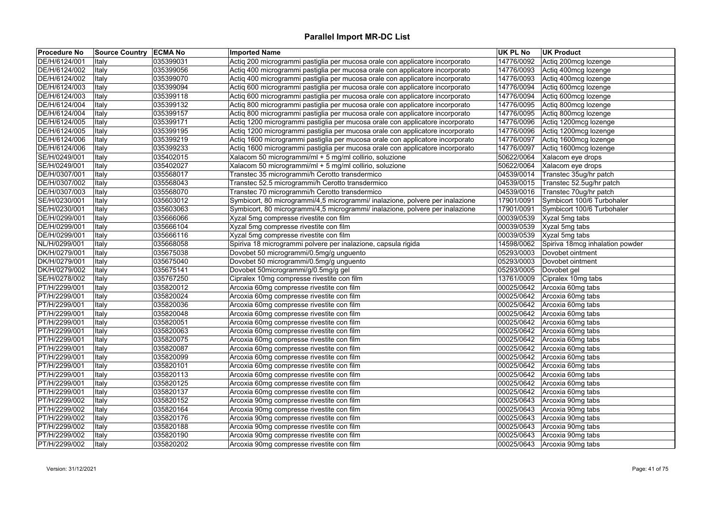| <b>Procedure No</b>            | Source Country   ECMA No |                        | <b>Imported Name</b>                                                                   | <b>UK PL No</b> | <b>UK Product</b>                      |
|--------------------------------|--------------------------|------------------------|----------------------------------------------------------------------------------------|-----------------|----------------------------------------|
| DE/H/6124/001                  | Italy                    | 035399031              | Actiq 200 microgrammi pastiglia per mucosa orale con applicatore incorporato           | 14776/0092      | Actiq 200mcg lozenge                   |
| DE/H/6124/002                  | Italy                    | 035399056              | Actiq 400 microgrammi pastiglia per mucosa orale con applicatore incorporato           | 14776/0093      | Actiq 400mcg lozenge                   |
| DE/H/6124/002                  | Italy                    | 035399070              | Actiq 400 microgrammi pastiglia per mucosa orale con applicatore incorporato           | 14776/0093      | Actiq 400mcg lozenge                   |
| DE/H/6124/003                  | Italy                    | 035399094              | Actiq 600 microgrammi pastiglia per mucosa orale con applicatore incorporato           | 14776/0094      | Actiq 600mcg lozenge                   |
| DE/H/6124/003                  | Italy                    | 035399118              | Actiq 600 microgrammi pastiglia per mucosa orale con applicatore incorporato           | 14776/0094      | Actiq 600mcg lozenge                   |
| DE/H/6124/004                  | Italy                    | 035399132              | Actiq 800 microgrammi pastiglia per mucosa orale con applicatore incorporato           | 14776/0095      | Actiq 800mcg lozenge                   |
| DE/H/6124/004                  | Italy                    | 035399157              | Actiq 800 microgrammi pastiglia per mucosa orale con applicatore incorporato           | 14776/0095      | Actiq 800mcg lozenge                   |
| DE/H/6124/005                  | Italy                    | 035399171              | Actiq 1200 microgrammi pastiglia per mucosa orale con applicatore incorporato          | 14776/0096      | Actiq 1200mcg lozenge                  |
| DE/H/6124/005                  | Italy                    | 035399195              | Actiq 1200 microgrammi pastiglia per mucosa orale con applicatore incorporato          | 14776/0096      | Actiq 1200mcg lozenge                  |
| DE/H/6124/006                  | Italy                    | 035399219              | Actiq 1600 microgrammi pastiglia per mucosa orale con applicatore incorporato          | 14776/0097      | Actiq 1600mcg lozenge                  |
| DE/H/6124/006                  | Italy                    | 035399233              | Actiq 1600 microgrammi pastiglia per mucosa orale con applicatore incorporato          | 14776/0097      | Actiq 1600mcg lozenge                  |
| SE/H/0249/001                  | Italy                    | 035402015              | Xalacom 50 microgrammi/ml + 5 mg/ml collirio, soluzione                                | 50622/0064      | Xalacom eye drops                      |
| SE/H/0249/001                  | Italy                    | 035402027              | Xalacom 50 microgrammi/ml + 5 mg/ml collirio, soluzione                                | 50622/0064      | Xalacom eye drops                      |
| DE/H/0307/001                  | Italy                    | 035568017              | Transtec 35 microgrammi/h Cerotto transdermico                                         |                 | 04539/0014 Transtec 35ug/hr patch      |
| DE/H/0307/002                  | Italy                    | 035568043              | Transtec 52.5 microgrammi/h Cerotto transdermico                                       | 04539/0015      | Transtec 52.5ug/hr patch               |
| DE/H/0307/003                  | Italy                    | 035568070              | Transtec 70 microgrammi/h Cerotto transdermico                                         | 04539/0016      | Transtec 70ug/hr patch                 |
| SE/H/0230/001                  | Italy                    | 035603012              | Symbicort, 80 microgrammi/4,5 microgrammi/ inalazione, polvere per inalazione          | 17901/0091      | Symbicort 100/6 Turbohaler             |
| SE/H/0230/001                  | Italy                    | 035603063              | Symbicort, 80 microgrammi/4,5 microgrammi/ inalazione, polvere per inalazione          | 17901/0091      | Symbicort 100/6 Turbohaler             |
| DE/H/0299/001                  | Italy                    | 035666066              | Xyzal 5mg compresse rivestite con film                                                 | 00039/0539      | Xyzal 5mg tabs                         |
| DE/H/0299/001                  | Italy                    | 035666104              | Xyzal 5mg compresse rivestite con film                                                 | 00039/0539      | Xyzal 5mg tabs                         |
| DE/H/0299/001                  | Italy                    | 035666116              | Xyzal 5mg compresse rivestite con film                                                 | 00039/0539      | Xyzal 5mg tabs                         |
| NL/H/0299/001                  | Italy                    | 035668058              | Spiriva 18 microgrammi polvere per inalazione, capsula rigida                          | 14598/0062      | Spiriva 18mcg inhalation powder        |
| DK/H/0279/001                  | Italy                    | 035675038              | Dovobet 50 microgrammi/0.5mg/g unguento                                                | 05293/0003      | Dovobet ointment                       |
| DK/H/0279/001                  | Italy                    | 035675040              | Dovobet 50 microgrammi/0.5mg/g unguento                                                | 05293/0003      | Dovobet ointment                       |
| DK/H/0279/002                  | Italy                    | 035675141              | Dovobet 50microgrammi/g/0.5mg/g gel                                                    | 05293/0005      | Dovobet gel                            |
| SE/H/0278/002                  | Italy                    | 035767250              | Cipralex 10mg compresse rivestite con film                                             | 13761/0009      | Cipralex 10mg tabs                     |
| PT/H/2299/001                  | Italy                    | 035820012              | Arcoxia 60mg compresse rivestite con film                                              | 00025/0642      | Arcoxia 60mg tabs                      |
| PT/H/2299/001                  | Italy                    | 035820024              | Arcoxia 60mg compresse rivestite con film                                              | 00025/0642      | Arcoxia 60mg tabs                      |
| PT/H/2299/001                  | Italy                    | 035820036              | Arcoxia 60mg compresse rivestite con film                                              | 00025/0642      | Arcoxia 60mg tabs                      |
| PT/H/2299/001                  | Italy                    | 035820048              | Arcoxia 60mg compresse rivestite con film                                              | 00025/0642      | Arcoxia 60mg tabs                      |
| PT/H/2299/001                  | Italy                    | 035820051              | Arcoxia 60mg compresse rivestite con film                                              | 00025/0642      | Arcoxia 60mg tabs                      |
| PT/H/2299/001                  | Italy                    | 035820063              | Arcoxia 60mg compresse rivestite con film                                              | 00025/0642      | Arcoxia 60mg tabs                      |
| PT/H/2299/001                  | Italy                    | 035820075              | Arcoxia 60mg compresse rivestite con film                                              | 00025/0642      | Arcoxia 60mg tabs                      |
| PT/H/2299/001                  | Italy                    | 035820087              | Arcoxia 60mg compresse rivestite con film                                              | 00025/0642      | Arcoxia 60mg tabs                      |
| PT/H/2299/001                  | Italy                    | 035820099              | Arcoxia 60mg compresse rivestite con film                                              | 00025/0642      | Arcoxia 60mg tabs                      |
| PT/H/2299/001                  | Italy                    | 035820101              | Arcoxia 60mg compresse rivestite con film                                              | 00025/0642      | Arcoxia 60mg tabs                      |
| PT/H/2299/001                  | Italy                    | 035820113              | Arcoxia 60mg compresse rivestite con film                                              | 00025/0642      | Arcoxia 60mg tabs                      |
| PT/H/2299/001                  |                          | 035820125              | Arcoxia 60mg compresse rivestite con film                                              | 00025/0642      | Arcoxia 60mg tabs                      |
|                                | Italy                    |                        |                                                                                        | 00025/0642      |                                        |
| PT/H/2299/001<br>PT/H/2299/002 | Italy                    | 035820137<br>035820152 | Arcoxia 60mg compresse rivestite con film<br>Arcoxia 90mg compresse rivestite con film | 00025/0643      | Arcoxia 60mg tabs<br>Arcoxia 90mg tabs |
|                                | Italy                    |                        |                                                                                        |                 |                                        |
| PT/H/2299/002                  | Italy                    | 035820164              | Arcoxia 90mg compresse rivestite con film                                              | 00025/0643      | Arcoxia 90mg tabs                      |
| PT/H/2299/002                  | Italy                    | 035820176              | Arcoxia 90mg compresse rivestite con film                                              | 00025/0643      | Arcoxia 90mg tabs                      |
| PT/H/2299/002                  | Italy                    | 035820188              | Arcoxia 90mg compresse rivestite con film                                              | 00025/0643      | Arcoxia 90mg tabs                      |
| PT/H/2299/002                  | Italy                    | 035820190              | Arcoxia 90mg compresse rivestite con film                                              | 00025/0643      | Arcoxia 90mg tabs                      |
| PT/H/2299/002                  | Italy                    | 035820202              | Arcoxia 90mg compresse rivestite con film                                              |                 | 00025/0643 Arcoxia 90mg tabs           |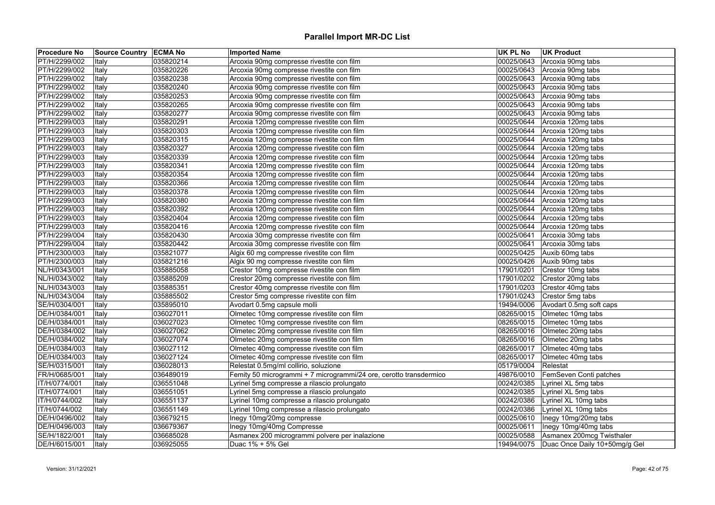| <b>Procedure No</b> | Source Country   ECMA No |           | <b>Imported Name</b>                                               | <b>UK PL No</b> | <b>UK Product</b>             |
|---------------------|--------------------------|-----------|--------------------------------------------------------------------|-----------------|-------------------------------|
| PT/H/2299/002       | Italy                    | 035820214 | Arcoxia 90mg compresse rivestite con film                          | 00025/0643      | Arcoxia 90mg tabs             |
| PT/H/2299/002       | Italy                    | 035820226 | Arcoxia 90mg compresse rivestite con film                          | 00025/0643      | Arcoxia 90mg tabs             |
| PT/H/2299/002       | Italy                    | 035820238 | Arcoxia 90mg compresse rivestite con film                          | 00025/0643      | Arcoxia 90mg tabs             |
| PT/H/2299/002       | Italy                    | 035820240 | Arcoxia 90mg compresse rivestite con film                          | 00025/0643      | Arcoxia 90mg tabs             |
| PT/H/2299/002       | Italy                    | 035820253 | Arcoxia 90mg compresse rivestite con film                          | 00025/0643      | Arcoxia 90mg tabs             |
| PT/H/2299/002       | Italy                    | 035820265 | Arcoxia 90mg compresse rivestite con film                          | 00025/0643      | Arcoxia 90mg tabs             |
| PT/H/2299/002       | Italy                    | 035820277 | Arcoxia 90mg compresse rivestite con film                          | 00025/0643      | Arcoxia 90mg tabs             |
| PT/H/2299/003       | Italy                    | 035820291 | Arcoxia 120mg compresse rivestite con film                         | 00025/0644      | Arcoxia 120mg tabs            |
| PT/H/2299/003       | Italy                    | 035820303 | Arcoxia 120mg compresse rivestite con film                         | 00025/0644      | Arcoxia 120mg tabs            |
| PT/H/2299/003       | Italy                    | 035820315 | Arcoxia 120mg compresse rivestite con film                         | 00025/0644      | Arcoxia 120mg tabs            |
| PT/H/2299/003       | Italy                    | 035820327 | Arcoxia 120mg compresse rivestite con film                         | 00025/0644      | Arcoxia 120mg tabs            |
| PT/H/2299/003       | Italy                    | 035820339 | Arcoxia 120mg compresse rivestite con film                         | 00025/0644      | Arcoxia 120mg tabs            |
| PT/H/2299/003       | Italy                    | 035820341 | Arcoxia 120mg compresse rivestite con film                         | 00025/0644      | Arcoxia 120mg tabs            |
| PT/H/2299/003       | Italy                    | 035820354 | Arcoxia 120mg compresse rivestite con film                         | 00025/0644      | Arcoxia 120mg tabs            |
| PT/H/2299/003       | Italy                    | 035820366 | Arcoxia 120mg compresse rivestite con film                         | 00025/0644      | Arcoxia 120mg tabs            |
| PT/H/2299/003       | Italy                    | 035820378 | Arcoxia 120mg compresse rivestite con film                         | 00025/0644      | Arcoxia 120mg tabs            |
| PT/H/2299/003       | Italy                    | 035820380 | Arcoxia 120mg compresse rivestite con film                         | 00025/0644      | Arcoxia 120mg tabs            |
| PT/H/2299/003       | Italy                    | 035820392 | Arcoxia 120mg compresse rivestite con film                         | 00025/0644      | Arcoxia 120mg tabs            |
| PT/H/2299/003       | Italy                    | 035820404 | Arcoxia 120mg compresse rivestite con film                         | 00025/0644      | Arcoxia 120mg tabs            |
| PT/H/2299/003       | Italy                    | 035820416 | Arcoxia 120mg compresse rivestite con film                         | 00025/0644      | Arcoxia 120mg tabs            |
| PT/H/2299/004       | Italy                    | 035820430 | Arcoxia 30mg compresse rivestite con film                          | 00025/0641      | Arcoxia 30mg tabs             |
| PT/H/2299/004       | Italy                    | 035820442 | Arcoxia 30mg compresse rivestite con film                          | 00025/0641      | Arcoxia 30mg tabs             |
| PT/H/2300/003       | Italy                    | 035821077 | Algix 60 mg compresse rivestite con film                           | 00025/0425      | Auxib 60mg tabs               |
| PT/H/2300/003       | Italy                    | 035821216 | Algix 90 mg compresse rivestite con film                           | 00025/0426      | Auxib 90mg tabs               |
| NL/H/0343/001       | Italy                    | 035885058 | Crestor 10mg compresse rivestite con film                          | 17901/0201      | Crestor 10mg tabs             |
| NL/H/0343/002       | Italy                    | 035885209 | Crestor 20mg compresse rivestite con film                          | 17901/0202      | Crestor 20mg tabs             |
| NL/H/0343/003       | Italy                    | 035885351 | Crestor 40mg compresse rivestite con film                          | 17901/0203      | Crestor 40mg tabs             |
| NL/H/0343/004       | Italy                    | 035885502 | Crestor 5mg compresse rivestite con film                           | 17901/0243      | Crestor 5mg tabs              |
| SE/H/0304/001       | Italy                    | 035895010 | Avodart 0.5mg capsule molli                                        | 19494/0006      | Avodart 0.5mg soft caps       |
| DE/H/0384/001       | Italy                    | 036027011 | Olmetec 10mg compresse rivestite con film                          | 08265/0015      | Olmetec 10mg tabs             |
| DE/H/0384/001       | Italy                    | 036027023 | Olmetec 10mg compresse rivestite con film                          | 08265/0015      | Olmetec 10mg tabs             |
| DE/H/0384/002       | Italy                    | 036027062 | Olmetec 20mg compresse rivestite con film                          | 08265/0016      | Olmetec 20mg tabs             |
| DE/H/0384/002       | Italy                    | 036027074 | Olmetec 20mg compresse rivestite con film                          | 08265/0016      | Olmetec 20mg tabs             |
| DE/H/0384/003       | Italy                    | 036027112 | Olmetec 40mg compresse rivestite con film                          | 08265/0017      | Olmetec 40mg tabs             |
| DE/H/0384/003       | Italy                    | 036027124 | Olmetec 40mg compresse rivestite con film                          | 08265/0017      | Olmetec 40mg tabs             |
| SE/H/0315/001       | Italy                    | 036028013 | Relestat 0.5mg/ml collirio, soluzione                              | 05179/0004      | Relestat                      |
| FR/H/0685/001       | Italy                    | 036489019 | Femity 50 microgrammi + 7 microgrammi/24 ore, cerotto transdermico | 49876/0010      | FemSeven Conti patches        |
| IT/H/0774/001       | Italy                    | 036551048 | Lyrinel 5mg compresse a rilascio prolungato                        | 00242/0385      | Lyrinel XL 5mg tabs           |
| IT/H/0774/001       | Italy                    | 036551051 | Lyrinel 5mg compresse a rilascio prolungato                        | 00242/0385      | Lyrinel XL 5mg tabs           |
| IT/H/0744/002       | Italy                    | 036551137 | Lyrinel 10mg compresse a rilascio prolungato                       | 00242/0386      | Lyrinel XL 10mg tabs          |
| IT/H/0744/002       | Italy                    | 036551149 | Lyrinel 10mg compresse a rilascio prolungato                       | 00242/0386      | Lyrinel XL 10mg tabs          |
| DE/H/0496/002       | Italy                    | 036679215 | Inegy 10mg/20mg compresse                                          | 00025/0610      | Inegy 10mg/20mg tabs          |
| DE/H/0496/003       | Italy                    | 036679367 | Inegy 10mg/40mg Compresse                                          | 00025/0611      | Inegy 10mg/40mg tabs          |
| SE/H/1822/001       | Italy                    | 036685028 | Asmanex 200 microgrammi polvere per inalazione                     | 00025/0588      | Asmanex 200mcg Twisthaler     |
| DE/H/6015/001       | Italy                    | 036925055 | Duac 1% + 5% Gel                                                   | 19494/0075      | Duac Once Daily 10+50mg/g Gel |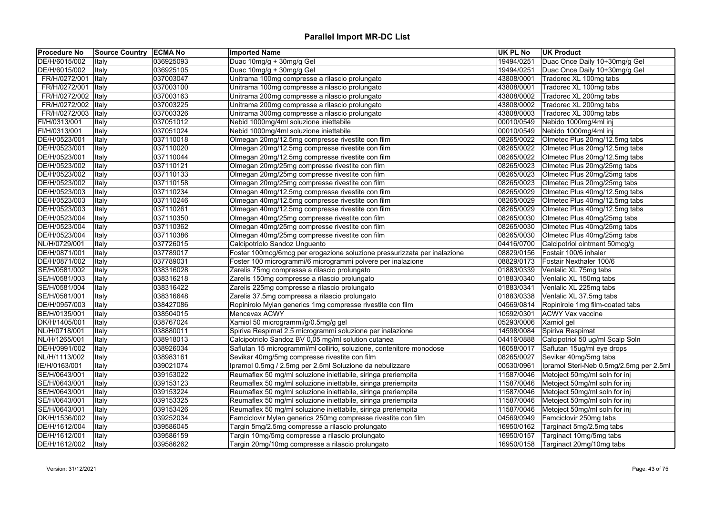| <b>Procedure No</b>   | Source Country   ECMA No |           | <b>Imported Name</b>                                                     | <b>UK PL No</b> | <b>UK Product</b>                       |
|-----------------------|--------------------------|-----------|--------------------------------------------------------------------------|-----------------|-----------------------------------------|
| DE/H/6015/002         | Italy                    | 036925093 | Duac 10mg/g + 30mg/g Gel                                                 | 19494/0251      | Duac Once Daily 10+30mg/g Gel           |
| DE/H/6015/002         | <b>Italy</b>             | 036925105 | Duac 10mg/g + 30mg/g Gel                                                 | 19494/0251      | Duac Once Daily 10+30mg/g Gel           |
| FR/H/0272/001         | ltaly                    | 037003047 | Unitrama 100mg compresse a rilascio prolungato                           | 43808/0001      | Tradorec XL 100mg tabs                  |
| FR/H/0272/001         | ltaly                    | 037003100 | Unitrama 100mg compresse a rilascio prolungato                           | 43808/0001      | Tradorec XL 100mg tabs                  |
| FR/H/0272/002   Italy |                          | 037003163 | Unitrama 200mg compresse a rilascio prolungato                           | 43808/0002      | Tradorec XL 200mg tabs                  |
| FR/H/0272/002   Italy |                          | 037003225 | Unitrama 200mg compresse a rilascio prolungato                           | 43808/0002      | Tradorec XL 200mg tabs                  |
| FR/H/0272/003         | <b>Italy</b>             | 037003326 | Unitrama 300mg compresse a rilascio prolungato                           | 43808/0003      | Tradorec XL 300mg tabs                  |
| FI/H/0313/001         | Italy                    | 037051012 | Nebid 1000mg/4ml soluzione iniettabile                                   | 00010/0549      | Nebido 1000mg/4ml inj                   |
| FI/H/0313/001         | Italy                    | 037051024 | Nebid 1000mg/4ml soluzione iniettabile                                   | 00010/0549      | Nebido 1000mg/4ml inj                   |
| DE/H/0523/001         | Italy                    | 037110018 | Olmegan 20mg/12.5mg compresse rivestite con film                         | 08265/0022      | Olmetec Plus 20mg/12.5mg tabs           |
| DE/H/0523/001         | Italy                    | 037110020 | Olmegan 20mg/12.5mg compresse rivestite con film                         | 08265/0022      | Olmetec Plus 20mg/12.5mg tabs           |
| DE/H/0523/001         | Italy                    | 037110044 | Olmegan 20mg/12.5mg compresse rivestite con film                         | 08265/0022      | Olmetec Plus 20mg/12.5mg tabs           |
| DE/H/0523/002         | Italy                    | 037110121 | Olmegan 20mg/25mg compresse rivestite con film                           | 08265/0023      | Olmetec Plus 20mg/25mg tabs             |
| DE/H/0523/002         | Italy                    | 037110133 | Olmegan 20mg/25mg compresse rivestite con film                           | 08265/0023      | Olmetec Plus 20mg/25mg tabs             |
| DE/H/0523/002         | Italy                    | 037110158 | Olmegan 20mg/25mg compresse rivestite con film                           | 08265/0023      | Olmetec Plus 20mg/25mg tabs             |
| DE/H/0523/003         | Italy                    | 037110234 | Olmegan 40mg/12.5mg compresse rivestite con film                         | 08265/0029      | Olmetec Plus 40mg/12.5mg tabs           |
| DE/H/0523/003         | Italy                    | 037110246 | Olmegan 40mg/12.5mg compresse rivestite con film                         | 08265/0029      | Olmetec Plus 40mg/12.5mg tabs           |
| DE/H/0523/003         | Italy                    | 037110261 | Olmegan 40mg/12.5mg compresse rivestite con film                         | 08265/0029      | Olmetec Plus 40mg/12.5mg tabs           |
| DE/H/0523/004         | Italy                    | 037110350 | Olmegan 40mg/25mg compresse rivestite con film                           | 08265/0030      | Olmetec Plus 40mg/25mg tabs             |
| DE/H/0523/004         | Italy                    | 037110362 | Olmegan 40mg/25mg compresse rivestite con film                           | 08265/0030      | Olmetec Plus 40mg/25mg tabs             |
| DE/H/0523/004         | Italy                    | 037110386 | Olmegan 40mg/25mg compresse rivestite con film                           | 08265/0030      | Olmetec Plus 40mg/25mg tabs             |
| NL/H/0729/001         | Italy                    | 037726015 | Calcipotriolo Sandoz Unguento                                            | 04416/0700      | Calcipotriol ointment 50mcg/g           |
| DE/H/0871/001         | Italy                    | 037789017 | Foster 100mcg/6mcg per erogazione soluzione pressurizzata per inalazione | 08829/0156      | Fostair 100/6 inhaler                   |
| DE/H/0871/002         | Italy                    | 037789031 | Foster 100 microgrammi/6 microgrammi polvere per inalazione              | 08829/0173      | Fostair Nexthaler 100/6                 |
| SE/H/0581/002         | Italy                    | 038316028 | Zarelis 75mg compressa a rilascio prolungato                             | 01883/0339      | Venlalic XL 75mg tabs                   |
| SE/H/0581/003         | Italy                    | 038316218 | Zarelis 150mg compresse a rilascio prolungato                            | 01883/0340      | Venlalic XL 150mg tabs                  |
| SE/H/0581/004         | Italy                    | 038316422 | Zarelis 225mg compresse a rilascio prolungato                            | 01883/0341      | Venlalic XL 225mg tabs                  |
| SE/H/0581/001         | Italy                    | 038316648 | Zarelis 37.5mg compressa a rilascio prolungato                           | 01883/0338      | Venlalic XL 37.5mg tabs                 |
| DE/H/0957/003         | Italy                    | 038427086 | Ropinirolo Mylan generics 1mg compresse rivestite con film               | 04569/0814      | Ropinirole 1mg film-coated tabs         |
| BE/H/0135/001         | Italy                    | 038504015 | Mencevax ACWY                                                            | 10592/0301      | <b>ACWY Vax vaccine</b>                 |
| DK/H/1405/001         | Italy                    | 038767024 | Xamiol 50 microgrammi/g/0.5mg/g gel                                      | 05293/0006      | Xamiol gel                              |
| NL/H/0718/001         | Italy                    | 038880011 | Spiriva Respimat 2.5 microgrammi soluzione per inalazione                | 14598/0084      | Spiriva Respimat                        |
| NL/H/1265/001         | Italy                    | 038918013 | Calcipotriolo Sandoz BV 0,05 mg/ml solution cutanea                      | 04416/0888      | Calcipotriol 50 ug/ml Scalp Soln        |
| DE/H/0991/002         | Italy                    | 038926034 | Saflutan 15 microgrammi/ml collirio, soluzione, contenitore monodose     | 16058/0017      | Saflutan 15ug/ml eye drops              |
| NL/H/1113/002         | Italy                    | 038983161 | Sevikar 40mg/5mg compresse rivestite con film                            | 08265/0027      | Sevikar 40mg/5mg tabs                   |
| IE/H/0163/001         | Italy                    | 039021074 | Ipramol 0.5mg / 2.5mg per 2.5ml Soluzione da nebulizzare                 | 00530/0961      | Ipramol Steri-Neb 0.5mg/2.5mg per 2.5ml |
| SE/H/0643/001         | Italy                    | 039153022 | Reumaflex 50 mg/ml soluzione iniettabile, siringa preriempita            | 11587/0046      | Metoject 50mg/ml soln for inj           |
| SE/H/0643/001         | Italy                    | 039153123 | Reumaflex 50 mg/ml soluzione iniettabile, siringa preriempita            | 11587/0046      | Metoject 50mg/ml soln for inj           |
| SE/H/0643/001         | Italy                    | 039153224 | Reumaflex 50 mg/ml soluzione iniettabile, siringa preriempita            | 11587/0046      | Metoject 50mg/ml soln for inj           |
| SE/H/0643/001         | Italy                    | 039153325 | Reumaflex 50 mg/ml soluzione iniettabile, siringa preriempita            | 11587/0046      | Metoject 50mg/ml soln for inj           |
| SE/H/0643/001         | Italy                    | 039153426 | Reumaflex 50 mg/ml soluzione iniettabile, siringa preriempita            | 11587/0046      | Metoject 50mg/ml soln for inj           |
| DK/H/1536/002         | Italy                    | 039252034 | Famciclovir Mylan generics 250mg compresse rivestite con film            | 04569/0949      | Famciclovir 250mg tabs                  |
| DE/H/1612/004         | Italy                    | 039586045 | Targin 5mg/2.5mg compresse a rilascio prolungato                         | 16950/0162      | Targinact 5mg/2.5mg tabs                |
| DE/H/1612/001         | Italy                    | 039586159 | Targin 10mg/5mg compresse a rilascio prolungato                          | 16950/0157      | Targinact 10mg/5mg tabs                 |
| DE/H/1612/002         | Italy                    | 039586262 | Targin 20mg/10mg compresse a rilascio prolungato                         | 16950/0158      | Targinact 20mg/10mg tabs                |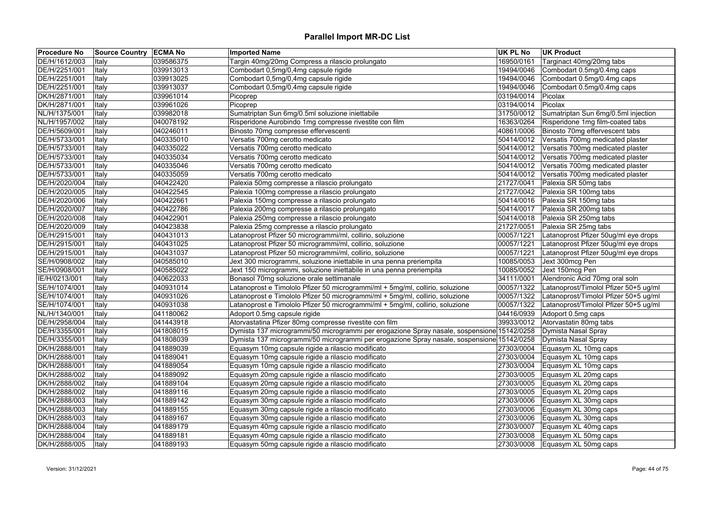| <b>Procedure No</b> | Source Country   ECMA No |           | <b>Imported Name</b>                                                                       | UK PL No   | <b>UK Product</b>                           |
|---------------------|--------------------------|-----------|--------------------------------------------------------------------------------------------|------------|---------------------------------------------|
| DE/H/1612/003       | Italy                    | 039586375 | Targin 40mg/20mg Compress a rilascio prolungato                                            | 16950/0161 | Targinact 40mg/20mg tabs                    |
| DE/H/2251/001       | Italy                    | 039913013 | Combodart 0,5mg/0,4mg capsule rigide                                                       | 19494/0046 | Combodart 0.5mg/0.4mg caps                  |
| DE/H/2251/001       | Italy                    | 039913025 | Combodart 0,5mg/0,4mg capsule rigide                                                       | 19494/0046 | Combodart 0.5mg/0.4mg caps                  |
| DE/H/2251/001       | Italy                    | 039913037 | Combodart 0,5mg/0,4mg capsule rigide                                                       | 19494/0046 | Combodart 0.5mg/0.4mg caps                  |
| DK/H/2871/001       | Italy                    | 039961014 | Picoprep                                                                                   | 03194/0014 | Picolax                                     |
| DK/H/2871/001       | Italy                    | 039961026 | Picoprep                                                                                   | 03194/0014 | Picolax                                     |
| NL/H/1375/001       | Italy                    | 039982018 | Sumatriptan Sun 6mg/0.5ml soluzione iniettabile                                            | 31750/0012 | Sumatriptan Sun 6mg/0.5ml injection         |
| NL/H/1957/002       | Italy                    | 040078192 | Risperidone Aurobindo 1mg compresse rivestite con film                                     | 16363/0264 | Risperidone 1mg film-coated tabs            |
| DE/H/5609/001       | Italy                    | 040246011 | Binosto 70mg compresse effervescenti                                                       | 40861/0006 | Binosto 70mg effervescent tabs              |
| DE/H/5733/001       | Italy                    | 040335010 | Versatis 700mg cerotto medicato                                                            | 50414/0012 | Versatis 700mg medicated plaster            |
| DE/H/5733/001       | Italy                    | 040335022 | Versatis 700mg cerotto medicato                                                            | 50414/0012 | Versatis 700mg medicated plaster            |
| DE/H/5733/001       | Italy                    | 040335034 | Versatis 700mg cerotto medicato                                                            | 50414/0012 | Versatis 700mg medicated plaster            |
| DE/H/5733/001       | Italy                    | 040335046 | Versatis 700mg cerotto medicato                                                            |            | 50414/0012 Versatis 700mg medicated plaster |
| DE/H/5733/001       | Italy                    | 040335059 | Versatis 700mg cerotto medicato                                                            | 50414/0012 | Versatis 700mg medicated plaster            |
| DE/H/2020/004       | Italy                    | 040422420 | Palexia 50mg compresse a rilascio prolungato                                               | 21727/0041 | Palexia SR 50mg tabs                        |
| DE/H/2020/005       | Italy                    | 040422545 | Palexia 100mg compresse a rilascio prolungato                                              |            | 21727/0042 Palexia SR 100mg tabs            |
| DE/H/2020/006       | Italy                    | 040422661 | Palexia 150mg compresse a rilascio prolungato                                              | 50414/0016 | Palexia SR 150mg tabs                       |
| DE/H/2020/007       | Italy                    | 040422786 | Palexia 200mg compresse a rilascio prolungato                                              | 50414/0017 | Palexia SR 200mg tabs                       |
| DE/H/2020/008       | Italy                    | 040422901 | Palexia 250mg compresse a rilascio prolungato                                              | 50414/0018 | Palexia SR 250mg tabs                       |
| DE/H/2020/009       | Italy                    | 040423838 | Palexia 25mg compresse a rilascio prolungato                                               | 21727/0051 | Palexia SR 25mg tabs                        |
| DE/H/2915/001       | Italy                    | 040431013 | Latanoprost Pfizer 50 microgrammi/ml, collirio, soluzione                                  | 00057/1221 | Latanoprost Pfizer 50ug/ml eye drops        |
| DE/H/2915/001       | Italy                    | 040431025 | Latanoprost Pfizer 50 microgrammi/ml, collirio, soluzione                                  | 00057/1221 | Latanoprost Pfizer 50ug/ml eye drops        |
| DE/H/2915/001       | Italy                    | 040431037 | Latanoprost Pfizer 50 microgrammi/ml, collirio, soluzione                                  | 00057/1221 | Latanoprost Pfizer 50ug/ml eye drops        |
| SE/H/0908/002       | Italy                    | 040585010 | Jext 300 microgrammi, soluzione iniettabile in una penna preriempita                       | 10085/0053 | Jext 300mcg Pen                             |
| SE/H/0908/001       | Italy                    | 040585022 | Jext 150 microgrammi, soluzione iniettabile in una penna preriempita                       | 10085/0052 | Jext 150mcg Pen                             |
| IE/H/0213/001       | Italy                    | 040622033 | Bonasol 70mg soluzione orale settimanale                                                   | 34111/0001 | Alendronic Acid 70mg oral soln              |
| SE/H/1074/001       | Italy                    | 040931014 | Latanoprost e Timololo Pfizer 50 microgrammi/ml + 5mg/ml, collirio, soluzione              | 00057/1322 | Latanoprost/Timolol Pfizer 50+5 ug/ml       |
| SE/H/1074/001       | Italy                    | 040931026 | Latanoprost e Timololo Pfizer 50 microgrammi/ml + 5mg/ml, collirio, soluzione              | 00057/1322 | Latanoprost/Timolol Pfizer 50+5 ug/ml       |
| SE/H/1074/001       | Italy                    | 040931038 | Latanoprost e Timololo Pfizer 50 microgrammi/ml + 5mg/ml, collirio, soluzione              | 00057/1322 | Latanoprost/Timolol Pfizer 50+5 ug/ml       |
| NL/H/1340/001       | Italy                    | 041180062 | Adoport 0.5mg capsule rigide                                                               | 04416/0939 | Adoport 0.5mg caps                          |
| DE/H/2958/004       | Italy                    | 041443918 | Atorvastatina Pfizer 80mg compresse rivestite con film                                     | 39933/0012 | Atorvastatin 80mg tabs                      |
| DE/H/3355/001       | Italy                    | 041808015 | Dymista 137 microgrammi/50 microgrammi per erogazione Spray nasale, sospensione 15142/0258 |            | Dymista Nasal Spray                         |
| DE/H/3355/001       | Italy                    | 041808039 | Dymista 137 microgrammi/50 microgrammi per erogazione Spray nasale, sospensione 15142/0258 |            | Dymista Nasal Spray                         |
| DK/H/2888/001       | Italy                    | 041889039 | Equasym 10mg capsule rigide a rilascio modificato                                          | 27303/0004 | Equasym XL 10mg caps                        |
| DK/H/2888/001       | Italy                    | 041889041 | Equasym 10mg capsule rigide a rilascio modificato                                          | 27303/0004 | Equasym XL 10mg caps                        |
| DK/H/2888/001       | Italy                    | 041889054 | Equasym 10mg capsule rigide a rilascio modificato                                          | 27303/0004 | Equasym XL 10mg caps                        |
| DK/H/2888/002       | Italy                    | 041889092 | Equasym 20mg capsule rigide a rilascio modificato                                          | 27303/0005 | Equasym XL 20mg caps                        |
| DK/H/2888/002       | Italy                    | 041889104 | Equasym 20mg capsule rigide a rilascio modificato                                          |            | 27303/0005 Equasym XL 20mg caps             |
| DK/H/2888/002       | Italy                    | 041889116 | Equasym 20mg capsule rigide a rilascio modificato                                          | 27303/0005 | Equasym XL 20mg caps                        |
| DK/H/2888/003       | Italy                    | 041889142 | Equasym 30mg capsule rigide a rilascio modificato                                          |            | 27303/0006 Equasym XL 30mg caps             |
| DK/H/2888/003       | Italy                    | 041889155 | Equasym 30mg capsule rigide a rilascio modificato                                          | 27303/0006 | Equasym XL 30mg caps                        |
| DK/H/2888/003       | Italy                    | 041889167 | Equasym 30mg capsule rigide a rilascio modificato                                          | 27303/0006 | Equasym XL 30mg caps                        |
| DK/H/2888/004       | Italy                    | 041889179 | Equasym 40mg capsule rigide a rilascio modificato                                          | 27303/0007 | Equasym XL 40mg caps                        |
| DK/H/2888/004       | Italy                    | 041889181 | Equasym 40mg capsule rigide a rilascio modificato                                          | 27303/0008 | Equasym XL 50mg caps                        |
| DK/H/2888/005       | Italy                    | 041889193 | Equasym 50mg capsule rigide a rilascio modificato                                          |            | $27303/0008$ Equasym XL 50mg caps           |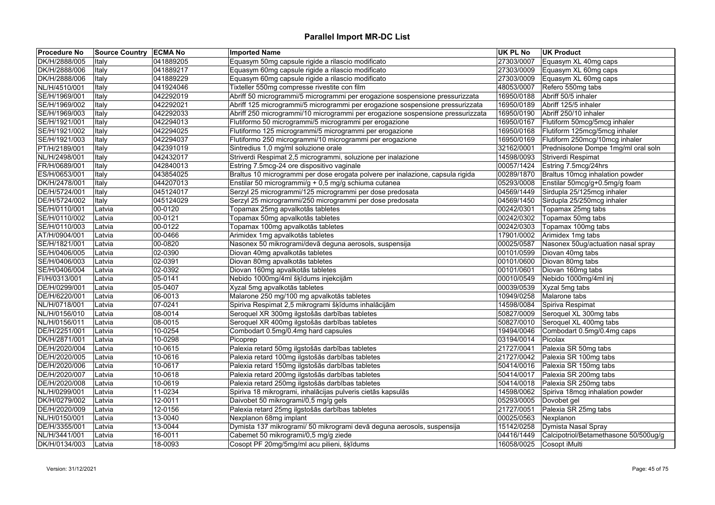| <b>Procedure No</b> | Source Country   ECMA No |           | <b>Imported Name</b>                                                           | <b>UK PL No</b> | <b>UK Product</b>                     |
|---------------------|--------------------------|-----------|--------------------------------------------------------------------------------|-----------------|---------------------------------------|
| DK/H/2888/005       | Italy                    | 041889205 | Equasym 50mg capsule rigide a rilascio modificato                              | 27303/0007      | Equasym XL 40mg caps                  |
| DK/H/2888/006       | Italy                    | 041889217 | Equasym 60mg capsule rigide a rilascio modificato                              | 27303/0009      | Equasym XL 60mg caps                  |
| DK/H/2888/006       | Italy                    | 041889229 | Equasym 60mg capsule rigide a rilascio modificato                              | 27303/0009      | Equasym XL 60mg caps                  |
| NL/H/4510/001       | Italy                    | 041924046 | Tixteller 550mg compresse rivestite con film                                   | 48053/0007      | Refero 550mg tabs                     |
| SE/H/1969/001       | Italy                    | 042292019 | Abriff 50 microgrammi/5 microgrammi per erogazione sospensione pressurizzata   | 16950/0188      | Abriff 50/5 inhaler                   |
| SE/H/1969/002       | Italy                    | 042292021 | Abriff 125 microgrammi/5 microgrammi per erogazione sospensione pressurizzata  | 16950/0189      | Abriff 125/5 inhaler                  |
| SE/H/1969/003       | Italy                    | 042292033 | Abriff 250 microgrammi/10 microgrammi per erogazione sospensione pressurizzata | 16950/0190      | Abriff 250/10 inhaler                 |
| SE/H/1921/001       | Italy                    | 042294013 | Flutiformo 50 microgrammi/5 microgrammi per erogazione                         | 16950/0167      | Flutiform 50mcg/5mcg inhaler          |
| SE/H/1921/002       | Italy                    | 042294025 | Flutiformo 125 microgrammi/5 microgrammi per erogazione                        | 16950/0168      | Flutiform 125mcg/5mcg inhaler         |
| SE/H/1921/003       | Italy                    | 042294037 | Flutiformo 250 microgrammi/10 microgrammi per erogazione                       | 16950/0169      | Flutiform 250mcg/10mcg inhaler        |
| PT/H/2189/001       | Italy                    | 042391019 | Sintredius 1,0 mg/ml soluzione orale                                           | 32162/0001      | Prednisolone Dompe 1mg/ml oral soln   |
| NL/H/2498/001       | Italy                    | 042432017 | Striverdi Respimat 2,5 microgrammi, soluzione per inalazione                   | 14598/0093      | Striverdi Respimat                    |
| FR/H/0689/001       | Italy                    | 042840013 | Estring 7.5mcg-24 ore dispositivo vaginale                                     |                 | 00057/1424 Estring 7.5mcg/24hrs       |
| ES/H/0653/001       | Italy                    | 043854025 | Braltus 10 microgrammi per dose erogata polvere per inalazione, capsula rigida | 00289/1870      | Braltus 10mcg inhalation powder       |
| DK/H/2478/001       | Italy                    | 044207013 | Enstilar 50 microgrammi/g + 0,5 mg/g schiuma cutanea                           | 05293/0008      | Enstilar 50mcg/g+0.5mg/g foam         |
| DE/H/5724/001       | Italy                    | 045124017 | Serzyl 25 microgrammi/125 microgrammi per dose predosata                       |                 | 04569/1449 Sirdupla 25/125mcg inhaler |
| DE/H/5724/002       | Italy                    | 045124029 | Serzyl 25 microgrammi/250 microgrammi per dose predosata                       | 04569/1450      | Sirdupla 25/250mcg inhaler            |
| SE/H/0110/001       | Latvia                   | 00-0120   | Topamax 25mg apvalkotās tabletes                                               | 00242/0301      | Topamax 25mg tabs                     |
| SE/H/0110/002       | Latvia                   | 00-0121   | Topamax 50mg apvalkotās tabletes                                               |                 | 00242/0302 Topamax 50mg tabs          |
| SE/H/0110/003       | Latvia                   | 00-0122   | Topamax 100mg apvalkotās tabletes                                              |                 | 00242/0303 Topamax 100mg tabs         |
| AT/H/0904/001       | Latvia                   | 00-0466   | Arimidex 1mg apvalkotās tabletes                                               | 17901/0002      | Arimidex 1mg tabs                     |
| SE/H/1821/001       | Latvia                   | 00-0820   | Nasonex 50 mikrogrami/devā deguna aerosols, suspensija                         | 00025/0587      | Nasonex 50ug/actuation nasal spray    |
| SE/H/0406/005       | Latvia                   | 02-0390   | Diovan 40mg apvalkotās tabletes                                                | 00101/0599      | Diovan 40mg tabs                      |
| SE/H/0406/003       | Latvia                   | 02-0391   | Diovan 80mg apvalkotās tabletes                                                | 00101/0600      | Diovan 80mg tabs                      |
| SE/H/0406/004       | Latvia                   | 02-0392   | Diovan 160mg apvalkotās tabletes                                               | 00101/0601      | Diovan 160mg tabs                     |
| FI/H/0313/001       | Latvia                   | 05-0141   | Nebido 1000mg/4ml šķīdums injekcijām                                           | 00010/0549      | Nebido 1000mg/4ml inj                 |
| DE/H/0299/001       | Latvia                   | 05-0407   | Xyzal 5mg apvalkotās tabletes                                                  | 00039/0539      | Xyzal 5mg tabs                        |
| DE/H/6220/001       | Latvia                   | 06-0013   | Malarone 250 mg/100 mg apvalkotās tabletes                                     | 10949/0258      | Malarone tabs                         |
| NL/H/0718/001       | Latvia                   | 07-0241   | Spiriva Respimat 2,5 mikrogrami šķīdums inhalācijām                            | 14598/0084      | Spiriva Respimat                      |
| NL/H/0156/010       | Latvia                   | 08-0014   | Seroquel XR 300mg ilgstošās darbības tabletes                                  | 50827/0009      | Seroquel XL 300mg tabs                |
| NL/H/0156/011       | Latvia                   | 08-0015   | Seroquel XR 400mg ilgstošās darbības tabletes                                  |                 | 50827/0010 Seroquel XL 400mg tabs     |
| DE/H/2251/001       | Latvia                   | 10-0254   | Combodart 0.5mg/0.4mg hard capsules                                            | 19494/0046      | Combodart 0.5mg/0.4mg caps            |
| DK/H/2871/001       | Latvia                   | 10-0298   | Picoprep                                                                       | 03194/0014      | Picolax                               |
| DE/H/2020/004       | Latvia                   | 10-0615   | Palexia retard 50mg ilgstošās darbības tabletes                                | 21727/0041      | Palexia SR 50mg tabs                  |
| DE/H/2020/005       | Latvia                   | 10-0616   | Palexia retard 100mg ilgstošās darbības tabletes                               | 21727/0042      | Palexia SR 100mg tabs                 |
| DE/H/2020/006       | Latvia                   | 10-0617   | Palexia retard 150mg ilgstošās darbības tabletes                               | 50414/0016      | Palexia SR 150mg tabs                 |
| DE/H/2020/007       | Latvia                   | 10-0618   | Palexia retard 200mg ilgstošās darbības tabletes                               | 50414/0017      | Palexia SR 200mg tabs                 |
| DE/H/2020/008       | Latvia                   | 10-0619   | Palexia retard 250mg ilgstošās darbības tabletes                               | 50414/0018      | Palexia SR 250mg tabs                 |
| NL/H/0299/001       | Latvia                   | 11-0234   | Spiriva 18 mikrogrami, inhalācijas pulveris cietās kapsulās                    | 14598/0062      | Spiriva 18mcg inhalation powder       |
| DK/H/0279/002       | Latvia                   | 12-0011   | Daivobet 50 mikrogrami/0,5 mg/g gels                                           | 05293/0005      | Dovobet gel                           |
| DE/H/2020/009       | Latvia                   | 12-0156   | Palexia retard 25mg ilgstošās darbības tabletes                                | 21727/0051      | Palexia SR 25mg tabs                  |
| NL/H/0150/001       | Latvia                   | 13-0040   | Nexplanon 68mg implant                                                         | 00025/0563      | Nexplanon                             |
| DE/H/3355/001       | Latvia                   | 13-0044   | Dymista 137 mikrogrami/ 50 mikrogrami devā deguna aerosols, suspensija         | 15142/0258      | Dymista Nasal Spray                   |
| NL/H/3441/001       | Latvia                   | 16-0011   | Cabemet 50 mikrogrami/0,5 mg/g ziede                                           | 04416/1449      | Calcipotriol/Betamethasone 50/500ug/g |
| DK/H/0134/003       | Latvia                   | 18-0093   | Cosopt PF 20mg/5mg/ml acu pilieni, šķīdums                                     |                 | 16058/0025 Cosopt iMulti              |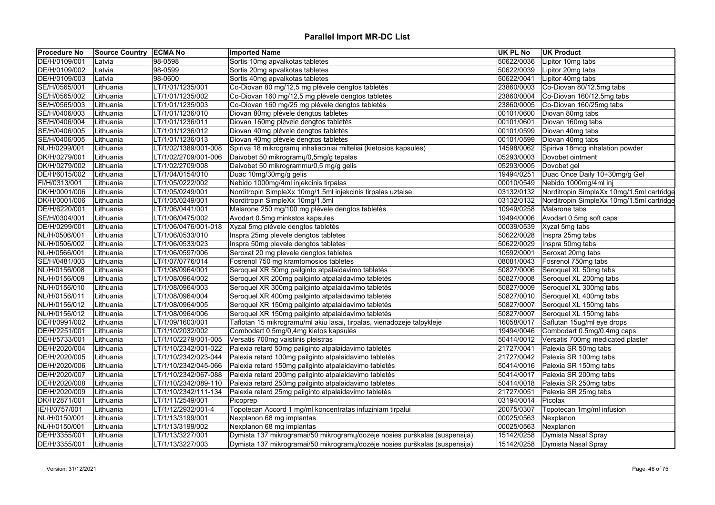| <b>Procedure No</b> | Source Country ECMA No |                      | <b>Imported Name</b>                                                       | <b>UK PL No</b> | <b>UK Product</b>                         |
|---------------------|------------------------|----------------------|----------------------------------------------------------------------------|-----------------|-------------------------------------------|
| DE/H/0109/001       | Latvia                 | 98-0598              | Sortis 10mg apvalkotas tabletes                                            | 50622/0036      | Lipitor 10mg tabs                         |
| DE/H/0109/002       | Latvia                 | 98-0599              | Sortis 20mg apvalkotas tabletes                                            | 50622/0039      | Lipitor 20mg tabs                         |
| DE/H/0109/003       | Latvia                 | 98-0600              | Sortis 40mg apvalkotas tabletes                                            | 50622/0041      | Lipitor 40mg tabs                         |
| SE/H/0565/001       | Lithuania              | LT/1/01/1235/001     | Co-Diovan 80 mg/12,5 mg plėvele dengtos tabletės                           | 23860/0003      | Co-Diovan 80/12.5mg tabs                  |
| SE/H/0565/002       | Lithuania              | LT/1/01/1235/002     | Co-Diovan 160 mg/12,5 mg plėvele dengtos tabletės                          | 23860/0004      | Co-Diovan 160/12.5mg tabs                 |
| SE/H/0565/003       | Lithuania              | LT/1/01/1235/003     | Co-Diovan 160 mg/25 mg plėvele dengtos tabletės                            | 23860/0005      | Co-Diovan 160/25mg tabs                   |
| SE/H/0406/003       | Lithuania              | LT/1/01/1236/010     | Diovan 80mg plėvele dengtos tabletės                                       | 00101/0600      | Diovan 80mg tabs                          |
| SE/H/0406/004       | Lithuania              | LT/1/01/1236/011     | Diovan 160mg plėvele dengtos tabletės                                      | 00101/0601      | Diovan 160mg tabs                         |
| SE/H/0406/005       | Lithuania              | LT/1/01/1236/012     | Diovan 40mg plėvele dengtos tabletės                                       | 00101/0599      | Diovan 40mg tabs                          |
| SE/H/0406/005       | Lithuania              | LT/1/01/1236/013     | Diovan 40mg plėvele dengtos tabletės                                       | 00101/0599      | Diovan 40mg tabs                          |
| NL/H/0299/001       | Lithuania              | LT/1/02/1389/001-008 | Spiriva 18 mikrogramų inhaliaciniai milteliai (kietosios kapsulės)         | 14598/0062      | Spiriva 18mcg inhalation powder           |
| DK/H/0279/001       | Lithuania              | LT/1/02/2709/001-006 | Daivobet 50 mikrogramy/0,5mg/g tepalas                                     | 05293/0003      | Dovobet ointment                          |
| DK/H/0279/002       | Lithuania              | LT/1/02/2709/008     | Daivobet 50 mikrogrammu/0,5 mg/g gelis                                     | 05293/0005      | Dovobet gel                               |
| DE/H/6015/002       | Lithuania              | LT/1/04/0154/010     | Duac 10mg/30mg/g gelis                                                     | 19494/0251      | Duac Once Daily 10+30mg/g Gel             |
| FI/H/0313/001       | Lithuania              | LT/1/05/0222/002     | Nebido 1000mg/4ml injekcinis tirpalas                                      | 00010/0549      | Nebido 1000mg/4ml inj                     |
| DK/H/0001/006       | Lithuania              | LT/1/05/0249/001     | Norditropin SimpleXx 10mg/1.5ml injekcinis tirpalas uztaise                | 03132/0132      | Norditropin SimpleXx 10mg/1.5ml cartridge |
| DK/H/0001/006       | Lithuania              | LT/1/05/0249/001     | Norditropin SimpleXx 10mg/1,5ml                                            | 03132/0132      | Norditropin SimpleXx 10mg/1.5ml cartridge |
| DE/H/6220/001       | Lithuania              | LT/1/06/0441/001     | Malarone 250 mg/100 mg plėvele dengtos tabletės                            | 10949/0258      | Malarone tabs                             |
| SE/H/0304/001       | Lithuania              | LT/1/06/0475/002     | Avodart 0.5mg minkstos kapsules                                            | 19494/0006      | Avodart 0.5mg soft caps                   |
| DE/H/0299/001       | Lithuania              | LT/1/06/0476/001-018 | Xyzal 5mg plėvele dengtos tabletės                                         | 00039/0539      | Xyzal 5mg tabs                            |
| NL/H/0506/001       | Lithuania              | LT/1/06/0533/010     | Inspra 25mg plevele dengtos tabletes                                       | 50622/0028      | Inspra 25mg tabs                          |
| NL/H/0506/002       | Lithuania              | LT/1/06/0533/023     | Inspra 50mg plevele dengtos tabletes                                       | 50622/0029      | Inspra 50mg tabs                          |
| NL/H/0566/001       | Lithuania              | LT/1/06/0597/006     | Seroxat 20 mg plevele dengtos tabletes                                     | 10592/0001      | Seroxat 20mg tabs                         |
| SE/H/0481/003       | Lithuania              | LT/1/07/0776/014     | Fosrenol 750 mg kramtomosios tabletes                                      | 08081/0043      | Fosrenol 750mg tabs                       |
| NL/H/0156/008       | Lithuania              | LT/1/08/0964/001     | Seroquel XR 50mg pailginto atpalaidavimo tabletės                          | 50827/0006      | Seroquel XL 50mg tabs                     |
| NL/H/0156/009       | Lithuania              | LT/1/08/0964/002     | Seroquel XR 200mg pailginto atpalaidavimo tabletės                         | 50827/0008      | Seroquel XL 200mg tabs                    |
| NL/H/0156/010       | Lithuania              | LT/1/08/0964/003     | Seroquel XR 300mg pailginto atpalaidavimo tabletės                         | 50827/0009      | Seroquel XL 300mg tabs                    |
| NL/H/0156/011       | Lithuania              | LT/1/08/0964/004     | Seroquel XR 400mg pailginto atpalaidavimo tabletės                         | 50827/0010      | Seroquel XL 400mg tabs                    |
| NL/H/0156/012       | Lithuania              | LT/1/08/0964/005     | Seroquel XR 150mg pailginto atpalaidavimo tabletės                         | 50827/0007      | Seroquel XL 150mg tabs                    |
| NL/H/0156/012       | Lithuania              | LT/1/08/0964/006     | Seroquel XR 150mg pailginto atpalaidavimo tabletės                         | 50827/0007      | Seroquel XL 150mg tabs                    |
| DE/H/0991/002       | Lithuania              | LT/1/09/1603/001     | Taflotan 15 mikrogramu/ml akiu lasai, tirpalas, vienadozeje talpykleje     | 16058/0017      | Saflutan 15ug/ml eye drops                |
| DE/H/2251/001       | Lithuania              | LT/1/10/2032/002     | Combodart 0,5mg/0,4mg kietos kapsulės                                      | 19494/0046      | Combodart 0.5mg/0.4mg caps                |
|                     |                        |                      | Versatis 700mg vaistinis pleistras                                         |                 |                                           |
| DE/H/5733/001       | Lithuania              | LT/1/10/2279/001-005 |                                                                            | 50414/0012      | Versatis 700mg medicated plaster          |
| DE/H/2020/004       | Lithuania              | LT/1/10/2342/001-022 | Palexia retard 50mg pailginto atpalaidavimo tabletės                       | 21727/0041      | Palexia SR 50mg tabs                      |
| DE/H/2020/005       | Lithuania              | LT/1/10/2342/023-044 | Palexia retard 100mg pailginto atpalaidavimo tabletės                      | 21727/0042      | Palexia SR 100mg tabs                     |
| DE/H/2020/006       | Lithuania              | LT/1/10/2342/045-066 | Palexia retard 150mg pailginto atpalaidavimo tabletės                      | 50414/0016      | Palexia SR 150mg tabs                     |
| DE/H/2020/007       | Lithuania              | LT/1/10/2342/067-088 | Palexia retard 200mg pailginto atpalaidavimo tabletės                      | 50414/0017      | Palexia SR 200mg tabs                     |
| DE/H/2020/008       | Lithuania              | LT/1/10/2342/089-110 | Palexia retard 250mg pailginto atpalaidavimo tabletės                      | 50414/0018      | Palexia SR 250mg tabs                     |
| DE/H/2020/009       | Lithuania              | LT/1/10/2342/111-134 | Palexia retard 25mg pailginto atpalaidavimo tabletės                       | 21727/0051      | Palexia SR 25mg tabs                      |
| DK/H/2871/001       | Lithuania              | LT/1/11/2549/001     | Picoprep                                                                   | 03194/0014      | Picolax                                   |
| IE/H/0757/001       | Lithuania              | LT/1/12/2932/001-4   | Topotecan Accord 1 mg/ml koncentratas infuziniam tirpalui                  | 20075/0307      | Topotecan 1mg/ml infusion                 |
| NL/H/0150/001       | Lithuania              | LT/1/13/3199/001     | Nexplanon 68 mg implantas                                                  | 00025/0563      | Nexplanon                                 |
| NL/H/0150/001       | Lithuania              | LT/1/13/3199/002     | Nexplanon 68 mg implantas                                                  | 00025/0563      | Nexplanon                                 |
| DE/H/3355/001       | Lithuania              | LT/1/13/3227/001     | Dymista 137 mikrogramai/50 mikrogramų/dozėje nosies purškalas (suspensija) | 15142/0258      | Dymista Nasal Spray                       |
| DE/H/3355/001       | Lithuania              | LT/1/13/3227/003     | Dymista 137 mikrogramai/50 mikrogramų/dozėje nosies purškalas (suspensija) | 15142/0258      | Dymista Nasal Spray                       |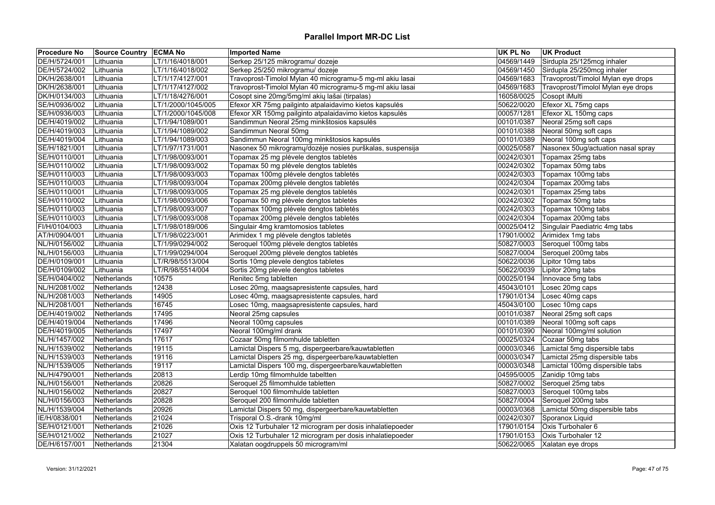| <b>Procedure No</b> | <b>Source Country ECMA No</b> |                    | <b>Imported Name</b>                                      | <b>UK PL No</b> | <b>UK Product</b>                  |
|---------------------|-------------------------------|--------------------|-----------------------------------------------------------|-----------------|------------------------------------|
| DE/H/5724/001       | Lithuania                     | LT/1/16/4018/001   | Serkep 25/125 mikrogramu/ dozeje                          | 04569/1449      | Sirdupla 25/125mcg inhaler         |
| DE/H/5724/002       | Lithuania                     | LT/1/16/4018/002   | Serkep 25/250 mikrogramu/ dozeje                          | 04569/1450      | Sirdupla 25/250mcg inhaler         |
| DK/H/2638/001       | Lithuania                     | LT/1/17/4127/001   | Travoprost-Timolol Mylan 40 microgramu-5 mg-ml akiu lasai | 04569/1683      | Travoprost/Timolol Mylan eye drops |
| DK/H/2638/001       | Lithuania                     | LT/1/17/4127/002   | Travoprost-Timolol Mylan 40 microgramu-5 mg-ml akiu lasai | 04569/1683      | Travoprost/Timolol Mylan eye drops |
| DK/H/0134/003       | Lithuania                     | LT/1/18/4276/001   | Cosopt sine 20mg/5mg/ml akių lašai (tirpalas)             | 16058/0025      | Cosopt iMulti                      |
| SE/H/0936/002       | Lithuania                     | LT/1/2000/1045/005 | Efexor XR 75mg pailginto atpalaidavimo kietos kapsulės    | 50622/0020      | Efexor XL 75mg caps                |
| SE/H/0936/003       | Lithuania                     | LT/1/2000/1045/008 | Efexor XR 150mg pailginto atpalaidavimo kietos kapsulės   | 00057/1281      | Efexor XL 150mg caps               |
| DE/H/4019/002       | Lithuania                     | LT/1/94/1089/001   | Sandimmun Neoral 25mg minkštosios kapsulės                | 00101/0387      | Neoral 25mg soft caps              |
| DE/H/4019/003       | Lithuania                     | LT/1/94/1089/002   | Sandimmun Neoral 50mg                                     | 00101/0388      | Neoral 50mg soft caps              |
| DE/H/4019/004       | Lithuania                     | LT/1/94/1089/003   | Sandimmun Neoral 100mg minkštosios kapsulės               | 00101/0389      | Neoral 100mg soft caps             |
| SE/H/1821/001       | Lithuania                     | LT/1/97/1731/001   | Nasonex 50 mikrogramų/dozėje nosies purškalas, suspensija | 00025/0587      | Nasonex 50ug/actuation nasal spray |
| SE/H/0110/001       | Lithuania                     | LT/1/98/0093/001   | Topamax 25 mg plėvele dengtos tabletės                    | 00242/0301      | Topamax 25mg tabs                  |
| SE/H/0110/002       | Lithuania                     | LT/1/98/0093/002   | Topamax 50 mg plėvele dengtos tabletės                    | 00242/0302      | Topamax 50mg tabs                  |
| SE/H/0110/003       | Lithuania                     | LT/1/98/0093/003   | Topamax 100mg plėvele dengtos tabletės                    | 00242/0303      | Topamax 100mg tabs                 |
| SE/H/0110/003       | Lithuania                     | LT/1/98/0093/004   | Topamax 200mg plėvele dengtos tabletės                    | 00242/0304      | Topamax 200mg tabs                 |
| SE/H/0110/001       | Lithuania                     | LT/1/98/0093/005   | Topamax 25 mg plėvele dengtos tabletės                    | 00242/0301      | Topamax 25mg tabs                  |
| SE/H/0110/002       | Lithuania                     | LT/1/98/0093/006   | Topamax 50 mg plėvele dengtos tabletės                    | 00242/0302      | Topamax 50mg tabs                  |
| SE/H/0110/003       | Lithuania                     | LT/1/98/0093/007   | Topamax 100mg plėvele dengtos tabletės                    | 00242/0303      | Topamax 100mg tabs                 |
| SE/H/0110/003       | Lithuania                     | LT/1/98/0093/008   | Topamax 200mg plėvele dengtos tabletės                    | 00242/0304      | Topamax 200mg tabs                 |
| FI/H/0104/003       | Lithuania                     | LT/1/98/0189/006   | Singulair 4mg kramtomosios tabletes                       | 00025/0412      | Singulair Paediatric 4mg tabs      |
| AT/H/0904/001       | Lithuania                     | LT/1/98/0223/001   | Arimidex 1 mg plėvele dengtos tabletės                    | 17901/0002      | Arimidex 1mg tabs                  |
| NL/H/0156/002       | Lithuania                     | LT/1/99/0294/002   | Seroquel 100mg plėvele dengtos tabletės                   | 50827/0003      | Seroquel 100mg tabs                |
| NL/H/0156/003       | Lithuania                     | LT/1/99/0294/004   | Seroquel 200mg plėvele dengtos tabletės                   | 50827/0004      | Seroquel 200mg tabs                |
| DE/H/0109/001       | Lithuania                     | LT/R/98/5513/004   | Sortis 10mg plevele dengtos tabletes                      | 50622/0036      | Lipitor 10mg tabs                  |
| DE/H/0109/002       | Lithuania                     | LT/R/98/5514/004   | Sortis 20mg plevele dengtos tabletes                      | 50622/0039      | Lipitor 20mg tabs                  |
| SE/H/0404/002       | Netherlands                   | 10575              | Renitec 5mg tabletten                                     | 00025/0194      | Innovace 5mg tabs                  |
| NL/H/2081/002       | Netherlands                   | 12438              | Losec 20mg, maagsapresistente capsules, hard              | 45043/0101      | Losec 20mg caps                    |
| NL/H/2081/003       | Netherlands                   | 14905              | Losec 40mg, maagsapresistente capsules, hard              | 17901/0134      | Losec 40mg caps                    |
| NL/H/2081/001       | Netherlands                   | 16745              | Losec 10mg, maagsapresistente capsules, hard              | 45043/0100      | Losec 10mg caps                    |
| DE/H/4019/002       | Netherlands                   | 17495              | Neoral 25mg capsules                                      | 00101/0387      | Neoral 25mg soft caps              |
| DE/H/4019/004       | Netherlands                   | 17496              | Neoral 100mg capsules                                     | 00101/0389      | Neoral 100mg soft caps             |
| DE/H/4019/005       | Netherlands                   | 17497              | Neoral 100mg/ml drank                                     | 00101/0390      | Neoral 100mg/ml solution           |
| NL/H/1457/002       | Netherlands                   | 17617              | Cozaar 50mg filmomhulde tabletten                         | 00025/0324      | Cozaar 50mg tabs                   |
| NL/H/1539/002       | Netherlands                   | 19115              | Lamictal Dispers 5 mg, dispergeerbare/kauwtabletten       | 00003/0346      | Lamictal 5mg dispersible tabs      |
| NL/H/1539/003       |                               | 19116              | Lamictal Dispers 25 mg, dispergeerbare/kauwtabletten      | 00003/0347      | Lamictal 25mg dispersible tabs     |
| NL/H/1539/005       | Netherlands                   | 19117              | Lamictal Dispers 100 mg, dispergeerbare/kauwtabletten     | 00003/0348      | Lamictal 100mg dispersible tabs    |
|                     | Netherlands                   |                    |                                                           |                 |                                    |
| NL/H/4790/001       | Netherlands                   | 20813              | Lerdip 10mg filmomhulde tabeltten                         | 04595/0005      | Zanidip 10mg tabs                  |
| NL/H/0156/001       | Netherlands                   | 20826              | Seroquel 25 filmomhulde tabletten                         | 50827/0002      | Seroquel 25mg tabs                 |
| NL/H/0156/002       | Netherlands                   | 20827              | Seroquel 100 filmomhulde tabletten                        | 50827/0003      | Seroquel 100mg tabs                |
| NL/H/0156/003       | Netherlands                   | 20828              | Seroquel 200 filmomhulde tabletten                        | 50827/0004      | Seroquel 200mg tabs                |
| NL/H/1539/004       | Netherlands                   | 20926              | Lamictal Dispers 50 mg, dispergeerbare/kauwtabletten      | 00003/0368      | Lamictal 50mg dispersible tabs     |
| IE/H/0838/001       | Netherlands                   | 21024              | Trisporal O.S.-drank 10mg/ml                              | 00242/0307      | Sporanox Liquid                    |
| SE/H/0121/001       | Netherlands                   | 21026              | Oxis 12 Turbuhaler 12 microgram per dosis inhalatiepoeder | 17901/0154      | Oxis Turbohaler 6                  |
| SE/H/0121/002       | Netherlands                   | 21027              | Oxis 12 Turbuhaler 12 microgram per dosis inhalatiepoeder | 17901/0153      | Oxis Turbohaler 12                 |
| DE/H/6157/001       | Netherlands                   | 21304              | Xalatan oogdruppels 50 microgram/ml                       | 50622/0065      | Xalatan eye drops                  |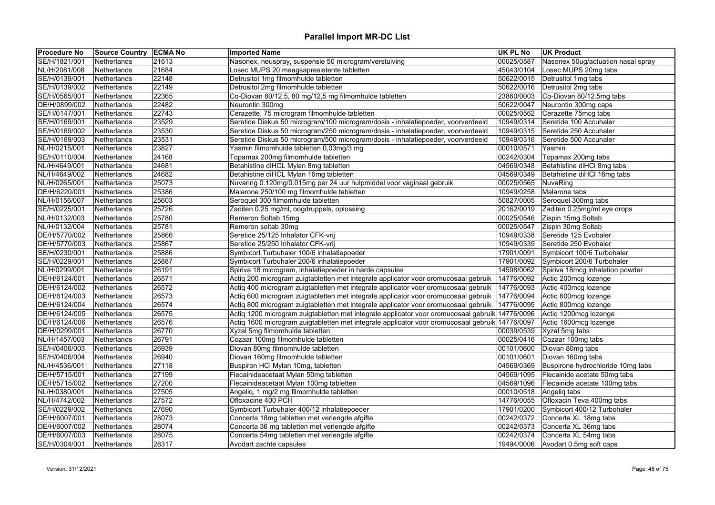| <b>Procedure No</b> | Source Country ECMA No |       | <b>Imported Name</b>                                                                             | <b>UK PL No</b> | <b>UK Product</b>                  |
|---------------------|------------------------|-------|--------------------------------------------------------------------------------------------------|-----------------|------------------------------------|
| SE/H/1821/001       | Netherlands            | 21613 | Nasonex, neuspray, suspensie 50 microgram/verstuiving                                            | 00025/0587      | Nasonex 50ug/actuation nasal spray |
| NL/H/2081/008       | Netherlands            | 21684 | Losec MUPS 20 maagsapresistente tabletten                                                        | 45043/0104      | Losec MUPS 20mg tabs               |
| SE/H/0139/001       | Netherlands            | 22148 | Detrusitol 1mg filmomhulde tabletten                                                             | 50622/0015      | Detrusitol 1mg tabs                |
| SE/H/0139/002       | Netherlands            | 22149 | Detrusitol 2mg filmomhulde tabletten                                                             | 50622/0016      | Detrusitol 2mg tabs                |
| SE/H/0565/001       | Netherlands            | 22365 | Co-Diovan 80/12,5, 80 mg/12,5 mg filmomhulde tabletten                                           | 23860/0003      | Co-Diovan 80/12.5mg tabs           |
| DE/H/0899/002       | Netherlands            | 22482 | Neurontin 300mg                                                                                  | 50622/0047      | Neurontin 300mg caps               |
| SE/H/0147/001       | Netherlands            | 22743 | Cerazette, 75 microgram filmomhulde tabletten                                                    | 00025/0562      | Cerazette 75mcg tabs               |
| SE/H/0169/001       | Netherlands            | 23529 | Seretide Diskus 50 microgram/100 microgram/dosis - inhalatiepoeder, voorverdeeld                 | 10949/0314      | Seretide 100 Accuhaler             |
| SE/H/0169/002       | Netherlands            | 23530 | Seretide Diskus 50 microgram/250 microgram/dosis - inhalatiepoeder, voorverdeeld                 | 10949/0315      | Seretide 250 Accuhaler             |
| SE/H/0169/003       | Netherlands            | 23531 | Seretide Diskus 50 microgram/500 microgram/dosis - inhalatiepoeder, voorverdeeld                 | 10949/0316      | Seretide 500 Accuhaler             |
| NL/H/0215/001       | Netherlands            | 23827 | Yasmin filmomhulde tabletten 0,03mg/3 mg                                                         | 00010/0571      | Yasmin                             |
| SE/H/0110/004       | Netherlands            | 24168 | Topamax 200mg filmomhulde tabletten                                                              | 00242/0304      | Topamax 200mg tabs                 |
| NL/H/4649/001       | Netherlands            | 24681 | Betahistine diHCL Mylan 8mg tabletten                                                            | 04569/0348      | Betahistine diHCl 8mg tabs         |
| NL/H/4649/002       | Netherlands            | 24682 | Betahistine diHCL Mylan 16mg tabletten                                                           | 04569/0349      | Betahistine diHCl 16mg tabs        |
| NL/H/0265/001       | Netherlands            | 25073 | Nuvaring 0.120mg/0.015mg per 24 uur hulpmiddel voor vaginaal gebruik                             | 00025/0565      | NuvaRing                           |
| DE/H/6220/001       | Netherlands            | 25386 | Malarone 250/100 mg filmomhulde tabletten                                                        | 10949/0258      | Malarone tabs                      |
| NL/H/0156/007       | Netherlands            | 25603 | Seroquel 300 filmomhulde tabletten                                                               | 50827/0005      | Seroquel 300mg tabs                |
| SE/H/0225/001       | Netherlands            | 25726 | Zaditen 0,25 mg/ml, oogdruppels, oplossing                                                       | 20162/0019      | Zaditen 0.25mg/ml eye drops        |
| NL/H/0132/003       | Netherlands            | 25780 | Remeron Soltab 15mg                                                                              | 00025/0546      | Zispin 15mg Soltab                 |
| NL/H/0132/004       | Netherlands            | 25781 | Remeron soltab 30mg                                                                              | 00025/0547      | Zispin 30mg Soltab                 |
| DE/H/5770/002       | Netherlands            | 25866 | Seretide 25/125 Inhalator CFK-vrij                                                               | 10949/0338      | Seretide 125 Evohaler              |
| DE/H/5770/003       | Netherlands            | 25867 | Seretide 25/250 Inhalator CFK-vrij                                                               | 10949/0339      | Seretide 250 Evohaler              |
| SE/H/0230/001       | Netherlands            | 25886 | Symbicort Turbuhaler 100/6 inhalatiepoeder                                                       | 17901/0091      | Symbicort 100/6 Turbohaler         |
| SE/H/0229/001       | Netherlands            | 25887 | Symbicort Turbuhaler 200/6 inhalatiepoeder                                                       | 17901/0092      | Symbicort 200/6 Turbohaler         |
| NL/H/0299/001       | Netherlands            | 26191 | Spiriva 18 microgram, inhalatiepoeder in harde capsules                                          | 14598/0062      | Spiriva 18mcg inhalation powder    |
| DE/H/6124/001       | Netherlands            | 26571 | Actiq 200 microgram zuigtabletten met integrale applicator voor oromucosaal gebruik              | 14776/0092      | Actiq 200mcg lozenge               |
| DE/H/6124/002       | Netherlands            | 26572 | Actiq 400 microgram zuigtabletten met integrale applicator voor oromucosaal gebruik   14776/0093 |                 | Actiq 400mcg lozenge               |
| DE/H/6124/003       | Netherlands            | 26573 | Actiq 600 microgram zuigtabletten met integrale applicator voor oromucosaal gebruik   14776/0094 |                 | Actiq 600mcg lozenge               |
| DE/H/6124/004       | Netherlands            | 26574 | Actiq 800 microgram zuigtabletten met integrale applicator voor oromucosaal gebruik   14776/0095 |                 | Actiq 800mcg lozenge               |
| DE/H/6124/005       | Netherlands            | 26575 | Actiq 1200 microgram zuigtabletten met integrale applicator voor oromucosaal gebruik 14776/0096  |                 | Actiq 1200mcg lozenge              |
| DE/H/6124/006       | Netherlands            | 26576 | Actiq 1600 microgram zuigtabletten met integrale applicator voor oromucosaal gebruik 14776/0097  |                 | Actiq 1600mcg lozenge              |
| DE/H/0299/001       | Netherlands            | 26770 | Xyzal 5mg filmomhulde tabletten                                                                  | 00039/0539      | Xyzal 5mg tabs                     |
| NL/H/1457/003       | Netherlands            | 26791 | Cozaar 100mg filmomhulde tabletten                                                               | 00025/0416      | Cozaar 100mg tabs                  |
| SE/H/0406/003       | Netherlands            | 26939 | Diovan 80mg filmomhulde tabletten                                                                | 00101/0600      | Diovan 80mg tabs                   |
| SE/H/0406/004       | Netherlands            | 26940 | Diovan 160mg filmomhulde tabletten                                                               | 00101/0601      | Diovan 160mg tabs                  |
| NL/H/4536/001       | Netherlands            | 27118 | Buspiron HCl Mylan 10mg, tabletten                                                               | 04569/0369      | Buspirone hydrochloride 10mg tabs  |
| DE/H/5715/001       | Netherlands            | 27199 | Flecainideacetaat Mylan 50mg tabletten                                                           | 04569/1095      | Flecainide acetate 50mg tabs       |
| DE/H/5715/002       | Netherlands            | 27200 | Flecainideacetaat Mylan 100mg tabletten                                                          | 04569/1096      | Flecainide acetate 100mg tabs      |
| NL/H/0380/001       | Netherlands            | 27505 | Angeliq, 1 mg/2 mg filmomhulde tabletten                                                         | 00010/0518      | Angeliq tabs                       |
| NL/H/4742/002       | Netherlands            | 27572 | Ofloxacine 400 PCH                                                                               | 14776/0055      | Ofloxacin Teva 400mg tabs          |
| SE/H/0229/002       | Netherlands            | 27690 | Symbicort Turbuhaler 400/12 inhalatiepoeder                                                      | 17901/0200      | Symbicort 400/12 Turbohaler        |
| DE/H/6007/001       | Netherlands            | 28073 | Concerta 18mg tabletten met verlengde afgifte                                                    | 00242/0372      | Concerta XL 18mg tabs              |
| DE/H/6007/002       | Netherlands            | 28074 | Concerta 36 mg tabletten met verlengde afgifte                                                   | 00242/0373      | Concerta XL 36mg tabs              |
| DE/H/6007/003       | Netherlands            | 28075 | Concerta 54mg tabletten met verlengde afgifte                                                    | 00242/0374      | Concerta XL 54mg tabs              |
| SE/H/0304/001       | Netherlands            | 28317 | Avodart zachte capsules                                                                          | 19494/0006      | Avodart 0.5mg soft caps            |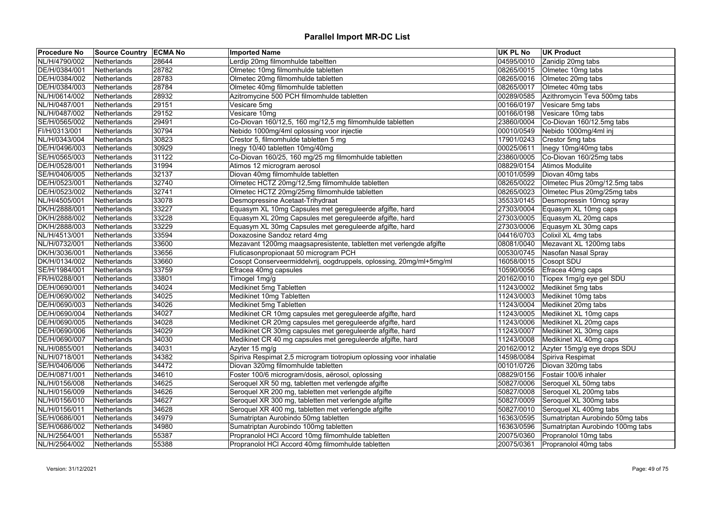| <b>Procedure No</b> | <b>Source Country ECMA No</b> |       | <b>Imported Name</b>                                                | <b>UK PL No</b> | UK Product                       |
|---------------------|-------------------------------|-------|---------------------------------------------------------------------|-----------------|----------------------------------|
| NL/H/4790/002       | <b>Netherlands</b>            | 28644 | Lerdip 20mg filmomhulde tabeltten                                   | 04595/0010      | Zanidip 20mg tabs                |
| DE/H/0384/001       | Netherlands                   | 28782 | Olmetec 10mg filmomhulde tabletten                                  | 08265/0015      | Olmetec 10mg tabs                |
| DE/H/0384/002       | Netherlands                   | 28783 | Olmetec 20mg filmomhulde tabletten                                  | 08265/0016      | Olmetec 20mg tabs                |
| DE/H/0384/003       | Netherlands                   | 28784 | Olmetec 40mg filmomhulde tabletten                                  | 08265/0017      | Olmetec 40mg tabs                |
| NL/H/0614/002       | Netherlands                   | 28932 | Azitromycine 500 PCH filmomhulde tabletten                          | 00289/0585      | Azithromycin Teva 500mg tabs     |
| NL/H/0487/001       | Netherlands                   | 29151 | Vesicare 5mg                                                        | 00166/0197      | Vesicare 5mg tabs                |
| NL/H/0487/002       | Netherlands                   | 29152 | Vesicare 10mg                                                       | 00166/0198      | Vesicare 10mg tabs               |
| SE/H/0565/002       | Netherlands                   | 29491 | Co-Diovan 160/12,5, 160 mg/12,5 mg filmomhulde tabletten            | 23860/0004      | Co-Diovan 160/12.5mg tabs        |
| FI/H/0313/001       | Netherlands                   | 30794 | Nebido 1000mg/4ml oplossing voor injectie                           | 00010/0549      | Nebido 1000mg/4ml inj            |
| NL/H/0343/004       | Netherlands                   | 30823 | Crestor 5, filmomhulde tabletten 5 mg                               | 17901/0243      | Crestor 5mg tabs                 |
| DE/H/0496/003       | Netherlands                   | 30929 | Inegy 10/40 tabletten 10mg/40mg                                     | 00025/0611      | Inegy 10mg/40mg tabs             |
| SE/H/0565/003       | Netherlands                   | 31122 | Co-Diovan 160/25, 160 mg/25 mg filmomhulde tabletten                | 23860/0005      | Co-Diovan 160/25mg tabs          |
| DE/H/0528/001       | Netherlands                   | 31994 | Atimos 12 microgram aerosol                                         | 08829/0154      | Atimos Modulite                  |
| SE/H/0406/005       | Netherlands                   | 32137 | Diovan 40mg filmomhulde tabletten                                   | 00101/0599      | Diovan 40mg tabs                 |
| DE/H/0523/001       | Netherlands                   | 32740 | Olmetec HCTZ 20mg/12,5mg filmomhulde tabletten                      | 08265/0022      | Olmetec Plus 20mg/12.5mg tabs    |
| DE/H/0523/002       | Netherlands                   | 32741 | Olmetec HCTZ 20mg/25mg filmomhulde tabletten                        | 08265/0023      | Olmetec Plus 20mg/25mg tabs      |
| NL/H/4505/001       | Netherlands                   | 33078 | Desmopressine Acetaat-Trihydraat                                    | 35533/0145      | Desmopressin 10mcg spray         |
| DK/H/2888/001       | Netherlands                   | 33227 | Equasym XL 10mg Capsules met gereguleerde afgifte, hard             | 27303/0004      | Equasym XL 10mg caps             |
| DK/H/2888/002       | Netherlands                   | 33228 | Equasym XL 20mg Capsules met gereguleerde afgifte, hard             | 27303/0005      | Equasym XL 20mg caps             |
| DK/H/2888/003       | Netherlands                   | 33229 | Equasym XL 30mg Capsules met gereguleerde afgifte, hard             | 27303/0006      | Equasym XL 30mg caps             |
| NL/H/4513/001       | Netherlands                   | 33594 | Doxazosine Sandoz retard 4mg                                        | 04416/0703      | Colixil XL 4mg tabs              |
| NL/H/0732/001       | <b>Netherlands</b>            | 33600 | Mezavant 1200mg maagsapresistente, tabletten met verlengde afgifte  | 08081/0040      | Mezavant XL 1200mg tabs          |
| DK/H/3036/001       | Netherlands                   | 33656 | Fluticasonpropionaat 50 microgram PCH                               | 00530/0745      | Nasofan Nasal Spray              |
| DK/H/0134/002       | Netherlands                   | 33660 | Cosopt Conserveermiddelvrij, oogdruppels, oplossing, 20mg/ml+5mg/ml | 16058/0015      | Cosopt SDU                       |
| SE/H/1984/001       | Netherlands                   | 33759 | Efracea 40mg capsules                                               | 10590/0056      | Efracea 40mg caps                |
| FR/H/0288/001       | Netherlands                   | 33801 | Timogel 1mg/g                                                       | 20162/0010      | Tiopex 1mg/g eye gel SDU         |
| DE/H/0690/001       | Netherlands                   | 34024 | Medikinet 5mg Tabletten                                             | 11243/0002      | Medikinet 5mg tabs               |
| DE/H/0690/002       | Netherlands                   | 34025 | Medikinet 10mg Tabletten                                            | 11243/0003      | Medikinet 10mg tabs              |
| DE/H/0690/003       | Netherlands                   | 34026 | Medikinet 5mg Tabletten                                             | 11243/0004      | Medikinet 20mg tabs              |
| DE/H/0690/004       | Netherlands                   | 34027 | Medikinet CR 10mg capsules met gereguleerde afgifte, hard           | 11243/0005      | Medikinet XL 10mg caps           |
| DE/H/0690/005       | Netherlands                   | 34028 | Medikinet CR 20mg capsules met gereguleerde afgifte, hard           | 11243/0006      | Medikinet XL 20mg caps           |
| DE/H/0690/006       | Netherlands                   | 34029 | Medikinet CR 30mg capsules met gereguleerde afgifte, hard           | 11243/0007      | Medikinet XL 30mg caps           |
| DE/H/0690/007       | Netherlands                   | 34030 | Medikinet CR 40 mg capsules met gereguleerde afgifte, hard          | 11243/0008      | Medikinet XL 40mg caps           |
| NL/H/0855/001       | <b>Netherlands</b>            | 34031 | Azyter 15 mg/g                                                      | 20162/0012      | Azyter 15mg/g eye drops SDU      |
| NL/H/0718/001       | Netherlands                   | 34382 | Spiriva Respimat 2,5 microgram tiotropium oplossing voor inhalatie  | 14598/0084      | Spiriva Respimat                 |
| SE/H/0406/006       | Netherlands                   | 34472 | Diovan 320mg filmomhulde tabletten                                  | 00101/0726      | Diovan 320mg tabs                |
| DE/H/0871/001       | Netherlands                   | 34610 | Foster 100/6 microgram/dosis, aërosol, oplossing                    | 08829/0156      | Fostair 100/6 inhaler            |
| NL/H/0156/008       | Netherlands                   | 34625 | Seroquel XR 50 mg, tabletten met verlengde afgifte                  | 50827/0006      | Seroquel XL 50mg tabs            |
| NL/H/0156/009       | Netherlands                   | 34626 | Seroquel XR 200 mg, tabletten met verlengde afgifte                 | 50827/0008      | Seroquel XL 200mg tabs           |
| NL/H/0156/010       | Netherlands                   | 34627 | Seroquel XR 300 mg, tabletten met verlengde afgifte                 | 50827/0009      | Seroquel XL 300mg tabs           |
| NL/H/0156/011       | Netherlands                   | 34628 | Seroquel XR 400 mg, tabletten met verlengde afgifte                 | 50827/0010      | Seroquel XL 400mg tabs           |
| SE/H/0686/001       | Netherlands                   | 34979 | Sumatriptan Aurobindo 50mg tabletten                                | 16363/0595      | Sumatriptan Aurobindo 50mg tabs  |
| SE/H/0686/002       | Netherlands                   | 34980 | Sumatriptan Aurobindo 100mg tabletten                               | 16363/0596      | Sumatriptan Aurobindo 100mg tabs |
| NL/H/2564/001       | Netherlands                   | 55387 | Propranolol HCl Accord 10mg filmomhulde tabletten                   | 20075/0360      | Propranolol 10mg tabs            |
| NL/H/2564/002       | Netherlands                   | 55388 | Propranolol HCl Accord 40mg filmomhulde tabletten                   | 20075/0361      | Propranolol 40mg tabs            |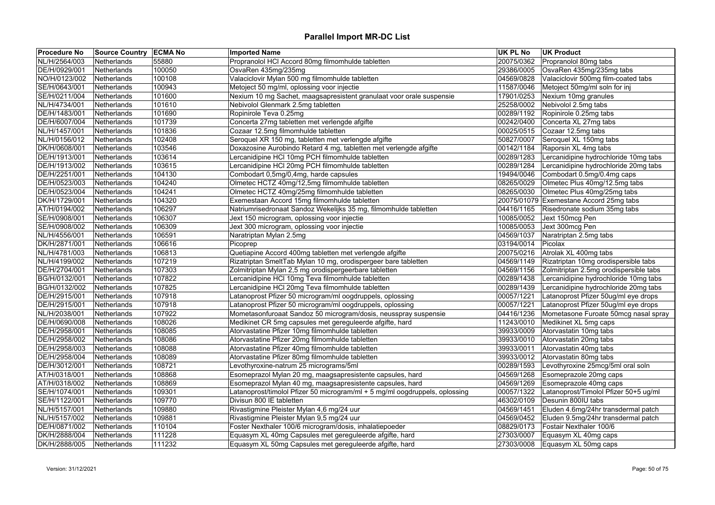| <b>Procedure No</b> | <b>Source Country ECMA No</b> |        | <b>Imported Name</b>                                                        | <b>UK PL No</b> | <b>UK Product</b>                       |
|---------------------|-------------------------------|--------|-----------------------------------------------------------------------------|-----------------|-----------------------------------------|
| NL/H/2564/003       | <b>Netherlands</b>            | 55880  | Propranolol HCl Accord 80mg filmomhulde tabletten                           | 20075/0362      | Propranolol 80mg tabs                   |
| DE/H/0929/001       | Netherlands                   | 100050 | OsvaRen 435mg/235mg                                                         | 29386/0005      | OsvaRen 435mg/235mg tabs                |
| NO/H/0123/002       | Netherlands                   | 100108 | Valaciclovir Mylan 500 mg filmomhulde tabletten                             | 04569/0828      | Valaciclovir 500mg film-coated tabs     |
| SE/H/0643/001       | Netherlands                   | 100943 | Metoject 50 mg/ml, oplossing voor injectie                                  | 11587/0046      | Metoject 50mg/ml soln for inj           |
| SE/H/0211/004       | Netherlands                   | 101600 | Nexium 10 mg Sachet, maagsapresistent granulaat voor orale suspensie        | 17901/0253      | Nexium 10mg granules                    |
| NL/H/4734/001       | Netherlands                   | 101610 | Nebivolol Glenmark 2.5mg tabletten                                          | 25258/0002      | Nebivolol 2.5mg tabs                    |
| DE/H/1483/001       | Netherlands                   | 101690 | Ropinirole Teva 0.25mg                                                      | 00289/1192      | Ropinirole 0.25mg tabs                  |
| DE/H/6007/004       | Netherlands                   | 101739 | Concerta 27mg tabletten met verlengde afgifte                               | 00242/0400      | Concerta XL 27mg tabs                   |
| NL/H/1457/001       | <b>Netherlands</b>            | 101836 | Cozaar 12.5mg filmomhulde tabletten                                         | 00025/0515      | Cozaar 12.5mg tabs                      |
| NL/H/0156/012       | <b>Netherlands</b>            | 102408 | Seroquel XR 150 mg, tabletten met verlengde afgifte                         | 50827/0007      | Seroquel XL 150mg tabs                  |
| DK/H/0608/001       | Netherlands                   | 103546 | Doxazosine Aurobindo Retard 4 mg, tabletten met verlengde afgifte           | 00142/1184      | Raporsin XL 4mg tabs                    |
| DE/H/1913/001       | Netherlands                   | 103614 | Lercanidipine HCl 10mg PCH filmomhulde tabletten                            | 00289/1283      | Lercanidipine hydrochloride 10mg tabs   |
| DE/H/1913/002       | Netherlands                   | 103615 | Lercanidipine HCl 20mg PCH filmomhulde tabletten                            | 00289/1284      | Lercanidipine hydrochloride 20mg tabs   |
| DE/H/2251/001       | Netherlands                   | 104130 | Combodart 0,5mg/0,4mg, harde capsules                                       | 19494/0046      | Combodart 0.5mg/0.4mg caps              |
| DE/H/0523/003       | Netherlands                   | 104240 | Olmetec HCTZ 40mg/12,5mg filmomhulde tabletten                              | 08265/0029      | Olmetec Plus 40mg/12.5mg tabs           |
| DE/H/0523/004       | Netherlands                   | 104241 | Olmetec HCTZ 40mg/25mg filmomhulde tabletten                                | 08265/0030      | Olmetec Plus 40mg/25mg tabs             |
| DK/H/1729/001       | Netherlands                   | 104320 | Exemestaan Accord 15mg filmomhulde tabletten                                |                 | 20075/01079 Exemestane Accord 25mg tabs |
| AT/H/0194/002       | Netherlands                   | 106297 | Natriumrisedronaat Sandoz Wekelijks 35 mg, filmomhulde tabletten            | 04416/1165      | Risedronate sodium 35mg tabs            |
| SE/H/0908/001       | Netherlands                   | 106307 | Jext 150 microgram, oplossing voor injectie                                 | 10085/0052      | Jext 150mcg Pen                         |
| SE/H/0908/002       | Netherlands                   | 106309 | Jext 300 microgram, oplossing voor injectie                                 | 10085/0053      | Jext 300mcg Pen                         |
| NL/H/4556/001       | Netherlands                   | 106591 | Naratriptan Mylan 2.5mg                                                     | 04569/1037      | Naratriptan 2.5mg tabs                  |
| DK/H/2871/001       | Netherlands                   | 106616 | Picoprep                                                                    | 03194/0014      | Picolax                                 |
| NL/H/4781/003       | Netherlands                   | 106813 | Quetiapine Accord 400mg tabletten met verlengde afgifte                     | 20075/0216      | Atrolak XL 400mg tabs                   |
| NL/H/4199/002       | Netherlands                   | 107219 | Rizatriptan SmeltTab Mylan 10 mg, orodispergeer bare tabletten              | 04569/1149      | Rizatriptan 10mg orodispersible tabs    |
| DE/H/2704/001       | Netherlands                   | 107303 | Zolmitriptan Mylan 2,5 mg orodispergeerbare tabletten                       | 04569/1156      | Zolmitriptan 2.5mg orodispersible tabs  |
| BG/H/0132/001       | Netherlands                   | 107822 | Lercanidipine HCl 10mg Teva filmomhulde tabletten                           | 00289/1438      | Lercanidipine hydrochloride 10mg tabs   |
| BG/H/0132/002       | Netherlands                   | 107825 | Lercanidipine HCl 20mg Teva filmomhulde tabletten                           | 00289/1439      | Lercanidipine hydrochloride 20mg tabs   |
| DE/H/2915/001       | Netherlands                   | 107918 | Latanoprost Pfizer 50 microgram/ml oogdruppels, oplossing                   | 00057/1221      | Latanoprost Pfizer 50ug/ml eye drops    |
| DE/H/2915/001       | Netherlands                   | 107918 | Latanoprost Pfizer 50 microgram/ml oogdruppels, oplossing                   | 00057/1221      | Latanoprost Pfizer 50ug/ml eye drops    |
| NL/H/2038/001       | Netherlands                   | 107922 | Mometasonfuroaat Sandoz 50 microgram/dosis, neusspray suspensie             | 04416/1236      | Mometasone Furoate 50mcg nasal spray    |
| DE/H/0690/008       | Netherlands                   | 108026 | Medikinet CR 5mg capsules met gereguleerde afgifte, hard                    | 11243/0010      | Medikinet XL 5mg caps                   |
| DE/H/2958/001       | Netherlands                   | 108085 | Atorvastatine Pfizer 10mg filmomhulde tabletten                             | 39933/0009      | Atorvastatin 10mg tabs                  |
| DE/H/2958/002       |                               | 108086 | Atorvastatine Pfizer 20mg filmomhulde tabletten                             | 39933/0010      | Atorvastatin 20mg tabs                  |
|                     | Netherlands                   |        |                                                                             |                 |                                         |
| DE/H/2958/003       | Netherlands                   | 108088 | Atorvastatine Pfizer 40mg filmomhulde tabletten                             | 39933/0011      | Atorvastatin 40mg tabs                  |
| DE/H/2958/004       | Netherlands                   | 108089 | Atorvastatine Pfizer 80mg filmomhulde tabletten                             | 39933/0012      | Atorvastatin 80mg tabs                  |
| DE/H/3012/001       | Netherlands                   | 108721 | Levothyroxine-natrum 25 micrograms/5ml                                      | 00289/1593      | Levothyroxine 25mcg/5ml oral soln       |
| AT/H/0318/001       | Netherlands                   | 108868 | Esomeprazol Mylan 20 mg, maagsapresistente capsules, hard                   | 04569/1268      | Esomeprazole 20mg caps                  |
| AT/H/0318/002       | <b>Netherlands</b>            | 108869 | Esomeprazol Mylan 40 mg, maagsapresistente capsules, hard                   | 04569/1269      | Esomeprazole 40mg caps                  |
| SE/H/1074/001       | Netherlands                   | 109301 | Latanoprost/timolol Pfizer 50 microgram/ml + 5 mg/ml oogdruppels, oplossing | 00057/1322      | Latanoprost/Timolol Pfizer 50+5 ug/ml   |
| SE/H/1122/001       | Netherlands                   | 109770 | Divisun 800 IE tabletten                                                    | 46302/0109      | Desunin 800IU tabs                      |
| NL/H/5157/001       | Netherlands                   | 109880 | Rivastigmine Pleister Mylan 4,6 mg/24 uur                                   | 04569/1451      | Eluden 4.6mg/24hr transdermal patch     |
| NL/H/5157/002       | Netherlands                   | 109881 | Rivastigmine Pleister Mylan 9,5 mg/24 uur                                   | 04569/0452      | Eluden 9.5mg/24hr transdermal patch     |
| DE/H/0871/002       | Netherlands                   | 110104 | Foster Nexthaler 100/6 microgram/dosis, inhalatiepoeder                     | 08829/0173      | Fostair Nexthaler 100/6                 |
| DK/H/2888/004       | Netherlands                   | 111228 | Equasym XL 40mg Capsules met gereguleerde afgifte, hard                     | 27303/0007      | Equasym XL 40mg caps                    |
| DK/H/2888/005       | Netherlands                   | 111232 | Equasym XL 50mg Capsules met gereguleerde afgifte, hard                     | 27303/0008      | Equasym XL 50mg caps                    |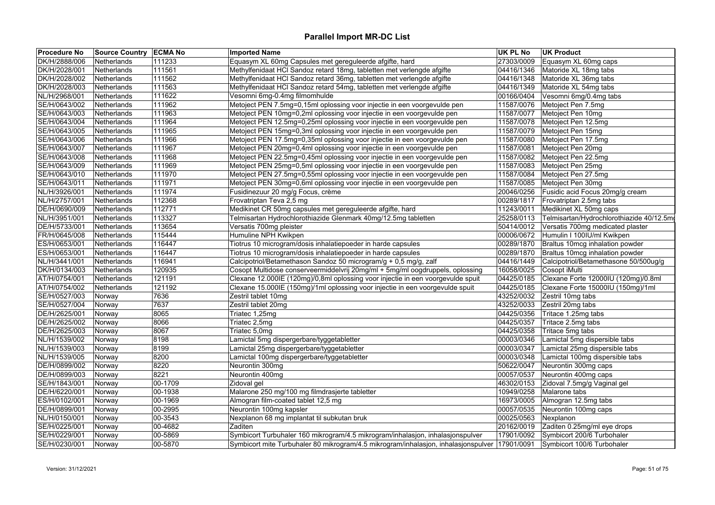| <b>Procedure No</b> | <b>Source Country ECMA No</b> |         | <b>Imported Name</b>                                                                            | UK PL No   | <b>UK Product</b>                        |
|---------------------|-------------------------------|---------|-------------------------------------------------------------------------------------------------|------------|------------------------------------------|
| DK/H/2888/006       | Netherlands                   | 111233  | Equasym XL 60mg Capsules met gereguleerde afgifte, hard                                         | 27303/0009 | Equasym XL 60mg caps                     |
| DK/H/2028/001       | Netherlands                   | 111561  | Methylfenidaat HCl Sandoz retard 18mg, tabletten met verlengde afgifte                          | 04416/1346 | Matoride XL 18mg tabs                    |
| DK/H/2028/002       | Netherlands                   | 111562  | Methylfenidaat HCl Sandoz retard 36mg, tabletten met verlengde afgifte                          | 04416/1348 | Matoride XL 36mg tabs                    |
| DK/H/2028/003       | Netherlands                   | 111563  | Methylfenidaat HCl Sandoz retard 54mg, tabletten met verlengde afgifte                          | 04416/1349 | Matoride XL 54mg tabs                    |
| NL/H/2968/001       | Netherlands                   | 111622  | Vesomni 6mg-0.4mg filmomhulde                                                                   | 00166/0404 | Vesomni 6mg/0.4mg tabs                   |
| SE/H/0643/002       | Netherlands                   | 111962  | Metoject PEN 7.5mg=0,15ml oplossing voor injectie in een voorgevulde pen                        | 11587/0076 | Metoject Pen 7.5mg                       |
| SE/H/0643/003       | Netherlands                   | 111963  | Metoject PEN 10mg=0,2ml oplossing voor injectie in een voorgevulde pen                          | 11587/0077 | Metoject Pen 10mg                        |
| SE/H/0643/004       | Netherlands                   | 111964  | Metoject PEN 12.5mg=0,25ml oplossing voor injectie in een voorgevulde pen                       | 11587/0078 | Metoject Pen 12.5mg                      |
| SE/H/0643/005       | Netherlands                   | 111965  | Metoject PEN 15mg=0,3ml oplossing voor injectie in een voorgevulde pen                          | 11587/0079 | Metoject Pen 15mg                        |
| SE/H/0643/006       | Netherlands                   | 111966  | Metoject PEN 17.5mg=0,35ml oplossing voor injectie in een voorgevulde pen                       | 11587/0080 | Metoject Pen 17.5mg                      |
| SE/H/0643/007       | Netherlands                   | 111967  | Metoject PEN 20mg=0,4ml oplossing voor injectie in een voorgevulde pen                          | 11587/0081 | Metoject Pen 20mg                        |
| SE/H/0643/008       | Netherlands                   | 111968  | Metoject PEN 22.5mg=0,45ml oplossing voor injectie in een voorgevulde pen                       | 11587/0082 | Metoject Pen 22.5mg                      |
| SE/H/0643/009       | Netherlands                   | 111969  | Metoject PEN 25mg=0,5ml oplossing voor injectie in een voorgevulde pen                          | 11587/0083 | Metoject Pen 25mg                        |
| SE/H/0643/010       | Netherlands                   | 111970  | Metoject PEN 27.5mg=0,55ml oplossing voor injectie in een voorgevulde pen                       | 11587/0084 | Metoject Pen 27.5mg                      |
| SE/H/0643/011       | Netherlands                   | 111971  | Metoject PEN 30mg=0,6ml oplossing voor injectie in een voorgevulde pen                          | 11587/0085 | Metoject Pen 30mg                        |
| NL/H/3926/001       | Netherlands                   | 111974  | Fusidinezuur 20 mg/g Focus, crème                                                               | 20046/0256 | Fusidic acid Focus 20mg/g cream          |
| NL/H/2757/001       | Netherlands                   | 112368  | Frovatriptan Teva 2,5 mg                                                                        | 00289/1817 | Frovatriptan 2.5mg tabs                  |
| DE/H/0690/009       | Netherlands                   | 112771  | Medikinet CR 50mg capsules met gereguleerde afgifte, hard                                       | 11243/0011 | Medikinet XL 50mg caps                   |
| NL/H/3951/001       | Netherlands                   | 113327  | Telmisartan Hydrochlorothiazide Glenmark 40mg/12.5mg tabletten                                  | 25258/0113 | Telmisartan/Hydrochlorothiazide 40/12.5m |
| DE/H/5733/001       | Netherlands                   | 113654  | Versatis 700mg pleister                                                                         | 50414/0012 | Versatis 700mg medicated plaster         |
| FR/H/0645/008       | Netherlands                   | 115444  | Humuline NPH Kwikpen                                                                            | 00006/0672 | Humulin I 100IU/ml Kwikpen               |
| ES/H/0653/001       | Netherlands                   | 116447  | Tiotrus 10 microgram/dosis inhalatiepoeder in harde capsules                                    | 00289/1870 | Braltus 10mcg inhalation powder          |
| ES/H/0653/001       | Netherlands                   | 116447  | Tiotrus 10 microgram/dosis inhalatiepoeder in harde capsules                                    | 00289/1870 | Braltus 10mcg inhalation powder          |
| NL/H/3441/001       | Netherlands                   | 116941  | Calcipotriol/Betamethason Sandoz 50 microgram/g + 0,5 mg/g, zalf                                | 04416/1449 | Calcipotriol/Betamethasone 50/500ug/g    |
| DK/H/0134/003       | Netherlands                   | 120935  | Cosopt Multidose conserveermiddelvrij 20mg/ml + 5mg/ml oogdruppels, oplossing                   | 16058/0025 | Cosopt iMulti                            |
| AT/H/0754/001       | Netherlands                   | 121191  | Clexane 12.000IE (120mg)/0,8ml oplossing voor injectie in een voorgevulde spuit                 | 04425/0185 | Clexane Forte 12000IU (120mg)/0.8ml      |
| AT/H/0754/002       | Netherlands                   | 121192  | Clexane 15.000IE (150mg)/1ml oplossing voor injectie in een voorgevulde spuit                   | 04425/0185 | Clexane Forte 15000IU (150mg)/1ml        |
| SE/H/0527/003       | Norway                        | 7636    | Zestril tablet 10mg                                                                             | 43252/0032 | Zestril 10mg tabs                        |
| SE/H/0527/004       | Norway                        | 7637    | Zestril tablet 20mg                                                                             | 43252/0033 | Zestril 20mg tabs                        |
| DE/H/2625/001       | Norway                        | 8065    | Triatec 1,25mg                                                                                  | 04425/0356 | Tritace 1.25mg tabs                      |
| DE/H/2625/002       | Norway                        | 8066    | Triatec 2,5mg                                                                                   | 04425/0357 | Tritace 2.5mg tabs                       |
| DE/H/2625/003       | Norway                        | 8067    | Triatec 5,0mg                                                                                   | 04425/0358 | Tritace 5mg tabs                         |
| NL/H/1539/002       | Norway                        | 8198    | Lamictal 5mg dispergerbare/tyggetabletter                                                       | 00003/0346 | Lamictal 5mg dispersible tabs            |
| NL/H/1539/003       | Norway                        | 8199    | Lamictal 25mg dispergerbare/tyggetabletter                                                      | 00003/0347 | Lamictal 25mg dispersible tabs           |
| NL/H/1539/005       | Norway                        | 8200    | Lamictal 100mg dispergerbare/tyggetabletter                                                     | 00003/0348 | Lamictal 100mg dispersible tabs          |
| DE/H/0899/002       | Norway                        | 8220    | Neurontin 300mg                                                                                 | 50622/0047 | Neurontin 300mg caps                     |
| DE/H/0899/003       | Norway                        | 8221    | Neurontin 400mg                                                                                 | 00057/0537 | Neurontin 400mg caps                     |
| SE/H/1843/001       | Norway                        | 00-1709 | Zidoval gel                                                                                     | 46302/0153 | Zidoval 7.5mg/g Vaginal gel              |
| DE/H/6220/001       | Norway                        | 00-1938 | Malarone 250 mg/100 mg filmdrasjerte tabletter                                                  | 10949/0258 | Malarone tabs                            |
| ES/H/0102/001       | Norway                        | 00-1969 | Almogran film-coated tablet 12,5 mg                                                             | 16973/0005 | Almogran 12.5mg tabs                     |
| DE/H/0899/001       | Norway                        | 00-2995 | Neurontin 100mg kapsler                                                                         | 00057/0535 | Neurontin 100mg caps                     |
| NL/H/0150/001       | Norway                        | 00-3543 | Nexplanon 68 mg implantat til subkutan bruk                                                     | 00025/0563 | Nexplanon                                |
| SE/H/0225/001       | Norway                        | 00-4682 | Zaditen                                                                                         | 20162/0019 | Zaditen 0.25mg/ml eye drops              |
| SE/H/0229/001       | Norway                        | 00-5869 | Symbicort Turbuhaler 160 mikrogram/4.5 mikrogram/inhalasjon, inhalasjonspulver                  | 17901/0092 | Symbicort 200/6 Turbohaler               |
| SE/H/0230/001       | Norway                        | 00-5870 | Symbicort mite Turbuhaler 80 mikrogram/4.5 mikrogram/inhalasjon, inhalasjonspulver   17901/0091 |            | Symbicort 100/6 Turbohaler               |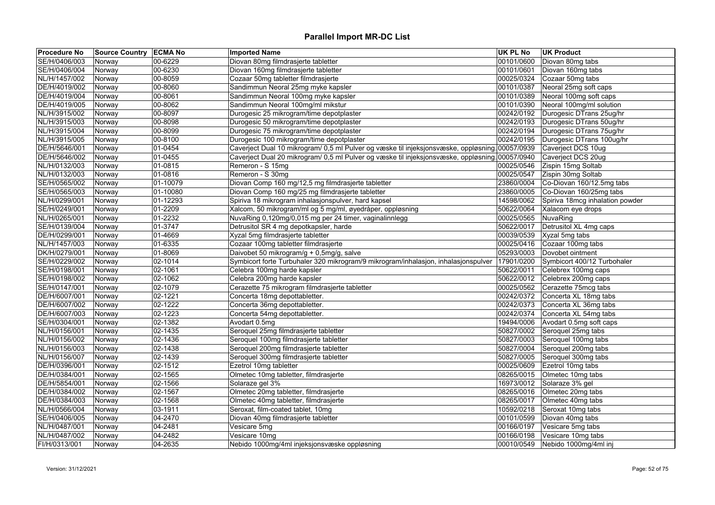| <b>Procedure No</b> | Source Country   ECMA No |          | <b>Imported Name</b>                                                                           | UK PL No   | UK Product                       |
|---------------------|--------------------------|----------|------------------------------------------------------------------------------------------------|------------|----------------------------------|
| SE/H/0406/003       | Norway                   | 00-6229  | Diovan 80mg filmdrasjerte tabletter                                                            | 00101/0600 | Diovan 80mg tabs                 |
| SE/H/0406/004       | Norway                   | 00-6230  | Diovan 160mg filmdrasjerte tabletter                                                           | 00101/0601 | Diovan 160mg tabs                |
| NL/H/1457/002       | Norway                   | 00-8059  | Cozaar 50mg tabletter filmdrasjerte                                                            | 00025/0324 | Cozaar 50mg tabs                 |
| DE/H/4019/002       | Norway                   | 00-8060  | Sandimmun Neoral 25mg myke kapsler                                                             | 00101/0387 | Neoral 25mg soft caps            |
| DE/H/4019/004       | Norway                   | 00-8061  | Sandimmun Neoral 100mg myke kapsler                                                            | 00101/0389 | Neoral 100mg soft caps           |
| DE/H/4019/005       | Norway                   | 00-8062  | Sandimmun Neoral 100mg/ml mikstur                                                              | 00101/0390 | Neoral 100mg/ml solution         |
| NL/H/3915/002       | Norway                   | 00-8097  | Durogesic 25 mikrogram/time depotplaster                                                       | 00242/0192 | Durogesic DTrans 25ug/hr         |
| NL/H/3915/003       | Norway                   | 00-8098  | Durogesic 50 mikrogram/time depotplaster                                                       | 00242/0193 | Durogesic DTrans 50ug/hr         |
| NL/H/3915/004       | Norway                   | 00-8099  | Durogesic 75 mikrogram/time depotplaster                                                       | 00242/0194 | Durogesic DTrans 75ug/hr         |
| NL/H/3915/005       | Norway                   | 00-8100  | Durogesic 100 mikrogram/time depotplaster                                                      | 00242/0195 | Durogesic DTrans 100ug/hr        |
| DE/H/5646/001       | Norway                   | 01-0454  | Caverject Dual 10 mikrogram/ 0,5 ml Pulver og væske til injeksjonsvæske, oppløsning 00057/0939 |            | Caverject DCS 10ug               |
| DE/H/5646/002       | Norway                   | 01-0455  | Caverject Dual 20 mikrogram/ 0,5 ml Pulver og væske til injeksjonsvæske, oppløsning 00057/0940 |            | Caverject DCS 20ug               |
| NL/H/0132/003       | Norway                   | 01-0815  | Remeron - S 15mg                                                                               | 00025/0546 | Zispin 15mg Soltab               |
| NL/H/0132/003       | Norway                   | 01-0816  | Remeron - S 30mg                                                                               | 00025/0547 | Zispin 30mg Soltab               |
| SE/H/0565/002       | Norway                   | 01-10079 | Diovan Comp 160 mg/12,5 mg filmdrasjerte tabletter                                             | 23860/0004 | Co-Diovan 160/12.5mg tabs        |
| SE/H/0565/003       | Norway                   | 01-10080 | Diovan Comp 160 mg/25 mg filmdrasjerte tabletter                                               | 23860/0005 | Co-Diovan 160/25mg tabs          |
| NL/H/0299/001       | Norway                   | 01-12293 | Spiriva 18 mikrogram inhalasjonspulver, hard kapsel                                            | 14598/0062 | Spiriva 18mcg inhalation powder  |
| SE/H/0249/001       | Norway                   | 01-2209  | Xalcom, 50 mikrogram/ml og 5 mg/ml, øyedråper, oppløsning                                      | 50622/0064 | Xalacom eye drops                |
| NL/H/0265/001       | Norway                   | 01-2232  | NuvaRing 0,120mg/0,015 mg per 24 timer, vaginalinnlegg                                         | 00025/0565 | NuvaRing                         |
| SE/H/0139/004       | Norway                   | 01-3747  | Detrusitol SR 4 mg depotkapsler, harde                                                         | 50622/0017 | Detrusitol XL 4mg caps           |
| DE/H/0299/001       | Norway                   | 01-4669  | Xyzal 5mg filmdrasjerte tabletter                                                              | 00039/0539 | Xyzal 5mg tabs                   |
| NL/H/1457/003       | Norway                   | 01-6335  | Cozaar 100mg tabletter filmdrasjerte                                                           | 00025/0416 | Cozaar 100mg tabs                |
| DK/H/0279/001       | Norway                   | 01-8069  | Daivobet 50 mikrogram/g + 0,5mg/g, salve                                                       | 05293/0003 | Dovobet ointment                 |
| SE/H/0229/002       | Norway                   | 02-1014  | Symbicort forte Turbuhaler 320 mikrogram/9 mikrogram/inhalasjon, inhalasjonspulver             | 17901/0200 | Symbicort 400/12 Turbohaler      |
| SE/H/0198/001       | Norway                   | 02-1061  | Celebra 100mg harde kapsler                                                                    | 50622/0011 | Celebrex 100mg caps              |
| SE/H/0198/002       | Norway                   | 02-1062  | Celebra 200mg harde kapsler                                                                    | 50622/0012 | Celebrex 200mg caps              |
| SE/H/0147/001       | Norway                   | 02-1079  | Cerazette 75 mikrogram filmdrasjerte tabletter                                                 | 00025/0562 | Cerazette 75mcg tabs             |
| DE/H/6007/001       | Norway                   | 02-1221  | Concerta 18mg depottabletter.                                                                  | 00242/0372 | Concerta XL 18mg tabs            |
| DE/H/6007/002       | Norway                   | 02-1222  | Concerta 36mg depottabletter.                                                                  | 00242/0373 | Concerta XL 36mg tabs            |
| DE/H/6007/003       | Norway                   | 02-1223  | Concerta 54mg depottabletter.                                                                  |            | 00242/0374 Concerta XL 54mg tabs |
| SE/H/0304/001       | Norway                   | 02-1382  | Avodart 0.5mg                                                                                  | 19494/0006 | Avodart 0.5mg soft caps          |
| NL/H/0156/001       | Norway                   | 02-1435  | Seroquel 25mg filmdrasjerte tabletter                                                          |            | 50827/0002 Seroquel 25mg tabs    |
| NL/H/0156/002       | Norway                   | 02-1436  | Seroquel 100mg filmdrasjerte tabletter                                                         | 50827/0003 | Seroquel 100mg tabs              |
| NL/H/0156/003       | Norway                   | 02-1438  | Seroquel 200mg filmdrasjerte tabletter                                                         | 50827/0004 | Seroquel 200mg tabs              |
| NL/H/0156/007       | Norway                   | 02-1439  | Seroquel 300mg filmdrasjerte tabletter                                                         |            | 50827/0005 Seroquel 300mg tabs   |
| DE/H/0396/001       | Norway                   | 02-1512  | Ezetrol 10mg tabletter                                                                         | 00025/0609 | Ezetrol 10mg tabs                |
| DE/H/0384/001       | Norway                   | 02-1565  | Olmetec 10mg tabletter, filmdrasjerte                                                          | 08265/0015 | Olmetec 10mg tabs                |
| DE/H/5854/001       | Norway                   | 02-1566  | Solaraze gel 3%                                                                                | 16973/0012 | Solaraze 3% gel                  |
| DE/H/0384/002       | Norway                   | 02-1567  | Olmetec 20mg tabletter, filmdrasjerte                                                          | 08265/0016 | Olmetec 20mg tabs                |
| DE/H/0384/003       | Norway                   | 02-1568  | Olmetec 40mg tabletter, filmdrasjerte                                                          | 08265/0017 | Olmetec 40mg tabs                |
| NL/H/0566/004       | Norway                   | 03-1911  | Seroxat, film-coated tablet, 10mg                                                              | 10592/0218 | Seroxat 10mg tabs                |
| SE/H/0406/005       | Norway                   | 04-2470  | Diovan 40mg filmdrasjerte tabletter                                                            | 00101/0599 | Diovan 40mg tabs                 |
| NL/H/0487/001       | Norway                   | 04-2481  | Vesicare 5mg                                                                                   | 00166/0197 | Vesicare 5mg tabs                |
| NL/H/0487/002       | Norway                   | 04-2482  | Vesicare 10mg                                                                                  | 00166/0198 | Vesicare 10mg tabs               |
| FI/H/0313/001       | Norway                   | 04-2635  | Nebido 1000mg/4ml injeksjonsvæske oppløsning                                                   | 00010/0549 | Nebido 1000mg/4ml inj            |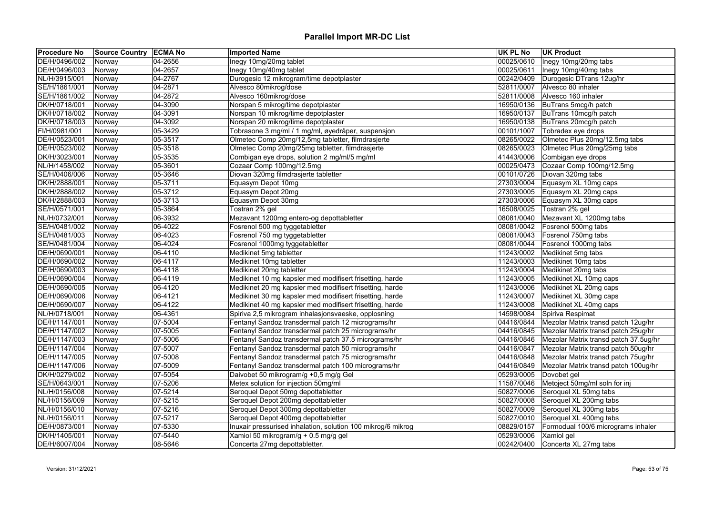| <b>Procedure No</b> | Source Country   ECMA No |         | <b>Imported Name</b>                                         | <b>UK PL No</b> | <b>UK Product</b>                                  |
|---------------------|--------------------------|---------|--------------------------------------------------------------|-----------------|----------------------------------------------------|
| DE/H/0496/002       | Norway                   | 04-2656 | Inegy 10mg/20mg tablet                                       | 00025/0610      | Inegy 10mg/20mg tabs                               |
| DE/H/0496/003       | Norway                   | 04-2657 | Inegy 10mg/40mg tablet                                       | 00025/0611      | Inegy 10mg/40mg tabs                               |
| NL/H/3915/001       | Norway                   | 04-2767 | Durogesic 12 mikrogram/time depotplaster                     | 00242/0409      | Durogesic DTrans 12ug/hr                           |
| SE/H/1861/001       | Norway                   | 04-2871 | Alvesco 80mikrog/dose                                        | 52811/0007      | Alvesco 80 inhaler                                 |
| SE/H/1861/002       | Norway                   | 04-2872 | Alvesco 160mikrog/dose                                       | 52811/0008      | Alvesco 160 inhaler                                |
| DK/H/0718/001       | Norway                   | 04-3090 | Norspan 5 mikrog/time depotplaster                           | 16950/0136      | BuTrans 5mcg/h patch                               |
| DK/H/0718/002       | Norway                   | 04-3091 | Norspan 10 mikrog/time depotplaster                          | 16950/0137      | BuTrans 10mcg/h patch                              |
| DK/H/0718/003       | Norway                   | 04-3092 | Norspan 20 mikrog/time depotplaster                          | 16950/0138      | BuTrans 20mcg/h patch                              |
| FI/H/0981/001       | Norway                   | 05-3429 | Tobrasone 3 mg/ml / 1 mg/ml, øyedråper, suspensjon           | 00101/1007      | Tobradex eye drops                                 |
| DE/H/0523/001       | Norway                   | 05-3517 | Olmetec Comp 20mg/12,5mg tabletter, filmdrasjerte            | 08265/0022      | Olmetec Plus 20mg/12.5mg tabs                      |
| DE/H/0523/002       | Norway                   | 05-3518 | Olmetec Comp 20mg/25mg tabletter, filmdrasjerte              | 08265/0023      | Olmetec Plus 20mg/25mg tabs                        |
| DK/H/3023/001       | Norway                   | 05-3535 | Combigan eye drops, solution 2 mg/ml/5 mg/ml                 | 41443/0006      | Combigan eye drops                                 |
| NL/H/1458/002       | Norway                   | 05-3601 | Cozaar Comp 100mg/12.5mg                                     | 00025/0473      | Cozaar Comp 100mg/12.5mg                           |
| SE/H/0406/006       | Norway                   | 05-3646 | Diovan 320mg filmdrasjerte tabletter                         | 00101/0726      | Diovan 320mg tabs                                  |
| DK/H/2888/001       | Norway                   | 05-3711 | Equasym Depot 10mg                                           | 27303/0004      | Equasym XL 10mg caps                               |
| DK/H/2888/002       | Norway                   | 05-3712 | Equasym Depot 20mg                                           | 27303/0005      | Equasym XL 20mg caps                               |
| DK/H/2888/003       | Norway                   | 05-3713 | Equasym Depot 30mg                                           | 27303/0006      | Equasym XL 30mg caps                               |
| SE/H/0571/001       | Norway                   | 05-3864 | Tostran 2% gel                                               | 16508/0025      | Tostran 2% gel                                     |
| NL/H/0732/001       | Norway                   | 06-3932 | Mezavant 1200mg entero-og depottabletter                     | 08081/0040      | Mezavant XL 1200mg tabs                            |
| SE/H/0481/002       | Norway                   | 06-4022 | Fosrenol 500 mg tyggetabletter                               | 08081/0042      | Fosrenol 500mg tabs                                |
| SE/H/0481/003       | Norway                   | 06-4023 | Fosrenol 750 mg tyggetabletter                               | 08081/0043      | Fosrenol 750mg tabs                                |
| SE/H/0481/004       | Norway                   | 06-4024 | Fosrenol 1000mg tyggetabletter                               | 08081/0044      | Fosrenol 1000mg tabs                               |
| DE/H/0690/001       | Norway                   | 06-4110 | Medikinet 5mg tabletter                                      | 11243/0002      | Medikinet 5mg tabs                                 |
| DE/H/0690/002       | Norway                   | 06-4117 | Medikinet 10mg tabletter                                     | 11243/0003      | Medikinet 10mg tabs                                |
| DE/H/0690/003       | Norway                   | 06-4118 | Medikinet 20mg tabletter                                     |                 | 11243/0004 Medikinet 20mg tabs                     |
| DE/H/0690/004       | Norway                   | 06-4119 | Medikinet 10 mg kapsler med modifisert frisetting, harde     | 11243/0005      | Medikinet XL 10mg caps                             |
| DE/H/0690/005       | Norway                   | 06-4120 | Medikinet 20 mg kapsler med modifisert frisetting, harde     | 11243/0006      | Medikinet XL 20mg caps                             |
| DE/H/0690/006       | Norway                   | 06-4121 | Medikinet 30 mg kapsler med modifisert frisetting, harde     | 11243/0007      | Medikinet XL 30mg caps                             |
| DE/H/0690/007       | Norway                   | 06-4122 | Medikinet 40 mg kapsler med modifisert frisetting, harde     | 11243/0008      | Medikinet XL 40mg caps                             |
| NL/H/0718/001       | Norway                   | 06-4361 | Spiriva 2,5 mikrogram inhalasjonsvaeske, opplosning          |                 | 14598/0084 Spiriva Respimat                        |
| DE/H/1147/001       | Norway                   | 07-5004 | Fentanyl Sandoz transdermal patch 12 micrograms/hr           |                 | 04416/0844   Mezolar Matrix transd patch 12ug/hr   |
| DE/H/1147/002       | Norway                   | 07-5005 | Fentanyl Sandoz transdermal patch 25 micrograms/hr           | 04416/0845      | Mezolar Matrix transd patch 25ug/hr                |
| DE/H/1147/003       | Norway                   | 07-5006 | Fentanyl Sandoz transdermal patch 37.5 micrograms/hr         |                 | 04416/0846   Mezolar Matrix transd patch 37.5ug/hr |
| DE/H/1147/004       | Norway                   | 07-5007 | Fentanyl Sandoz transdermal patch 50 micrograms/hr           | 04416/0847      | Mezolar Matrix transd patch 50ug/hr                |
| DE/H/1147/005       | Norway                   | 07-5008 | Fentanyl Sandoz transdermal patch 75 micrograms/hr           | 04416/0848      | Mezolar Matrix transd patch 75ug/hr                |
| DE/H/1147/006       | Norway                   | 07-5009 | Fentanyl Sandoz transdermal patch 100 micrograms/hr          | 04416/0849      | Mezolar Matrix transd patch 100ug/hr               |
| DK/H/0279/002       | Norway                   | 07-5054 | Daivobet 50 mikrogram/g +0,5 mg/g Gel                        | 05293/0005      | Dovobet gel                                        |
| SE/H/0643/001       | Norway                   | 07-5206 | Metex solution for injection 50mg/ml                         | 11587/0046      | Metoject 50mg/ml soln for inj                      |
| NL/H/0156/008       | Norway                   | 07-5214 | Seroquel Depot 50mg depottabletter                           | 50827/0006      | Seroquel XL 50mg tabs                              |
| NL/H/0156/009       | Norway                   | 07-5215 | Seroquel Depot 200mg depottabletter                          | 50827/0008      | Seroquel XL 200mg tabs                             |
| NL/H/0156/010       | Norway                   | 07-5216 | Seroquel Depot 300mg depottabletter                          | 50827/0009      | Seroquel XL 300mg tabs                             |
| NL/H/0156/011       | Norway                   | 07-5217 | Seroquel Depot 400mg depottabletter                          | 50827/0010      | Seroquel XL 400mg tabs                             |
| DE/H/0873/001       | Norway                   | 07-5330 | Inuxair pressurised inhalation, solution 100 mikrog/6 mikrog | 08829/0157      | Formodual 100/6 micrograms inhaler                 |
| DK/H/1405/001       | Norway                   | 07-5440 | Xamiol 50 mikrogram/g + 0.5 mg/g gel                         | 05293/0006      | Xamiol gel                                         |
| DE/H/6007/004       | Norway                   | 08-5646 | Concerta 27mg depottabletter.                                | 00242/0400      | Concerta XL 27mg tabs                              |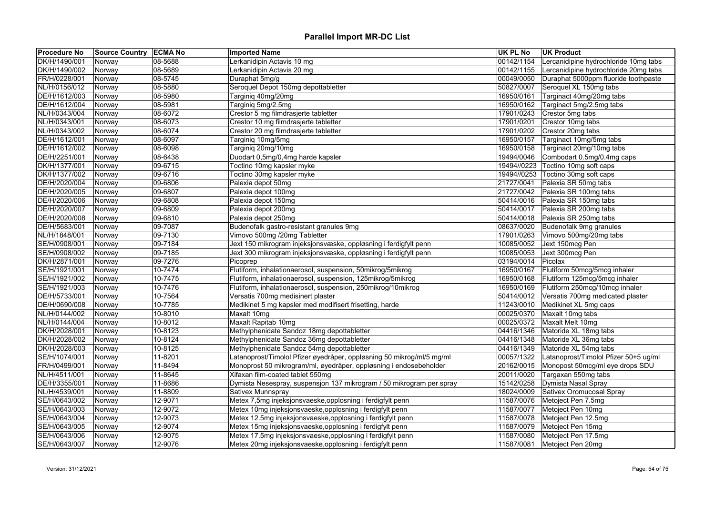| <b>Procedure No</b> | Source Country   ECMA No |         | <b>Imported Name</b>                                                  | <b>UK PL No</b> | <b>UK Product</b>                     |
|---------------------|--------------------------|---------|-----------------------------------------------------------------------|-----------------|---------------------------------------|
| DK/H/1490/001       | Norway                   | 08-5688 | Lerkanidipin Actavis 10 mg                                            | 00142/1154      | Lercanidipine hydrochloride 10mg tabs |
| DK/H/1490/002       | Norway                   | 08-5689 | Lerkanidipin Actavis 20 mg                                            | 00142/1155      | Lercanidipine hydrochloride 20mg tabs |
| FR/H/0228/001       | Norway                   | 08-5745 | Duraphat 5mg/g                                                        | 00049/0050      | Duraphat 5000ppm fluoride toothpaste  |
| NL/H/0156/012       | Norway                   | 08-5880 | Seroquel Depot 150mg depottabletter                                   | 50827/0007      | Seroquel XL 150mg tabs                |
| DE/H/1612/003       | Norway                   | 08-5980 | Targiniq 40mg/20mg                                                    | 16950/0161      | Targinact 40mg/20mg tabs              |
| DE/H/1612/004       | Norway                   | 08-5981 | Targiniq 5mg/2.5mg                                                    | 16950/0162      | Targinact 5mg/2.5mg tabs              |
| NL/H/0343/004       | Norway                   | 08-6072 | Crestor 5 mg filmdrasjerte tabletter                                  | 17901/0243      | Crestor 5mg tabs                      |
| NL/H/0343/001       | Norway                   | 08-6073 | Crestor 10 mg filmdrasjerte tabletter                                 | 17901/0201      | Crestor 10mg tabs                     |
| NL/H/0343/002       | Norway                   | 08-6074 | Crestor 20 mg filmdrasjerte tabletter                                 | 17901/0202      | Crestor 20mg tabs                     |
| DE/H/1612/001       | Norway                   | 08-6097 | Targiniq 10mg/5mg                                                     | 16950/0157      | Targinact 10mg/5mg tabs               |
| DE/H/1612/002       | Norway                   | 08-6098 | Targiniq 20mg/10mg                                                    | 16950/0158      | Targinact 20mg/10mg tabs              |
| DE/H/2251/001       | Norway                   | 08-6438 | Duodart 0,5mg/0,4mg harde kapsler                                     | 19494/0046      | Combodart 0.5mg/0.4mg caps            |
| DK/H/1377/001       | Norway                   | 09-6715 | Toctino 10mg kapsler myke                                             |                 | 19494//0223 Toctino 10mg soft caps    |
| DK/H/1377/002       | Norway                   | 09-6716 | Toctino 30mg kapsler myke                                             |                 | 19494//0253 Toctino 30mg soft caps    |
| DE/H/2020/004       | Norway                   | 09-6806 | Palexia depot 50mg                                                    | 21727/0041      | Palexia SR 50mg tabs                  |
| DE/H/2020/005       | Norway                   | 09-6807 | Palexia depot 100mg                                                   | 21727/0042      | Palexia SR 100mg tabs                 |
| DE/H/2020/006       | Norway                   | 09-6808 | Palexia depot 150mg                                                   | 50414/0016      | Palexia SR 150mg tabs                 |
| DE/H/2020/007       | Norway                   | 09-6809 | Palexia depot 200mg                                                   | 50414/0017      | Palexia SR 200mg tabs                 |
| DE/H/2020/008       | Norway                   | 09-6810 | Palexia depot 250mg                                                   | 50414/0018      | Palexia SR 250mg tabs                 |
| DE/H/5683/001       | Norway                   | 09-7087 | Budenofalk gastro-resistant granules 9mg                              | 08637/0020      | Budenofalk 9mg granules               |
| NL/H/1848/001       | Norway                   | 09-7130 | Vimovo 500mg /20mg Tabletter                                          | 17901/0263      | Vimovo 500mg/20mg tabs                |
| SE/H/0908/001       | Norway                   | 09-7184 | Jext 150 mikrogram injeksjonsvæske, oppløsning i ferdigfylt penn      | 10085/0052      | Jext 150mcg Pen                       |
| SE/H/0908/002       | Norway                   | 09-7185 | Jext 300 mikrogram injeksjonsvæske, oppløsning i ferdigfylt penn      | 10085/0053      | Jext 300mcg Pen                       |
| DK/H/2871/001       | Norway                   | 09-7276 | Picoprep                                                              | 03194/0014      | Picolax                               |
| SE/H/1921/001       | Norway                   | 10-7474 | Flutiform, inhalationaerosol, suspension, 50mikrog/5mikrog            | 16950/0167      | Flutiform 50mcg/5mcg inhaler          |
| SE/H/1921/002       | Norway                   | 10-7475 | Flutiform, inhalationaerosol, suspension, 125mikrog/5mikrog           | 16950/0168      | Flutiform 125mcg/5mcg inhaler         |
| SE/H/1921/003       | Norway                   | 10-7476 | Flutiform, inhalationaerosol, suspension, 250mikrog/10mikrog          | 16950/0169      | Flutiform 250mcg/10mcg inhaler        |
| DE/H/5733/001       | Norway                   | 10-7564 | Versatis 700mg medisinert plaster                                     | 50414/0012      | Versatis 700mg medicated plaster      |
| DE/H/0690/008       | Norway                   | 10-7785 | Medikinet 5 mg kapsler med modifisert frisetting, harde               | 11243/0010      | Medikinet XL 5mg caps                 |
| NL/H/0144/002       | Norway                   | 10-8010 | Maxalt 10mg                                                           | 00025/0370      | Maxalt 10mg tabs                      |
| NL/H/0144/004       | Norway                   | 10-8012 | Maxalt Rapitab 10mg                                                   | 00025/0372      | Maxalt Melt 10mg                      |
| DK/H/2028/001       | Norway                   | 10-8123 | Methylphenidate Sandoz 18mg depottabletter                            | 04416/1346      | Matoride XL 18mg tabs                 |
| DK/H/2028/002       | Norway                   | 10-8124 | Methylphenidate Sandoz 36mg depottabletter                            | 04416/1348      | Matoride XL 36mg tabs                 |
| DK/H/2028/003       | Norway                   | 10-8125 | Methylphenidate Sandoz 54mg depottabletter                            | 04416/1349      | Matoride XL 54mg tabs                 |
| SE/H/1074/001       | Norway                   | 11-8201 | Latanoprost/Timolol Pfizer øyedråper, oppløsning 50 mikrog/ml/5 mg/ml | 00057/1322      | Latanoprost/Timolol Pfizer 50+5 ug/ml |
| FR/H/0499/001       | Norway                   | 11-8494 | Monoprost 50 mikrogram/ml, øyedråper, oppløsning i endosebeholder     | 20162/0015      | Monopost 50mcg/ml eye drops SDU       |
| NL/H/4511/001       | Norway                   | 11-8645 | Xifaxan film-coated tablet 550mg                                      | 20011/0020      | Targaxan 550mg tabs                   |
| DE/H/3355/001       | Norway                   | 11-8686 | Dymista Nesespray, suspensjon 137 mikrogram / 50 mikrogram per spray  | 15142/0258      | Dymista Nasal Spray                   |
| NL/H/4539/001       | Norway                   | 11-8809 | Sativex Munnspray                                                     | 18024/0009      | Sativex Oromucosal Spray              |
| SE/H/0643/002       | Norway                   | 12-9071 | Metex 7,5mg injeksjonsvaeske, opplosning i ferdigfylt penn            | 11587/0076      | Metoject Pen 7.5mg                    |
| SE/H/0643/003       | Norway                   | 12-9072 | Metex 10mg injeksjonsvaeske, opplosning i ferdigfylt penn             | 11587/0077      | Metoject Pen 10mg                     |
| SE/H/0643/004       | Norway                   | 12-9073 | Metex 12.5mg injeksjonsvaeske, opplosning i ferdigfylt penn           | 11587/0078      | Metoject Pen 12.5mg                   |
| SE/H/0643/005       | Norway                   | 12-9074 | Metex 15mg injeksjonsvaeske, opplosning i ferdigfylt penn             | 11587/0079      | Metoject Pen 15mg                     |
| SE/H/0643/006       | Norway                   | 12-9075 | Metex 17.5mg injeksjonsvaeske, opplosning i ferdigfylt penn           | 11587/0080      | Metoject Pen 17.5mg                   |
| SE/H/0643/007       | Norway                   | 12-9076 | Metex 20mg injeksjonsvaeske, opplosning i ferdigfylt penn             | 11587/0081      | Metoject Pen 20mg                     |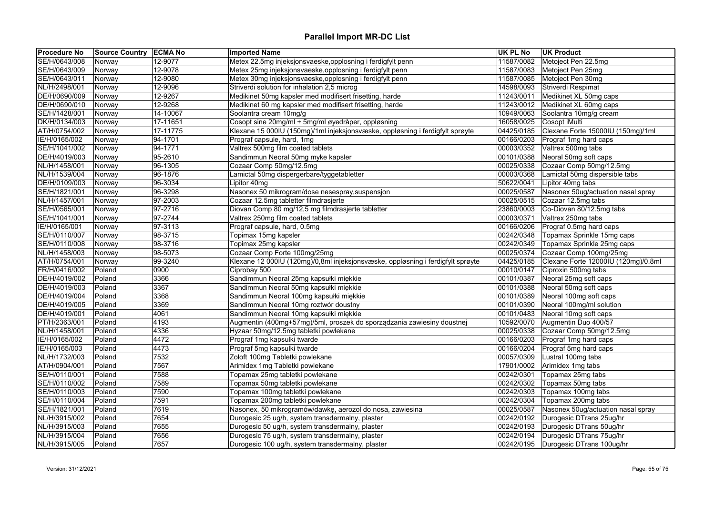| <b>Procedure No</b> | Source Country ECMA No |          | <b>Imported Name</b>                                                            | <b>UK PL No</b> | <b>UK Product</b>                   |
|---------------------|------------------------|----------|---------------------------------------------------------------------------------|-----------------|-------------------------------------|
| SE/H/0643/008       | Norway                 | 12-9077  | Metex 22.5mg injeksjonsvaeske, opplosning i ferdigfylt penn                     | 11587/0082      | Metoject Pen 22.5mg                 |
| SE/H/0643/009       | Norway                 | 12-9078  | Metex 25mg injeksjonsvaeske, opplosning i ferdigfylt penn                       | 11587/0083      | Metoject Pen 25mg                   |
| SE/H/0643/011       | Norway                 | 12-9080  | Metex 30mg injeksjonsvaeske, opplosning i ferdigfylt penn                       | 11587/0085      | Metoject Pen 30mg                   |
| NL/H/2498/001       | Norway                 | 12-9096  | Striverdi solution for inhalation 2,5 microg                                    | 14598/0093      | Striverdi Respimat                  |
| DE/H/0690/009       | Norway                 | 12-9267  | Medikinet 50mg kapsler med modifisert frisetting, harde                         | 11243/0011      | Medikinet XL 50mg caps              |
| DE/H/0690/010       | Norway                 | 12-9268  | Medikinet 60 mg kapsler med modifisert frisetting, harde                        | 11243/0012      | Medikinet XL 60mg caps              |
| SE/H/1428/001       | Norway                 | 14-10067 | Soolantra cream 10mg/g                                                          | 10949/0063      | Soolantra 10mg/g cream              |
| DK/H/0134/003       | Norway                 | 17-11651 | Cosopt sine 20mg/ml + 5mg/ml øyedråper, oppløsning                              | 16058/0025      | Cosopt iMulti                       |
| AT/H/0754/002       | Norway                 | 17-11775 | Klexane 15 000IU (150mg)/1ml injeksjonsvæske, oppløsning i ferdigfylt sprøyte   | 04425/0185      | Clexane Forte 15000IU (150mg)/1ml   |
| IE/H/0165/002       | Norway                 | 94-1701  | Prograf capsule, hard, 1mg                                                      | 00166/0203      | Prograf 1mg hard caps               |
| SE/H/1041/002       | Norway                 | 94-1771  | Valtrex 500mg film coated tablets                                               | 00003/0352      | Valtrex 500mg tabs                  |
| DE/H/4019/003       | Norway                 | 95-2610  | Sandimmun Neoral 50mg myke kapsler                                              | 00101/0388      | Neoral 50mg soft caps               |
| NL/H/1458/001       | Norway                 | 96-1305  | Cozaar Comp 50mg/12.5mg                                                         | 00025/0338      | Cozaar Comp 50mg/12.5mg             |
| NL/H/1539/004       | Norway                 | 96-1876  | Lamictal 50mg dispergerbare/tyggetabletter                                      | 00003/0368      | Lamictal 50mg dispersible tabs      |
| DE/H/0109/003       | Norway                 | 96-3034  | Lipitor 40mg                                                                    | 50622/0041      | Lipitor 40mg tabs                   |
| SE/H/1821/001       | Norway                 | 96-3298  | Nasonex 50 mikrogram/dose nesespray, suspensjon                                 | 00025/0587      | Nasonex 50ug/actuation nasal spray  |
| NL/H/1457/001       | Norway                 | 97-2003  | Cozaar 12.5mg tabletter filmdrasjerte                                           | 00025/0515      | Cozaar 12.5mg tabs                  |
| SE/H/0565/001       | Norway                 | 97-2716  | Diovan Comp 80 mg/12,5 mg filmdrasjerte tabletter                               | 23860/0003      | Co-Diovan 80/12.5mg tabs            |
| SE/H/1041/001       | Norway                 | 97-2744  | Valtrex 250mg film coated tablets                                               | 00003/0371      | Valtrex 250mg tabs                  |
| IE/H/0165/001       | Norway                 | 97-3113  | Prograf capsule, hard, 0.5mg                                                    | 00166/0206      | Prograf 0.5mg hard caps             |
| SE/H/0110/007       | Norway                 | 98-3715  | Topimax 15mg kapsler                                                            | 00242/0348      | Topamax Sprinkle 15mg caps          |
| SE/H/0110/008       | Norway                 | 98-3716  | Topimax 25mg kapsler                                                            | 00242/0349      | Topamax Sprinkle 25mg caps          |
| NL/H/1458/003       | Norway                 | 98-5073  | Cozaar Comp Forte 100mg/25mg                                                    | 00025/0374      | Cozaar Comp 100mg/25mg              |
| AT/H/0754/001       | Norway                 | 99-3240  | Klexane 12 000IU (120mg)/0,8ml injeksjonsvæske, oppløsning i ferdigfylt sprøyte | 04425/0185      | Clexane Forte 12000IU (120mg)/0.8ml |
| FR/H/0416/002       | Poland                 | 0900     | Ciprobay 500                                                                    | 00010/0147      | Ciproxin 500mg tabs                 |
| DE/H/4019/002       | Poland                 | 3366     | Sandimmun Neoral 25mg kapsułki miękkie                                          | 00101/0387      | Neoral 25mg soft caps               |
| DE/H/4019/003       | Poland                 | 3367     | Sandimmun Neoral 50mg kapsułki miękkie                                          | 00101/0388      | Neoral 50mg soft caps               |
| DE/H/4019/004       | Poland                 | 3368     | Sandimmun Neoral 100mg kapsułki miękkie                                         | 00101/0389      | Neoral 100mg soft caps              |
| DE/H/4019/005       | Poland                 | 3369     | Sandimmun Neoral 10mg roztwór doustny                                           | 00101/0390      | Neoral 100mg/ml solution            |
| DE/H/4019/001       | Poland                 | 4061     | Sandimmun Neoral 10mg kapsułki miękkie                                          | 00101/0483      | Neoral 10mg soft caps               |
| PT/H/2363/001       | Poland                 | 4193     | Augmentin (400mg+57mg)/5ml, proszek do sporządzania zawiesiny doustnej          | 10592/0070      | Augmentin Duo 400/57                |
| NL/H/1458/001       | Poland                 | 4336     | Hyzaar 50mg/12.5mg tabletki powlekane                                           | 00025/0338      | Cozaar Comp 50mg/12.5mg             |
| IE/H/0165/002       | Poland                 | 4472     | Prograf 1mg kapsulki twarde                                                     | 00166/0203      | Prograf 1mg hard caps               |
| IE/H/0165/003       | Poland                 | 4473     | Prograf 5mg kapsulki twarde                                                     | 00166/0204      | Prograf 5mg hard caps               |
| NL/H/1732/003       | Poland                 | 7532     | Zoloft 100mg Tabletki powlekane                                                 | 00057/0309      | Lustral 100mg tabs                  |
| AT/H/0904/001       | Poland                 | 7567     | Arimidex 1mg Tabletki powlekane                                                 | 17901/0002      | Arimidex 1mg tabs                   |
| SE/H/0110/001       | Poland                 | 7588     | Topamax 25mg tabletki powlekane                                                 | 00242/0301      | Topamax 25mg tabs                   |
| SE/H/0110/002       | Poland                 | 7589     | Topamax 50mg tabletki powlekane                                                 | 00242/0302      | Topamax 50mg tabs                   |
| SE/H/0110/003       | Poland                 | 7590     | Topamax 100mg tabletki powlekane                                                | 00242/0303      | Topamax 100mg tabs                  |
| SE/H/0110/004       | Poland                 | 7591     | Topamax 200mg tabletki powlekane                                                | 00242/0304      | Topamax 200mg tabs                  |
| SE/H/1821/001       | Poland                 | 7619     | Nasonex, 50 mikrogramów/dawkę, aerozol do nosa, zawiesina                       | 00025/0587      | Nasonex 50ug/actuation nasal spray  |
| NL/H/3915/002       | Poland                 | 7654     | Durogesic 25 ug/h, system transdermalny, plaster                                | 00242/0192      | Durogesic DTrans 25ug/hr            |
| NL/H/3915/003       | Poland                 | 7655     | Durogesic 50 ug/h, system transdermalny, plaster                                | 00242/0193      | Durogesic DTrans 50ug/hr            |
| NL/H/3915/004       | Poland                 | 7656     | Durogesic 75 ug/h, system transdermalny, plaster                                | 00242/0194      | Durogesic DTrans 75ug/hr            |
| NL/H/3915/005       | Poland                 | 7657     | Durogesic 100 ug/h, system transdermalny, plaster                               | 00242/0195      | Durogesic DTrans 100ug/hr           |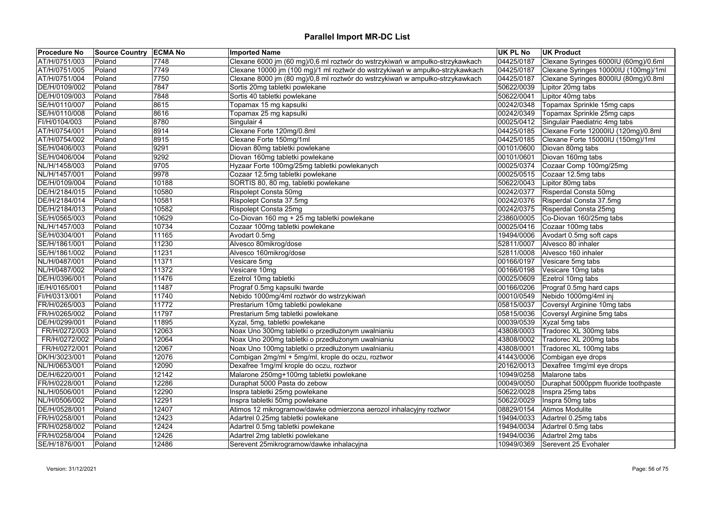| <b>Procedure No</b> | Source Country ECMA No |       | <b>Imported Name</b>                                                         | <b>UK PL No</b> | <b>UK Product</b>                              |
|---------------------|------------------------|-------|------------------------------------------------------------------------------|-----------------|------------------------------------------------|
| AT/H/0751/003       | Poland                 | 7748  | Clexane 6000 jm (60 mg)/0,6 ml roztwór do wstrzykiwań w ampułko-strzykawkach | 04425/0187      | Clexane Syringes 6000IU (60mg)/0.6ml           |
| AT/H/0751/005       | Poland                 | 7749  | Clexane 10000 jm (100 mg)/1 ml roztwór do wstrzykiwań w ampułko-strzykawkach | 04425/0187      | Clexane Syringes 10000IU (100mg)/1ml           |
| AT/H/0751/004       | Poland                 | 7750  | Clexane 8000 jm (80 mg)/0,8 ml roztwór do wstrzykiwań w ampułko-strzykawkach | 04425/0187      | Clexane Syringes 8000IU (80mg)/0.8ml           |
| DE/H/0109/002       | Poland                 | 7847  | Sortis 20mg tabletki powlekane                                               | 50622/0039      | Lipitor 20mg tabs                              |
| DE/H/0109/003       | Poland                 | 7848  | Sortis 40 tabletki powlekane                                                 | 50622/0041      | Lipitor 40mg tabs                              |
| SE/H/0110/007       | Poland                 | 8615  | Topamax 15 mg kapsulki                                                       | 00242/0348      | Topamax Sprinkle 15mg caps                     |
| SE/H/0110/008       | Poland                 | 8616  | Topamax 25 mg kapsulki                                                       | 00242/0349      | Topamax Sprinkle 25mg caps                     |
| FI/H/0104/003       | Poland                 | 8780  | Singulair 4                                                                  |                 | 00025/0412 Singulair Paediatric 4mg tabs       |
| AT/H/0754/001       | Poland                 | 8914  | Clexane Forte 120mg/0.8ml                                                    |                 | 04425/0185 Clexane Forte 12000IU (120mg)/0.8ml |
| AT/H/0754/002       | Poland                 | 8915  | Clexane Forte 150mg/1ml                                                      | 04425/0185      | Clexane Forte 15000IU (150mg)/1ml              |
| SE/H/0406/003       | Poland                 | 9291  | Diovan 80mg tabletki powlekane                                               | 00101/0600      | Diovan 80mg tabs                               |
| SE/H/0406/004       | Poland                 | 9292  | Diovan 160mg tabletki powlekane                                              | 00101/0601      | Diovan 160mg tabs                              |
| NL/H/1458/003       | Poland                 | 9705  | Hyzaar Forte 100mg/25mg tabletki powlekanych                                 | 00025/0374      | Cozaar Comp 100mg/25mg                         |
| NL/H/1457/001       | Poland                 | 9978  | Cozaar 12.5mg tabletki powlekane                                             | 00025/0515      | Cozaar 12.5mg tabs                             |
| DE/H/0109/004       | Poland                 | 10188 | SORTIS 80, 80 mg, tabletki powlekane                                         | 50622/0043      | Lipitor 80mg tabs                              |
| DE/H/2184/015       | Poland                 | 10580 | Rispolept Consta 50mg                                                        | 00242/0377      | Risperdal Consta 50mg                          |
| DE/H/2184/014       | Poland                 | 10581 | Rispolept Consta 37.5mg                                                      | 00242/0376      | Risperdal Consta 37.5mg                        |
| DE/H/2184/013       | Poland                 | 10582 | Rispolept Consta 25mg                                                        | 00242/0375      | Risperdal Consta 25mg                          |
| SE/H/0565/003       | Poland                 | 10629 | Co-Diovan 160 mg + 25 mg tabletki powlekane                                  |                 | 23860/0005 Co-Diovan 160/25mg tabs             |
| NL/H/1457/003       | Poland                 | 10734 | Cozaar 100mg tabletki powlekane                                              | 00025/0416      | Cozaar 100mg tabs                              |
| SE/H/0304/001       | Poland                 | 11165 | Avodart 0.5mg                                                                | 19494/0006      | Avodart 0.5mg soft caps                        |
| SE/H/1861/001       | Poland                 | 11230 | Alvesco 80mikrog/dose                                                        | 52811/0007      | Alvesco 80 inhaler                             |
| SE/H/1861/002       | Poland                 | 11231 | Alvesco 160mikrog/dose                                                       | 52811/0008      | Alvesco 160 inhaler                            |
| NL/H/0487/001       | Poland                 | 11371 | Vesicare 5mg                                                                 | 00166/0197      | Vesicare 5mg tabs                              |
| NL/H/0487/002       | Poland                 | 11372 | Vesicare 10mg                                                                | 00166/0198      | Vesicare 10mg tabs                             |
| DE/H/0396/001       | Poland                 | 11476 | Ezetrol 10mg tabletki                                                        | 00025/0609      | Ezetrol 10mg tabs                              |
| IE/H/0165/001       | Poland                 | 11487 | Prograf 0.5mg kapsulki twarde                                                | 00166/0206      | Prograf 0.5mg hard caps                        |
| FI/H/0313/001       | Poland                 | 11740 | Nebido 1000mg/4ml roztwór do wstrzykiwań                                     | 00010/0549      | Nebido 1000mg/4ml inj                          |
| FR/H/0265/003       | Poland                 | 11772 | Prestarium 10mg tabletki powlekane                                           | 05815/0037      | Coversyl Arginine 10mg tabs                    |
| FR/H/0265/002       | Poland                 | 11797 | Prestarium 5mg tabletki powlekane                                            | 05815/0036      | Coversyl Arginine 5mg tabs                     |
| DE/H/0299/001       | Poland                 | 11895 | Xyzal, 5mg, tabletki powlekane                                               | 00039/0539      | Xyzal 5mg tabs                                 |
| FR/H/0272/003       | Poland                 | 12063 | Noax Uno 300mg tabletki o przedłużonym uwalnianiu                            | 43808/0003      | Tradorec XL 300mg tabs                         |
| FR/H/0272/002       | Poland                 | 12064 | Noax Uno 200mg tabletki o przedłużonym uwalnianiu                            | 43808/0002      | Tradorec XL 200mg tabs                         |
| FR/H/0272/001       | Poland                 | 12067 | Noax Uno 100mg tabletki o przedłużonym uwalnianiu                            | 43808/0001      | Tradorec XL 100mg tabs                         |
| DK/H/3023/001       | Poland                 | 12076 | Combigan 2mg/ml + 5mg/ml, krople do oczu, roztwor                            | 41443/0006      | Combigan eye drops                             |
| NL/H/0653/001       | Poland                 | 12090 | Dexafree 1mg/ml krople do oczu, roztwor                                      | 20162/0013      | Dexafree 1mg/ml eye drops                      |
| DE/H/6220/001       | Poland                 | 12142 | Malarone 250mg+100mg tabletki powlekane                                      | 10949/0258      | Malarone tabs                                  |
| FR/H/0228/001       | Poland                 | 12286 | Duraphat 5000 Pasta do zebow                                                 | 00049/0050      | Duraphat 5000ppm fluoride toothpaste           |
| NL/H/0506/001       | Poland                 | 12290 | Inspra tabletki 25mg powlekane                                               | 50622/0028      | Inspra 25mg tabs                               |
| NL/H/0506/002       | Poland                 | 12291 | Inspra tabletki 50mg powlekane                                               | 50622/0029      | Inspra 50mg tabs                               |
| DE/H/0528/001       | Poland                 | 12407 | Atimos 12 mikrogramow/dawke odmierzona aerozol inhalacyjny roztwor           | 08829/0154      | Atimos Modulite                                |
| FR/H/0258/001       | Poland                 | 12423 | Adartrel 0.25mg tabletki powlekane                                           | 19494/0033      | Adartrel 0.25mg tabs                           |
| FR/H/0258/002       | Poland                 | 12424 | Adartrel 0.5mg tabletki powlekane                                            | 19494/0034      | Adartrel 0.5mg tabs                            |
| FR/H/0258/004       | Poland                 | 12426 | Adartrel 2mg tabletki powlekane                                              | 19494/0036      | Adartrel 2mg tabs                              |
| SE/H/1876/001       | Poland                 | 12486 | Serevent 25mikrogramow/dawke inhalacyjna                                     | 10949/0369      | Serevent 25 Evohaler                           |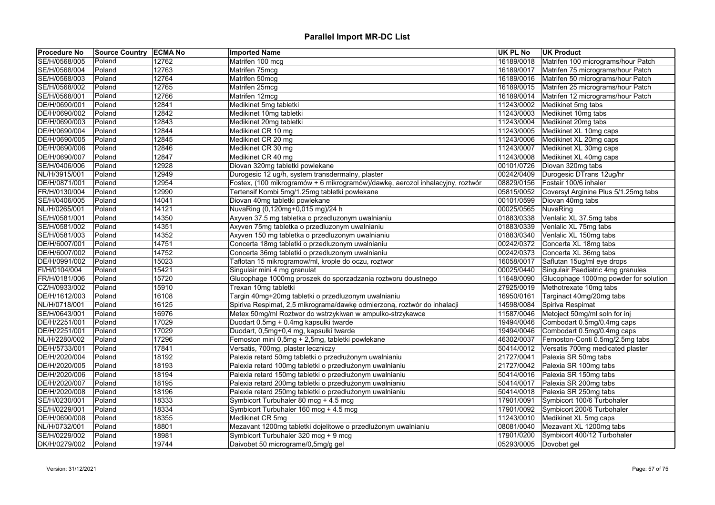| <b>Procedure No</b> | Source Country ECMA No |       | <b>Imported Name</b>                                                          | <b>UK PL No</b>        | UK Product                            |
|---------------------|------------------------|-------|-------------------------------------------------------------------------------|------------------------|---------------------------------------|
| SE/H/0568/005       | Poland                 | 12762 | Matrifen 100 mcg                                                              | 16189/0018             | Matrifen 100 micrograms/hour Patch    |
| SE/H/0568/004       | Poland                 | 12763 | Matrifen 75mcg                                                                | 16189/0017             | Matrifen 75 micrograms/hour Patch     |
| SE/H/0568/003       | Poland                 | 12764 | Matrifen 50mcg                                                                | 16189/0016             | Matrifen 50 micrograms/hour Patch     |
| SE/H/0568/002       | Poland                 | 12765 | Matrifen 25mcg                                                                | 16189/0015             | Matrifen 25 micrograms/hour Patch     |
| SE/H/0568/001       | Poland                 | 12766 | Matrifen 12mcg                                                                | 16189/0014             | Matrifen 12 micrograms/hour Patch     |
| DE/H/0690/001       | Poland                 | 12841 | Medikinet 5mg tabletki                                                        | 11243/0002             | Medikinet 5mg tabs                    |
| DE/H/0690/002       | Poland                 | 12842 | Medikinet 10mg tabletki                                                       | 11243/0003             | Medikinet 10mg tabs                   |
| DE/H/0690/003       | Poland                 | 12843 | Medikinet 20mg tabletki                                                       | 11243/0004             | Medikinet 20mg tabs                   |
| DE/H/0690/004       | Poland                 | 12844 | Medikinet CR 10 mg                                                            | 11243/0005             | Medikinet XL 10mg caps                |
| DE/H/0690/005       | Poland                 | 12845 | Medikinet CR 20 mg                                                            | 11243/0006             | Medikinet XL 20mg caps                |
| DE/H/0690/006       | Poland                 | 12846 | Medikinet CR 30 mg                                                            | 11243/0007             | Medikinet XL 30mg caps                |
| DE/H/0690/007       | Poland                 | 12847 | Medikinet CR 40 mg                                                            | 11243/0008             | Medikinet XL 40mg caps                |
| SE/H/0406/006       | Poland                 | 12928 | Diovan 320mg tabletki powlekane                                               | 00101/0726             | Diovan 320mg tabs                     |
| NL/H/3915/001       | Poland                 | 12949 | Durogesic 12 ug/h, system transdermalny, plaster                              | 00242/0409             | Durogesic DTrans 12ug/hr              |
| DE/H/0871/001       | Poland                 | 12954 | Fostex, (100 mikrogramów + 6 mikrogramów)/dawkę, aerozol inhalacyjny, roztwór | 08829/0156             | Fostair 100/6 inhaler                 |
| FR/H/0130/004       | Poland                 | 12990 | Tertensif Kombi 5mg/1.25mg tabletki powlekane                                 | 05815/0052             | Coversyl Arginine Plus 5/1.25mg tabs  |
| SE/H/0406/005       | Poland                 | 14041 | Diovan 40mg tabletki powlekane                                                | 00101/0599             | Diovan 40mg tabs                      |
| NL/H/0265/001       | Poland                 | 14121 | NuvaRing (0,120mg+0,015 mg)/24 h                                              | 00025/0565             | NuvaRing                              |
| SE/H/0581/001       | Poland                 | 14350 | Axyven 37.5 mg tabletka o przedluzonym uwalnianiu                             | 01883/0338             | Venlalic XL 37.5mg tabs               |
| SE/H/0581/002       | Poland                 | 14351 | Axyven 75mg tabletka o przedluzonym uwalnianiu                                | 01883/0339             | Venlalic XL 75mg tabs                 |
| SE/H/0581/003       | Poland                 | 14352 | Axyven 150 mg tabletka o przedluzonym uwalnianiu                              | 01883/0340             | Venlalic XL 150mg tabs                |
| DE/H/6007/001       | Poland                 | 14751 | Concerta 18mg tabletki o przedluzonym uwalnianiu                              | 00242/0372             | Concerta XL 18mg tabs                 |
| DE/H/6007/002       | Poland                 | 14752 | Concerta 36mg tabletki o przedluzonym uwalnianiu                              | 00242/0373             | Concerta XL 36mg tabs                 |
| DE/H/0991/002       | Poland                 | 15023 | Taflotan 15 mikrogramow/ml, krople do oczu, roztwor                           | 16058/0017             | Saflutan 15ug/ml eye drops            |
| FI/H/0104/004       | Poland                 | 15421 | Singulair mini 4 mg granulat                                                  | 00025/0440             | Singulair Paediatric 4mg granules     |
| FR/H/0181/006       | Poland                 | 15720 | Glucophage 1000mg proszek do sporzadzania roztworu doustnego                  | 11648/0090             | Glucophage 1000mg powder for solution |
| CZ/H/0933/002       | Poland                 | 15910 | Trexan 10mg tabletki                                                          | 27925/0019             | Methotrexate 10mg tabs                |
| DE/H/1612/003       | Poland                 | 16108 | Targin 40mg+20mg tabletki o przedluzonym uwalnianiu                           | 16950/0161             | Targinact 40mg/20mg tabs              |
| NL/H/0718/001       | Poland                 | 16125 | Spiriva Respimat, 2,5 mikrograma/dawkę odmierzoną, roztwór do inhalacji       | 14598/0084             | Spiriva Respimat                      |
| SE/H/0643/001       | Poland                 | 16976 | Metex 50mg/ml Roztwor do wstrzykiwan w ampulko-strzykawce                     | 11587/0046             | Metoject 50mg/ml soln for inj         |
| DE/H/2251/001       | Poland                 | 17029 | Duodart 0.5mg + 0.4mg kapsulki twarde                                         | 19494/0046             | Combodart 0.5mg/0.4mg caps            |
| DE/H/2251/001       | Poland                 | 17029 | Duodart, 0,5mg+0,4 mg, kapsułki twarde                                        | 19494/0046             | Combodart 0.5mg/0.4mg caps            |
| NL/H/2280/002       | Poland                 | 17296 | Femoston mini 0,5mg + 2,5mg, tabletki powlekane                               | 46302/0037             | Femoston-Conti 0.5mg/2.5mg tabs       |
| DE/H/5733/001       | Poland                 | 17841 | Versatis, 700mg, plaster leczniczy                                            | 50414/0012             | Versatis 700mg medicated plaster      |
|                     |                        | 18192 | Palexia retard 50mg tabletki o przedłużonym uwalnianiu                        | 21727/0041             | Palexia SR 50mg tabs                  |
| DE/H/2020/004       | Poland                 |       |                                                                               |                        |                                       |
| DE/H/2020/005       | Poland                 | 18193 | Palexia retard 100mg tabletki o przedłużonym uwalnianiu                       | 21727/0042             | Palexia SR 100mg tabs                 |
| DE/H/2020/006       | Poland                 | 18194 | Palexia retard 150mg tabletki o przedłużonym uwalnianiu                       | 50414/0016             | Palexia SR 150mg tabs                 |
| DE/H/2020/007       | Poland                 | 18195 | Palexia retard 200mg tabletki o przedłużonym uwalnianiu                       | 50414/0017             | Palexia SR 200mg tabs                 |
| DE/H/2020/008       | Poland                 | 18196 | Palexia retard 250mg tabletki o przedłużonym uwalnianiu                       | 50414/0018             | Palexia SR 250mg tabs                 |
| SE/H/0230/001       | Poland                 | 18333 | Symbicort Turbuhaler 80 mcg + 4.5 mcg                                         | 17901/0091             | Symbicort 100/6 Turbohaler            |
| SE/H/0229/001       | Poland                 | 18334 | Symbicort Turbuhaler 160 mcg + 4.5 mcg                                        | 17901/0092             | Symbicort 200/6 Turbohaler            |
| DE/H/0690/008       | Poland                 | 18355 | Medikinet CR 5mg                                                              | 11243/0010             | Medikinet XL 5mg caps                 |
| NL/H/0732/001       | Poland                 | 18801 | Mezavant 1200mg tabletki dojelitowe o przedłużonym uwalnianiu                 | 08081/0040             | Mezavant XL 1200mg tabs               |
| SE/H/0229/002       | Poland                 | 18981 | Symbicort Turbuhaler 320 mcg + 9 mcg                                          | 17901/0200             | Symbicort 400/12 Turbohaler           |
| DK/H/0279/002       | Poland                 | 19744 | Daivobet 50 micrograme/0,5mg/g gel                                            | 05293/0005 Dovobet gel |                                       |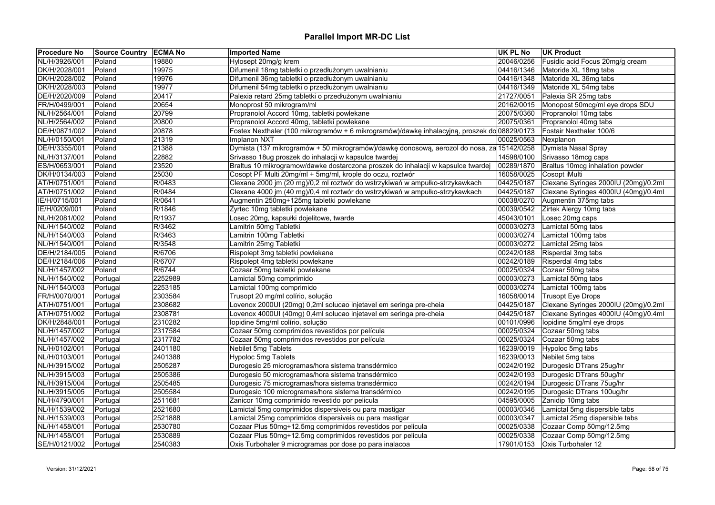| <b>Procedure No</b> | Source Country   ECMA No |         | <b>Imported Name</b>                                                                        | <b>UK PL No</b> | <b>UK Product</b>                     |
|---------------------|--------------------------|---------|---------------------------------------------------------------------------------------------|-----------------|---------------------------------------|
| NL/H/3926/001       | Poland                   | 19880   | Hylosept 20mg/g krem                                                                        | 20046/0256      | Fusidic acid Focus 20mg/g cream       |
| DK/H/2028/001       | Poland                   | 19975   | Difumenil 18mg tabletki o przedłużonym uwalnianiu                                           | 04416/1346      | Matoride XL 18mg tabs                 |
| DK/H/2028/002       | Poland                   | 19976   | Difumenil 36mg tabletki o przedłużonym uwalnianiu                                           | 04416/1348      | Matoride XL 36mg tabs                 |
| DK/H/2028/003       | Poland                   | 19977   | Difumenil 54mg tabletki o przedłużonym uwalnianiu                                           | 04416/1349      | Matoride XL 54mg tabs                 |
| DE/H/2020/009       | Poland                   | 20417   | Palexia retard 25mg tabletki o przedłużonym uwalnianiu                                      | 21727/0051      | Palexia SR 25mg tabs                  |
| FR/H/0499/001       | Poland                   | 20654   | Monoprost 50 mikrogram/ml                                                                   | 20162/0015      | Monopost 50mcg/ml eye drops SDU       |
| NL/H/2564/001       | Poland                   | 20799   | Propranolol Accord 10mg, tabletki powlekane                                                 | 20075/0360      | Propranolol 10mg tabs                 |
| NL/H/2564/002       | Poland                   | 20800   | Propranolol Accord 40mg, tabletki powlekane                                                 | 20075/0361      | Propranolol 40mg tabs                 |
| DE/H/0871/002       | Poland                   | 20878   | Fostex Nexthaler (100 mikrogramów + 6 mikrogramów)/dawkę inhalacyjną, proszek do 08829/0173 |                 | Fostair Nexthaler 100/6               |
| NL/H/0150/001       | Poland                   | 21319   | Implanon NXT                                                                                | 00025/0563      | Nexplanon                             |
| DE/H/3355/001       | Poland                   | 21388   | Dymista (137 mikrogramów + 50 mikrogramów)/dawkę donosową, aerozol do nosa, za 15142/0258   |                 | Dymista Nasal Spray                   |
| NL/H/3137/001       | Poland                   | 22882   | Srivasso 18ug proszek do inhalacji w kapsulce twardej                                       | 14598/0100      | Srivasso 18mcg caps                   |
| ES/H/0653/001       | Poland                   | 23520   | Braltus 10 mikrogramow/dawke dostarczona proszek do inhalacji w kapsulce twardej            | 00289/1870      | Braltus 10mcg inhalation powder       |
| DK/H/0134/003       | Poland                   | 25030   | Cosopt PF Multi 20mg/ml + 5mg/ml, krople do oczu, roztwór                                   | 16058/0025      | Cosopt iMulti                         |
| AT/H/0751/001       | Poland                   | R/0483  | Clexane 2000 jm (20 mg)/0,2 ml roztwór do wstrzykiwań w ampułko-strzykawkach                | 04425/0187      | Clexane Syringes 2000IU (20mg)/0.2ml  |
| AT/H/0751/002       | Poland                   | R/0484  | Clexane 4000 jm (40 mg)/0,4 ml roztwór do wstrzykiwań w ampułko-strzykawkach                | 04425/0187      | Clexane Syringes 4000IU (40mg)/0.4ml  |
| IE/H/0715/001       | Poland                   | R/0641  | Augmentin 250mg+125mg tabletki powlekane                                                    | 00038/0270      | Augmentin 375mg tabs                  |
| IE/H/0209/001       | Poland                   | R/1846  | Zyrtec 10mg tabletki powlekane                                                              | 00039/0542      | Zirtek Alergy 10mg tabs               |
| NL/H/2081/002       | Poland                   | R/1937  | Losec 20mg, kapsułki dojelitowe, twarde                                                     | 45043/0101      | Losec 20mg caps                       |
| NL/H/1540/002       | Poland                   | R/3462  | Lamitrin 50mg Tabletki                                                                      | 00003/0273      | Lamictal 50mg tabs                    |
| NL/H/1540/003       | Poland                   | R/3463  | Lamitrin 100mg Tabletki                                                                     | 00003/0274      | Lamictal 100mg tabs                   |
| NL/H/1540/001       | Poland                   | R/3548  | Lamitrin 25mg Tabletki                                                                      | 00003/0272      | Lamictal 25mg tabs                    |
| DE/H/2184/005       | Poland                   | R/6706  | Rispolept 3mg tabletki powlekane                                                            | 00242/0188      | Risperdal 3mg tabs                    |
| DE/H/2184/006       | Poland                   | R/6707  | Rispolept 4mg tabletki powlekane                                                            | 00242/0189      | Risperdal 4mg tabs                    |
| NL/H/1457/002       | Poland                   | R/6744  | Cozaar 50mg tabletki powlekane                                                              | 00025/0324      | Cozaar 50mg tabs                      |
| NL/H/1540/002       | Portugal                 | 2252989 | Lamictal 50mg comprimido                                                                    | 00003/0273      | Lamictal 50mg tabs                    |
| NL/H/1540/003       | Portugal                 | 2253185 | Lamictal 100mg comprimido                                                                   | 00003/0274      | Lamictal 100mg tabs                   |
| FR/H/0070/001       | Portugal                 | 2303584 | Trusopt 20 mg/ml colírio, solução                                                           | 16058/0014      | Trusopt Eye Drops                     |
| AT/H/0751/001       | Portugal                 | 2308682 | Lovenox 2000UI (20mg) 0,2ml solucao injetavel em seringa pre-cheia                          | 04425/0187      | Clexane Syringes 2000IU (20mg)/0.2ml  |
| AT/H/0751/002       | Portugal                 | 2308781 | Lovenox 4000UI (40mg) 0,4ml solucao injetavel em seringa pre-cheia                          | 04425/0187      | Clexane Syringes 4000IU (40mg)/0.4ml  |
| DK/H/2848/001       | Portugal                 | 2310282 | lopidine 5mg/ml colírio, solução                                                            | 00101/0996      | lopidine 5mg/ml eye drops             |
| NL/H/1457/002       | Portugal                 | 2317584 | Cozaar 50mg comprimidos revestidos por película                                             | 00025/0324      | Cozaar 50mg tabs                      |
| NL/H/1457/002       | Portugal                 | 2317782 | Cozaar 50mg comprimidos revestidos por película                                             | 00025/0324      | Cozaar 50mg tabs                      |
| NL/H/0102/001       | Portugal                 | 2401180 | Nebilet 5mg Tablets                                                                         | 16239/0019      | Hypoloc 5mg tabs                      |
| NL/H/0103/001       | Portugal                 | 2401388 | Hypoloc 5mg Tablets                                                                         | 16239/0013      | Nebilet 5mg tabs                      |
| NL/H/3915/002       | Portugal                 | 2505287 | Durogesic 25 microgramas/hora sistema transdérmico                                          | 00242/0192      | Durogesic DTrans 25ug/hr              |
| NL/H/3915/003       | Portugal                 | 2505386 | Durogesic 50 microgramas/hora sistema transdérmico                                          | 00242/0193      | Durogesic DTrans 50ug/hr              |
| NL/H/3915/004       | Portugal                 | 2505485 | Durogesic 75 microgramas/hora sistema transdérmico                                          |                 | 00242/0194   Durogesic DTrans 75ug/hr |
| NL/H/3915/005       | Portugal                 | 2505584 | Durogesic 100 microgramas/hora sistema transdérmico                                         | 00242/0195      | Durogesic DTrans 100ug/hr             |
| NL/H/4790/001       | Portugal                 | 2511681 | Zanicor 10mg comprimido revestido por pelicula                                              | 04595/0005      | Zanidip 10mg tabs                     |
| NL/H/1539/002       | Portugal                 | 2521680 | Lamictal 5mg comprimidos dispersiveis ou para mastigar                                      | 00003/0346      | Lamictal 5mg dispersible tabs         |
| NL/H/1539/003       | Portugal                 | 2521888 | Lamictal 25mg comprimidos dispersiveis ou para mastigar                                     | 00003/0347      | Lamictal 25mg dispersible tabs        |
| NL/H/1458/001       | Portugal                 | 2530780 | Cozaar Plus 50mg+12.5mg comprimidos revestidos por pelicula                                 | 00025/0338      | Cozaar Comp 50mg/12.5mg               |
| NL/H/1458/001       | Portugal                 | 2530889 | Cozaar Plus 50mg+12.5mg comprimidos revestidos por pelicula                                 | 00025/0338      | Cozaar Comp 50mg/12.5mg               |
| SE/H/0121/002       | Portugal                 | 2540383 | Oxis Turbohaler 9 microgramas por dose po para inalacoa                                     | 17901/0153      | Oxis Turbohaler 12                    |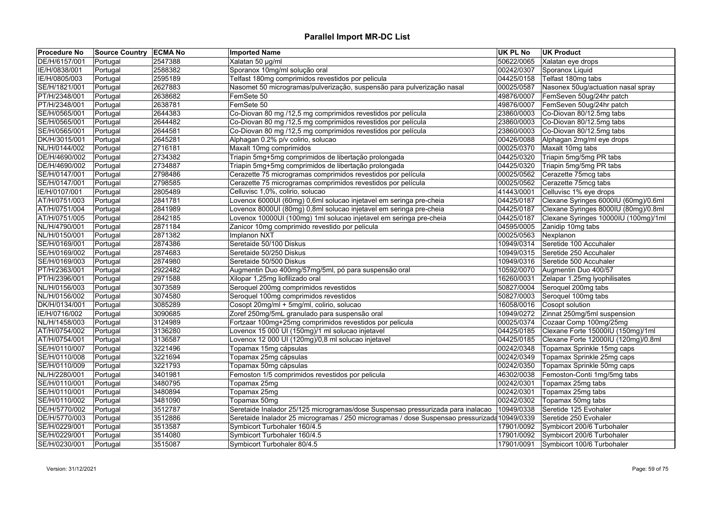| <b>Procedure No</b> | <b>Source Country ECMA No</b> |         | <b>Imported Name</b>                                                                         | UK PL No   | <b>UK Product</b>                    |
|---------------------|-------------------------------|---------|----------------------------------------------------------------------------------------------|------------|--------------------------------------|
| DE/H/6157/001       | Portugal                      | 2547388 | Xalatan 50 µg/ml                                                                             | 50622/0065 | Xalatan eye drops                    |
| IE/H/0838/001       | Portugal                      | 2588382 | Sporanox 10mg/ml solução oral                                                                | 00242/0307 | Sporanox Liquid                      |
| IE/H/0805/003       | Portugal                      | 2595189 | Telfast 180mg comprimidos revestidos por pelicula                                            | 04425/0158 | Telfast 180mg tabs                   |
| SE/H/1821/001       | Portugal                      | 2627883 | Nasomet 50 microgramas/pulverização, suspensão para pulverização nasal                       | 00025/0587 | Nasonex 50ug/actuation nasal spray   |
| PT/H/2348/001       | Portugal                      | 2638682 | FemSete 50                                                                                   | 49876/0007 | FemSeven 50ug/24hr patch             |
| PT/H/2348/001       | Portugal                      | 2638781 | FemSete 50                                                                                   | 49876/0007 | FemSeven 50ug/24hr patch             |
| SE/H/0565/001       | Portugal                      | 2644383 | Co-Diovan 80 mg /12,5 mg comprimidos revestidos por película                                 | 23860/0003 | Co-Diovan 80/12.5mg tabs             |
| SE/H/0565/001       | Portugal                      | 2644482 | Co-Diovan 80 mg /12,5 mg comprimidos revestidos por película                                 | 23860/0003 | Co-Diovan 80/12.5mg tabs             |
| SE/H/0565/001       | Portugal                      | 2644581 | Co-Diovan 80 mg /12,5 mg comprimidos revestidos por película                                 | 23860/0003 | Co-Diovan 80/12.5mg tabs             |
| DK/H/3015/001       | Portugal                      | 2645281 | Alphagan 0.2% p/v colirio, solucao                                                           | 00426/0088 | Alphagan 2mg/ml eye drops            |
| NL/H/0144/002       | Portugal                      | 2716181 | Maxalt 10mg comprimidos                                                                      | 00025/0370 | Maxalt 10mg tabs                     |
| DE/H/4690/002       | Portugal                      | 2734382 | Triapin 5mg+5mg comprimidos de libertação prolongada                                         | 04425/0320 | Triapin 5mg/5mg PR tabs              |
| DE/H/4690/002       | Portugal                      | 2734887 | Triapin 5mg+5mg comprimidos de libertação prolongada                                         | 04425/0320 | Triapin 5mg/5mg PR tabs              |
| SE/H/0147/001       | Portugal                      | 2798486 | Cerazette 75 microgramas comprimidos revestidos por película                                 | 00025/0562 | Cerazette 75mcg tabs                 |
| SE/H/0147/001       | Portugal                      | 2798585 | Cerazette 75 microgramas comprimidos revestidos por película                                 | 00025/0562 | Cerazette 75mcg tabs                 |
| IE/H/0107/001       | Portugal                      | 2805489 | Celluvisc 1,0%, colirio, solucao                                                             | 41443/0001 | Celluvisc 1% eye drops               |
| AT/H/0751/003       | Portugal                      | 2841781 | Lovenox 6000UI (60mg) 0,6ml solucao injetavel em seringa pre-cheia                           | 04425/0187 | Clexane Syringes 6000IU (60mg)/0.6ml |
| AT/H/0751/004       | Portugal                      | 2841989 | Lovenox 8000UI (80mg) 0,8ml solucao injetavel em seringa pre-cheia                           | 04425/0187 | Clexane Syringes 8000IU (80mg)/0.8ml |
| AT/H/0751/005       | Portugal                      | 2842185 | Lovenox 10000UI (100mg) 1ml solucao injetavel em seringa pre-cheia                           | 04425/0187 | Clexane Syringes 10000IU (100mg)/1ml |
| NL/H/4790/001       | Portugal                      | 2871184 | Zanicor 10mg comprimido revestido por pelicula                                               | 04595/0005 | Zanidip 10mg tabs                    |
| NL/H/0150/001       | Portugal                      | 2871382 | Implanon NXT                                                                                 | 00025/0563 | Nexplanon                            |
| SE/H/0169/001       | Portugal                      | 2874386 | Seretaide 50/100 Diskus                                                                      | 10949/0314 | Seretide 100 Accuhaler               |
| SE/H/0169/002       | Portugal                      | 2874683 | Seretaide 50/250 Diskus                                                                      | 10949/0315 | Seretide 250 Accuhaler               |
| SE/H/0169/003       | Portugal                      | 2874980 | Seretaide 50/500 Diskus                                                                      | 10949/0316 | Seretide 500 Accuhaler               |
| PT/H/2363/001       | Portugal                      | 2922482 | Augmentin Duo 400mg/57mg/5ml, pó para suspensão oral                                         | 10592/0070 | Augmentin Duo 400/57                 |
| PT/H/2396/001       | Portugal                      | 2971588 | Xilopar 1,25mg liofilizado oral                                                              | 16260/0031 | Zelapar 1.25mg lyophilisates         |
| NL/H/0156/003       | Portugal                      | 3073589 | Seroquel 200mg comprimidos revestidos                                                        | 50827/0004 | Seroquel 200mg tabs                  |
| NL/H/0156/002       | Portugal                      | 3074580 | Seroquel 100mg comprimidos revestidos                                                        | 50827/0003 | Seroquel 100mg tabs                  |
| DK/H/0134/001       | Portugal                      | 3085289 | Cosopt 20mg/ml + 5mg/ml, colirio, solucao                                                    | 16058/0016 | Cosopt solution                      |
| IE/H/0716/002       | Portugal                      | 3090685 | Zoref 250mg/5mL granulado para suspensão oral                                                | 10949/0272 | Zinnat 250mg/5ml suspension          |
| NL/H/1458/003       | Portugal                      | 3124989 | Fortzaar 100mg+25mg comprimidos revestidos por pelicula                                      | 00025/0374 | Cozaar Comp 100mg/25mg               |
| AT/H/0754/002       | Portugal                      | 3136280 | Lovenox 15 000 UI (150mg)/1 ml solucao injetavel                                             | 04425/0185 | Clexane Forte 15000IU (150mg)/1ml    |
| AT/H/0754/001       | Portugal                      | 3136587 | Lovenox 12 000 UI (120mg)/0,8 ml solucao injetavel                                           | 04425/0185 | Clexane Forte 12000IU (120mg)/0.8ml  |
| SE/H/0110/007       | Portugal                      | 3221496 | Topamax 15mg cápsulas                                                                        | 00242/0348 | Topamax Sprinkle 15mg caps           |
| SE/H/0110/008       | Portugal                      | 3221694 | Topamax 25mg cápsulas                                                                        | 00242/0349 | Topamax Sprinkle 25mg caps           |
| SE/H/0110/009       | Portugal                      | 3221793 | Topamax 50mg cápsulas                                                                        | 00242/0350 | Topamax Sprinkle 50mg caps           |
| NL/H/2280/001       | Portugal                      | 3401981 | Femoston 1/5 comprimidos revestidos por pelicula                                             | 46302/0038 | Femoston-Conti 1mg/5mg tabs          |
| SE/H/0110/001       | Portugal                      | 3480795 | Topamax 25mg                                                                                 | 00242/0301 | Topamax 25mg tabs                    |
| SE/H/0110/001       | Portugal                      | 3480894 | Topamax 25mg                                                                                 | 00242/0301 | Topamax 25mg tabs                    |
| SE/H/0110/002       | Portugal                      | 3481090 | Topamax 50mg                                                                                 | 00242/0302 | Topamax 50mg tabs                    |
| DE/H/5770/002       | Portugal                      | 3512787 | Seretaide Inalador 25/125 microgramas/dose Suspensao pressurizada para inalacao              | 10949/0338 | Seretide 125 Evohaler                |
| DE/H/5770/003       | Portugal                      | 3512886 | Seretaide Inalador 25 microgramas / 250 microgramas / dose Suspensao pressurizada 10949/0339 |            | Seretide 250 Evohaler                |
| SE/H/0229/001       | Portugal                      | 3513587 | Symbicort Turbohaler 160/4.5                                                                 | 17901/0092 | Symbicort 200/6 Turbohaler           |
| SE/H/0229/001       | Portugal                      | 3514080 | Symbicort Turbohaler 160/4.5                                                                 | 17901/0092 | Symbicort 200/6 Turbohaler           |
| SE/H/0230/001       | Portugal                      | 3515087 | Symbicort Turbohaler 80/4.5                                                                  | 17901/0091 | Symbicort 100/6 Turbohaler           |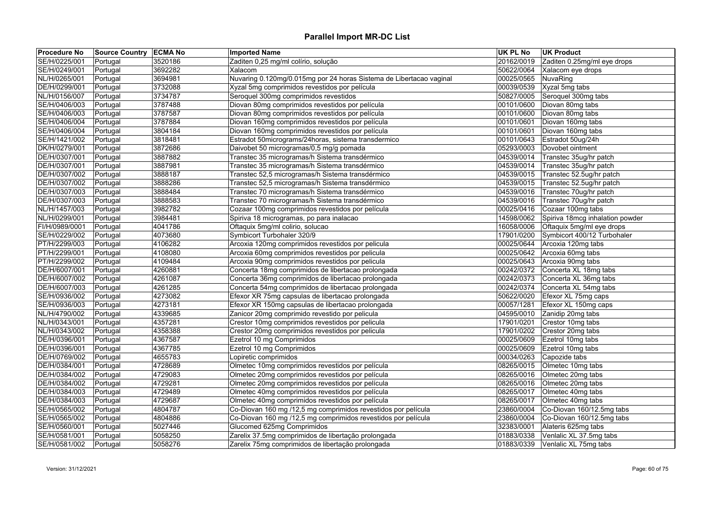| <b>Procedure No</b> | <b>Source Country ECMA No</b> |         | <b>Imported Name</b>                                                | UK PL No   | <b>UK Product</b>                     |
|---------------------|-------------------------------|---------|---------------------------------------------------------------------|------------|---------------------------------------|
| SE/H/0225/001       | Portugal                      | 3520186 | Zaditen 0,25 mg/ml colírio, solução                                 | 20162/0019 | Zaditen 0.25mg/ml eye drops           |
| SE/H/0249/001       | Portugal                      | 3692282 | Xalacom                                                             | 50622/0064 | Xalacom eye drops                     |
| NL/H/0265/001       | Portugal                      | 3694981 | Nuvaring 0.120mg/0.015mg por 24 horas Sistema de Libertacao vaginal | 00025/0565 | NuvaRing                              |
| DE/H/0299/001       | Portugal                      | 3732088 | Xyzal 5mg comprimidos revestidos por película                       | 00039/0539 | Xyzal 5mg tabs                        |
| NL/H/0156/007       | Portugal                      | 3734787 | Seroquel 300mg comprimidos revestidos                               | 50827/0005 | Seroquel 300mg tabs                   |
| SE/H/0406/003       | Portugal                      | 3787488 | Diovan 80mg comprimidos revestidos por película                     | 00101/0600 | Diovan 80mg tabs                      |
| SE/H/0406/003       | Portugal                      | 3787587 | Diovan 80mg comprimidos revestidos por película                     | 00101/0600 | Diovan 80mg tabs                      |
| SE/H/0406/004       | Portugal                      | 3787884 | Diovan 160mg comprimidos revestidos por película                    | 00101/0601 | Diovan 160mg tabs                     |
| SE/H/0406/004       | Portugal                      | 3804184 | Diovan 160mg comprimidos revestidos por película                    | 00101/0601 | Diovan 160mg tabs                     |
| SE/H/1421/002       | Portugal                      | 3818481 | Estradot 50micrograms/24horas, sistema transdermico                 | 00101/0643 | Estradot 50ug/24h                     |
| DK/H/0279/001       | Portugal                      | 3872686 | Daivobet 50 microgramas/0,5 mg/g pomada                             | 05293/0003 | Dovobet ointment                      |
| DE/H/0307/001       | Portugal                      | 3887882 | Transtec 35 microgramas/h Sistema transdérmico                      | 04539/0014 | Transtec 35ug/hr patch                |
| DE/H/0307/001       | Portugal                      | 3887981 | Transtec 35 microgramas/h Sistema transdérmico                      | 04539/0014 | Transtec 35ug/hr patch                |
| DE/H/0307/002       | Portugal                      | 3888187 | Transtec 52,5 microgramas/h Sistema transdérmico                    |            | 04539/0015   Transtec 52.5ug/hr patch |
| DE/H/0307/002       | Portugal                      | 3888286 | Transtec 52,5 microgramas/h Sistema transdérmico                    | 04539/0015 | Transtec 52.5ug/hr patch              |
| DE/H/0307/003       | Portugal                      | 3888484 | Transtec 70 microgramas/h Sistema transdérmico                      | 04539/0016 | Transtec 70ug/hr patch                |
| DE/H/0307/003       | Portugal                      | 3888583 | Transtec 70 microgramas/h Sistema transdérmico                      | 04539/0016 | Transtec 70ug/hr patch                |
| NL/H/1457/003       | Portugal                      | 3982782 | Cozaar 100mg comprimidos revestidos por película                    | 00025/0416 | Cozaar 100mg tabs                     |
| NL/H/0299/001       | Portugal                      | 3984481 | Spiriva 18 microgramas, po para inalacao                            | 14598/0062 | Spiriva 18mcg inhalation powder       |
| FI/H/0989/0001      | Portugal                      | 4041786 | Oftaquix 5mg/ml colirio, solucao                                    | 16058/0006 | Oftaquix 5mg/ml eye drops             |
| SE/H/0229/002       | Portugal                      | 4073680 | Symbicort Turbohaler 320/9                                          | 17901/0200 | Symbicort 400/12 Turbohaler           |
| PT/H/2299/003       | Portugal                      | 4106282 | Arcoxia 120mg comprimidos revestidos por pelicula                   | 00025/0644 | Arcoxia 120mg tabs                    |
| PT/H/2299/001       | Portugal                      | 4108080 | Arcoxia 60mg comprimidos revestidos por pelicula                    | 00025/0642 | Arcoxia 60mg tabs                     |
| PT/H/2299/002       | Portugal                      | 4109484 | Arcoxia 90mg comprimidos revestidos por pelicula                    | 00025/0643 | Arcoxia 90mg tabs                     |
| DE/H/6007/001       | Portugal                      | 4260881 | Concerta 18mg comprimidos de libertacao prolongada                  | 00242/0372 | Concerta XL 18mg tabs                 |
| DE/H/6007/002       | Portugal                      | 4261087 | Concerta 36mg comprimidos de libertacao prolongada                  | 00242/0373 | Concerta XL 36mg tabs                 |
| DE/H/6007/003       | Portugal                      | 4261285 | Concerta 54mg comprimidos de libertacao prolongada                  | 00242/0374 | Concerta XL 54mg tabs                 |
| SE/H/0936/002       | Portugal                      | 4273082 | Efexor XR 75mg capsulas de libertacao prolongada                    | 50622/0020 | Efexor XL 75mg caps                   |
| SE/H/0936/003       | Portugal                      | 4273181 | Efexor XR 150mg capsulas de libertacao prolongada                   | 00057/1281 | Efexor XL 150mg caps                  |
| NL/H/4790/002       | Portugal                      | 4339685 | Zanicor 20mg comprimido revestido por pelicula                      | 04595/0010 | Zanidip 20mg tabs                     |
| NL/H/0343/001       | Portugal                      | 4357281 | Crestor 10mg comprimidos revestidos por pelicula                    | 17901/0201 | Crestor 10mg tabs                     |
| NL/H/0343/002       | Portugal                      | 4358388 | Crestor 20mg comprimidos revestidos por pelicula                    | 17901/0202 | Crestor 20mg tabs                     |
| DE/H/0396/001       | Portugal                      | 4367587 | Ezetrol 10 mg Comprimidos                                           | 00025/0609 | Ezetrol 10mg tabs                     |
| DE/H/0396/001       | Portugal                      | 4367785 | Ezetrol 10 mg Comprimidos                                           | 00025/0609 | Ezetrol 10mg tabs                     |
| DE/H/0769/002       | Portugal                      | 4655783 | Lopiretic comprimidos                                               | 00034/0263 | Capozide tabs                         |
| DE/H/0384/001       | Portugal                      | 4728689 | Olmetec 10mg comprimidos revestidos por película                    | 08265/0015 | Olmetec 10mg tabs                     |
| DE/H/0384/002       | Portugal                      | 4729083 | Olmetec 20mg comprimidos revestidos por película                    | 08265/0016 | Olmetec 20mg tabs                     |
| DE/H/0384/002       | Portugal                      | 4729281 | Olmetec 20mg comprimidos revestidos por película                    | 08265/0016 | Olmetec 20mg tabs                     |
| DE/H/0384/003       | Portugal                      | 4729489 | Olmetec 40mg comprimidos revestidos por película                    | 08265/0017 | Olmetec 40mg tabs                     |
| DE/H/0384/003       | Portugal                      | 4729687 | Olmetec 40mg comprimidos revestidos por película                    | 08265/0017 | Olmetec 40mg tabs                     |
| SE/H/0565/002       | Portugal                      | 4804787 | Co-Diovan 160 mg /12,5 mg comprimidos revestidos por película       | 23860/0004 | Co-Diovan 160/12.5mg tabs             |
| SE/H/0565/002       | Portugal                      | 4804886 | Co-Diovan 160 mg /12,5 mg comprimidos revestidos por película       | 23860/0004 | Co-Diovan 160/12.5mg tabs             |
| SE/H/0560/001       | Portugal                      | 5027446 | Glucomed 625mg Comprimidos                                          | 32383/0001 | Alateris 625mg tabs                   |
| SE/H/0581/001       | Portugal                      | 5058250 | Zarelix 37.5mg comprimidos de libertação prolongada                 | 01883/0338 | Venlalic XL 37.5mg tabs               |
| SE/H/0581/002       | Portugal                      | 5058276 | Zarelix 75mg comprimidos de libertação prolongada                   | 01883/0339 | Venlalic XL 75mg tabs                 |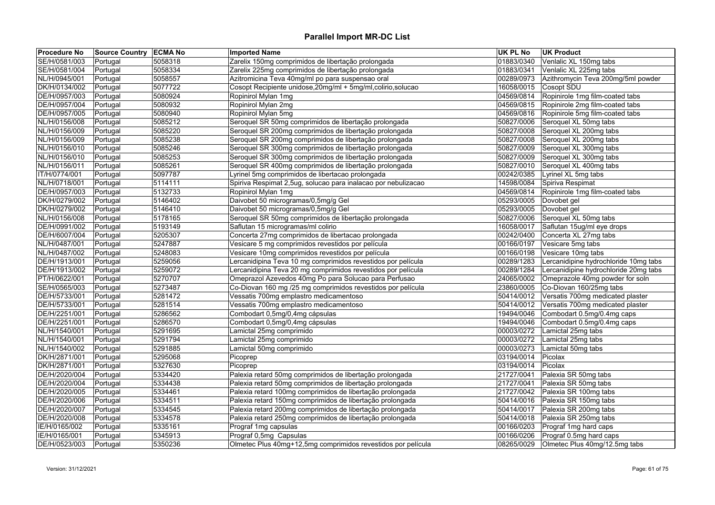| <b>Procedure No</b> | Source Country ECMA No |         | <b>Imported Name</b>                                          | <b>UK PL No</b> | <b>UK Product</b>                     |
|---------------------|------------------------|---------|---------------------------------------------------------------|-----------------|---------------------------------------|
| SE/H/0581/003       | Portugal               | 5058318 | Zarelix 150mg comprimidos de libertação prolongada            | 01883/0340      | Venlalic XL 150mg tabs                |
| SE/H/0581/004       | Portugal               | 5058334 | Zarelix 225mg comprimidos de libertação prolongada            | 01883/0341      | Venlalic XL 225mg tabs                |
| NL/H/0945/001       | Portugal               | 5058557 | Azitromicina Teva 40mg/ml po para suspensao oral              | 00289/0973      | Azithromycin Teva 200mg/5ml powder    |
| DK/H/0134/002       | Portugal               | 5077722 | Cosopt Recipiente unidose, 20mg/ml + 5mg/ml, colirio, solucao | 16058/0015      | Cosopt SDU                            |
| DE/H/0957/003       | Portugal               | 5080924 | Ropinirol Mylan 1mg                                           | 04569/0814      | Ropinirole 1mg film-coated tabs       |
| DE/H/0957/004       | Portugal               | 5080932 | Ropinirol Mylan 2mg                                           | 04569/0815      | Ropinirole 2mg film-coated tabs       |
| DE/H/0957/005       | Portugal               | 5080940 | Ropinirol Mylan 5mg                                           | 04569/0816      | Ropinirole 5mg film-coated tabs       |
| NL/H/0156/008       | Portugal               | 5085212 | Seroquel SR 50mg comprimidos de libertação prolongada         | 50827/0006      | Seroquel XL 50mg tabs                 |
| NL/H/0156/009       | Portugal               | 5085220 | Seroquel SR 200mg comprimidos de libertação prolongada        | 50827/0008      | Seroquel XL 200mg tabs                |
| NL/H/0156/009       | Portugal               | 5085238 | Seroquel SR 200mg comprimidos de libertação prolongada        | 50827/0008      | Seroquel XL 200mg tabs                |
| NL/H/0156/010       | Portugal               | 5085246 | Seroquel SR 300mg comprimidos de libertação prolongada        | 50827/0009      | Seroquel XL 300mg tabs                |
| NL/H/0156/010       | Portugal               | 5085253 | Seroquel SR 300mg comprimidos de libertação prolongada        | 50827/0009      | Seroquel XL 300mg tabs                |
| NL/H/0156/011       | Portugal               | 5085261 | Seroquel SR 400mg comprimidos de libertação prolongada        | 50827/0010      | Seroquel XL 400mg tabs                |
| IT/H/0774/001       | Portugal               | 5097787 | Lyrinel 5mg comprimidos de libertacao prolongada              | 00242/0385      | Lyrinel XL 5mg tabs                   |
| NL/H/0718/001       | Portugal               | 5114111 | Spiriva Respimat 2,5ug, solucao para inalacao por nebulizacao | 14598/0084      | Spiriva Respimat                      |
| DE/H/0957/003       | Portugal               | 5132733 | Ropinirol Mylan 1mg                                           | 04569/0814      | Ropinirole 1mg film-coated tabs       |
| DK/H/0279/002       | Portugal               | 5146402 | Daivobet 50 microgramas/0,5mg/g Gel                           | 05293/0005      | Dovobet gel                           |
| DK/H/0279/002       | Portugal               | 5146410 | Daivobet 50 microgramas/0,5mg/g Gel                           | 05293/0005      | Dovobet gel                           |
| NL/H/0156/008       | Portugal               | 5178165 | Seroquel SR 50mg comprimidos de libertação prolongada         | 50827/0006      | Seroquel XL 50mg tabs                 |
| DE/H/0991/002       | Portugal               | 5193149 | Saflutan 15 microgramas/ml colirio                            | 16058/0017      | Saflutan 15ug/ml eye drops            |
| DE/H/6007/004       | Portugal               | 5205307 | Concerta 27mg comprimidos de libertacao prolongada            | 00242/0400      | Concerta XL 27mg tabs                 |
| NL/H/0487/001       | Portugal               | 5247887 | Vesicare 5 mg comprimidos revestidos por película             | 00166/0197      | Vesicare 5mg tabs                     |
| NL/H/0487/002       | Portugal               | 5248083 | Vesicare 10mg comprimidos revestidos por película             | 00166/0198      | Vesicare 10mg tabs                    |
| DE/H/1913/001       | Portugal               | 5259056 | Lercanidipina Teva 10 mg comprimidos revestidos por película  | 00289/1283      | Lercanidipine hydrochloride 10mg tabs |
| DE/H/1913/002       | Portugal               | 5259072 | Lercanidipina Teva 20 mg comprimidos revestidos por película  | 00289/1284      | Lercanidipine hydrochloride 20mg tabs |
| PT/H/0622/001       | Portugal               | 5270707 | Omeprazol Azevedos 40mg Po para Solucao para Perfusao         | 24065/0002      | Omeprazole 40mg powder for soln       |
| SE/H/0565/003       | Portugal               | 5273487 | Co-Diovan 160 mg /25 mg comprimidos revestidos por película   | 23860/0005      | Co-Diovan 160/25mg tabs               |
| DE/H/5733/001       | Portugal               | 5281472 | Vessatis 700mg emplastro medicamentoso                        | 50414/0012      | Versatis 700mg medicated plaster      |
| DE/H/5733/001       | Portugal               | 5281514 | Vessatis 700mg emplastro medicamentoso                        | 50414/0012      | Versatis 700mg medicated plaster      |
| DE/H/2251/001       | Portugal               | 5286562 | Combodart 0,5mg/0,4mg cápsulas                                | 19494/0046      | Combodart 0.5mg/0.4mg caps            |
| DE/H/2251/001       | Portugal               | 5286570 | Combodart 0,5mg/0,4mg cápsulas                                | 19494/0046      | Combodart 0.5mg/0.4mg caps            |
| NL/H/1540/001       | Portugal               | 5291695 | Lamictal 25mg comprimido                                      | 00003/0272      | Lamictal 25mg tabs                    |
| NL/H/1540/001       | Portugal               | 5291794 | Lamictal 25mg comprimido                                      | 00003/0272      | Lamictal 25mg tabs                    |
| NL/H/1540/002       | Portugal               | 5291885 | Lamictal 50mg comprimido                                      | 00003/0273      | Lamictal 50mg tabs                    |
| DK/H/2871/001       | Portugal               | 5295068 | Picoprep                                                      | 03194/0014      | Picolax                               |
| DK/H/2871/001       | Portugal               | 5327630 | Picoprep                                                      | 03194/0014      | Picolax                               |
| DE/H/2020/004       | Portugal               | 5334420 | Palexia retard 50mg comprimidos de libertação prolongada      | 21727/0041      | Palexia SR 50mg tabs                  |
| DE/H/2020/004       | Portugal               | 5334438 | Palexia retard 50mg comprimidos de libertação prolongada      | 21727/0041      | Palexia SR 50mg tabs                  |
| DE/H/2020/005       | Portugal               | 5334461 | Palexia retard 100mg comprimidos de libertação prolongada     | 21727/0042      | Palexia SR 100mg tabs                 |
| DE/H/2020/006       | Portugal               | 5334511 | Palexia retard 150mg comprimidos de libertação prolongada     | 50414/0016      | Palexia SR 150mg tabs                 |
| DE/H/2020/007       | Portugal               | 5334545 | Palexia retard 200mg comprimidos de libertação prolongada     | 50414/0017      | Palexia SR 200mg tabs                 |
| DE/H/2020/008       | Portugal               | 5334578 | Palexia retard 250mg comprimidos de libertação prolongada     | 50414/0018      | Palexia SR 250mg tabs                 |
| IE/H/0165/002       | Portugal               | 5335161 | Prograf 1mg capsulas                                          | 00166/0203      | Prograf 1mg hard caps                 |
| IE/H/0165/001       | Portugal               | 5345913 | Prograf 0,5mg Capsulas                                        | 00166/0206      | Prograf 0.5mg hard caps               |
| DE/H/0523/003       | Portugal               | 5350236 | Olmetec Plus 40mg+12,5mg comprimidos revestidos por película  | 08265/0029      | Olmetec Plus 40mg/12.5mg tabs         |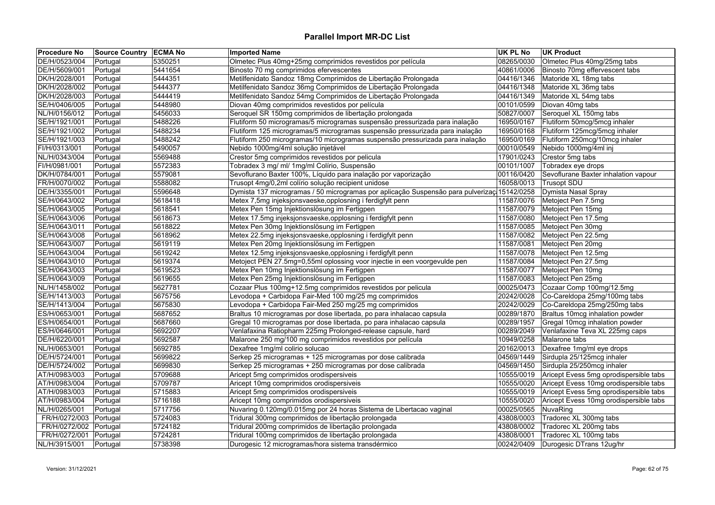| <b>Procedure No</b> | Source Country ECMA No |         | <b>Imported Name</b>                                                                         | <b>UK PL No</b> | <b>UK Product</b>                      |
|---------------------|------------------------|---------|----------------------------------------------------------------------------------------------|-----------------|----------------------------------------|
| DE/H/0523/004       | Portugal               | 5350251 | Olmetec Plus 40mg+25mg comprimidos revestidos por película                                   | 08265/0030      | Olmetec Plus 40mg/25mg tabs            |
| DE/H/5609/001       | Portugal               | 5441654 | Binosto 70 mg comprimidos efervescentes                                                      | 40861/0006      | Binosto 70mg effervescent tabs         |
| DK/H/2028/001       | Portugal               | 5444351 | Metilfenidato Sandoz 18mg Comprimidos de Libertação Prolongada                               | 04416/1346      | Matoride XL 18mg tabs                  |
| DK/H/2028/002       | Portugal               | 5444377 | Metilfenidato Sandoz 36mg Comprimidos de Libertação Prolongada                               | 04416/1348      | Matoride XL 36mg tabs                  |
| DK/H/2028/003       | Portugal               | 5444419 | Metilfenidato Sandoz 54mg Comprimidos de Libertação Prolongada                               | 04416/1349      | Matoride XL 54mg tabs                  |
| SE/H/0406/005       | Portugal               | 5448980 | Diovan 40mg comprimidos revestidos por película                                              | 00101/0599      | Diovan 40mg tabs                       |
| NL/H/0156/012       | Portugal               | 5456033 | Seroquel SR 150mg comprimidos de libertação prolongada                                       | 50827/0007      | Seroquel XL 150mg tabs                 |
| SE/H/1921/001       | Portugal               | 5488226 | Flutiform 50 microgramas/5 microgramas suspensão pressurizada para inalação                  | 16950/0167      | Flutiform 50mcg/5mcg inhaler           |
| SE/H/1921/002       | Portugal               | 5488234 | Flutiform 125 microgramas/5 microgramas suspensão pressurizada para inalação                 | 16950/0168      | Flutiform 125mcg/5mcg inhaler          |
| SE/H/1921/003       | Portugal               | 5488242 | Flutiform 250 microgramas/10 microgramas suspensão pressurizada para inalação                | 16950/0169      | Flutiform 250mcg/10mcg inhaler         |
| FI/H/0313/001       | Portugal               | 5490057 | Nebido 1000mg/4ml solução injetável                                                          | 00010/0549      | Nebido 1000mg/4ml inj                  |
| NL/H/0343/004       | Portugal               | 5569488 | Crestor 5mg comprimidos revestidos por pelicula                                              | 17901/0243      | Crestor 5mg tabs                       |
| FI/H/0981/001       | Portugal               | 5572383 | Tobradex 3 mg/ ml/ 1mg/ml Colírio, Suspensão                                                 | 00101/1007      | Tobradex eye drops                     |
| DK/H/0784/001       | Portugal               | 5579081 | Sevoflurano Baxter 100%, Líquido para inalação por vaporização                               | 00116/0420      | Sevoflurane Baxter inhalation vapour   |
| FR/H/0070/002       | Portugal               | 5588082 | Trusopt 4mg/0,2ml colírio solução recipient unidose                                          | 16058/0013      | Trusopt SDU                            |
| DE/H/3355/001       | Portugal               | 5596648 | Dymista 137 microgramas / 50 microgramas por aplicação Suspensão para pulverizaçi 15142/0258 |                 | Dymista Nasal Spray                    |
| SE/H/0643/002       | Portugal               | 5618418 | Metex 7,5mg injeksjonsvaeske, opplosning i ferdigfylt penn                                   | 11587/0076      | Metoject Pen 7.5mg                     |
| SE/H/0643/005       | Portugal               | 5618541 | Metex Pen 15mg Injektionslösung im Fertigpen                                                 | 11587/0079      | Metoject Pen 15mg                      |
| SE/H/0643/006       | Portugal               | 5618673 | Metex 17.5mg injeksjonsvaeske, opplosning i ferdigfylt penn                                  | 11587/0080      | Metoject Pen 17.5mg                    |
| SE/H/0643/011       | Portugal               | 5618822 | Metex Pen 30mg Injektionslösung im Fertigpen                                                 | 11587/0085      | Metoject Pen 30mg                      |
| SE/H/0643/008       | Portugal               | 5618962 | Metex 22.5mg injeksjonsvaeske, opplosning i ferdigfylt penn                                  | 11587/0082      | Metoject Pen 22.5mg                    |
| SE/H/0643/007       | Portugal               | 5619119 | Metex Pen 20mg Injektionslösung im Fertigpen                                                 | 11587/0081      | Metoject Pen 20mg                      |
| SE/H/0643/004       | Portugal               | 5619242 | Metex 12.5mg injeksjonsvaeske, opplosning i ferdigfylt penn                                  | 11587/0078      | Metoject Pen 12.5mg                    |
| SE/H/0643/010       | Portugal               | 5619374 | Metoject PEN 27.5mg=0,55ml oplossing voor injectie in een voorgevulde pen                    | 11587/0084      | Metoject Pen 27.5mg                    |
| SE/H/0643/003       | Portugal               | 5619523 | Metex Pen 10mg Injektionslösung im Fertigpen                                                 | 11587/0077      | Metoject Pen 10mg                      |
| SE/H/0643/009       | Portugal               | 5619655 | Metex Pen 25mg Injektionslösung im Fertigpen                                                 | 11587/0083      | Metoject Pen 25mg                      |
| NL/H/1458/002       | Portugal               | 5627781 | Cozaar Plus 100mg+12.5mg comprimidos revestidos por pelicula                                 | 00025/0473      | Cozaar Comp 100mg/12.5mg               |
| SE/H/1413/003       | Portugal               | 5675756 | Levodopa + Carbidopa Fair-Med 100 mg/25 mg comprimidos                                       | 20242/0028      | Co-Careldopa 25mg/100mg tabs           |
| SE/H/1413/004       | Portugal               | 5675830 | Levodopa + Carbidopa Fair-Med 250 mg/25 mg comprimidos                                       | 20242/0029      | Co-Careldopa 25mg/250mg tabs           |
| ES/H/0653/001       | Portugal               | 5687652 | Braltus 10 microgramas por dose libertada, po para inhalacao capsula                         | 00289/1870      | Braltus 10mcg inhalation powder        |
| ES/H/0654/001       | Portugal               | 5687660 | Gregal 10 microgramas por dose libertada, po para inhalacao capsula                          | 00289/1957      | Gregal 10mcg inhalation powder         |
| ES/H/0646/001       | Portugal               | 5692207 | Venlafaxina Ratiopharm 225mg Prolonged-release capsule, hard                                 | 00289/2049      | Venlafaxine Teva XL 225mg caps         |
| DE/H/6220/001       | Portugal               | 5692587 | Malarone 250 mg/100 mg comprimidos revestidos por película                                   | 10949/0258      | Malarone tabs                          |
| NL/H/0653/001       | Portugal               | 5692785 | Dexafree 1mg/ml colirio solucao                                                              | 20162/0013      | Dexafree 1mg/ml eye drops              |
| DE/H/5724/001       | Portugal               | 5699822 | Serkep 25 microgramas + 125 microgramas por dose calibrada                                   | 04569/1449      | Sirdupla 25/125mcg inhaler             |
| DE/H/5724/002       | Portugal               | 5699830 | Serkep 25 microgramas + 250 microgramas por dose calibrada                                   | 04569/1450      | Sirdupla 25/250mcg inhaler             |
| AT/H/0983/003       | Portugal               | 5709688 | Aricept 5mg comprimidos orodispersiveis                                                      | 10555/0019      | Aricept Evess 5mg oprodispersible tabs |
| AT/H/0983/004       | Portugal               | 5709787 | Aricept 10mg comprimidos orodispersiveis                                                     | 10555/0020      | Aricept Evess 10mg orodispersible tabs |
| AT/H/0983/003       | Portugal               | 5715883 | Aricept 5mg comprimidos orodispersiveis                                                      | 10555/0019      | Aricept Evess 5mg oprodispersible tabs |
| AT/H/0983/004       | Portugal               | 5716188 | Aricept 10mg comprimidos orodispersiveis                                                     | 10555/0020      | Aricept Evess 10mg orodispersible tabs |
| NL/H/0265/001       | Portugal               | 5717756 | Nuvaring 0.120mg/0.015mg por 24 horas Sistema de Libertacao vaginal                          | 00025/0565      | NuvaRing                               |
| FR/H/0272/003       | Portugal               | 5724083 | Tridural 300mg comprimidos de libertação prolongada                                          | 43808/0003      | Tradorec XL 300mg tabs                 |
| FR/H/0272/002       | Portugal               | 5724182 | Tridural 200mg comprimidos de libertação prolongada                                          | 43808/0002      | Tradorec XL 200mg tabs                 |
| FR/H/0272/001       | Portugal               | 5724281 | Tridural 100mg comprimidos de libertação prolongada                                          | 43808/0001      | Tradorec XL 100mg tabs                 |
| NL/H/3915/001       | Portugal               | 5738398 | Durogesic 12 microgramas/hora sistema transdérmico                                           | 00242/0409      | Durogesic DTrans 12ug/hr               |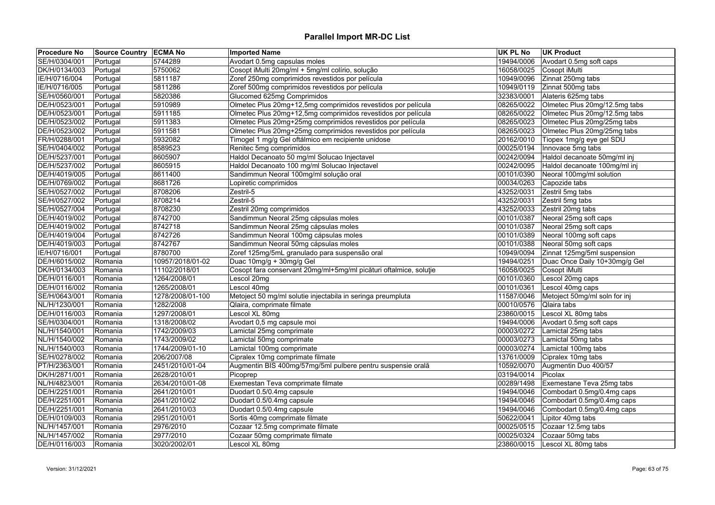| <b>Procedure No</b> | <b>Source Country ECMA No</b> |                  | <b>Imported Name</b>                                              | <b>UK PL No</b> | <b>UK Product</b>             |
|---------------------|-------------------------------|------------------|-------------------------------------------------------------------|-----------------|-------------------------------|
| SE/H/0304/001       | Portugal                      | 5744289          | Avodart 0.5mg capsulas moles                                      | 19494/0006      | Avodart 0.5mg soft caps       |
| DK/H/0134/003       | Portugal                      | 5750062          | Cosopt iMulti 20mg/ml + 5mg/ml colírio, solução                   | 16058/0025      | Cosopt iMulti                 |
| IE/H/0716/004       | Portugal                      | 5811187          | Zoref 250mg comprimidos revestidos por película                   | 10949/0096      | Zinnat 250mg tabs             |
| IE/H/0716/005       | Portugal                      | 5811286          | Zoref 500mg comprimidos revestidos por película                   | 10949/0119      | Zinnat 500mg tabs             |
| SE/H/0560/001       | Portugal                      | 5820386          | Glucomed 625mg Comprimidos                                        | 32383/0001      | Alateris 625mg tabs           |
| DE/H/0523/001       | Portugal                      | 5910989          | Olmetec Plus 20mg+12,5mg comprimidos revestidos por película      | 08265/0022      | Olmetec Plus 20mg/12.5mg tabs |
| DE/H/0523/001       | Portugal                      | 5911185          | Olmetec Plus 20mg+12,5mg comprimidos revestidos por película      | 08265/0022      | Olmetec Plus 20mg/12.5mg tabs |
| DE/H/0523/002       | Portugal                      | 5911383          | Olmetec Plus 20mg+25mg comprimidos revestidos por película        | 08265/0023      | Olmetec Plus 20mg/25mg tabs   |
| DE/H/0523/002       | Portugal                      | 5911581          | Olmetec Plus 20mg+25mg comprimidos revestidos por película        | 08265/0023      | Olmetec Plus 20mg/25mg tabs   |
| FR/H/0288/001       | Portugal                      | 5932082          | Timogel 1 mg/g Gel oftálmico em recipiente unidose                | 20162/0010      | Tiopex 1mg/g eye gel SDU      |
| SE/H/0404/002       | Portugal                      | 8589523          | Renitec 5mg comprimidos                                           | 00025/0194      | Innovace 5mg tabs             |
| DE/H/5237/001       | Portugal                      | 8605907          | Haldol Decanoato 50 mg/ml Solucao Injectavel                      | 00242/0094      | Haldol decanoate 50mg/ml inj  |
| DE/H/5237/002       | Portugal                      | 8605915          | Haldol Decanoato 100 mg/ml Solucao Injectavel                     | 00242/0095      | Haldol decanoate 100mg/ml inj |
| DE/H/4019/005       | Portugal                      | 8611400          | Sandimmun Neoral 100mg/ml solução oral                            | 00101/0390      | Neoral 100mg/ml solution      |
| DE/H/0769/002       | Portugal                      | 8681726          | Lopiretic comprimidos                                             | 00034/0263      | Capozide tabs                 |
| SE/H/0527/002       | Portugal                      | 8708206          | Zestril-5                                                         | 43252/0031      | Zestril 5mg tabs              |
| SE/H/0527/002       | Portugal                      | 8708214          | Zestril-5                                                         | 43252/0031      | Zestril 5mg tabs              |
| SE/H/0527/004       | Portugal                      | 8708230          | Zestril 20mg comprimidos                                          | 43252/0033      | Zestril 20mg tabs             |
| DE/H/4019/002       | Portugal                      | 8742700          | Sandimmun Neoral 25mg cápsulas moles                              | 00101/0387      | Neoral 25mg soft caps         |
| DE/H/4019/002       | Portugal                      | 8742718          | Sandimmun Neoral 25mg cápsulas moles                              | 00101/0387      | Neoral 25mg soft caps         |
| DE/H/4019/004       | Portugal                      | 8742726          | Sandimmun Neoral 100mg cápsulas moles                             | 00101/0389      | Neoral 100mg soft caps        |
| DE/H/4019/003       | Portugal                      | 8742767          | Sandimmun Neoral 50mg cápsulas moles                              | 00101/0388      | Neoral 50mg soft caps         |
| IE/H/0716/001       | Portugal                      | 8780700          | Zoref 125mg/5mL granulado para suspensão oral                     | 10949/0094      | Zinnat 125mg/5ml suspension   |
| DE/H/6015/002       | Romania                       | 10957/2018/01-02 | Duac 10mg/g + 30mg/g Gel                                          | 19494/0251      | Duac Once Daily 10+30mg/g Gel |
| DK/H/0134/003       | Romania                       | 11102/2018/01    | Cosopt fara conservant 20mg/ml+5mg/ml picături oftalmice, soluție | 16058/0025      | Cosopt iMulti                 |
| DE/H/0116/001       | Romania                       | 1264/2008/01     | Lescol 20mq                                                       | 00101/0360      | Lescol 20mg caps              |
| DE/H/0116/002       | Romania                       | 1265/2008/01     | Lescol 40mg                                                       | 00101/0361      | Lescol 40mg caps              |
| SE/H/0643/001       | Romania                       | 1278/2008/01-100 | Metoject 50 mg/ml solutie injectabila in seringa preumpluta       | 11587/0046      | Metoject 50mg/ml soln for inj |
| NL/H/1230/001       | Romania                       | 1282/2008        | Qlaira, comprimate filmate                                        | 00010/0576      | Qlaira tabs                   |
| DE/H/0116/003       | Romania                       | 1297/2008/01     | Lescol XL 80mg                                                    | 23860/0015      | Lescol XL 80mg tabs           |
| SE/H/0304/001       | Romania                       | 1318/2008/02     | Avodart 0,5 mg capsule moi                                        | 19494/0006      | Avodart 0.5mg soft caps       |
| NL/H/1540/001       | Romania                       | 1742/2009/03     | Lamictal 25mg comprimate                                          | 00003/0272      | Lamictal 25mg tabs            |
| NL/H/1540/002       | Romania                       | 1743/2009/02     | Lamictal 50mg comprimate                                          | 00003/0273      | Lamictal 50mg tabs            |
| NL/H/1540/003       | Romania                       | 1744/2009/01-10  | Lamictal 100mg comprimate                                         | 00003/0274      | Lamictal 100mg tabs           |
| SE/H/0278/002       | Romania                       | 206/2007/08      | Cipralex 10mg comprimate filmate                                  | 13761/0009      | Cipralex 10mg tabs            |
| PT/H/2363/001       | Romania                       | 2451/2010/01-04  | Augmentin BIS 400mg/57mg/5ml pulbere pentru suspensie orală       | 10592/0070      | Augmentin Duo 400/57          |
| DK/H/2871/001       | Romania                       | 2628/2010/01     | Picoprep                                                          | 03194/0014      | Picolax                       |
| NL/H/4823/001       | Romania                       | 2634/2010/01-08  | Exemestan Teva comprimate filmate                                 | 00289/1498      | Exemestane Teva 25mg tabs     |
| DE/H/2251/001       | Romania                       | 2641/2010/01     | Duodart 0.5/0.4mg capsule                                         | 19494/0046      | Combodart 0.5mg/0.4mg caps    |
| DE/H/2251/001       | Romania                       | 2641/2010/02     | Duodart 0.5/0.4mg capsule                                         | 19494/0046      | Combodart 0.5mg/0.4mg caps    |
| DE/H/2251/001       | Romania                       | 2641/2010/03     | Duodart 0.5/0.4mg capsule                                         | 19494/0046      | Combodart 0.5mg/0.4mg caps    |
| DE/H/0109/003       |                               | 2951/2010/01     | Sortis 40mg comprimate filmate                                    | 50622/0041      | Lipitor 40mg tabs             |
| NL/H/1457/001       | Romania                       |                  |                                                                   | 00025/0515      |                               |
|                     | Romania                       | 2976/2010        | Cozaar 12.5mg comprimate filmate                                  |                 | Cozaar 12.5mg tabs            |
| NL/H/1457/002       | Romania                       | 2977/2010        | Cozaar 50mg comprimate filmate                                    | 00025/0324      | Cozaar 50mg tabs              |
| DE/H/0116/003       | Romania                       | 3020/2002/01     | Lescol XL 80mg                                                    | 23860/0015      | Lescol XL 80mg tabs           |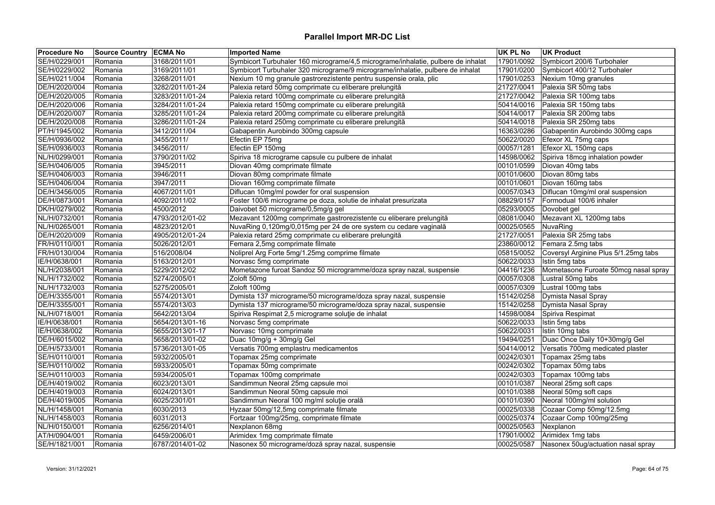| <b>Procedure No</b> | Source Country ECMA No |                 | <b>Imported Name</b>                                                             | <b>UK PL No</b> | <b>UK Product</b>                    |
|---------------------|------------------------|-----------------|----------------------------------------------------------------------------------|-----------------|--------------------------------------|
| SE/H/0229/001       | Romania                | 3168/2011/01    | Symbicort Turbuhaler 160 micrograme/4,5 micrograme/inhalatie, pulbere de inhalat | 17901/0092      | Symbicort 200/6 Turbohaler           |
| SE/H/0229/002       | Romania                | 3169/2011/01    | Symbicort Turbuhaler 320 micrograme/9 micrograme/inhalatie, pulbere de inhalat   | 17901/0200      | Symbicort 400/12 Turbohaler          |
| SE/H/0211/004       | Romania                | 3268/2011/01    | Nexium 10 mg granule gastrorezistente pentru suspensie orala, plic               | 17901/0253      | Nexium 10mg granules                 |
| DE/H/2020/004       | Romania                | 3282/2011/01-24 | Palexia retard 50mg comprimate cu eliberare prelungită                           | 21727/0041      | Palexia SR 50mg tabs                 |
| DE/H/2020/005       | Romania                | 3283/2011/01-24 | Palexia retard 100mg comprimate cu eliberare prelungită                          | 21727/0042      | Palexia SR 100mg tabs                |
| DE/H/2020/006       | Romania                | 3284/2011/01-24 | Palexia retard 150mg comprimate cu eliberare prelungită                          | 50414/0016      | Palexia SR 150mg tabs                |
| DE/H/2020/007       | Romania                | 3285/2011/01-24 | Palexia retard 200mg comprimate cu eliberare prelungită                          | 50414/0017      | Palexia SR 200mg tabs                |
| DE/H/2020/008       | Romania                | 3286/2011/01-24 | Palexia retard 250mg comprimate cu eliberare prelungită                          | 50414/0018      | Palexia SR 250mg tabs                |
| PT/H/1945/002       | Romania                | 3412/2011/04    | Gabapentin Aurobindo 300mg capsule                                               | 16363/0286      | Gabapentin Aurobindo 300mg caps      |
| SE/H/0936/002       | Romania                | 3455/2011/      | Efectin EP 75mg                                                                  | 50622/0020      | Efexor XL 75mg caps                  |
| SE/H/0936/003       | Romania                | 3456/2011/      | Efectin EP 150mg                                                                 | 00057/1281      | Efexor XL 150mg caps                 |
| NL/H/0299/001       | Romania                | 3790/2011/02    | Spiriva 18 micrograme capsule cu pulbere de inhalat                              | 14598/0062      | Spiriva 18mcg inhalation powder      |
| SE/H/0406/005       | Romania                | 3945/2011       | Diovan 40mg comprimate filmate                                                   | 00101/0599      | Diovan 40mg tabs                     |
| SE/H/0406/003       | Romania                | 3946/2011       | Diovan 80mg comprimate filmate                                                   | 00101/0600      | Diovan 80mg tabs                     |
| SE/H/0406/004       | Romania                | 3947/2011       | Diovan 160mg comprimate filmate                                                  | 00101/0601      | Diovan 160mg tabs                    |
| DE/H/3456/005       | Romania                | 4067/2011/01    | Diflucan 10mg/ml powder for oral suspension                                      | 00057/0343      | Diflucan 10mg/ml oral suspension     |
| DE/H/0873/001       | Romania                | 4092/2011/02    | Foster 100/6 micrograme pe doza, solutie de inhalat presurizata                  | 08829/0157      | Formodual 100/6 inhaler              |
| DK/H/0279/002       | Romania                | 4500/2012       | Daivobet 50 micrograme/0,5mg/g gel                                               | 05293/0005      | Dovobet gel                          |
| NL/H/0732/001       | Romania                | 4793/2012/01-02 | Mezavant 1200mg comprimate gastrorezistente cu eliberare prelungită              | 08081/0040      | Mezavant XL 1200mg tabs              |
| NL/H/0265/001       | Romania                | 4823/2012/01    | NuvaRing 0,120mg/0,015mg per 24 de ore system cu cedare vaginală                 | 00025/0565      | NuvaRing                             |
| DE/H/2020/009       | Romania                | 4905/2012/01-24 | Palexia retard 25mg comprimate cu eliberare prelungită                           | 21727/0051      | Palexia SR 25mg tabs                 |
| FR/H/0110/001       | Romania                | 5026/2012/01    | Femara 2,5mg comprimate filmate                                                  | 23860/0012      | Femara 2.5mg tabs                    |
| FR/H/0130/004       | Romania                | 516/2008/04     | Noliprel Arg Forte 5mg/1.25mg comprime filmate                                   | 05815/0052      | Coversyl Arginine Plus 5/1.25mg tabs |
| IE/H/0638/001       | Romania                | 5163/2012/01    | Norvasc 5mg comprimate                                                           | 50622/0033      | Istin 5mg tabs                       |
| NL/H/2038/001       | Romania                | 5229/2012/02    | Mometazone furoat Sandoz 50 microgramme/doza spray nazal, suspensie              | 04416/1236      | Mometasone Furoate 50mcg nasal spray |
| NL/H/1732/002       | Romania                | 5274/2005/01    | Zoloft 50mg                                                                      | 00057/0308      | Lustral 50mg tabs                    |
| NL/H/1732/003       | Romania                | 5275/2005/01    | Zoloft 100mg                                                                     | 00057/0309      | Lustral 100mg tabs                   |
| DE/H/3355/001       | Romania                | 5574/2013/01    | Dymista 137 micrograme/50 micrograme/doza spray nazal, suspensie                 | 15142/0258      | Dymista Nasal Spray                  |
| DE/H/3355/001       | Romania                | 5574/2013/03    | Dymista 137 micrograme/50 micrograme/doza spray nazal, suspensie                 | 15142/0258      | Dymista Nasal Spray                  |
| NL/H/0718/001       | Romania                | 5642/2013/04    | Spiriva Respimat 2,5 micrograme soluție de inhalat                               | 14598/0084      | Spiriva Respimat                     |
| IE/H/0638/001       | Romania                | 5654/2013/01-16 | Norvasc 5mg comprimate                                                           | 50622/0033      | Istin 5mg tabs                       |
| IE/H/0638/002       | Romania                | 5655/2013/01-17 | Norvasc 10mg comprimate                                                          | 50622/0031      | Istin 10mg tabs                      |
| DE/H/6015/002       | Romania                | 5658/2013/01-02 | Duac 10mg/g + 30mg/g Gel                                                         | 19494/0251      | Duac Once Daily 10+30mg/g Gel        |
| DE/H/5733/001       | Romania                | 5736/2013/01-05 | Versatis 700mg emplastru medicamentos                                            | 50414/0012      | Versatis 700mg medicated plaster     |
| SE/H/0110/001       | Romania                | 5932/2005/01    | Topamax 25mg comprimate                                                          | 00242/0301      | Topamax 25mg tabs                    |
| SE/H/0110/002       | Romania                | 5933/2005/01    | Topamax 50mg comprimate                                                          | 00242/0302      | Topamax 50mg tabs                    |
| SE/H/0110/003       | Romania                | 5934/2005/01    | Topamax 100mg comprimate                                                         | 00242/0303      | Topamax 100mg tabs                   |
| DE/H/4019/002       | Romania                | 6023/2013/01    | Sandimmun Neoral 25mg capsule moi                                                | 00101/0387      | Neoral 25mg soft caps                |
| DE/H/4019/003       | Romania                | 6024/2013/01    | Sandimmun Neoral 50mg capsule moi                                                | 00101/0388      | Neoral 50mg soft caps                |
| DE/H/4019/005       | Romania                | 6025/2301/01    | Sandimmun Neoral 100 mg/ml soluție orală                                         | 00101/0390      | Neoral 100mg/ml solution             |
| NL/H/1458/001       | Romania                | 6030/2013       | Hyzaar 50mg/12,5mg comprimate filmate                                            | 00025/0338      | Cozaar Comp 50mg/12.5mg              |
| NL/H/1458/003       | Romania                | 6031/2013       | Fortzaar 100mg/25mg, comprimate filmate                                          | 00025/0374      | Cozaar Comp 100mg/25mg               |
| NL/H/0150/001       | Romania                | 6256/2014/01    | Nexplanon 68mg                                                                   | 00025/0563      | Nexplanon                            |
| AT/H/0904/001       | Romania                | 6459/2006/01    | Arimidex 1mg comprimate filmate                                                  | 17901/0002      | Arimidex 1mg tabs                    |
| SE/H/1821/001       | Romania                | 6787/2014/01-02 | Nasonex 50 micrograme/doză spray nazal, suspensie                                | 00025/0587      | Nasonex 50ug/actuation nasal spray   |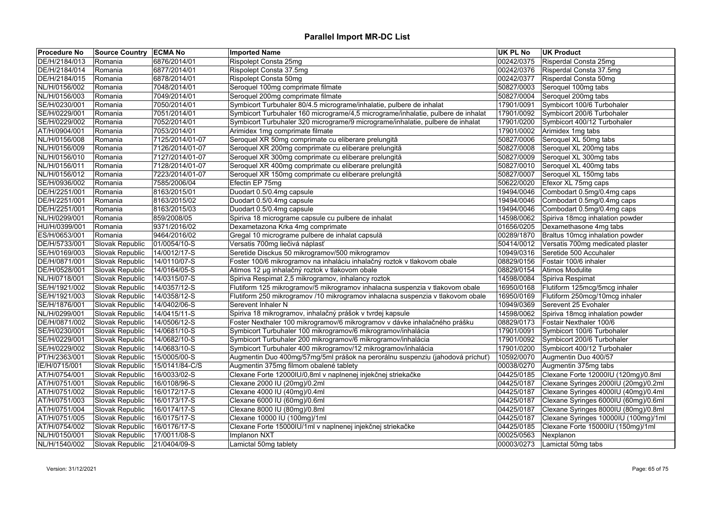| <b>Procedure No</b> | Source Country ECMA No |                 | <b>Imported Name</b>                                                             | <b>UK PL No</b> | <b>UK Product</b>                    |
|---------------------|------------------------|-----------------|----------------------------------------------------------------------------------|-----------------|--------------------------------------|
| DE/H/2184/013       | Romania                | 6876/2014/01    | Rispolept Consta 25mg                                                            | 00242/0375      | Risperdal Consta 25mg                |
| DE/H/2184/014       | Romania                | 6877/2014/01    | Rispolept Consta 37.5mg                                                          | 00242/0376      | Risperdal Consta 37.5mg              |
| DE/H/2184/015       | Romania                | 6878/2014/01    | Rispolept Consta 50mg                                                            | 00242/0377      | Risperdal Consta 50mg                |
| NL/H/0156/002       | Romania                | 7048/2014/01    | Seroquel 100mg comprimate filmate                                                | 50827/0003      | Seroquel 100mg tabs                  |
| NL/H/0156/003       | Romania                | 7049/2014/01    | Seroquel 200mg comprimate filmate                                                | 50827/0004      | Seroquel 200mg tabs                  |
| SE/H/0230/001       | Romania                | 7050/2014/01    | Symbicort Turbuhaler 80/4.5 micrograme/inhalatie, pulbere de inhalat             | 17901/0091      | Symbicort 100/6 Turbohaler           |
| SE/H/0229/001       | Romania                | 7051/2014/01    | Symbicort Turbuhaler 160 micrograme/4,5 micrograme/inhalatie, pulbere de inhalat | 17901/0092      | Symbicort 200/6 Turbohaler           |
| SE/H/0229/002       | Romania                | 7052/2014/01    | Symbicort Turbuhaler 320 micrograme/9 micrograme/inhalatie, pulbere de inhalat   | 17901/0200      | Symbicort 400/12 Turbohaler          |
| AT/H/0904/001       | Romania                | 7053/2014/01    | Arimidex 1mg comprimate filmate                                                  | 17901/0002      | Arimidex 1mg tabs                    |
| NL/H/0156/008       | Romania                | 7125/2014/01-07 | Seroquel XR 50mg comprimate cu eliberare prelungită                              | 50827/0006      | Seroquel XL 50mg tabs                |
| NL/H/0156/009       | Romania                | 7126/2014/01-07 | Seroquel XR 200mg comprimate cu eliberare prelungită                             | 50827/0008      | Seroquel XL 200mg tabs               |
| NL/H/0156/010       | Romania                | 7127/2014/01-07 | Seroquel XR 300mg comprimate cu eliberare prelungită                             | 50827/0009      | Seroquel XL 300mg tabs               |
| NL/H/0156/011       | Romania                | 7128/2014/01-07 | Seroquel XR 400mg comprimate cu eliberare prelungită                             | 50827/0010      | Seroquel XL 400mg tabs               |
| NL/H/0156/012       | Romania                | 7223/2014/01-07 | Seroquel XR 150mg comprimate cu eliberare prelungită                             | 50827/0007      | Seroquel XL 150mg tabs               |
| SE/H/0936/002       | Romania                | 7585/2006/04    | Efectin EP 75mg                                                                  | 50622/0020      | Efexor XL 75mg caps                  |
| DE/H/2251/001       | Romania                | 8163/2015/01    | Duodart 0.5/0.4mg capsule                                                        | 19494/0046      | Combodart 0.5mg/0.4mg caps           |
| DE/H/2251/001       | Romania                | 8163/2015/02    | Duodart 0.5/0.4mg capsule                                                        | 19494/0046      | Combodart 0.5mg/0.4mg caps           |
| DE/H/2251/001       | Romania                | 8163/2015/03    | Duodart 0.5/0.4mg capsule                                                        | 19494/0046      | Combodart 0.5mg/0.4mg caps           |
| NL/H/0299/001       | Romania                | 859/2008/05     | Spiriva 18 micrograme capsule cu pulbere de inhalat                              | 14598/0062      | Spiriva 18mcg inhalation powder      |
| HU/H/0399/001       | Romania                | 9371/2016/02    | Dexametazona Krka 4mg comprimate                                                 | 01656/0205      | Dexamethasone 4mg tabs               |
| ES/H/0653/001       | Romania                | 9464/2016/02    | Gregal 10 micrograme pulbere de inhalat capsulă                                  | 00289/1870      | Braltus 10mcg inhalation powder      |
| DE/H/5733/001       | Slovak Republic        | 01/0054/10-S    | Versatis 700mg liečivá náplasť                                                   | 50414/0012      | Versatis 700mg medicated plaster     |
| SE/H/0169/003       | Slovak Republic        | 14/0012/17-S    | Seretide Disckus 50 mikrogramov/500 mikrogramov                                  | 10949/0316      | Seretide 500 Accuhaler               |
| DE/H/0871/001       | Slovak Republic        | 14/0110/07-S    | Foster 100/6 mikrogramov na inhaláciu inhalačný roztok v tlakovom obale          | 08829/0156      | Fostair 100/6 inhaler                |
| DE/H/0528/001       | Slovak Republic        | 14/0164/05-S    | Atimos 12 µg inhalačný roztok v tlakovom obale                                   | 08829/0154      | Atimos Modulite                      |
| NL/H/0718/001       | Slovak Republic        | 14/0315/07-S    | Spiriva Respimat 2,5 mikrogramov, inhalancy roztok                               | 14598/0084      | Spiriva Respimat                     |
| SE/H/1921/002       | Slovak Republic        | 14/0357/12-S    | Flutiform 125 mikrogramov/5 mikrogramov inhalacna suspenzia v tlakovom obale     | 16950/0168      | Flutiform 125mcg/5mcg inhaler        |
| SE/H/1921/003       | Slovak Republic        | 14/0358/12-S    | Flutiform 250 mikrogramov /10 mikrogramov inhalacna suspenzia v tlakovom obale   | 16950/0169      | Flutiform 250mcg/10mcg inhaler       |
| SE/H/1876/001       | Slovak Republic        | 14/0402/06-S    | Serevent Inhaler N                                                               | 10949/0369      | Serevent 25 Evohaler                 |
| NL/H/0299/001       | Slovak Republic        | 14/0415/11-S    | Spiriva 18 mikrogramov, inhalačný prášok v tvrdej kapsule                        | 14598/0062      | Spiriva 18mcg inhalation powder      |
| DE/H/0871/002       | Slovak Republic        | 14/0506/12-S    | Foster Nexthaler 100 mikrogramov/6 mikrogramov v dávke inhalačného prášku        | 08829/0173      | Fostair Nexthaler 100/6              |
| SE/H/0230/001       | Slovak Republic        | 14/0681/10-S    | Symbicort Turbuhaler 100 mikrogramov/6 mikrogramov/inhalácia                     | 17901/0091      | Symbicort 100/6 Turbohaler           |
| SE/H/0229/001       | Slovak Republic        | 14/0682/10-S    | Symbicort Turbuhaler 200 mikrogramov/6 mikrogramov/inhalácia                     | 17901/0092      | Symbicort 200/6 Turbohaler           |
| SE/H/0229/002       | Slovak Republic        | 14/0683/10-S    | Symbicort Turbuhaler 400 mikrogramov/12 mikrogramov/inhalácia                    | 17901/0200      | Symbicort 400/12 Turbohaler          |
| PT/H/2363/001       | Slovak Republic        | 15/0005/00-S    | Augmentin Duo 400mg/57mg/5ml prášok na perorálnu suspenziu (jahodová príchuť)    | 10592/0070      | Augmentin Duo 400/57                 |
| IE/H/0715/001       | Slovak Republic        | 15/0141/84-C/S  | Augmentin 375mg filmom obalené tablety                                           | 00038/0270      | Augmentin 375mg tabs                 |
| AT/H/0754/001       | Slovak Republic        | 16/0033/02-S    | Clexane Forte 12000IU/0,8ml v naplnenej injekčnej striekačke                     | 04425/0185      | Clexane Forte 12000IU (120mg)/0.8ml  |
| AT/H/0751/001       | Slovak Republic        | 16/0108/96-S    | Clexane 2000 IU (20mg)/0.2ml                                                     | 04425/0187      | Clexane Syringes 2000IU (20mg)/0.2ml |
| AT/H/0751/002       | Slovak Republic        | 16/0172/17-S    | Clexane 4000 IU (40mg)/0.4ml                                                     | 04425/0187      | Clexane Syringes 4000IU (40mg)/0.4ml |
| AT/H/0751/003       | Slovak Republic        | 16/0173/17-S    | Clexane 6000 IU (60mg)/0.6ml                                                     | 04425/0187      | Clexane Syringes 6000IU (60mg)/0.6ml |
| AT/H/0751/004       | Slovak Republic        | 16/0174/17-S    | Clexane 8000 IU (80mg)/0.8ml                                                     | 04425/0187      | Clexane Syringes 8000IU (80mg)/0.8ml |
| AT/H/0751/005       | Slovak Republic        | 16/0175/17-S    | Clexane 10000 IU (100mg)/1ml                                                     | 04425/0187      | Clexane Syringes 10000IU (100mg)/1ml |
| AT/H/0754/002       | Slovak Republic        | 16/0176/17-S    | Clexane Forte 15000IU/1ml v naplnenej injekčnej striekačke                       | 04425/0185      | Clexane Forte 15000IU (150mg)/1ml    |
| NL/H/0150/001       | Slovak Republic        | 17/0011/08-S    | Implanon NXT                                                                     | 00025/0563      | Nexplanon                            |
| NL/H/1540/002       | Slovak Republic        | 21/0404/09-S    | Lamictal 50mg tablety                                                            | 00003/0273      | Lamictal 50mg tabs                   |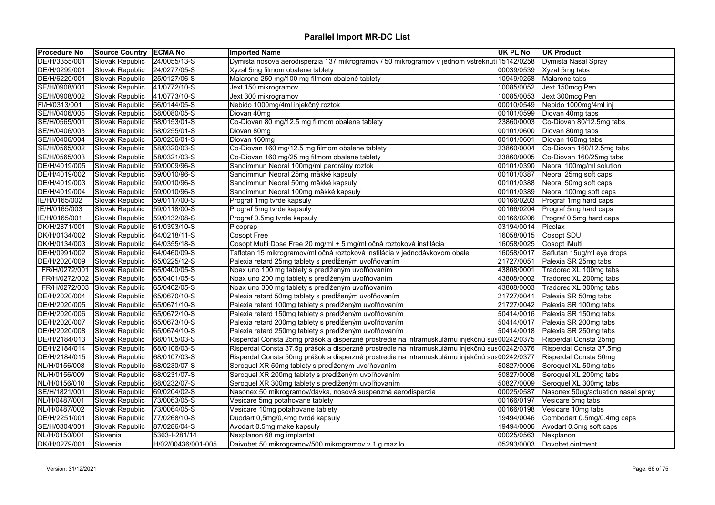| <b>Procedure No</b> | Source Country ECMA No |                    | <b>Imported Name</b>                                                                            | <b>UK PL No</b> | <b>UK Product</b>                  |
|---------------------|------------------------|--------------------|-------------------------------------------------------------------------------------------------|-----------------|------------------------------------|
| DE/H/3355/001       | Slovak Republic        | 24/0055/13-S       | Dymista nosová aerodisperzia 137 mikrogramov / 50 mikrogramov v jednom vstreknutí 15142/0258    |                 | Dymista Nasal Spray                |
| DE/H/0299/001       | Slovak Republic        | 24/0277/05-S       | Xyzal 5mg filmom obalene tablety                                                                | 00039/0539      | Xyzal 5mg tabs                     |
| DE/H/6220/001       | Slovak Republic        | 25/0127/06-S       | Malarone 250 mg/100 mg filmom obalené tablety                                                   | 10949/0258      | Malarone tabs                      |
| SE/H/0908/001       | Slovak Republic        | 41/0772/10-S       | Jext 150 mikrogramov                                                                            | 10085/0052      | Jext 150mcg Pen                    |
| SE/H/0908/002       | Slovak Republic        | 41/0773/10-S       | Jext 300 mikrogramov                                                                            | 10085/0053      | Jext 300mcg Pen                    |
| FI/H/0313/001       | Slovak Republic        | 56/0144/05-S       | Nebido 1000mg/4ml injekčný roztok                                                               | 00010/0549      | Nebido 1000mg/4ml inj              |
| SE/H/0406/005       | Slovak Republic        | 58/0080/05-S       | Diovan 40mg                                                                                     | 00101/0599      | Diovan 40mg tabs                   |
| SE/H/0565/001       | Slovak Republic        | 58/0153/01-S       | Co-Diovan 80 mg/12.5 mg filmom obalene tablety                                                  | 23860/0003      | Co-Diovan 80/12.5mg tabs           |
| SE/H/0406/003       | Slovak Republic        | 58/0255/01-S       | Diovan 80mg                                                                                     | 00101/0600      | Diovan 80mg tabs                   |
| SE/H/0406/004       | Slovak Republic        | 58/0256/01-S       | Diovan 160mg                                                                                    | 00101/0601      | Diovan 160mg tabs                  |
| SE/H/0565/002       | <b>Slovak Republic</b> | 58/0320/03-S       | Co-Diovan 160 mg/12.5 mg filmom obalene tablety                                                 | 23860/0004      | Co-Diovan 160/12.5mg tabs          |
| SE/H/0565/003       | Slovak Republic        | 58/0321/03-S       | Co-Diovan 160 mg/25 mg filmom obalene tablety                                                   | 23860/0005      | Co-Diovan 160/25mg tabs            |
| DE/H/4019/005       | Slovak Republic        | 59/0009/96-S       | Sandimmun Neoral 100mg/ml perorálny roztok                                                      | 00101/0390      | Neoral 100mg/ml solution           |
| DE/H/4019/002       | Slovak Republic        | 59/0010/96-S       | Sandimmun Neoral 25mg mäkké kapsuly                                                             | 00101/0387      | Neoral 25mg soft caps              |
| DE/H/4019/003       | Slovak Republic        | 59/0010/96-S       | Sandimmun Neoral 50mg mäkké kapsuly                                                             | 00101/0388      | Neoral 50mg soft caps              |
| DE/H/4019/004       | Slovak Republic        | 59/0010/96-S       | Sandimmun Neoral 100mg mäkké kapsuly                                                            | 00101/0389      | Neoral 100mg soft caps             |
| IE/H/0165/002       | Slovak Republic        | 59/0117/00-S       | Prograf 1mg tvrde kapsuly                                                                       | 00166/0203      | Prograf 1mg hard caps              |
| IE/H/0165/003       | Slovak Republic        | 59/0118/00-S       | Prograf 5mg tvrde kapsuly                                                                       | 00166/0204      | Prograf 5mg hard caps              |
| IE/H/0165/001       | Slovak Republic        | 59/0132/08-S       | Prograf 0.5mg tvrde kapsuly                                                                     | 00166/0206      | Prograf 0.5mg hard caps            |
| DK/H/2871/001       | Slovak Republic        | 61/0393/10-S       | Picoprep                                                                                        | 03194/0014      | Picolax                            |
| DK/H/0134/002       | Slovak Republic        | 64/0218/11-S       | <b>Cosopt Free</b>                                                                              | 16058/0015      | Cosopt SDU                         |
| DK/H/0134/003       | Slovak Republic        | 64/0355/18-S       | Cosopt Multi Dose Free 20 mg/ml + 5 mg/ml očná roztoková instilácia                             | 16058/0025      | Cosopt iMulti                      |
| DE/H/0991/002       | Slovak Republic        | 64/0460/09-S       | Taflotan 15 mikrogramov/ml očná roztoková instilácia v jednodávkovom obale                      | 16058/0017      | Saflutan 15ug/ml eye drops         |
| DE/H/2020/009       | Slovak Republic        | 65/0225/12-S       | Palexia retard 25mg tablety s predĺženým uvoľňovaním                                            | 21727/0051      | Palexia SR 25mg tabs               |
| FR/H/0272/001       | Slovak Republic        | 65/0400/05-S       | Noax uno 100 mg tablety s predĺženým uvoľňovaním                                                | 43808/0001      | Tradorec XL 100mg tabs             |
| FR/H/0272/002       | Slovak Republic        | 65/0401/05-S       | Noax uno 200 mg tablety s predĺženým uvoľňovaním                                                | 43808/0002      | Tradorec XL 200mg tabs             |
| FR/H/0272/003       | Slovak Republic        | 65/0402/05-S       | Noax uno 300 mg tablety s predĺženým uvoľňovaním                                                | 43808/0003      | Tradorec XL 300mg tabs             |
| DE/H/2020/004       | Slovak Republic        | 65/0670/10-S       | Palexia retard 50mg tablety s predĺženým uvoľňovaním                                            | 21727/0041      | Palexia SR 50mg tabs               |
| DE/H/2020/005       | Slovak Republic        | 65/0671/10-S       | Palexia retard 100mg tablety s predĺženým uvoľňovaním                                           | 21727/0042      | Palexia SR 100mg tabs              |
| DE/H/2020/006       | Slovak Republic        | 65/0672/10-S       | Palexia retard 150mg tablety s predĺženým uvoľňovaním                                           | 50414/0016      | Palexia SR 150mg tabs              |
| DE/H/2020/007       | Slovak Republic        | 65/0673/10-S       | Palexia retard 200mg tablety s predĺženým uvoľňovaním                                           | 50414/0017      | Palexia SR 200mg tabs              |
| DE/H/2020/008       | Slovak Republic        | 65/0674/10-S       | Palexia retard 250mg tablety s predĺženým uvoľňovaním                                           | 50414/0018      | Palexia SR 250mg tabs              |
| DE/H/2184/013       | Slovak Republic        | 68/0105/03-S       | Risperdal Consta 25mg prášok a disperzné prostredie na intramuskulárnu injekčnú sus00242/0375   |                 | Risperdal Consta 25mg              |
| DE/H/2184/014       | Slovak Republic        | 68/0106/03-S       | Risperdal Consta 37.5g prášok a disperzné prostredie na intramuskulárnu injekčnú sus 00242/0376 |                 | Risperdal Consta 37.5mg            |
| DE/H/2184/015       | Slovak Republic        | 68/0107/03-S       | Risperdal Consta 50mg prášok a disperzné prostredie na intramuskulárnu injekčnú sus00242/0377   |                 | Risperdal Consta 50mg              |
| NL/H/0156/008       | Slovak Republic        | 68/0230/07-S       | Seroquel XR 50mg tablety s predĺženým uvoľňovaním                                               | 50827/0006      | Seroquel XL 50mg tabs              |
| NL/H/0156/009       | Slovak Republic        | 68/0231/07-S       | Seroquel XR 200mg tablety s predĺženým uvoľňovaním                                              | 50827/0008      | Seroquel XL 200mg tabs             |
| NL/H/0156/010       | Slovak Republic        | 68/0232/07-S       | Seroquel XR 300mg tablety s predĺženým uvoľňovaním                                              | 50827/0009      | Seroquel XL 300mg tabs             |
| SE/H/1821/001       | Slovak Republic        | 69/0204/02-S       | Nasonex 50 mikrogramov/dávka, nosová suspenzná aerodisperzia                                    | 00025/0587      | Nasonex 50ug/actuation nasal spray |
| NL/H/0487/001       | Slovak Republic        | 73/0063/05-S       | Vesicare 5mg potahovane tablety                                                                 | 00166/0197      | Vesicare 5mg tabs                  |
| NL/H/0487/002       | Slovak Republic        | 73/0064/05-S       | Vesicare 10mg potahovane tablety                                                                | 00166/0198      | Vesicare 10mg tabs                 |
| DE/H/2251/001       | Slovak Republic        | 77/0268/10-S       | Duodart 0,5mg/0,4mg tvrdé kapsuly                                                               | 19494/0046      | Combodart 0.5mg/0.4mg caps         |
| SE/H/0304/001       | Slovak Republic        | 87/0286/04-S       | Avodart 0.5mg make kapsuly                                                                      | 19494/0006      | Avodart 0.5mg soft caps            |
| NL/H/0150/001       | Slovenia               | 5363-I-281/14      | Nexplanon 68 mg implantat                                                                       | 00025/0563      | Nexplanon                          |
| DK/H/0279/001       | Slovenia               | H/02/00436/001-005 | Daivobet 50 mikrogramov/500 mikrogramov v 1 g mazilo                                            | 05293/0003      | Dovobet ointment                   |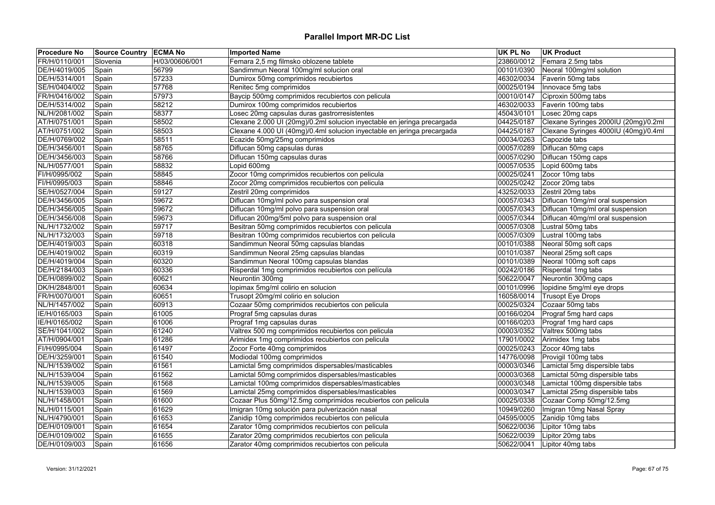| <b>Procedure No</b> | Source Country ECMA No |                | <b>Imported Name</b>                                                    | UK PL No   | <b>UK Product</b>                    |
|---------------------|------------------------|----------------|-------------------------------------------------------------------------|------------|--------------------------------------|
| FR/H/0110/001       | Slovenia               | H/03/00606/001 | Femara 2,5 mg filmsko oblozene tablete                                  | 23860/0012 | Femara 2.5mg tabs                    |
| DE/H/4019/005       | Spain                  | 56799          | Sandimmun Neoral 100mg/ml solucion oral                                 | 00101/0390 | Neoral 100mg/ml solution             |
| DE/H/5314/001       | Spain                  | 57233          | Dumirox 50mg comprimidos recubiertos                                    | 46302/0034 | Faverin 50mg tabs                    |
| SE/H/0404/002       | Spain                  | 57768          | Renitec 5mg comprimidos                                                 | 00025/0194 | Innovace 5mg tabs                    |
| FR/H/0416/002       | Spain                  | 57973          | Baycip 500mg comprimidos recubiertos con pelicula                       | 00010/0147 | Ciproxin 500mg tabs                  |
| DE/H/5314/002       | Spain                  | 58212          | Dumirox 100mg comprimidos recubiertos                                   | 46302/0033 | Faverin 100mg tabs                   |
| NL/H/2081/002       | Spain                  | 58377          | Losec 20mg capsulas duras gastrorresistentes                            | 45043/0101 | Losec 20mg caps                      |
| AT/H/0751/001       | Spain                  | 58502          | Clexane 2.000 UI (20mg)/0.2ml solucion inyectable en jeringa precargada | 04425/0187 | Clexane Syringes 2000IU (20mg)/0.2ml |
| AT/H/0751/002       | Spain                  | 58503          | Clexane 4.000 UI (40mg)/0.4ml solucion inyectable en jeringa precargada | 04425/0187 | Clexane Syringes 4000IU (40mg)/0.4ml |
| DE/H/0769/002       | Spain                  | 58511          | Ecazide 50mg/25mg comprimidos                                           | 00034/0263 | Capozide tabs                        |
| DE/H/3456/001       | Spain                  | 58765          | Diflucan 50mg capsulas duras                                            | 00057/0289 | Diflucan 50mg caps                   |
| DE/H/3456/003       | Spain                  | 58766          | Diflucan 150mg capsulas duras                                           | 00057/0290 | Diflucan 150mg caps                  |
| NL/H/0577/001       | Spain                  | 58832          | Lopid 600mg                                                             | 00057/0535 | Lopid 600mg tabs                     |
| FI/H/0995/002       | Spain                  | 58845          | Zocor 10mg comprimidos recubiertos con pelicula                         | 00025/0241 | Zocor 10mg tabs                      |
| FI/H/0995/003       | Spain                  | 58846          | Zocor 20mg comprimidos recubiertos con pelicula                         | 00025/0242 | Zocor 20mg tabs                      |
| SE/H/0527/004       | Spain                  | 59127          | Zestril 20mg comprimidos                                                | 43252/0033 | Zestril 20mg tabs                    |
| DE/H/3456/005       | Spain                  | 59672          | Diflucan 10mg/ml polvo para suspension oral                             | 00057/0343 | Diflucan 10mg/ml oral suspension     |
| DE/H/3456/005       | Spain                  | 59672          | Diflucan 10mg/ml polvo para suspension oral                             | 00057/0343 | Diflucan 10mg/ml oral suspension     |
| DE/H/3456/008       | Spain                  | 59673          | Diflucan 200mg/5ml polvo para suspension oral                           | 00057/0344 | Diflucan 40mg/ml oral suspension     |
| NL/H/1732/002       | Spain                  | 59717          | Besitran 50mg comprimidos recubiertos con pelicula                      | 00057/0308 | Lustral 50mg tabs                    |
| NL/H/1732/003       | Spain                  | 59718          | Besitran 100mg comprimidos recubiertos con pelicula                     | 00057/0309 | Lustral 100mg tabs                   |
| DE/H/4019/003       | Spain                  | 60318          | Sandimmun Neoral 50mg capsulas blandas                                  | 00101/0388 | Neoral 50mg soft caps                |
| DE/H/4019/002       | Spain                  | 60319          | Sandimmun Neoral 25mg capsulas blandas                                  | 00101/0387 | Neoral 25mg soft caps                |
| DE/H/4019/004       | Spain                  | 60320          | Sandimmun Neoral 100mg capsulas blandas                                 | 00101/0389 | Neoral 100mg soft caps               |
| DE/H/2184/003       | Spain                  | 60336          | Risperdal 1mg comprimidos recubiertos con película                      | 00242/0186 | Risperdal 1mg tabs                   |
| DE/H/0899/002       | Spain                  | 60621          | Neurontin 300mg                                                         | 50622/0047 | Neurontin 300mg caps                 |
| DK/H/2848/001       | Spain                  | 60634          | Iopimax 5mg/ml colirio en solucion                                      | 00101/0996 | lopidine 5mg/ml eye drops            |
| FR/H/0070/001       | Spain                  | 60651          | Trusopt 20mg/ml colirio en solucion                                     | 16058/0014 | Trusopt Eye Drops                    |
| NL/H/1457/002       | Spain                  | 60913          | Cozaar 50mg comprimidos recubiertos con pelicula                        | 00025/0324 | Cozaar 50mg tabs                     |
| IE/H/0165/003       | Spain                  | 61005          | Prograf 5mg capsulas duras                                              |            | 00166/0204 Prograf 5mg hard caps     |
| IE/H/0165/002       | Spain                  | 61006          | Prograf 1mg capsulas duras                                              | 00166/0203 | Prograf 1mg hard caps                |
| SE/H/1041/002       | Spain                  | 61240          | Valtrex 500 mg comprimidos recubiertos con pelicula                     | 00003/0352 | Valtrex 500mg tabs                   |
| AT/H/0904/001       | Spain                  | 61286          | Arimidex 1mg comprimidos recubiertos con pelicula                       | 17901/0002 | Arimidex 1mg tabs                    |
| FI/H/0995/004       | Spain                  | 61497          | Zocor Forte 40mg comprimidos                                            | 00025/0243 | Zocor 40mg tabs                      |
| DE/H/3259/001       | Spain                  | 61540          | Modiodal 100mg comprimidos                                              | 14776/0098 | Provigil 100mg tabs                  |
| NL/H/1539/002       | Spain                  | 61561          | Lamictal 5mg comprimidos dispersables/masticables                       | 00003/0346 | Lamictal 5mg dispersible tabs        |
| NL/H/1539/004       | Spain                  | 61562          | Lamictal 50mg comprimidos dispersables/masticables                      | 00003/0368 | Lamictal 50mg dispersible tabs       |
| NL/H/1539/005       | Spain                  | 61568          | Lamictal 100mg comprimidos dispersables/masticables                     | 00003/0348 | Lamictal 100mg dispersible tabs      |
| NL/H/1539/003       | Spain                  | 61569          | Lamictal 25mg comprimidos dispersables/masticables                      | 00003/0347 | Lamictal 25mg dispersible tabs       |
| NL/H/1458/001       | Spain                  | 61600          | Cozaar Plus 50mg/12.5mg comprimidos recubiertos con pelicula            | 00025/0338 | Cozaar Comp 50mg/12.5mg              |
| NL/H/0115/001       | Spain                  | 61629          | Imigran 10mg solución para pulverización nasal                          | 10949/0260 | Imigran 10mg Nasal Spray             |
| NL/H/4790/001       | Spain                  | 61653          | Zanidip 10mg comprimidos recubiertos con pelicula                       | 04595/0005 | Zanidip 10mg tabs                    |
| DE/H/0109/001       | Spain                  | 61654          | Zarator 10mg comprimidos recubiertos con pelicula                       | 50622/0036 | Lipitor 10mg tabs                    |
| DE/H/0109/002       | Spain                  | 61655          | Zarator 20mg comprimidos recubiertos con pelicula                       | 50622/0039 | Lipitor 20mg tabs                    |
| DE/H/0109/003       | Spain                  | 61656          | Zarator 40mg comprimidos recubiertos con pelicula                       | 50622/0041 | Lipitor 40mg tabs                    |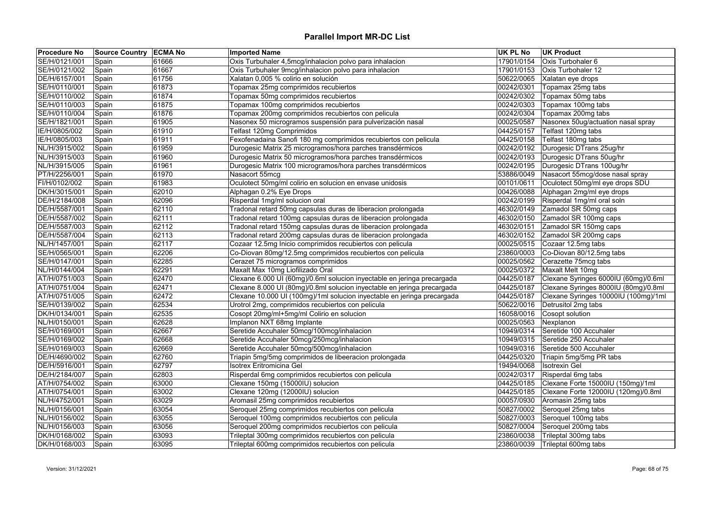| <b>Procedure No</b> | Source Country ECMA No |       | <b>Imported Name</b>                                                    | UK PL No   | <b>UK Product</b>                          |
|---------------------|------------------------|-------|-------------------------------------------------------------------------|------------|--------------------------------------------|
| SE/H/0121/001       | Spain                  | 61666 | Oxis Turbuhaler 4,5mcg/inhalacion polvo para inhalacion                 | 17901/0154 | Oxis Turbohaler 6                          |
| SE/H/0121/002       | Spain                  | 61667 | Oxis Turbuhaler 9mcg/inhalacion polvo para inhalacion                   | 17901/0153 | Oxis Turbohaler 12                         |
| DE/H/6157/001       | Spain                  | 61756 | Xalatan 0,005 % colirio en solución                                     |            | 50622/0065 Xalatan eye drops               |
| SE/H/0110/001       | Spain                  | 61873 | Topamax 25mg comprimidos recubiertos                                    | 00242/0301 | Topamax 25mg tabs                          |
| SE/H/0110/002       | Spain                  | 61874 | Topamax 50mg comprimidos recubiertos                                    | 00242/0302 | Topamax 50mg tabs                          |
| SE/H/0110/003       | Spain                  | 61875 | Topamax 100mg comprimidos recubiertos                                   | 00242/0303 | Topamax 100mg tabs                         |
| SE/H/0110/004       | Spain                  | 61876 | Topamax 200mg comprimidos recubiertos con pelicula                      | 00242/0304 | Topamax 200mg tabs                         |
| SE/H/1821/001       | Spain                  | 61905 | Nasonex 50 microgramos suspensión para pulverización nasal              | 00025/0587 | Nasonex 50ug/actuation nasal spray         |
| IE/H/0805/002       | Spain                  | 61910 | Telfast 120mg Comprimidos                                               | 04425/0157 | Telfast 120mg tabs                         |
| IE/H/0805/003       | Spain                  | 61911 | Fexofenadaina Sanofi 180 mg comprimidos recubiertos con pelicula        | 04425/0158 | Telfast 180mg tabs                         |
| NL/H/3915/002       | Spain                  | 61959 | Durogesic Matrix 25 microgramos/hora parches transdérmicos              |            | 00242/0192 Durogesic DTrans 25ug/hr        |
| NL/H/3915/003       | Spain                  | 61960 | Durogesic Matrix 50 microgramos/hora parches transdérmicos              | 00242/0193 | Durogesic DTrans 50ug/hr                   |
| NL/H/3915/005       | Spain                  | 61961 | Durogesic Matrix 100 microgramos/hora parches transdérmicos             | 00242/0195 | Durogesic DTrans 100ug/hr                  |
| PT/H/2256/001       | Spain                  | 61970 | Nasacort 55mcq                                                          |            | 53886/0049 Nasacort 55mcg/dose nasal spray |
| FI/H/0102/002       | Spain                  | 61983 | Oculotect 50mg/ml colirio en solucion en envase unidosis                | 00101/0611 | Oculotect 50mg/ml eye drops SDU            |
| DK/H/3015/001       | Spain                  | 62010 | Alphagan 0.2% Eye Drops                                                 | 00426/0088 | Alphagan 2mg/ml eye drops                  |
| DE/H/2184/008       | Spain                  | 62096 | Risperdal 1mg/ml solucion oral                                          | 00242/0199 | Risperdal 1mg/ml oral soln                 |
| DE/H/5587/001       | Spain                  | 62110 | Tradonal retard 50mg capsulas duras de liberacion prolongada            | 46302/0149 | Zamadol SR 50mg caps                       |
| DE/H/5587/002       | Spain                  | 62111 | Tradonal retard 100mg capsulas duras de liberacion prolongada           |            | 46302/0150 Zamadol SR 100mg caps           |
| DE/H/5587/003       | Spain                  | 62112 | Tradonal retard 150mg capsulas duras de liberacion prolongada           | 46302/0151 | Zamadol SR 150mg caps                      |
| DE/H/5587/004       | Spain                  | 62113 | Tradonal retard 200mg capsulas duras de liberacion prolongada           | 46302/0152 | Zamadol SR 200mg caps                      |
| NL/H/1457/001       | Spain                  | 62117 | Cozaar 12.5mg Inicio comprimidos recubiertos con pelicula               | 00025/0515 | Cozaar 12.5mg tabs                         |
| SE/H/0565/001       | Spain                  | 62206 | Co-Diovan 80mg/12.5mg comprimidos recubiertos con pelicula              | 23860/0003 | Co-Diovan 80/12.5mg tabs                   |
| SE/H/0147/001       | Spain                  | 62285 | Cerazet 75 microgramos comprimidos                                      | 00025/0562 | Cerazette 75mcg tabs                       |
| NL/H/0144/004       | Spain                  | 62291 | Maxalt Max 10mg Liofilizado Oral                                        | 00025/0372 | Maxalt Melt 10mg                           |
| AT/H/0751/003       | Spain                  | 62470 | Clexane 6.000 UI (60mg)/0.6ml solucion inyectable en jeringa precargada | 04425/0187 | Clexane Syringes 6000IU (60mg)/0.6ml       |
| AT/H/0751/004       | Spain                  | 62471 | Clexane 8.000 UI (80mg)/0.8ml solucion inyectable en jeringa precargada | 04425/0187 | Clexane Syringes 8000IU (80mg)/0.8ml       |
| AT/H/0751/005       | Spain                  | 62472 | Clexane 10.000 UI (100mg)/1ml solucion inyectable en jeringa precargada | 04425/0187 | Clexane Syringes 10000IU (100mg)/1ml       |
| SE/H/0139/002       | Spain                  | 62534 | Urotrol 2mg, comprimidos recubiertos con pelicula                       | 50622/0016 | Detrusitol 2mg tabs                        |
| DK/H/0134/001       | Spain                  | 62535 | Cosopt 20mg/ml+5mg/ml Colirio en solucion                               | 16058/0016 | Cosopt solution                            |
| NL/H/0150/001       | Spain                  | 62628 | Implanon NXT 68mg Implante                                              | 00025/0563 | Nexplanon                                  |
| SE/H/0169/001       | Spain                  | 62667 | Seretide Accuhaler 50mcg/100mcg/inhalacion                              |            | 10949/0314 Seretide 100 Accuhaler          |
| SE/H/0169/002       | Spain                  | 62668 | Seretide Accuhaler 50mcg/250mcg/inhalacion                              | 10949/0315 | Seretide 250 Accuhaler                     |
| SE/H/0169/003       | Spain                  | 62669 | Seretide Accuhaler 50mcg/500mcg/inhalacion                              | 10949/0316 | Seretide 500 Accuhaler                     |
| DE/H/4690/002       | Spain                  | 62760 | Triapin 5mg/5mg comprimidos de libeeracion prolongada                   | 04425/0320 | Triapin 5mg/5mg PR tabs                    |
| DE/H/5916/001       | Spain                  | 62797 | Isotrex Eritromicina Gel                                                | 19494/0068 | <b>Isotrexin Gel</b>                       |
| DE/H/2184/007       | Spain                  | 62803 | Risperdal 6mg comprimidos recubiertos con pelicula                      | 00242/0317 | Risperdal 6mg tabs                         |
| AT/H/0754/002       | Spain                  | 63000 | Clexane 150mg (15000IU) solucion                                        | 04425/0185 | Clexane Forte 15000IU (150mg)/1ml          |
| AT/H/0754/001       | Spain                  | 63002 | Clexane 120mg (12000IU) solucion                                        | 04425/0185 | Clexane Forte 12000IU (120mg)/0.8ml        |
| NL/H/4752/001       | Spain                  | 63029 | Aromasil 25mg comprimidos recubiertos                                   | 00057/0930 | Aromasin 25mg tabs                         |
| NL/H/0156/001       | Spain                  | 63054 | Seroquel 25mg comprimidos recubiertos con pelicula                      | 50827/0002 | Seroquel 25mg tabs                         |
| NL/H/0156/002       | Spain                  | 63055 | Seroquel 100mg comprimidos recubiertos con pelicula                     | 50827/0003 | Seroquel 100mg tabs                        |
| NL/H/0156/003       | Spain                  | 63056 | Seroquel 200mg comprimidos recubiertos con pelicula                     | 50827/0004 | Seroquel 200mg tabs                        |
| DK/H/0168/002       | Spain                  | 63093 | Trileptal 300mg comprimidos recubiertos con pelicula                    | 23860/0038 | Trileptal 300mg tabs                       |
|                     |                        | 63095 |                                                                         |            |                                            |
| DK/H/0168/003       | Spain                  |       | Trileptal 600mg comprimidos recubiertos con pelicula                    | 23860/0039 | Trileptal 600mg tabs                       |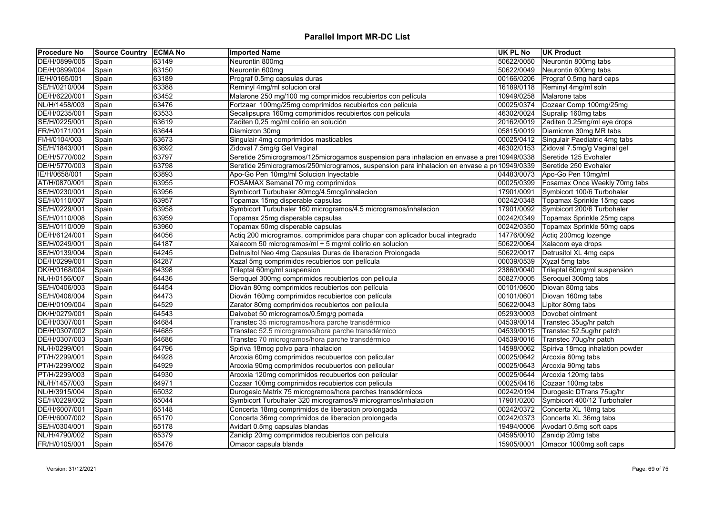| <b>Procedure No</b> | Source Country ECMA No |       | <b>Imported Name</b>                                                                         | <b>UK PL No</b> | <b>UK Product</b>                     |
|---------------------|------------------------|-------|----------------------------------------------------------------------------------------------|-----------------|---------------------------------------|
| DE/H/0899/005       | Spain                  | 63149 | Neurontin 800mg                                                                              | 50622/0050      | Neurontin 800mg tabs                  |
| DE/H/0899/004       | Spain                  | 63150 | Neurontin 600mg                                                                              | 50622/0049      | Neurontin 600mg tabs                  |
| IE/H/0165/001       | Spain                  | 63189 | Prograf 0.5mg capsulas duras                                                                 | 00166/0206      | Prograf 0.5mg hard caps               |
| SE/H/0210/004       | Spain                  | 63388 | Reminyl 4mg/ml solucion oral                                                                 | 16189/0118      | Reminyl 4mg/ml soln                   |
| DE/H/6220/001       | Spain                  | 63452 | Malarone 250 mg/100 mg comprimidos recubiertos con película                                  | 10949/0258      | Malarone tabs                         |
| NL/H/1458/003       | Spain                  | 63476 | Fortzaar 100mg/25mg comprimidos recubiertos con pelicula                                     |                 | 00025/0374 Cozaar Comp 100mg/25mg     |
| DE/H/0235/001       | Spain                  | 63533 | Secalipsupra 160mg comprimidos recubiertos con pelicula                                      | 46302/0024      | Supralip 160mg tabs                   |
| SE/H/0225/001       | Spain                  | 63619 | Zaditen 0,25 mg/ml colirio en solución                                                       | 20162/0019      | Zaditen 0.25mg/ml eye drops           |
| FR/H/0171/001       | Spain                  | 63644 | Diamicron 30mg                                                                               | 05815/0019      | Diamicron 30mg MR tabs                |
| FI/H/0104/003       | Spain                  | 63673 | Singulair 4mg comprimidos masticables                                                        | 00025/0412      | Singulair Paediatric 4mg tabs         |
| SE/H/1843/001       | Spain                  | 63692 | Zidoval 7,5mg/g Gel Vaginal                                                                  | 46302/0153      | Zidoval 7.5mg/g Vaginal gel           |
| DE/H/5770/002       | Spain                  | 63797 | Seretide 25microgramos/125microgamos suspension para inhalacion en envase a pre-10949/0338   |                 | Seretide 125 Evohaler                 |
| DE/H/5770/003       | Spain                  | 63798 | Seretide 25microgramos/250microgramos, suspension para inhalacion en envase a pr  10949/0339 |                 | Seretide 250 Evohaler                 |
| IE/H/0658/001       | Spain                  | 63893 | Apo-Go Pen 10mg/ml Solucion Inyectable                                                       | 04483/0073      | Apo-Go Pen 10mg/ml                    |
| AT/H/0870/001       | Spain                  | 63955 | FOSAMAX Semanal 70 mg comprimidos                                                            | 00025/0399      | Fosamax Once Weekly 70mg tabs         |
| SE/H/0230/001       | Spain                  | 63956 | Symbicort Turbuhaler 80mcg/4.5mcg/inhalacion                                                 | 17901/0091      | Symbicort 100/6 Turbohaler            |
| SE/H/0110/007       | Spain                  | 63957 | Topamax 15mg disperable capsulas                                                             | 00242/0348      | Topamax Sprinkle 15mg caps            |
| SE/H/0229/001       | Spain                  | 63958 | Symbicort Turbuhaler 160 microgramos/4.5 microgramos/inhalacion                              | 17901/0092      | Symbicort 200/6 Turbohaler            |
| SE/H/0110/008       | Spain                  | 63959 | Topamax 25mg disperable capsulas                                                             |                 | 00242/0349 Topamax Sprinkle 25mg caps |
| SE/H/0110/009       | Spain                  | 63960 | Topamax 50mg disperable capsulas                                                             | 00242/0350      | Topamax Sprinkle 50mg caps            |
| DE/H/6124/001       | Spain                  | 64056 | Actiq 200 microgramos, comprimidos para chupar con aplicador bucal integrado                 | 14776/0092      | Actiq 200mcg lozenge                  |
| SE/H/0249/001       | Spain                  | 64187 | Xalacom 50 microgramos/ml + 5 mg/ml colirio en solucion                                      |                 | 50622/0064 Xalacom eye drops          |
| SE/H/0139/004       | Spain                  | 64245 | Detrusitol Neo 4mg Capsulas Duras de liberacion Prolongada                                   | 50622/0017      | Detrusitol XL 4mg caps                |
| DE/H/0299/001       | Spain                  | 64287 | Xazal 5mg comprimidos recubiertos con película                                               | 00039/0539      | Xyzal 5mg tabs                        |
| DK/H/0168/004       | Spain                  | 64398 | Trileptal 60mg/ml suspension                                                                 | 23860/0040      | Trileptal 60mg/ml suspension          |
| NL/H/0156/007       | Spain                  | 64436 | Seroquel 300mg comprimidos recubiertos con pelicula                                          | 50827/0005      | Seroquel 300mg tabs                   |
| SE/H/0406/003       | Spain                  | 64454 | Diován 80mg comprimidos recubiertos con película                                             | 00101/0600      | Diovan 80mg tabs                      |
| SE/H/0406/004       | Spain                  | 64473 | Diován 160mg comprimidos recubiertos con película                                            | 00101/0601      | Diovan 160mg tabs                     |
| DE/H/0109/004       | Spain                  | 64529 | Zarator 80mg comprimidos recubiertos con pelicula                                            | 50622/0043      | Lipitor 80mg tabs                     |
| DK/H/0279/001       | Spain                  | 64543 | Daivobet 50 microgramos/0.5mg/g pomada                                                       | 05293/0003      | Dovobet ointment                      |
| DE/H/0307/001       | Spain                  | 64684 | Transtec 35 microgramos/hora parche transdérmico                                             | 04539/0014      | Transtec 35ug/hr patch                |
| DE/H/0307/002       | Spain                  | 64685 | Transtec 52.5 microgramos/hora parche transdérmico                                           | 04539/0015      | Transtec 52.5ug/hr patch              |
| DE/H/0307/003       | Spain                  | 64686 | Transtec 70 microgramos/hora parche transdérmico                                             | 04539/0016      | Transtec 70ug/hr patch                |
| NL/H/0299/001       | Spain                  | 64796 | Spiriva 18mcg polvo para inhalacion                                                          | 14598/0062      | Spiriva 18mcg inhalation powder       |
| PT/H/2299/001       | Spain                  | 64928 | Arcoxia 60mg comprimidos recubuertos con pelicular                                           | 00025/0642      | Arcoxia 60mg tabs                     |
| PT/H/2299/002       | Spain                  | 64929 | Arcoxia 90mg comprimidos recubuertos con pelicular                                           | 00025/0643      | Arcoxia 90mg tabs                     |
| PT/H/2299/003       | Spain                  | 64930 | Arcoxia 120mg comprimidos recubuertos con pelicular                                          | 00025/0644      | Arcoxia 120mg tabs                    |
| NL/H/1457/003       | Spain                  | 64971 | Cozaar 100mg comprimidos recubiertos con pelicula                                            | 00025/0416      | Cozaar 100mg tabs                     |
| NL/H/3915/004       | Spain                  | 65032 | Durogesic Matrix 75 microgramos/hora parches transdérmicos                                   | 00242/0194      | Durogesic DTrans 75ug/hr              |
| SE/H/0229/002       | Spain                  | 65044 | Symbicort Turbuhaler 320 microgramos/9 microgramos/inhalacion                                | 17901/0200      | Symbicort 400/12 Turbohaler           |
| DE/H/6007/001       | Spain                  | 65148 | Concerta 18mg comprimidos de liberacion prolongada                                           | 00242/0372      | Concerta XL 18mg tabs                 |
| DE/H/6007/002       | Spain                  | 65170 | Concerta 36mg comprimidos de liberacion prolongada                                           | 00242/0373      | Concerta XL 36mg tabs                 |
| SE/H/0304/001       | Spain                  | 65178 | Avidart 0.5mg capsulas blandas                                                               | 19494/0006      | Avodart 0.5mg soft caps               |
| NL/H/4790/002       | Spain                  | 65379 | Zanidip 20mg comprimidos recubiertos con pelicula                                            |                 | 04595/0010 Zanidip 20mg tabs          |
| FR/H/0105/001       | Spain                  | 65476 | Omacor capsula blanda                                                                        | 15905/0001      | Omacor 1000mg soft caps               |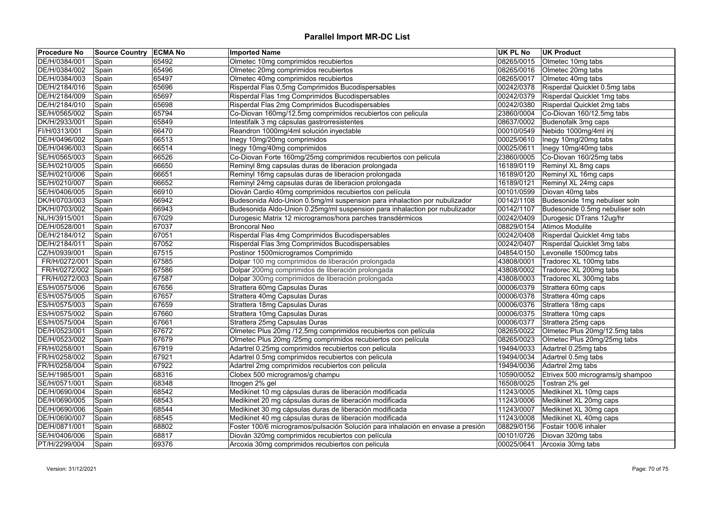| <b>Procedure No</b>            | <b>Source Country ECMA No</b> |                | <b>Imported Name</b>                                                                                        | UK PL No                 | <b>UK Product</b>                |
|--------------------------------|-------------------------------|----------------|-------------------------------------------------------------------------------------------------------------|--------------------------|----------------------------------|
| DE/H/0384/001                  | Spain                         | 65492          | Olmetec 10mg comprimidos recubiertos                                                                        | 08265/0015               | Olmetec 10mg tabs                |
| DE/H/0384/002                  | Spain                         | 65496          | Olmetec 20mg comprimidos recubiertos                                                                        | 08265/0016               | Olmetec 20mg tabs                |
| DE/H/0384/003                  | Spain                         | 65497          | Olmetec 40mg comprimidos recubiertos                                                                        | 08265/0017               | Olmetec 40mg tabs                |
| DE/H/2184/016                  | Spain                         | 65696          | Risperdal Flas 0,5mg Comprimidos Bucodispersables                                                           | 00242/0378               | Risperdal Quicklet 0.5mg tabs    |
| DE/H/2184/009                  | Spain                         | 65697          | Risperdal Flas 1mg Comprimidos Bucodispersables                                                             | 00242/0379               | Risperdal Quicklet 1mg tabs      |
| DE/H/2184/010                  | Spain                         | 65698          | Risperdal Flas 2mg Comprimidos Bucodispersables                                                             | 00242/0380               | Risperdal Quicklet 2mg tabs      |
| SE/H/0565/002                  | Spain                         | 65794          | Co-Diovan 160mg/12.5mg comprimidos recubiertos con pelicula                                                 | 23860/0004               | Co-Diovan 160/12.5mg tabs        |
| DK/H/2933/001                  | Spain                         | 65849          | Intestifalk 3 mg cápsulas gastrorresistentes                                                                | 08637/0002               | Budenofalk 3mg caps              |
| FI/H/0313/001                  | Spain                         | 66470          | Reandron 1000mg/4ml solución inyectable                                                                     | 00010/0549               | Nebido 1000mg/4ml inj            |
| DE/H/0496/002                  | Spain                         | 66513          | Inegy 10mg/20mg comprimidos                                                                                 | 00025/0610               | Inegy 10mg/20mg tabs             |
| DE/H/0496/003                  | Spain                         | 66514          | Inegy 10mg/40mg comprimidos                                                                                 | 00025/0611               | Inegy 10mg/40mg tabs             |
| SE/H/0565/003                  | Spain                         | 66526          | Co-Diovan Forte 160mg/25mg comprimidos recubiertos con pelicula                                             | 23860/0005               | Co-Diovan 160/25mg tabs          |
| SE/H/0210/005                  | Spain                         | 66650          | Reminyl 8mg capsulas duras de liberacion prolongada                                                         | 16189/0119               | Reminyl XL 8mg caps              |
| SE/H/0210/006                  | Spain                         | 66651          | Reminyl 16mg capsulas duras de liberacion prolongada                                                        | 16189/0120               | Reminyl XL 16mg caps             |
| SE/H/0210/007                  | Spain                         | 66652          | Reminyl 24mg capsulas duras de liberacion prolongada                                                        | 16189/0121               | Reminyl XL 24mg caps             |
| SE/H/0406/005                  | Spain                         | 66910          | Diován Cardio 40mg comprimidos recubiertos con película                                                     | 00101/0599               | Diovan 40mg tabs                 |
| DK/H/0703/003                  | Spain                         | 66942          | Budesonida Aldo-Union 0.5mg/ml suspension para inhalaction por nubulizador                                  | 00142/1108               | Budesonide 1mg nebuliser soln    |
| DK/H/0703/002                  | Spain                         | 66943          | Budesonida Aldo-Union 0.25mg/ml suspension para inhalaction por nubulizador                                 | 00142/1107               | Budesonide 0.5mg nebuliser soln  |
| NL/H/3915/001                  | Spain                         | 67029          | Durogesic Matrix 12 microgramos/hora parches transdérmicos                                                  | 00242/0409               | Durogesic DTrans 12ug/hr         |
| DE/H/0528/001                  | Spain                         | 67037          | <b>Broncoral Neo</b>                                                                                        | 08829/0154               | Atimos Modulite                  |
| DE/H/2184/012                  | Spain                         | 67051          | Risperdal Flas 4mg Comprimidos Bucodispersables                                                             | 00242/0408               | Risperdal Quicklet 4mg tabs      |
| DE/H/2184/011                  | Spain                         | 67052          | Risperdal Flas 3mg Comprimidos Bucodispersables                                                             | 00242/0407               | Risperdal Quicklet 3mg tabs      |
| CZ/H/0939/001                  | Spain                         | 67515          | Postinor 1500microgramos Comprimido                                                                         | 04854/0150               | Levonelle 1500mcg tabs           |
| FR/H/0272/001                  | Spain                         | 67585          | Dolpar 100 mg comprimidos de liberación prolongada                                                          | 43808/0001               | Tradorec XL 100mg tabs           |
| FR/H/0272/002                  | Spain                         | 67586          | Dolpar 200mg comprimidos de liberación prolongada                                                           | 43808/0002               | Tradorec XL 200mg tabs           |
| FR/H/0272/003                  | Spain                         | 67587          | Dolpar 300mg comprimidos de liberación prolongada                                                           | 43808/0003               | Tradorec XL 300mg tabs           |
| ES/H/0575/006                  | Spain                         | 67656          | Strattera 60mg Capsulas Duras                                                                               | 00006/0379               | Strattera 60mg caps              |
| ES/H/0575/005                  | Spain                         | 67657          | Strattera 40mg Capsulas Duras                                                                               | 00006/0378               | Strattera 40mg caps              |
| ES/H/0575/003                  | Spain                         | 67659          | Strattera 18mg Capsulas Duras                                                                               | 00006/0376               | Strattera 18mg caps              |
| ES/H/0575/002                  | Spain                         | 67660          | Strattera 10mg Capsulas Duras                                                                               | 00006/0375               | Strattera 10mg caps              |
| ES/H/0575/004                  | Spain                         | 67661          | Strattera 25mg Capsulas Duras                                                                               | 00006/0377               | Strattera 25mg caps              |
| DE/H/0523/001                  | Spain                         | 67672          | Olmetec Plus 20mg /12,5mg comprimidos recubiertos con película                                              | 08265/0022               | Olmetec Plus 20mg/12.5mg tabs    |
| DE/H/0523/002                  |                               | 67679          | Olmetec Plus 20mg /25mg comprimidos recubiertos con película                                                | 08265/0023               | Olmetec Plus 20mg/25mg tabs      |
|                                | Spain                         |                |                                                                                                             |                          | Adartrel 0.25mg tabs             |
| FR/H/0258/001<br>FR/H/0258/002 | Spain                         | 67919<br>67921 | Adartrel 0.25mg comprimidos recubiertos con pelicula<br>Adartrel 0.5mg comprimidos recubiertos con pelicula | 19494/0033<br>19494/0034 | Adartrel 0.5mg tabs              |
|                                | Spain                         |                |                                                                                                             |                          |                                  |
| FR/H/0258/004                  | Spain                         | 67922          | Adartrel 2mg comprimidos recubiertos con pelicula                                                           | 19494/0036               | Adartrel 2mg tabs                |
| SE/H/1985/001                  | Spain                         | 68316          | Clobex 500 microgramos/g champu                                                                             | 10590/0052               | Etrivex 500 micrograms/g shampoo |
| SE/H/0571/001                  | Spain                         | 68348          | Itnogen 2% gel                                                                                              | 16508/0025               | Tostran 2% gel                   |
| DE/H/0690/004                  | Spain                         | 68542          | Medikinet 10 mg cápsulas duras de liberación modificada                                                     | 11243/0005               | Medikinet XL 10mg caps           |
| DE/H/0690/005                  | Spain                         | 68543          | Medikinet 20 mg cápsulas duras de liberación modificada                                                     | 11243/0006               | Medikinet XL 20mg caps           |
| DE/H/0690/006                  | Spain                         | 68544          | Medikinet 30 mg cápsulas duras de liberación modificada                                                     | 11243/0007               | Medikinet XL 30mg caps           |
| DE/H/0690/007                  | Spain                         | 68545          | Medikinet 40 mg cápsulas duras de liberación modificada                                                     | 11243/0008               | Medikinet XL 40mg caps           |
| DE/H/0871/001                  | Spain                         | 68802          | Foster 100/6 microgramos/pulsación Solución para inhalación en envase a presión                             | 08829/0156               | Fostair 100/6 inhaler            |
| SE/H/0406/006                  | Spain                         | 68817          | Diován 320mg comprimidos recubiertos con película                                                           | 00101/0726               | Diovan 320mg tabs                |
| PT/H/2299/004                  | Spain                         | 69376          | Arcoxia 30mg comprimidos recubiertos con pelicula                                                           | 00025/0641               | Arcoxia 30mg tabs                |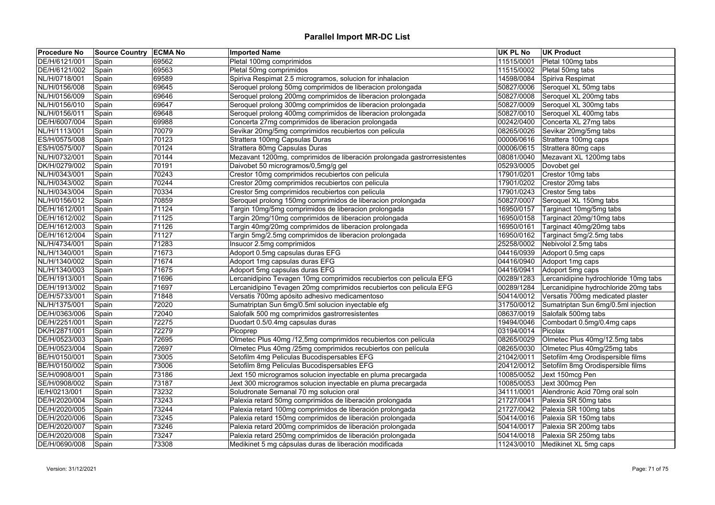| <b>Procedure No</b> | Source Country ECMA No |       | <b>Imported Name</b>                                                     | UK PL No   | <b>UK Product</b>                     |
|---------------------|------------------------|-------|--------------------------------------------------------------------------|------------|---------------------------------------|
| DE/H/6121/001       | Spain                  | 69562 | Pletal 100mg comprimidos                                                 | 11515/0001 | Pletal 100mg tabs                     |
| DE/H/6121/002       | Spain                  | 69563 | Pletal 50mg comprimidos                                                  | 11515/0002 | Pletal 50mg tabs                      |
| NL/H/0718/001       | Spain                  | 69589 | Spiriva Respimat 2.5 microgramos, solucion for inhalacion                | 14598/0084 | Spiriva Respimat                      |
| NL/H/0156/008       | Spain                  | 69645 | Seroquel prolong 50mg comprimidos de liberacion prolongada               | 50827/0006 | Seroquel XL 50mg tabs                 |
| NL/H/0156/009       | Spain                  | 69646 | Seroquel prolong 200mg comprimidos de liberacion prolongada              | 50827/0008 | Seroquel XL 200mg tabs                |
| NL/H/0156/010       | Spain                  | 69647 | Seroquel prolong 300mg comprimidos de liberacion prolongada              | 50827/0009 | Seroquel XL 300mg tabs                |
| NL/H/0156/011       | Spain                  | 69648 | Seroquel prolong 400mg comprimidos de liberacion prolongada              | 50827/0010 | Seroquel XL 400mg tabs                |
| DE/H/6007/004       | Spain                  | 69988 | Concerta 27mg comprimidos de liberacion prolongada                       | 00242/0400 | Concerta XL 27mg tabs                 |
| NL/H/1113/001       | Spain                  | 70079 | Sevikar 20mg/5mg comprimidos recubiertos con pelicula                    | 08265/0026 | Sevikar 20mg/5mg tabs                 |
| ES/H/0575/008       | Spain                  | 70123 | Strattera 100mg Capsulas Duras                                           | 00006/0616 | Strattera 100mg caps                  |
| ES/H/0575/007       | Spain                  | 70124 | Strattera 80mg Capsulas Duras                                            | 00006/0615 | Strattera 80mg caps                   |
| NL/H/0732/001       | Spain                  | 70144 | Mezavant 1200mg, comprimidos de liberación prolongada gastrorresistentes | 08081/0040 | Mezavant XL 1200mg tabs               |
| DK/H/0279/002       | Spain                  | 70191 | Daivobet 50 microgramos/0,5mg/g gel                                      | 05293/0005 | Dovobet gel                           |
| NL/H/0343/001       | Spain                  | 70243 | Crestor 10mg comprimidos recubiertos con pelicula                        | 17901/0201 | Crestor 10mg tabs                     |
| NL/H/0343/002       | Spain                  | 70244 | Crestor 20mg comprimidos recubiertos con pelicula                        | 17901/0202 | Crestor 20mg tabs                     |
| NL/H/0343/004       | Spain                  | 70334 | Crestor 5mg comprimidos recubiertos con pelicula                         | 17901/0243 | Crestor 5mg tabs                      |
| NL/H/0156/012       | Spain                  | 70859 | Seroquel prolong 150mg comprimidos de liberacion prolongada              | 50827/0007 | Seroquel XL 150mg tabs                |
| DE/H/1612/001       | Spain                  | 71124 | Targin 10mg/5mg comprimidos de liberacion prolongada                     | 16950/0157 | Targinact 10mg/5mg tabs               |
| DE/H/1612/002       | Spain                  | 71125 | Targin 20mg/10mg comprimidos de liberacion prolongada                    | 16950/0158 | Targinact 20mg/10mg tabs              |
| DE/H/1612/003       | Spain                  | 71126 | Targin 40mg/20mg comprimidos de liberacion prolongada                    | 16950/0161 | Targinact 40mg/20mg tabs              |
| DE/H/1612/004       | Spain                  | 71127 | Targin 5mg/2.5mg comprimidos de liberacion prolongada                    | 16950/0162 | Targinact 5mg/2.5mg tabs              |
| NL/H/4734/001       | Spain                  | 71283 | Insucor 2.5mg comprimidos                                                | 25258/0002 | Nebivolol 2.5mg tabs                  |
| NL/H/1340/001       | Spain                  | 71673 | Adoport 0.5mg capsulas duras EFG                                         | 04416/0939 | Adoport 0.5mg caps                    |
| NL/H/1340/002       | Spain                  | 71674 | Adoport 1mg capsulas duras EFG                                           | 04416/0940 | Adoport 1mg caps                      |
| NL/H/1340/003       | Spain                  | 71675 | Adoport 5mg capsulas duras EFG                                           | 04416/0941 | Adoport 5mg caps                      |
| DE/H/1913/001       | Spain                  | 71696 | Lercanidipino Tevagen 10mg comprimidos recubiertos con pelicula EFG      | 00289/1283 | Lercanidipine hydrochloride 10mg tabs |
| DE/H/1913/002       | Spain                  | 71697 | Lercanidipino Tevagen 20mg comprimidos recubiertos con pelicula EFG      | 00289/1284 | Lercanidipine hydrochloride 20mg tabs |
| DE/H/5733/001       | Spain                  | 71848 | Versatis 700mg apósito adhesivo medicamentoso                            | 50414/0012 | Versatis 700mg medicated plaster      |
| NL/H/1375/001       | Spain                  | 72020 | Sumatriptan Sun 6mg/0.5ml solucion inyectable efg                        | 31750/0012 | Sumatriptan Sun 6mg/0.5ml injection   |
| DE/H/0363/006       | Spain                  | 72040 | Salofalk 500 mg comprimidos gastrorresistentes                           | 08637/0019 | Salofalk 500mg tabs                   |
| DE/H/2251/001       | Spain                  | 72275 | Duodart 0.5/0.4mg capsulas duras                                         | 19494/0046 | Combodart 0.5mg/0.4mg caps            |
| DK/H/2871/001       | Spain                  | 72279 | Picoprep                                                                 | 03194/0014 | Picolax                               |
| DE/H/0523/003       | Spain                  | 72695 | Olmetec Plus 40mg /12,5mg comprimidos recubiertos con película           | 08265/0029 | Olmetec Plus 40mg/12.5mg tabs         |
| DE/H/0523/004       | Spain                  | 72697 | Olmetec Plus 40mg /25mg comprimidos recubiertos con película             | 08265/0030 | Olmetec Plus 40mg/25mg tabs           |
| BE/H/0150/001       | Spain                  | 73005 | Setofilm 4mg Peliculas Bucodispersables EFG                              | 21042/0011 | Setofilm 4mg Orodispersible films     |
| BE/H/0150/002       | Spain                  | 73006 | Setofilm 8mg Peliculas Bucodispersables EFG                              | 20412/0012 | Setofilm 8mg Orodispersible films     |
| SE/H/0908/001       | Spain                  | 73186 | Jext 150 microgramos solucion inyectable en pluma precargada             | 10085/0052 | Jext 150mcg Pen                       |
| SE/H/0908/002       | Spain                  | 73187 | Jext 300 microgramos solucion inyectable en pluma precargada             | 10085/0053 | Jext 300mcg Pen                       |
| IE/H/0213/001       | Spain                  | 73232 | Soludronate Semanal 70 mg solucion oral                                  | 34111/0001 | Alendronic Acid 70mg oral soln        |
| DE/H/2020/004       | Spain                  | 73243 | Palexia retard 50mg comprimidos de liberación prolongada                 | 21727/0041 | Palexia SR 50mg tabs                  |
| DE/H/2020/005       |                        | 73244 | Palexia retard 100mg comprimidos de liberación prolongada                | 21727/0042 | Palexia SR 100mg tabs                 |
|                     | Spain                  |       |                                                                          |            |                                       |
| DE/H/2020/006       | Spain                  | 73245 | Palexia retard 150mg comprimidos de liberación prolongada                | 50414/0016 | Palexia SR 150mg tabs                 |
| DE/H/2020/007       | Spain                  | 73246 | Palexia retard 200mg comprimidos de liberación prolongada                | 50414/0017 | Palexia SR 200mg tabs                 |
| DE/H/2020/008       | Spain                  | 73247 | Palexia retard 250mg comprimidos de liberación prolongada                | 50414/0018 | Palexia SR 250mg tabs                 |
| DE/H/0690/008       | Spain                  | 73308 | Medikinet 5 mg cápsulas duras de liberación modificada                   |            | 11243/0010 Medikinet XL 5mg caps      |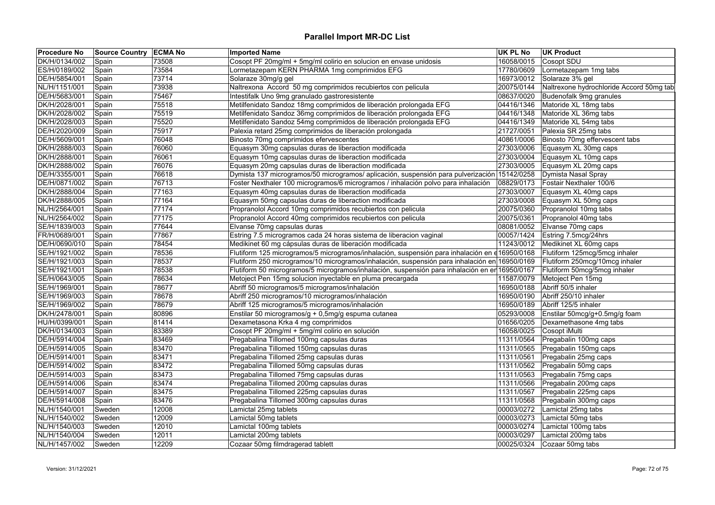| <b>Procedure No</b> | <b>Source Country ECMA No</b> |       | <b>Imported Name</b>                                                                           | UK PL No   | <b>UK Product</b>                        |
|---------------------|-------------------------------|-------|------------------------------------------------------------------------------------------------|------------|------------------------------------------|
| DK/H/0134/002       | Spain                         | 73508 | Cosopt PF 20mg/ml + 5mg/ml colirio en solucion en envase unidosis                              | 16058/0015 | Cosopt SDU                               |
| ES/H/0189/002       | Spain                         | 73584 | Lormetazepam KERN PHARMA 1mg comprimidos EFG                                                   | 17780/0609 | Lormetazepam 1mg tabs                    |
| DE/H/5854/001       | Spain                         | 73714 | Solaraze 30mg/g gel                                                                            | 16973/0012 | Solaraze 3% gel                          |
| NL/H/1151/001       | Spain                         | 73938 | Naltrexona Accord 50 mg comprimidos recubiertos con pelicula                                   | 20075/0144 | Naltrexone hydrochloride Accord 50mg tab |
| DE/H/5683/001       | Spain                         | 75467 | Intestifalk Uno 9mg granulado gastroresistente                                                 | 08637/0020 | Budenofalk 9mg granules                  |
| DK/H/2028/001       | Spain                         | 75518 | Metilfenidato Sandoz 18mg comprimidos de liberación prolongada EFG                             | 04416/1346 | Matoride XL 18mg tabs                    |
| DK/H/2028/002       | Spain                         | 75519 | Metilfenidato Sandoz 36mg comprimidos de liberación prolongada EFG                             | 04416/1348 | Matoride XL 36mg tabs                    |
| DK/H/2028/003       | Spain                         | 75520 | Metilfenidato Sandoz 54mg comprimidos de liberación prolongada EFG                             | 04416/1349 | Matoride XL 54mg tabs                    |
| DE/H/2020/009       | Spain                         | 75917 | Palexia retard 25mg comprimidos de liberación prolongada                                       | 21727/0051 | Palexia SR 25mg tabs                     |
| DE/H/5609/001       | Spain                         | 76048 | Binosto 70mg comprimidos efervescentes                                                         | 40861/0006 | Binosto 70mg effervescent tabs           |
| DK/H/2888/003       | Spain                         | 76060 | Equasym 30mg capsulas duras de liberaction modificada                                          | 27303/0006 | Equasym XL 30mg caps                     |
| DK/H/2888/001       | Spain                         | 76061 | Equasym 10mg capsulas duras de liberaction modificada                                          | 27303/0004 | Equasym XL 10mg caps                     |
| DK/H/2888/002       | Spain                         | 76076 | Equasym 20mg capsulas duras de liberaction modificada                                          | 27303/0005 | Equasym XL 20mg caps                     |
| DE/H/3355/001       | Spain                         | 76618 | Dymista 137 microgramos/50 microgramos/ aplicación, suspensión para pulverización 15142/0258   |            | Dymista Nasal Spray                      |
| DE/H/0871/002       | Spain                         | 76713 | Foster Nexthaler 100 microgramos/6 microgramos / inhalación polvo para inhalación              | 08829/0173 | Fostair Nexthaler 100/6                  |
| DK/H/2888/004       | Spain                         | 77163 | Equasym 40mg capsulas duras de liberaction modificada                                          | 27303/0007 | Equasym XL 40mg caps                     |
| DK/H/2888/005       | Spain                         | 77164 | Equasym 50mg capsulas duras de liberaction modificada                                          | 27303/0008 | Equasym XL 50mg caps                     |
| NL/H/2564/001       | Spain                         | 77174 | Propranolol Accord 10mg comprimidos recubiertos con pelicula                                   | 20075/0360 | Propranolol 10mg tabs                    |
| NL/H/2564/002       | Spain                         | 77175 | Propranolol Accord 40mg comprimidos recubiertos con pelicula                                   | 20075/0361 | Propranolol 40mg tabs                    |
| SE/H/1839/003       | Spain                         | 77644 | Elvanse 70mg capsulas duras                                                                    | 08081/0052 | Elvanse 70mg caps                        |
| FR/H/0689/001       | Spain                         | 77867 | Estring 7.5 microgramos cada 24 horas sistema de liberacion vaginal                            | 00057/1424 | Estring 7.5mcg/24hrs                     |
| DE/H/0690/010       | Spain                         | 78454 | Medikinet 60 mg cápsulas duras de liberación modificada                                        | 11243/0012 | Medikinet XL 60mg caps                   |
| SE/H/1921/002       | Spain                         | 78536 | Flutiform 125 microgramos/5 microgramos/inhalación, suspensión para inhalación en e16950/0168  |            | Flutiform 125mcg/5mcg inhaler            |
| SE/H/1921/003       | Spain                         | 78537 | Flutiform 250 microgramos/10 microgramos/inhalación, suspensión para inhalación en 16950/0169  |            | Flutiform 250mcg/10mcg inhaler           |
| SE/H/1921/001       | Spain                         | 78538 | Flutiform 50 microgramos/5 microgramos/inhalación, suspensión para inhalación en en 16950/0167 |            | Flutiform 50mcg/5mcg inhaler             |
| SE/H/0643/005       | Spain                         | 78634 | Metoject Pen 15mg solucion inyectable en pluma precargada                                      | 11587/0079 | Metoject Pen 15mg                        |
| SE/H/1969/001       | Spain                         | 78677 | Abriff 50 microgramos/5 microgramos/inhalación                                                 | 16950/0188 | Abriff 50/5 inhaler                      |
| SE/H/1969/003       | Spain                         | 78678 | Abriff 250 microgramos/10 microgramos/inhalación                                               | 16950/0190 | Abriff 250/10 inhaler                    |
| SE/H/1969/002       |                               | 78679 | Abriff 125 microgramos/5 microgramos/inhalación                                                | 16950/0189 | Abriff 125/5 inhaler                     |
|                     | Spain                         |       |                                                                                                |            |                                          |
| DK/H/2478/001       | Spain                         | 80896 | Enstilar 50 microgramos/g + 0,5mg/g espuma cutanea                                             | 05293/0008 | Enstilar 50mcg/g+0.5mg/g foam            |
| HU/H/0399/001       | Spain                         | 81414 | Dexametasona Krka 4 mg comprimidos                                                             | 01656/0205 | Dexamethasone 4mg tabs                   |
| DK/H/0134/003       | Spain                         | 83389 | Cosopt PF 20mg/ml + 5mg/ml colirio en solución                                                 | 16058/0025 | Cosopt iMulti                            |
| DE/H/5914/004       | Spain                         | 83469 | Pregabalina Tillomed 100mg capsulas duras                                                      | 11311/0564 | Pregabalin 100mg caps                    |
| DE/H/5914/005       | Spain                         | 83470 | Pregabalina Tillomed 150mg capsulas duras                                                      | 11311/0565 | Pregabalin 150mg caps                    |
| DE/H/5914/001       | Spain                         | 83471 | Pregabalina Tillomed 25mg capsulas duras                                                       | 11311/0561 | Pregabalin 25mg caps                     |
| DE/H/5914/002       | Spain                         | 83472 | Pregabalina Tillomed 50mg capsulas duras                                                       | 11311/0562 | Pregabalin 50mg caps                     |
| DE/H/5914/003       | Spain                         | 83473 | Pregabalina Tillomed 75mg capsulas duras                                                       | 11311/0563 | Pregabalin 75mg caps                     |
| DE/H/5914/006       | Spain                         | 83474 | Pregabalina Tillomed 200mg capsulas duras                                                      | 11311/0566 | Pregabalin 200mg caps                    |
| DE/H/5914/007       | Spain                         | 83475 | Pregabalina Tillomed 225mg capsulas duras                                                      | 11311/0567 | Pregabalin 225mg caps                    |
| DE/H/5914/008       | Spain                         | 83476 | Pregabalina Tillomed 300mg capsulas duras                                                      | 11311/0568 | Pregabalin 300mg caps                    |
| NL/H/1540/001       | Sweden                        | 12008 | Lamictal 25mg tablets                                                                          | 00003/0272 | Lamictal 25mg tabs                       |
| NL/H/1540/002       | Sweden                        | 12009 | Lamictal 50mg tablets                                                                          | 00003/0273 | Lamictal 50mg tabs                       |
| NL/H/1540/003       | Sweden                        | 12010 | Lamictal 100mg tablets                                                                         | 00003/0274 | Lamictal 100mg tabs                      |
| NL/H/1540/004       | Sweden                        | 12011 | Lamictal 200mg tablets                                                                         | 00003/0297 | Lamictal 200mg tabs                      |
| NL/H/1457/002       | Sweden                        | 12209 | Cozaar 50mg filmdragerad tablett                                                               | 00025/0324 | Cozaar 50mg tabs                         |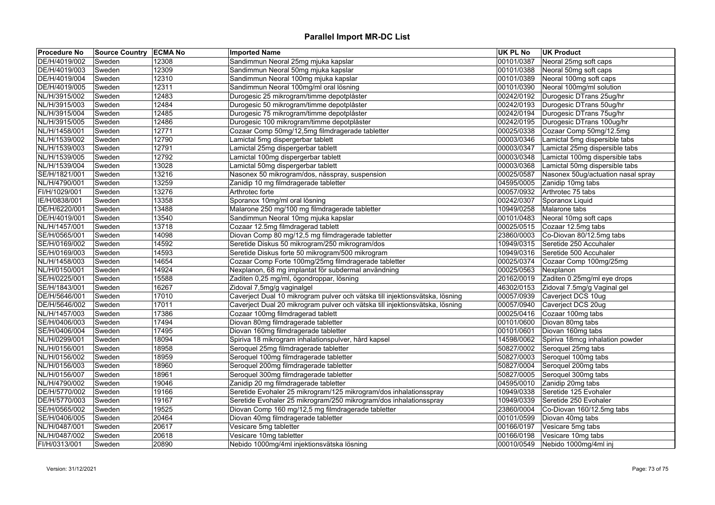## **Parallel Import MR-DC List**

| <b>Procedure No</b> | Source Country ECMA No |       | <b>Imported Name</b>                                                         | UK PL No   | <b>UK Product</b>                  |
|---------------------|------------------------|-------|------------------------------------------------------------------------------|------------|------------------------------------|
| DE/H/4019/002       | Sweden                 | 12308 | Sandimmun Neoral 25mg mjuka kapslar                                          | 00101/0387 | Neoral 25mg soft caps              |
| DE/H/4019/003       | Sweden                 | 12309 | Sandimmun Neoral 50mg mjuka kapslar                                          | 00101/0388 | Neoral 50mg soft caps              |
| DE/H/4019/004       | Sweden                 | 12310 | Sandimmun Neoral 100mg mjuka kapslar                                         | 00101/0389 | Neoral 100mg soft caps             |
| DE/H/4019/005       | Sweden                 | 12311 | Sandimmun Neoral 100mg/ml oral lösning                                       | 00101/0390 | Neoral 100mg/ml solution           |
| NL/H/3915/002       | Sweden                 | 12483 | Durogesic 25 mikrogram/timme depotplåster                                    | 00242/0192 | Durogesic DTrans 25ug/hr           |
| NL/H/3915/003       | Sweden                 | 12484 | Durogesic 50 mikrogram/timme depotplåster                                    | 00242/0193 | Durogesic DTrans 50ug/hr           |
| NL/H/3915/004       | Sweden                 | 12485 | Durogesic 75 mikrogram/timme depotplåster                                    | 00242/0194 | Durogesic DTrans 75ug/hr           |
| NL/H/3915/005       | Sweden                 | 12486 | Durogesic 100 mikrogram/timme depotplåster                                   | 00242/0195 | Durogesic DTrans 100ug/hr          |
| NL/H/1458/001       | Sweden                 | 12771 | Cozaar Comp 50mg/12,5mg filmdragerade tabletter                              | 00025/0338 | Cozaar Comp 50mg/12.5mg            |
| NL/H/1539/002       | Sweden                 | 12790 | Lamictal 5mg dispergerbar tablett                                            | 00003/0346 | Lamictal 5mg dispersible tabs      |
| NL/H/1539/003       | Sweden                 | 12791 | Lamictal 25mg dispergerbar tablett                                           | 00003/0347 | Lamictal 25mg dispersible tabs     |
| NL/H/1539/005       | Sweden                 | 12792 | Lamictal 100mg dispergerbar tablett                                          | 00003/0348 | Lamictal 100mg dispersible tabs    |
| NL/H/1539/004       | Sweden                 | 13028 | Lamictal 50mg dispergerbar tablett                                           | 00003/0368 | Lamictal 50mg dispersible tabs     |
| SE/H/1821/001       | Sweden                 | 13216 | Nasonex 50 mikrogram/dos, nässpray, suspension                               | 00025/0587 | Nasonex 50ug/actuation nasal spray |
| NL/H/4790/001       | Sweden                 | 13259 | Zanidip 10 mg filmdragerade tabletter                                        | 04595/0005 | Zanidip 10mg tabs                  |
| FI/H/1029/001       | Sweden                 | 13276 | Arthrotec forte                                                              | 00057/0932 | Arthrotec 75 tabs                  |
| IE/H/0838/001       | Sweden                 | 13358 | Sporanox 10mg/ml oral lösning                                                | 00242/0307 | Sporanox Liquid                    |
| DE/H/6220/001       | Sweden                 | 13488 | Malarone 250 mg/100 mg filmdragerade tabletter                               | 10949/0258 | Malarone tabs                      |
| DE/H/4019/001       | Sweden                 | 13540 | Sandimmun Neoral 10mg mjuka kapslar                                          | 00101/0483 | Neoral 10mg soft caps              |
| NL/H/1457/001       | Sweden                 | 13718 | Cozaar 12.5mg filmdragerad tablett                                           | 00025/0515 | Cozaar 12.5mg tabs                 |
| SE/H/0565/001       | Sweden                 | 14098 | Diovan Comp 80 mg/12,5 mg filmdragerade tabletter                            | 23860/0003 | Co-Diovan 80/12.5mg tabs           |
| SE/H/0169/002       | Sweden                 | 14592 | Seretide Diskus 50 mikrogram/250 mikrogram/dos                               | 10949/0315 | Seretide 250 Accuhaler             |
| SE/H/0169/003       | Sweden                 | 14593 | Seretide Diskus forte 50 mikrogram/500 mikrogram                             | 10949/0316 | Seretide 500 Accuhaler             |
| NL/H/1458/003       | Sweden                 | 14654 | Cozaar Comp Forte 100mg/25mg filmdragerade tabletter                         | 00025/0374 | Cozaar Comp 100mg/25mg             |
| NL/H/0150/001       | Sweden                 | 14924 | Nexplanon, 68 mg implantat för subdermal användning                          | 00025/0563 | Nexplanon                          |
| SE/H/0225/001       | Sweden                 | 15588 | Zaditen 0,25 mg/ml, ögondroppar, lösning                                     | 20162/0019 | Zaditen 0.25mg/ml eye drops        |
| SE/H/1843/001       | Sweden                 | 16267 | Zidoval 7,5mg/g vaginalgel                                                   | 46302/0153 | Zidoval 7.5mg/g Vaginal gel        |
| DE/H/5646/001       | Sweden                 | 17010 | Caverject Dual 10 mikrogram pulver och vätska till injektionsvätska, lösning | 00057/0939 | Caverject DCS 10ug                 |
| DE/H/5646/002       | Sweden                 | 17011 | Caverject Dual 20 mikrogram pulver och vätska till injektionsvätska, lösning | 00057/0940 | Caverject DCS 20ug                 |
| NL/H/1457/003       | Sweden                 | 17386 | Cozaar 100mg filmdragerad tablett                                            | 00025/0416 | Cozaar 100mg tabs                  |
| SE/H/0406/003       | Sweden                 | 17494 | Diovan 80mg filmdragerade tabletter                                          | 00101/0600 | Diovan 80mg tabs                   |
| SE/H/0406/004       | Sweden                 | 17495 | Diovan 160mg filmdragerade tabletter                                         | 00101/0601 | Diovan 160mg tabs                  |
| NL/H/0299/001       | Sweden                 | 18094 | Spiriva 18 mikrogram inhalationspulver, hård kapsel                          | 14598/0062 | Spiriva 18mcg inhalation powder    |
| NL/H/0156/001       | Sweden                 | 18958 | Seroquel 25mg filmdragerade tabletter                                        | 50827/0002 | Seroquel 25mg tabs                 |
| NL/H/0156/002       | Sweden                 | 18959 | Seroquel 100mg filmdragerade tabletter                                       | 50827/0003 | Seroquel 100mg tabs                |
| NL/H/0156/003       | Sweden                 | 18960 | Seroquel 200mg filmdragerade tabletter                                       | 50827/0004 | Seroquel 200mg tabs                |
| NL/H/0156/007       | Sweden                 | 18961 | Seroquel 300mg filmdragerade tabletter                                       | 50827/0005 | Seroquel 300mg tabs                |
| NL/H/4790/002       | Sweden                 | 19046 | Zanidip 20 mg filmdragerade tabletter                                        | 04595/0010 | Zanidip 20mg tabs                  |
| DE/H/5770/002       | Sweden                 | 19166 | Seretide Evohaler 25 mikrogram/125 mikrogram/dos inhalationsspray            | 10949/0338 | Seretide 125 Evohaler              |
| DE/H/5770/003       | Sweden                 | 19167 | Seretide Evohaler 25 mikrogram/250 mikrogram/dos inhalationsspray            | 10949/0339 | Seretide 250 Evohaler              |
| SE/H/0565/002       | Sweden                 | 19525 | Diovan Comp 160 mg/12,5 mg filmdragerade tabletter                           | 23860/0004 | Co-Diovan 160/12.5mg tabs          |
| SE/H/0406/005       | Sweden                 | 20464 | Diovan 40mg filmdragerade tabletter                                          | 00101/0599 | Diovan 40mg tabs                   |
| NL/H/0487/001       | Sweden                 | 20617 | Vesicare 5mg tabletter                                                       | 00166/0197 | Vesicare 5mg tabs                  |
| NL/H/0487/002       | Sweden                 | 20618 | Vesicare 10mg tabletter                                                      | 00166/0198 | Vesicare 10mg tabs                 |
| FI/H/0313/001       | Sweden                 | 20890 | Nebido 1000mg/4ml injektionsvätska lösning                                   | 00010/0549 | Nebido 1000mg/4ml inj              |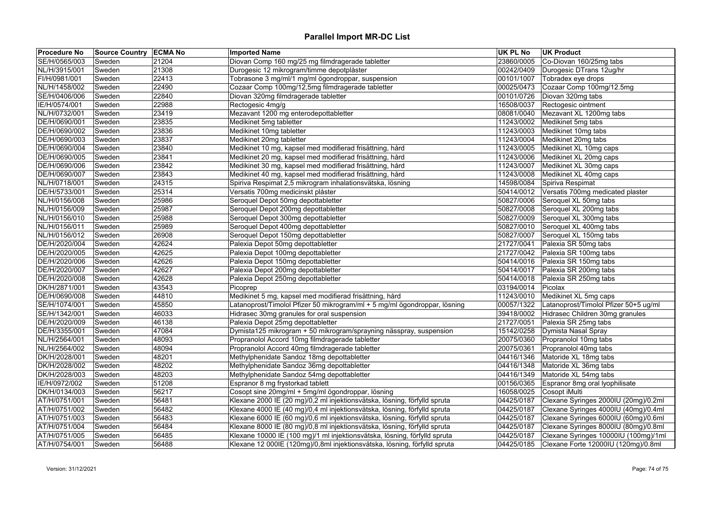## **Parallel Import MR-DC List**

| <b>Procedure No</b> | Source Country ECMA No |       | <b>Imported Name</b>                                                      | UK PL No           | <b>UK Product</b>                          |
|---------------------|------------------------|-------|---------------------------------------------------------------------------|--------------------|--------------------------------------------|
| SE/H/0565/003       | Sweden                 | 21204 | Diovan Comp 160 mg/25 mg filmdragerade tabletter                          | 23860/0005         | Co-Diovan 160/25mg tabs                    |
| NL/H/3915/001       | Sweden                 | 21308 | Durogesic 12 mikrogram/timme depotplåster                                 | 00242/0409         | Durogesic DTrans 12ug/hr                   |
| FI/H/0981/001       | Sweden                 | 22413 | Tobrasone 3 mg/ml/1 mg/ml ögondroppar, suspension                         | 00101/1007         | Tobradex eye drops                         |
| NL/H/1458/002       | Sweden                 | 22490 | Cozaar Comp 100mg/12,5mg filmdragerade tabletter                          | 00025/0473         | Cozaar Comp 100mg/12.5mg                   |
| SE/H/0406/006       | Sweden                 | 22840 | Diovan 320mg filmdragerade tabletter                                      | 00101/0726         | Diovan 320mg tabs                          |
| IE/H/0574/001       | Sweden                 | 22988 | Rectogesic 4mg/g                                                          | 16508/0037         | Rectogesic ointment                        |
| NL/H/0732/001       | Sweden                 | 23419 | Mezavant 1200 mg enterodepottabletter                                     | 08081/0040         | Mezavant XL 1200mg tabs                    |
| DE/H/0690/001       | Sweden                 | 23835 | Medikinet 5mg tabletter                                                   | 11243/0002         | Medikinet 5mg tabs                         |
| DE/H/0690/002       | Sweden                 | 23836 | Medikinet 10mg tabletter                                                  | 11243/0003         | Medikinet 10mg tabs                        |
| DE/H/0690/003       | Sweden                 | 23837 | Medikinet 20mg tabletter                                                  |                    | 11243/0004 Medikinet 20mg tabs             |
| DE/H/0690/004       | Sweden                 | 23840 | Medikinet 10 mg, kapsel med modifierad frisättning, hård                  | 11243/0005         | Medikinet XL 10mg caps                     |
| DE/H/0690/005       | Sweden                 | 23841 | Medikinet 20 mg, kapsel med modifierad frisättning, hård                  | 11243/0006         | Medikinet XL 20mg caps                     |
| DE/H/0690/006       | Sweden                 | 23842 | Medikinet 30 mg, kapsel med modifierad frisättning, hård                  | 11243/0007         | Medikinet XL 30mg caps                     |
| DE/H/0690/007       | Sweden                 | 23843 | Medikinet 40 mg, kapsel med modifierad frisättning, hård                  |                    | 11243/0008 Medikinet XL 40mg caps          |
| NL/H/0718/001       | Sweden                 | 24315 | Spiriva Respimat 2,5 mikrogram inhalationsvätska, lösning                 | 14598/0084         | Spiriva Respimat                           |
| DE/H/5733/001       | Sweden                 | 25314 | Versatis 700mg medicinskt plåster                                         | 50414/0012         | Versatis 700mg medicated plaster           |
| NL/H/0156/008       | Sweden                 | 25986 | Seroquel Depot 50mg depottabletter                                        | 50827/0006         | Seroquel XL 50mg tabs                      |
| NL/H/0156/009       | Sweden                 | 25987 | Seroquel Depot 200mg depottabletter                                       | 50827/0008         | Seroquel XL 200mg tabs                     |
| NL/H/0156/010       | Sweden                 | 25988 | Seroquel Depot 300mg depottabletter                                       | 50827/0009         | Seroquel XL 300mg tabs                     |
| NL/H/0156/011       | Sweden                 | 25989 | Seroquel Depot 400mg depottabletter                                       | 50827/0010         | Seroquel XL 400mg tabs                     |
| NL/H/0156/012       | Sweden                 | 26908 | Seroquel Depot 150mg depottabletter                                       | 50827/0007         | Seroquel XL 150mg tabs                     |
| DE/H/2020/004       | Sweden                 | 42624 | Palexia Depot 50mg depottabletter                                         | 21727/0041         | Palexia SR 50mg tabs                       |
| DE/H/2020/005       | Sweden                 | 42625 | Palexia Depot 100mg depottabletter                                        | 21727/0042         | Palexia SR 100mg tabs                      |
| DE/H/2020/006       | Sweden                 | 42626 | Palexia Depot 150mg depottabletter                                        | 50414/0016         | Palexia SR 150mg tabs                      |
| DE/H/2020/007       | Sweden                 | 42627 | Palexia Depot 200mg depottabletter                                        | 50414/0017         | Palexia SR 200mg tabs                      |
| DE/H/2020/008       | Sweden                 | 42628 | Palexia Depot 250mg depottabletter                                        | 50414/0018         | Palexia SR 250mg tabs                      |
| DK/H/2871/001       | Sweden                 | 43543 | Picoprep                                                                  | 03194/0014 Picolax |                                            |
| DE/H/0690/008       | Sweden                 | 44810 | Medikinet 5 mg, kapsel med modifierad frisättning, hård                   | 11243/0010         | Medikinet XL 5mg caps                      |
| SE/H/1074/001       | Sweden                 | 45850 | Latanoprost/Timolol Pfizer 50 mikrogram/ml + 5 mg/ml ögondroppar, lösning | 00057/1322         | Latanoprost/Timolol Pfizer 50+5 ug/ml      |
| SE/H/1342/001       | Sweden                 | 46033 | Hidrasec 30mg granules for oral suspension                                |                    | 39418/0002 Hidrasec Children 30mg granules |
| DE/H/2020/009       | Sweden                 | 46138 | Palexia Depot 25mg depottabletter                                         | 21727/0051         | Palexia SR 25mg tabs                       |
| DE/H/3355/001       | Sweden                 | 47084 | Dymista125 mikrogram + 50 mikrogram/sprayning nässpray, suspension        | 15142/0258         | Dymista Nasal Spray                        |
| NL/H/2564/001       | Sweden                 | 48093 | Propranolol Accord 10mg filmdragerade tabletter                           | 20075/0360         | Propranolol 10mg tabs                      |
| NL/H/2564/002       | Sweden                 | 48094 | Propranolol Accord 40mg filmdragerade tabletter                           | 20075/0361         | Propranolol 40mg tabs                      |
| DK/H/2028/001       | Sweden                 | 48201 | Methylphenidate Sandoz 18mg depottabletter                                | 04416/1346         | Matoride XL 18mg tabs                      |
| DK/H/2028/002       | Sweden                 | 48202 | Methylphenidate Sandoz 36mg depottabletter                                | 04416/1348         | Matoride XL 36mg tabs                      |
| DK/H/2028/003       | Sweden                 | 48203 | Methylphenidate Sandoz 54mg depottabletter                                | 04416/1349         | Matoride XL 54mg tabs                      |
| IE/H/0972/002       | Sweden                 | 51208 | Espranor 8 mg frystorkad tablett                                          | 00156/0365         | Espranor 8mg oral lyophilisate             |
| DK/H/0134/003       | Sweden                 | 56217 | Cosopt sine 20mg/ml + 5mg/ml ögondroppar, lösning                         | 16058/0025         | Cosopt iMulti                              |
| AT/H/0751/001       | Sweden                 | 56481 | Klexane 2000 IE (20 mg)/0,2 ml injektionsvätska, lösning, förfylld spruta | 04425/0187         | Clexane Syringes 2000IU (20mg)/0.2ml       |
| AT/H/0751/002       |                        | 56482 | Klexane 4000 IE (40 mg)/0,4 ml injektionsvätska, lösning, förfylld spruta | 04425/0187         | Clexane Syringes 4000IU (40mg)/0.4ml       |
| AT/H/0751/003       | Sweden                 | 56483 | Klexane 6000 IE (60 mg)/0,6 ml injektionsvätska, lösning, förfylld spruta | 04425/0187         | Clexane Syringes 6000IU (60mg)/0.6ml       |
| AT/H/0751/004       | Sweden                 | 56484 |                                                                           | 04425/0187         |                                            |
|                     | Sweden                 |       | Klexane 8000 IE (80 mg)/0,8 ml injektionsvätska, lösning, förfylld spruta |                    | Clexane Syringes 8000IU (80mg)/0.8ml       |
| AT/H/0751/005       | Sweden                 | 56485 | Klexane 10000 IE (100 mg)/1 ml injektionsvätska, lösning, förfylld spruta | 04425/0187         | Clexane Syringes 10000IU (100mg)/1ml       |
| AT/H/0754/001       | Sweden                 | 56488 | Klexane 12 000IE (120mg)/0,8ml injektionsvätska, lösning, förfylld spruta | 04425/0185         | Clexane Forte 12000IU (120mg)/0.8ml        |